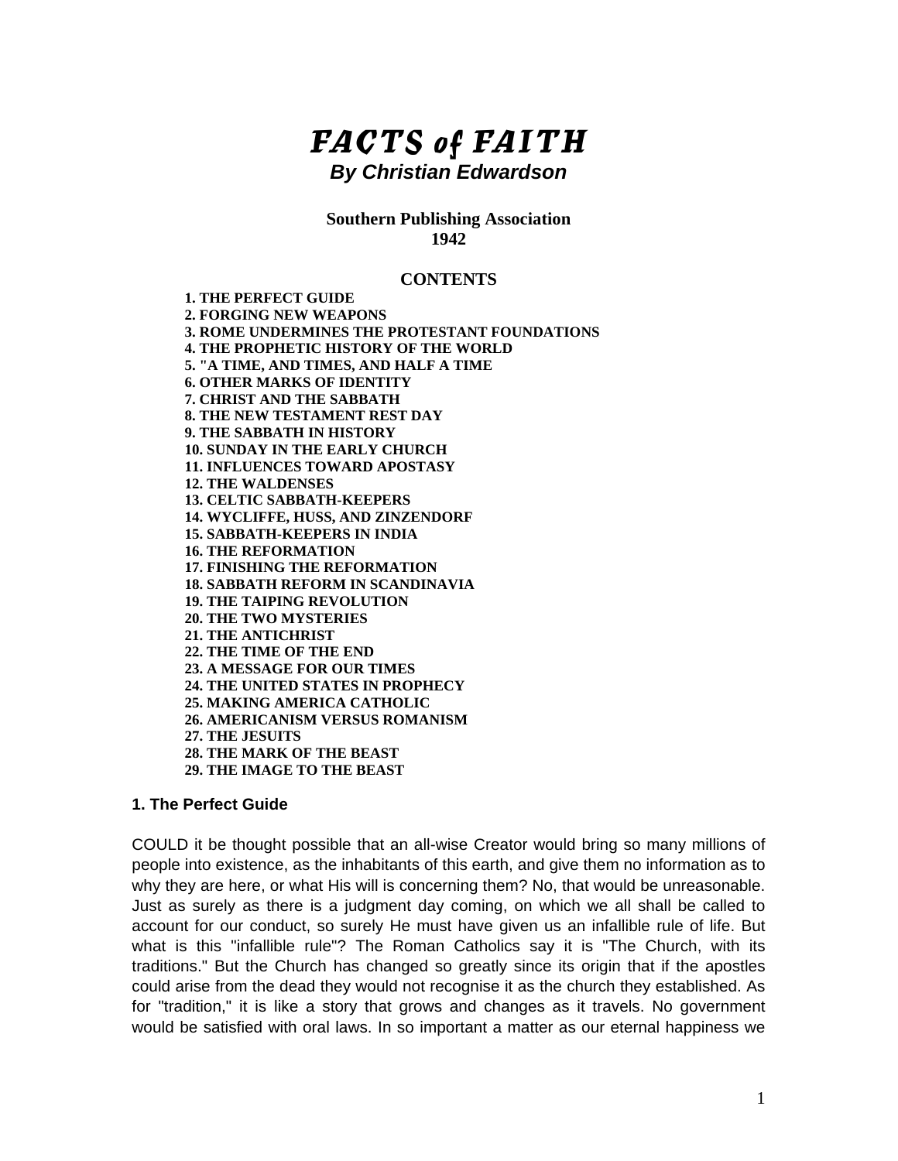# **FACTS of FAITH**  *By Christian Edwardson*

**Southern Publishing Association 1942** 

#### **CONTENTS**

**1. THE PERFECT GUIDE 2. FORGING NEW WEAPONS 3. ROME UNDERMINES THE PROTESTANT FOUNDATIONS 4. THE PROPHETIC HISTORY OF THE WORLD 5. "A TIME, AND TIMES, AND HALF A TIME 6. OTHER MARKS OF IDENTITY 7. CHRIST AND THE SABBATH 8. THE NEW TESTAMENT REST DAY 9. THE SABBATH IN HISTORY 10. SUNDAY IN THE EARLY CHURCH 11. INFLUENCES TOWARD APOSTASY 12. THE WALDENSES 13. CELTIC SABBATH-KEEPERS 14. WYCLIFFE, HUSS, AND ZINZENDORF 15. SABBATH-KEEPERS IN INDIA 16. THE REFORMATION 17. FINISHING THE REFORMATION 18. SABBATH REFORM IN SCANDINAVIA 19. THE TAIPING REVOLUTION 20. THE TWO MYSTERIES 21. THE ANTICHRIST 22. THE TIME OF THE END 23. A MESSAGE FOR OUR TIMES 24. THE UNITED STATES IN PROPHECY 25. MAKING AMERICA CATHOLIC 26. AMERICANISM VERSUS ROMANISM 27. THE JESUITS 28. THE MARK OF THE BEAST 29. THE IMAGE TO THE BEAST** 

#### **1. The Perfect Guide**

COULD it be thought possible that an all-wise Creator would bring so many millions of people into existence, as the inhabitants of this earth, and give them no information as to why they are here, or what His will is concerning them? No, that would be unreasonable. Just as surely as there is a judgment day coming, on which we all shall be called to account for our conduct, so surely He must have given us an infallible rule of life. But what is this "infallible rule"? The Roman Catholics say it is "The Church, with its traditions." But the Church has changed so greatly since its origin that if the apostles could arise from the dead they would not recognise it as the church they established. As for "tradition," it is like a story that grows and changes as it travels. No government would be satisfied with oral laws. In so important a matter as our eternal happiness we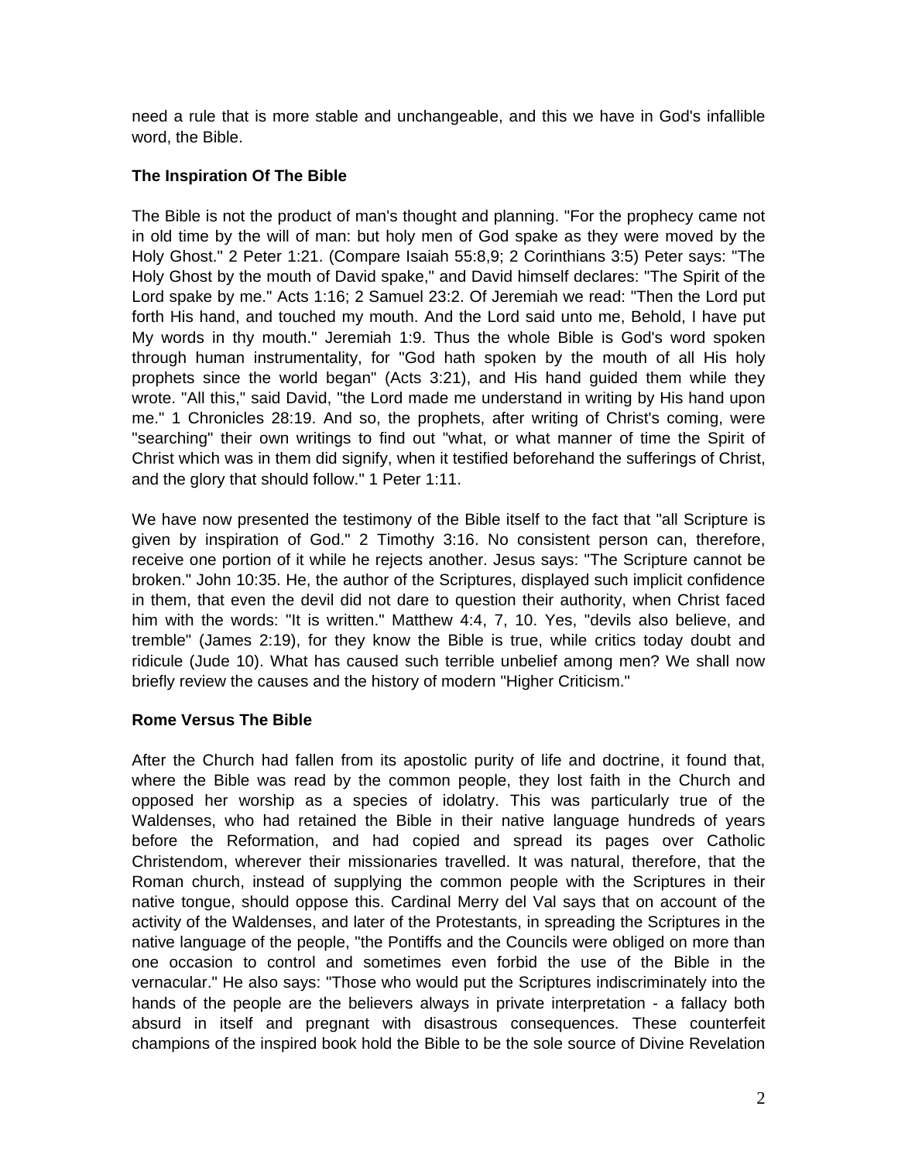need a rule that is more stable and unchangeable, and this we have in God's infallible word, the Bible.

# **The Inspiration Of The Bible**

The Bible is not the product of man's thought and planning. "For the prophecy came not in old time by the will of man: but holy men of God spake as they were moved by the Holy Ghost." 2 Peter 1:21. (Compare Isaiah 55:8,9; 2 Corinthians 3:5) Peter says: "The Holy Ghost by the mouth of David spake," and David himself declares: "The Spirit of the Lord spake by me." Acts 1:16; 2 Samuel 23:2. Of Jeremiah we read: "Then the Lord put forth His hand, and touched my mouth. And the Lord said unto me, Behold, I have put My words in thy mouth." Jeremiah 1:9. Thus the whole Bible is God's word spoken through human instrumentality, for "God hath spoken by the mouth of all His holy prophets since the world began" (Acts 3:21), and His hand guided them while they wrote. "All this," said David, "the Lord made me understand in writing by His hand upon me." 1 Chronicles 28:19. And so, the prophets, after writing of Christ's coming, were "searching" their own writings to find out "what, or what manner of time the Spirit of Christ which was in them did signify, when it testified beforehand the sufferings of Christ, and the glory that should follow." 1 Peter 1:11.

We have now presented the testimony of the Bible itself to the fact that "all Scripture is given by inspiration of God." 2 Timothy 3:16. No consistent person can, therefore, receive one portion of it while he rejects another. Jesus says: "The Scripture cannot be broken." John 10:35. He, the author of the Scriptures, displayed such implicit confidence in them, that even the devil did not dare to question their authority, when Christ faced him with the words: "It is written." Matthew 4:4, 7, 10. Yes, "devils also believe, and tremble" (James 2:19), for they know the Bible is true, while critics today doubt and ridicule (Jude 10). What has caused such terrible unbelief among men? We shall now briefly review the causes and the history of modern "Higher Criticism."

# **Rome Versus The Bible**

After the Church had fallen from its apostolic purity of life and doctrine, it found that, where the Bible was read by the common people, they lost faith in the Church and opposed her worship as a species of idolatry. This was particularly true of the Waldenses, who had retained the Bible in their native language hundreds of years before the Reformation, and had copied and spread its pages over Catholic Christendom, wherever their missionaries travelled. It was natural, therefore, that the Roman church, instead of supplying the common people with the Scriptures in their native tongue, should oppose this. Cardinal Merry del Val says that on account of the activity of the Waldenses, and later of the Protestants, in spreading the Scriptures in the native language of the people, "the Pontiffs and the Councils were obliged on more than one occasion to control and sometimes even forbid the use of the Bible in the vernacular." He also says: "Those who would put the Scriptures indiscriminately into the hands of the people are the believers always in private interpretation - a fallacy both absurd in itself and pregnant with disastrous consequences. These counterfeit champions of the inspired book hold the Bible to be the sole source of Divine Revelation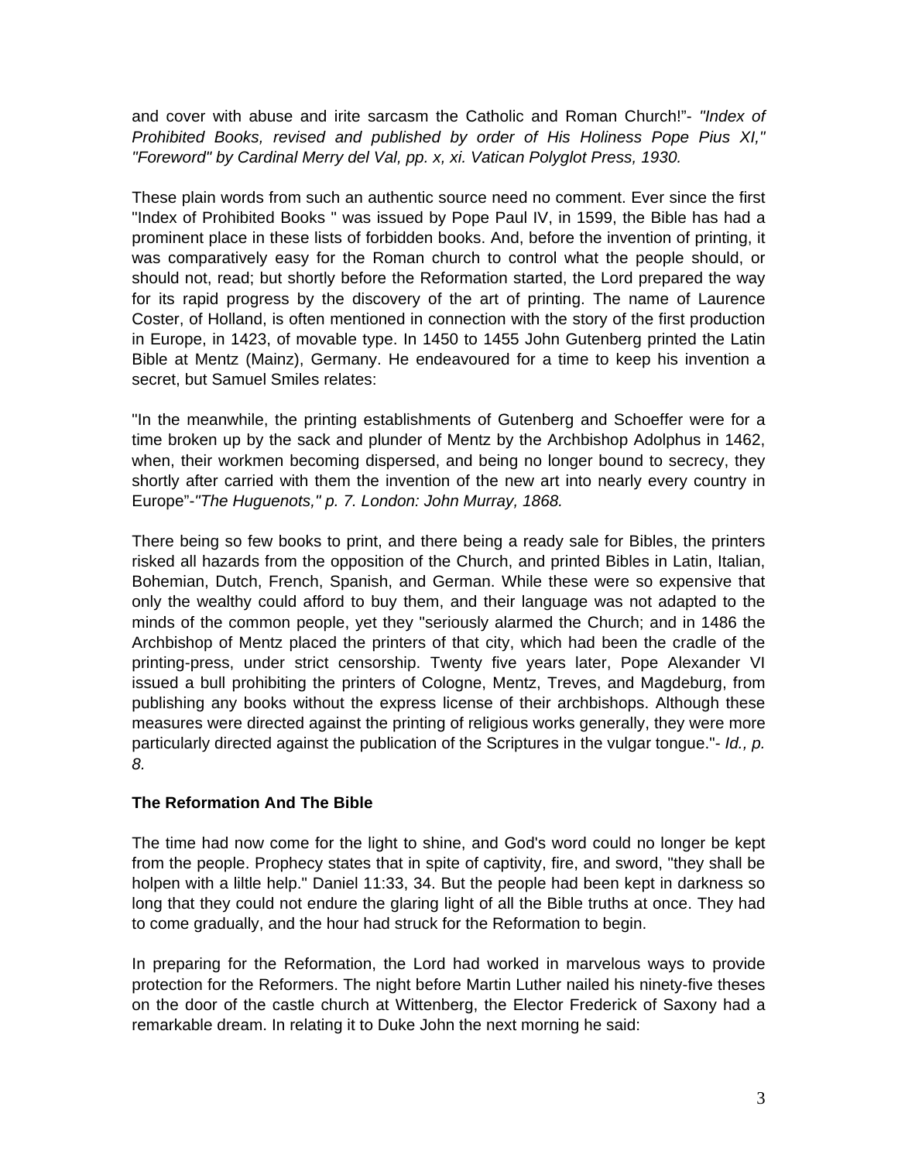and cover with abuse and irite sarcasm the Catholic and Roman Church!"- *"Index of Prohibited Books, revised and published by order of His Holiness Pope Pius XI," "Foreword" by Cardinal Merry del Val, pp. x, xi. Vatican Polyglot Press, 1930.* 

These plain words from such an authentic source need no comment. Ever since the first "Index of Prohibited Books " was issued by Pope Paul IV, in 1599, the Bible has had a prominent place in these lists of forbidden books. And, before the invention of printing, it was comparatively easy for the Roman church to control what the people should, or should not, read; but shortly before the Reformation started, the Lord prepared the way for its rapid progress by the discovery of the art of printing. The name of Laurence Coster, of Holland, is often mentioned in connection with the story of the first production in Europe, in 1423, of movable type. In 1450 to 1455 John Gutenberg printed the Latin Bible at Mentz (Mainz), Germany. He endeavoured for a time to keep his invention a secret, but Samuel Smiles relates:

"In the meanwhile, the printing establishments of Gutenberg and Schoeffer were for a time broken up by the sack and plunder of Mentz by the Archbishop Adolphus in 1462, when, their workmen becoming dispersed, and being no longer bound to secrecy, they shortly after carried with them the invention of the new art into nearly every country in Europe"-*"The Huguenots," p. 7. London: John Murray, 1868.* 

There being so few books to print, and there being a ready sale for Bibles, the printers risked all hazards from the opposition of the Church, and printed Bibles in Latin, Italian, Bohemian, Dutch, French, Spanish, and German. While these were so expensive that only the wealthy could afford to buy them, and their language was not adapted to the minds of the common people, yet they "seriously alarmed the Church; and in 1486 the Archbishop of Mentz placed the printers of that city, which had been the cradle of the printing-press, under strict censorship. Twenty five years later, Pope Alexander VI issued a bull prohibiting the printers of Cologne, Mentz, Treves, and Magdeburg, from publishing any books without the express license of their archbishops. Although these measures were directed against the printing of religious works generally, they were more particularly directed against the publication of the Scriptures in the vulgar tongue."- *Id., p. 8.* 

# **The Reformation And The Bible**

The time had now come for the light to shine, and God's word could no longer be kept from the people. Prophecy states that in spite of captivity, fire, and sword, "they shall be holpen with a liltle help." Daniel 11:33, 34. But the people had been kept in darkness so long that they could not endure the glaring light of all the Bible truths at once. They had to come gradually, and the hour had struck for the Reformation to begin.

In preparing for the Reformation, the Lord had worked in marvelous ways to provide protection for the Reformers. The night before Martin Luther nailed his ninety-five theses on the door of the castle church at Wittenberg, the Elector Frederick of Saxony had a remarkable dream. In relating it to Duke John the next morning he said: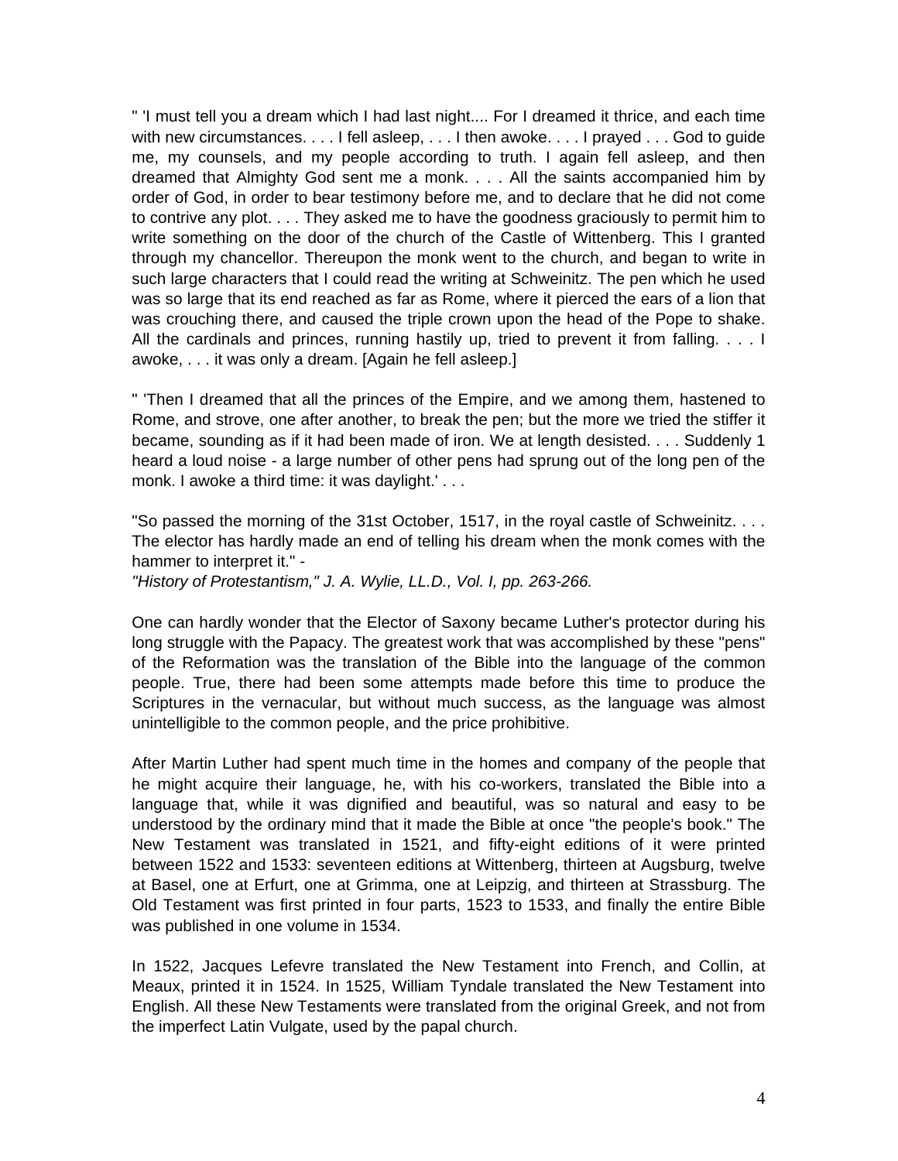" 'I must tell you a dream which I had last night.... For I dreamed it thrice, and each time with new circumstances. . . . I fell asleep, . . . I then awoke. . . . I prayed . . . God to guide me, my counsels, and my people according to truth. I again fell asleep, and then dreamed that Almighty God sent me a monk. . . . All the saints accompanied him by order of God, in order to bear testimony before me, and to declare that he did not come to contrive any plot. . . . They asked me to have the goodness graciously to permit him to write something on the door of the church of the Castle of Wittenberg. This I granted through my chancellor. Thereupon the monk went to the church, and began to write in such large characters that I could read the writing at Schweinitz. The pen which he used was so large that its end reached as far as Rome, where it pierced the ears of a lion that was crouching there, and caused the triple crown upon the head of the Pope to shake. All the cardinals and princes, running hastily up, tried to prevent it from falling. . . . I awoke, . . . it was only a dream. [Again he fell asleep.]

" 'Then I dreamed that all the princes of the Empire, and we among them, hastened to Rome, and strove, one after another, to break the pen; but the more we tried the stiffer it became, sounding as if it had been made of iron. We at length desisted. . . . Suddenly 1 heard a loud noise - a large number of other pens had sprung out of the long pen of the monk. I awoke a third time: it was daylight.' . . .

"So passed the morning of the 31st October, 1517, in the royal castle of Schweinitz. . . . The elector has hardly made an end of telling his dream when the monk comes with the hammer to interpret it." -

*"History of Protestantism," J. A. Wylie, LL.D., Vol. I, pp. 263-266.* 

One can hardly wonder that the Elector of Saxony became Luther's protector during his long struggle with the Papacy. The greatest work that was accomplished by these "pens" of the Reformation was the translation of the Bible into the language of the common people. True, there had been some attempts made before this time to produce the Scriptures in the vernacular, but without much success, as the language was almost unintelligible to the common people, and the price prohibitive.

After Martin Luther had spent much time in the homes and company of the people that he might acquire their language, he, with his co-workers, translated the Bible into a language that, while it was dignified and beautiful, was so natural and easy to be understood by the ordinary mind that it made the Bible at once "the people's book." The New Testament was translated in 1521, and fifty-eight editions of it were printed between 1522 and 1533: seventeen editions at Wittenberg, thirteen at Augsburg, twelve at Basel, one at Erfurt, one at Grimma, one at Leipzig, and thirteen at Strassburg. The Old Testament was first printed in four parts, 1523 to 1533, and finally the entire Bible was published in one volume in 1534.

In 1522, Jacques Lefevre translated the New Testament into French, and Collin, at Meaux, printed it in 1524. In 1525, William Tyndale translated the New Testament into English. All these New Testaments were translated from the original Greek, and not from the imperfect Latin Vulgate, used by the papal church.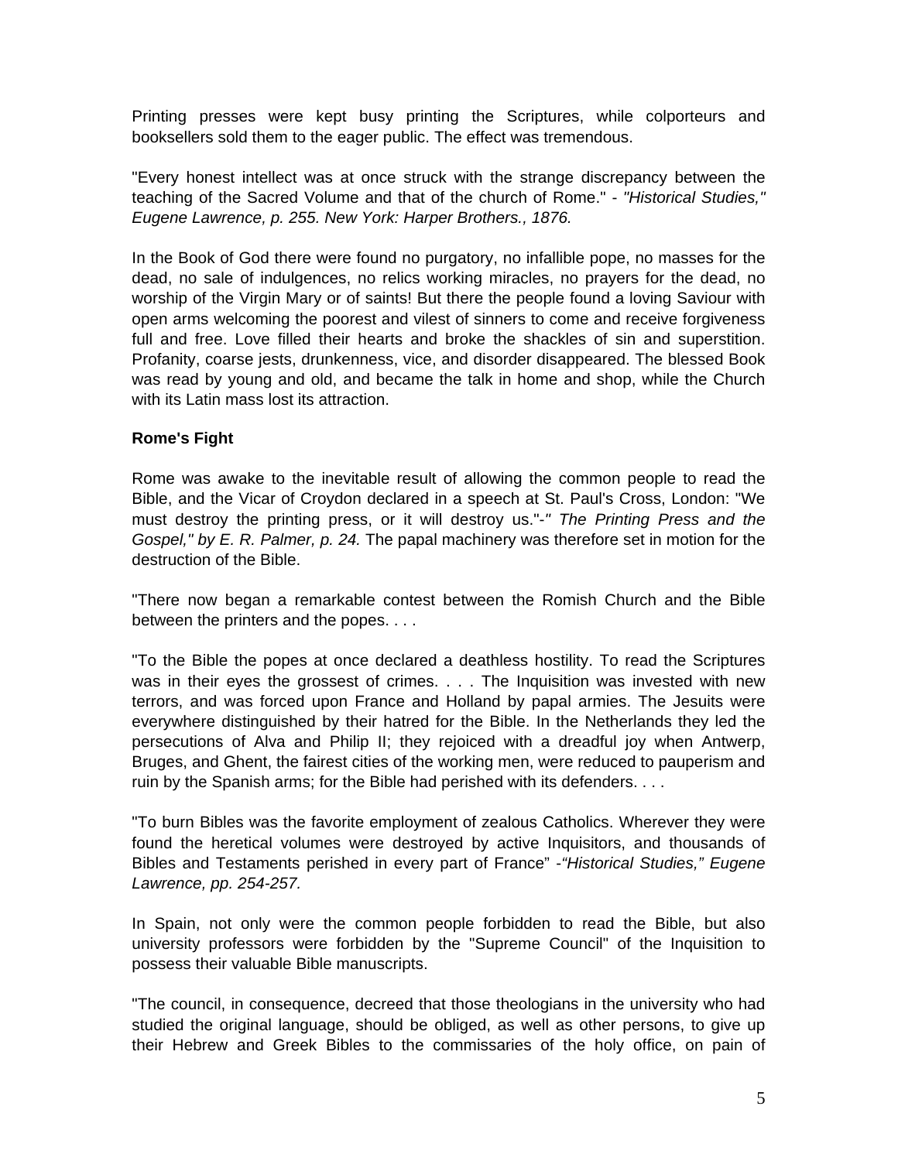Printing presses were kept busy printing the Scriptures, while colporteurs and booksellers sold them to the eager public. The effect was tremendous.

"Every honest intellect was at once struck with the strange discrepancy between the teaching of the Sacred Volume and that of the church of Rome." - *"Historical Studies," Eugene Lawrence, p. 255. New York: Harper Brothers., 1876.* 

In the Book of God there were found no purgatory, no infallible pope, no masses for the dead, no sale of indulgences, no relics working miracles, no prayers for the dead, no worship of the Virgin Mary or of saints! But there the people found a loving Saviour with open arms welcoming the poorest and vilest of sinners to come and receive forgiveness full and free. Love filled their hearts and broke the shackles of sin and superstition. Profanity, coarse jests, drunkenness, vice, and disorder disappeared. The blessed Book was read by young and old, and became the talk in home and shop, while the Church with its Latin mass lost its attraction.

# **Rome's Fight**

Rome was awake to the inevitable result of allowing the common people to read the Bible, and the Vicar of Croydon declared in a speech at St. Paul's Cross, London: "We must destroy the printing press, or it will destroy us."-*" The Printing Press and the Gospel," by E. R. Palmer, p. 24.* The papal machinery was therefore set in motion for the destruction of the Bible.

"There now began a remarkable contest between the Romish Church and the Bible between the printers and the popes. . . .

"To the Bible the popes at once declared a deathless hostility. To read the Scriptures was in their eyes the grossest of crimes. . . . The Inquisition was invested with new terrors, and was forced upon France and Holland by papal armies. The Jesuits were everywhere distinguished by their hatred for the Bible. In the Netherlands they led the persecutions of Alva and Philip II; they rejoiced with a dreadful joy when Antwerp, Bruges, and Ghent, the fairest cities of the working men, were reduced to pauperism and ruin by the Spanish arms; for the Bible had perished with its defenders. . . .

"To burn Bibles was the favorite employment of zealous Catholics. Wherever they were found the heretical volumes were destroyed by active Inquisitors, and thousands of Bibles and Testaments perished in every part of France" -*"Historical Studies," Eugene Lawrence, pp. 254-257.* 

In Spain, not only were the common people forbidden to read the Bible, but also university professors were forbidden by the "Supreme Council" of the Inquisition to possess their valuable Bible manuscripts.

"The council, in consequence, decreed that those theologians in the university who had studied the original language, should be obliged, as well as other persons, to give up their Hebrew and Greek Bibles to the commissaries of the holy office, on pain of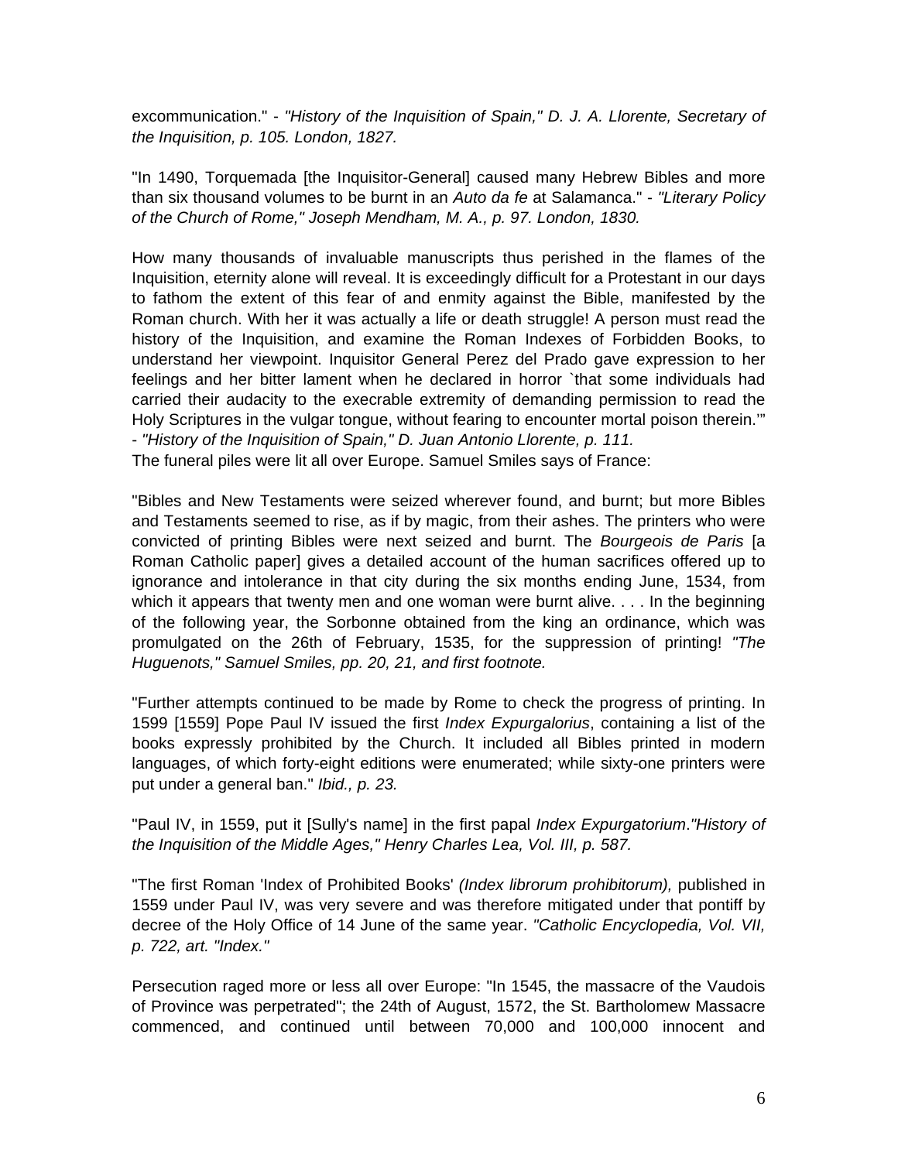excommunication." - *"History of the Inquisition of Spain," D. J. A. Llorente, Secretary of the Inquisition, p. 105. London, 1827.* 

"In 1490, Torquemada [the Inquisitor-General] caused many Hebrew Bibles and more than six thousand volumes to be burnt in an *Auto da fe* at Salamanca." - *"Literary Policy of the Church of Rome," Joseph Mendham, M. A., p. 97. London, 1830.* 

How many thousands of invaluable manuscripts thus perished in the flames of the Inquisition, eternity alone will reveal. It is exceedingly difficult for a Protestant in our days to fathom the extent of this fear of and enmity against the Bible, manifested by the Roman church. With her it was actually a life or death struggle! A person must read the history of the Inquisition, and examine the Roman Indexes of Forbidden Books, to understand her viewpoint. Inquisitor General Perez del Prado gave expression to her feelings and her bitter lament when he declared in horror `that some individuals had carried their audacity to the execrable extremity of demanding permission to read the Holy Scriptures in the vulgar tongue, without fearing to encounter mortal poison therein.'" - *"History of the Inquisition of Spain," D. Juan Antonio Llorente, p. 111.* 

The funeral piles were lit all over Europe. Samuel Smiles says of France:

"Bibles and New Testaments were seized wherever found, and burnt; but more Bibles and Testaments seemed to rise, as if by magic, from their ashes. The printers who were convicted of printing Bibles were next seized and burnt. The *Bourgeois de Paris* [a Roman Catholic paper] gives a detailed account of the human sacrifices offered up to ignorance and intolerance in that city during the six months ending June, 1534, from which it appears that twenty men and one woman were burnt alive. . . . In the beginning of the following year, the Sorbonne obtained from the king an ordinance, which was promulgated on the 26th of February, 1535, for the suppression of printing! *"The Huguenots," Samuel Smiles, pp. 20, 21, and first footnote.* 

"Further attempts continued to be made by Rome to check the progress of printing. In 1599 [1559] Pope Paul IV issued the first *Index Expurgalorius*, containing a list of the books expressly prohibited by the Church. It included all Bibles printed in modern languages, of which forty-eight editions were enumerated; while sixty-one printers were put under a general ban." *Ibid., p. 23.* 

"Paul IV, in 1559, put it [Sully's name] in the first papal *Index Expurgatorium*.*"History of the Inquisition of the Middle Ages," Henry Charles Lea, Vol. III, p. 587.* 

"The first Roman 'Index of Prohibited Books' *(Index librorum prohibitorum),* published in 1559 under Paul IV, was very severe and was therefore mitigated under that pontiff by decree of the Holy Office of 14 June of the same year. *"Catholic Encyclopedia, Vol. VII, p. 722, art. "Index."* 

Persecution raged more or less all over Europe: "In 1545, the massacre of the Vaudois of Province was perpetrated"; the 24th of August, 1572, the St. Bartholomew Massacre commenced, and continued until between 70,000 and 100,000 innocent and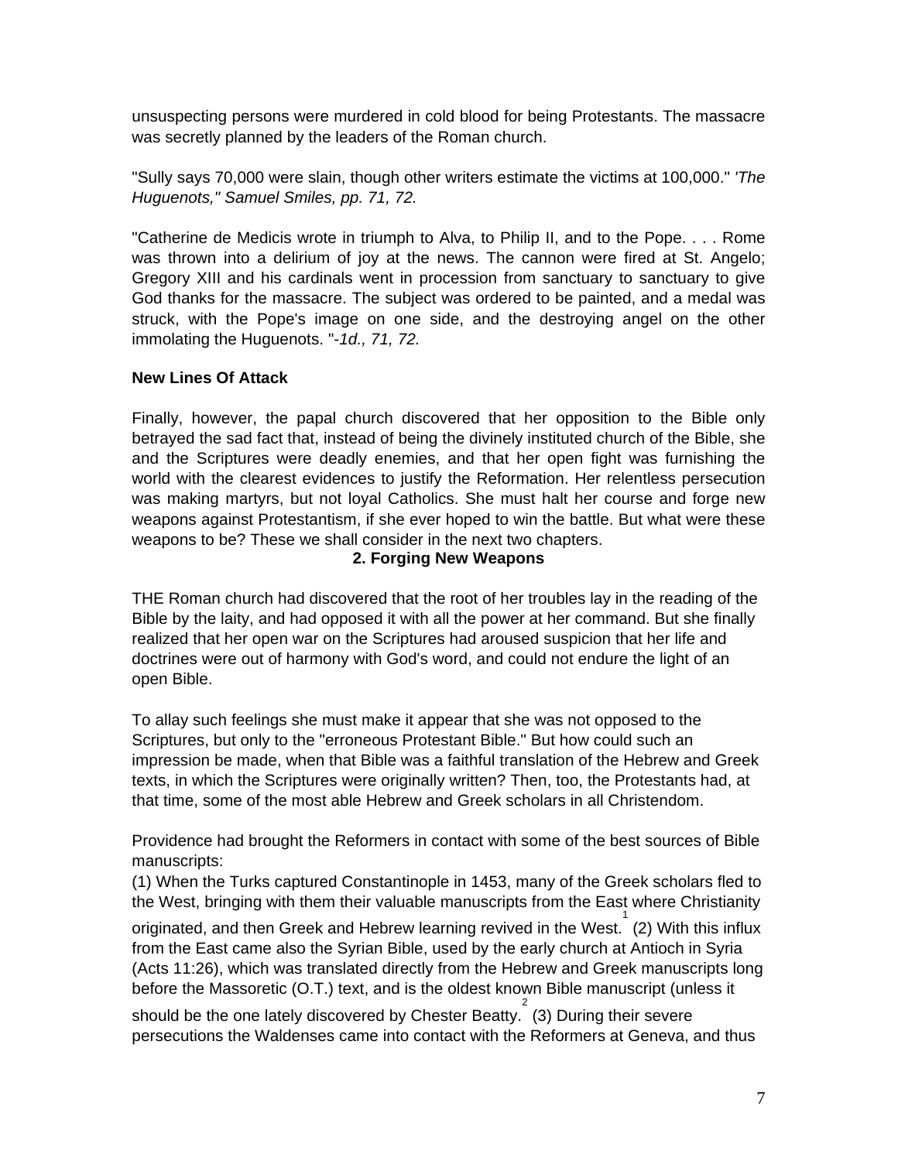unsuspecting persons were murdered in cold blood for being Protestants. The massacre was secretly planned by the leaders of the Roman church.

"Sully says 70,000 were slain, though other writers estimate the victims at 100,000." *'The Huguenots," Samuel Smiles, pp. 71, 72.* 

"Catherine de Medicis wrote in triumph to Alva, to Philip II, and to the Pope. . . . Rome was thrown into a delirium of joy at the news. The cannon were fired at St. Angelo; Gregory XIII and his cardinals went in procession from sanctuary to sanctuary to give God thanks for the massacre. The subject was ordered to be painted, and a medal was struck, with the Pope's image on one side, and the destroying angel on the other immolating the Huguenots. "-*1d., 71, 72.* 

# **New Lines Of Attack**

Finally, however, the papal church discovered that her opposition to the Bible only betrayed the sad fact that, instead of being the divinely instituted church of the Bible, she and the Scriptures were deadly enemies, and that her open fight was furnishing the world with the clearest evidences to justify the Reformation. Her relentless persecution was making martyrs, but not loyal Catholics. She must halt her course and forge new weapons against Protestantism, if she ever hoped to win the battle. But what were these weapons to be? These we shall consider in the next two chapters.

#### **2. Forging New Weapons**

THE Roman church had discovered that the root of her troubles lay in the reading of the Bible by the laity, and had opposed it with all the power at her command. But she finally realized that her open war on the Scriptures had aroused suspicion that her life and doctrines were out of harmony with God's word, and could not endure the light of an open Bible.

To allay such feelings she must make it appear that she was not opposed to the Scriptures, but only to the "erroneous Protestant Bible." But how could such an impression be made, when that Bible was a faithful translation of the Hebrew and Greek texts, in which the Scriptures were originally written? Then, too, the Protestants had, at that time, some of the most able Hebrew and Greek scholars in all Christendom.

Providence had brought the Reformers in contact with some of the best sources of Bible manuscripts:

(1) When the Turks captured Constantinople in 1453, many of the Greek scholars fled to the West, bringing with them their valuable manuscripts from the East where Christianity

originated, and then Greek and Hebrew learning revived in the West. 1 (2) With this influx from the East came also the Syrian Bible, used by the early church at Antioch in Syria (Acts 11:26), which was translated directly from the Hebrew and Greek manuscripts long before the Massoretic (O.T.) text, and is the oldest known Bible manuscript (unless it

should be the one lately discovered by Chester Beatty.  $\overline{\hspace{0.1cm}}^{2}$  (3) During their severe persecutions the Waldenses came into contact with the Reformers at Geneva, and thus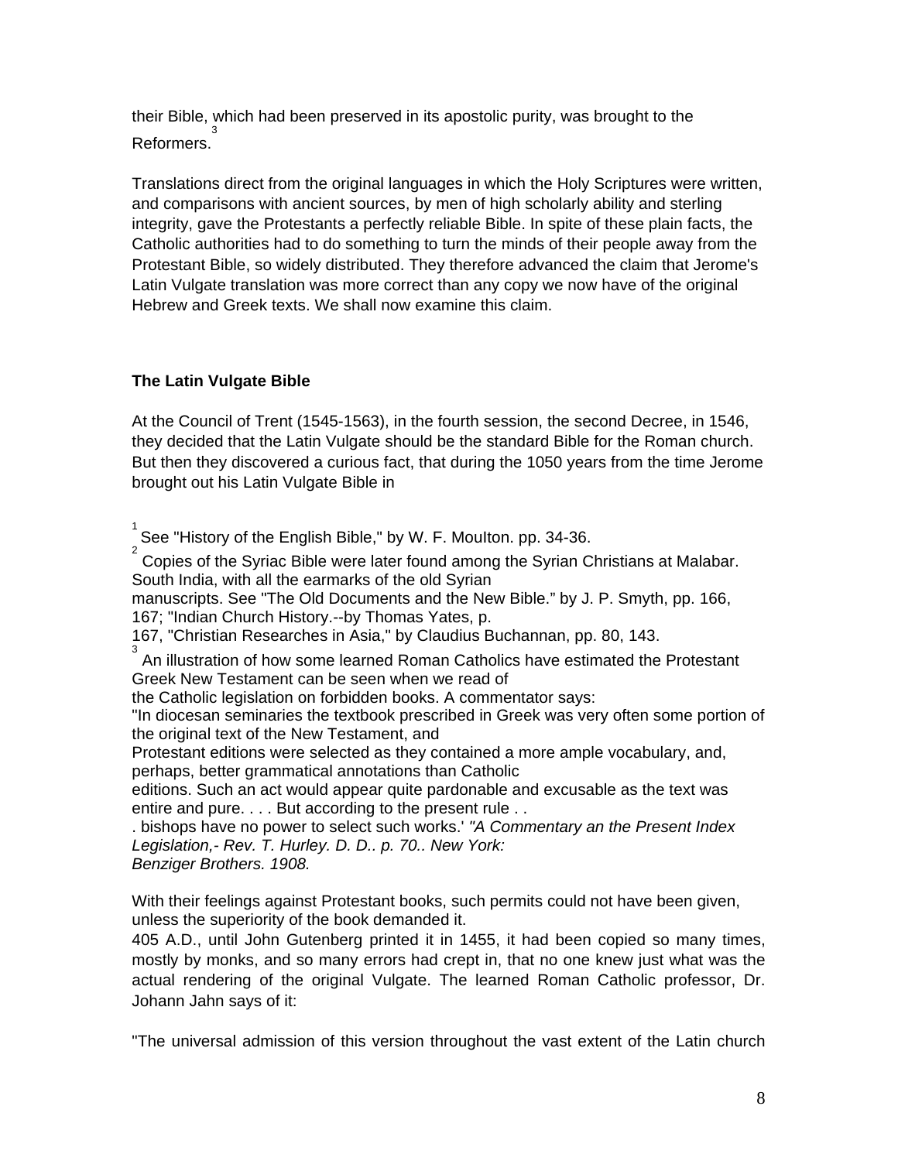their Bible, which had been preserved in its apostolic purity, was brought to the Reformers. 3

Translations direct from the original languages in which the Holy Scriptures were written, and comparisons with ancient sources, by men of high scholarly ability and sterling integrity, gave the Protestants a perfectly reliable Bible. In spite of these plain facts, the Catholic authorities had to do something to turn the minds of their people away from the Protestant Bible, so widely distributed. They therefore advanced the claim that Jerome's Latin Vulgate translation was more correct than any copy we now have of the original Hebrew and Greek texts. We shall now examine this claim.

# **The Latin Vulgate Bible**

At the Council of Trent (1545-1563), in the fourth session, the second Decree, in 1546, they decided that the Latin Vulgate should be the standard Bible for the Roman church. But then they discovered a curious fact, that during the 1050 years from the time Jerome brought out his Latin Vulgate Bible in

 $^{1}$  See "History of the English Bible," by W. F. Moulton. pp. 34-36.

2 Copies of the Syriac Bible were later found among the Syrian Christians at Malabar. South India, with all the earmarks of the old Syrian

manuscripts. See "The Old Documents and the New Bible." by J. P. Smyth, pp. 166, 167; "Indian Church History.--by Thomas Yates, p.

167, "Christian Researches in Asia," by Claudius Buchannan, pp. 80, 143.

3 An illustration of how some learned Roman Catholics have estimated the Protestant Greek New Testament can be seen when we read of

the Catholic legislation on forbidden books. A commentator says:

"In diocesan seminaries the textbook prescribed in Greek was very often some portion of the original text of the New Testament, and

Protestant editions were selected as they contained a more ample vocabulary, and, perhaps, better grammatical annotations than Catholic

editions. Such an act would appear quite pardonable and excusable as the text was entire and pure. . . . But according to the present rule . .

. bishops have no power to select such works.' *"A Commentary an the Present Index Legislation,- Rev. T. Hurley. D. D.. p. 70.. New York: Benziger Brothers. 1908.* 

With their feelings against Protestant books, such permits could not have been given, unless the superiority of the book demanded it.

405 A.D., until John Gutenberg printed it in 1455, it had been copied so many times, mostly by monks, and so many errors had crept in, that no one knew just what was the actual rendering of the original Vulgate. The learned Roman Catholic professor, Dr. Johann Jahn says of it:

"The universal admission of this version throughout the vast extent of the Latin church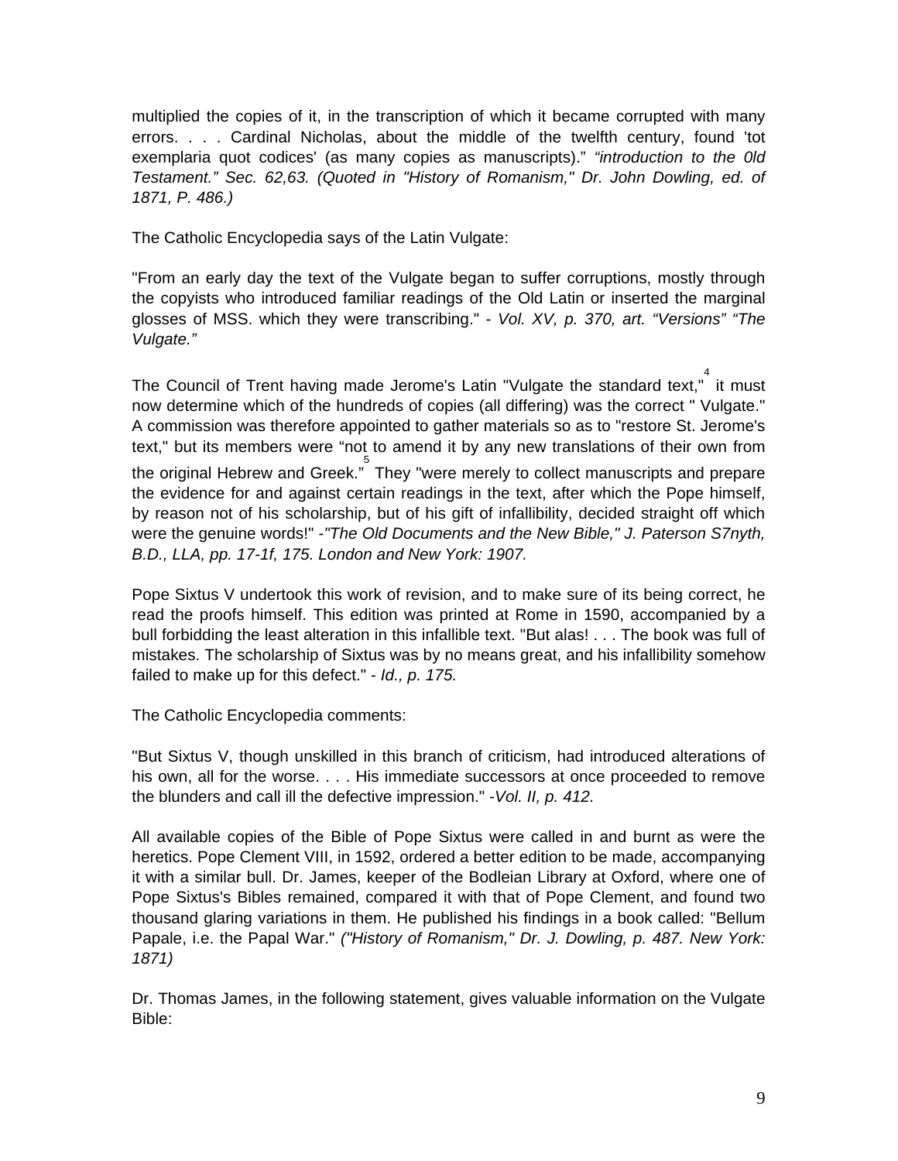multiplied the copies of it, in the transcription of which it became corrupted with many errors. . . . Cardinal Nicholas, about the middle of the twelfth century, found 'tot exemplaria quot codices' (as many copies as manuscripts)." *"introduction to the 0ld Testament." Sec. 62,63. (Quoted in "History of Romanism," Dr. John Dowling, ed. of 1871, P. 486.)* 

The Catholic Encyclopedia says of the Latin Vulgate:

"From an early day the text of the Vulgate began to suffer corruptions, mostly through the copyists who introduced familiar readings of the Old Latin or inserted the marginal glosses of MSS. which they were transcribing." - *Vol. XV, p. 370, art. "Versions" "The Vulgate."* 

The Council of Trent having made Jerome's Latin "Vulgate the standard text," it must now determine which of the hundreds of copies (all differing) was the correct " Vulgate." A commission was therefore appointed to gather materials so as to "restore St. Jerome's text," but its members were "not to amend it by any new translations of their own from the original Hebrew and Greek." 5 They "were merely to collect manuscripts and prepare the evidence for and against certain readings in the text, after which the Pope himself, by reason not of his scholarship, but of his gift of infallibility, decided straight off which were the genuine words!" -*"The Old Documents and the New Bible," J. Paterson S7nyth, B.D., LLA, pp. 17-1f, 175. London and New York: 1907.* 

Pope Sixtus V undertook this work of revision, and to make sure of its being correct, he read the proofs himself. This edition was printed at Rome in 1590, accompanied by a bull forbidding the least alteration in this infallible text. "But alas! . . . The book was full of mistakes. The scholarship of Sixtus was by no means great, and his infallibility somehow failed to make up for this defect." - *Id., p. 175.* 

The Catholic Encyclopedia comments:

"But Sixtus V, though unskilled in this branch of criticism, had introduced alterations of his own, all for the worse. . . . His immediate successors at once proceeded to remove the blunders and call ill the defective impression." -*Vol. II, p. 412.* 

All available copies of the Bible of Pope Sixtus were called in and burnt as were the heretics. Pope Clement VIII, in 1592, ordered a better edition to be made, accompanying it with a similar bull. Dr. James, keeper of the Bodleian Library at Oxford, where one of Pope Sixtus's Bibles remained, compared it with that of Pope Clement, and found two thousand glaring variations in them. He published his findings in a book called: "Bellum Papale, i.e. the Papal War." *("History of Romanism," Dr. J. Dowling, p. 487. New York: 1871)* 

Dr. Thomas James, in the following statement, gives valuable information on the Vulgate Bible: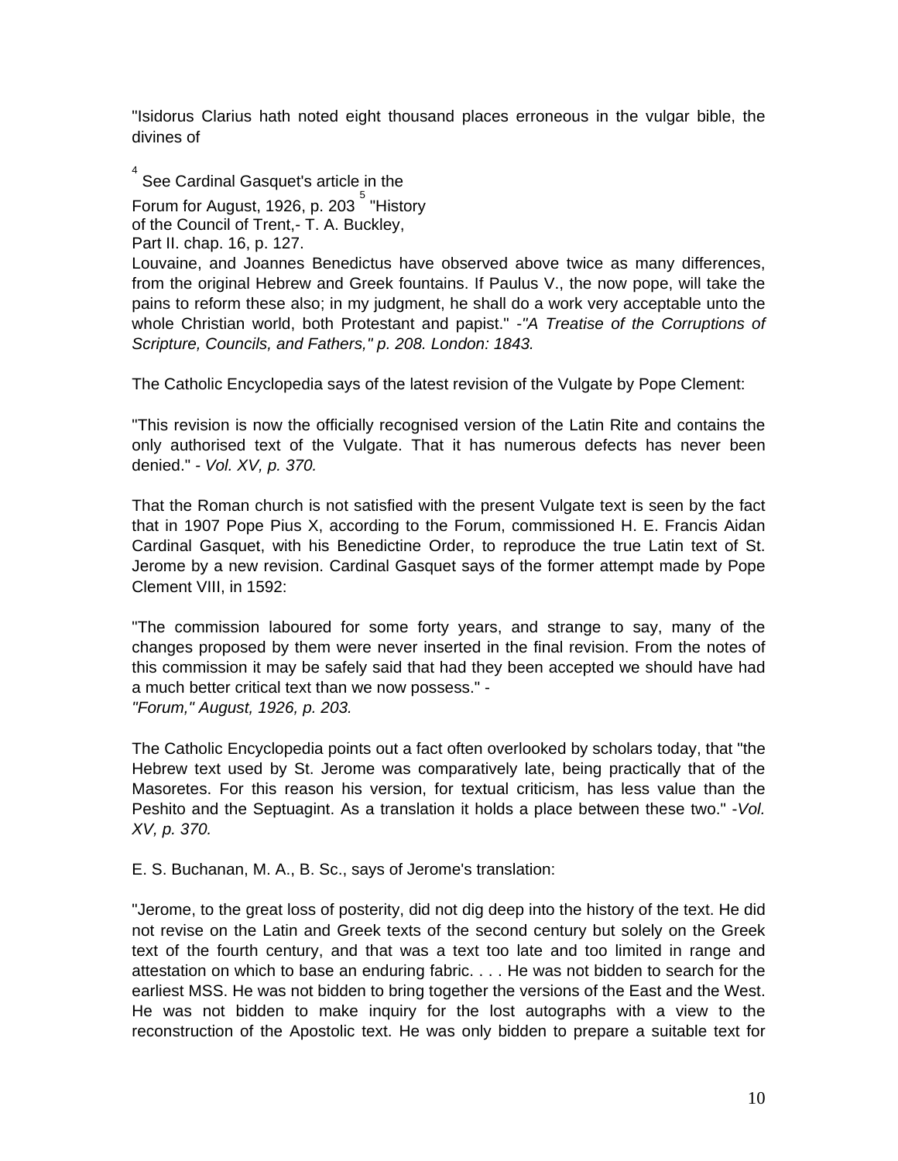"Isidorus Clarius hath noted eight thousand places erroneous in the vulgar bible, the divines of

 $^\mathrm{4}$  See Cardinal Gasquet's article in the Forum for August, 1926, p. 203<sup>5</sup> "History of the Council of Trent,- T. A. Buckley, Part II. chap. 16, p. 127.

Louvaine, and Joannes Benedictus have observed above twice as many differences, from the original Hebrew and Greek fountains. If Paulus V., the now pope, will take the pains to reform these also; in my judgment, he shall do a work very acceptable unto the whole Christian world, both Protestant and papist." *-"A Treatise of the Corruptions of Scripture, Councils, and Fathers," p. 208. London: 1843.* 

The Catholic Encyclopedia says of the latest revision of the Vulgate by Pope Clement:

"This revision is now the officially recognised version of the Latin Rite and contains the only authorised text of the Vulgate. That it has numerous defects has never been denied." *- Vol. XV, p. 370.* 

That the Roman church is not satisfied with the present Vulgate text is seen by the fact that in 1907 Pope Pius X, according to the Forum, commissioned H. E. Francis Aidan Cardinal Gasquet, with his Benedictine Order, to reproduce the true Latin text of St. Jerome by a new revision. Cardinal Gasquet says of the former attempt made by Pope Clement VIII, in 1592:

"The commission laboured for some forty years, and strange to say, many of the changes proposed by them were never inserted in the final revision. From the notes of this commission it may be safely said that had they been accepted we should have had a much better critical text than we now possess." - *"Forum," August, 1926, p. 203.* 

The Catholic Encyclopedia points out a fact often overlooked by scholars today, that "the Hebrew text used by St. Jerome was comparatively late, being practically that of the Masoretes. For this reason his version, for textual criticism, has less value than the Peshito and the Septuagint. As a translation it holds a place between these two." -*Vol. XV, p. 370.* 

E. S. Buchanan, M. A., B. Sc., says of Jerome's translation:

"Jerome, to the great loss of posterity, did not dig deep into the history of the text. He did not revise on the Latin and Greek texts of the second century but solely on the Greek text of the fourth century, and that was a text too late and too limited in range and attestation on which to base an enduring fabric. . . . He was not bidden to search for the earliest MSS. He was not bidden to bring together the versions of the East and the West. He was not bidden to make inquiry for the lost autographs with a view to the reconstruction of the Apostolic text. He was only bidden to prepare a suitable text for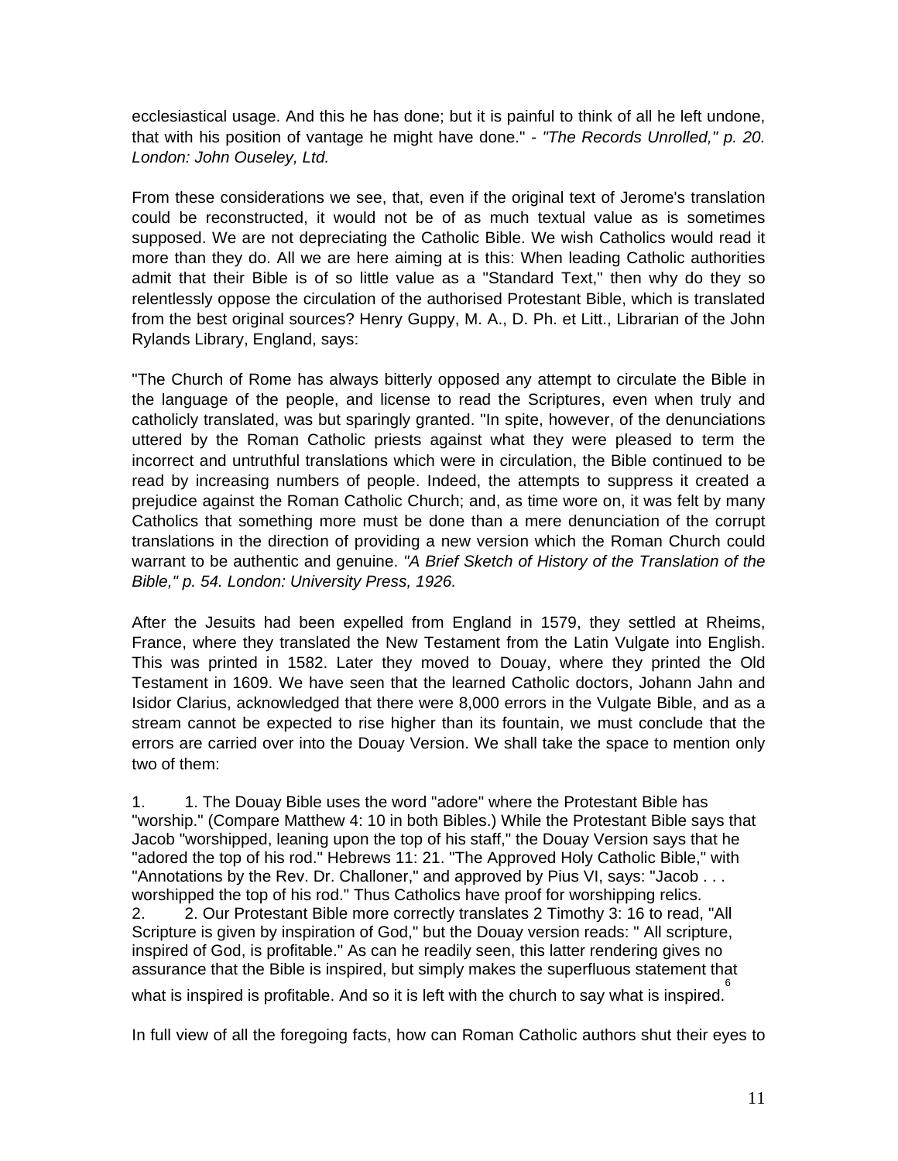ecclesiastical usage. And this he has done; but it is painful to think of all he left undone, that with his position of vantage he might have done." *- "The Records Unrolled," p. 20. London: John Ouseley, Ltd.* 

From these considerations we see, that, even if the original text of Jerome's translation could be reconstructed, it would not be of as much textual value as is sometimes supposed. We are not depreciating the Catholic Bible. We wish Catholics would read it more than they do. All we are here aiming at is this: When leading Catholic authorities admit that their Bible is of so little value as a "Standard Text," then why do they so relentlessly oppose the circulation of the authorised Protestant Bible, which is translated from the best original sources? Henry Guppy, M. A., D. Ph. et Litt., Librarian of the John Rylands Library, England, says:

"The Church of Rome has always bitterly opposed any attempt to circulate the Bible in the language of the people, and license to read the Scriptures, even when truly and catholicly translated, was but sparingly granted. "In spite, however, of the denunciations uttered by the Roman Catholic priests against what they were pleased to term the incorrect and untruthful translations which were in circulation, the Bible continued to be read by increasing numbers of people. Indeed, the attempts to suppress it created a prejudice against the Roman Catholic Church; and, as time wore on, it was felt by many Catholics that something more must be done than a mere denunciation of the corrupt translations in the direction of providing a new version which the Roman Church could warrant to be authentic and genuine. *"A Brief Sketch of History of the Translation of the Bible," p. 54. London: University Press, 1926.* 

After the Jesuits had been expelled from England in 1579, they settled at Rheims, France, where they translated the New Testament from the Latin Vulgate into English. This was printed in 1582. Later they moved to Douay, where they printed the Old Testament in 1609. We have seen that the learned Catholic doctors, Johann Jahn and Isidor Clarius, acknowledged that there were 8,000 errors in the Vulgate Bible, and as a stream cannot be expected to rise higher than its fountain, we must conclude that the errors are carried over into the Douay Version. We shall take the space to mention only two of them:

1. 1. The Douay Bible uses the word "adore" where the Protestant Bible has "worship." (Compare Matthew 4: 10 in both Bibles.) While the Protestant Bible says that Jacob "worshipped, leaning upon the top of his staff," the Douay Version says that he "adored the top of his rod." Hebrews 11: 21. "The Approved Holy Catholic Bible," with "Annotations by the Rev. Dr. Challoner," and approved by Pius VI, says: "Jacob . . . worshipped the top of his rod." Thus Catholics have proof for worshipping relics. 2. 2. Our Protestant Bible more correctly translates 2 Timothy 3: 16 to read, "All Scripture is given by inspiration of God," but the Douay version reads: " All scripture, inspired of God, is profitable." As can he readily seen, this latter rendering gives no assurance that the Bible is inspired, but simply makes the superfluous statement that

what is inspired is profitable. And so it is left with the church to say what is inspired.  $\degree$ 

In full view of all the foregoing facts, how can Roman Catholic authors shut their eyes to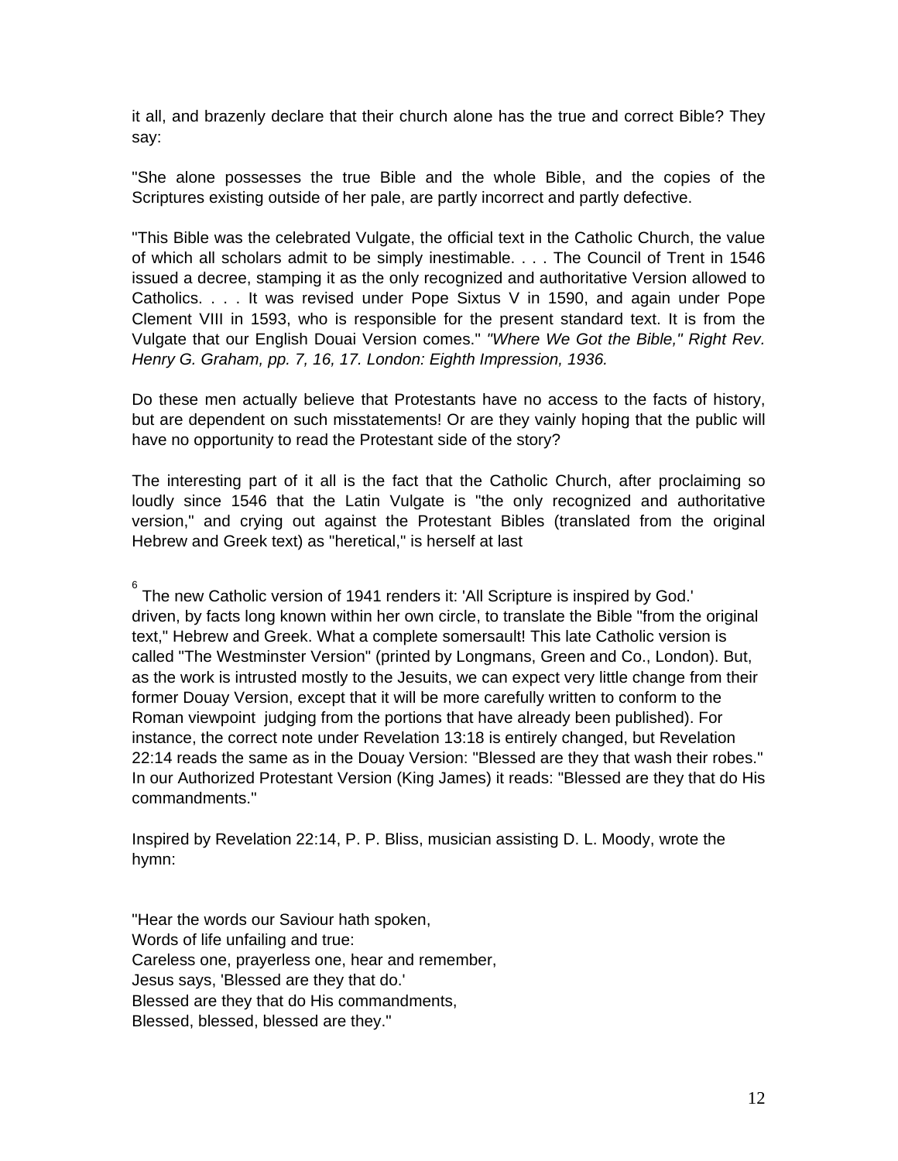it all, and brazenly declare that their church alone has the true and correct Bible? They say:

"She alone possesses the true Bible and the whole Bible, and the copies of the Scriptures existing outside of her pale, are partly incorrect and partly defective.

"This Bible was the celebrated Vulgate, the official text in the Catholic Church, the value of which all scholars admit to be simply inestimable. . . . The Council of Trent in 1546 issued a decree, stamping it as the only recognized and authoritative Version allowed to Catholics. . . . It was revised under Pope Sixtus V in 1590, and again under Pope Clement VIII in 1593, who is responsible for the present standard text. It is from the Vulgate that our English Douai Version comes." *"Where We Got the Bible," Right Rev. Henry G. Graham, pp. 7, 16, 17. London: Eighth Impression, 1936.* 

Do these men actually believe that Protestants have no access to the facts of history, but are dependent on such misstatements! Or are they vainly hoping that the public will have no opportunity to read the Protestant side of the story?

The interesting part of it all is the fact that the Catholic Church, after proclaiming so loudly since 1546 that the Latin Vulgate is "the only recognized and authoritative version," and crying out against the Protestant Bibles (translated from the original Hebrew and Greek text) as "heretical," is herself at last

 $\degree$  The new Catholic version of 1941 renders it: 'All Scripture is inspired by God.' driven, by facts long known within her own circle, to translate the Bible "from the original text," Hebrew and Greek. What a complete somersault! This late Catholic version is called "The Westminster Version" (printed by Longmans, Green and Co., London). But, as the work is intrusted mostly to the Jesuits, we can expect very little change from their former Douay Version, except that it will be more carefully written to conform to the Roman viewpoint judging from the portions that have already been published). For instance, the correct note under Revelation 13:18 is entirely changed, but Revelation 22:14 reads the same as in the Douay Version: "Blessed are they that wash their robes." In our Authorized Protestant Version (King James) it reads: "Blessed are they that do His commandments."

Inspired by Revelation 22:14, P. P. Bliss, musician assisting D. L. Moody, wrote the hymn:

"Hear the words our Saviour hath spoken, Words of life unfailing and true: Careless one, prayerless one, hear and remember, Jesus says, 'Blessed are they that do.' Blessed are they that do His commandments, Blessed, blessed, blessed are they."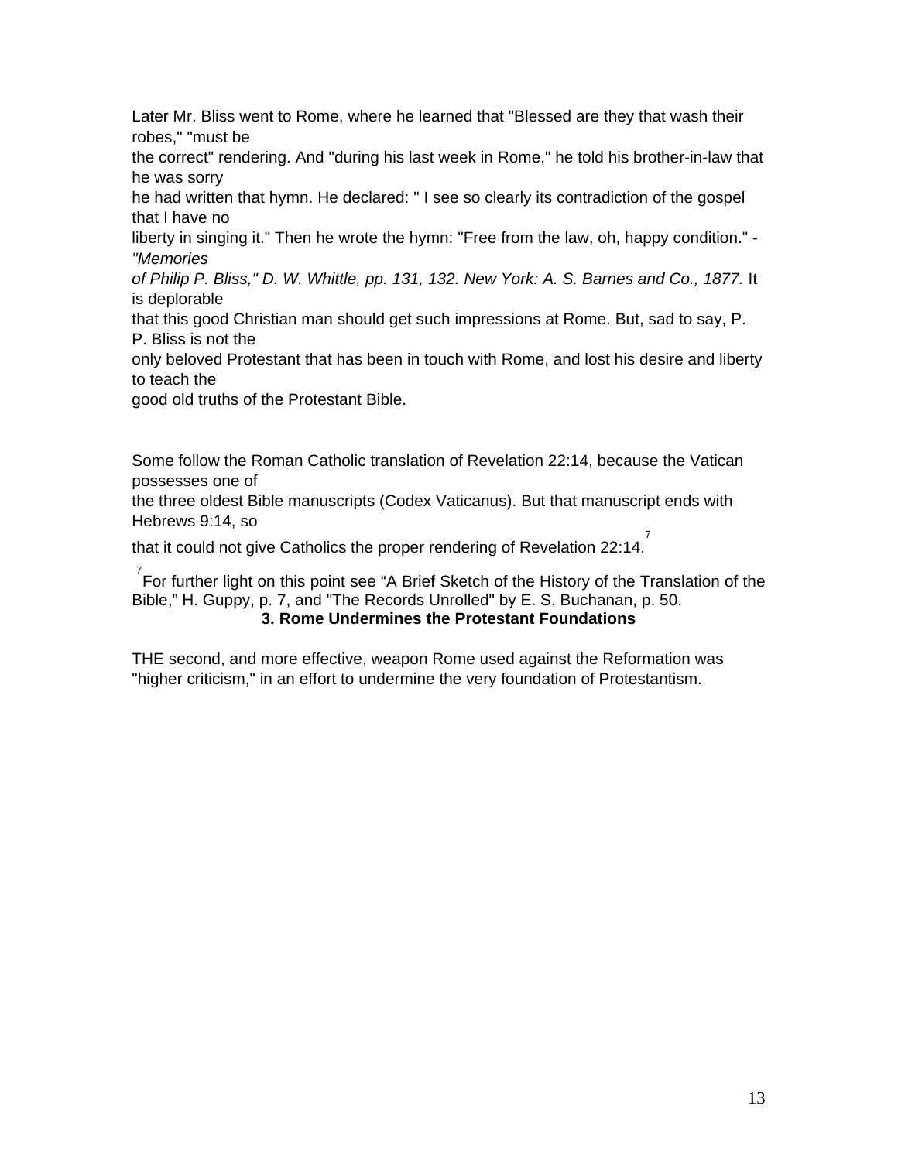Later Mr. Bliss went to Rome, where he learned that "Blessed are they that wash their robes," "must be

the correct" rendering. And "during his last week in Rome," he told his brother-in-law that he was sorry

he had written that hymn. He declared: " I see so clearly its contradiction of the gospel that I have no

liberty in singing it." Then he wrote the hymn: "Free from the law, oh, happy condition." - *"Memories* 

*of Philip P. Bliss," D. W. Whittle, pp. 131, 132. New York: A. S. Barnes and Co., 1877.* It is deplorable

that this good Christian man should get such impressions at Rome. But, sad to say, P. P. Bliss is not the

only beloved Protestant that has been in touch with Rome, and lost his desire and liberty to teach the

good old truths of the Protestant Bible.

Some follow the Roman Catholic translation of Revelation 22:14, because the Vatican possesses one of

the three oldest Bible manuscripts (Codex Vaticanus). But that manuscript ends with Hebrews 9:14, so

that it could not give Catholics the proper rendering of Revelation 22:14. 7

<del>,</del><br>「For further light on this point see "A Brief Sketch of the History of the Translation of the Bible," H. Guppy, p. 7, and "The Records Unrolled" by E. S. Buchanan, p. 50. **3. Rome Undermines the Protestant Foundations** 

THE second, and more effective, weapon Rome used against the Reformation was "higher criticism," in an effort to undermine the very foundation of Protestantism.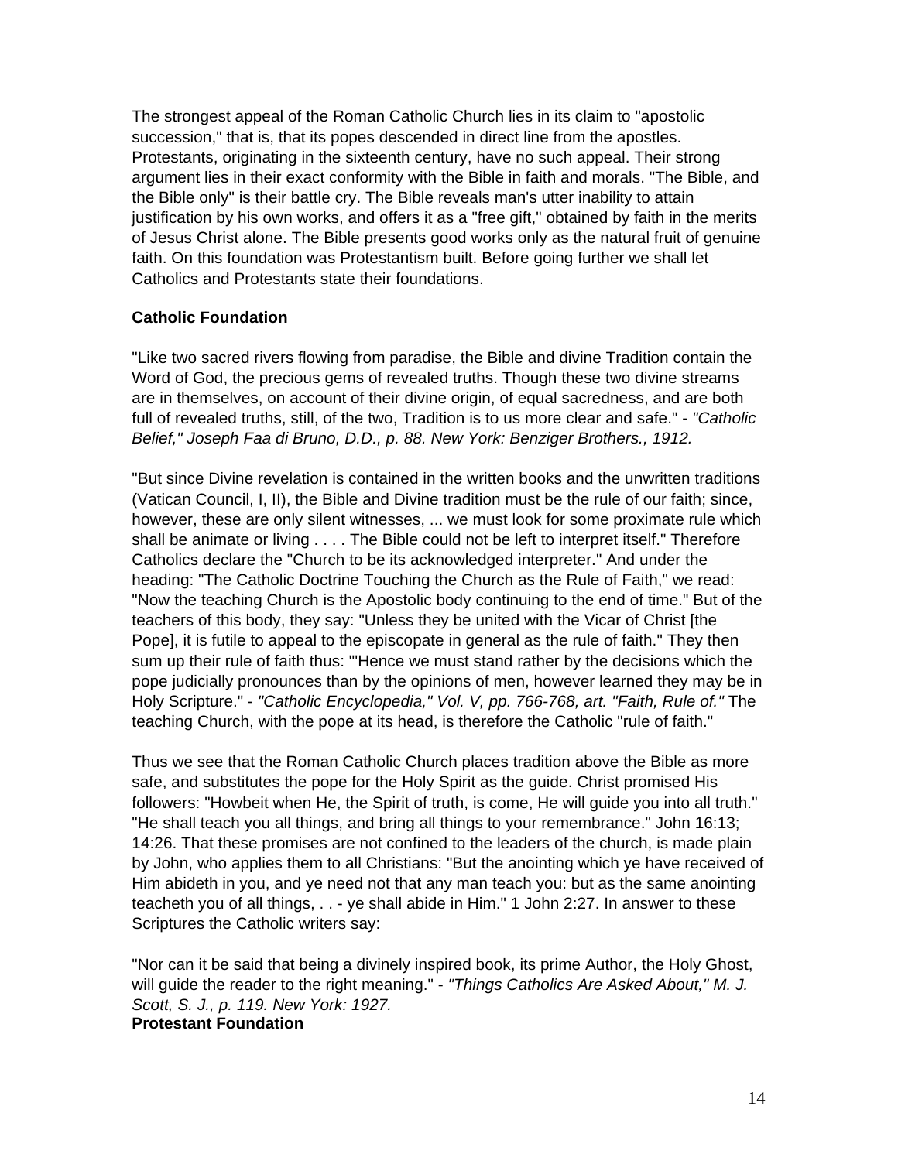The strongest appeal of the Roman Catholic Church lies in its claim to "apostolic succession," that is, that its popes descended in direct line from the apostles. Protestants, originating in the sixteenth century, have no such appeal. Their strong argument lies in their exact conformity with the Bible in faith and morals. "The Bible, and the Bible only" is their battle cry. The Bible reveals man's utter inability to attain justification by his own works, and offers it as a "free gift," obtained by faith in the merits of Jesus Christ alone. The Bible presents good works only as the natural fruit of genuine faith. On this foundation was Protestantism built. Before going further we shall let Catholics and Protestants state their foundations.

#### **Catholic Foundation**

"Like two sacred rivers flowing from paradise, the Bible and divine Tradition contain the Word of God, the precious gems of revealed truths. Though these two divine streams are in themselves, on account of their divine origin, of equal sacredness, and are both full of revealed truths, still, of the two, Tradition is to us more clear and safe." - *"Catholic Belief," Joseph Faa di Bruno, D.D., p. 88. New York: Benziger Brothers., 1912.* 

"But since Divine revelation is contained in the written books and the unwritten traditions (Vatican Council, I, II), the Bible and Divine tradition must be the rule of our faith; since, however, these are only silent witnesses, ... we must look for some proximate rule which shall be animate or living . . . . The Bible could not be left to interpret itself." Therefore Catholics declare the "Church to be its acknowledged interpreter." And under the heading: "The Catholic Doctrine Touching the Church as the Rule of Faith," we read: "Now the teaching Church is the Apostolic body continuing to the end of time." But of the teachers of this body, they say: "Unless they be united with the Vicar of Christ [the Pope], it is futile to appeal to the episcopate in general as the rule of faith." They then sum up their rule of faith thus: "'Hence we must stand rather by the decisions which the pope judicially pronounces than by the opinions of men, however learned they may be in Holy Scripture." - *"Catholic Encyclopedia," Vol. V, pp. 766-768, art. "Faith, Rule of."* The teaching Church, with the pope at its head, is therefore the Catholic "rule of faith."

Thus we see that the Roman Catholic Church places tradition above the Bible as more safe, and substitutes the pope for the Holy Spirit as the guide. Christ promised His followers: "Howbeit when He, the Spirit of truth, is come, He will guide you into all truth." "He shall teach you all things, and bring all things to your remembrance." John 16:13; 14:26. That these promises are not confined to the leaders of the church, is made plain by John, who applies them to all Christians: "But the anointing which ye have received of Him abideth in you, and ye need not that any man teach you: but as the same anointing teacheth you of all things, . . - ye shall abide in Him." 1 John 2:27. In answer to these Scriptures the Catholic writers say:

"Nor can it be said that being a divinely inspired book, its prime Author, the Holy Ghost, will guide the reader to the right meaning." - *"Things Catholics Are Asked About," M. J. Scott, S. J., p. 119. New York: 1927.* 

# **Protestant Foundation**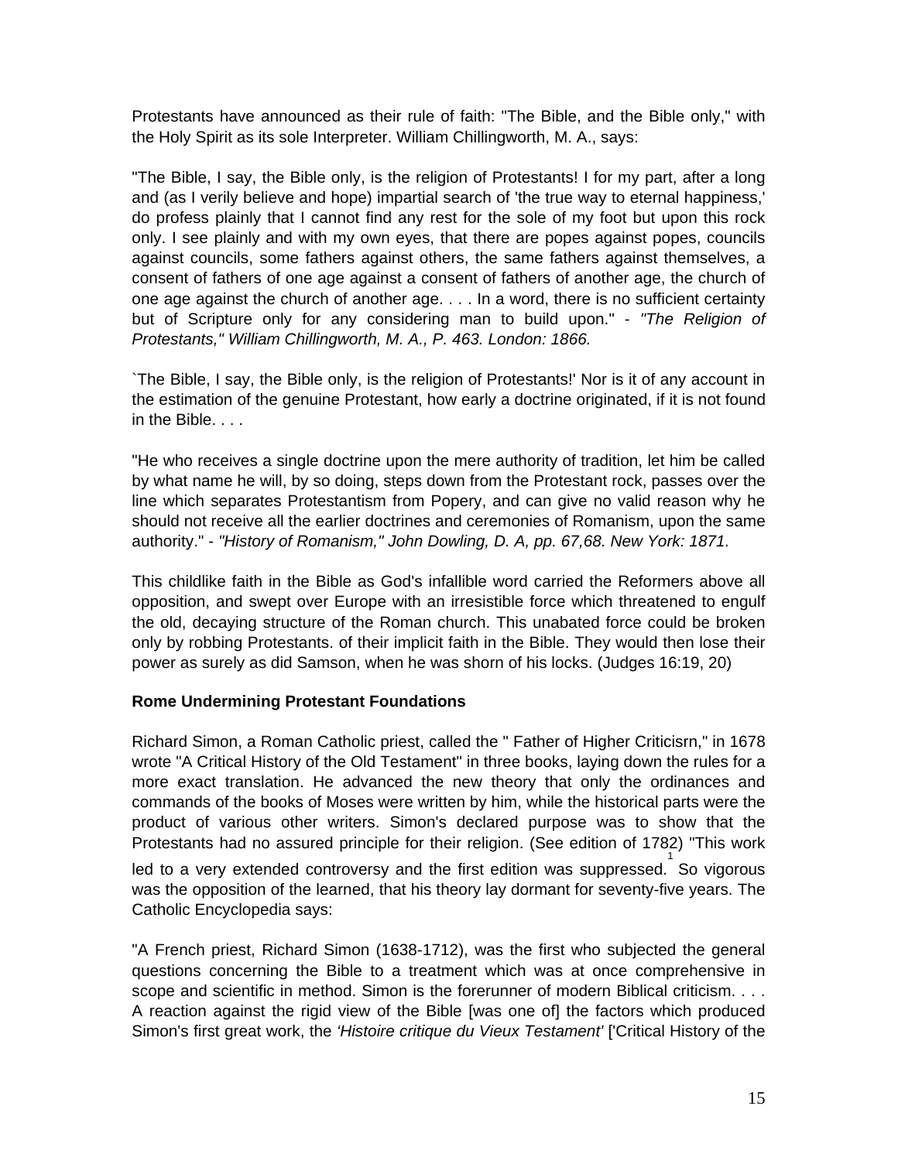Protestants have announced as their rule of faith: "The Bible, and the Bible only," with the Holy Spirit as its sole Interpreter. William Chillingworth, M. A., says:

"The Bible, I say, the Bible only, is the religion of Protestants! I for my part, after a long and (as I verily believe and hope) impartial search of 'the true way to eternal happiness,' do profess plainly that I cannot find any rest for the sole of my foot but upon this rock only. I see plainly and with my own eyes, that there are popes against popes, councils against councils, some fathers against others, the same fathers against themselves, a consent of fathers of one age against a consent of fathers of another age, the church of one age against the church of another age. . . . In a word, there is no sufficient certainty but of Scripture only for any considering man to build upon." - *"The Religion of Protestants," William Chillingworth, M. A., P. 463. London: 1866.* 

`The Bible, I say, the Bible only, is the religion of Protestants!' Nor is it of any account in the estimation of the genuine Protestant, how early a doctrine originated, if it is not found in the Bible. . . .

"He who receives a single doctrine upon the mere authority of tradition, let him be called by what name he will, by so doing, steps down from the Protestant rock, passes over the line which separates Protestantism from Popery, and can give no valid reason why he should not receive all the earlier doctrines and ceremonies of Romanism, upon the same authority." - *"History of Romanism," John Dowling, D. A, pp. 67,68. New York: 1871.* 

This childlike faith in the Bible as God's infallible word carried the Reformers above all opposition, and swept over Europe with an irresistible force which threatened to engulf the old, decaying structure of the Roman church. This unabated force could be broken only by robbing Protestants. of their implicit faith in the Bible. They would then lose their power as surely as did Samson, when he was shorn of his locks. (Judges 16:19, 20)

# **Rome Undermining Protestant Foundations**

Richard Simon, a Roman Catholic priest, called the " Father of Higher Criticisrn," in 1678 wrote "A Critical History of the Old Testament" in three books, laying down the rules for a more exact translation. He advanced the new theory that only the ordinances and commands of the books of Moses were written by him, while the historical parts were the product of various other writers. Simon's declared purpose was to show that the Protestants had no assured principle for their religion. (See edition of 1782) "This work led to a very extended controversy and the first edition was suppressed. So vigorous was the opposition of the learned, that his theory lay dormant for seventy-five years. The Catholic Encyclopedia says:

"A French priest, Richard Simon (1638-1712), was the first who subjected the general questions concerning the Bible to a treatment which was at once comprehensive in scope and scientific in method. Simon is the forerunner of modern Biblical criticism. . . . A reaction against the rigid view of the Bible [was one of] the factors which produced Simon's first great work, the *'Histoire critique du Vieux Testament'* ['Critical History of the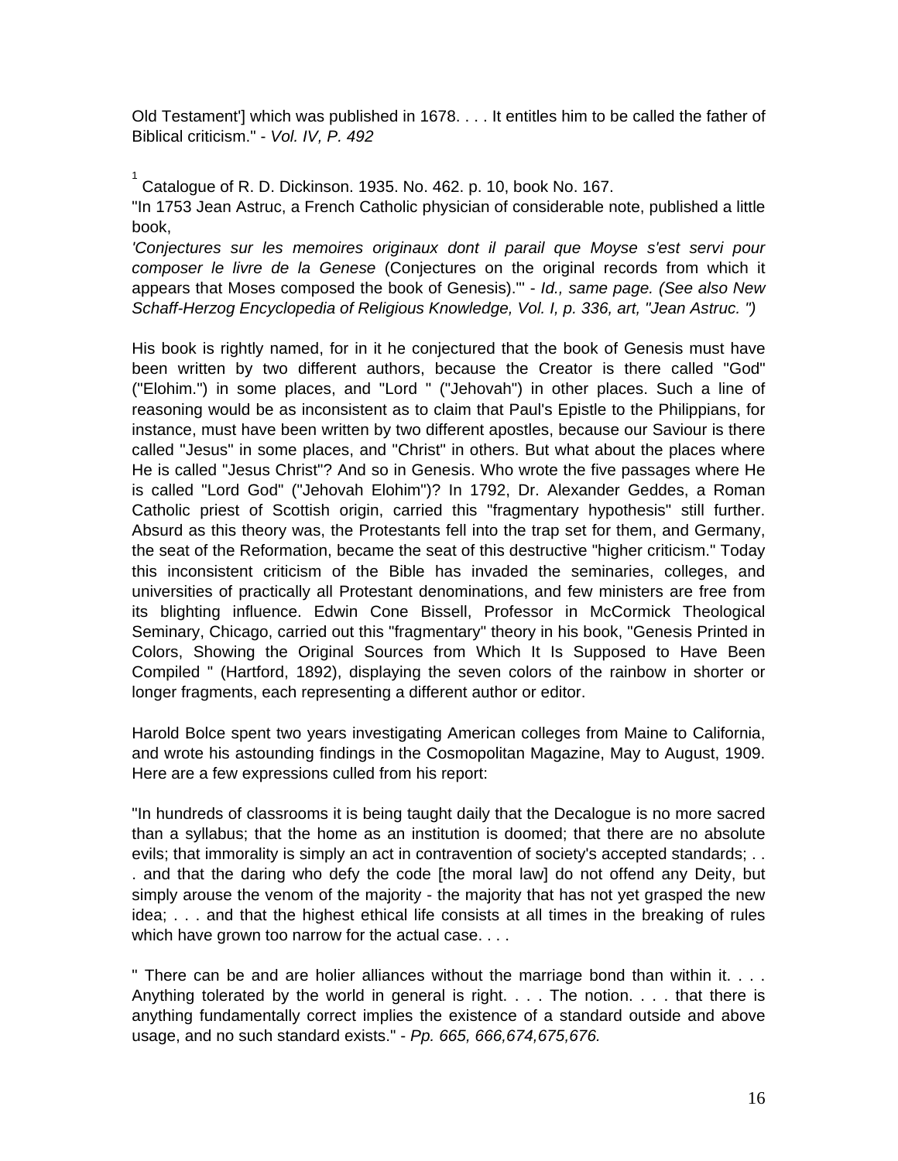Old Testament'] which was published in 1678. . . . It entitles him to be called the father of Biblical criticism." - *Vol. IV, P. 492* 

 $^{1}$  Catalogue of R. D. Dickinson. 1935. No. 462. p. 10, book No. 167.

"In 1753 Jean Astruc, a French Catholic physician of considerable note, published a little book,

*'Conjectures sur les memoires originaux dont il parail que Moyse s'est servi pour composer le livre de la Genese* (Conjectures on the original records from which it appears that Moses composed the book of Genesis)."' - *Id., same page. (See also New Schaff-Herzog Encyclopedia of Religious Knowledge, Vol. I, p. 336, art, "Jean Astruc. ")* 

His book is rightly named, for in it he conjectured that the book of Genesis must have been written by two different authors, because the Creator is there called "God" ("Elohim.") in some places, and "Lord " ("Jehovah") in other places. Such a line of reasoning would be as inconsistent as to claim that Paul's Epistle to the Philippians, for instance, must have been written by two different apostles, because our Saviour is there called "Jesus" in some places, and "Christ" in others. But what about the places where He is called "Jesus Christ"? And so in Genesis. Who wrote the five passages where He is called "Lord God" ("Jehovah Elohim")? In 1792, Dr. Alexander Geddes, a Roman Catholic priest of Scottish origin, carried this "fragmentary hypothesis" still further. Absurd as this theory was, the Protestants fell into the trap set for them, and Germany, the seat of the Reformation, became the seat of this destructive "higher criticism." Today this inconsistent criticism of the Bible has invaded the seminaries, colleges, and universities of practically all Protestant denominations, and few ministers are free from its blighting influence. Edwin Cone Bissell, Professor in McCormick Theological Seminary, Chicago, carried out this "fragmentary" theory in his book, "Genesis Printed in Colors, Showing the Original Sources from Which It Is Supposed to Have Been Compiled " (Hartford, 1892), displaying the seven colors of the rainbow in shorter or longer fragments, each representing a different author or editor.

Harold Bolce spent two years investigating American colleges from Maine to California, and wrote his astounding findings in the Cosmopolitan Magazine, May to August, 1909. Here are a few expressions culled from his report:

"In hundreds of classrooms it is being taught daily that the Decalogue is no more sacred than a syllabus; that the home as an institution is doomed; that there are no absolute evils; that immorality is simply an act in contravention of society's accepted standards; . . . and that the daring who defy the code [the moral law] do not offend any Deity, but simply arouse the venom of the majority - the majority that has not yet grasped the new idea; . . . and that the highest ethical life consists at all times in the breaking of rules which have grown too narrow for the actual case. . . .

" There can be and are holier alliances without the marriage bond than within it. . . . Anything tolerated by the world in general is right. . . . The notion. . . . that there is anything fundamentally correct implies the existence of a standard outside and above usage, and no such standard exists." - *Pp. 665, 666,674,675,676.*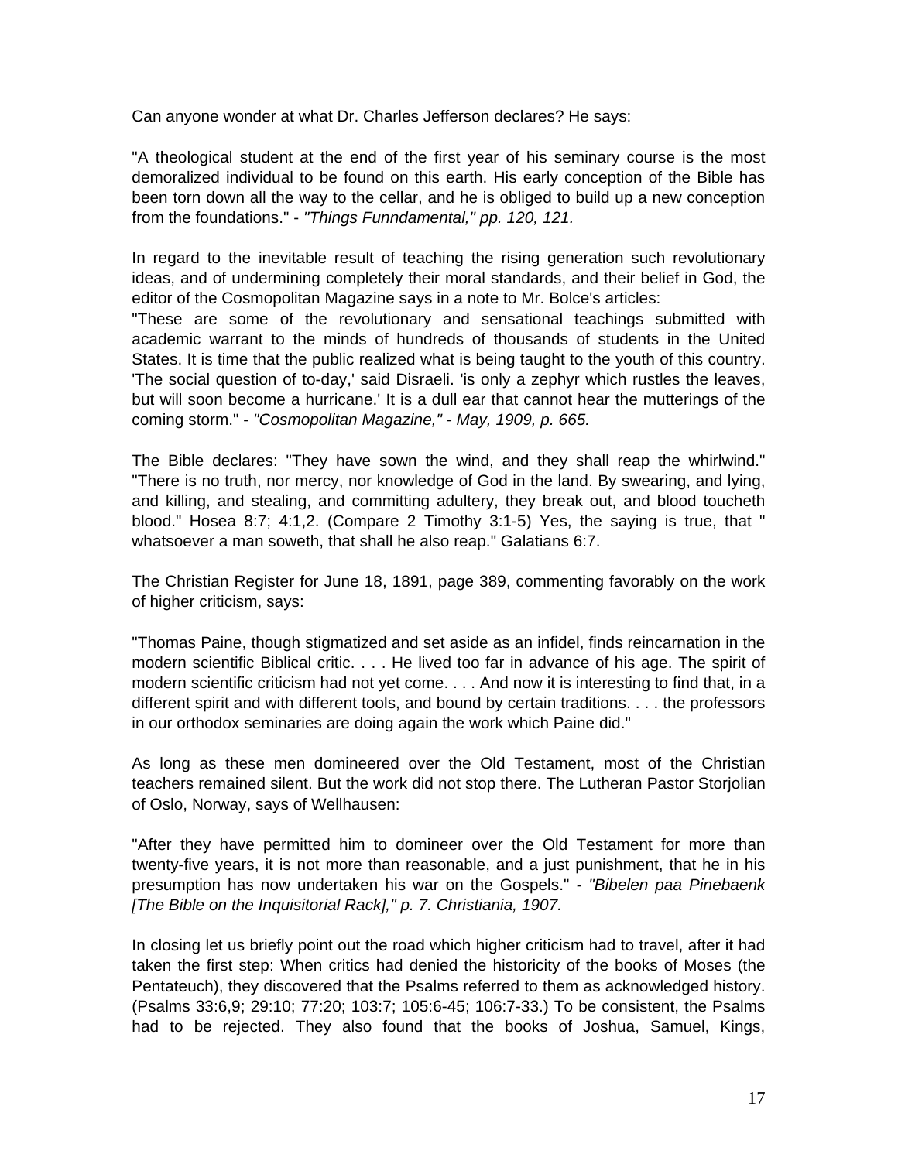Can anyone wonder at what Dr. Charles Jefferson declares? He says:

"A theological student at the end of the first year of his seminary course is the most demoralized individual to be found on this earth. His early conception of the Bible has been torn down all the way to the cellar, and he is obliged to build up a new conception from the foundations." - *"Things Funndamental," pp. 120, 121.* 

In regard to the inevitable result of teaching the rising generation such revolutionary ideas, and of undermining completely their moral standards, and their belief in God, the editor of the Cosmopolitan Magazine says in a note to Mr. Bolce's articles:

"These are some of the revolutionary and sensational teachings submitted with academic warrant to the minds of hundreds of thousands of students in the United States. It is time that the public realized what is being taught to the youth of this country. 'The social question of to-day,' said Disraeli. 'is only a zephyr which rustles the leaves, but will soon become a hurricane.' It is a dull ear that cannot hear the mutterings of the coming storm." - *"Cosmopolitan Magazine," - May, 1909, p. 665.* 

The Bible declares: "They have sown the wind, and they shall reap the whirlwind." "There is no truth, nor mercy, nor knowledge of God in the land. By swearing, and lying, and killing, and stealing, and committing adultery, they break out, and blood toucheth blood." Hosea 8:7; 4:1,2. (Compare 2 Timothy 3:1-5) Yes, the saying is true, that " whatsoever a man soweth, that shall he also reap." Galatians 6:7.

The Christian Register for June 18, 1891, page 389, commenting favorably on the work of higher criticism, says:

"Thomas Paine, though stigmatized and set aside as an infidel, finds reincarnation in the modern scientific Biblical critic. . . . He lived too far in advance of his age. The spirit of modern scientific criticism had not yet come. . . . And now it is interesting to find that, in a different spirit and with different tools, and bound by certain traditions. . . . the professors in our orthodox seminaries are doing again the work which Paine did."

As long as these men domineered over the Old Testament, most of the Christian teachers remained silent. But the work did not stop there. The Lutheran Pastor Storjolian of Oslo, Norway, says of Wellhausen:

"After they have permitted him to domineer over the Old Testament for more than twenty-five years, it is not more than reasonable, and a just punishment, that he in his presumption has now undertaken his war on the Gospels." *- "Bibelen paa Pinebaenk [The Bible on the Inquisitorial Rack]," p. 7. Christiania, 1907.* 

In closing let us briefly point out the road which higher criticism had to travel, after it had taken the first step: When critics had denied the historicity of the books of Moses (the Pentateuch), they discovered that the Psalms referred to them as acknowledged history. (Psalms 33:6,9; 29:10; 77:20; 103:7; 105:6-45; 106:7-33.) To be consistent, the Psalms had to be rejected. They also found that the books of Joshua, Samuel, Kings,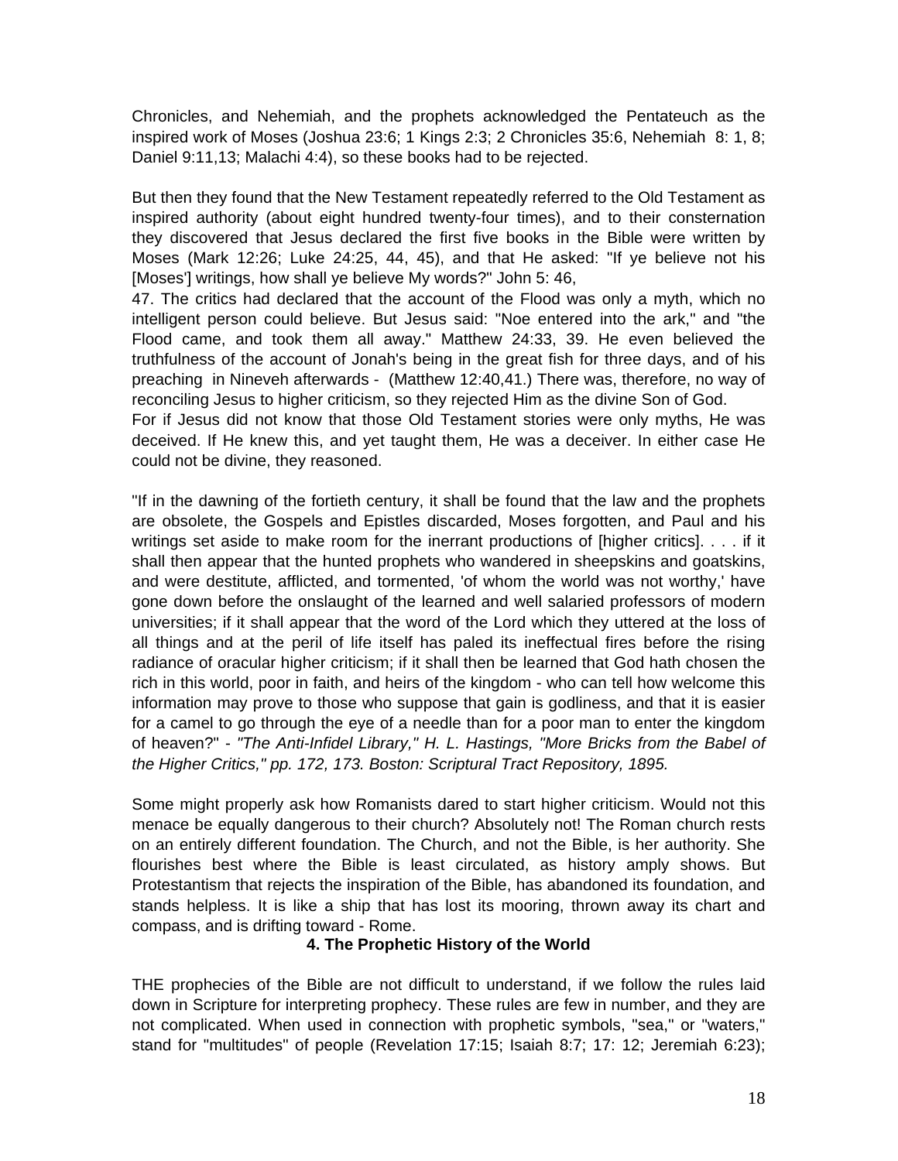Chronicles, and Nehemiah, and the prophets acknowledged the Pentateuch as the inspired work of Moses (Joshua 23:6; 1 Kings 2:3; 2 Chronicles 35:6, Nehemiah 8: 1, 8; Daniel 9:11,13; Malachi 4:4), so these books had to be rejected.

But then they found that the New Testament repeatedly referred to the Old Testament as inspired authority (about eight hundred twenty-four times), and to their consternation they discovered that Jesus declared the first five books in the Bible were written by Moses (Mark 12:26; Luke 24:25, 44, 45), and that He asked: "If ye believe not his [Moses'] writings, how shall ye believe My words?" John 5: 46,

47. The critics had declared that the account of the Flood was only a myth, which no intelligent person could believe. But Jesus said: "Noe entered into the ark," and "the Flood came, and took them all away." Matthew 24:33, 39. He even believed the truthfulness of the account of Jonah's being in the great fish for three days, and of his preaching in Nineveh afterwards - (Matthew 12:40,41.) There was, therefore, no way of reconciling Jesus to higher criticism, so they rejected Him as the divine Son of God.

For if Jesus did not know that those Old Testament stories were only myths, He was deceived. If He knew this, and yet taught them, He was a deceiver. In either case He could not be divine, they reasoned.

"If in the dawning of the fortieth century, it shall be found that the law and the prophets are obsolete, the Gospels and Epistles discarded, Moses forgotten, and Paul and his writings set aside to make room for the inerrant productions of [higher critics]. . . . if it shall then appear that the hunted prophets who wandered in sheepskins and goatskins, and were destitute, afflicted, and tormented, 'of whom the world was not worthy,' have gone down before the onslaught of the learned and well salaried professors of modern universities; if it shall appear that the word of the Lord which they uttered at the loss of all things and at the peril of life itself has paled its ineffectual fires before the rising radiance of oracular higher criticism; if it shall then be learned that God hath chosen the rich in this world, poor in faith, and heirs of the kingdom - who can tell how welcome this information may prove to those who suppose that gain is godliness, and that it is easier for a camel to go through the eye of a needle than for a poor man to enter the kingdom of heaven?" - *"The Anti-Infidel Library," H. L. Hastings, "More Bricks from the Babel of the Higher Critics," pp. 172, 173. Boston: Scriptural Tract Repository, 1895.* 

Some might properly ask how Romanists dared to start higher criticism. Would not this menace be equally dangerous to their church? Absolutely not! The Roman church rests on an entirely different foundation. The Church, and not the Bible, is her authority. She flourishes best where the Bible is least circulated, as history amply shows. But Protestantism that rejects the inspiration of the Bible, has abandoned its foundation, and stands helpless. It is like a ship that has lost its mooring, thrown away its chart and compass, and is drifting toward - Rome.

# **4. The Prophetic History of the World**

THE prophecies of the Bible are not difficult to understand, if we follow the rules laid down in Scripture for interpreting prophecy. These rules are few in number, and they are not complicated. When used in connection with prophetic symbols, "sea," or "waters," stand for "multitudes" of people (Revelation 17:15; Isaiah 8:7; 17: 12; Jeremiah 6:23);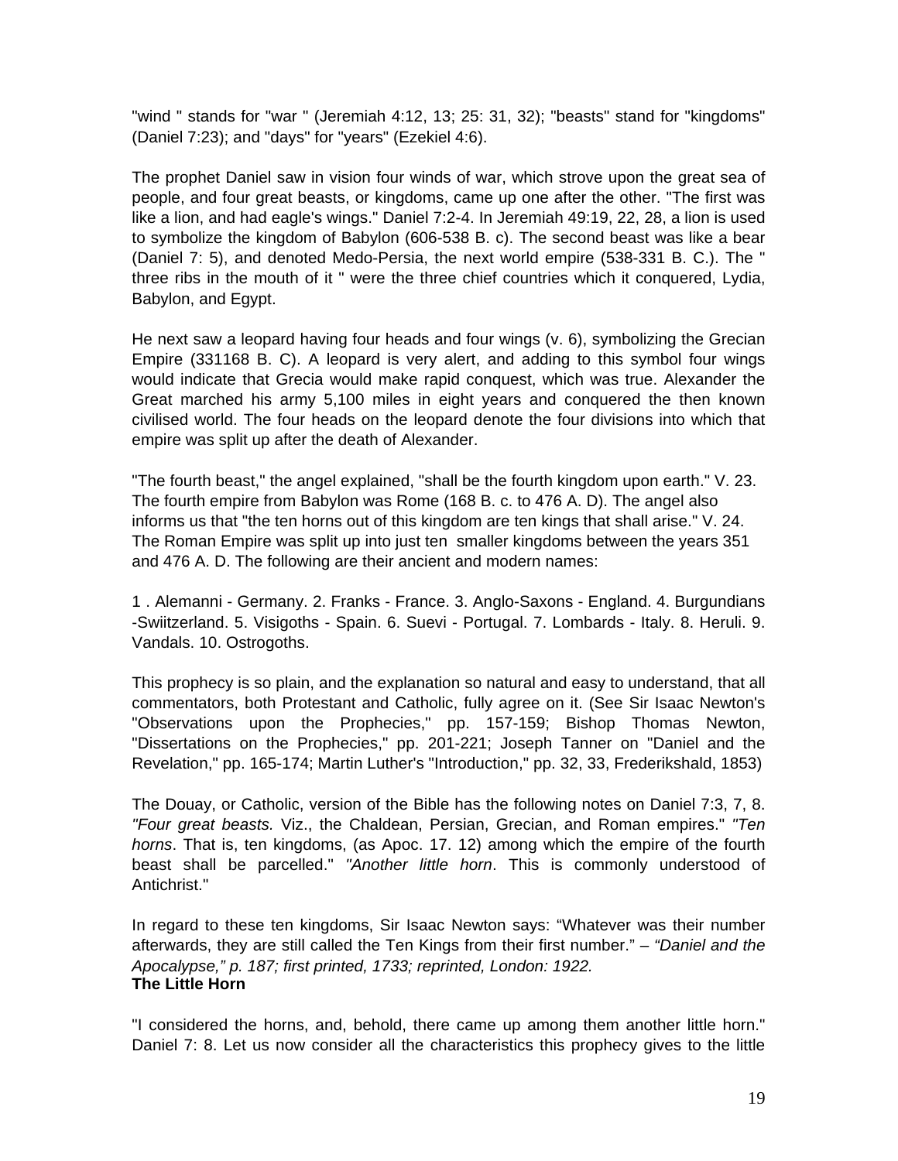"wind " stands for "war " (Jeremiah 4:12, 13; 25: 31, 32); "beasts" stand for "kingdoms" (Daniel 7:23); and "days" for "years" (Ezekiel 4:6).

The prophet Daniel saw in vision four winds of war, which strove upon the great sea of people, and four great beasts, or kingdoms, came up one after the other. "The first was like a lion, and had eagle's wings." Daniel 7:2-4. In Jeremiah 49:19, 22, 28, a lion is used to symbolize the kingdom of Babylon (606-538 B. c). The second beast was like a bear (Daniel 7: 5), and denoted Medo-Persia, the next world empire (538-331 B. C.). The " three ribs in the mouth of it " were the three chief countries which it conquered, Lydia, Babylon, and Egypt.

He next saw a leopard having four heads and four wings (v. 6), symbolizing the Grecian Empire (331168 B. C). A leopard is very alert, and adding to this symbol four wings would indicate that Grecia would make rapid conquest, which was true. Alexander the Great marched his army 5,100 miles in eight years and conquered the then known civilised world. The four heads on the leopard denote the four divisions into which that empire was split up after the death of Alexander.

"The fourth beast," the angel explained, "shall be the fourth kingdom upon earth." V. 23. The fourth empire from Babylon was Rome (168 B. c. to 476 A. D). The angel also informs us that "the ten horns out of this kingdom are ten kings that shall arise." V. 24. The Roman Empire was split up into just ten smaller kingdoms between the years 351 and 476 A. D. The following are their ancient and modern names:

1 . Alemanni - Germany. 2. Franks - France. 3. Anglo-Saxons - England. 4. Burgundians -Swiitzerland. 5. Visigoths - Spain. 6. Suevi - Portugal. 7. Lombards - Italy. 8. Heruli. 9. Vandals. 10. Ostrogoths.

This prophecy is so plain, and the explanation so natural and easy to understand, that all commentators, both Protestant and Catholic, fully agree on it. (See Sir Isaac Newton's "Observations upon the Prophecies," pp. 157-159; Bishop Thomas Newton, "Dissertations on the Prophecies," pp. 201-221; Joseph Tanner on "Daniel and the Revelation," pp. 165-174; Martin Luther's "Introduction," pp. 32, 33, Frederikshald, 1853)

The Douay, or Catholic, version of the Bible has the following notes on Daniel 7:3, 7, 8. *"Four great beasts.* Viz., the Chaldean, Persian, Grecian, and Roman empires." *"Ten horns*. That is, ten kingdoms, (as Apoc. 17. 12) among which the empire of the fourth beast shall be parcelled." *"Another little horn*. This is commonly understood of Antichrist."

In regard to these ten kingdoms, Sir Isaac Newton says: "Whatever was their number afterwards, they are still called the Ten Kings from their first number." *– "Daniel and the Apocalypse," p. 187; first printed, 1733; reprinted, London: 1922.*  **The Little Horn** 

"I considered the horns, and, behold, there came up among them another little horn." Daniel 7: 8. Let us now consider all the characteristics this prophecy gives to the little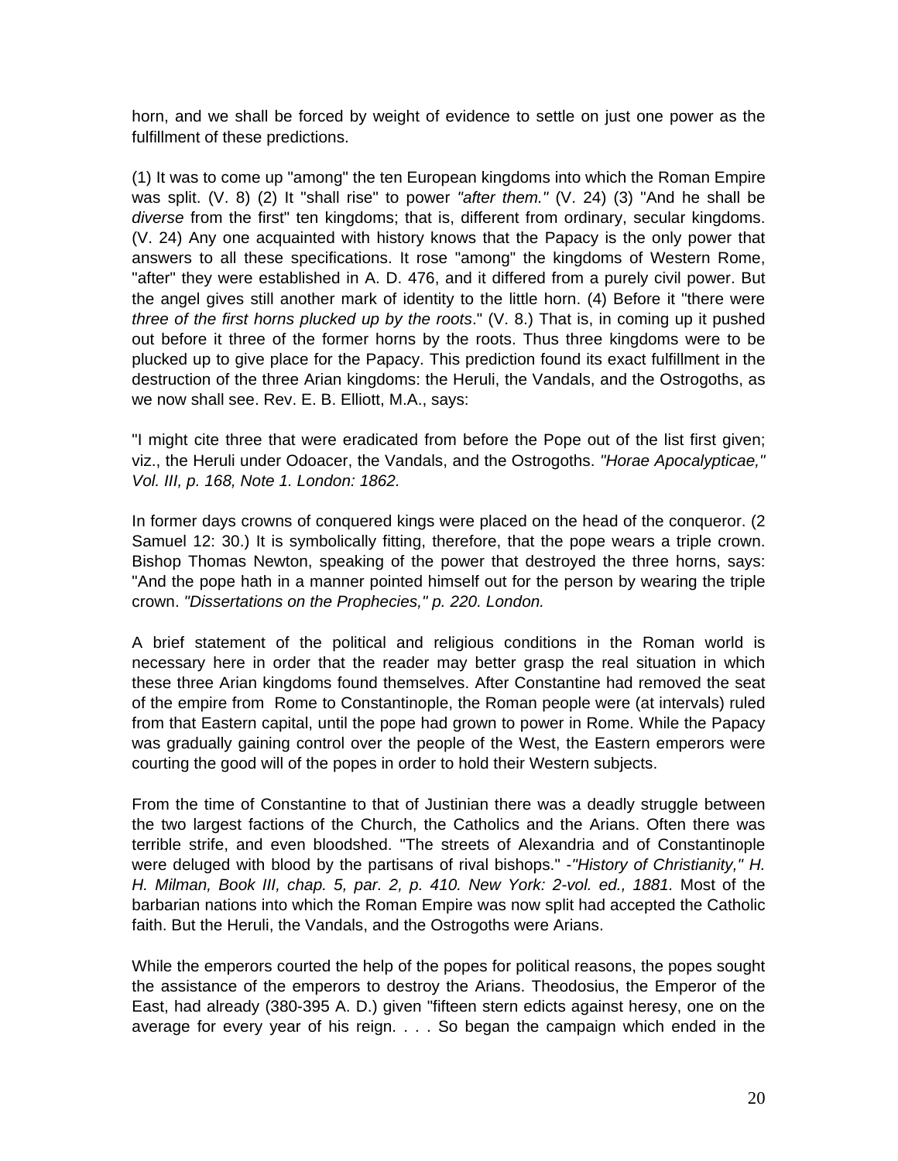horn, and we shall be forced by weight of evidence to settle on just one power as the fulfillment of these predictions.

(1) It was to come up "among" the ten European kingdoms into which the Roman Empire was split. (V. 8) (2) It "shall rise" to power *"after them."* (V. 24) (3) "And he shall be *diverse* from the first" ten kingdoms; that is, different from ordinary, secular kingdoms. (V. 24) Any one acquainted with history knows that the Papacy is the only power that answers to all these specifications. It rose "among" the kingdoms of Western Rome, "after" they were established in A. D. 476, and it differed from a purely civil power. But the angel gives still another mark of identity to the little horn. (4) Before it "there were *three of the first horns plucked up by the roots*." (V. 8.) That is, in coming up it pushed out before it three of the former horns by the roots. Thus three kingdoms were to be plucked up to give place for the Papacy. This prediction found its exact fulfillment in the destruction of the three Arian kingdoms: the Heruli, the Vandals, and the Ostrogoths, as we now shall see. Rev. E. B. Elliott, M.A., says:

"I might cite three that were eradicated from before the Pope out of the list first given; viz., the Heruli under Odoacer, the Vandals, and the Ostrogoths. *"Horae Apocalypticae," Vol. III, p. 168, Note 1. London: 1862.* 

In former days crowns of conquered kings were placed on the head of the conqueror. (2 Samuel 12: 30.) It is symbolically fitting, therefore, that the pope wears a triple crown. Bishop Thomas Newton, speaking of the power that destroyed the three horns, says: "And the pope hath in a manner pointed himself out for the person by wearing the triple crown. *"Dissertations on the Prophecies," p. 220. London.* 

A brief statement of the political and religious conditions in the Roman world is necessary here in order that the reader may better grasp the real situation in which these three Arian kingdoms found themselves. After Constantine had removed the seat of the empire from Rome to Constantinople, the Roman people were (at intervals) ruled from that Eastern capital, until the pope had grown to power in Rome. While the Papacy was gradually gaining control over the people of the West, the Eastern emperors were courting the good will of the popes in order to hold their Western subjects.

From the time of Constantine to that of Justinian there was a deadly struggle between the two largest factions of the Church, the Catholics and the Arians. Often there was terrible strife, and even bloodshed. "The streets of Alexandria and of Constantinople were deluged with blood by the partisans of rival bishops." -*"History of Christianity," H. H. Milman, Book III, chap. 5, par. 2, p. 410. New York: 2-vol. ed., 1881.* Most of the barbarian nations into which the Roman Empire was now split had accepted the Catholic faith. But the Heruli, the Vandals, and the Ostrogoths were Arians.

While the emperors courted the help of the popes for political reasons, the popes sought the assistance of the emperors to destroy the Arians. Theodosius, the Emperor of the East, had already (380-395 A. D.) given "fifteen stern edicts against heresy, one on the average for every year of his reign. . . . So began the campaign which ended in the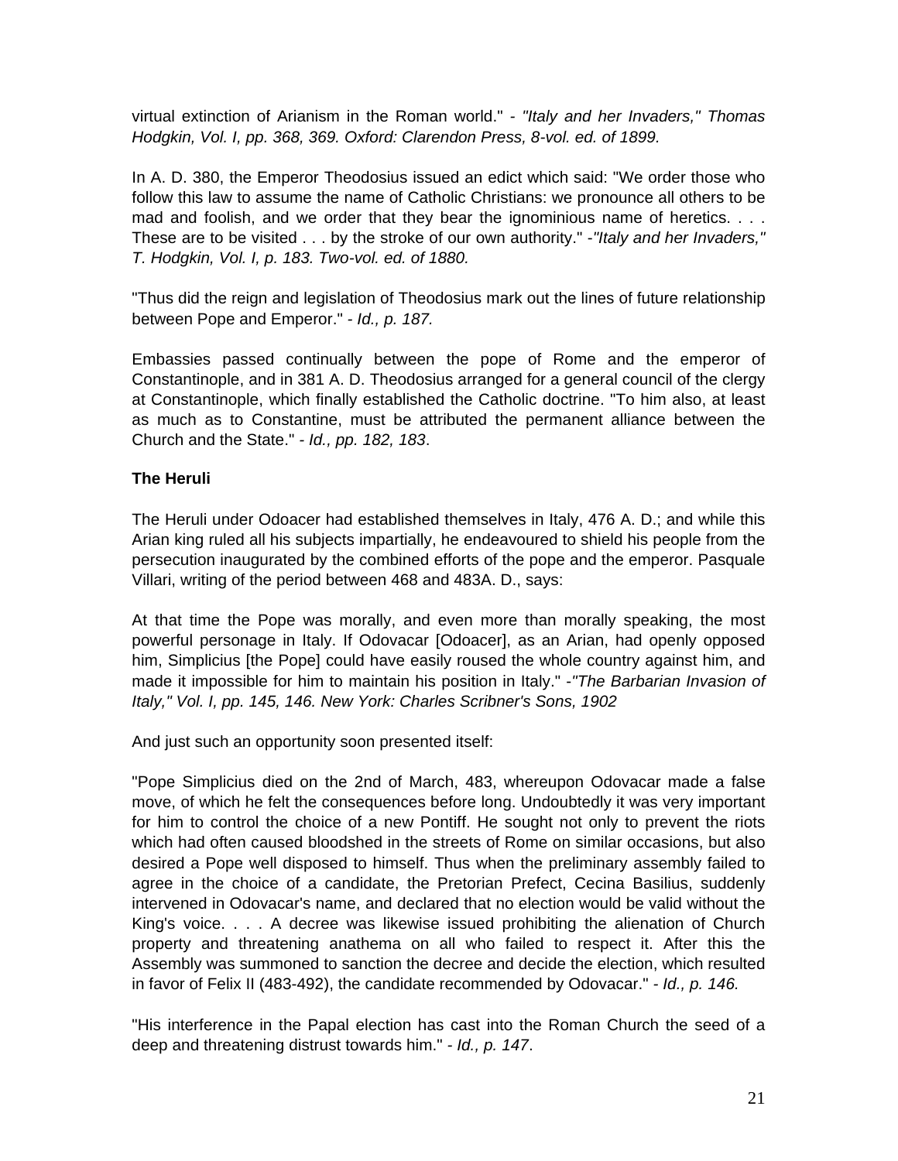virtual extinction of Arianism in the Roman world." *- "Italy and her Invaders," Thomas Hodgkin, Vol. I, pp. 368, 369. Oxford: Clarendon Press, 8-vol. ed. of 1899.* 

In A. D. 380, the Emperor Theodosius issued an edict which said: "We order those who follow this law to assume the name of Catholic Christians: we pronounce all others to be mad and foolish, and we order that they bear the ignominious name of heretics. . . . These are to be visited . . . by the stroke of our own authority." -*"Italy and her Invaders," T. Hodgkin, Vol. I, p. 183. Two-vol. ed. of 1880.* 

"Thus did the reign and legislation of Theodosius mark out the lines of future relationship between Pope and Emperor." *- Id., p. 187.* 

Embassies passed continually between the pope of Rome and the emperor of Constantinople, and in 381 A. D. Theodosius arranged for a general council of the clergy at Constantinople, which finally established the Catholic doctrine. "To him also, at least as much as to Constantine, must be attributed the permanent alliance between the Church and the State." *- Id., pp. 182, 183*.

# **The Heruli**

The Heruli under Odoacer had established themselves in Italy, 476 A. D.; and while this Arian king ruled all his subjects impartially, he endeavoured to shield his people from the persecution inaugurated by the combined efforts of the pope and the emperor. Pasquale Villari, writing of the period between 468 and 483A. D., says:

At that time the Pope was morally, and even more than morally speaking, the most powerful personage in Italy. If Odovacar [Odoacer], as an Arian, had openly opposed him, Simplicius [the Pope] could have easily roused the whole country against him, and made it impossible for him to maintain his position in Italy." -*"The Barbarian Invasion of Italy," Vol. I, pp. 145, 146. New York: Charles Scribner's Sons, 1902* 

And just such an opportunity soon presented itself:

"Pope Simplicius died on the 2nd of March, 483, whereupon Odovacar made a false move, of which he felt the consequences before long. Undoubtedly it was very important for him to control the choice of a new Pontiff. He sought not only to prevent the riots which had often caused bloodshed in the streets of Rome on similar occasions, but also desired a Pope well disposed to himself. Thus when the preliminary assembly failed to agree in the choice of a candidate, the Pretorian Prefect, Cecina Basilius, suddenly intervened in Odovacar's name, and declared that no election would be valid without the King's voice. . . . A decree was likewise issued prohibiting the alienation of Church property and threatening anathema on all who failed to respect it. After this the Assembly was summoned to sanction the decree and decide the election, which resulted in favor of Felix II (483-492), the candidate recommended by Odovacar." *- Id., p. 146.* 

"His interference in the Papal election has cast into the Roman Church the seed of a deep and threatening distrust towards him." *- Id., p. 147*.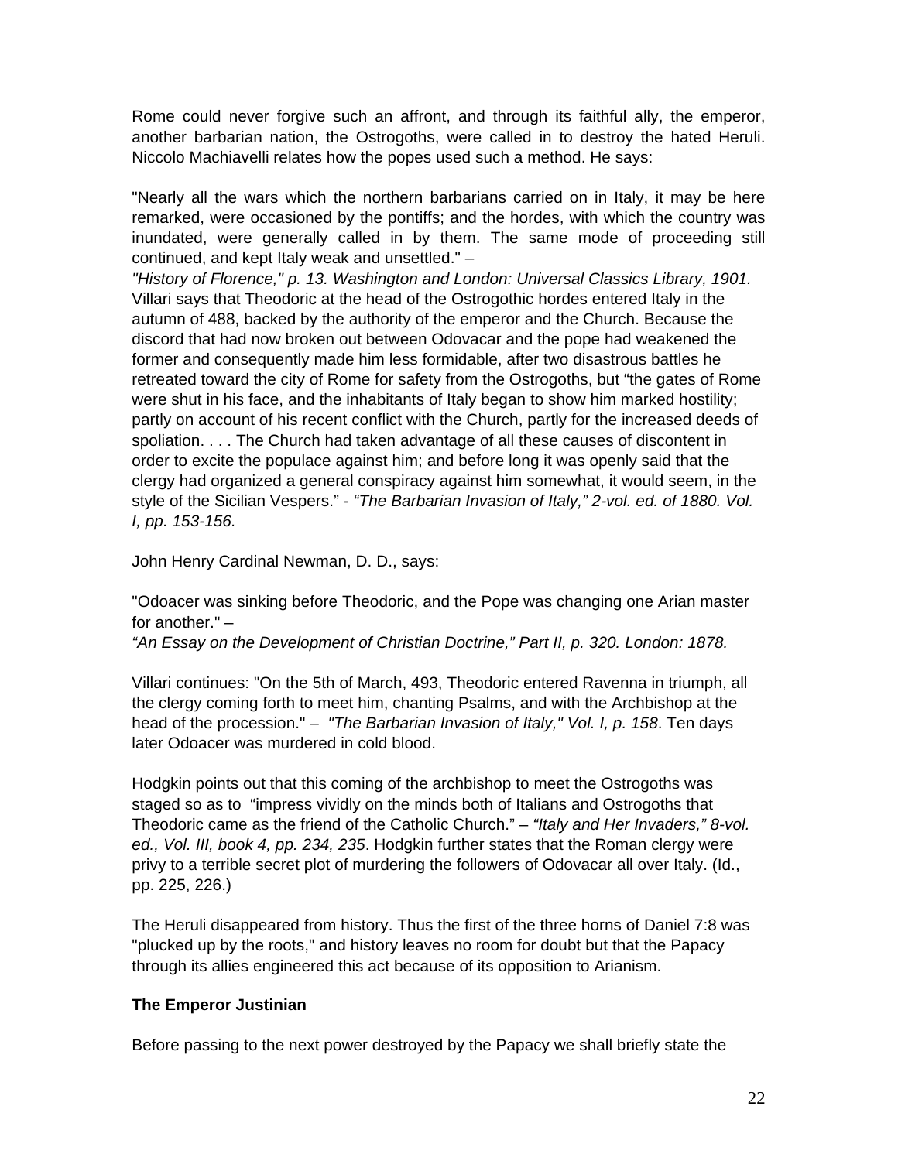Rome could never forgive such an affront, and through its faithful ally, the emperor, another barbarian nation, the Ostrogoths, were called in to destroy the hated Heruli. Niccolo Machiavelli relates how the popes used such a method. He says:

"Nearly all the wars which the northern barbarians carried on in Italy, it may be here remarked, were occasioned by the pontiffs; and the hordes, with which the country was inundated, were generally called in by them. The same mode of proceeding still continued, and kept Italy weak and unsettled." –

*"History of Florence," p. 13. Washington and London: Universal Classics Library, 1901.*  Villari says that Theodoric at the head of the Ostrogothic hordes entered Italy in the autumn of 488, backed by the authority of the emperor and the Church. Because the discord that had now broken out between Odovacar and the pope had weakened the former and consequently made him less formidable, after two disastrous battles he retreated toward the city of Rome for safety from the Ostrogoths, but "the gates of Rome were shut in his face, and the inhabitants of Italy began to show him marked hostility; partly on account of his recent conflict with the Church, partly for the increased deeds of spoliation. . . . The Church had taken advantage of all these causes of discontent in order to excite the populace against him; and before long it was openly said that the clergy had organized a general conspiracy against him somewhat, it would seem, in the style of the Sicilian Vespers." - *"The Barbarian Invasion of Italy," 2-vol. ed. of 1880. Vol. I, pp. 153-156.* 

John Henry Cardinal Newman, D. D., says:

"Odoacer was sinking before Theodoric, and the Pope was changing one Arian master for another." –

*"An Essay on the Development of Christian Doctrine," Part II, p. 320. London: 1878.* 

Villari continues: "On the 5th of March, 493, Theodoric entered Ravenna in triumph, all the clergy coming forth to meet him, chanting Psalms, and with the Archbishop at the head of the procession." – *"The Barbarian Invasion of Italy," Vol. I, p. 158*. Ten days later Odoacer was murdered in cold blood.

Hodgkin points out that this coming of the archbishop to meet the Ostrogoths was staged so as to "impress vividly on the minds both of Italians and Ostrogoths that Theodoric came as the friend of the Catholic Church." – *"Italy and Her Invaders," 8-vol. ed., Vol. III, book 4, pp. 234, 235*. Hodgkin further states that the Roman clergy were privy to a terrible secret plot of murdering the followers of Odovacar all over Italy. (Id., pp. 225, 226.)

The Heruli disappeared from history. Thus the first of the three horns of Daniel 7:8 was "plucked up by the roots," and history leaves no room for doubt but that the Papacy through its allies engineered this act because of its opposition to Arianism.

# **The Emperor Justinian**

Before passing to the next power destroyed by the Papacy we shall briefly state the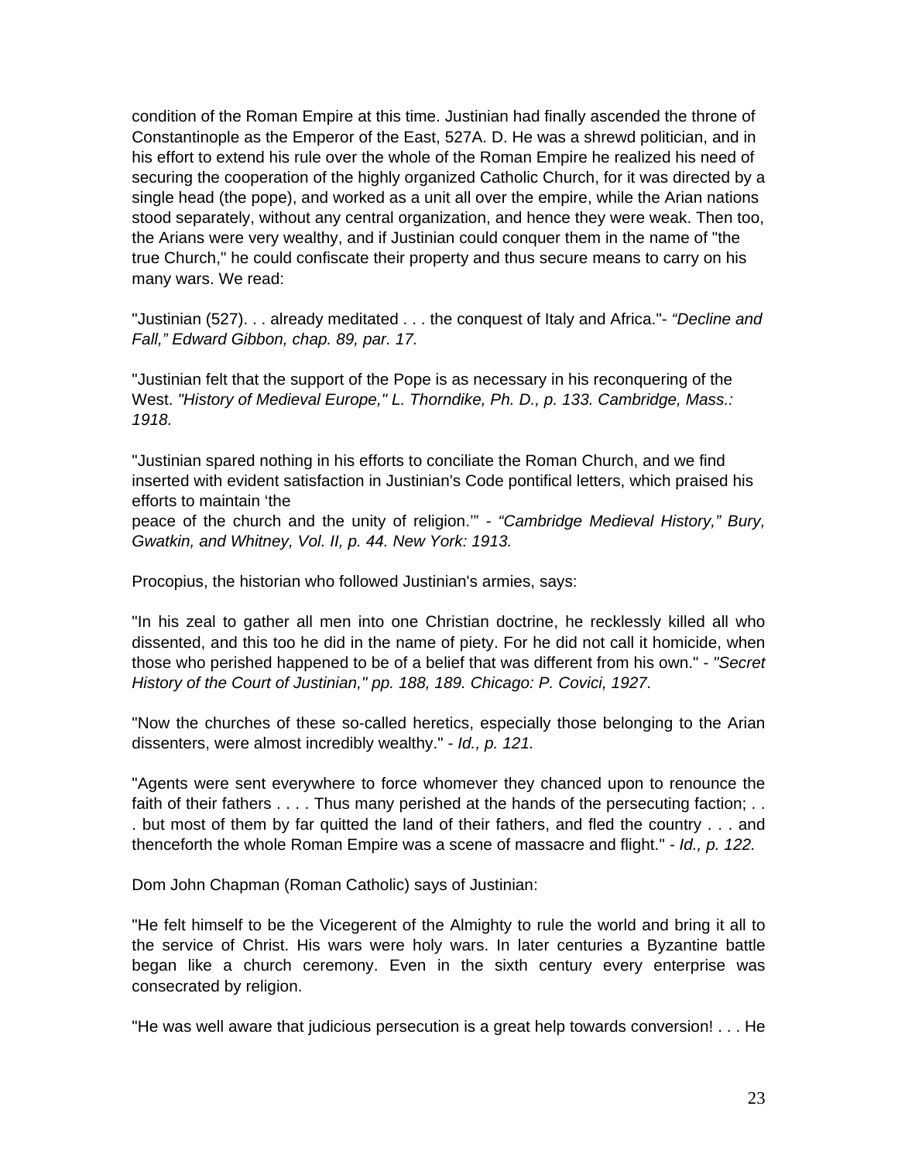condition of the Roman Empire at this time. Justinian had finally ascended the throne of Constantinople as the Emperor of the East, 527A. D. He was a shrewd politician, and in his effort to extend his rule over the whole of the Roman Empire he realized his need of securing the cooperation of the highly organized Catholic Church, for it was directed by a single head (the pope), and worked as a unit all over the empire, while the Arian nations stood separately, without any central organization, and hence they were weak. Then too, the Arians were very wealthy, and if Justinian could conquer them in the name of "the true Church," he could confiscate their property and thus secure means to carry on his many wars. We read:

"Justinian (527). . . already meditated . . . the conquest of Italy and Africa."- *"Decline and Fall," Edward Gibbon, chap. 89, par. 17.* 

"Justinian felt that the support of the Pope is as necessary in his reconquering of the West. *"History of Medieval Europe," L. Thorndike, Ph. D., p. 133. Cambridge, Mass.: 1918.* 

"Justinian spared nothing in his efforts to conciliate the Roman Church, and we find inserted with evident satisfaction in Justinian's Code pontifical letters, which praised his efforts to maintain 'the

peace of the church and the unity of religion.'" *- "Cambridge Medieval History," Bury, Gwatkin, and Whitney, Vol. II, p. 44. New York: 1913.* 

Procopius, the historian who followed Justinian's armies, says:

"In his zeal to gather all men into one Christian doctrine, he recklessly killed all who dissented, and this too he did in the name of piety. For he did not call it homicide, when those who perished happened to be of a belief that was different from his own." - *"Secret History of the Court of Justinian," pp. 188, 189. Chicago: P. Covici, 1927.* 

"Now the churches of these so-called heretics, especially those belonging to the Arian dissenters, were almost incredibly wealthy." - *Id., p. 121.* 

"Agents were sent everywhere to force whomever they chanced upon to renounce the faith of their fathers . . . . Thus many perished at the hands of the persecuting faction; . . . but most of them by far quitted the land of their fathers, and fled the country . . . and thenceforth the whole Roman Empire was a scene of massacre and flight." *- Id., p. 122.* 

Dom John Chapman (Roman Catholic) says of Justinian:

"He felt himself to be the Vicegerent of the Almighty to rule the world and bring it all to the service of Christ. His wars were holy wars. In later centuries a Byzantine battle began like a church ceremony. Even in the sixth century every enterprise was consecrated by religion.

"He was well aware that judicious persecution is a great help towards conversion! . . . He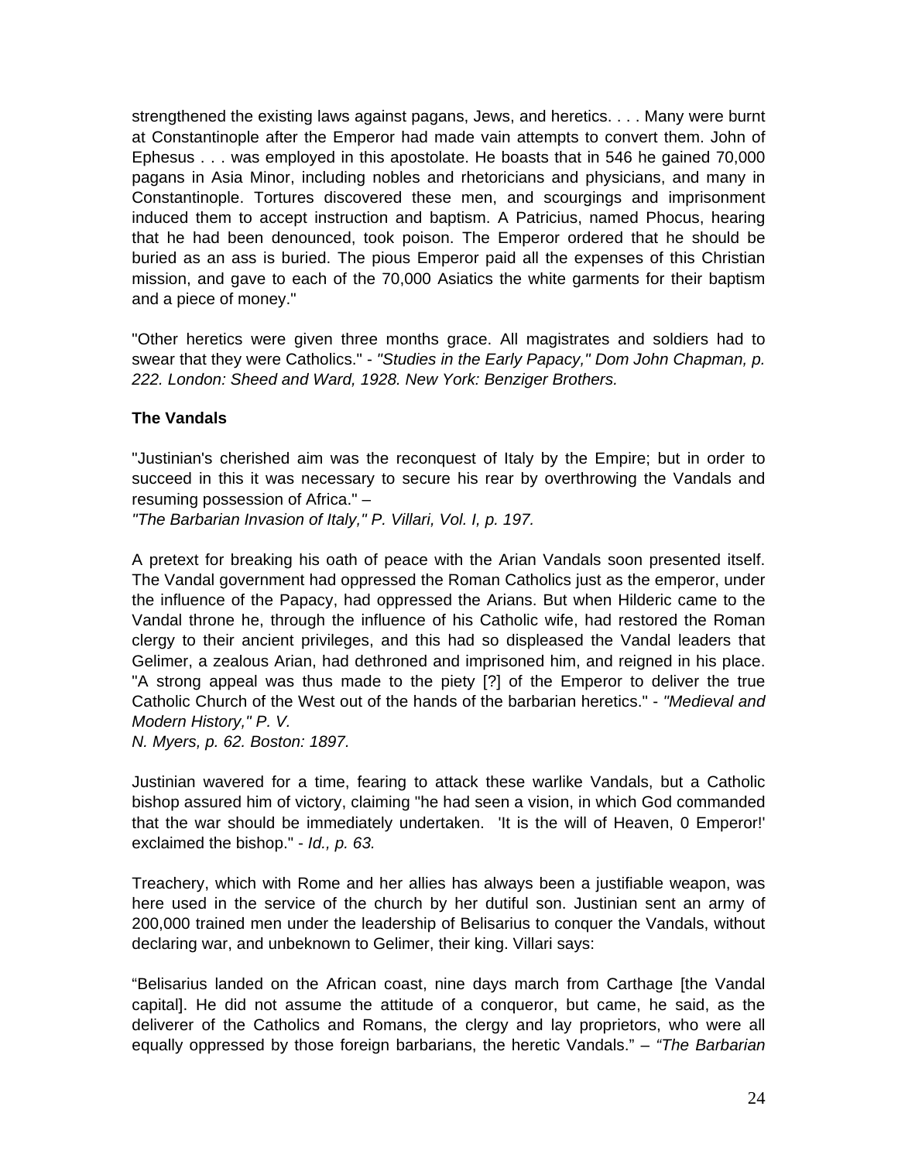strengthened the existing laws against pagans, Jews, and heretics. . . . Many were burnt at Constantinople after the Emperor had made vain attempts to convert them. John of Ephesus . . . was employed in this apostolate. He boasts that in 546 he gained 70,000 pagans in Asia Minor, including nobles and rhetoricians and physicians, and many in Constantinople. Tortures discovered these men, and scourgings and imprisonment induced them to accept instruction and baptism. A Patricius, named Phocus, hearing that he had been denounced, took poison. The Emperor ordered that he should be buried as an ass is buried. The pious Emperor paid all the expenses of this Christian mission, and gave to each of the 70,000 Asiatics the white garments for their baptism and a piece of money."

"Other heretics were given three months grace. All magistrates and soldiers had to swear that they were Catholics." - *"Studies in the Early Papacy," Dom John Chapman, p. 222. London: Sheed and Ward, 1928. New York: Benziger Brothers.* 

# **The Vandals**

"Justinian's cherished aim was the reconquest of Italy by the Empire; but in order to succeed in this it was necessary to secure his rear by overthrowing the Vandals and resuming possession of Africa." –

*"The Barbarian Invasion of Italy," P. Villari, Vol. I, p. 197.* 

A pretext for breaking his oath of peace with the Arian Vandals soon presented itself. The Vandal government had oppressed the Roman Catholics just as the emperor, under the influence of the Papacy, had oppressed the Arians. But when Hilderic came to the Vandal throne he, through the influence of his Catholic wife, had restored the Roman clergy to their ancient privileges, and this had so displeased the Vandal leaders that Gelimer, a zealous Arian, had dethroned and imprisoned him, and reigned in his place. "A strong appeal was thus made to the piety [?] of the Emperor to deliver the true Catholic Church of the West out of the hands of the barbarian heretics." - *"Medieval and Modern History," P. V.* 

*N. Myers, p. 62. Boston: 1897.* 

Justinian wavered for a time, fearing to attack these warlike Vandals, but a Catholic bishop assured him of victory, claiming "he had seen a vision, in which God commanded that the war should be immediately undertaken. 'It is the will of Heaven, 0 Emperor!' exclaimed the bishop." - *Id., p. 63.* 

Treachery, which with Rome and her allies has always been a justifiable weapon, was here used in the service of the church by her dutiful son. Justinian sent an army of 200,000 trained men under the leadership of Belisarius to conquer the Vandals, without declaring war, and unbeknown to Gelimer, their king. Villari says:

"Belisarius landed on the African coast, nine days march from Carthage [the Vandal capital]. He did not assume the attitude of a conqueror, but came, he said, as the deliverer of the Catholics and Romans, the clergy and lay proprietors, who were all equally oppressed by those foreign barbarians, the heretic Vandals." *– "The Barbarian*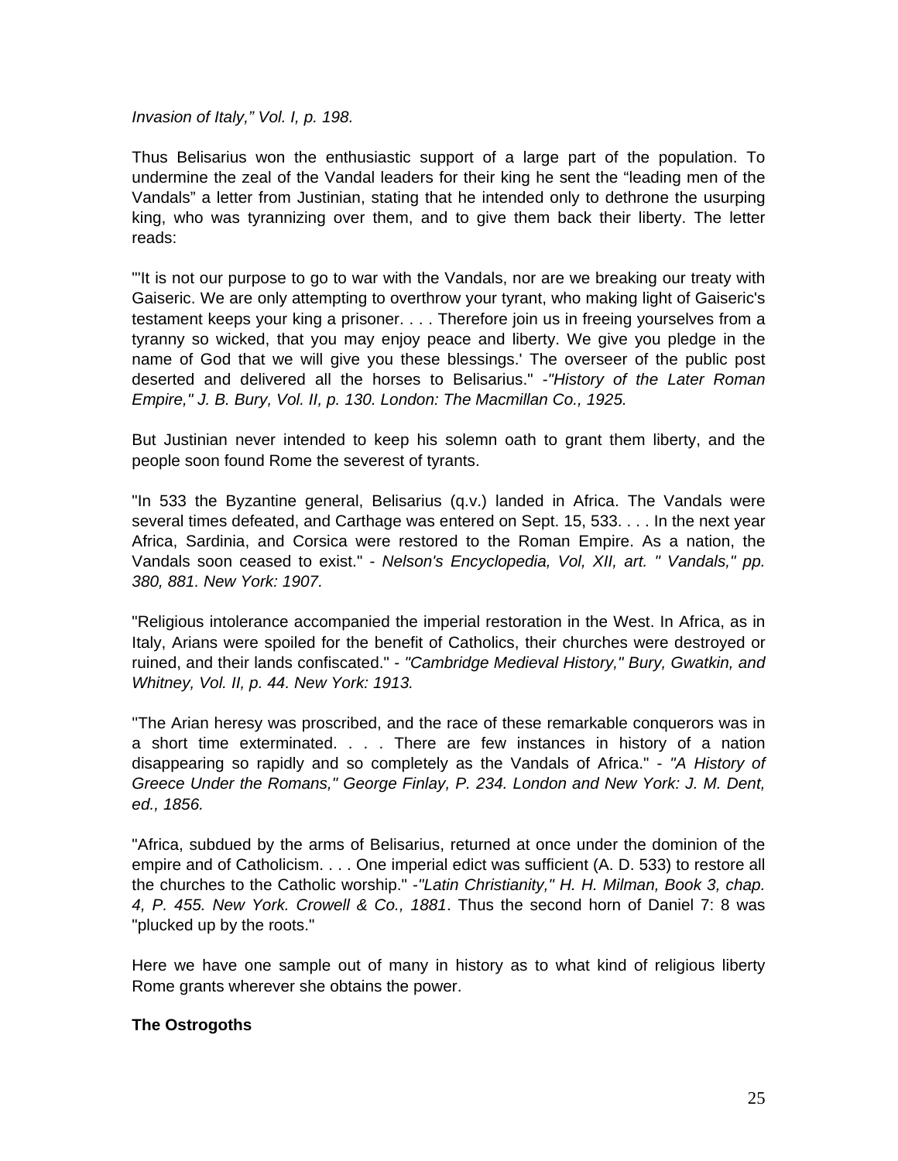*Invasion of Italy," Vol. I, p. 198.* 

Thus Belisarius won the enthusiastic support of a large part of the population. To undermine the zeal of the Vandal leaders for their king he sent the "leading men of the Vandals" a letter from Justinian, stating that he intended only to dethrone the usurping king, who was tyrannizing over them, and to give them back their liberty. The letter reads:

"'It is not our purpose to go to war with the Vandals, nor are we breaking our treaty with Gaiseric. We are only attempting to overthrow your tyrant, who making light of Gaiseric's testament keeps your king a prisoner. . . . Therefore join us in freeing yourselves from a tyranny so wicked, that you may enjoy peace and liberty. We give you pledge in the name of God that we will give you these blessings.' The overseer of the public post deserted and delivered all the horses to Belisarius." -*"History of the Later Roman Empire," J. B. Bury, Vol. II, p. 130. London: The Macmillan Co., 1925.* 

But Justinian never intended to keep his solemn oath to grant them liberty, and the people soon found Rome the severest of tyrants.

"In 533 the Byzantine general, Belisarius (q.v.) landed in Africa. The Vandals were several times defeated, and Carthage was entered on Sept. 15, 533. . . . In the next year Africa, Sardinia, and Corsica were restored to the Roman Empire. As a nation, the Vandals soon ceased to exist." - *Nelson's Encyclopedia, Vol, XII, art. " Vandals," pp. 380, 881. New York: 1907.* 

"Religious intolerance accompanied the imperial restoration in the West. In Africa, as in Italy, Arians were spoiled for the benefit of Catholics, their churches were destroyed or ruined, and their lands confiscated." - *"Cambridge Medieval History," Bury, Gwatkin, and Whitney, Vol. II, p. 44. New York: 1913.* 

''The Arian heresy was proscribed, and the race of these remarkable conquerors was in a short time exterminated. . . . There are few instances in history of a nation disappearing so rapidly and so completely as the Vandals of Africa." - *"A History of Greece Under the Romans," George Finlay, P. 234. London and New York: J. M. Dent, ed., 1856.* 

"Africa, subdued by the arms of Belisarius, returned at once under the dominion of the empire and of Catholicism. . . . One imperial edict was sufficient (A. D. 533) to restore all the churches to the Catholic worship." -*"Latin Christianity," H. H. Milman, Book 3, chap. 4, P. 455. New York. Crowell & Co., 1881*. Thus the second horn of Daniel 7: 8 was "plucked up by the roots."

Here we have one sample out of many in history as to what kind of religious liberty Rome grants wherever she obtains the power.

# **The Ostrogoths**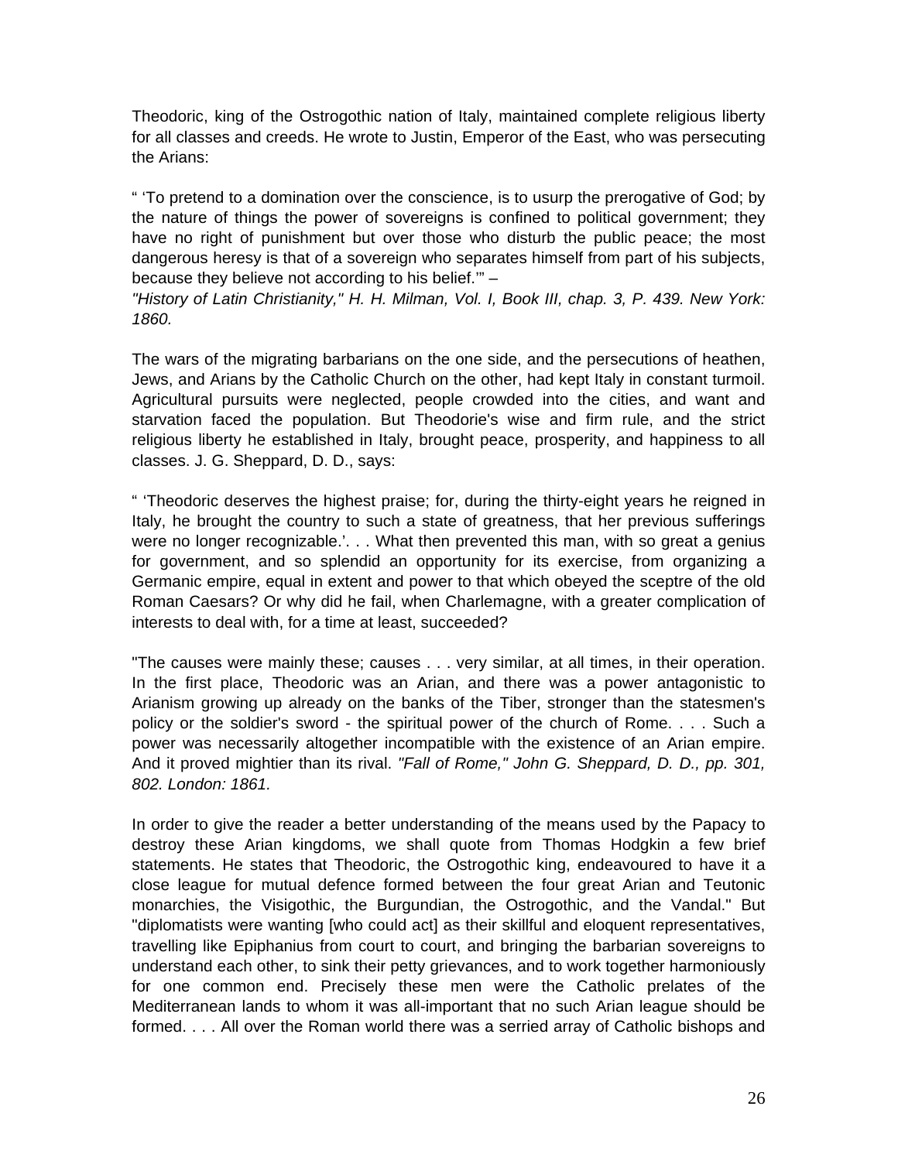Theodoric, king of the Ostrogothic nation of Italy, maintained complete religious liberty for all classes and creeds. He wrote to Justin, Emperor of the East, who was persecuting the Arians:

" 'To pretend to a domination over the conscience, is to usurp the prerogative of God; by the nature of things the power of sovereigns is confined to political government; they have no right of punishment but over those who disturb the public peace; the most dangerous heresy is that of a sovereign who separates himself from part of his subjects, because they believe not according to his belief.'" –

*"History of Latin Christianity," H. H. Milman, Vol. I, Book III, chap. 3, P. 439. New York: 1860.* 

The wars of the migrating barbarians on the one side, and the persecutions of heathen, Jews, and Arians by the Catholic Church on the other, had kept Italy in constant turmoil. Agricultural pursuits were neglected, people crowded into the cities, and want and starvation faced the population. But Theodorie's wise and firm rule, and the strict religious liberty he established in Italy, brought peace, prosperity, and happiness to all classes. J. G. Sheppard, D. D., says:

" 'Theodoric deserves the highest praise; for, during the thirty-eight years he reigned in Italy, he brought the country to such a state of greatness, that her previous sufferings were no longer recognizable.'. . What then prevented this man, with so great a genius for government, and so splendid an opportunity for its exercise, from organizing a Germanic empire, equal in extent and power to that which obeyed the sceptre of the old Roman Caesars? Or why did he fail, when Charlemagne, with a greater complication of interests to deal with, for a time at least, succeeded?

"The causes were mainly these; causes . . . very similar, at all times, in their operation. In the first place, Theodoric was an Arian, and there was a power antagonistic to Arianism growing up already on the banks of the Tiber, stronger than the statesmen's policy or the soldier's sword - the spiritual power of the church of Rome. . . . Such a power was necessarily altogether incompatible with the existence of an Arian empire. And it proved mightier than its rival. *"Fall of Rome," John G. Sheppard, D. D., pp. 301, 802. London: 1861.* 

In order to give the reader a better understanding of the means used by the Papacy to destroy these Arian kingdoms, we shall quote from Thomas Hodgkin a few brief statements. He states that Theodoric, the Ostrogothic king, endeavoured to have it a close league for mutual defence formed between the four great Arian and Teutonic monarchies, the Visigothic, the Burgundian, the Ostrogothic, and the Vandal." But "diplomatists were wanting [who could act] as their skillful and eloquent representatives, travelling like Epiphanius from court to court, and bringing the barbarian sovereigns to understand each other, to sink their petty grievances, and to work together harmoniously for one common end. Precisely these men were the Catholic prelates of the Mediterranean lands to whom it was all-important that no such Arian league should be formed. . . . All over the Roman world there was a serried array of Catholic bishops and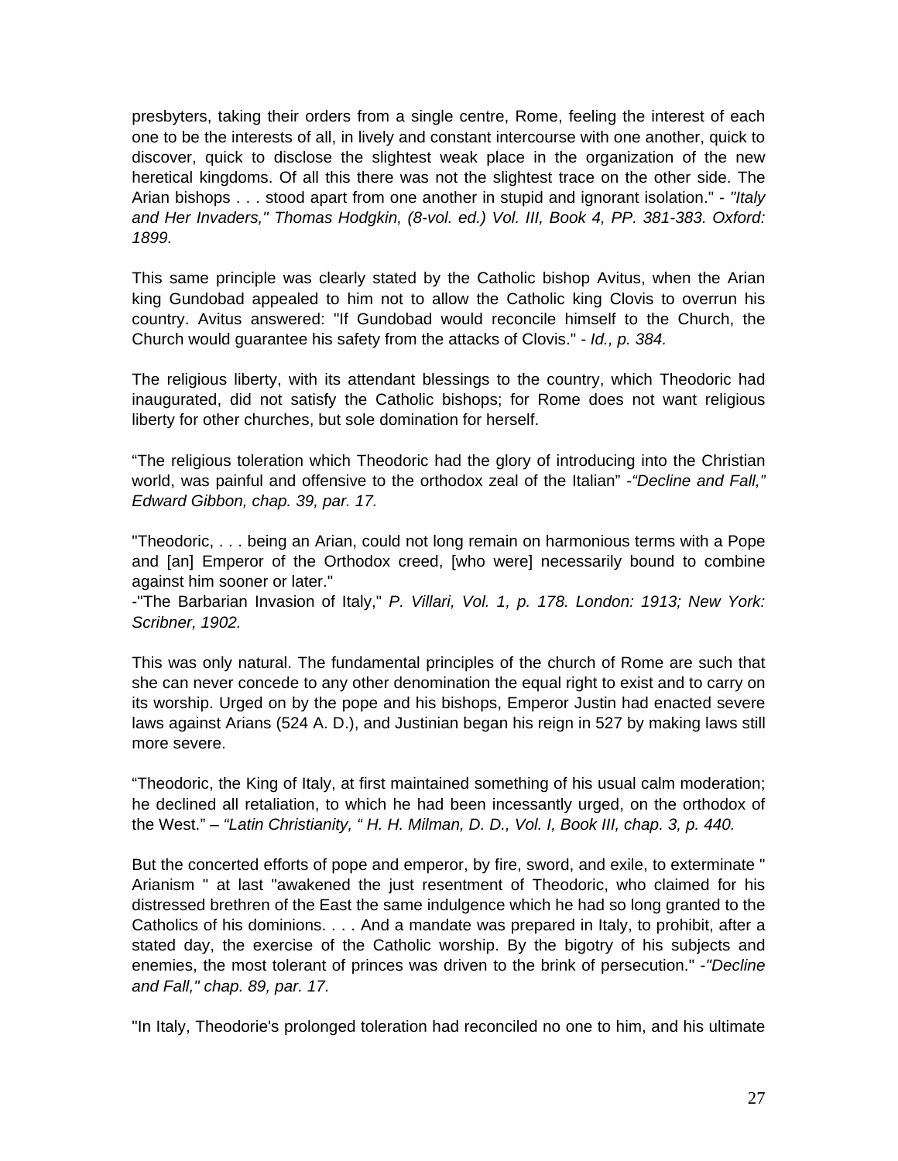presbyters, taking their orders from a single centre, Rome, feeling the interest of each one to be the interests of all, in lively and constant intercourse with one another, quick to discover, quick to disclose the slightest weak place in the organization of the new heretical kingdoms. Of all this there was not the slightest trace on the other side. The Arian bishops . . . stood apart from one another in stupid and ignorant isolation." - *"Italy and Her Invaders," Thomas Hodgkin, (8-vol. ed.) Vol. III, Book 4, PP. 381-383. Oxford: 1899.* 

This same principle was clearly stated by the Catholic bishop Avitus, when the Arian king Gundobad appealed to him not to allow the Catholic king Clovis to overrun his country. Avitus answered: "If Gundobad would reconcile himself to the Church, the Church would guarantee his safety from the attacks of Clovis." *- Id., p. 384.* 

The religious liberty, with its attendant blessings to the country, which Theodoric had inaugurated, did not satisfy the Catholic bishops; for Rome does not want religious liberty for other churches, but sole domination for herself.

"The religious toleration which Theodoric had the glory of introducing into the Christian world, was painful and offensive to the orthodox zeal of the Italian" *-"Decline and Fall," Edward Gibbon, chap. 39, par. 17.* 

"Theodoric, . . . being an Arian, could not long remain on harmonious terms with a Pope and [an] Emperor of the Orthodox creed, [who were] necessarily bound to combine against him sooner or later."

-"The Barbarian Invasion of Italy," *P. Villari, Vol. 1, p. 178. London: 1913; New York: Scribner, 1902.* 

This was only natural. The fundamental principles of the church of Rome are such that she can never concede to any other denomination the equal right to exist and to carry on its worship. Urged on by the pope and his bishops, Emperor Justin had enacted severe laws against Arians (524 A. D.), and Justinian began his reign in 527 by making laws still more severe.

"Theodoric, the King of Italy, at first maintained something of his usual calm moderation; he declined all retaliation, to which he had been incessantly urged, on the orthodox of the West." – *"Latin Christianity, " H. H. Milman, D. D., Vol. I, Book III, chap. 3, p. 440.* 

But the concerted efforts of pope and emperor, by fire, sword, and exile, to exterminate " Arianism " at last "awakened the just resentment of Theodoric, who claimed for his distressed brethren of the East the same indulgence which he had so long granted to the Catholics of his dominions. . . . And a mandate was prepared in Italy, to prohibit, after a stated day, the exercise of the Catholic worship. By the bigotry of his subjects and enemies, the most tolerant of princes was driven to the brink of persecution." -*"Decline and Fall," chap. 89, par. 17.* 

"In Italy, Theodorie's prolonged toleration had reconciled no one to him, and his ultimate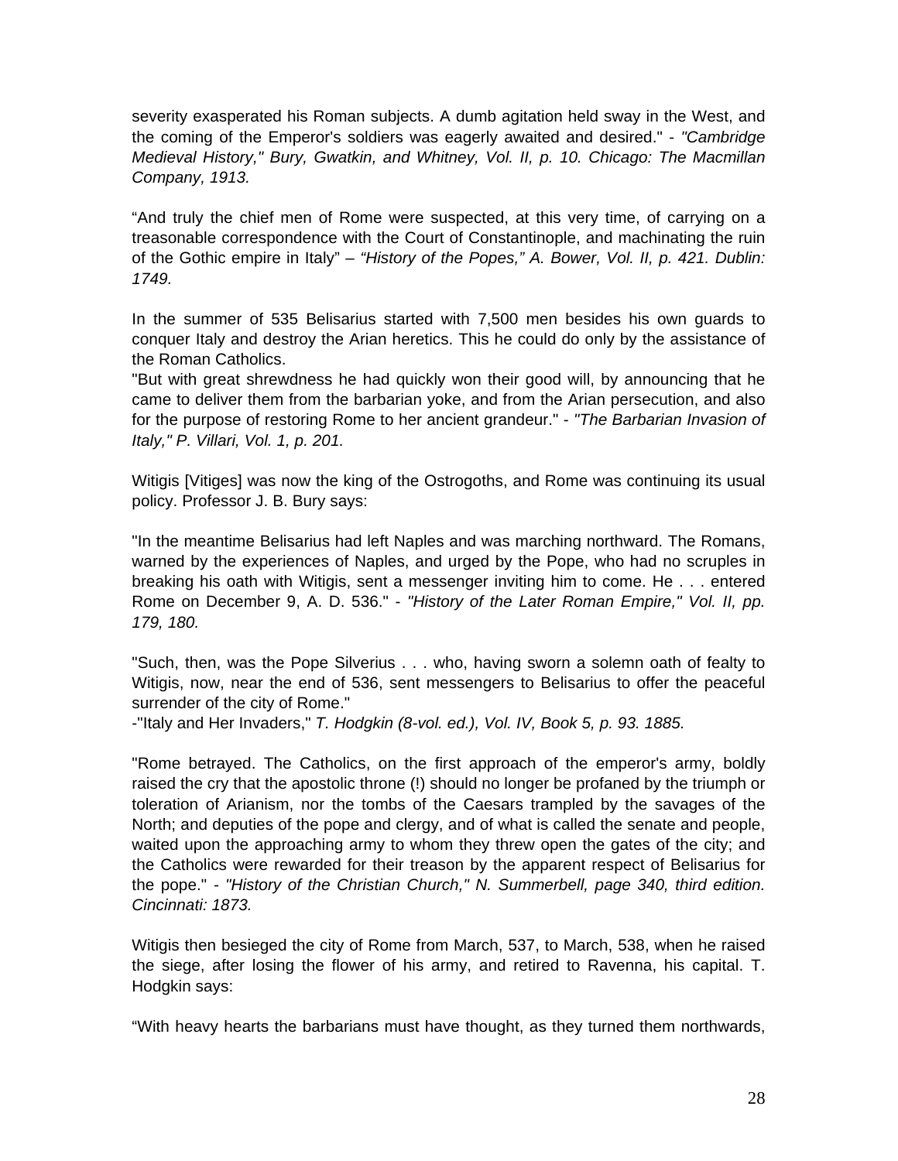severity exasperated his Roman subjects. A dumb agitation held sway in the West, and the coming of the Emperor's soldiers was eagerly awaited and desired." - *"Cambridge Medieval History," Bury, Gwatkin, and Whitney, Vol. II, p. 10. Chicago: The Macmillan Company, 1913.* 

"And truly the chief men of Rome were suspected, at this very time, of carrying on a treasonable correspondence with the Court of Constantinople, and machinating the ruin of the Gothic empire in Italy" – *"History of the Popes," A. Bower, Vol. II, p. 421. Dublin: 1749.* 

In the summer of 535 Belisarius started with 7,500 men besides his own guards to conquer Italy and destroy the Arian heretics. This he could do only by the assistance of the Roman Catholics.

"But with great shrewdness he had quickly won their good will, by announcing that he came to deliver them from the barbarian yoke, and from the Arian persecution, and also for the purpose of restoring Rome to her ancient grandeur." - *"The Barbarian Invasion of Italy," P. Villari, Vol. 1, p. 201.* 

Witigis [Vitiges] was now the king of the Ostrogoths, and Rome was continuing its usual policy. Professor J. B. Bury says:

"In the meantime Belisarius had left Naples and was marching northward. The Romans, warned by the experiences of Naples, and urged by the Pope, who had no scruples in breaking his oath with Witigis, sent a messenger inviting him to come. He . . . entered Rome on December 9, A. D. 536." - *"History of the Later Roman Empire," Vol. II, pp. 179, 180.* 

"Such, then, was the Pope Silverius . . . who, having sworn a solemn oath of fealty to Witigis, now, near the end of 536, sent messengers to Belisarius to offer the peaceful surrender of the city of Rome."

-"Italy and Her Invaders," *T. Hodgkin (8-vol. ed.), Vol. IV, Book 5, p. 93. 1885.* 

"Rome betrayed. The Catholics, on the first approach of the emperor's army, boldly raised the cry that the apostolic throne (!) should no longer be profaned by the triumph or toleration of Arianism, nor the tombs of the Caesars trampled by the savages of the North; and deputies of the pope and clergy, and of what is called the senate and people, waited upon the approaching army to whom they threw open the gates of the city; and the Catholics were rewarded for their treason by the apparent respect of Belisarius for the pope." *- "History of the Christian Church," N. Summerbell, page 340, third edition. Cincinnati: 1873.* 

Witigis then besieged the city of Rome from March, 537, to March, 538, when he raised the siege, after losing the flower of his army, and retired to Ravenna, his capital. T. Hodgkin says:

"With heavy hearts the barbarians must have thought, as they turned them northwards,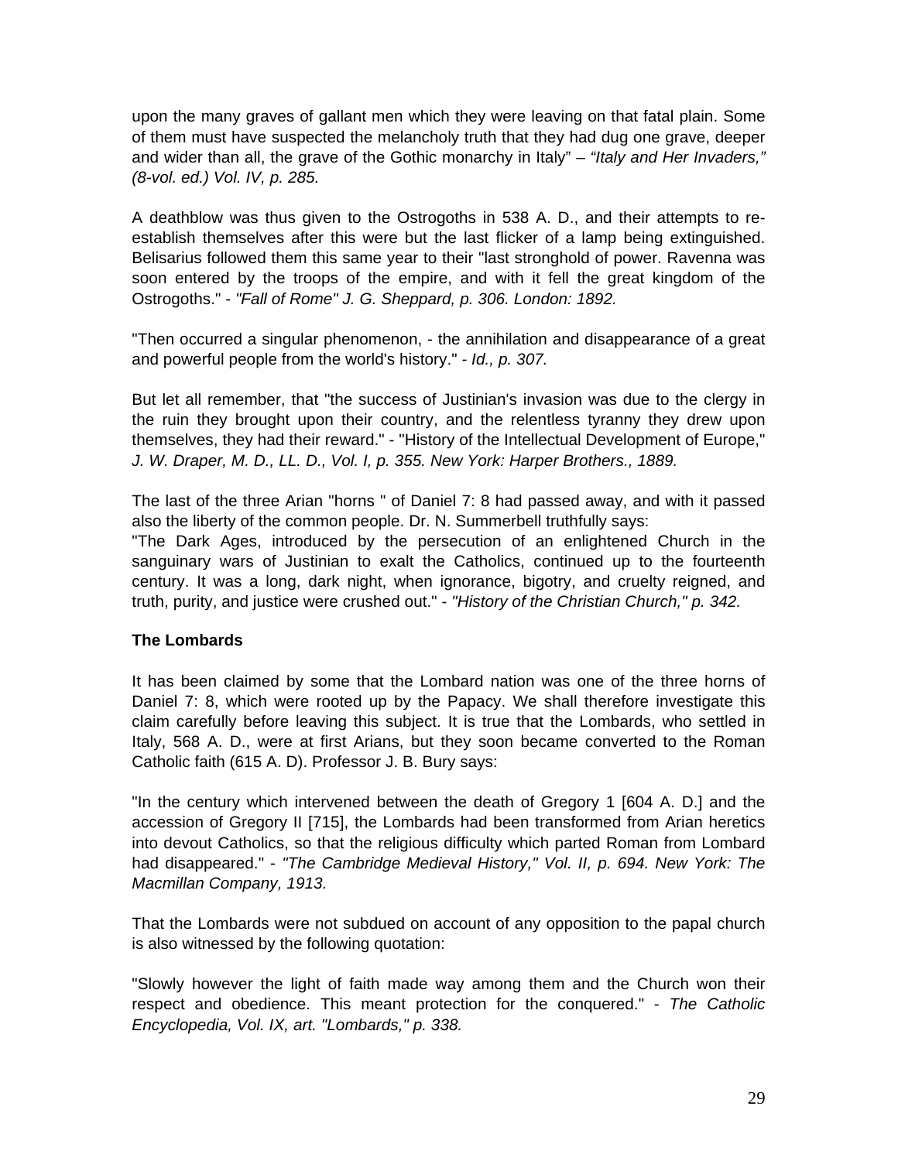upon the many graves of gallant men which they were leaving on that fatal plain. Some of them must have suspected the melancholy truth that they had dug one grave, deeper and wider than all, the grave of the Gothic monarchy in Italy" – *"Italy and Her Invaders," (8-vol. ed.) Vol. IV, p. 285.* 

A deathblow was thus given to the Ostrogoths in 538 A. D., and their attempts to reestablish themselves after this were but the last flicker of a lamp being extinguished. Belisarius followed them this same year to their "last stronghold of power. Ravenna was soon entered by the troops of the empire, and with it fell the great kingdom of the Ostrogoths." - *"Fall of Rome" J. G. Sheppard, p. 306. London: 1892.* 

"Then occurred a singular phenomenon, - the annihilation and disappearance of a great and powerful people from the world's history." *- Id., p. 307.* 

But let all remember, that "the success of Justinian's invasion was due to the clergy in the ruin they brought upon their country, and the relentless tyranny they drew upon themselves, they had their reward." - "History of the Intellectual Development of Europe," *J. W. Draper, M. D., LL. D., Vol. I, p. 355. New York: Harper Brothers., 1889.* 

The last of the three Arian "horns " of Daniel 7: 8 had passed away, and with it passed also the liberty of the common people. Dr. N. Summerbell truthfully says:

"The Dark Ages, introduced by the persecution of an enlightened Church in the sanguinary wars of Justinian to exalt the Catholics, continued up to the fourteenth century. It was a long, dark night, when ignorance, bigotry, and cruelty reigned, and truth, purity, and justice were crushed out." - *"History of the Christian Church," p. 342.* 

# **The Lombards**

It has been claimed by some that the Lombard nation was one of the three horns of Daniel 7: 8, which were rooted up by the Papacy. We shall therefore investigate this claim carefully before leaving this subject. It is true that the Lombards, who settled in Italy, 568 A. D., were at first Arians, but they soon became converted to the Roman Catholic faith (615 A. D). Professor J. B. Bury says:

"In the century which intervened between the death of Gregory 1 [604 A. D.] and the accession of Gregory II [715], the Lombards had been transformed from Arian heretics into devout Catholics, so that the religious difficulty which parted Roman from Lombard had disappeared." - *"The Cambridge Medieval History," Vol. II, p. 694. New York: The Macmillan Company, 1913.* 

That the Lombards were not subdued on account of any opposition to the papal church is also witnessed by the following quotation:

"Slowly however the light of faith made way among them and the Church won their respect and obedience. This meant protection for the conquered." - *The Catholic Encyclopedia, Vol. IX, art. "Lombards," p. 338.*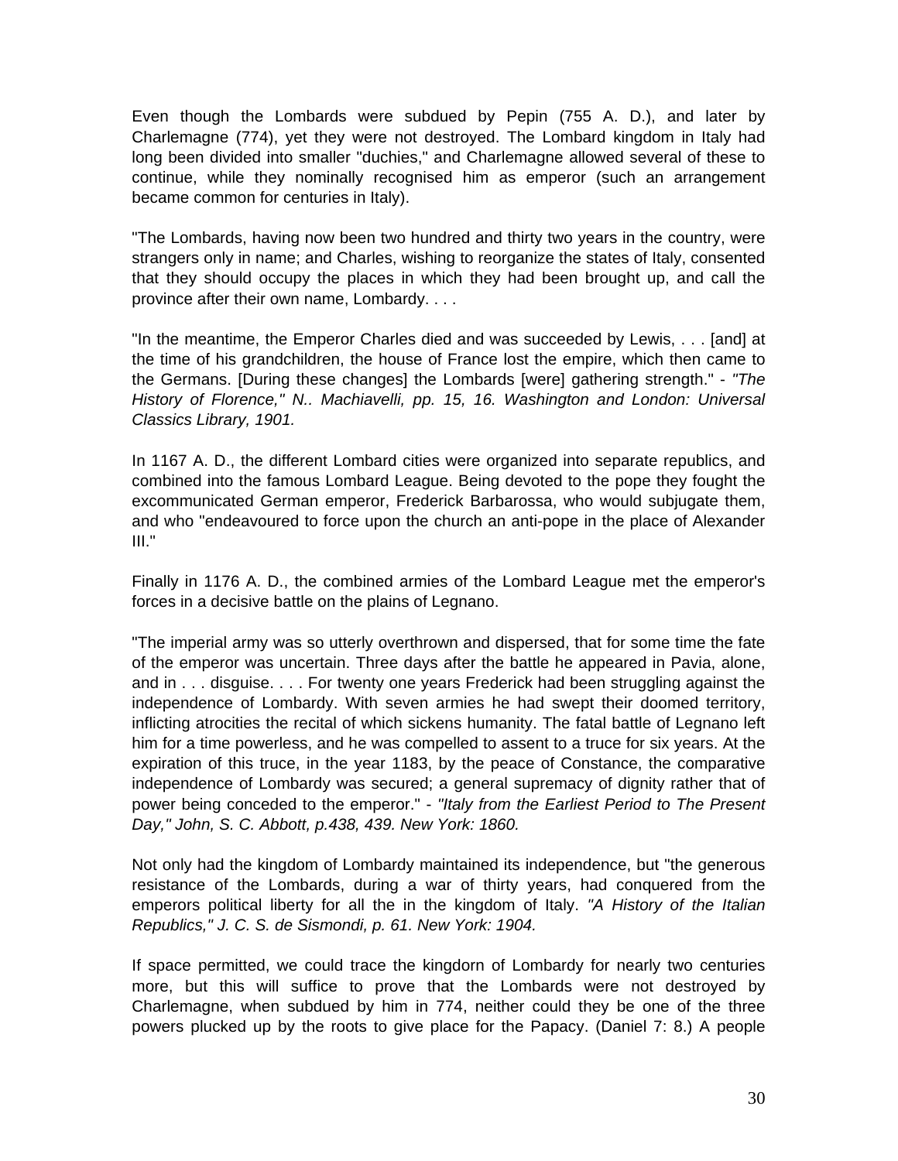Even though the Lombards were subdued by Pepin (755 A. D.), and later by Charlemagne (774), yet they were not destroyed. The Lombard kingdom in Italy had long been divided into smaller "duchies," and Charlemagne allowed several of these to continue, while they nominally recognised him as emperor (such an arrangement became common for centuries in Italy).

"The Lombards, having now been two hundred and thirty two years in the country, were strangers only in name; and Charles, wishing to reorganize the states of Italy, consented that they should occupy the places in which they had been brought up, and call the province after their own name, Lombardy. . . .

"In the meantime, the Emperor Charles died and was succeeded by Lewis, . . . [and] at the time of his grandchildren, the house of France lost the empire, which then came to the Germans. [During these changes] the Lombards [were] gathering strength." - *"The History of Florence," N.. Machiavelli, pp. 15, 16. Washington and London: Universal Classics Library, 1901.* 

In 1167 A. D., the different Lombard cities were organized into separate republics, and combined into the famous Lombard League. Being devoted to the pope they fought the excommunicated German emperor, Frederick Barbarossa, who would subjugate them, and who "endeavoured to force upon the church an anti-pope in the place of Alexander III."

Finally in 1176 A. D., the combined armies of the Lombard League met the emperor's forces in a decisive battle on the plains of Legnano.

"The imperial army was so utterly overthrown and dispersed, that for some time the fate of the emperor was uncertain. Three days after the battle he appeared in Pavia, alone, and in . . . disguise. . . . For twenty one years Frederick had been struggling against the independence of Lombardy. With seven armies he had swept their doomed territory, inflicting atrocities the recital of which sickens humanity. The fatal battle of Legnano left him for a time powerless, and he was compelled to assent to a truce for six years. At the expiration of this truce, in the year 1183, by the peace of Constance, the comparative independence of Lombardy was secured; a general supremacy of dignity rather that of power being conceded to the emperor." - *"Italy from the Earliest Period to The Present Day," John, S. C. Abbott, p.438, 439. New York: 1860.* 

Not only had the kingdom of Lombardy maintained its independence, but "the generous resistance of the Lombards, during a war of thirty years, had conquered from the emperors political liberty for all the in the kingdom of Italy. *"A History of the Italian Republics," J. C. S. de Sismondi, p. 61. New York: 1904.* 

If space permitted, we could trace the kingdorn of Lombardy for nearly two centuries more, but this will suffice to prove that the Lombards were not destroyed by Charlemagne, when subdued by him in 774, neither could they be one of the three powers plucked up by the roots to give place for the Papacy. (Daniel 7: 8.) A people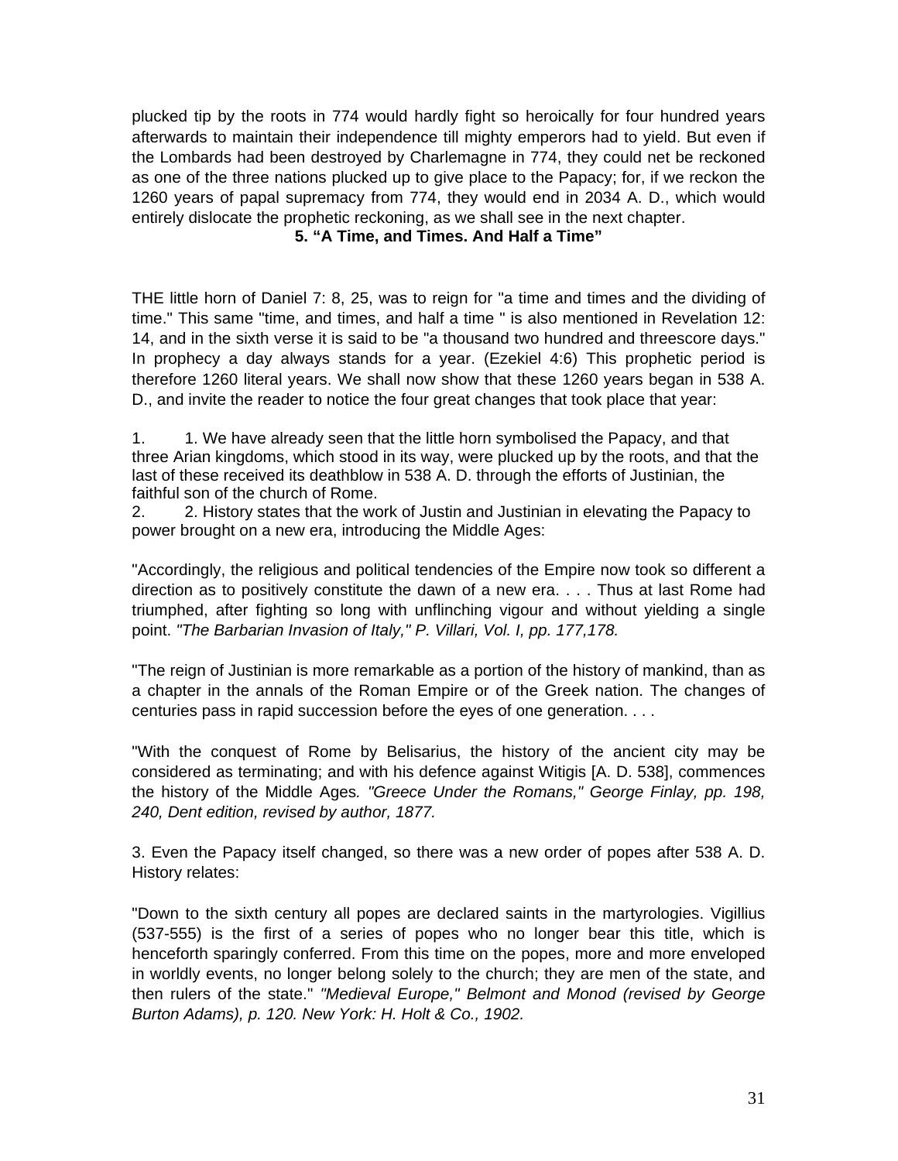plucked tip by the roots in 774 would hardly fight so heroically for four hundred years afterwards to maintain their independence till mighty emperors had to yield. But even if the Lombards had been destroyed by Charlemagne in 774, they could net be reckoned as one of the three nations plucked up to give place to the Papacy; for, if we reckon the 1260 years of papal supremacy from 774, they would end in 2034 A. D., which would entirely dislocate the prophetic reckoning, as we shall see in the next chapter.

**5. "A Time, and Times. And Half a Time"** 

THE little horn of Daniel 7: 8, 25, was to reign for "a time and times and the dividing of time." This same "time, and times, and half a time " is also mentioned in Revelation 12: 14, and in the sixth verse it is said to be "a thousand two hundred and threescore days." In prophecy a day always stands for a year. (Ezekiel 4:6) This prophetic period is therefore 1260 literal years. We shall now show that these 1260 years began in 538 A. D., and invite the reader to notice the four great changes that took place that year:

1. 1. We have already seen that the little horn symbolised the Papacy, and that three Arian kingdoms, which stood in its way, were plucked up by the roots, and that the last of these received its deathblow in 538 A. D. through the efforts of Justinian, the faithful son of the church of Rome.

2. 2. History states that the work of Justin and Justinian in elevating the Papacy to power brought on a new era, introducing the Middle Ages:

"Accordingly, the religious and political tendencies of the Empire now took so different a direction as to positively constitute the dawn of a new era. . . . Thus at last Rome had triumphed, after fighting so long with unflinching vigour and without yielding a single point. *"The Barbarian Invasion of Italy," P. Villari, Vol. I, pp. 177,178.* 

"The reign of Justinian is more remarkable as a portion of the history of mankind, than as a chapter in the annals of the Roman Empire or of the Greek nation. The changes of centuries pass in rapid succession before the eyes of one generation. . . .

"With the conquest of Rome by Belisarius, the history of the ancient city may be considered as terminating; and with his defence against Witigis [A. D. 538], commences the history of the Middle Ages*. "Greece Under the Romans," George Finlay, pp. 198, 240, Dent edition, revised by author, 1877.* 

3. Even the Papacy itself changed, so there was a new order of popes after 538 A. D. History relates:

"Down to the sixth century all popes are declared saints in the martyrologies. Vigillius (537-555) is the first of a series of popes who no longer bear this title, which is henceforth sparingly conferred. From this time on the popes, more and more enveloped in worldly events, no longer belong solely to the church; they are men of the state, and then rulers of the state." *"Medieval Europe," Belmont and Monod (revised by George Burton Adams), p. 120. New York: H. Holt & Co., 1902.*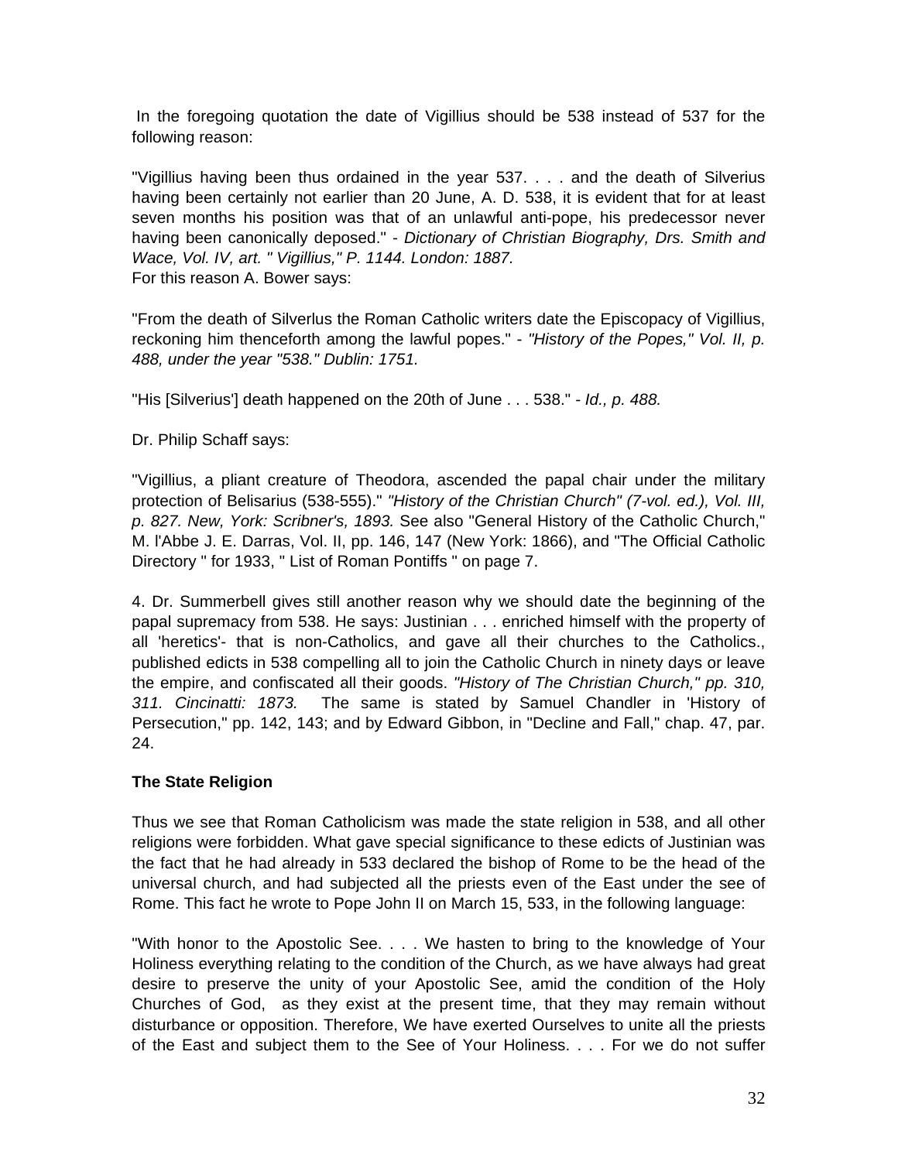In the foregoing quotation the date of Vigillius should be 538 instead of 537 for the following reason:

"Vigillius having been thus ordained in the year 537. . . . and the death of Silverius having been certainly not earlier than 20 June, A. D. 538, it is evident that for at least seven months his position was that of an unlawful anti-pope, his predecessor never having been canonically deposed." - *Dictionary of Christian Biography, Drs. Smith and Wace, Vol. IV, art. " Vigillius," P. 1144. London: 1887.*  For this reason A. Bower says:

"From the death of Silverlus the Roman Catholic writers date the Episcopacy of Vigillius, reckoning him thenceforth among the lawful popes." - *"History of the Popes," Vol. II, p. 488, under the year "538." Dublin: 1751.* 

"His [Silverius'] death happened on the 20th of June . . . 538." *- Id., p. 488.* 

Dr. Philip Schaff says:

"Vigillius, a pliant creature of Theodora, ascended the papal chair under the military protection of Belisarius (538-555)." *"History of the Christian Church" (7-vol. ed.), Vol. III, p. 827. New, York: Scribner's, 1893.* See also "General History of the Catholic Church," M. l'Abbe J. E. Darras, Vol. II, pp. 146, 147 (New York: 1866), and "The Official Catholic Directory " for 1933, " List of Roman Pontiffs " on page 7.

4. Dr. Summerbell gives still another reason why we should date the beginning of the papal supremacy from 538. He says: Justinian . . . enriched himself with the property of all 'heretics'- that is non-Catholics, and gave all their churches to the Catholics., published edicts in 538 compelling all to join the Catholic Church in ninety days or leave the empire, and confiscated all their goods. *"History of The Christian Church," pp. 310, 311. Cincinatti: 1873.* The same is stated by Samuel Chandler in 'History of Persecution," pp. 142, 143; and by Edward Gibbon, in "Decline and Fall," chap. 47, par. 24.

# **The State Religion**

Thus we see that Roman Catholicism was made the state religion in 538, and all other religions were forbidden. What gave special significance to these edicts of Justinian was the fact that he had already in 533 declared the bishop of Rome to be the head of the universal church, and had subjected all the priests even of the East under the see of Rome. This fact he wrote to Pope John II on March 15, 533, in the following language:

"With honor to the Apostolic See. . . . We hasten to bring to the knowledge of Your Holiness everything relating to the condition of the Church, as we have always had great desire to preserve the unity of your Apostolic See, amid the condition of the Holy Churches of God, as they exist at the present time, that they may remain without disturbance or opposition. Therefore, We have exerted Ourselves to unite all the priests of the East and subject them to the See of Your Holiness. . . . For we do not suffer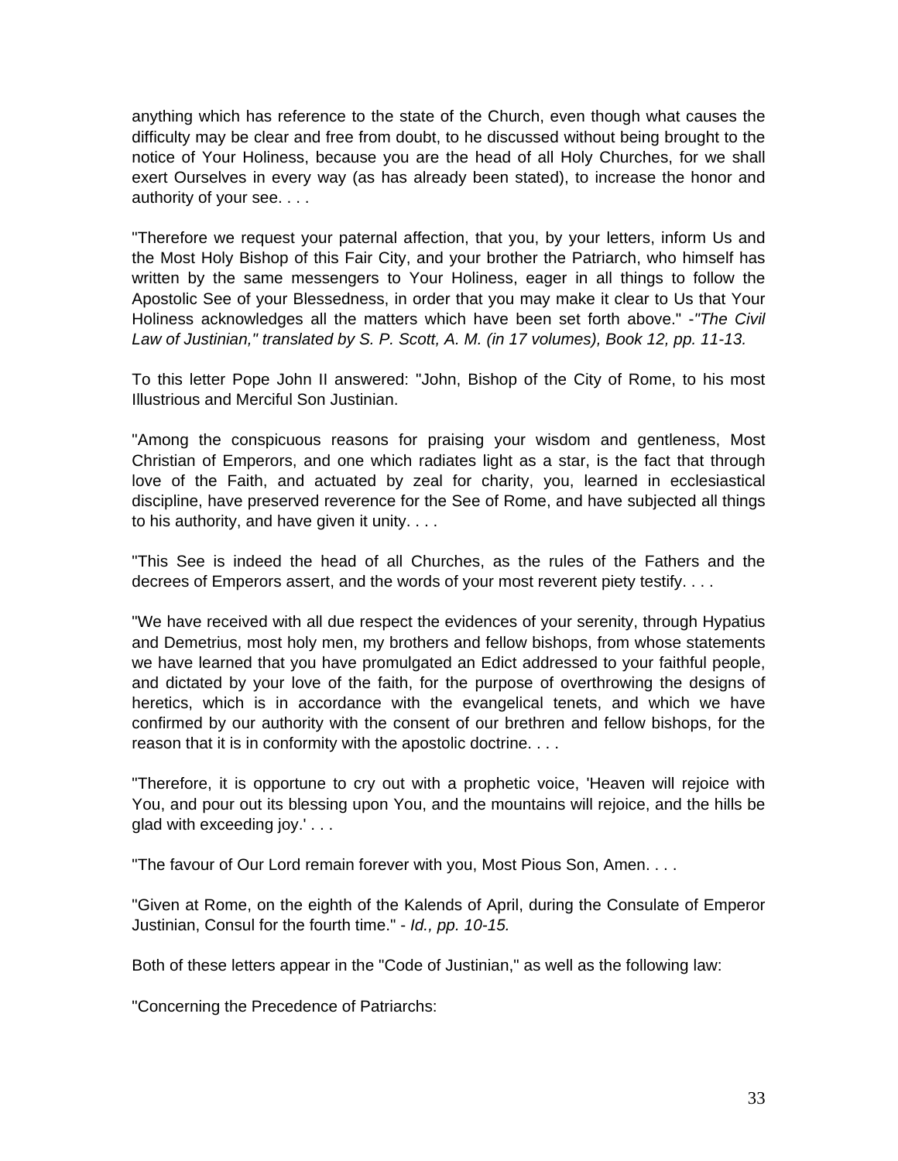anything which has reference to the state of the Church, even though what causes the difficulty may be clear and free from doubt, to he discussed without being brought to the notice of Your Holiness, because you are the head of all Holy Churches, for we shall exert Ourselves in every way (as has already been stated), to increase the honor and authority of your see. . . .

"Therefore we request your paternal affection, that you, by your letters, inform Us and the Most Holy Bishop of this Fair City, and your brother the Patriarch, who himself has written by the same messengers to Your Holiness, eager in all things to follow the Apostolic See of your Blessedness, in order that you may make it clear to Us that Your Holiness acknowledges all the matters which have been set forth above." -*"The Civil Law of Justinian," translated by S. P. Scott, A. M. (in 17 volumes), Book 12, pp. 11-13.* 

To this letter Pope John II answered: "John, Bishop of the City of Rome, to his most Illustrious and Merciful Son Justinian.

"Among the conspicuous reasons for praising your wisdom and gentleness, Most Christian of Emperors, and one which radiates light as a star, is the fact that through love of the Faith, and actuated by zeal for charity, you, learned in ecclesiastical discipline, have preserved reverence for the See of Rome, and have subjected all things to his authority, and have given it unity. . . .

"This See is indeed the head of all Churches, as the rules of the Fathers and the decrees of Emperors assert, and the words of your most reverent piety testify. . . .

"We have received with all due respect the evidences of your serenity, through Hypatius and Demetrius, most holy men, my brothers and fellow bishops, from whose statements we have learned that you have promulgated an Edict addressed to your faithful people, and dictated by your love of the faith, for the purpose of overthrowing the designs of heretics, which is in accordance with the evangelical tenets, and which we have confirmed by our authority with the consent of our brethren and fellow bishops, for the reason that it is in conformity with the apostolic doctrine. . . .

"Therefore, it is opportune to cry out with a prophetic voice, 'Heaven will rejoice with You, and pour out its blessing upon You, and the mountains will rejoice, and the hills be alad with exceeding joy.' . . .

"The favour of Our Lord remain forever with you, Most Pious Son, Amen. . . .

"Given at Rome, on the eighth of the Kalends of April, during the Consulate of Emperor Justinian, Consul for the fourth time." - *Id., pp. 10-15.* 

Both of these letters appear in the "Code of Justinian," as well as the following law:

"Concerning the Precedence of Patriarchs: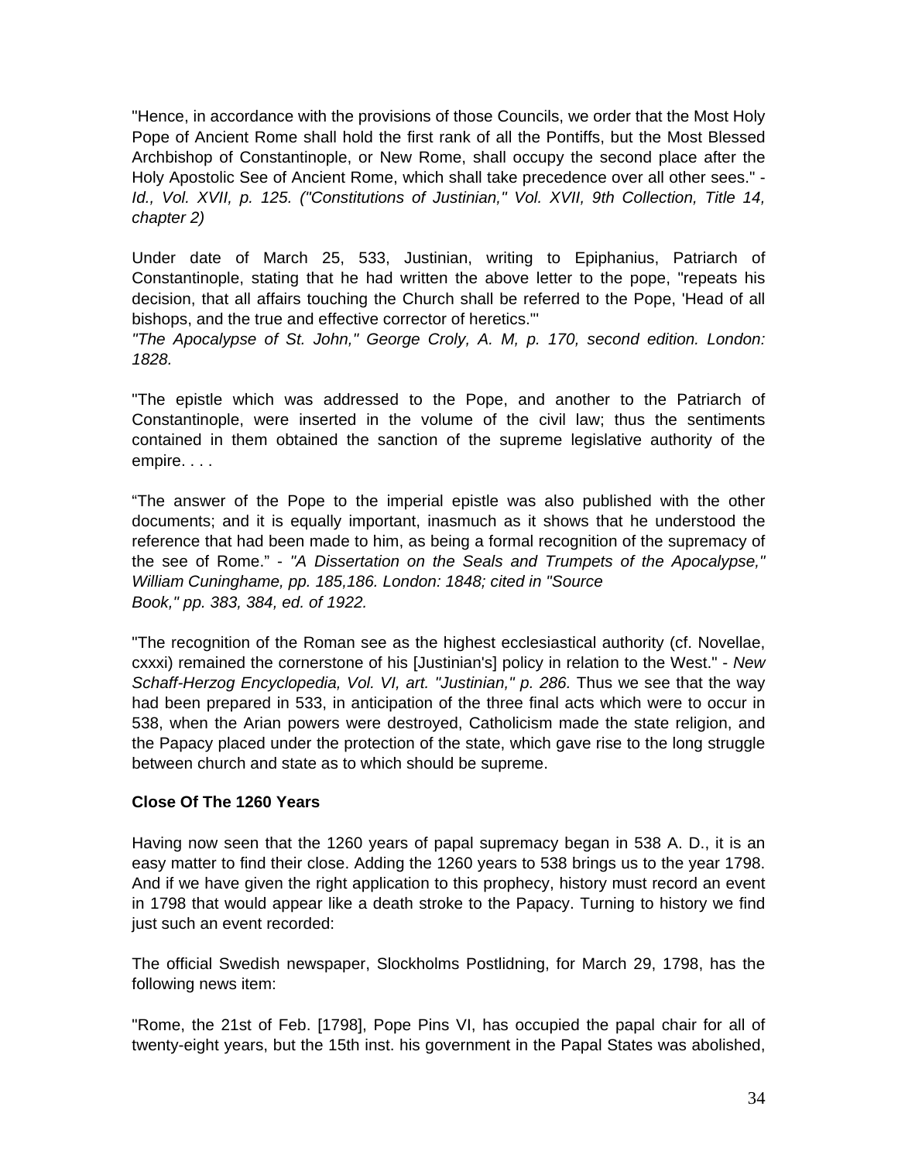"Hence, in accordance with the provisions of those Councils, we order that the Most Holy Pope of Ancient Rome shall hold the first rank of all the Pontiffs, but the Most Blessed Archbishop of Constantinople, or New Rome, shall occupy the second place after the Holy Apostolic See of Ancient Rome, which shall take precedence over all other sees." - *Id., Vol. XVII, p. 125. ("Constitutions of Justinian," Vol. XVII, 9th Collection, Title 14, chapter 2)* 

Under date of March 25, 533, Justinian, writing to Epiphanius, Patriarch of Constantinople, stating that he had written the above letter to the pope, "repeats his decision, that all affairs touching the Church shall be referred to the Pope, 'Head of all bishops, and the true and effective corrector of heretics."'

*"The Apocalypse of St. John," George Croly, A. M, p. 170, second edition. London: 1828.* 

"The epistle which was addressed to the Pope, and another to the Patriarch of Constantinople, were inserted in the volume of the civil law; thus the sentiments contained in them obtained the sanction of the supreme legislative authority of the empire. . . .

"The answer of the Pope to the imperial epistle was also published with the other documents; and it is equally important, inasmuch as it shows that he understood the reference that had been made to him, as being a formal recognition of the supremacy of the see of Rome." - *"A Dissertation on the Seals and Trumpets of the Apocalypse," William Cuninghame, pp. 185,186. London: 1848; cited in "Source Book," pp. 383, 384, ed. of 1922.* 

"The recognition of the Roman see as the highest ecclesiastical authority (cf. Novellae, cxxxi) remained the cornerstone of his [Justinian's] policy in relation to the West." - *New Schaff-Herzog Encyclopedia, Vol. VI, art. "Justinian," p. 286.* Thus we see that the way had been prepared in 533, in anticipation of the three final acts which were to occur in 538, when the Arian powers were destroyed, Catholicism made the state religion, and the Papacy placed under the protection of the state, which gave rise to the long struggle between church and state as to which should be supreme.

# **Close Of The 1260 Years**

Having now seen that the 1260 years of papal supremacy began in 538 A. D., it is an easy matter to find their close. Adding the 1260 years to 538 brings us to the year 1798. And if we have given the right application to this prophecy, history must record an event in 1798 that would appear like a death stroke to the Papacy. Turning to history we find just such an event recorded:

The official Swedish newspaper, Slockholms Postlidning, for March 29, 1798, has the following news item:

"Rome, the 21st of Feb. [1798], Pope Pins VI, has occupied the papal chair for all of twenty-eight years, but the 15th inst. his government in the Papal States was abolished,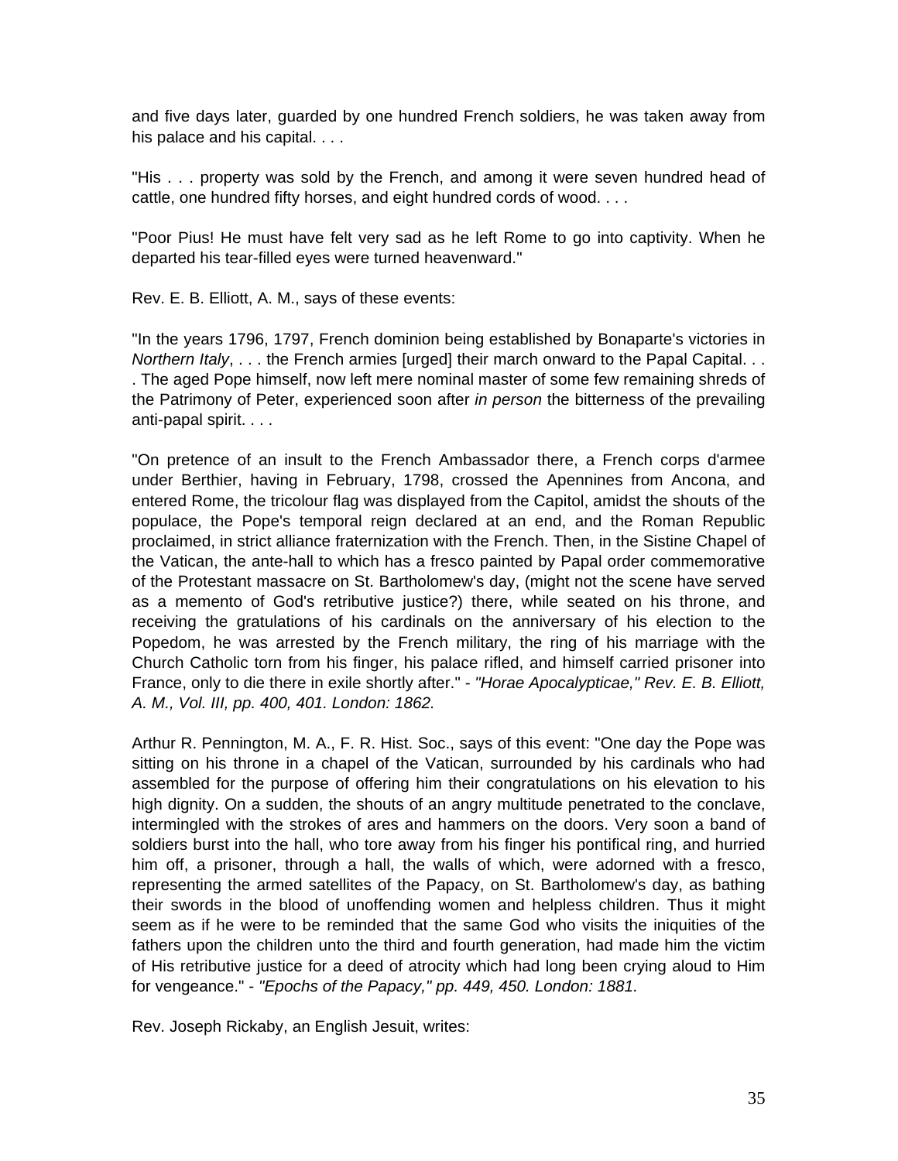and five days later, guarded by one hundred French soldiers, he was taken away from his palace and his capital. . . .

"His . . . property was sold by the French, and among it were seven hundred head of cattle, one hundred fifty horses, and eight hundred cords of wood. . . .

"Poor Pius! He must have felt very sad as he left Rome to go into captivity. When he departed his tear-filled eyes were turned heavenward."

Rev. E. B. Elliott, A. M., says of these events:

"In the years 1796, 1797, French dominion being established by Bonaparte's victories in *Northern Italy, ...* the French armies [urged] their march onward to the Papal Capital... . The aged Pope himself, now left mere nominal master of some few remaining shreds of the Patrimony of Peter, experienced soon after *in person* the bitterness of the prevailing anti-papal spirit. . . .

"On pretence of an insult to the French Ambassador there, a French corps d'armee under Berthier, having in February, 1798, crossed the Apennines from Ancona, and entered Rome, the tricolour flag was displayed from the Capitol, amidst the shouts of the populace, the Pope's temporal reign declared at an end, and the Roman Republic proclaimed, in strict alliance fraternization with the French. Then, in the Sistine Chapel of the Vatican, the ante-hall to which has a fresco painted by Papal order commemorative of the Protestant massacre on St. Bartholomew's day, (might not the scene have served as a memento of God's retributive justice?) there, while seated on his throne, and receiving the gratulations of his cardinals on the anniversary of his election to the Popedom, he was arrested by the French military, the ring of his marriage with the Church Catholic torn from his finger, his palace rifled, and himself carried prisoner into France, only to die there in exile shortly after." - *"Horae Apocalypticae," Rev. E. B. Elliott, A. M., Vol. III, pp. 400, 401. London: 1862.* 

Arthur R. Pennington, M. A., F. R. Hist. Soc., says of this event: "One day the Pope was sitting on his throne in a chapel of the Vatican, surrounded by his cardinals who had assembled for the purpose of offering him their congratulations on his elevation to his high dignity. On a sudden, the shouts of an angry multitude penetrated to the conclave, intermingled with the strokes of ares and hammers on the doors. Very soon a band of soldiers burst into the hall, who tore away from his finger his pontifical ring, and hurried him off, a prisoner, through a hall, the walls of which, were adorned with a fresco, representing the armed satellites of the Papacy, on St. Bartholomew's day, as bathing their swords in the blood of unoffending women and helpless children. Thus it might seem as if he were to be reminded that the same God who visits the iniquities of the fathers upon the children unto the third and fourth generation, had made him the victim of His retributive justice for a deed of atrocity which had long been crying aloud to Him for vengeance." - *"Epochs of the Papacy," pp. 449, 450. London: 1881.* 

Rev. Joseph Rickaby, an English Jesuit, writes: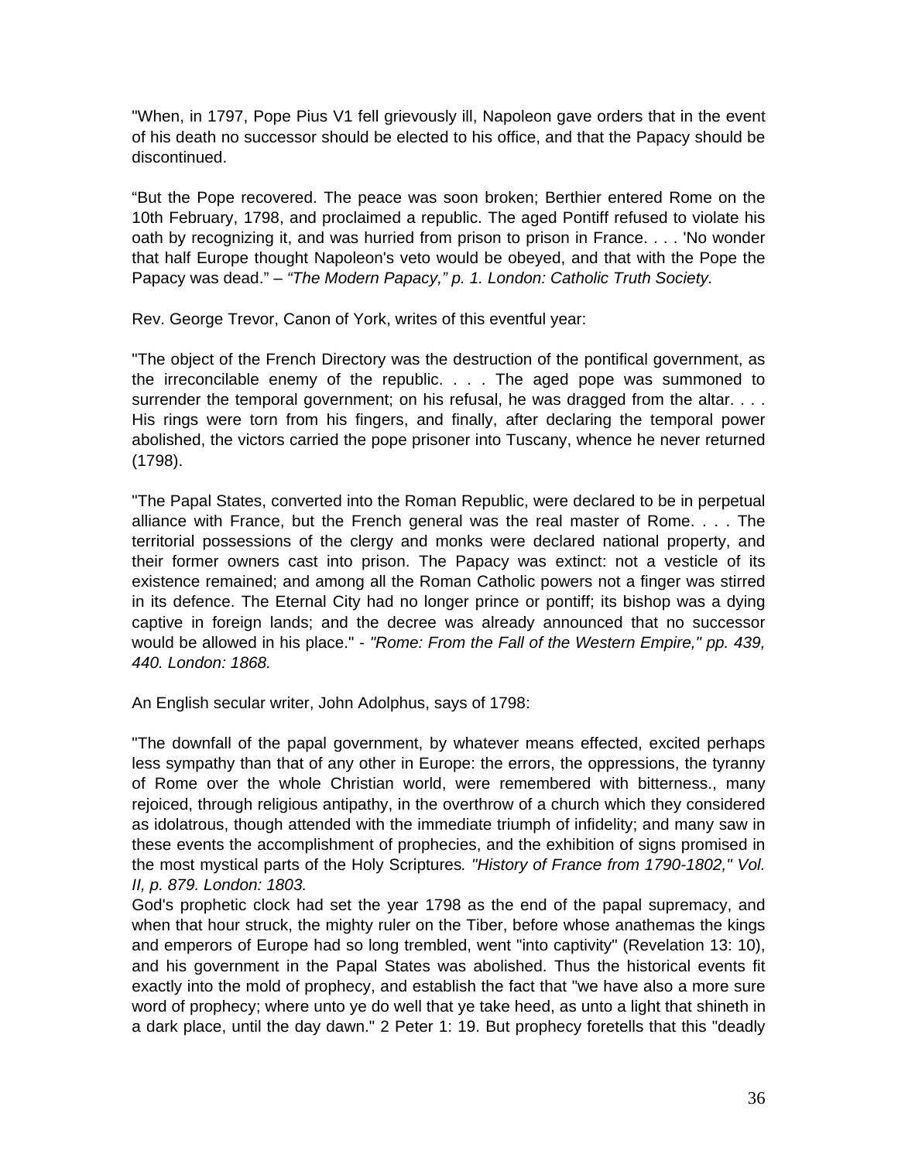"When, in 1797, Pope Pius V1 fell grievously ill, Napoleon gave orders that in the event of his death no successor should be elected to his office, and that the Papacy should be discontinued.

"But the Pope recovered. The peace was soon broken; Berthier entered Rome on the 10th February, 1798, and proclaimed a republic. The aged Pontiff refused to violate his oath by recognizing it, and was hurried from prison to prison in France. . . . 'No wonder that half Europe thought Napoleon's veto would be obeyed, and that with the Pope the Papacy was dead." – *"The Modern Papacy," p. 1. London: Catholic Truth Society.* 

Rev. George Trevor, Canon of York, writes of this eventful year:

"The object of the French Directory was the destruction of the pontifical government, as the irreconcilable enemy of the republic. . . . The aged pope was summoned to surrender the temporal government; on his refusal, he was dragged from the altar. . . . His rings were torn from his fingers, and finally, after declaring the temporal power abolished, the victors carried the pope prisoner into Tuscany, whence he never returned (1798).

"The Papal States, converted into the Roman Republic, were declared to be in perpetual alliance with France, but the French general was the real master of Rome. . . . The territorial possessions of the clergy and monks were declared national property, and their former owners cast into prison. The Papacy was extinct: not a vesticle of its existence remained; and among all the Roman Catholic powers not a finger was stirred in its defence. The Eternal City had no longer prince or pontiff; its bishop was a dying captive in foreign lands; and the decree was already announced that no successor would be allowed in his place." - *"Rome: From the Fall of the Western Empire," pp. 439, 440. London: 1868.* 

An English secular writer, John Adolphus, says of 1798:

"The downfall of the papal government, by whatever means effected, excited perhaps less sympathy than that of any other in Europe: the errors, the oppressions, the tyranny of Rome over the whole Christian world, were remembered with bitterness., many rejoiced, through religious antipathy, in the overthrow of a church which they considered as idolatrous, though attended with the immediate triumph of infidelity; and many saw in these events the accomplishment of prophecies, and the exhibition of signs promised in the most mystical parts of the Holy Scriptures*. "History of France from 1790-1802," Vol. II, p. 879. London: 1803.* 

God's prophetic clock had set the year 1798 as the end of the papal supremacy, and when that hour struck, the mighty ruler on the Tiber, before whose anathemas the kings and emperors of Europe had so long trembled, went "into captivity" (Revelation 13: 10), and his government in the Papal States was abolished. Thus the historical events fit exactly into the mold of prophecy, and establish the fact that "we have also a more sure word of prophecy; where unto ye do well that ye take heed, as unto a light that shineth in a dark place, until the day dawn." 2 Peter 1: 19. But prophecy foretells that this "deadly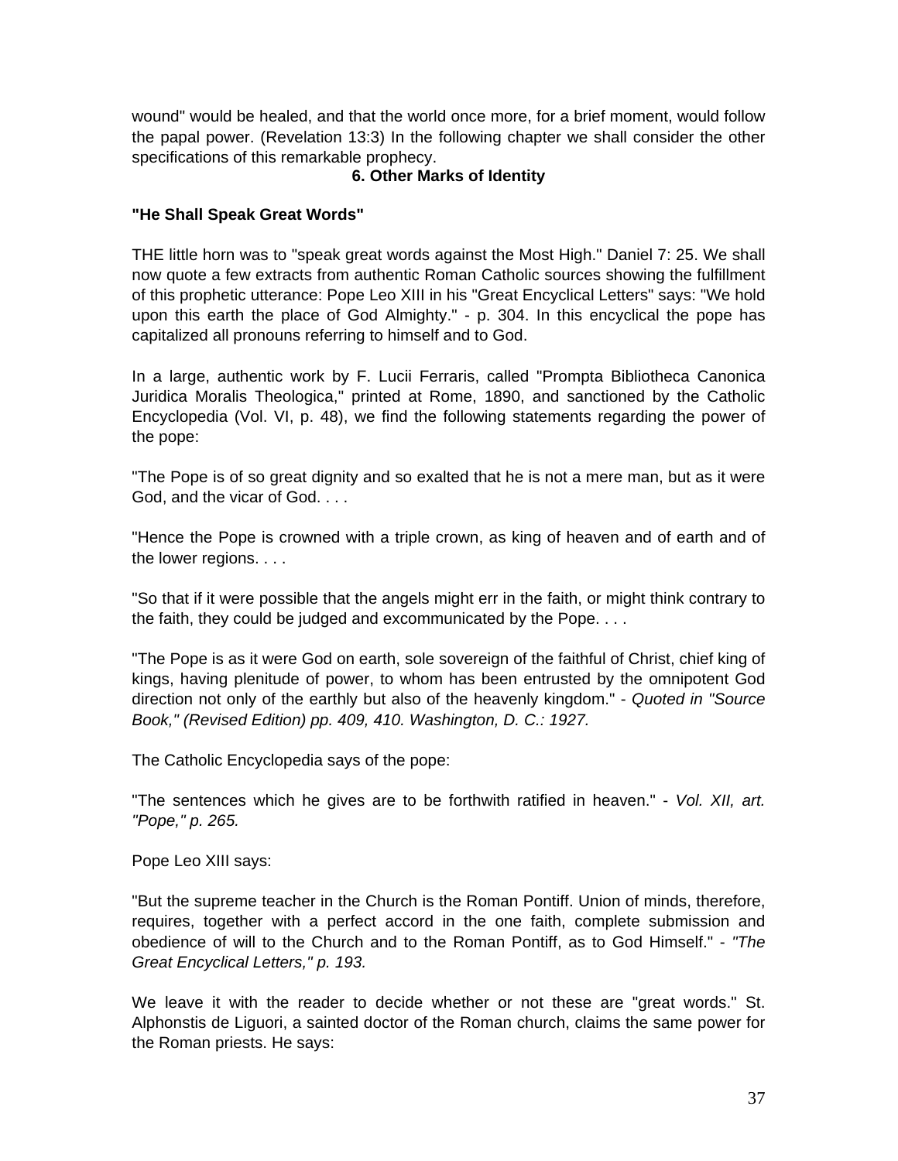wound" would be healed, and that the world once more, for a brief moment, would follow the papal power. (Revelation 13:3) In the following chapter we shall consider the other specifications of this remarkable prophecy.

# **6. Other Marks of Identity**

# **"He Shall Speak Great Words"**

THE little horn was to "speak great words against the Most High." Daniel 7: 25. We shall now quote a few extracts from authentic Roman Catholic sources showing the fulfillment of this prophetic utterance: Pope Leo XIII in his "Great Encyclical Letters" says: "We hold upon this earth the place of God Almighty." - p. 304. In this encyclical the pope has capitalized all pronouns referring to himself and to God.

In a large, authentic work by F. Lucii Ferraris, called "Prompta Bibliotheca Canonica Juridica Moralis Theologica," printed at Rome, 1890, and sanctioned by the Catholic Encyclopedia (Vol. VI, p. 48), we find the following statements regarding the power of the pope:

"The Pope is of so great dignity and so exalted that he is not a mere man, but as it were God, and the vicar of God. . . .

"Hence the Pope is crowned with a triple crown, as king of heaven and of earth and of the lower regions. . . .

"So that if it were possible that the angels might err in the faith, or might think contrary to the faith, they could be judged and excommunicated by the Pope. . . .

"The Pope is as it were God on earth, sole sovereign of the faithful of Christ, chief king of kings, having plenitude of power, to whom has been entrusted by the omnipotent God direction not only of the earthly but also of the heavenly kingdom." - *Quoted in "Source Book," (Revised Edition) pp. 409, 410. Washington, D. C.: 1927.* 

The Catholic Encyclopedia says of the pope:

"The sentences which he gives are to be forthwith ratified in heaven." - *Vol. XII, art. "Pope," p. 265.* 

Pope Leo XIII says:

"But the supreme teacher in the Church is the Roman Pontiff. Union of minds, therefore, requires, together with a perfect accord in the one faith, complete submission and obedience of will to the Church and to the Roman Pontiff, as to God Himself." - *"The Great Encyclical Letters," p. 193.* 

We leave it with the reader to decide whether or not these are "great words." St. Alphonstis de Liguori, a sainted doctor of the Roman church, claims the same power for the Roman priests. He says: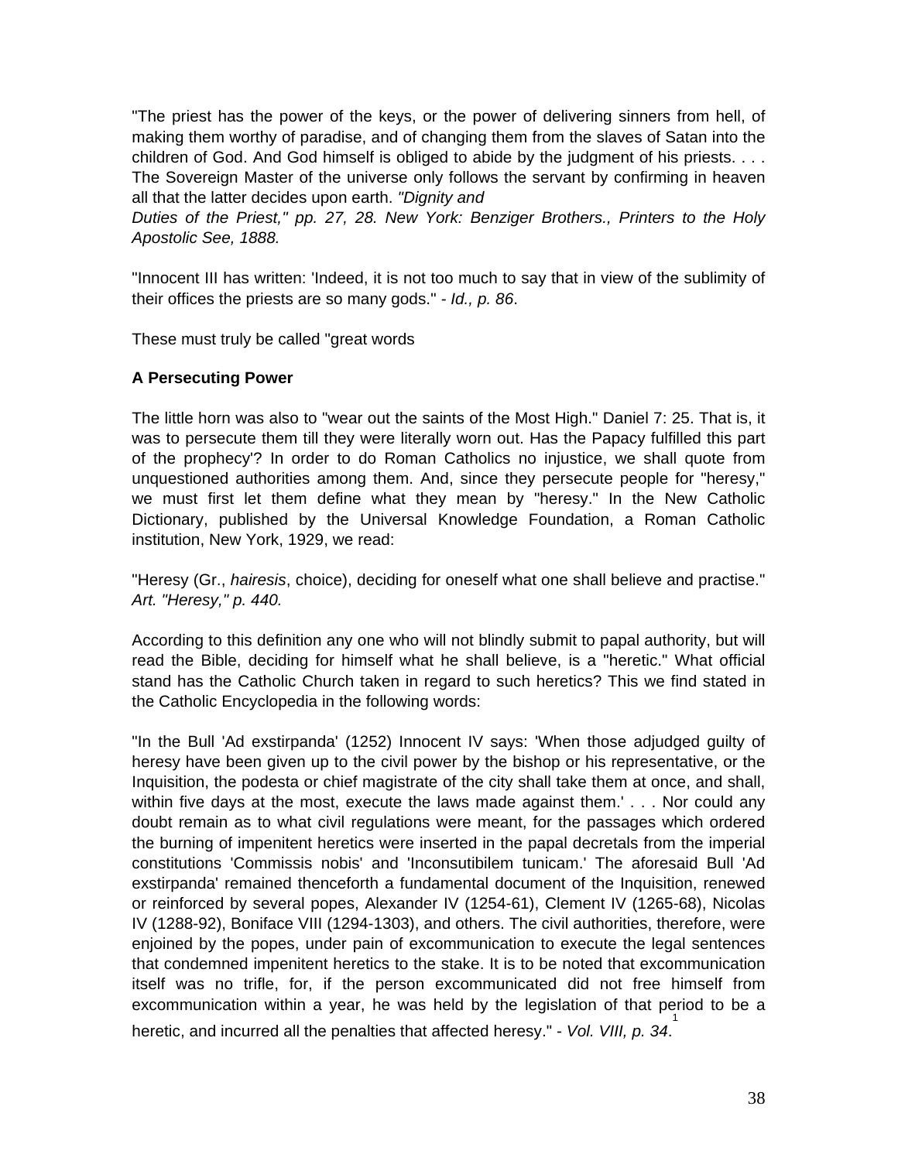"The priest has the power of the keys, or the power of delivering sinners from hell, of making them worthy of paradise, and of changing them from the slaves of Satan into the children of God. And God himself is obliged to abide by the judgment of his priests. . . . The Sovereign Master of the universe only follows the servant by confirming in heaven all that the latter decides upon earth. *"Dignity and* 

*Duties of the Priest," pp. 27, 28. New York: Benziger Brothers., Printers to the Holy Apostolic See, 1888.* 

"Innocent III has written: 'Indeed, it is not too much to say that in view of the sublimity of their offices the priests are so many gods." *- Id., p. 86*.

These must truly be called "great words

# **A Persecuting Power**

The little horn was also to "wear out the saints of the Most High." Daniel 7: 25. That is, it was to persecute them till they were literally worn out. Has the Papacy fulfilled this part of the prophecy'? In order to do Roman Catholics no injustice, we shall quote from unquestioned authorities among them. And, since they persecute people for "heresy," we must first let them define what they mean by "heresy." In the New Catholic Dictionary, published by the Universal Knowledge Foundation, a Roman Catholic institution, New York, 1929, we read:

"Heresy (Gr., *hairesis*, choice), deciding for oneself what one shall believe and practise." *Art. "Heresy," p. 440.* 

According to this definition any one who will not blindly submit to papal authority, but will read the Bible, deciding for himself what he shall believe, is a "heretic." What official stand has the Catholic Church taken in regard to such heretics? This we find stated in the Catholic Encyclopedia in the following words:

"In the Bull 'Ad exstirpanda' (1252) Innocent IV says: 'When those adjudged guilty of heresy have been given up to the civil power by the bishop or his representative, or the Inquisition, the podesta or chief magistrate of the city shall take them at once, and shall, within five days at the most, execute the laws made against them.' . . . Nor could any doubt remain as to what civil regulations were meant, for the passages which ordered the burning of impenitent heretics were inserted in the papal decretals from the imperial constitutions 'Commissis nobis' and 'Inconsutibilem tunicam.' The aforesaid Bull 'Ad exstirpanda' remained thenceforth a fundamental document of the Inquisition, renewed or reinforced by several popes, Alexander IV (1254-61), Clement IV (1265-68), Nicolas IV (1288-92), Boniface VIII (1294-1303), and others. The civil authorities, therefore, were enjoined by the popes, under pain of excommunication to execute the legal sentences that condemned impenitent heretics to the stake. It is to be noted that excommunication itself was no trifle, for, if the person excommunicated did not free himself from excommunication within a year, he was held by the legislation of that period to be a heretic, and incurred all the penalties that affected heresy." - *Vol. VIII, p. 34*. 1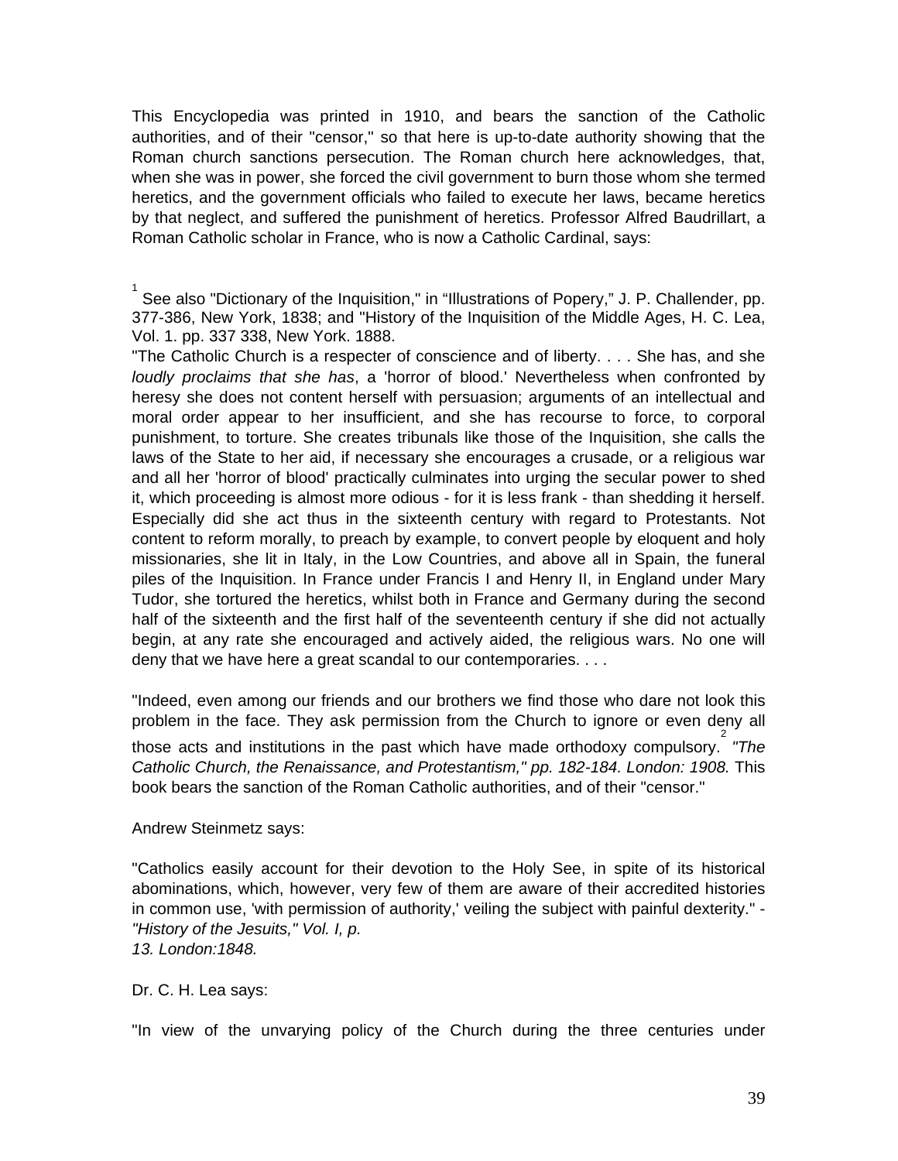This Encyclopedia was printed in 1910, and bears the sanction of the Catholic authorities, and of their "censor," so that here is up-to-date authority showing that the Roman church sanctions persecution. The Roman church here acknowledges, that, when she was in power, she forced the civil government to burn those whom she termed heretics, and the government officials who failed to execute her laws, became heretics by that neglect, and suffered the punishment of heretics. Professor Alfred Baudrillart, a Roman Catholic scholar in France, who is now a Catholic Cardinal, says:

1 See also "Dictionary of the Inquisition," in "Illustrations of Popery," J. P. Challender, pp. 377-386, New York, 1838; and "History of the Inquisition of the Middle Ages, H. C. Lea, Vol. 1. pp. 337 338, New York. 1888.

"The Catholic Church is a respecter of conscience and of liberty. . . . She has, and she *loudly proclaims that she has*, a 'horror of blood.' Nevertheless when confronted by heresy she does not content herself with persuasion; arguments of an intellectual and moral order appear to her insufficient, and she has recourse to force, to corporal punishment, to torture. She creates tribunals like those of the Inquisition, she calls the laws of the State to her aid, if necessary she encourages a crusade, or a religious war and all her 'horror of blood' practically culminates into urging the secular power to shed it, which proceeding is almost more odious - for it is less frank - than shedding it herself. Especially did she act thus in the sixteenth century with regard to Protestants. Not content to reform morally, to preach by example, to convert people by eloquent and holy missionaries, she lit in Italy, in the Low Countries, and above all in Spain, the funeral piles of the Inquisition. In France under Francis I and Henry II, in England under Mary Tudor, she tortured the heretics, whilst both in France and Germany during the second half of the sixteenth and the first half of the seventeenth century if she did not actually begin, at any rate she encouraged and actively aided, the religious wars. No one will deny that we have here a great scandal to our contemporaries. . . .

"Indeed, even among our friends and our brothers we find those who dare not look this problem in the face. They ask permission from the Church to ignore or even deny all those acts and institutions in the past which have made orthodoxy compulsory. 2 *"The Catholic Church, the Renaissance, and Protestantism," pp. 182-184. London: 1908.* This book bears the sanction of the Roman Catholic authorities, and of their "censor."

#### Andrew Steinmetz says:

"Catholics easily account for their devotion to the Holy See, in spite of its historical abominations, which, however, very few of them are aware of their accredited histories in common use, 'with permission of authority,' veiling the subject with painful dexterity." - *"History of the Jesuits," Vol. I, p. 13. London:1848.* 

Dr. C. H. Lea says:

"In view of the unvarying policy of the Church during the three centuries under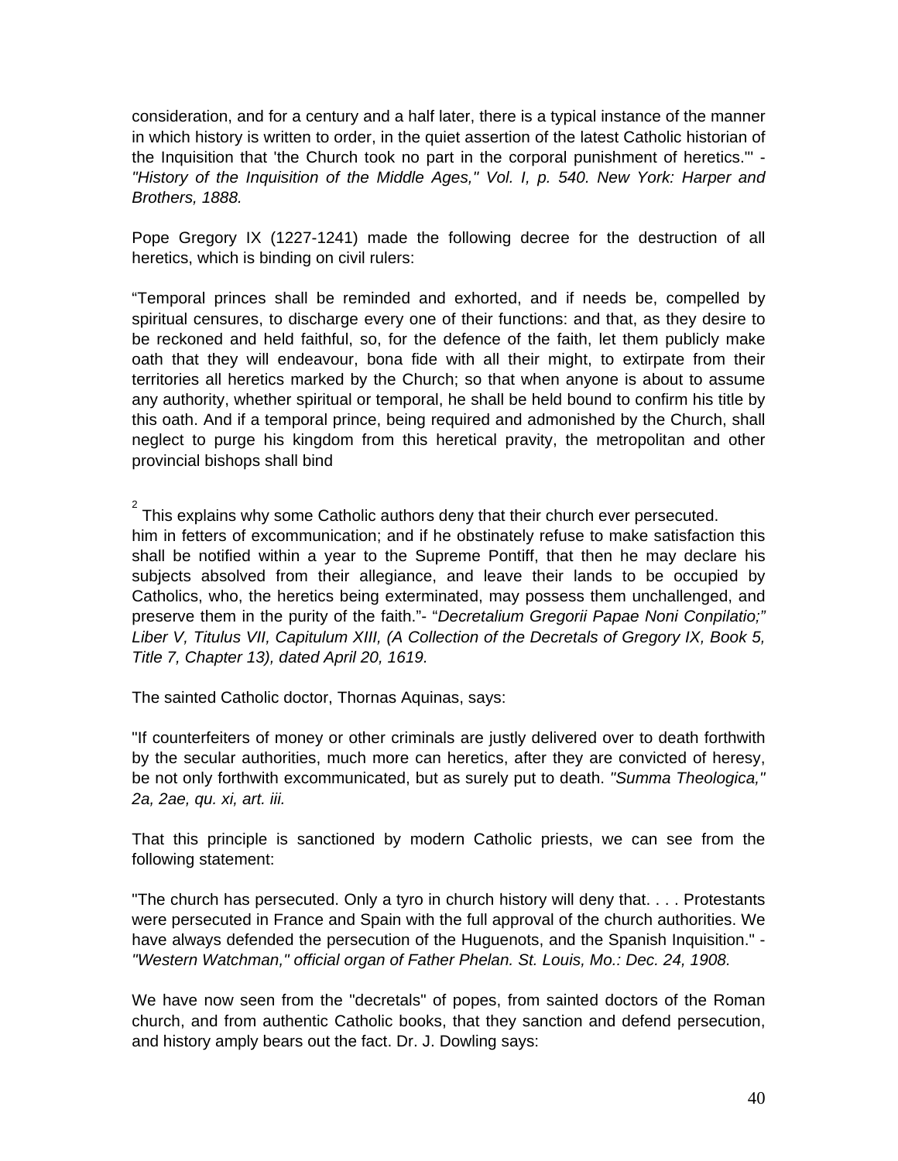consideration, and for a century and a half later, there is a typical instance of the manner in which history is written to order, in the quiet assertion of the latest Catholic historian of the Inquisition that 'the Church took no part in the corporal punishment of heretics."' - *"History of the Inquisition of the Middle Ages," Vol. I, p. 540. New York: Harper and Brothers, 1888.* 

Pope Gregory IX (1227-1241) made the following decree for the destruction of all heretics, which is binding on civil rulers:

"Temporal princes shall be reminded and exhorted, and if needs be, compelled by spiritual censures, to discharge every one of their functions: and that, as they desire to be reckoned and held faithful, so, for the defence of the faith, let them publicly make oath that they will endeavour, bona fide with all their might, to extirpate from their territories all heretics marked by the Church; so that when anyone is about to assume any authority, whether spiritual or temporal, he shall be held bound to confirm his title by this oath. And if a temporal prince, being required and admonished by the Church, shall neglect to purge his kingdom from this heretical pravity, the metropolitan and other provincial bishops shall bind

 $2^{2}$  This explains why some Catholic authors deny that their church ever persecuted. him in fetters of excommunication; and if he obstinately refuse to make satisfaction this shall be notified within a year to the Supreme Pontiff, that then he may declare his subjects absolved from their allegiance, and leave their lands to be occupied by Catholics, who, the heretics being exterminated, may possess them unchallenged, and preserve them in the purity of the faith."- "*Decretalium Gregorii Papae Noni Conpilatio;" Liber V, Titulus VII, Capitulum XIII, (A Collection of the Decretals of Gregory IX, Book 5, Title 7, Chapter 13), dated April 20, 1619.* 

The sainted Catholic doctor, Thornas Aquinas, says:

"If counterfeiters of money or other criminals are justly delivered over to death forthwith by the secular authorities, much more can heretics, after they are convicted of heresy, be not only forthwith excommunicated, but as surely put to death. *"Summa Theologica," 2a, 2ae, qu. xi, art. iii.* 

That this principle is sanctioned by modern Catholic priests, we can see from the following statement:

"The church has persecuted. Only a tyro in church history will deny that. . . . Protestants were persecuted in France and Spain with the full approval of the church authorities. We have always defended the persecution of the Huguenots, and the Spanish Inquisition." - *"Western Watchman," official organ of Father Phelan. St. Louis, Mo.: Dec. 24, 1908.* 

We have now seen from the "decretals" of popes, from sainted doctors of the Roman church, and from authentic Catholic books, that they sanction and defend persecution, and history amply bears out the fact. Dr. J. Dowling says: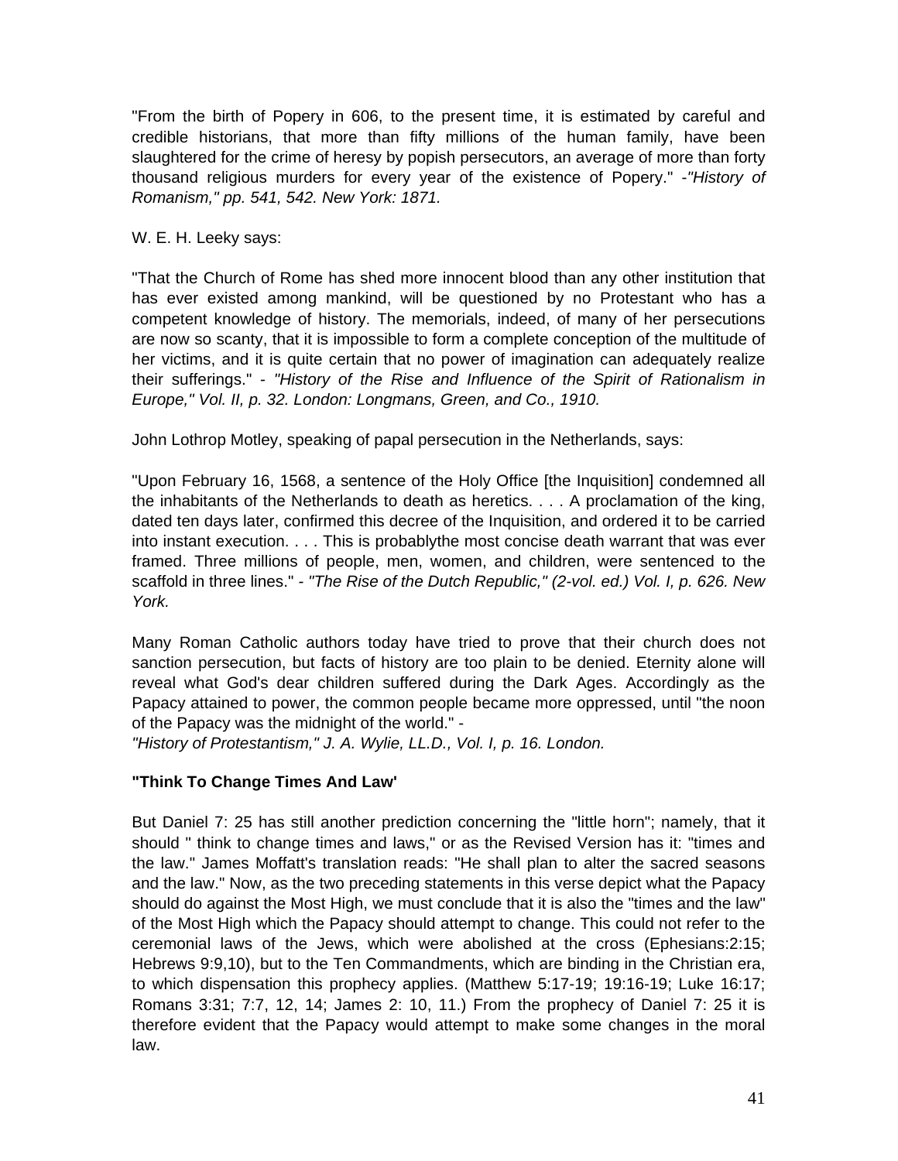"From the birth of Popery in 606, to the present time, it is estimated by careful and credible historians, that more than fifty millions of the human family, have been slaughtered for the crime of heresy by popish persecutors, an average of more than forty thousand religious murders for every year of the existence of Popery." -*"History of Romanism," pp. 541, 542. New York: 1871.* 

## W. E. H. Leeky says:

"That the Church of Rome has shed more innocent blood than any other institution that has ever existed among mankind, will be questioned by no Protestant who has a competent knowledge of history. The memorials, indeed, of many of her persecutions are now so scanty, that it is impossible to form a complete conception of the multitude of her victims, and it is quite certain that no power of imagination can adequately realize their sufferings." - *"History of the Rise and Influence of the Spirit of Rationalism in Europe," Vol. II, p. 32. London: Longmans, Green, and Co., 1910.* 

John Lothrop Motley, speaking of papal persecution in the Netherlands, says:

"Upon February 16, 1568, a sentence of the Holy Office [the Inquisition] condemned all the inhabitants of the Netherlands to death as heretics. . . . A proclamation of the king, dated ten days later, confirmed this decree of the Inquisition, and ordered it to be carried into instant execution. . . . This is probablythe most concise death warrant that was ever framed. Three millions of people, men, women, and children, were sentenced to the scaffold in three lines." *- "The Rise of the Dutch Republic," (2-vol. ed.) Vol. I, p. 626. New York.* 

Many Roman Catholic authors today have tried to prove that their church does not sanction persecution, but facts of history are too plain to be denied. Eternity alone will reveal what God's dear children suffered during the Dark Ages. Accordingly as the Papacy attained to power, the common people became more oppressed, until "the noon of the Papacy was the midnight of the world." -

*"History of Protestantism," J. A. Wylie, LL.D., Vol. I, p. 16. London.* 

# **"Think To Change Times And Law'**

But Daniel 7: 25 has still another prediction concerning the "little horn"; namely, that it should " think to change times and laws," or as the Revised Version has it: "times and the law." James Moffatt's translation reads: "He shall plan to alter the sacred seasons and the law." Now, as the two preceding statements in this verse depict what the Papacy should do against the Most High, we must conclude that it is also the "times and the law" of the Most High which the Papacy should attempt to change. This could not refer to the ceremonial laws of the Jews, which were abolished at the cross (Ephesians:2:15; Hebrews 9:9,10), but to the Ten Commandments, which are binding in the Christian era, to which dispensation this prophecy applies. (Matthew 5:17-19; 19:16-19; Luke 16:17; Romans 3:31; 7:7, 12, 14; James 2: 10, 11.) From the prophecy of Daniel 7: 25 it is therefore evident that the Papacy would attempt to make some changes in the moral law.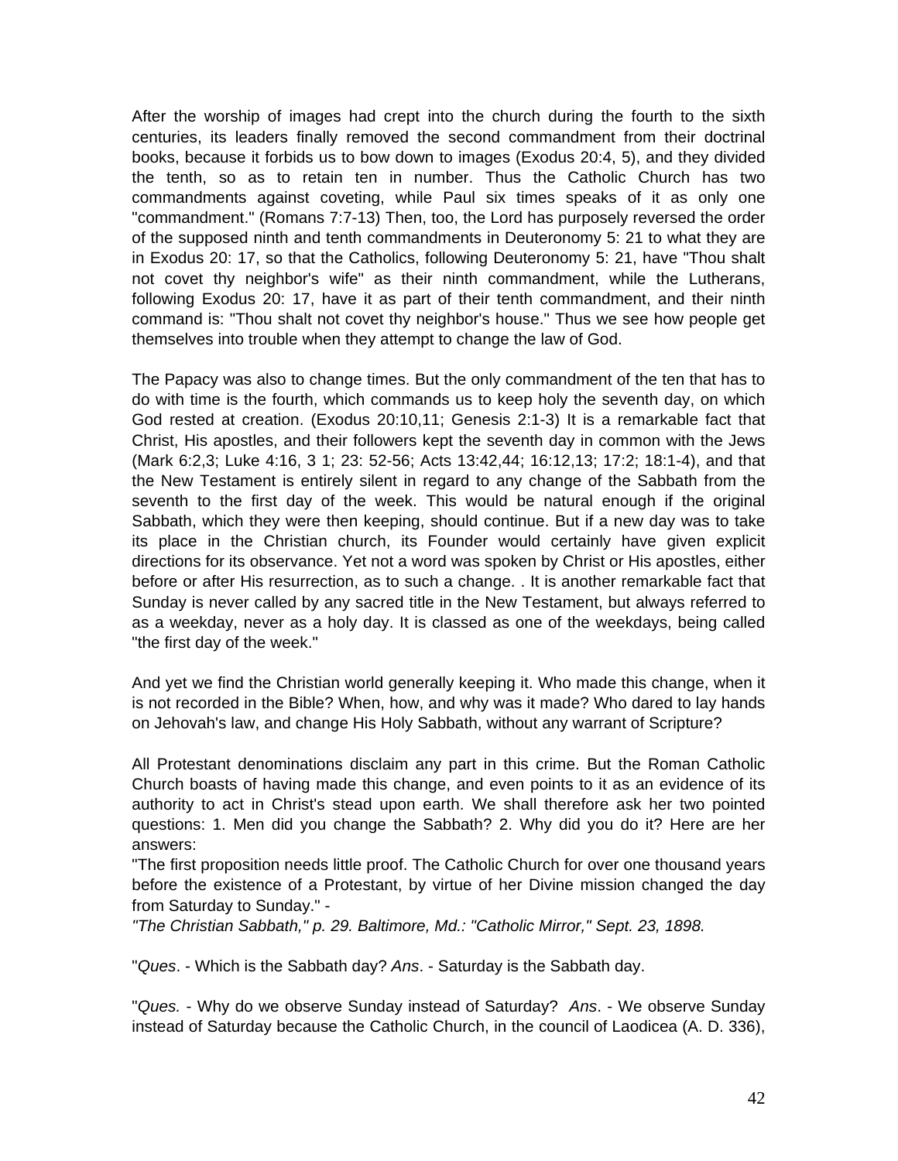After the worship of images had crept into the church during the fourth to the sixth centuries, its leaders finally removed the second commandment from their doctrinal books, because it forbids us to bow down to images (Exodus 20:4, 5), and they divided the tenth, so as to retain ten in number. Thus the Catholic Church has two commandments against coveting, while Paul six times speaks of it as only one "commandment." (Romans 7:7-13) Then, too, the Lord has purposely reversed the order of the supposed ninth and tenth commandments in Deuteronomy 5: 21 to what they are in Exodus 20: 17, so that the Catholics, following Deuteronomy 5: 21, have "Thou shalt not covet thy neighbor's wife" as their ninth commandment, while the Lutherans, following Exodus 20: 17, have it as part of their tenth commandment, and their ninth command is: "Thou shalt not covet thy neighbor's house." Thus we see how people get themselves into trouble when they attempt to change the law of God.

The Papacy was also to change times. But the only commandment of the ten that has to do with time is the fourth, which commands us to keep holy the seventh day, on which God rested at creation. (Exodus 20:10,11; Genesis 2:1-3) It is a remarkable fact that Christ, His apostles, and their followers kept the seventh day in common with the Jews (Mark 6:2,3; Luke 4:16, 3 1; 23: 52-56; Acts 13:42,44; 16:12,13; 17:2; 18:1-4), and that the New Testament is entirely silent in regard to any change of the Sabbath from the seventh to the first day of the week. This would be natural enough if the original Sabbath, which they were then keeping, should continue. But if a new day was to take its place in the Christian church, its Founder would certainly have given explicit directions for its observance. Yet not a word was spoken by Christ or His apostles, either before or after His resurrection, as to such a change. . It is another remarkable fact that Sunday is never called by any sacred title in the New Testament, but always referred to as a weekday, never as a holy day. It is classed as one of the weekdays, being called "the first day of the week."

And yet we find the Christian world generally keeping it. Who made this change, when it is not recorded in the Bible? When, how, and why was it made? Who dared to lay hands on Jehovah's law, and change His Holy Sabbath, without any warrant of Scripture?

All Protestant denominations disclaim any part in this crime. But the Roman Catholic Church boasts of having made this change, and even points to it as an evidence of its authority to act in Christ's stead upon earth. We shall therefore ask her two pointed questions: 1. Men did you change the Sabbath? 2. Why did you do it? Here are her answers:

"The first proposition needs little proof. The Catholic Church for over one thousand years before the existence of a Protestant, by virtue of her Divine mission changed the day from Saturday to Sunday." -

*"The Christian Sabbath," p. 29. Baltimore, Md.: "Catholic Mirror," Sept. 23, 1898.* 

"*Ques*. - Which is the Sabbath day? *Ans*. - Saturday is the Sabbath day.

"*Ques.* - Why do we observe Sunday instead of Saturday? *Ans*. - We observe Sunday instead of Saturday because the Catholic Church, in the council of Laodicea (A. D. 336),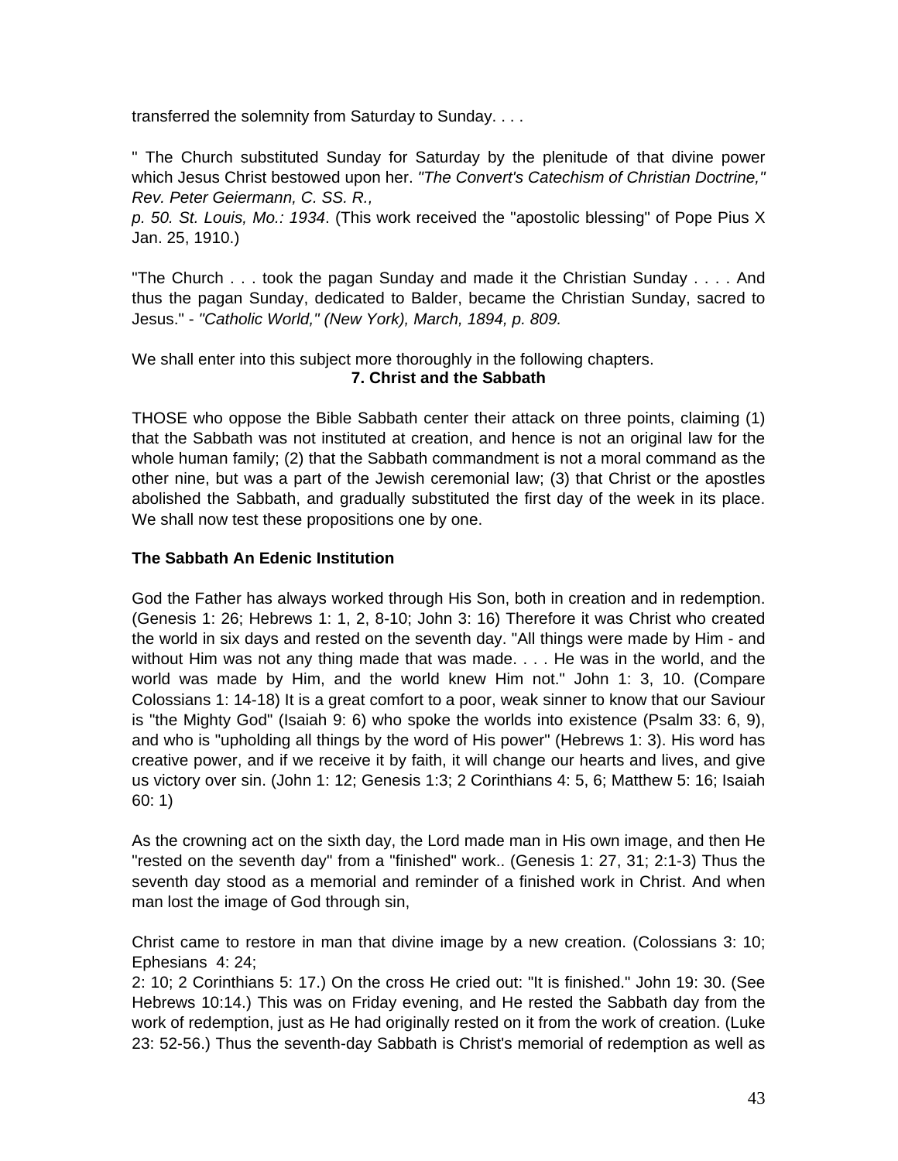transferred the solemnity from Saturday to Sunday. . . .

" The Church substituted Sunday for Saturday by the plenitude of that divine power which Jesus Christ bestowed upon her. *"The Convert's Catechism of Christian Doctrine," Rev. Peter Geiermann, C. SS. R.,* 

*p. 50. St. Louis, Mo.: 1934*. (This work received the "apostolic blessing" of Pope Pius X Jan. 25, 1910.)

"The Church . . . took the pagan Sunday and made it the Christian Sunday . . . . And thus the pagan Sunday, dedicated to Balder, became the Christian Sunday, sacred to Jesus." - *"Catholic World," (New York), March, 1894, p. 809.* 

We shall enter into this subject more thoroughly in the following chapters. **7. Christ and the Sabbath** 

THOSE who oppose the Bible Sabbath center their attack on three points, claiming (1) that the Sabbath was not instituted at creation, and hence is not an original law for the whole human family; (2) that the Sabbath commandment is not a moral command as the other nine, but was a part of the Jewish ceremonial law; (3) that Christ or the apostles abolished the Sabbath, and gradually substituted the first day of the week in its place. We shall now test these propositions one by one.

### **The Sabbath An Edenic Institution**

God the Father has always worked through His Son, both in creation and in redemption. (Genesis 1: 26; Hebrews 1: 1, 2, 8-10; John 3: 16) Therefore it was Christ who created the world in six days and rested on the seventh day. "All things were made by Him - and without Him was not any thing made that was made. . . . He was in the world, and the world was made by Him, and the world knew Him not." John 1: 3, 10. (Compare Colossians 1: 14-18) It is a great comfort to a poor, weak sinner to know that our Saviour is "the Mighty God" (Isaiah 9: 6) who spoke the worlds into existence (Psalm 33: 6, 9), and who is "upholding all things by the word of His power" (Hebrews 1: 3). His word has creative power, and if we receive it by faith, it will change our hearts and lives, and give us victory over sin. (John 1: 12; Genesis 1:3; 2 Corinthians 4: 5, 6; Matthew 5: 16; Isaiah 60: 1)

As the crowning act on the sixth day, the Lord made man in His own image, and then He "rested on the seventh day" from a "finished" work.. (Genesis 1: 27, 31; 2:1-3) Thus the seventh day stood as a memorial and reminder of a finished work in Christ. And when man lost the image of God through sin,

Christ came to restore in man that divine image by a new creation. (Colossians 3: 10; Ephesians 4: 24;

2: 10; 2 Corinthians 5: 17.) On the cross He cried out: "It is finished." John 19: 30. (See Hebrews 10:14.) This was on Friday evening, and He rested the Sabbath day from the work of redemption, just as He had originally rested on it from the work of creation. (Luke 23: 52-56.) Thus the seventh-day Sabbath is Christ's memorial of redemption as well as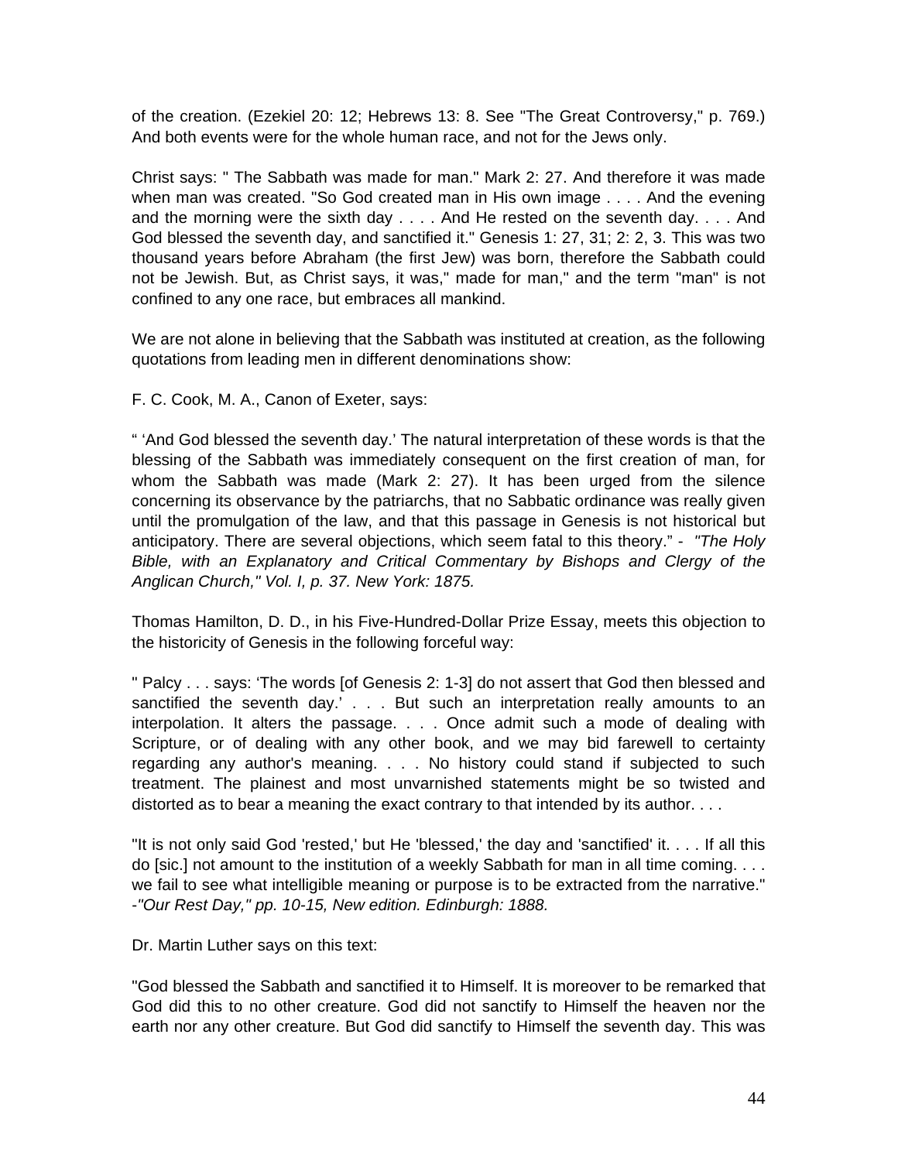of the creation. (Ezekiel 20: 12; Hebrews 13: 8. See "The Great Controversy," p. 769.) And both events were for the whole human race, and not for the Jews only.

Christ says: " The Sabbath was made for man." Mark 2: 27. And therefore it was made when man was created. "So God created man in His own image . . . . And the evening and the morning were the sixth day . . . . And He rested on the seventh day. . . . And God blessed the seventh day, and sanctified it." Genesis 1: 27, 31; 2: 2, 3. This was two thousand years before Abraham (the first Jew) was born, therefore the Sabbath could not be Jewish. But, as Christ says, it was," made for man," and the term "man" is not confined to any one race, but embraces all mankind.

We are not alone in believing that the Sabbath was instituted at creation, as the following quotations from leading men in different denominations show:

F. C. Cook, M. A., Canon of Exeter, says:

" 'And God blessed the seventh day.' The natural interpretation of these words is that the blessing of the Sabbath was immediately consequent on the first creation of man, for whom the Sabbath was made (Mark 2: 27). It has been urged from the silence concerning its observance by the patriarchs, that no Sabbatic ordinance was really given until the promulgation of the law, and that this passage in Genesis is not historical but anticipatory. There are several objections, which seem fatal to this theory." - *"The Holy Bible, with an Explanatory and Critical Commentary by Bishops and Clergy of the Anglican Church," Vol. I, p. 37. New York: 1875.* 

Thomas Hamilton, D. D., in his Five-Hundred-Dollar Prize Essay, meets this objection to the historicity of Genesis in the following forceful way:

" Palcy . . . says: 'The words [of Genesis 2: 1-3] do not assert that God then blessed and sanctified the seventh day.' . . . But such an interpretation really amounts to an interpolation. It alters the passage. . . . Once admit such a mode of dealing with Scripture, or of dealing with any other book, and we may bid farewell to certainty regarding any author's meaning. . . . No history could stand if subjected to such treatment. The plainest and most unvarnished statements might be so twisted and distorted as to bear a meaning the exact contrary to that intended by its author. . . .

"It is not only said God 'rested,' but He 'blessed,' the day and 'sanctified' it. . . . If all this do [sic.] not amount to the institution of a weekly Sabbath for man in all time coming. . . . we fail to see what intelligible meaning or purpose is to be extracted from the narrative." -*"Our Rest Day," pp. 10-15, New edition. Edinburgh: 1888.* 

Dr. Martin Luther says on this text:

"God blessed the Sabbath and sanctified it to Himself. It is moreover to be remarked that God did this to no other creature. God did not sanctify to Himself the heaven nor the earth nor any other creature. But God did sanctify to Himself the seventh day. This was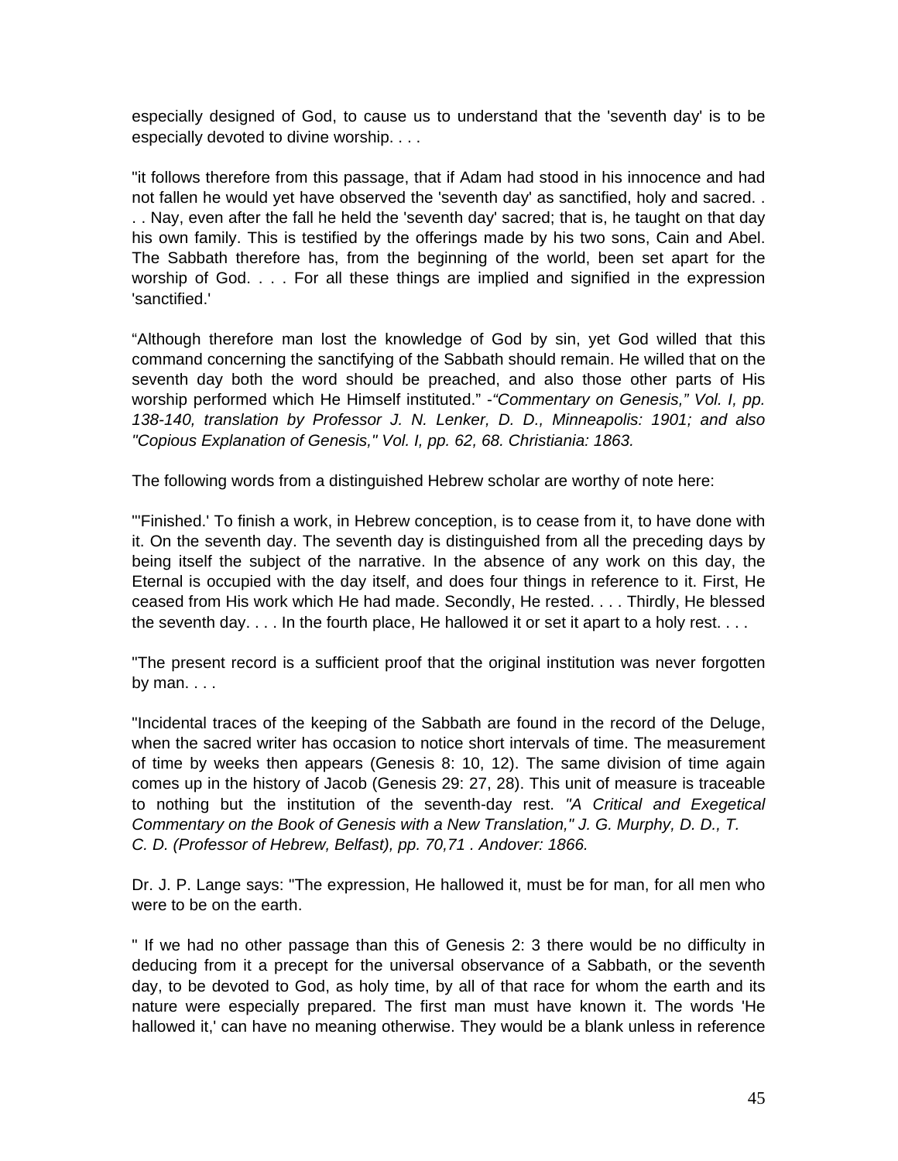especially designed of God, to cause us to understand that the 'seventh day' is to be especially devoted to divine worship. . . .

"it follows therefore from this passage, that if Adam had stood in his innocence and had not fallen he would yet have observed the 'seventh day' as sanctified, holy and sacred. . . . Nay, even after the fall he held the 'seventh day' sacred; that is, he taught on that day his own family. This is testified by the offerings made by his two sons, Cain and Abel. The Sabbath therefore has, from the beginning of the world, been set apart for the worship of God. . . . For all these things are implied and signified in the expression 'sanctified.'

"Although therefore man lost the knowledge of God by sin, yet God willed that this command concerning the sanctifying of the Sabbath should remain. He willed that on the seventh day both the word should be preached, and also those other parts of His worship performed which He Himself instituted." -*"Commentary on Genesis," Vol. I, pp. 138-140, translation by Professor J. N. Lenker, D. D., Minneapolis: 1901; and also "Copious Explanation of Genesis," Vol. I, pp. 62, 68. Christiania: 1863.* 

The following words from a distinguished Hebrew scholar are worthy of note here:

"'Finished.' To finish a work, in Hebrew conception, is to cease from it, to have done with it. On the seventh day. The seventh day is distinguished from all the preceding days by being itself the subject of the narrative. In the absence of any work on this day, the Eternal is occupied with the day itself, and does four things in reference to it. First, He ceased from His work which He had made. Secondly, He rested. . . . Thirdly, He blessed the seventh day. . . . In the fourth place, He hallowed it or set it apart to a holy rest. . . .

"The present record is a sufficient proof that the original institution was never forgotten by man. . . .

"Incidental traces of the keeping of the Sabbath are found in the record of the Deluge, when the sacred writer has occasion to notice short intervals of time. The measurement of time by weeks then appears (Genesis 8: 10, 12). The same division of time again comes up in the history of Jacob (Genesis 29: 27, 28). This unit of measure is traceable to nothing but the institution of the seventh-day rest. *"A Critical and Exegetical Commentary on the Book of Genesis with a New Translation," J. G. Murphy, D. D., T. C. D. (Professor of Hebrew, Belfast), pp. 70,71 . Andover: 1866.* 

Dr. J. P. Lange says: "The expression, He hallowed it, must be for man, for all men who were to be on the earth.

" If we had no other passage than this of Genesis 2: 3 there would be no difficulty in deducing from it a precept for the universal observance of a Sabbath, or the seventh day, to be devoted to God, as holy time, by all of that race for whom the earth and its nature were especially prepared. The first man must have known it. The words 'He hallowed it,' can have no meaning otherwise. They would be a blank unless in reference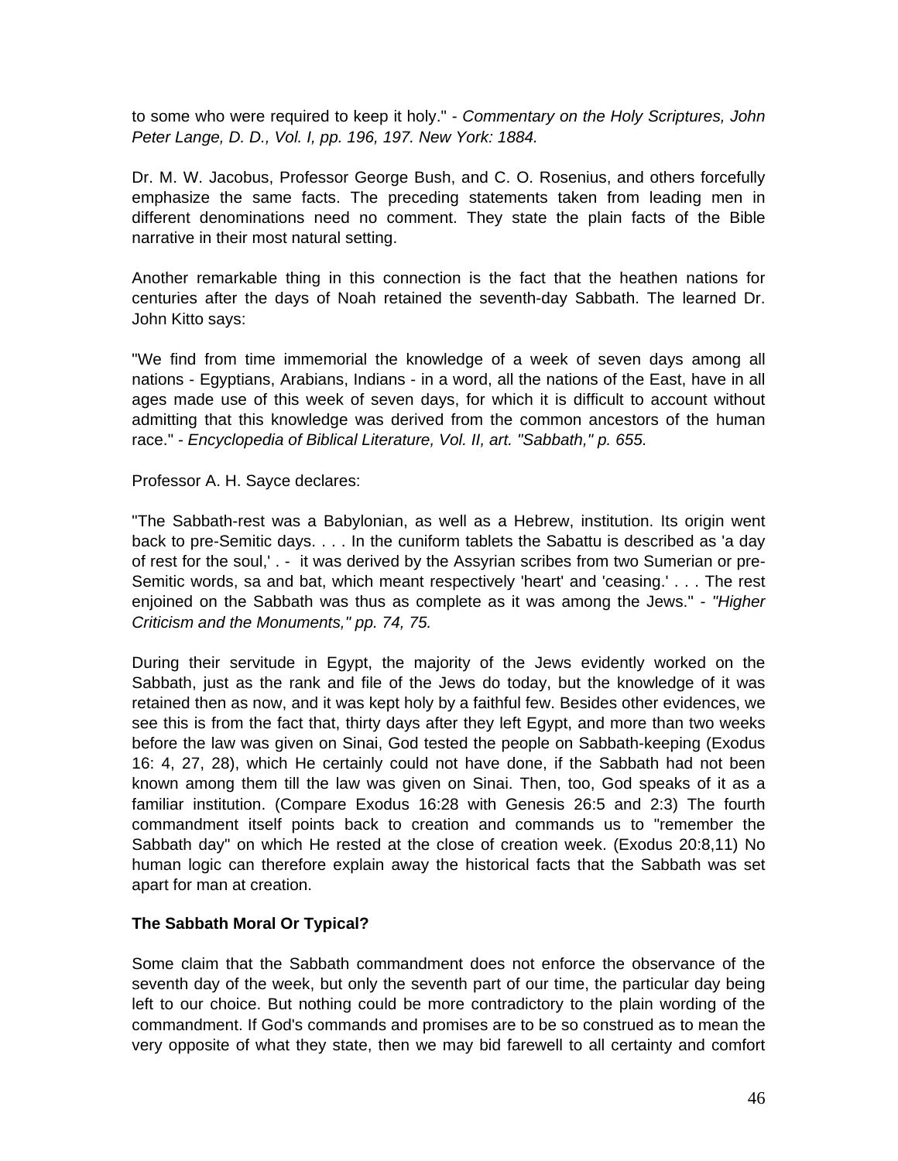to some who were required to keep it holy." - *Commentary on the Holy Scriptures, John Peter Lange, D. D., Vol. I, pp. 196, 197. New York: 1884.* 

Dr. M. W. Jacobus, Professor George Bush, and C. O. Rosenius, and others forcefully emphasize the same facts. The preceding statements taken from leading men in different denominations need no comment. They state the plain facts of the Bible narrative in their most natural setting.

Another remarkable thing in this connection is the fact that the heathen nations for centuries after the days of Noah retained the seventh-day Sabbath. The learned Dr. John Kitto says:

"We find from time immemorial the knowledge of a week of seven days among all nations - Egyptians, Arabians, Indians - in a word, all the nations of the East, have in all ages made use of this week of seven days, for which it is difficult to account without admitting that this knowledge was derived from the common ancestors of the human race." *- Encyclopedia of Biblical Literature, Vol. II, art. "Sabbath," p. 655.* 

Professor A. H. Sayce declares:

"The Sabbath-rest was a Babylonian, as well as a Hebrew, institution. Its origin went back to pre-Semitic days. . . . In the cuniform tablets the Sabattu is described as 'a day of rest for the soul,' . - it was derived by the Assyrian scribes from two Sumerian or pre-Semitic words, sa and bat, which meant respectively 'heart' and 'ceasing.' . . . The rest enjoined on the Sabbath was thus as complete as it was among the Jews." *- "Higher Criticism and the Monuments," pp. 74, 75.* 

During their servitude in Egypt, the majority of the Jews evidently worked on the Sabbath, just as the rank and file of the Jews do today, but the knowledge of it was retained then as now, and it was kept holy by a faithful few. Besides other evidences, we see this is from the fact that, thirty days after they left Egypt, and more than two weeks before the law was given on Sinai, God tested the people on Sabbath-keeping (Exodus 16: 4, 27, 28), which He certainly could not have done, if the Sabbath had not been known among them till the law was given on Sinai. Then, too, God speaks of it as a familiar institution. (Compare Exodus 16:28 with Genesis 26:5 and 2:3) The fourth commandment itself points back to creation and commands us to "remember the Sabbath day" on which He rested at the close of creation week. (Exodus 20:8,11) No human logic can therefore explain away the historical facts that the Sabbath was set apart for man at creation.

### **The Sabbath Moral Or Typical?**

Some claim that the Sabbath commandment does not enforce the observance of the seventh day of the week, but only the seventh part of our time, the particular day being left to our choice. But nothing could be more contradictory to the plain wording of the commandment. If God's commands and promises are to be so construed as to mean the very opposite of what they state, then we may bid farewell to all certainty and comfort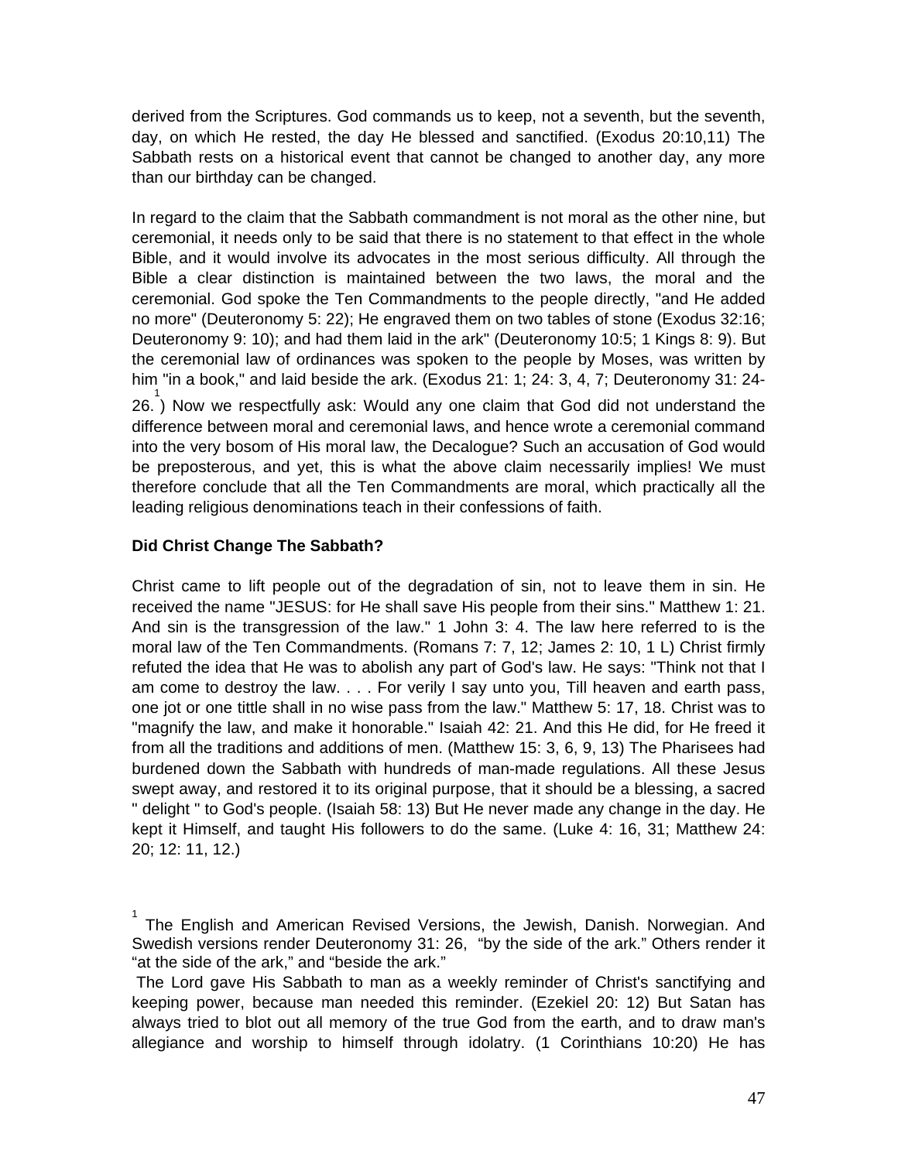derived from the Scriptures. God commands us to keep, not a seventh, but the seventh, day, on which He rested, the day He blessed and sanctified. (Exodus 20:10,11) The Sabbath rests on a historical event that cannot be changed to another day, any more than our birthday can be changed.

In regard to the claim that the Sabbath commandment is not moral as the other nine, but ceremonial, it needs only to be said that there is no statement to that effect in the whole Bible, and it would involve its advocates in the most serious difficulty. All through the Bible a clear distinction is maintained between the two laws, the moral and the ceremonial. God spoke the Ten Commandments to the people directly, "and He added no more" (Deuteronomy 5: 22); He engraved them on two tables of stone (Exodus 32:16; Deuteronomy 9: 10); and had them laid in the ark" (Deuteronomy 10:5; 1 Kings 8: 9). But the ceremonial law of ordinances was spoken to the people by Moses, was written by him "in a book," and laid beside the ark. (Exodus 21: 1; 24: 3, 4, 7; Deuteronomy 31: 24- 26. 1 ) Now we respectfully ask: Would any one claim that God did not understand the difference between moral and ceremonial laws, and hence wrote a ceremonial command

into the very bosom of His moral law, the Decalogue? Such an accusation of God would be preposterous, and yet, this is what the above claim necessarily implies! We must therefore conclude that all the Ten Commandments are moral, which practically all the leading religious denominations teach in their confessions of faith.

# **Did Christ Change The Sabbath?**

Christ came to lift people out of the degradation of sin, not to leave them in sin. He received the name "JESUS: for He shall save His people from their sins." Matthew 1: 21. And sin is the transgression of the law." 1 John 3: 4. The law here referred to is the moral law of the Ten Commandments. (Romans 7: 7, 12; James 2: 10, 1 L) Christ firmly refuted the idea that He was to abolish any part of God's law. He says: "Think not that I am come to destroy the law. . . . For verily I say unto you, Till heaven and earth pass, one jot or one tittle shall in no wise pass from the law." Matthew 5: 17, 18. Christ was to "magnify the law, and make it honorable." Isaiah 42: 21. And this He did, for He freed it from all the traditions and additions of men. (Matthew 15: 3, 6, 9, 13) The Pharisees had burdened down the Sabbath with hundreds of man-made regulations. All these Jesus swept away, and restored it to its original purpose, that it should be a blessing, a sacred " delight " to God's people. (Isaiah 58: 13) But He never made any change in the day. He kept it Himself, and taught His followers to do the same. (Luke 4: 16, 31; Matthew 24: 20; 12: 11, 12.)

<sup>1</sup> The English and American Revised Versions, the Jewish, Danish. Norwegian. And Swedish versions render Deuteronomy 31: 26, "by the side of the ark." Others render it "at the side of the ark," and "beside the ark."

The Lord gave His Sabbath to man as a weekly reminder of Christ's sanctifying and keeping power, because man needed this reminder. (Ezekiel 20: 12) But Satan has always tried to blot out all memory of the true God from the earth, and to draw man's allegiance and worship to himself through idolatry. (1 Corinthians 10:20) He has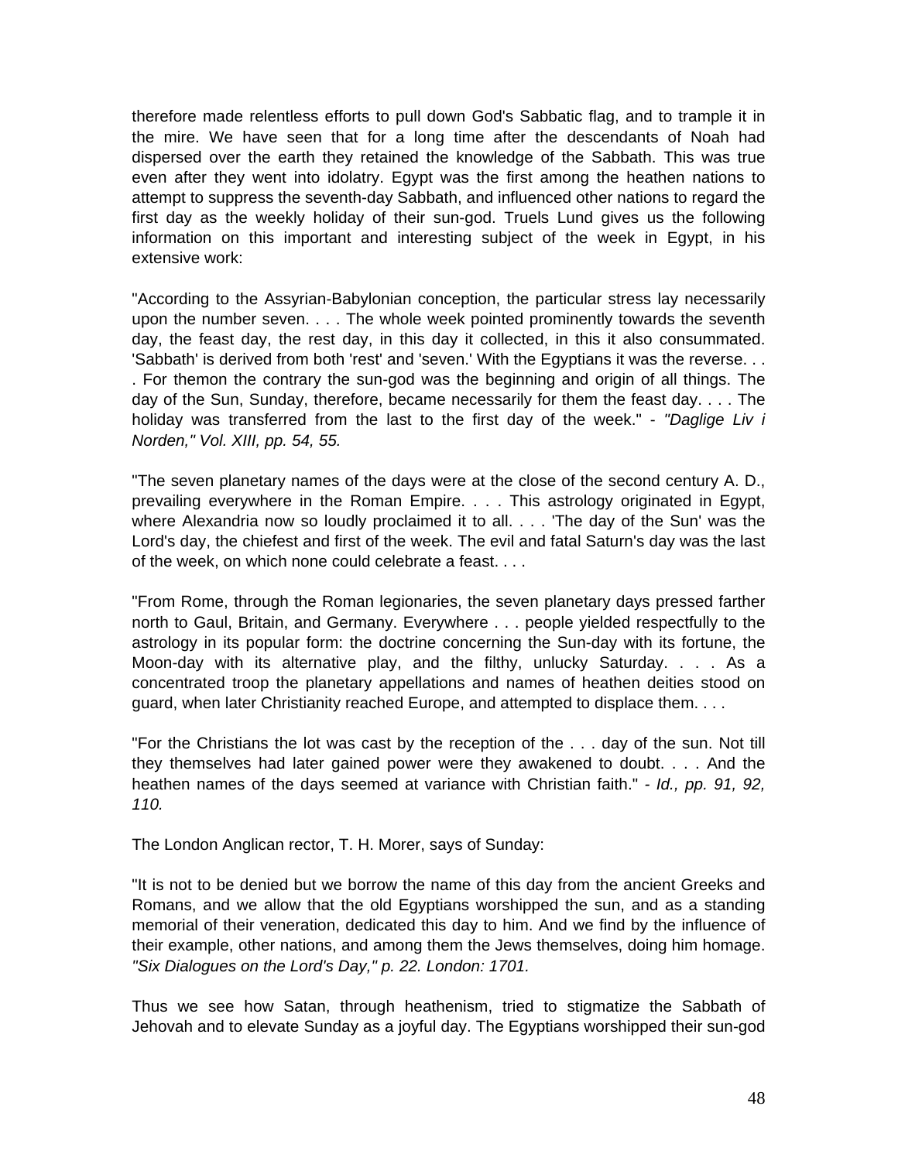therefore made relentless efforts to pull down God's Sabbatic flag, and to trample it in the mire. We have seen that for a long time after the descendants of Noah had dispersed over the earth they retained the knowledge of the Sabbath. This was true even after they went into idolatry. Egypt was the first among the heathen nations to attempt to suppress the seventh-day Sabbath, and influenced other nations to regard the first day as the weekly holiday of their sun-god. Truels Lund gives us the following information on this important and interesting subject of the week in Egypt, in his extensive work:

"According to the Assyrian-Babylonian conception, the particular stress lay necessarily upon the number seven. . . . The whole week pointed prominently towards the seventh day, the feast day, the rest day, in this day it collected, in this it also consummated. 'Sabbath' is derived from both 'rest' and 'seven.' With the Egyptians it was the reverse. . . . For themon the contrary the sun-god was the beginning and origin of all things. The day of the Sun, Sunday, therefore, became necessarily for them the feast day. . . . The holiday was transferred from the last to the first day of the week." - *"Daglige Liv i Norden," Vol. XIII, pp. 54, 55.* 

"The seven planetary names of the days were at the close of the second century A. D., prevailing everywhere in the Roman Empire. . . . This astrology originated in Egypt, where Alexandria now so loudly proclaimed it to all. . . . 'The day of the Sun' was the Lord's day, the chiefest and first of the week. The evil and fatal Saturn's day was the last of the week, on which none could celebrate a feast. . . .

"From Rome, through the Roman legionaries, the seven planetary days pressed farther north to Gaul, Britain, and Germany. Everywhere . . . people yielded respectfully to the astrology in its popular form: the doctrine concerning the Sun-day with its fortune, the Moon-day with its alternative play, and the filthy, unlucky Saturday. . . . As a concentrated troop the planetary appellations and names of heathen deities stood on guard, when later Christianity reached Europe, and attempted to displace them. . . .

"For the Christians the lot was cast by the reception of the . . . day of the sun. Not till they themselves had later gained power were they awakened to doubt. . . . And the heathen names of the days seemed at variance with Christian faith." *- Id., pp. 91, 92, 110.* 

The London Anglican rector, T. H. Morer, says of Sunday:

"It is not to be denied but we borrow the name of this day from the ancient Greeks and Romans, and we allow that the old Egyptians worshipped the sun, and as a standing memorial of their veneration, dedicated this day to him. And we find by the influence of their example, other nations, and among them the Jews themselves, doing him homage. *"Six Dialogues on the Lord's Day," p. 22. London: 1701.* 

Thus we see how Satan, through heathenism, tried to stigmatize the Sabbath of Jehovah and to elevate Sunday as a joyful day. The Egyptians worshipped their sun-god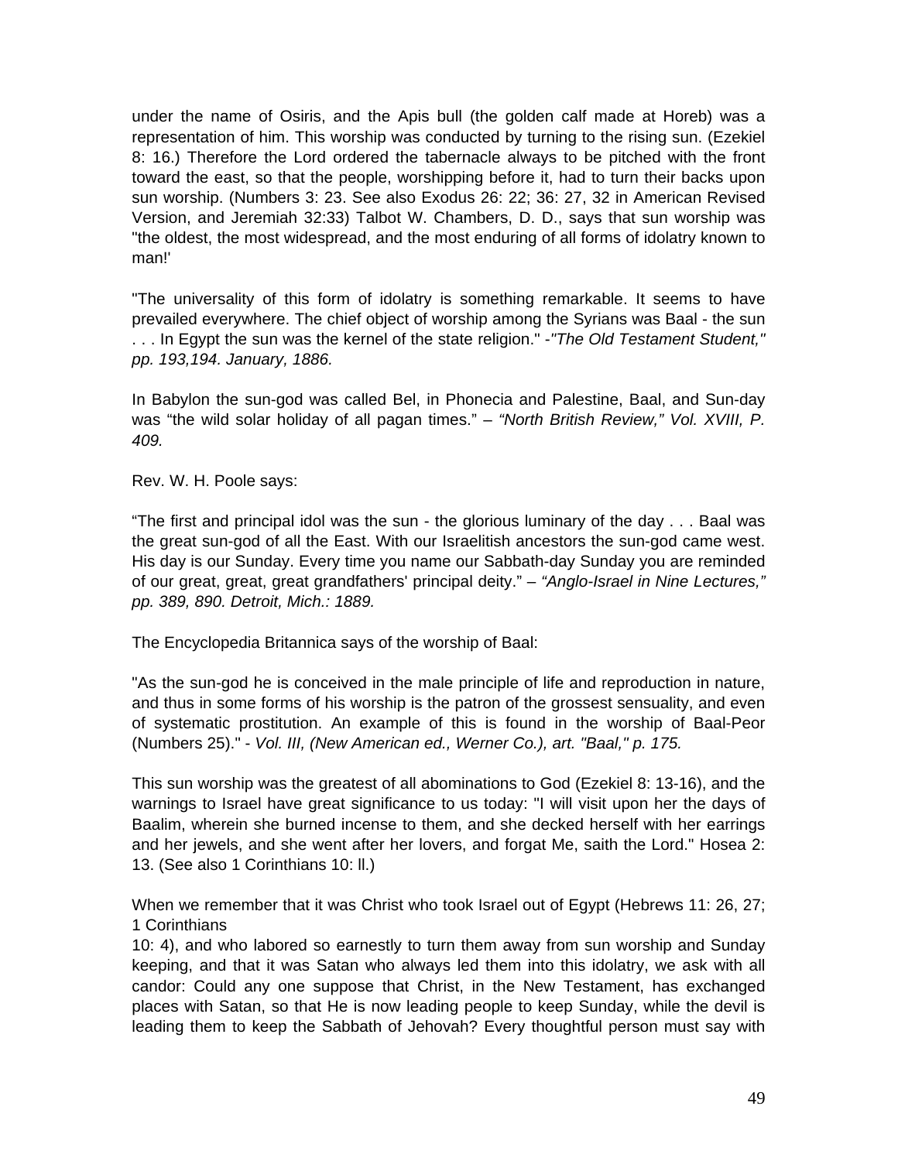under the name of Osiris, and the Apis bull (the golden calf made at Horeb) was a representation of him. This worship was conducted by turning to the rising sun. (Ezekiel 8: 16.) Therefore the Lord ordered the tabernacle always to be pitched with the front toward the east, so that the people, worshipping before it, had to turn their backs upon sun worship. (Numbers 3: 23. See also Exodus 26: 22; 36: 27, 32 in American Revised Version, and Jeremiah 32:33) Talbot W. Chambers, D. D., says that sun worship was "the oldest, the most widespread, and the most enduring of all forms of idolatry known to man!'

"The universality of this form of idolatry is something remarkable. It seems to have prevailed everywhere. The chief object of worship among the Syrians was Baal - the sun . . . In Egypt the sun was the kernel of the state religion." -*"The Old Testament Student," pp. 193,194. January, 1886.* 

In Babylon the sun-god was called Bel, in Phonecia and Palestine, Baal, and Sun-day was "the wild solar holiday of all pagan times." – *"North British Review," Vol. XVIII, P. 409.* 

Rev. W. H. Poole says:

"The first and principal idol was the sun - the glorious luminary of the day . . . Baal was the great sun-god of all the East. With our Israelitish ancestors the sun-god came west. His day is our Sunday. Every time you name our Sabbath-day Sunday you are reminded of our great, great, great grandfathers' principal deity." – *"Anglo-Israel in Nine Lectures," pp. 389, 890. Detroit, Mich.: 1889.* 

The Encyclopedia Britannica says of the worship of Baal:

"As the sun-god he is conceived in the male principle of life and reproduction in nature, and thus in some forms of his worship is the patron of the grossest sensuality, and even of systematic prostitution. An example of this is found in the worship of Baal-Peor (Numbers 25)." - *Vol. III, (New American ed., Werner Co.), art. "Baal," p. 175.* 

This sun worship was the greatest of all abominations to God (Ezekiel 8: 13-16), and the warnings to Israel have great significance to us today: "I will visit upon her the days of Baalim, wherein she burned incense to them, and she decked herself with her earrings and her jewels, and she went after her lovers, and forgat Me, saith the Lord." Hosea 2: 13. (See also 1 Corinthians 10: ll.)

When we remember that it was Christ who took Israel out of Egypt (Hebrews 11: 26, 27; 1 Corinthians

10: 4), and who labored so earnestly to turn them away from sun worship and Sunday keeping, and that it was Satan who always led them into this idolatry, we ask with all candor: Could any one suppose that Christ, in the New Testament, has exchanged places with Satan, so that He is now leading people to keep Sunday, while the devil is leading them to keep the Sabbath of Jehovah? Every thoughtful person must say with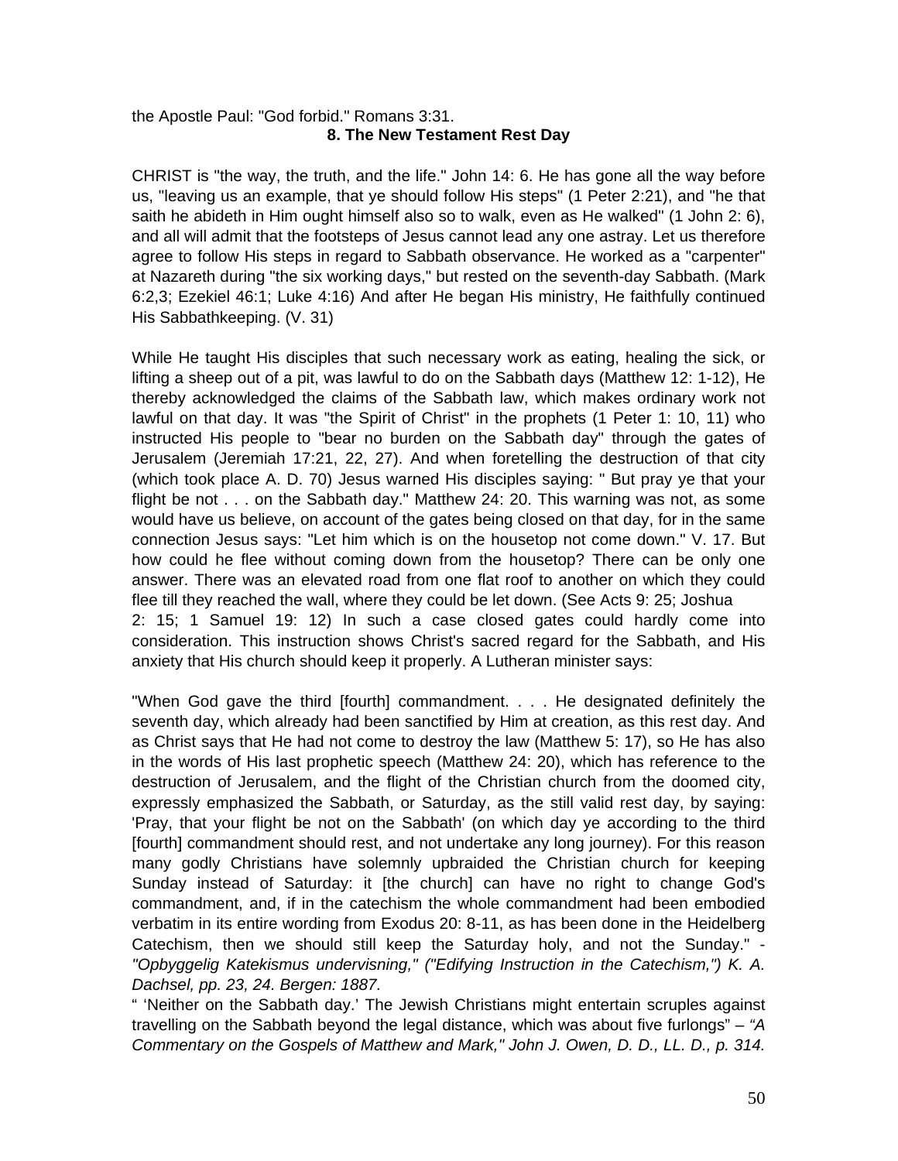## the Apostle Paul: "God forbid." Romans 3:31. **8. The New Testament Rest Day**

CHRIST is "the way, the truth, and the life." John 14: 6. He has gone all the way before us, "leaving us an example, that ye should follow His steps" (1 Peter 2:21), and "he that saith he abideth in Him ought himself also so to walk, even as He walked" (1 John 2: 6), and all will admit that the footsteps of Jesus cannot lead any one astray. Let us therefore agree to follow His steps in regard to Sabbath observance. He worked as a "carpenter" at Nazareth during "the six working days," but rested on the seventh-day Sabbath. (Mark 6:2,3; Ezekiel 46:1; Luke 4:16) And after He began His ministry, He faithfully continued His Sabbathkeeping. (V. 31)

While He taught His disciples that such necessary work as eating, healing the sick, or lifting a sheep out of a pit, was lawful to do on the Sabbath days (Matthew 12: 1-12), He thereby acknowledged the claims of the Sabbath law, which makes ordinary work not lawful on that day. It was "the Spirit of Christ" in the prophets (1 Peter 1: 10, 11) who instructed His people to "bear no burden on the Sabbath day" through the gates of Jerusalem (Jeremiah 17:21, 22, 27). And when foretelling the destruction of that city (which took place A. D. 70) Jesus warned His disciples saying: " But pray ye that your flight be not . . . on the Sabbath day." Matthew 24: 20. This warning was not, as some would have us believe, on account of the gates being closed on that day, for in the same connection Jesus says: "Let him which is on the housetop not come down." V. 17. But how could he flee without coming down from the housetop? There can be only one answer. There was an elevated road from one flat roof to another on which they could flee till they reached the wall, where they could be let down. (See Acts 9: 25; Joshua 2: 15; 1 Samuel 19: 12) In such a case closed gates could hardly come into consideration. This instruction shows Christ's sacred regard for the Sabbath, and His anxiety that His church should keep it properly. A Lutheran minister says:

"When God gave the third [fourth] commandment. . . . He designated definitely the seventh day, which already had been sanctified by Him at creation, as this rest day. And as Christ says that He had not come to destroy the law (Matthew 5: 17), so He has also in the words of His last prophetic speech (Matthew 24: 20), which has reference to the destruction of Jerusalem, and the flight of the Christian church from the doomed city, expressly emphasized the Sabbath, or Saturday, as the still valid rest day, by saying: 'Pray, that your flight be not on the Sabbath' (on which day ye according to the third [fourth] commandment should rest, and not undertake any long journey). For this reason many godly Christians have solemnly upbraided the Christian church for keeping Sunday instead of Saturday: it [the church] can have no right to change God's commandment, and, if in the catechism the whole commandment had been embodied verbatim in its entire wording from Exodus 20: 8-11, as has been done in the Heidelberg Catechism, then we should still keep the Saturday holy, and not the Sunday." - *"Opbyggelig Katekismus undervisning," ("Edifying Instruction in the Catechism,") K. A. Dachsel, pp. 23, 24. Bergen: 1887.* 

" 'Neither on the Sabbath day.' The Jewish Christians might entertain scruples against travelling on the Sabbath beyond the legal distance, which was about five furlongs" – *"A Commentary on the Gospels of Matthew and Mark," John J. Owen, D. D., LL. D., p. 314.*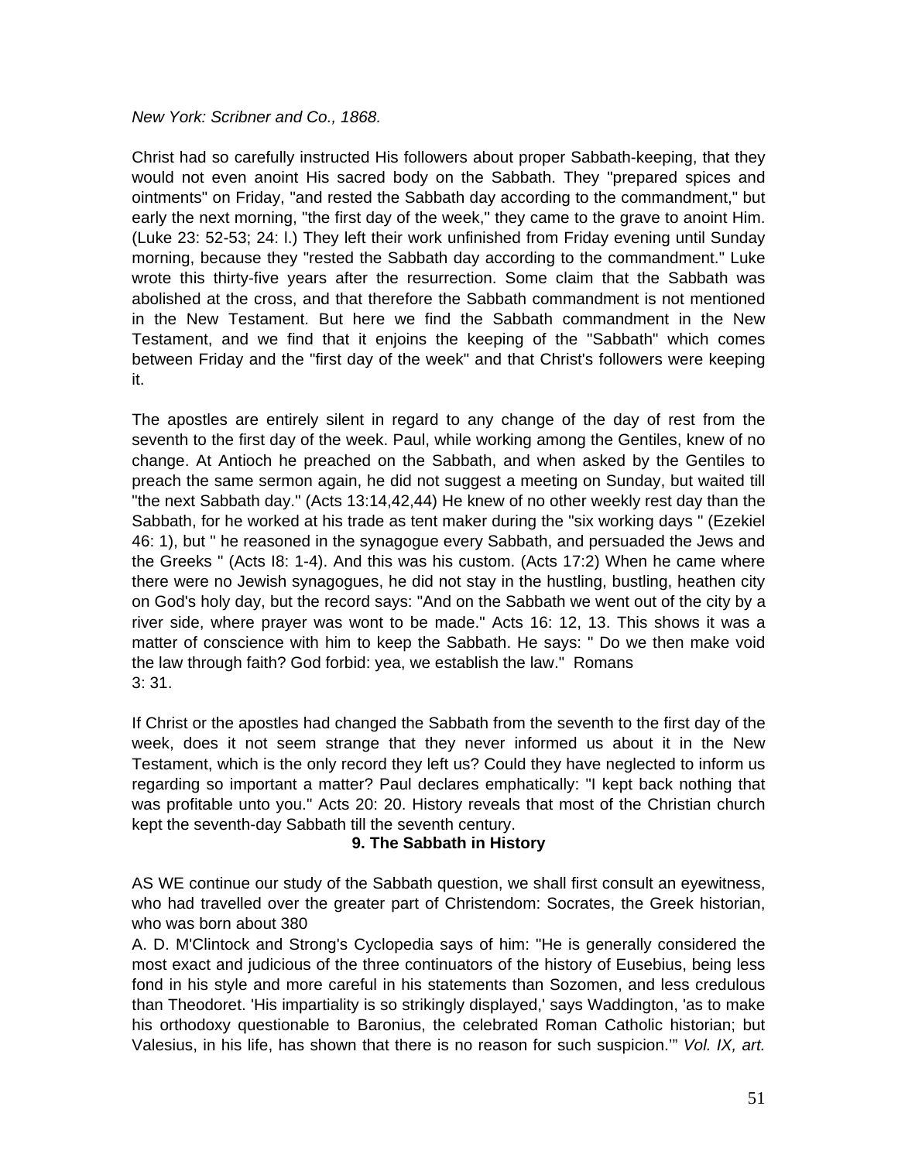*New York: Scribner and Co., 1868.* 

Christ had so carefully instructed His followers about proper Sabbath-keeping, that they would not even anoint His sacred body on the Sabbath. They "prepared spices and ointments" on Friday, "and rested the Sabbath day according to the commandment," but early the next morning, "the first day of the week," they came to the grave to anoint Him. (Luke 23: 52-53; 24: l.) They left their work unfinished from Friday evening until Sunday morning, because they "rested the Sabbath day according to the commandment." Luke wrote this thirty-five years after the resurrection. Some claim that the Sabbath was abolished at the cross, and that therefore the Sabbath commandment is not mentioned in the New Testament. But here we find the Sabbath commandment in the New Testament, and we find that it enjoins the keeping of the "Sabbath" which comes between Friday and the "first day of the week" and that Christ's followers were keeping it.

The apostles are entirely silent in regard to any change of the day of rest from the seventh to the first day of the week. Paul, while working among the Gentiles, knew of no change. At Antioch he preached on the Sabbath, and when asked by the Gentiles to preach the same sermon again, he did not suggest a meeting on Sunday, but waited till "the next Sabbath day." (Acts 13:14,42,44) He knew of no other weekly rest day than the Sabbath, for he worked at his trade as tent maker during the "six working days " (Ezekiel 46: 1), but " he reasoned in the synagogue every Sabbath, and persuaded the Jews and the Greeks " (Acts I8: 1-4). And this was his custom. (Acts 17:2) When he came where there were no Jewish synagogues, he did not stay in the hustling, bustling, heathen city on God's holy day, but the record says: "And on the Sabbath we went out of the city by a river side, where prayer was wont to be made." Acts 16: 12, 13. This shows it was a matter of conscience with him to keep the Sabbath. He says: " Do we then make void the law through faith? God forbid: yea, we establish the law." Romans 3: 31.

If Christ or the apostles had changed the Sabbath from the seventh to the first day of the week, does it not seem strange that they never informed us about it in the New Testament, which is the only record they left us? Could they have neglected to inform us regarding so important a matter? Paul declares emphatically: "I kept back nothing that was profitable unto you." Acts 20: 20. History reveals that most of the Christian church kept the seventh-day Sabbath till the seventh century.

### **9. The Sabbath in History**

AS WE continue our study of the Sabbath question, we shall first consult an eyewitness, who had travelled over the greater part of Christendom: Socrates, the Greek historian, who was born about 380

A. D. M'Clintock and Strong's Cyclopedia says of him: "He is generally considered the most exact and judicious of the three continuators of the history of Eusebius, being less fond in his style and more careful in his statements than Sozomen, and less credulous than Theodoret. 'His impartiality is so strikingly displayed,' says Waddington, 'as to make his orthodoxy questionable to Baronius, the celebrated Roman Catholic historian; but Valesius, in his life, has shown that there is no reason for such suspicion.'" *Vol. IX, art.*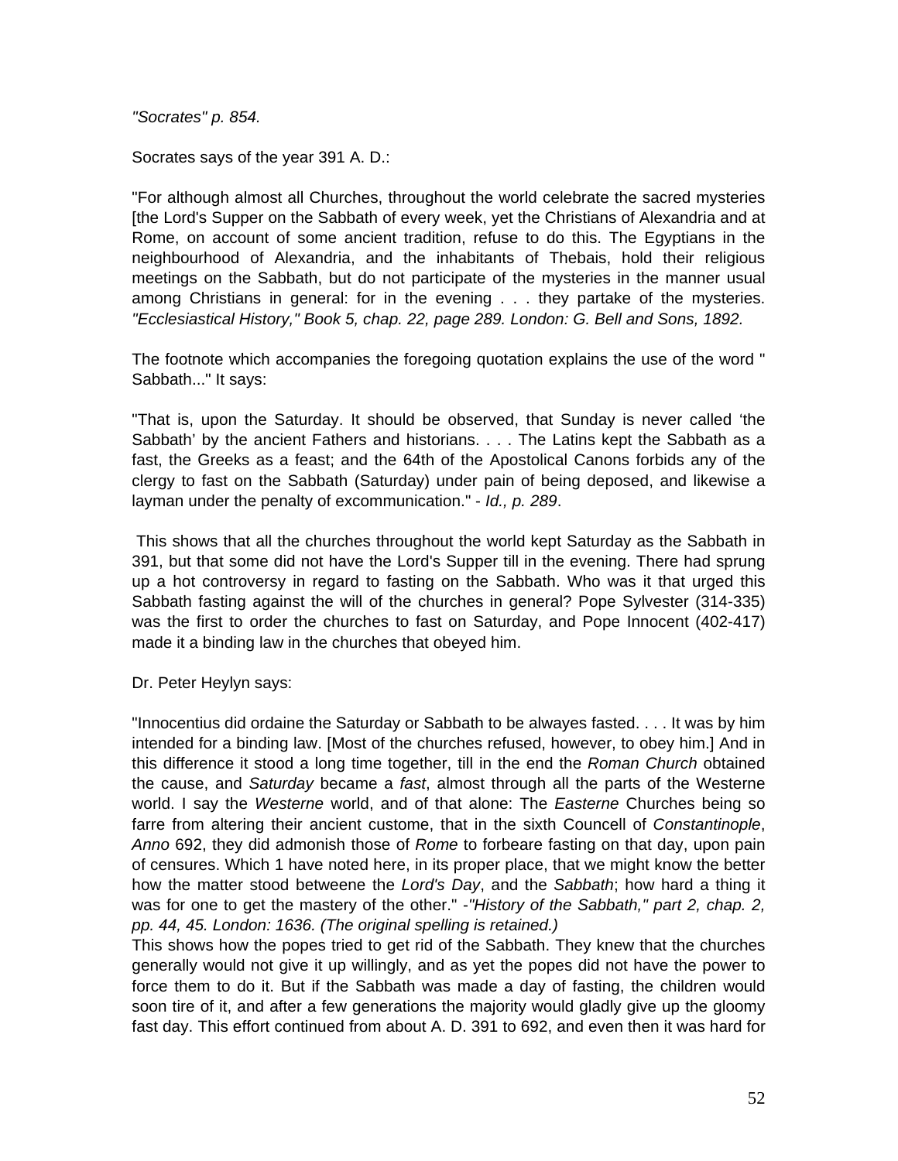*"Socrates" p. 854.* 

Socrates says of the year 391 A. D.:

"For although almost all Churches, throughout the world celebrate the sacred mysteries [the Lord's Supper on the Sabbath of every week, yet the Christians of Alexandria and at Rome, on account of some ancient tradition, refuse to do this. The Egyptians in the neighbourhood of Alexandria, and the inhabitants of Thebais, hold their religious meetings on the Sabbath, but do not participate of the mysteries in the manner usual among Christians in general: for in the evening . . . they partake of the mysteries. *"Ecclesiastical History," Book 5, chap. 22, page 289. London: G. Bell and Sons, 1892.* 

The footnote which accompanies the foregoing quotation explains the use of the word " Sabbath..." It says:

"That is, upon the Saturday. It should be observed, that Sunday is never called 'the Sabbath' by the ancient Fathers and historians. . . . The Latins kept the Sabbath as a fast, the Greeks as a feast; and the 64th of the Apostolical Canons forbids any of the clergy to fast on the Sabbath (Saturday) under pain of being deposed, and likewise a layman under the penalty of excommunication." - *Id., p. 289*.

This shows that all the churches throughout the world kept Saturday as the Sabbath in 391, but that some did not have the Lord's Supper till in the evening. There had sprung up a hot controversy in regard to fasting on the Sabbath. Who was it that urged this Sabbath fasting against the will of the churches in general? Pope Sylvester (314-335) was the first to order the churches to fast on Saturday, and Pope Innocent (402-417) made it a binding law in the churches that obeyed him.

Dr. Peter Heylyn says:

"Innocentius did ordaine the Saturday or Sabbath to be alwayes fasted. . . . It was by him intended for a binding law. [Most of the churches refused, however, to obey him.] And in this difference it stood a long time together, till in the end the *Roman Church* obtained the cause, and *Saturday* became a *fast*, almost through all the parts of the Westerne world. I say the *Westerne* world, and of that alone: The *Easterne* Churches being so farre from altering their ancient custome, that in the sixth Councell of *Constantinople*, *Anno* 692, they did admonish those of *Rome* to forbeare fasting on that day, upon pain of censures. Which 1 have noted here, in its proper place, that we might know the better how the matter stood betweene the *Lord's Day*, and the *Sabbath*; how hard a thing it was for one to get the mastery of the other." -*"History of the Sabbath," part 2, chap. 2, pp. 44, 45. London: 1636. (The original spelling is retained.)* 

This shows how the popes tried to get rid of the Sabbath. They knew that the churches generally would not give it up willingly, and as yet the popes did not have the power to force them to do it. But if the Sabbath was made a day of fasting, the children would soon tire of it, and after a few generations the majority would gladly give up the gloomy fast day. This effort continued from about A. D. 391 to 692, and even then it was hard for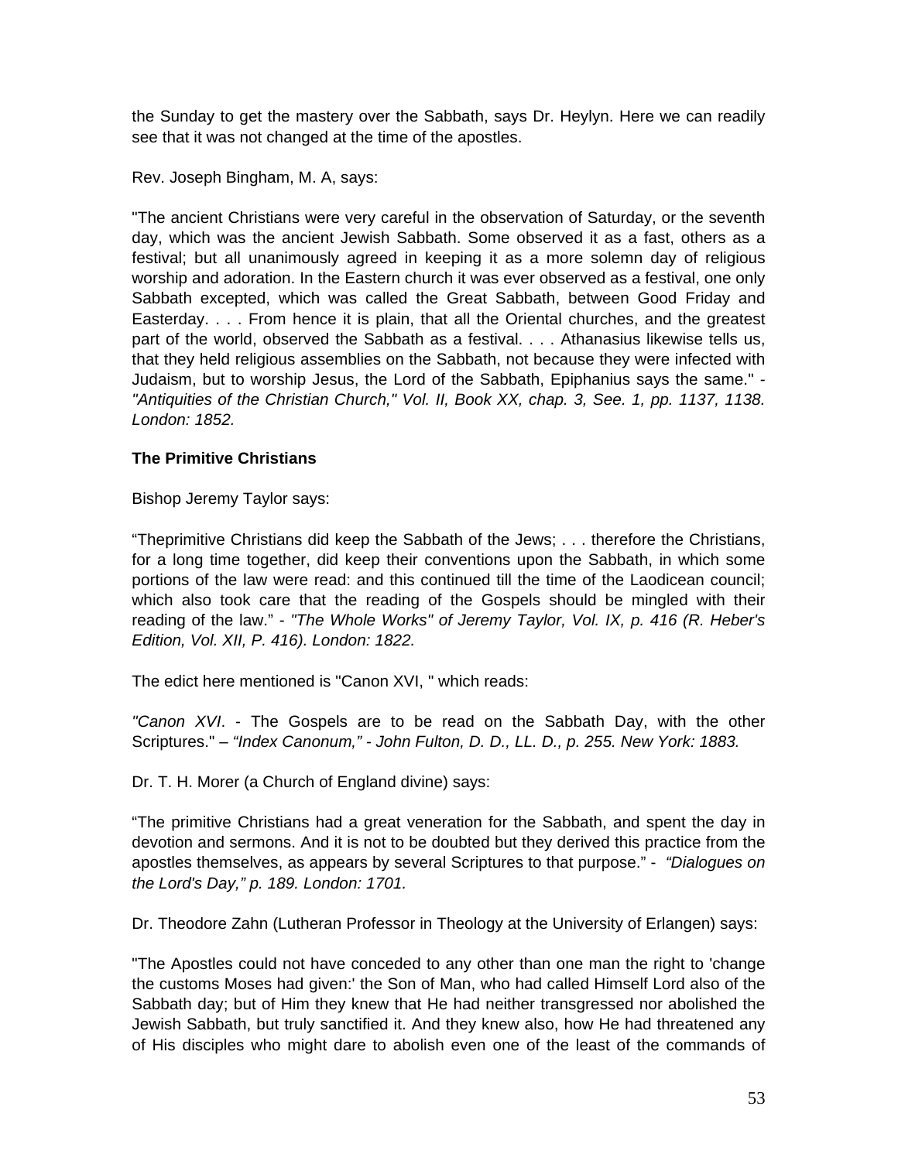the Sunday to get the mastery over the Sabbath, says Dr. Heylyn. Here we can readily see that it was not changed at the time of the apostles.

Rev. Joseph Bingham, M. A, says:

"The ancient Christians were very careful in the observation of Saturday, or the seventh day, which was the ancient Jewish Sabbath. Some observed it as a fast, others as a festival; but all unanimously agreed in keeping it as a more solemn day of religious worship and adoration. In the Eastern church it was ever observed as a festival, one only Sabbath excepted, which was called the Great Sabbath, between Good Friday and Easterday. . . . From hence it is plain, that all the Oriental churches, and the greatest part of the world, observed the Sabbath as a festival. . . . Athanasius likewise tells us, that they held religious assemblies on the Sabbath, not because they were infected with Judaism, but to worship Jesus, the Lord of the Sabbath, Epiphanius says the same." *- "Antiquities of the Christian Church," Vol. II, Book XX, chap. 3, See. 1, pp. 1137, 1138. London: 1852.* 

### **The Primitive Christians**

Bishop Jeremy Taylor says:

"Theprimitive Christians did keep the Sabbath of the Jews; . . . therefore the Christians, for a long time together, did keep their conventions upon the Sabbath, in which some portions of the law were read: and this continued till the time of the Laodicean council; which also took care that the reading of the Gospels should be mingled with their reading of the law." - *"The Whole Works" of Jeremy Taylor, Vol. IX, p. 416 (R. Heber's Edition, Vol. XII, P. 416). London: 1822.* 

The edict here mentioned is "Canon XVI, " which reads:

*"Canon XVI*. - The Gospels are to be read on the Sabbath Day, with the other Scriptures." – *"Index Canonum," - John Fulton, D. D., LL. D., p. 255. New York: 1883.* 

Dr. T. H. Morer (a Church of England divine) says:

"The primitive Christians had a great veneration for the Sabbath, and spent the day in devotion and sermons. And it is not to be doubted but they derived this practice from the apostles themselves, as appears by several Scriptures to that purpose." - *"Dialogues on the Lord's Day," p. 189. London: 1701.* 

Dr. Theodore Zahn (Lutheran Professor in Theology at the University of Erlangen) says:

"The Apostles could not have conceded to any other than one man the right to 'change the customs Moses had given:' the Son of Man, who had called Himself Lord also of the Sabbath day; but of Him they knew that He had neither transgressed nor abolished the Jewish Sabbath, but truly sanctified it. And they knew also, how He had threatened any of His disciples who might dare to abolish even one of the least of the commands of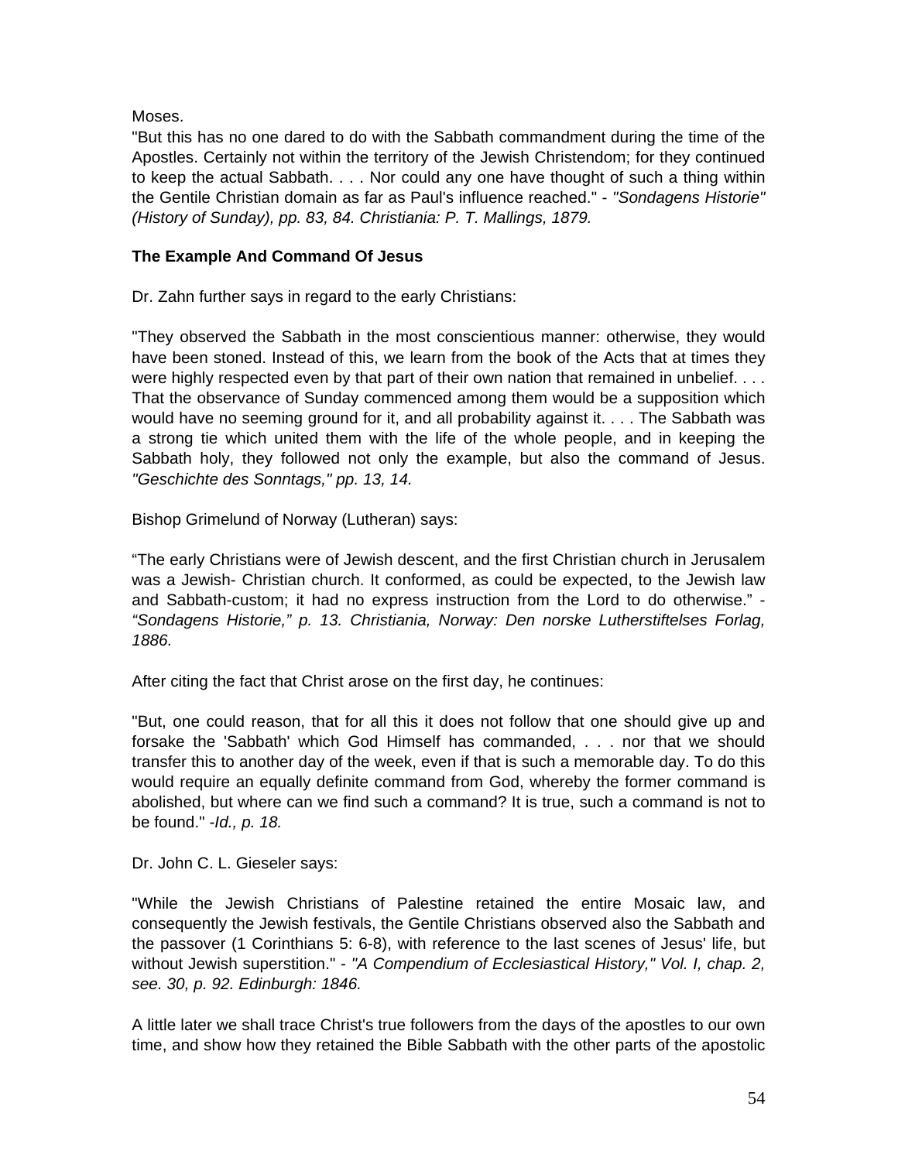Moses.

"But this has no one dared to do with the Sabbath commandment during the time of the Apostles. Certainly not within the territory of the Jewish Christendom; for they continued to keep the actual Sabbath. . . . Nor could any one have thought of such a thing within the Gentile Christian domain as far as Paul's influence reached." - *"Sondagens Historie" (History of Sunday), pp. 83, 84. Christiania: P. T. Mallings, 1879.* 

# **The Example And Command Of Jesus**

Dr. Zahn further says in regard to the early Christians:

"They observed the Sabbath in the most conscientious manner: otherwise, they would have been stoned. Instead of this, we learn from the book of the Acts that at times they were highly respected even by that part of their own nation that remained in unbelief. . . . That the observance of Sunday commenced among them would be a supposition which would have no seeming ground for it, and all probability against it. . . . The Sabbath was a strong tie which united them with the life of the whole people, and in keeping the Sabbath holy, they followed not only the example, but also the command of Jesus. *"Geschichte des Sonntags," pp. 13, 14.* 

Bishop Grimelund of Norway (Lutheran) says:

"The early Christians were of Jewish descent, and the first Christian church in Jerusalem was a Jewish- Christian church. It conformed, as could be expected, to the Jewish law and Sabbath-custom; it had no express instruction from the Lord to do otherwise." - *"Sondagens Historie," p. 13. Christiania, Norway: Den norske Lutherstiftelses Forlag, 1886.* 

After citing the fact that Christ arose on the first day, he continues:

"But, one could reason, that for all this it does not follow that one should give up and forsake the 'Sabbath' which God Himself has commanded, . . . nor that we should transfer this to another day of the week, even if that is such a memorable day. To do this would require an equally definite command from God, whereby the former command is abolished, but where can we find such a command? It is true, such a command is not to be found." -*Id., p. 18.* 

Dr. John C. L. Gieseler says:

"While the Jewish Christians of Palestine retained the entire Mosaic law, and consequently the Jewish festivals, the Gentile Christians observed also the Sabbath and the passover (1 Corinthians 5: 6-8), with reference to the last scenes of Jesus' life, but without Jewish superstition." - *"A Compendium of Ecclesiastical History," Vol. I, chap. 2, see. 30, p. 92. Edinburgh: 1846.* 

A little later we shall trace Christ's true followers from the days of the apostles to our own time, and show how they retained the Bible Sabbath with the other parts of the apostolic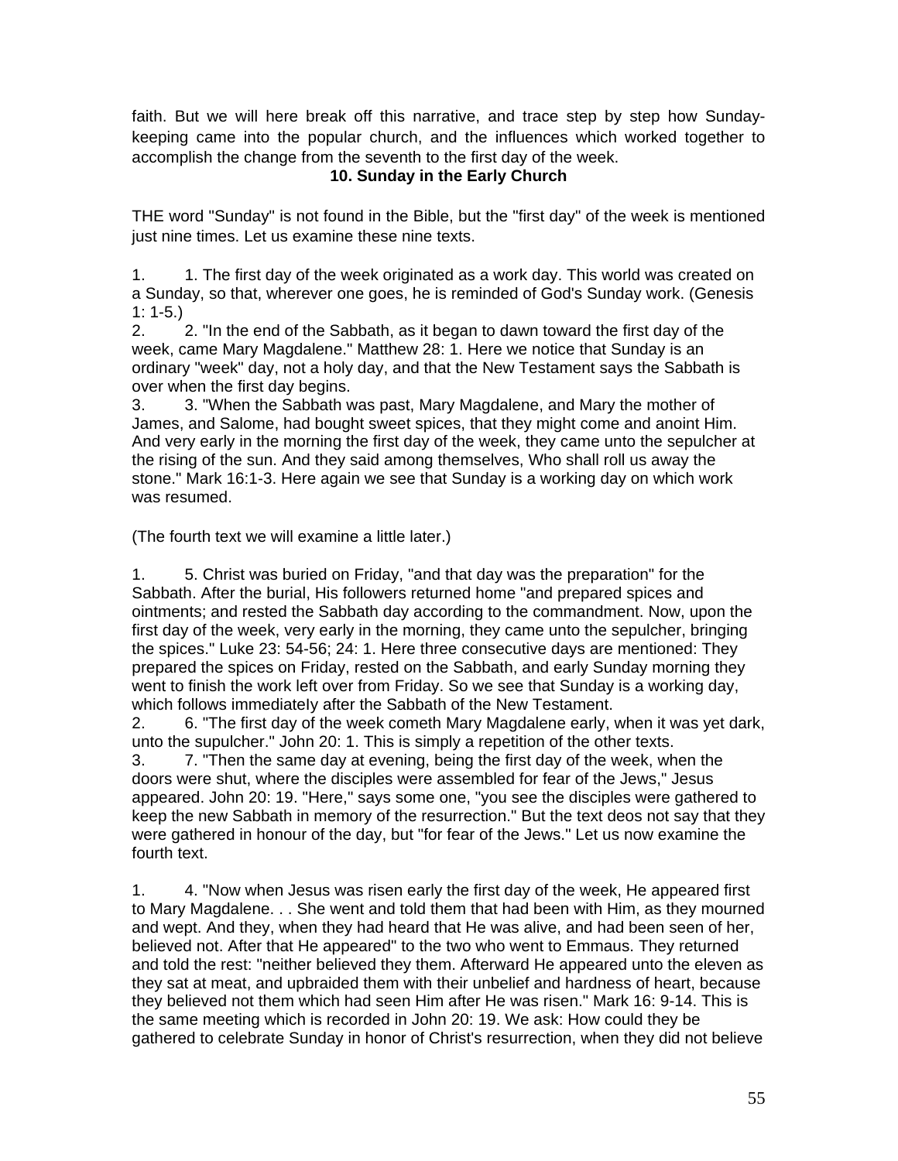faith. But we will here break off this narrative, and trace step by step how Sundaykeeping came into the popular church, and the influences which worked together to accomplish the change from the seventh to the first day of the week.

### **10. Sunday in the Early Church**

THE word "Sunday" is not found in the Bible, but the "first day" of the week is mentioned just nine times. Let us examine these nine texts.

1. 1. The first day of the week originated as a work day. This world was created on a Sunday, so that, wherever one goes, he is reminded of God's Sunday work. (Genesis 1: 1-5.)

2. 2. "In the end of the Sabbath, as it began to dawn toward the first day of the week, came Mary Magdalene." Matthew 28: 1. Here we notice that Sunday is an ordinary "week" day, not a holy day, and that the New Testament says the Sabbath is over when the first day begins.

3. 3. "When the Sabbath was past, Mary Magdalene, and Mary the mother of James, and Salome, had bought sweet spices, that they might come and anoint Him. And very early in the morning the first day of the week, they came unto the sepulcher at the rising of the sun. And they said among themselves, Who shall roll us away the stone." Mark 16:1-3. Here again we see that Sunday is a working day on which work was resumed.

(The fourth text we will examine a little later.)

1. 5. Christ was buried on Friday, "and that day was the preparation" for the Sabbath. After the burial, His followers returned home "and prepared spices and ointments; and rested the Sabbath day according to the commandment. Now, upon the first day of the week, very early in the morning, they came unto the sepulcher, bringing the spices." Luke 23: 54-56; 24: 1. Here three consecutive days are mentioned: They prepared the spices on Friday, rested on the Sabbath, and early Sunday morning they went to finish the work left over from Friday. So we see that Sunday is a working day, which follows immediately after the Sabbath of the New Testament.

2. 6. "The first day of the week cometh Mary Magdalene early, when it was yet dark, unto the supulcher." John 20: 1. This is simply a repetition of the other texts.

3. 7. "Then the same day at evening, being the first day of the week, when the doors were shut, where the disciples were assembled for fear of the Jews," Jesus appeared. John 20: 19. "Here," says some one, "you see the disciples were gathered to keep the new Sabbath in memory of the resurrection." But the text deos not say that they were gathered in honour of the day, but "for fear of the Jews." Let us now examine the fourth text.

1. 4. "Now when Jesus was risen early the first day of the week, He appeared first to Mary Magdalene. . . She went and told them that had been with Him, as they mourned and wept. And they, when they had heard that He was alive, and had been seen of her, believed not. After that He appeared" to the two who went to Emmaus. They returned and told the rest: "neither believed they them. Afterward He appeared unto the eleven as they sat at meat, and upbraided them with their unbelief and hardness of heart, because they believed not them which had seen Him after He was risen." Mark 16: 9-14. This is the same meeting which is recorded in John 20: 19. We ask: How could they be gathered to celebrate Sunday in honor of Christ's resurrection, when they did not believe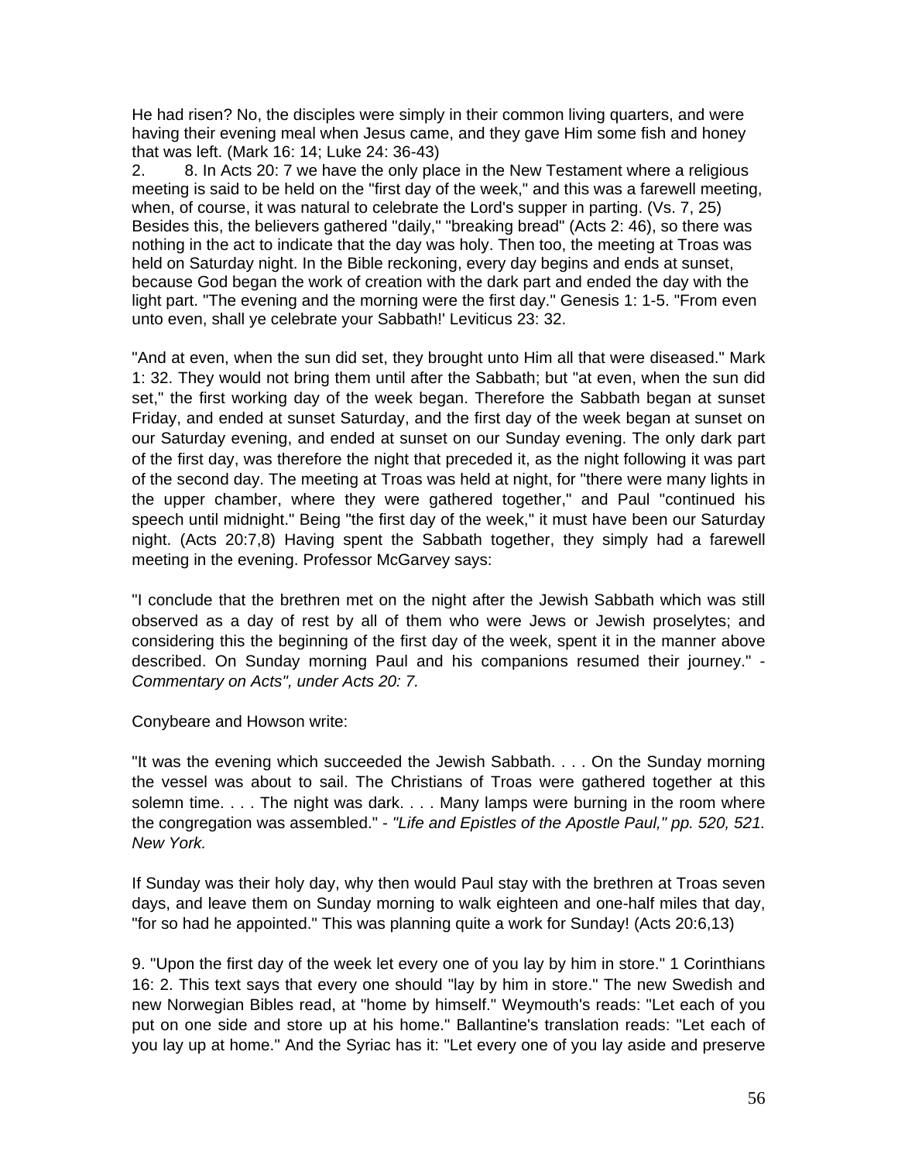He had risen? No, the disciples were simply in their common living quarters, and were having their evening meal when Jesus came, and they gave Him some fish and honey that was left. (Mark 16: 14; Luke 24: 36-43)

2. 8. In Acts 20: 7 we have the only place in the New Testament where a religious meeting is said to be held on the "first day of the week," and this was a farewell meeting, when, of course, it was natural to celebrate the Lord's supper in parting. (Vs. 7, 25) Besides this, the believers gathered "daily," "breaking bread" (Acts 2: 46), so there was nothing in the act to indicate that the day was holy. Then too, the meeting at Troas was held on Saturday night. In the Bible reckoning, every day begins and ends at sunset, because God began the work of creation with the dark part and ended the day with the light part. "The evening and the morning were the first day." Genesis 1: 1-5. "From even unto even, shall ye celebrate your Sabbath!' Leviticus 23: 32.

"And at even, when the sun did set, they brought unto Him all that were diseased." Mark 1: 32. They would not bring them until after the Sabbath; but "at even, when the sun did set," the first working day of the week began. Therefore the Sabbath began at sunset Friday, and ended at sunset Saturday, and the first day of the week began at sunset on our Saturday evening, and ended at sunset on our Sunday evening. The only dark part of the first day, was therefore the night that preceded it, as the night following it was part of the second day. The meeting at Troas was held at night, for "there were many lights in the upper chamber, where they were gathered together," and Paul "continued his speech until midnight." Being "the first day of the week," it must have been our Saturday night. (Acts 20:7,8) Having spent the Sabbath together, they simply had a farewell meeting in the evening. Professor McGarvey says:

"I conclude that the brethren met on the night after the Jewish Sabbath which was still observed as a day of rest by all of them who were Jews or Jewish proselytes; and considering this the beginning of the first day of the week, spent it in the manner above described. On Sunday morning Paul and his companions resumed their journey." - *Commentary on Acts", under Acts 20: 7.* 

Conybeare and Howson write:

"It was the evening which succeeded the Jewish Sabbath. . . . On the Sunday morning the vessel was about to sail. The Christians of Troas were gathered together at this solemn time. . . . The night was dark. . . . Many lamps were burning in the room where the congregation was assembled." - *"Life and Epistles of the Apostle Paul," pp. 520, 521. New York.* 

If Sunday was their holy day, why then would Paul stay with the brethren at Troas seven days, and leave them on Sunday morning to walk eighteen and one-half miles that day, "for so had he appointed." This was planning quite a work for Sunday! (Acts 20:6,13)

9. "Upon the first day of the week let every one of you lay by him in store." 1 Corinthians 16: 2. This text says that every one should "lay by him in store." The new Swedish and new Norwegian Bibles read, at "home by himself." Weymouth's reads: "Let each of you put on one side and store up at his home." Ballantine's translation reads: "Let each of you lay up at home." And the Syriac has it: "Let every one of you lay aside and preserve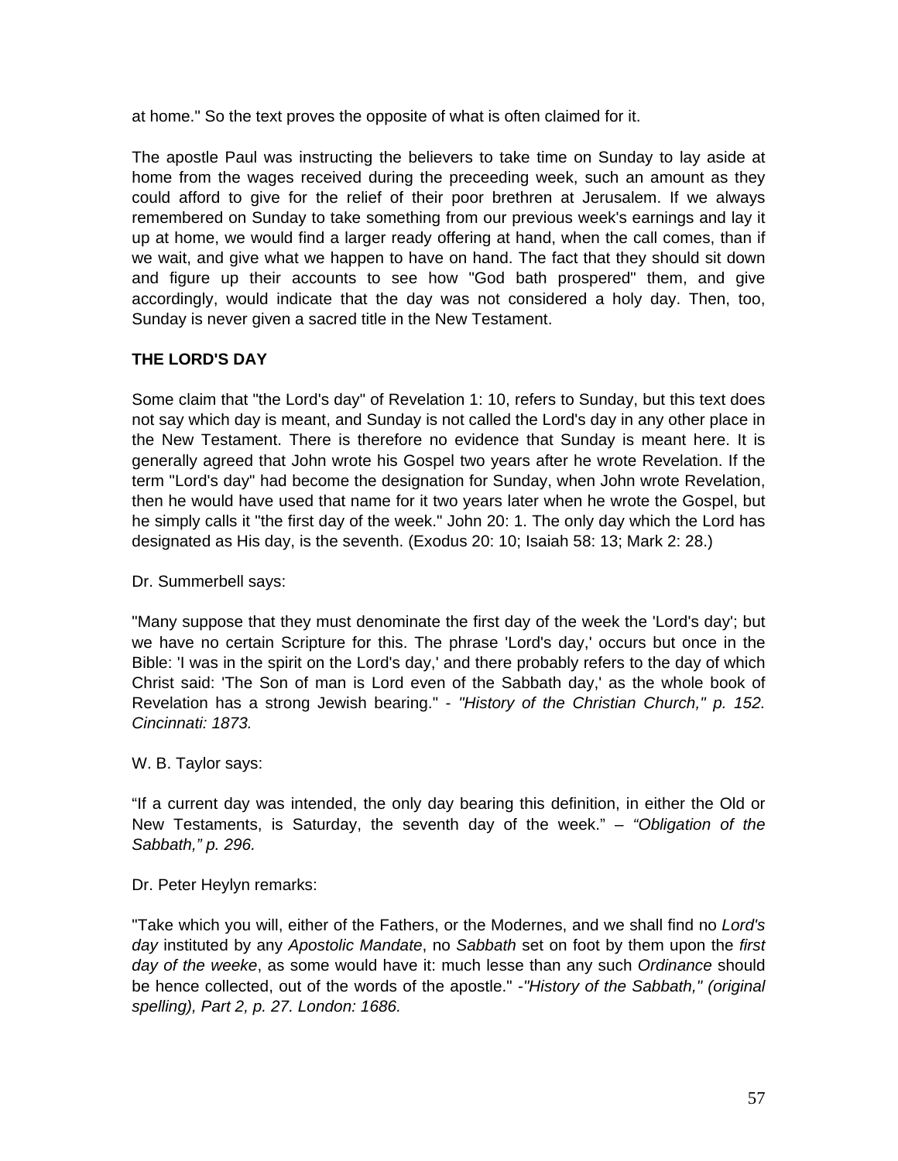at home." So the text proves the opposite of what is often claimed for it.

The apostle Paul was instructing the believers to take time on Sunday to lay aside at home from the wages received during the preceeding week, such an amount as they could afford to give for the relief of their poor brethren at Jerusalem. If we always remembered on Sunday to take something from our previous week's earnings and lay it up at home, we would find a larger ready offering at hand, when the call comes, than if we wait, and give what we happen to have on hand. The fact that they should sit down and figure up their accounts to see how "God bath prospered" them, and give accordingly, would indicate that the day was not considered a holy day. Then, too, Sunday is never given a sacred title in the New Testament.

# **THE LORD'S DAY**

Some claim that "the Lord's day" of Revelation 1: 10, refers to Sunday, but this text does not say which day is meant, and Sunday is not called the Lord's day in any other place in the New Testament. There is therefore no evidence that Sunday is meant here. It is generally agreed that John wrote his Gospel two years after he wrote Revelation. If the term "Lord's day" had become the designation for Sunday, when John wrote Revelation, then he would have used that name for it two years later when he wrote the Gospel, but he simply calls it "the first day of the week." John 20: 1. The only day which the Lord has designated as His day, is the seventh. (Exodus 20: 10; Isaiah 58: 13; Mark 2: 28.)

Dr. Summerbell says:

"Many suppose that they must denominate the first day of the week the 'Lord's day'; but we have no certain Scripture for this. The phrase 'Lord's day,' occurs but once in the Bible: 'I was in the spirit on the Lord's day,' and there probably refers to the day of which Christ said: 'The Son of man is Lord even of the Sabbath day,' as the whole book of Revelation has a strong Jewish bearing." - *"History of the Christian Church," p. 152. Cincinnati: 1873.* 

W. B. Taylor says:

"If a current day was intended, the only day bearing this definition, in either the Old or New Testaments, is Saturday, the seventh day of the week." – *"Obligation of the Sabbath," p. 296.* 

Dr. Peter Heylyn remarks:

"Take which you will, either of the Fathers, or the Modernes, and we shall find no *Lord's day* instituted by any *Apostolic Mandate*, no *Sabbath* set on foot by them upon the *first day of the weeke*, as some would have it: much lesse than any such *Ordinance* should be hence collected, out of the words of the apostle." -*"History of the Sabbath," (original spelling), Part 2, p. 27. London: 1686.*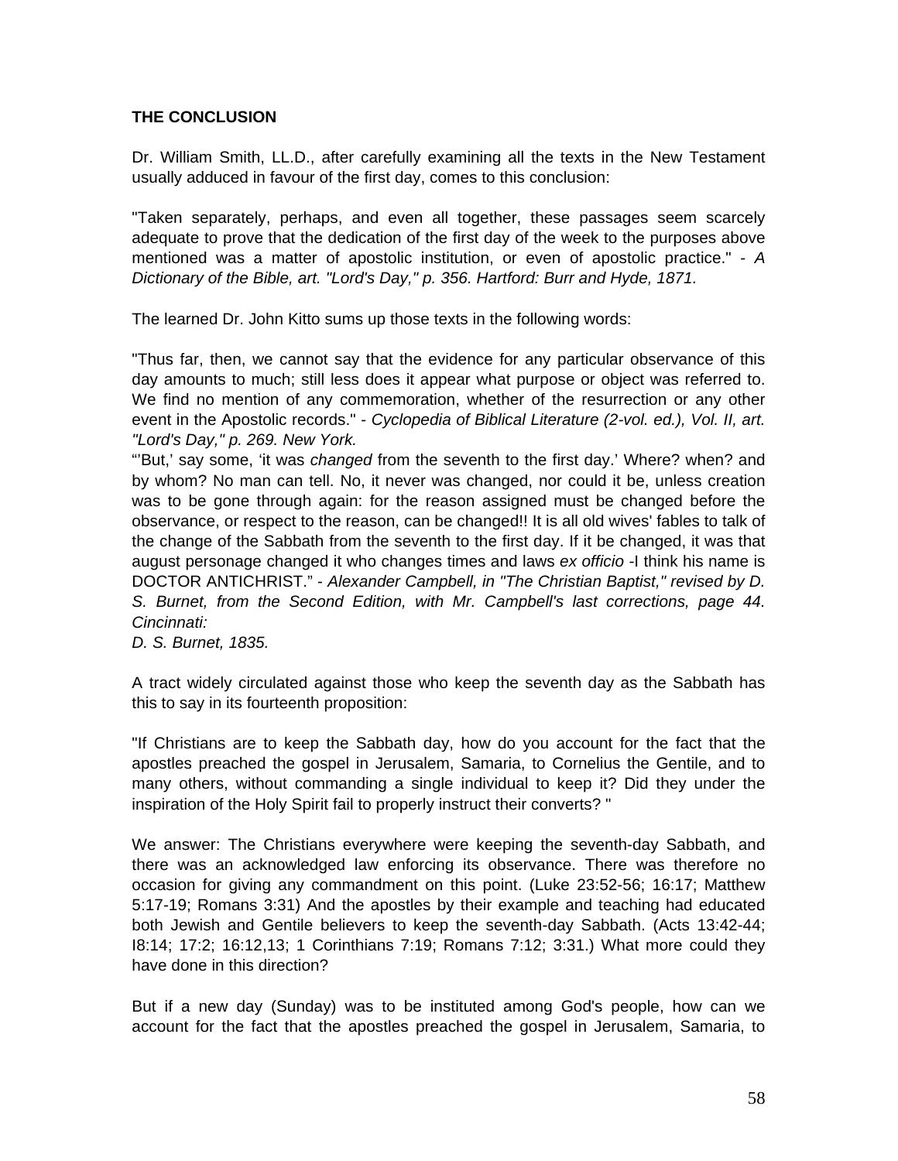# **THE CONCLUSION**

Dr. William Smith, LL.D., after carefully examining all the texts in the New Testament usually adduced in favour of the first day, comes to this conclusion:

"Taken separately, perhaps, and even all together, these passages seem scarcely adequate to prove that the dedication of the first day of the week to the purposes above mentioned was a matter of apostolic institution, or even of apostolic practice." - *A Dictionary of the Bible, art. "Lord's Day," p. 356. Hartford: Burr and Hyde, 1871.* 

The learned Dr. John Kitto sums up those texts in the following words:

"Thus far, then, we cannot say that the evidence for any particular observance of this day amounts to much; still less does it appear what purpose or object was referred to. We find no mention of any commemoration, whether of the resurrection or any other event in the Apostolic records." - *Cyclopedia of Biblical Literature (2-vol. ed.), Vol. II, art. "Lord's Day," p. 269. New York.* 

"'But,' say some, 'it was *changed* from the seventh to the first day.' Where? when? and by whom? No man can tell. No, it never was changed, nor could it be, unless creation was to be gone through again: for the reason assigned must be changed before the observance, or respect to the reason, can be changed!! It is all old wives' fables to talk of the change of the Sabbath from the seventh to the first day. If it be changed, it was that august personage changed it who changes times and laws *ex officio -*I think his name is DOCTOR ANTICHRIST." - *Alexander Campbell, in "The Christian Baptist," revised by D. S. Burnet, from the Second Edition, with Mr. Campbell's last corrections, page 44. Cincinnati:* 

*D. S. Burnet, 1835.* 

A tract widely circulated against those who keep the seventh day as the Sabbath has this to say in its fourteenth proposition:

"If Christians are to keep the Sabbath day, how do you account for the fact that the apostles preached the gospel in Jerusalem, Samaria, to Cornelius the Gentile, and to many others, without commanding a single individual to keep it? Did they under the inspiration of the Holy Spirit fail to properly instruct their converts? "

We answer: The Christians everywhere were keeping the seventh-day Sabbath, and there was an acknowledged law enforcing its observance. There was therefore no occasion for giving any commandment on this point. (Luke 23:52-56; 16:17; Matthew 5:17-19; Romans 3:31) And the apostles by their example and teaching had educated both Jewish and Gentile believers to keep the seventh-day Sabbath. (Acts 13:42-44; I8:14; 17:2; 16:12,13; 1 Corinthians 7:19; Romans 7:12; 3:31.) What more could they have done in this direction?

But if a new day (Sunday) was to be instituted among God's people, how can we account for the fact that the apostles preached the gospel in Jerusalem, Samaria, to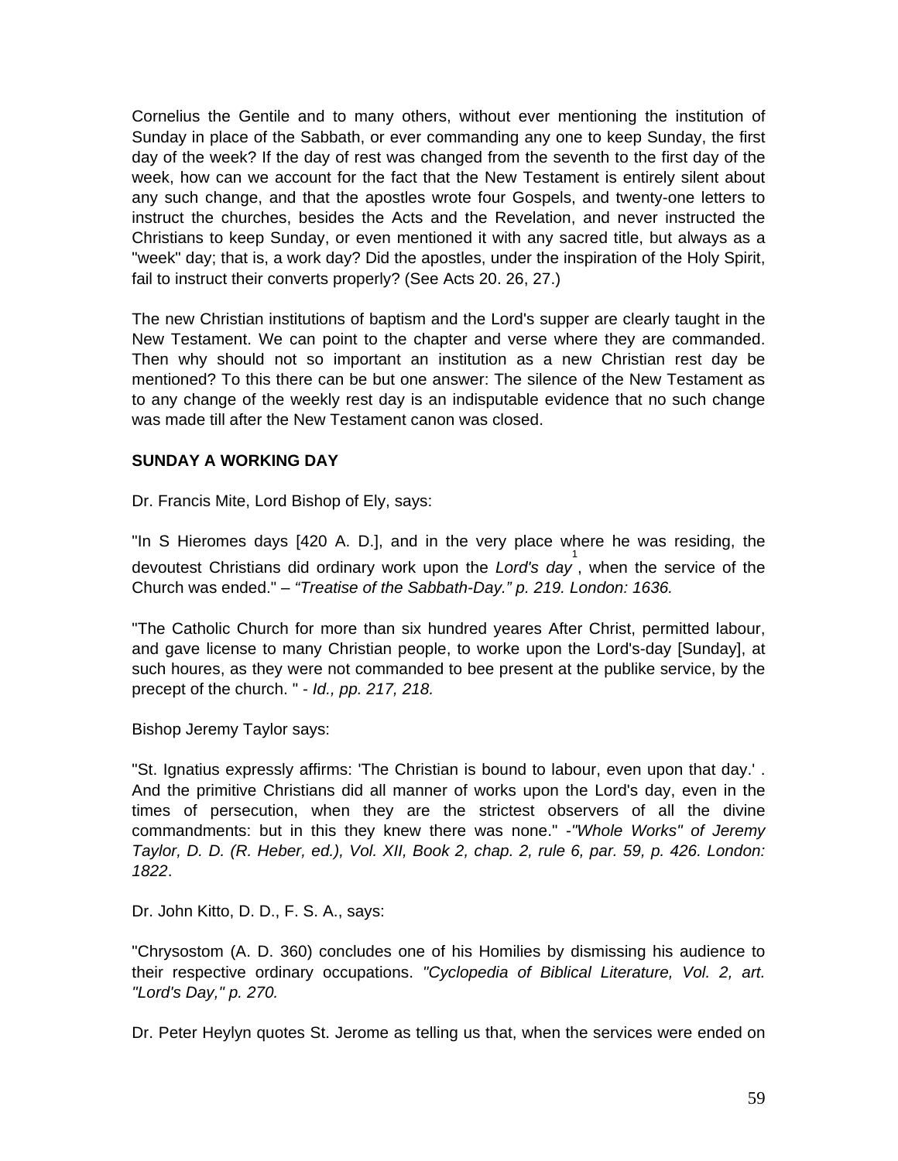Cornelius the Gentile and to many others, without ever mentioning the institution of Sunday in place of the Sabbath, or ever commanding any one to keep Sunday, the first day of the week? If the day of rest was changed from the seventh to the first day of the week, how can we account for the fact that the New Testament is entirely silent about any such change, and that the apostles wrote four Gospels, and twenty-one letters to instruct the churches, besides the Acts and the Revelation, and never instructed the Christians to keep Sunday, or even mentioned it with any sacred title, but always as a "week" day; that is, a work day? Did the apostles, under the inspiration of the Holy Spirit, fail to instruct their converts properly? (See Acts 20. 26, 27.)

The new Christian institutions of baptism and the Lord's supper are clearly taught in the New Testament. We can point to the chapter and verse where they are commanded. Then why should not so important an institution as a new Christian rest day be mentioned? To this there can be but one answer: The silence of the New Testament as to any change of the weekly rest day is an indisputable evidence that no such change was made till after the New Testament canon was closed.

### **SUNDAY A WORKING DAY**

Dr. Francis Mite, Lord Bishop of Ely, says:

"In S Hieromes days [420 A. D.], and in the very place where he was residing, the devoutest Christians did ordinary work upon the *Lord's day* 1 , when the service of the Church was ended." – *"Treatise of the Sabbath-Day." p. 219. London: 1636.* 

"The Catholic Church for more than six hundred yeares After Christ, permitted labour, and gave license to many Christian people, to worke upon the Lord's-day [Sunday], at such houres, as they were not commanded to bee present at the publike service, by the precept of the church. " - *Id., pp. 217, 218.* 

Bishop Jeremy Taylor says:

"St. Ignatius expressly affirms: 'The Christian is bound to labour, even upon that day.' . And the primitive Christians did all manner of works upon the Lord's day, even in the times of persecution, when they are the strictest observers of all the divine commandments: but in this they knew there was none." -*"Whole Works" of Jeremy Taylor, D. D. (R. Heber, ed.), Vol. XII, Book 2, chap. 2, rule 6, par. 59, p. 426. London: 1822*.

Dr. John Kitto, D. D., F. S. A., says:

"Chrysostom (A. D. 360) concludes one of his Homilies by dismissing his audience to their respective ordinary occupations. *"Cyclopedia of Biblical Literature, Vol. 2, art. "Lord's Day," p. 270.* 

Dr. Peter Heylyn quotes St. Jerome as telling us that, when the services were ended on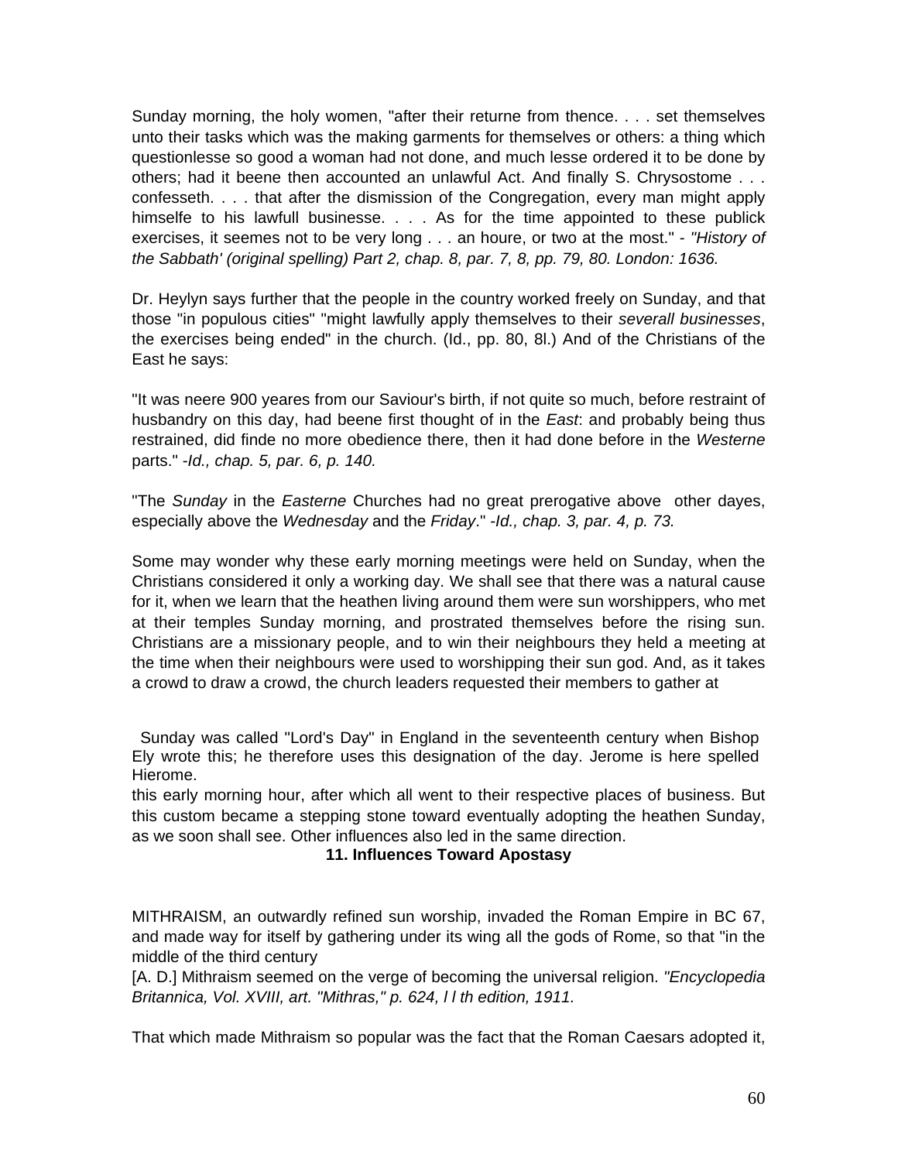Sunday morning, the holy women, "after their returne from thence. . . . set themselves unto their tasks which was the making garments for themselves or others: a thing which questionlesse so good a woman had not done, and much lesse ordered it to be done by others; had it beene then accounted an unlawful Act. And finally S. Chrysostome . . . confesseth. . . . that after the dismission of the Congregation, every man might apply himselfe to his lawfull businesse. . . . As for the time appointed to these publick exercises, it seemes not to be very long . . . an houre, or two at the most." - *"History of the Sabbath' (original spelling) Part 2, chap. 8, par. 7, 8, pp. 79, 80. London: 1636.* 

Dr. Heylyn says further that the people in the country worked freely on Sunday, and that those "in populous cities" "might lawfully apply themselves to their *severall businesses*, the exercises being ended" in the church. (Id., pp. 80, 8l.) And of the Christians of the East he says:

"It was neere 900 yeares from our Saviour's birth, if not quite so much, before restraint of husbandry on this day, had beene first thought of in the *East*: and probably being thus restrained, did finde no more obedience there, then it had done before in the *Westerne* parts." -*Id., chap. 5, par. 6, p. 140.* 

"The *Sunday* in the *Easterne* Churches had no great prerogative above other dayes, especially above the *Wednesday* and the *Friday*." -*Id., chap. 3, par. 4, p. 73.* 

Some may wonder why these early morning meetings were held on Sunday, when the Christians considered it only a working day. We shall see that there was a natural cause for it, when we learn that the heathen living around them were sun worshippers, who met at their temples Sunday morning, and prostrated themselves before the rising sun. Christians are a missionary people, and to win their neighbours they held a meeting at the time when their neighbours were used to worshipping their sun god. And, as it takes a crowd to draw a crowd, the church leaders requested their members to gather at

Sunday was called "Lord's Day" in England in the seventeenth century when Bishop Ely wrote this; he therefore uses this designation of the day. Jerome is here spelled Hierome.

this early morning hour, after which all went to their respective places of business. But this custom became a stepping stone toward eventually adopting the heathen Sunday, as we soon shall see. Other influences also led in the same direction.

#### **11. Influences Toward Apostasy**

MITHRAISM, an outwardly refined sun worship, invaded the Roman Empire in BC 67, and made way for itself by gathering under its wing all the gods of Rome, so that "in the middle of the third century

[A. D.] Mithraism seemed on the verge of becoming the universal religion. *"Encyclopedia Britannica, Vol. XVIII, art. "Mithras," p. 624, l l th edition, 1911.* 

That which made Mithraism so popular was the fact that the Roman Caesars adopted it,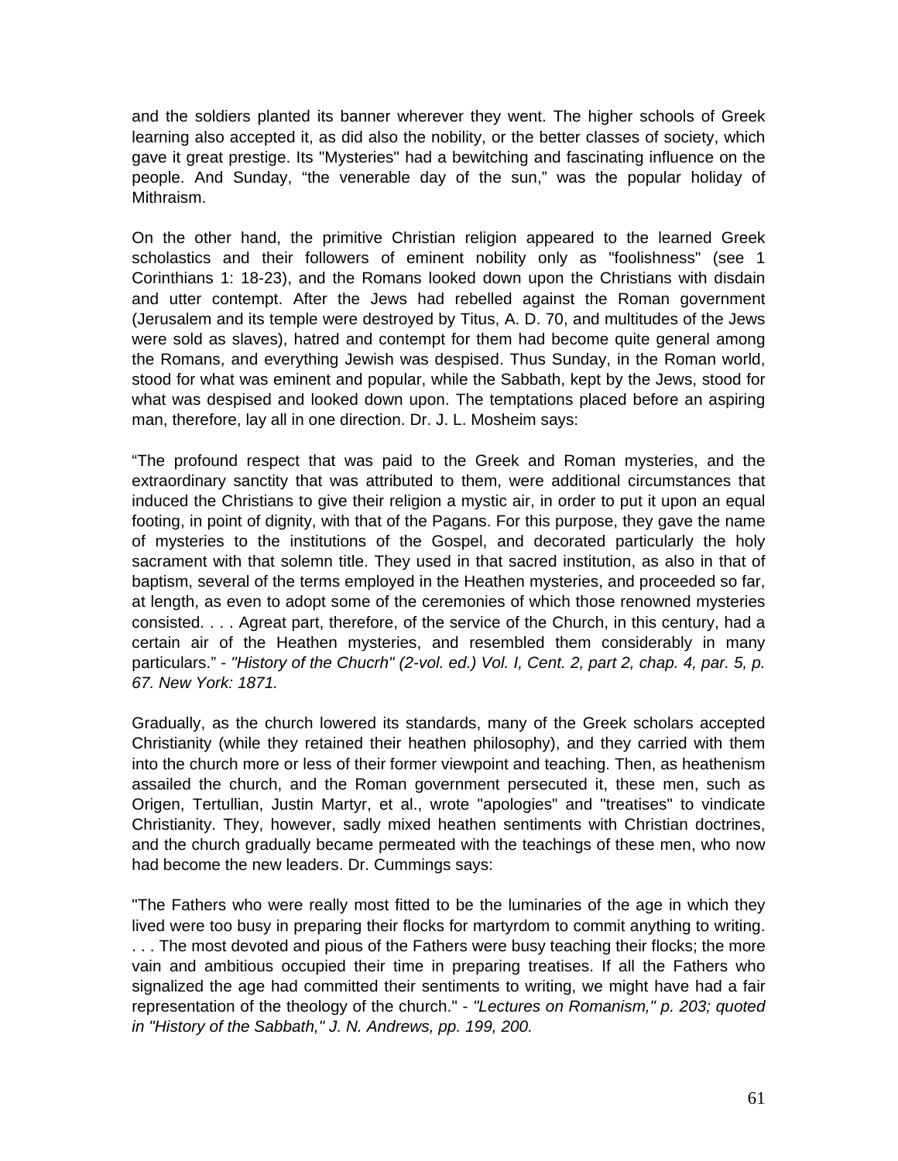and the soldiers planted its banner wherever they went. The higher schools of Greek learning also accepted it, as did also the nobility, or the better classes of society, which gave it great prestige. Its "Mysteries" had a bewitching and fascinating influence on the people. And Sunday, "the venerable day of the sun," was the popular holiday of Mithraism.

On the other hand, the primitive Christian religion appeared to the learned Greek scholastics and their followers of eminent nobility only as "foolishness" (see 1 Corinthians 1: 18-23), and the Romans looked down upon the Christians with disdain and utter contempt. After the Jews had rebelled against the Roman government (Jerusalem and its temple were destroyed by Titus, A. D. 70, and multitudes of the Jews were sold as slaves), hatred and contempt for them had become quite general among the Romans, and everything Jewish was despised. Thus Sunday, in the Roman world, stood for what was eminent and popular, while the Sabbath, kept by the Jews, stood for what was despised and looked down upon. The temptations placed before an aspiring man, therefore, lay all in one direction. Dr. J. L. Mosheim says:

"The profound respect that was paid to the Greek and Roman mysteries, and the extraordinary sanctity that was attributed to them, were additional circumstances that induced the Christians to give their religion a mystic air, in order to put it upon an equal footing, in point of dignity, with that of the Pagans. For this purpose, they gave the name of mysteries to the institutions of the Gospel, and decorated particularly the holy sacrament with that solemn title. They used in that sacred institution, as also in that of baptism, several of the terms employed in the Heathen mysteries, and proceeded so far, at length, as even to adopt some of the ceremonies of which those renowned mysteries consisted. . . . Agreat part, therefore, of the service of the Church, in this century, had a certain air of the Heathen mysteries, and resembled them considerably in many particulars." - "History of the Chucrh" (2-vol. ed.) Vol. I, Cent. 2, part 2, chap. 4, par. 5, p. *67. New York: 1871.* 

Gradually, as the church lowered its standards, many of the Greek scholars accepted Christianity (while they retained their heathen philosophy), and they carried with them into the church more or less of their former viewpoint and teaching. Then, as heathenism assailed the church, and the Roman government persecuted it, these men, such as Origen, Tertullian, Justin Martyr, et al., wrote "apologies" and "treatises" to vindicate Christianity. They, however, sadly mixed heathen sentiments with Christian doctrines, and the church gradually became permeated with the teachings of these men, who now had become the new leaders. Dr. Cummings says:

"The Fathers who were really most fitted to be the luminaries of the age in which they lived were too busy in preparing their flocks for martyrdom to commit anything to writing. . . . The most devoted and pious of the Fathers were busy teaching their flocks; the more vain and ambitious occupied their time in preparing treatises. If all the Fathers who signalized the age had committed their sentiments to writing, we might have had a fair representation of the theology of the church." - *"Lectures on Romanism," p. 203; quoted in "History of the Sabbath," J. N. Andrews, pp. 199, 200.*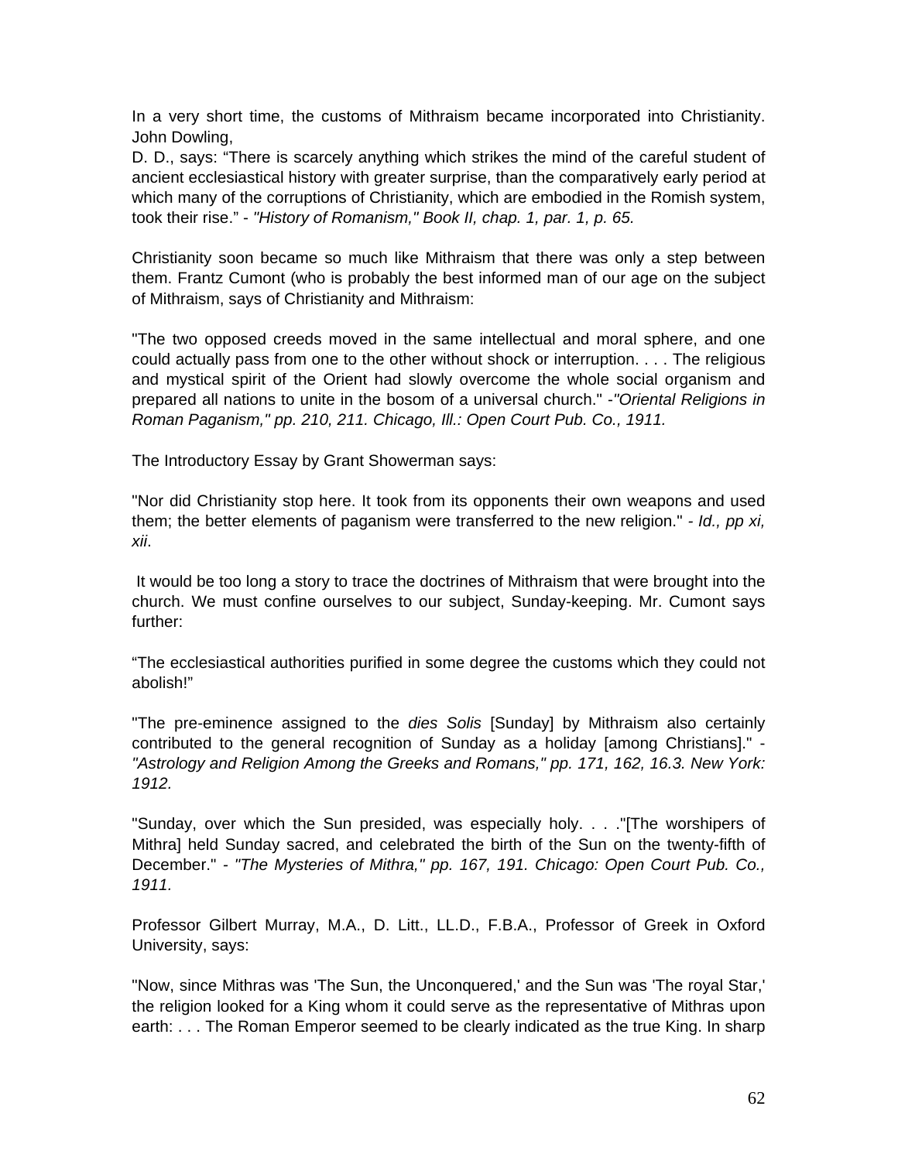In a very short time, the customs of Mithraism became incorporated into Christianity. John Dowling,

D. D., says: "There is scarcely anything which strikes the mind of the careful student of ancient ecclesiastical history with greater surprise, than the comparatively early period at which many of the corruptions of Christianity, which are embodied in the Romish system, took their rise." - *"History of Romanism," Book II, chap. 1, par. 1, p. 65.* 

Christianity soon became so much like Mithraism that there was only a step between them. Frantz Cumont (who is probably the best informed man of our age on the subject of Mithraism, says of Christianity and Mithraism:

"The two opposed creeds moved in the same intellectual and moral sphere, and one could actually pass from one to the other without shock or interruption. . . . The religious and mystical spirit of the Orient had slowly overcome the whole social organism and prepared all nations to unite in the bosom of a universal church." -*"Oriental Religions in Roman Paganism," pp. 210, 211. Chicago, Ill.: Open Court Pub. Co., 1911.* 

The Introductory Essay by Grant Showerman says:

"Nor did Christianity stop here. It took from its opponents their own weapons and used them; the better elements of paganism were transferred to the new religion." *- Id., pp xi, xii*.

It would be too long a story to trace the doctrines of Mithraism that were brought into the church. We must confine ourselves to our subject, Sunday-keeping. Mr. Cumont says further:

"The ecclesiastical authorities purified in some degree the customs which they could not abolish!"

"The pre-eminence assigned to the *dies Solis* [Sunday] by Mithraism also certainly contributed to the general recognition of Sunday as a holiday [among Christians]." - *"Astrology and Religion Among the Greeks and Romans," pp. 171, 162, 16.3. New York: 1912.* 

"Sunday, over which the Sun presided, was especially holy. . . ."[The worshipers of Mithra] held Sunday sacred, and celebrated the birth of the Sun on the twenty-fifth of December." *- "The Mysteries of Mithra," pp. 167, 191. Chicago: Open Court Pub. Co., 1911.* 

Professor Gilbert Murray, M.A., D. Litt., LL.D., F.B.A., Professor of Greek in Oxford University, says:

"Now, since Mithras was 'The Sun, the Unconquered,' and the Sun was 'The royal Star,' the religion looked for a King whom it could serve as the representative of Mithras upon earth: . . . The Roman Emperor seemed to be clearly indicated as the true King. In sharp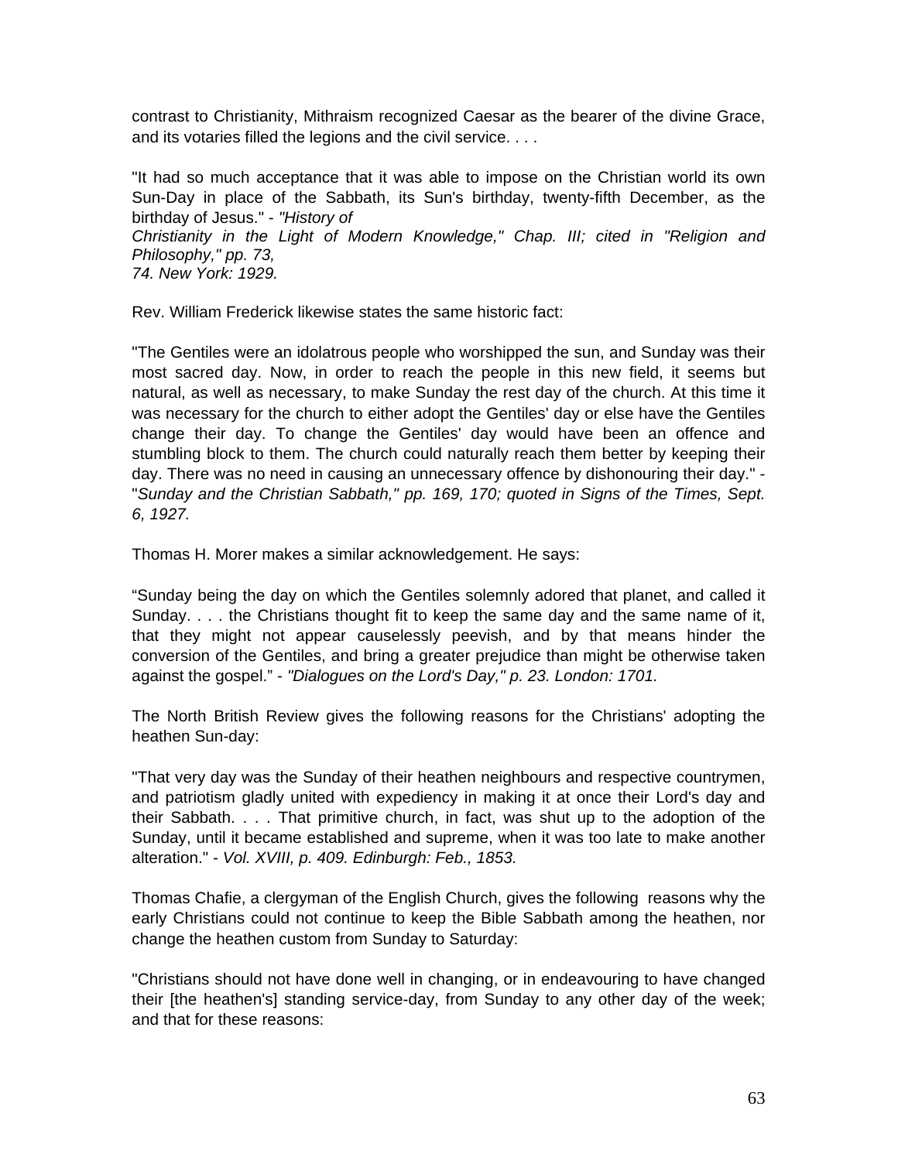contrast to Christianity, Mithraism recognized Caesar as the bearer of the divine Grace, and its votaries filled the legions and the civil service. . . .

"It had so much acceptance that it was able to impose on the Christian world its own Sun-Day in place of the Sabbath, its Sun's birthday, twenty-fifth December, as the birthday of Jesus." - *"History of Christianity in the Light of Modern Knowledge," Chap. III; cited in "Religion and Philosophy," pp. 73, 74. New York: 1929.* 

Rev. William Frederick likewise states the same historic fact:

"The Gentiles were an idolatrous people who worshipped the sun, and Sunday was their most sacred day. Now, in order to reach the people in this new field, it seems but natural, as well as necessary, to make Sunday the rest day of the church. At this time it was necessary for the church to either adopt the Gentiles' day or else have the Gentiles change their day. To change the Gentiles' day would have been an offence and stumbling block to them. The church could naturally reach them better by keeping their day. There was no need in causing an unnecessary offence by dishonouring their day." - "*Sunday and the Christian Sabbath," pp. 169, 170; quoted in Signs of the Times, Sept. 6, 1927.* 

Thomas H. Morer makes a similar acknowledgement. He says:

"Sunday being the day on which the Gentiles solemnly adored that planet, and called it Sunday. . . . the Christians thought fit to keep the same day and the same name of it, that they might not appear causelessly peevish, and by that means hinder the conversion of the Gentiles, and bring a greater prejudice than might be otherwise taken against the gospel." - *"Dialogues on the Lord's Day," p. 23. London: 1701.* 

The North British Review gives the following reasons for the Christians' adopting the heathen Sun-day:

"That very day was the Sunday of their heathen neighbours and respective countrymen, and patriotism gladly united with expediency in making it at once their Lord's day and their Sabbath. . . . That primitive church, in fact, was shut up to the adoption of the Sunday, until it became established and supreme, when it was too late to make another alteration." - *Vol. XVIII, p. 409. Edinburgh: Feb., 1853.* 

Thomas Chafie, a clergyman of the English Church, gives the following reasons why the early Christians could not continue to keep the Bible Sabbath among the heathen, nor change the heathen custom from Sunday to Saturday:

"Christians should not have done well in changing, or in endeavouring to have changed their [the heathen's] standing service-day, from Sunday to any other day of the week; and that for these reasons: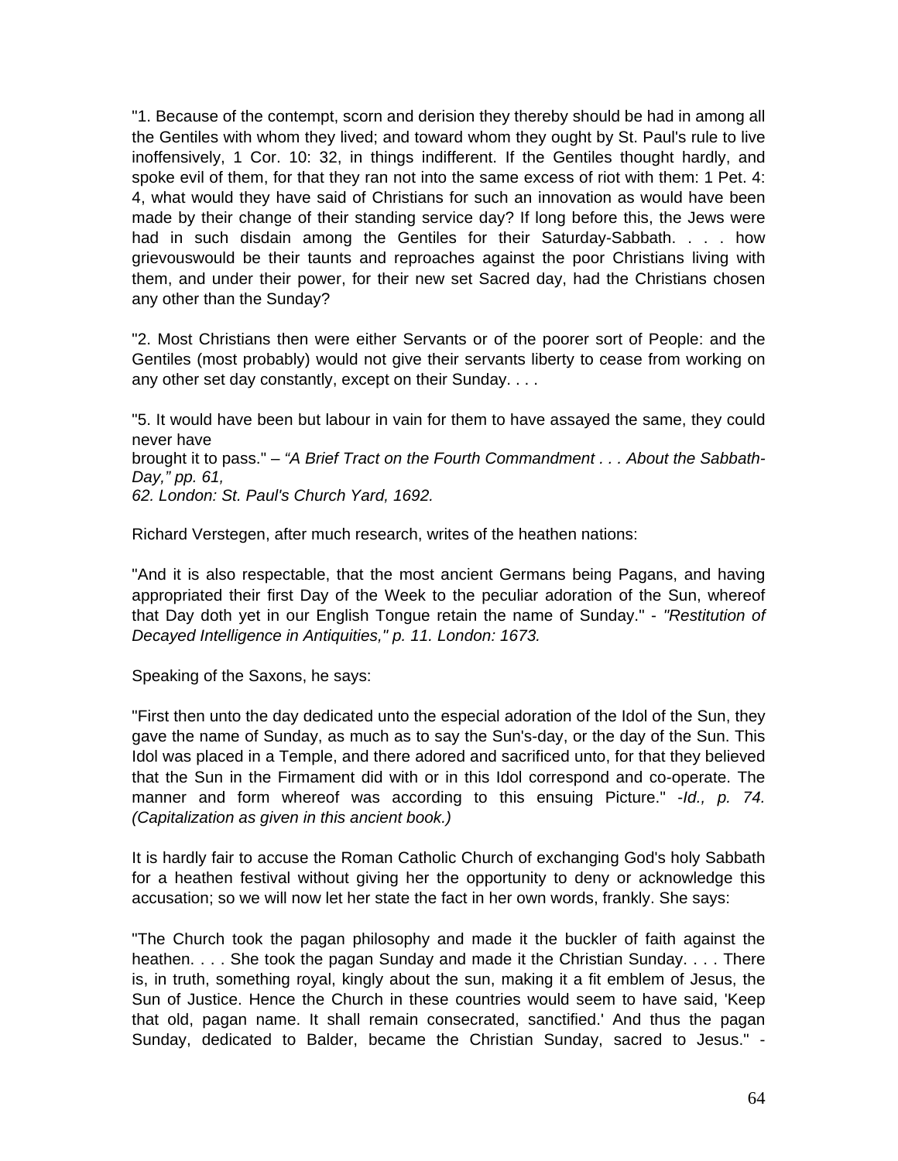"1. Because of the contempt, scorn and derision they thereby should be had in among all the Gentiles with whom they lived; and toward whom they ought by St. Paul's rule to live inoffensively, 1 Cor. 10: 32, in things indifferent. If the Gentiles thought hardly, and spoke evil of them, for that they ran not into the same excess of riot with them: 1 Pet. 4: 4, what would they have said of Christians for such an innovation as would have been made by their change of their standing service day? If long before this, the Jews were had in such disdain among the Gentiles for their Saturday-Sabbath. . . . how grievouswould be their taunts and reproaches against the poor Christians living with them, and under their power, for their new set Sacred day, had the Christians chosen any other than the Sunday?

"2. Most Christians then were either Servants or of the poorer sort of People: and the Gentiles (most probably) would not give their servants liberty to cease from working on any other set day constantly, except on their Sunday. . . .

"5. It would have been but labour in vain for them to have assayed the same, they could never have

brought it to pass." – *"A Brief Tract on the Fourth Commandment . . . About the Sabbath-Day," pp. 61,* 

*62. London: St. Paul's Church Yard, 1692.* 

Richard Verstegen, after much research, writes of the heathen nations:

"And it is also respectable, that the most ancient Germans being Pagans, and having appropriated their first Day of the Week to the peculiar adoration of the Sun, whereof that Day doth yet in our English Tongue retain the name of Sunday." - *"Restitution of Decayed Intelligence in Antiquities," p. 11. London: 1673.* 

Speaking of the Saxons, he says:

"First then unto the day dedicated unto the especial adoration of the Idol of the Sun, they gave the name of Sunday, as much as to say the Sun's-day, or the day of the Sun. This Idol was placed in a Temple, and there adored and sacrificed unto, for that they believed that the Sun in the Firmament did with or in this Idol correspond and co-operate. The manner and form whereof was according to this ensuing Picture." -*Id., p. 74. (Capitalization as given in this ancient book.)* 

It is hardly fair to accuse the Roman Catholic Church of exchanging God's holy Sabbath for a heathen festival without giving her the opportunity to deny or acknowledge this accusation; so we will now let her state the fact in her own words, frankly. She says:

"The Church took the pagan philosophy and made it the buckler of faith against the heathen. . . . She took the pagan Sunday and made it the Christian Sunday. . . . There is, in truth, something royal, kingly about the sun, making it a fit emblem of Jesus, the Sun of Justice. Hence the Church in these countries would seem to have said, 'Keep that old, pagan name. It shall remain consecrated, sanctified.' And thus the pagan Sunday, dedicated to Balder, became the Christian Sunday, sacred to Jesus." -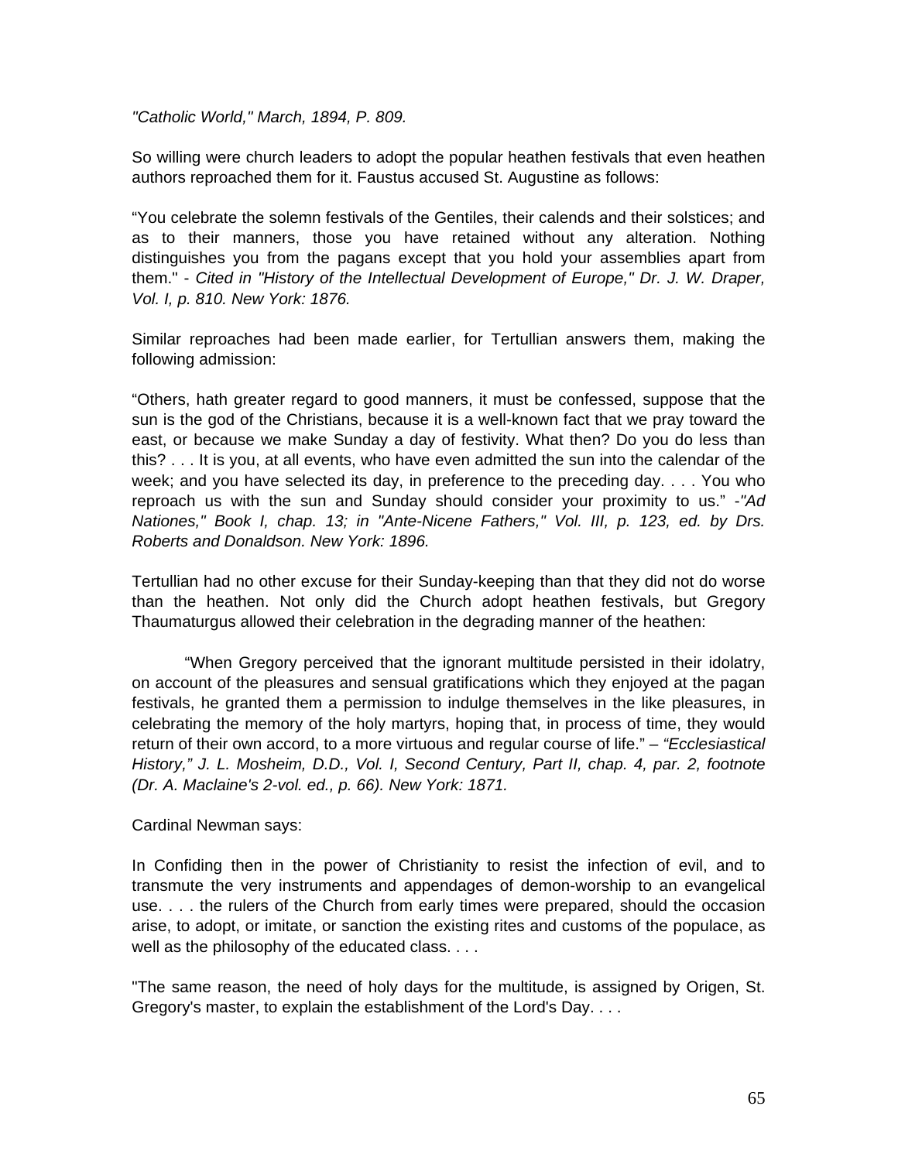*"Catholic World," March, 1894, P. 809.* 

So willing were church leaders to adopt the popular heathen festivals that even heathen authors reproached them for it. Faustus accused St. Augustine as follows:

"You celebrate the solemn festivals of the Gentiles, their calends and their solstices; and as to their manners, those you have retained without any alteration. Nothing distinguishes you from the pagans except that you hold your assemblies apart from them." - *Cited in "History of the Intellectual Development of Europe," Dr. J. W. Draper, Vol. I, p. 810. New York: 1876.* 

Similar reproaches had been made earlier, for Tertullian answers them, making the following admission:

"Others, hath greater regard to good manners, it must be confessed, suppose that the sun is the god of the Christians, because it is a well-known fact that we pray toward the east, or because we make Sunday a day of festivity. What then? Do you do less than this? . . . It is you, at all events, who have even admitted the sun into the calendar of the week; and you have selected its day, in preference to the preceding day. . . . You who reproach us with the sun and Sunday should consider your proximity to us." -*"Ad Nationes," Book I, chap. 13; in "Ante-Nicene Fathers," Vol. III, p. 123, ed. by Drs. Roberts and Donaldson. New York: 1896.* 

Tertullian had no other excuse for their Sunday-keeping than that they did not do worse than the heathen. Not only did the Church adopt heathen festivals, but Gregory Thaumaturgus allowed their celebration in the degrading manner of the heathen:

"When Gregory perceived that the ignorant multitude persisted in their idolatry, on account of the pleasures and sensual gratifications which they enjoyed at the pagan festivals, he granted them a permission to indulge themselves in the like pleasures, in celebrating the memory of the holy martyrs, hoping that, in process of time, they would return of their own accord, to a more virtuous and regular course of life." – *"Ecclesiastical History," J. L. Mosheim, D.D., Vol. I, Second Century, Part II, chap. 4, par. 2, footnote (Dr. A. Maclaine's 2-vol. ed., p. 66). New York: 1871.* 

#### Cardinal Newman says:

In Confiding then in the power of Christianity to resist the infection of evil, and to transmute the very instruments and appendages of demon-worship to an evangelical use. . . . the rulers of the Church from early times were prepared, should the occasion arise, to adopt, or imitate, or sanction the existing rites and customs of the populace, as well as the philosophy of the educated class. . . .

"The same reason, the need of holy days for the multitude, is assigned by Origen, St. Gregory's master, to explain the establishment of the Lord's Day. . . .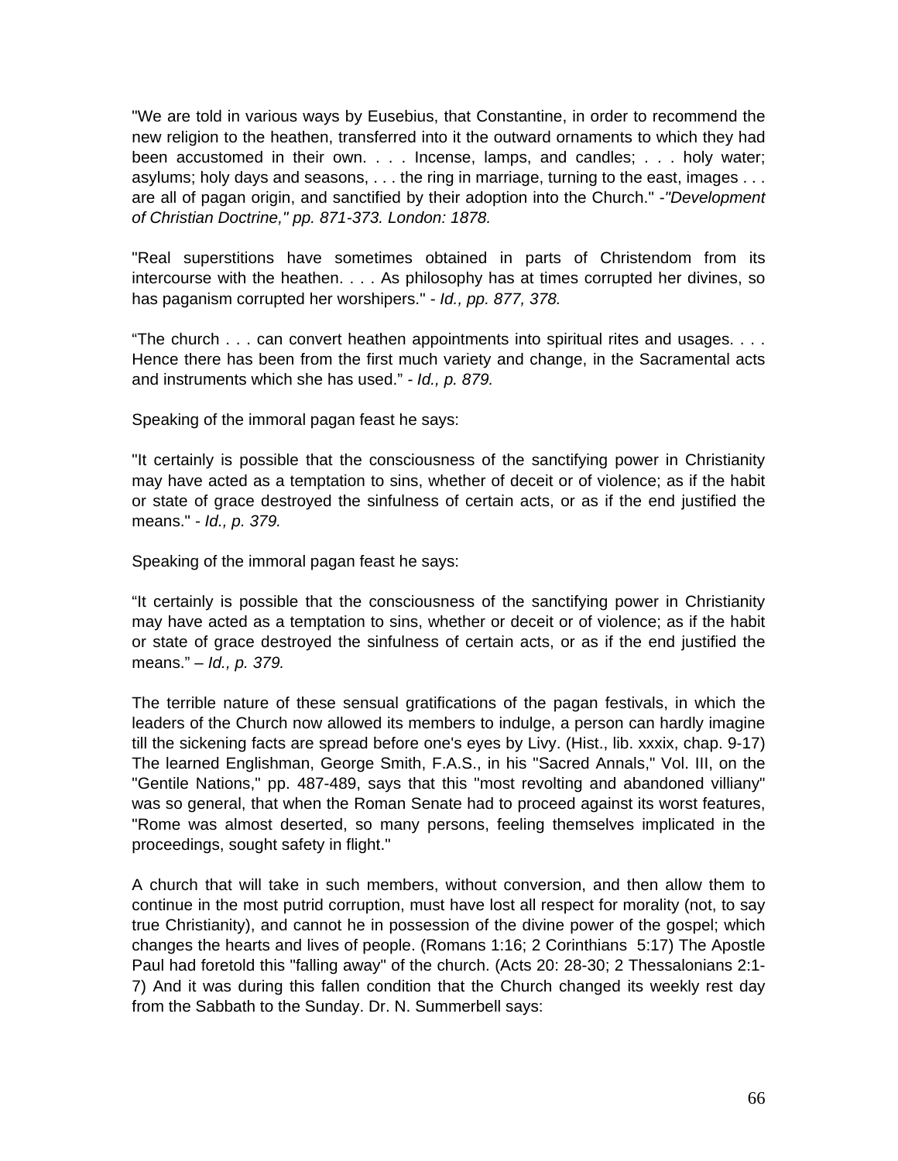"We are told in various ways by Eusebius, that Constantine, in order to recommend the new religion to the heathen, transferred into it the outward ornaments to which they had been accustomed in their own. . . . Incense, lamps, and candles; . . . holy water; asylums; holy days and seasons, . . . the ring in marriage, turning to the east, images . . . are all of pagan origin, and sanctified by their adoption into the Church." -*"Development of Christian Doctrine," pp. 871-373. London: 1878.* 

"Real superstitions have sometimes obtained in parts of Christendom from its intercourse with the heathen. . . . As philosophy has at times corrupted her divines, so has paganism corrupted her worshipers." *- Id., pp. 877, 378.* 

"The church . . . can convert heathen appointments into spiritual rites and usages. . . . Hence there has been from the first much variety and change, in the Sacramental acts and instruments which she has used." *- Id., p. 879.* 

Speaking of the immoral pagan feast he says:

"It certainly is possible that the consciousness of the sanctifying power in Christianity may have acted as a temptation to sins, whether of deceit or of violence; as if the habit or state of grace destroyed the sinfulness of certain acts, or as if the end justified the means." *- Id., p. 379.* 

Speaking of the immoral pagan feast he says:

"It certainly is possible that the consciousness of the sanctifying power in Christianity may have acted as a temptation to sins, whether or deceit or of violence; as if the habit or state of grace destroyed the sinfulness of certain acts, or as if the end justified the means." – *Id., p. 379.* 

The terrible nature of these sensual gratifications of the pagan festivals, in which the leaders of the Church now allowed its members to indulge, a person can hardly imagine till the sickening facts are spread before one's eyes by Livy. (Hist., lib. xxxix, chap. 9-17) The learned Englishman, George Smith, F.A.S., in his "Sacred Annals," Vol. III, on the "Gentile Nations," pp. 487-489, says that this "most revolting and abandoned villiany" was so general, that when the Roman Senate had to proceed against its worst features, "Rome was almost deserted, so many persons, feeling themselves implicated in the proceedings, sought safety in flight."

A church that will take in such members, without conversion, and then allow them to continue in the most putrid corruption, must have lost all respect for morality (not, to say true Christianity), and cannot he in possession of the divine power of the gospel; which changes the hearts and lives of people. (Romans 1:16; 2 Corinthians 5:17) The Apostle Paul had foretold this "falling away" of the church. (Acts 20: 28-30; 2 Thessalonians 2:1- 7) And it was during this fallen condition that the Church changed its weekly rest day from the Sabbath to the Sunday. Dr. N. Summerbell says: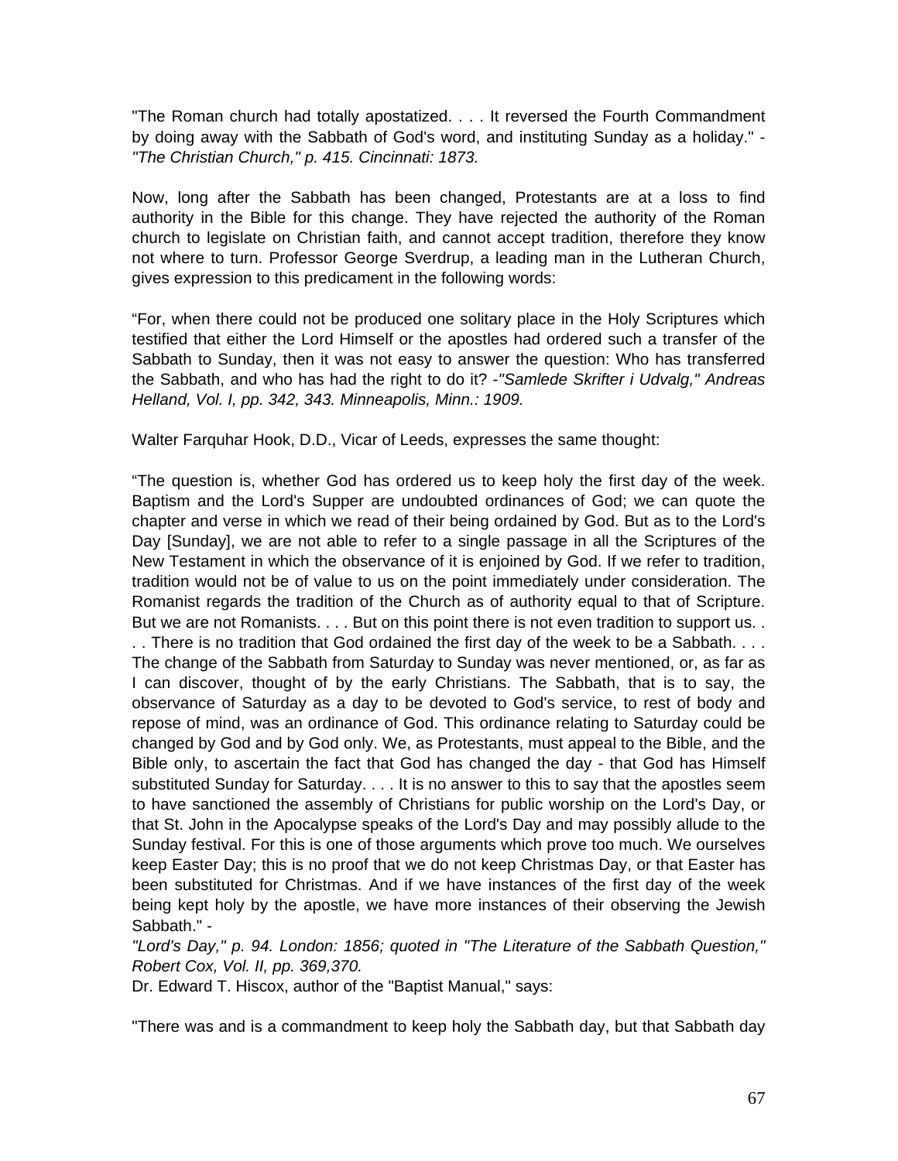"The Roman church had totally apostatized. . . . It reversed the Fourth Commandment by doing away with the Sabbath of God's word, and instituting Sunday as a holiday." - *"The Christian Church," p. 415. Cincinnati: 1873.* 

Now, long after the Sabbath has been changed, Protestants are at a loss to find authority in the Bible for this change. They have rejected the authority of the Roman church to legislate on Christian faith, and cannot accept tradition, therefore they know not where to turn. Professor George Sverdrup, a leading man in the Lutheran Church, gives expression to this predicament in the following words:

"For, when there could not be produced one solitary place in the Holy Scriptures which testified that either the Lord Himself or the apostles had ordered such a transfer of the Sabbath to Sunday, then it was not easy to answer the question: Who has transferred the Sabbath, and who has had the right to do it? -*"Samlede Skrifter i Udvalg," Andreas Helland, Vol. I, pp. 342, 343. Minneapolis, Minn.: 1909.* 

Walter Farquhar Hook, D.D., Vicar of Leeds, expresses the same thought:

"The question is, whether God has ordered us to keep holy the first day of the week. Baptism and the Lord's Supper are undoubted ordinances of God; we can quote the chapter and verse in which we read of their being ordained by God. But as to the Lord's Day [Sunday], we are not able to refer to a single passage in all the Scriptures of the New Testament in which the observance of it is enjoined by God. If we refer to tradition, tradition would not be of value to us on the point immediately under consideration. The Romanist regards the tradition of the Church as of authority equal to that of Scripture. But we are not Romanists. . . . But on this point there is not even tradition to support us. . . . There is no tradition that God ordained the first day of the week to be a Sabbath. . . . The change of the Sabbath from Saturday to Sunday was never mentioned, or, as far as I can discover, thought of by the early Christians. The Sabbath, that is to say, the observance of Saturday as a day to be devoted to God's service, to rest of body and repose of mind, was an ordinance of God. This ordinance relating to Saturday could be changed by God and by God only. We, as Protestants, must appeal to the Bible, and the Bible only, to ascertain the fact that God has changed the day - that God has Himself substituted Sunday for Saturday. . . . It is no answer to this to say that the apostles seem to have sanctioned the assembly of Christians for public worship on the Lord's Day, or that St. John in the Apocalypse speaks of the Lord's Day and may possibly allude to the Sunday festival. For this is one of those arguments which prove too much. We ourselves keep Easter Day; this is no proof that we do not keep Christmas Day, or that Easter has been substituted for Christmas. And if we have instances of the first day of the week being kept holy by the apostle, we have more instances of their observing the Jewish Sabbath." -

*"Lord's Day," p. 94. London: 1856; quoted in "The Literature of the Sabbath Question," Robert Cox, Vol. II, pp. 369,370.* 

Dr. Edward T. Hiscox, author of the "Baptist Manual," says:

"There was and is a commandment to keep holy the Sabbath day, but that Sabbath day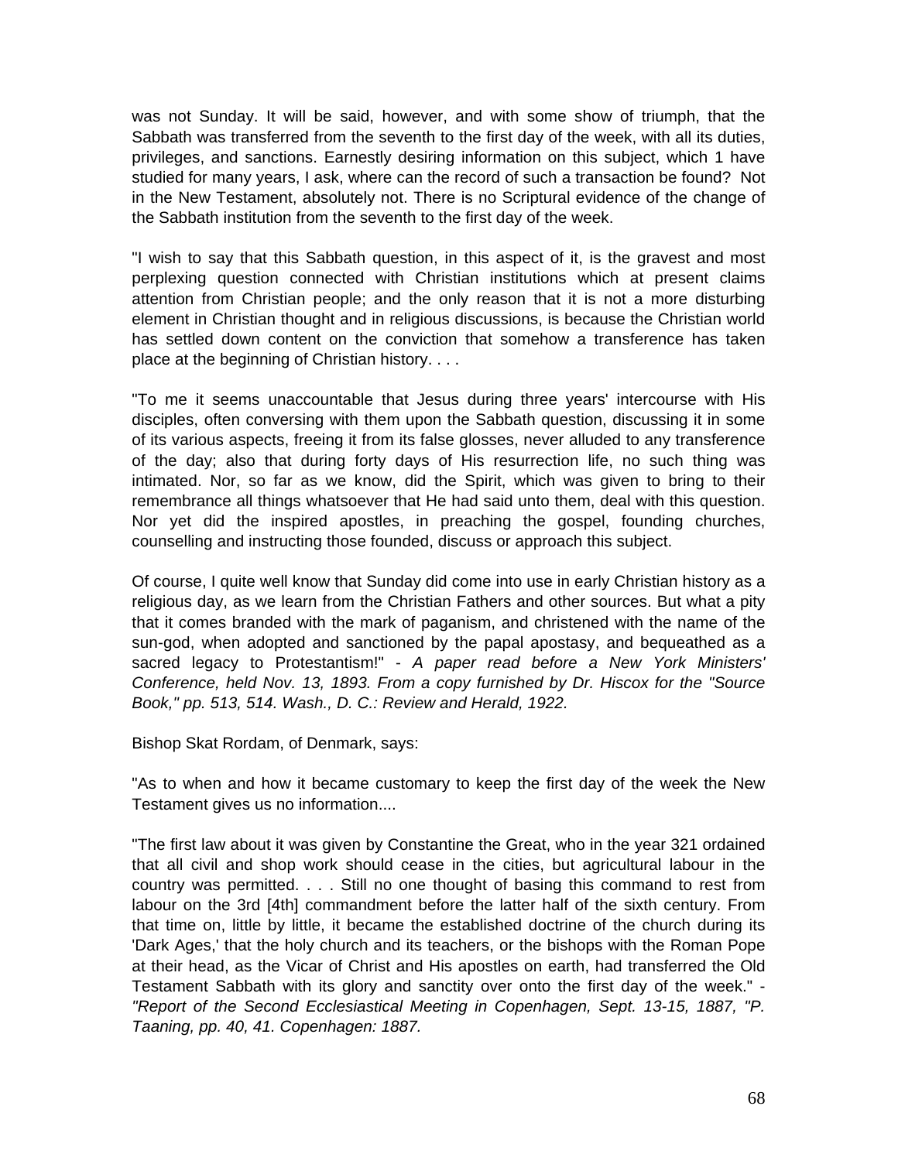was not Sunday. It will be said, however, and with some show of triumph, that the Sabbath was transferred from the seventh to the first day of the week, with all its duties, privileges, and sanctions. Earnestly desiring information on this subject, which 1 have studied for many years, I ask, where can the record of such a transaction be found? Not in the New Testament, absolutely not. There is no Scriptural evidence of the change of the Sabbath institution from the seventh to the first day of the week.

"I wish to say that this Sabbath question, in this aspect of it, is the gravest and most perplexing question connected with Christian institutions which at present claims attention from Christian people; and the only reason that it is not a more disturbing element in Christian thought and in religious discussions, is because the Christian world has settled down content on the conviction that somehow a transference has taken place at the beginning of Christian history. . . .

"To me it seems unaccountable that Jesus during three years' intercourse with His disciples, often conversing with them upon the Sabbath question, discussing it in some of its various aspects, freeing it from its false glosses, never alluded to any transference of the day; also that during forty days of His resurrection life, no such thing was intimated. Nor, so far as we know, did the Spirit, which was given to bring to their remembrance all things whatsoever that He had said unto them, deal with this question. Nor yet did the inspired apostles, in preaching the gospel, founding churches, counselling and instructing those founded, discuss or approach this subject.

Of course, I quite well know that Sunday did come into use in early Christian history as a religious day, as we learn from the Christian Fathers and other sources. But what a pity that it comes branded with the mark of paganism, and christened with the name of the sun-god, when adopted and sanctioned by the papal apostasy, and bequeathed as a sacred legacy to Protestantism!" - *A paper read before a New York Ministers' Conference, held Nov. 13, 1893. From a copy furnished by Dr. Hiscox for the "Source Book," pp. 513, 514. Wash., D. C.: Review and Herald, 1922.* 

Bishop Skat Rordam, of Denmark, says:

"As to when and how it became customary to keep the first day of the week the New Testament gives us no information....

"The first law about it was given by Constantine the Great, who in the year 321 ordained that all civil and shop work should cease in the cities, but agricultural labour in the country was permitted. . . . Still no one thought of basing this command to rest from labour on the 3rd [4th] commandment before the latter half of the sixth century. From that time on, little by little, it became the established doctrine of the church during its 'Dark Ages,' that the holy church and its teachers, or the bishops with the Roman Pope at their head, as the Vicar of Christ and His apostles on earth, had transferred the Old Testament Sabbath with its glory and sanctity over onto the first day of the week." - *"Report of the Second Ecclesiastical Meeting in Copenhagen, Sept. 13-15, 1887, "P. Taaning, pp. 40, 41. Copenhagen: 1887.*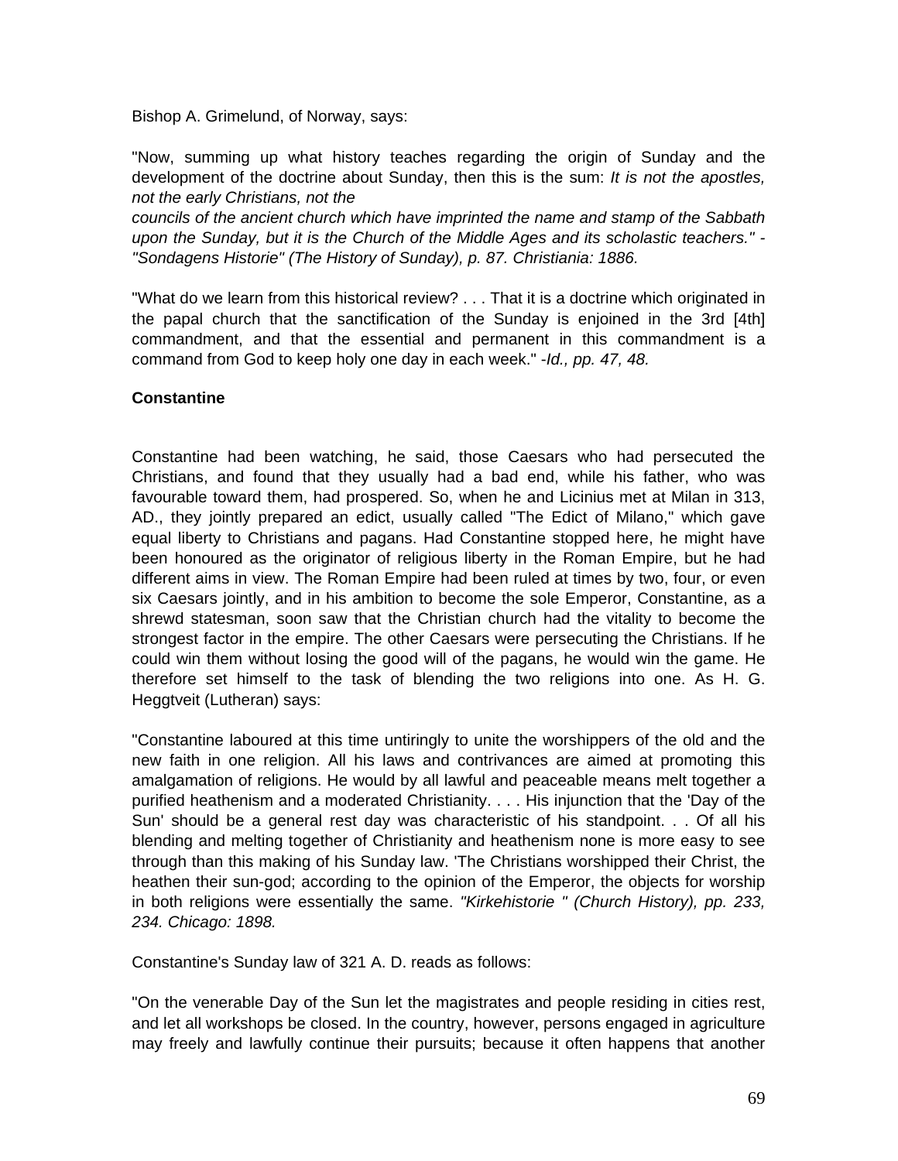Bishop A. Grimelund, of Norway, says:

"Now, summing up what history teaches regarding the origin of Sunday and the development of the doctrine about Sunday, then this is the sum: *It is not the apostles, not the early Christians, not the* 

*councils of the ancient church which have imprinted the name and stamp of the Sabbath upon the Sunday, but it is the Church of the Middle Ages and its scholastic teachers." - "Sondagens Historie" (The History of Sunday), p. 87. Christiania: 1886.* 

"What do we learn from this historical review? . . . That it is a doctrine which originated in the papal church that the sanctification of the Sunday is enjoined in the 3rd [4th] commandment, and that the essential and permanent in this commandment is a command from God to keep holy one day in each week." -*Id., pp. 47, 48.* 

### **Constantine**

Constantine had been watching, he said, those Caesars who had persecuted the Christians, and found that they usually had a bad end, while his father, who was favourable toward them, had prospered. So, when he and Licinius met at Milan in 313, AD., they jointly prepared an edict, usually called "The Edict of Milano," which gave equal liberty to Christians and pagans. Had Constantine stopped here, he might have been honoured as the originator of religious liberty in the Roman Empire, but he had different aims in view. The Roman Empire had been ruled at times by two, four, or even six Caesars jointly, and in his ambition to become the sole Emperor, Constantine, as a shrewd statesman, soon saw that the Christian church had the vitality to become the strongest factor in the empire. The other Caesars were persecuting the Christians. If he could win them without losing the good will of the pagans, he would win the game. He therefore set himself to the task of blending the two religions into one. As H. G. Heggtveit (Lutheran) says:

"Constantine laboured at this time untiringly to unite the worshippers of the old and the new faith in one religion. All his laws and contrivances are aimed at promoting this amalgamation of religions. He would by all lawful and peaceable means melt together a purified heathenism and a moderated Christianity. . . . His injunction that the 'Day of the Sun' should be a general rest day was characteristic of his standpoint. . . Of all his blending and melting together of Christianity and heathenism none is more easy to see through than this making of his Sunday law. 'The Christians worshipped their Christ, the heathen their sun-god; according to the opinion of the Emperor, the objects for worship in both religions were essentially the same. *"Kirkehistorie " (Church History), pp. 233, 234. Chicago: 1898.* 

Constantine's Sunday law of 321 A. D. reads as follows:

"On the venerable Day of the Sun let the magistrates and people residing in cities rest, and let all workshops be closed. In the country, however, persons engaged in agriculture may freely and lawfully continue their pursuits; because it often happens that another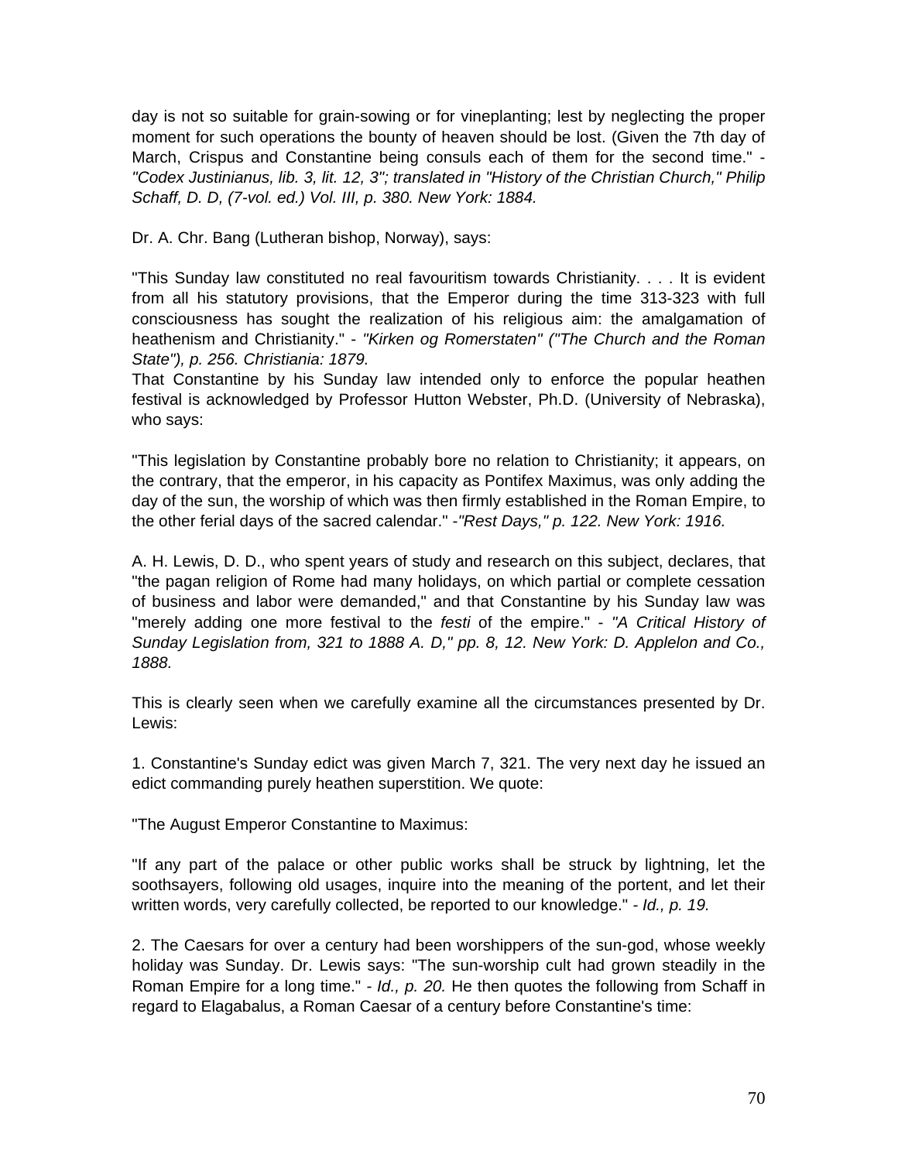day is not so suitable for grain-sowing or for vineplanting; lest by neglecting the proper moment for such operations the bounty of heaven should be lost. (Given the 7th day of March, Crispus and Constantine being consuls each of them for the second time." - *"Codex Justinianus, lib. 3, lit. 12, 3"; translated in "History of the Christian Church," Philip Schaff, D. D, (7-vol. ed.) Vol. III, p. 380. New York: 1884.* 

Dr. A. Chr. Bang (Lutheran bishop, Norway), says:

"This Sunday law constituted no real favouritism towards Christianity. . . . It is evident from all his statutory provisions, that the Emperor during the time 313-323 with full consciousness has sought the realization of his religious aim: the amalgamation of heathenism and Christianity." - *"Kirken og Romerstaten" ("The Church and the Roman State"), p. 256. Christiania: 1879.* 

That Constantine by his Sunday law intended only to enforce the popular heathen festival is acknowledged by Professor Hutton Webster, Ph.D. (University of Nebraska), who says:

"This legislation by Constantine probably bore no relation to Christianity; it appears, on the contrary, that the emperor, in his capacity as Pontifex Maximus, was only adding the day of the sun, the worship of which was then firmly established in the Roman Empire, to the other ferial days of the sacred calendar." -*"Rest Days," p. 122. New York: 1916.* 

A. H. Lewis, D. D., who spent years of study and research on this subject, declares, that "the pagan religion of Rome had many holidays, on which partial or complete cessation of business and labor were demanded," and that Constantine by his Sunday law was "merely adding one more festival to the *festi* of the empire." - *"A Critical History of Sunday Legislation from, 321 to 1888 A. D," pp. 8, 12. New York: D. Applelon and Co., 1888.* 

This is clearly seen when we carefully examine all the circumstances presented by Dr. Lewis:

1. Constantine's Sunday edict was given March 7, 321. The very next day he issued an edict commanding purely heathen superstition. We quote:

"The August Emperor Constantine to Maximus:

"If any part of the palace or other public works shall be struck by lightning, let the soothsayers, following old usages, inquire into the meaning of the portent, and let their written words, very carefully collected, be reported to our knowledge." *- Id., p. 19.* 

2. The Caesars for over a century had been worshippers of the sun-god, whose weekly holiday was Sunday. Dr. Lewis says: "The sun-worship cult had grown steadily in the Roman Empire for a long time." *- Id., p. 20.* He then quotes the following from Schaff in regard to Elagabalus, a Roman Caesar of a century before Constantine's time: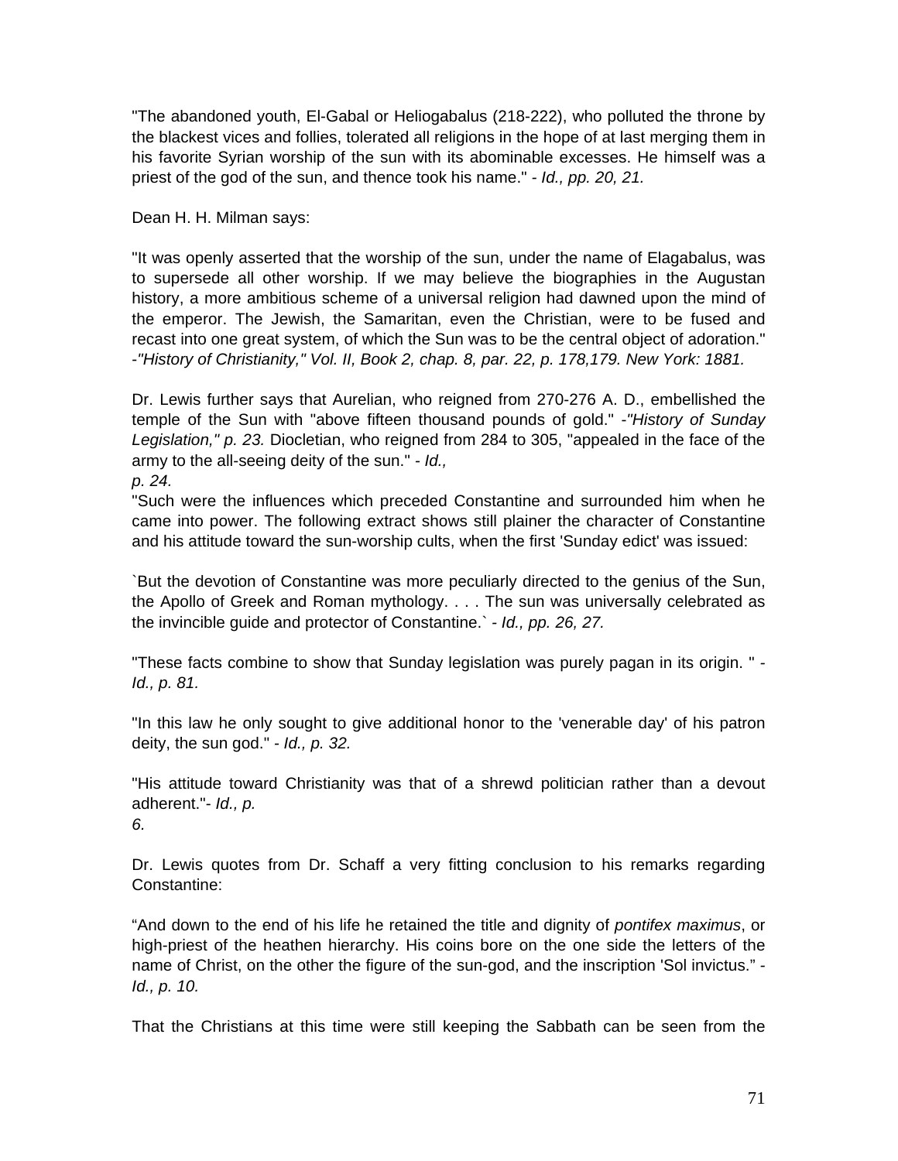"The abandoned youth, El-Gabal or Heliogabalus (218-222), who polluted the throne by the blackest vices and follies, tolerated all religions in the hope of at last merging them in his favorite Syrian worship of the sun with its abominable excesses. He himself was a priest of the god of the sun, and thence took his name." *- Id., pp. 20, 21.* 

Dean H. H. Milman says:

"It was openly asserted that the worship of the sun, under the name of Elagabalus, was to supersede all other worship. If we may believe the biographies in the Augustan history, a more ambitious scheme of a universal religion had dawned upon the mind of the emperor. The Jewish, the Samaritan, even the Christian, were to be fused and recast into one great system, of which the Sun was to be the central object of adoration." -*"History of Christianity," Vol. II, Book 2, chap. 8, par. 22, p. 178,179. New York: 1881.* 

Dr. Lewis further says that Aurelian, who reigned from 270-276 A. D., embellished the temple of the Sun with "above fifteen thousand pounds of gold." -*"History of Sunday Legislation," p. 23.* Diocletian, who reigned from 284 to 305, "appealed in the face of the army to the all-seeing deity of the sun." *- Id.,* 

*p. 24.* 

"Such were the influences which preceded Constantine and surrounded him when he came into power. The following extract shows still plainer the character of Constantine and his attitude toward the sun-worship cults, when the first 'Sunday edict' was issued:

`But the devotion of Constantine was more peculiarly directed to the genius of the Sun, the Apollo of Greek and Roman mythology. . . . The sun was universally celebrated as the invincible guide and protector of Constantine.` *- Id., pp. 26, 27.* 

"These facts combine to show that Sunday legislation was purely pagan in its origin. " *- Id., p. 81.* 

"In this law he only sought to give additional honor to the 'venerable day' of his patron deity, the sun god." *- Id., p. 32.* 

"His attitude toward Christianity was that of a shrewd politician rather than a devout adherent."- *Id., p.* 

*6.* 

Dr. Lewis quotes from Dr. Schaff a very fitting conclusion to his remarks regarding Constantine:

"And down to the end of his life he retained the title and dignity of *pontifex maximus*, or high-priest of the heathen hierarchy. His coins bore on the one side the letters of the name of Christ, on the other the figure of the sun-god, and the inscription 'Sol invictus." *- Id., p. 10.* 

That the Christians at this time were still keeping the Sabbath can be seen from the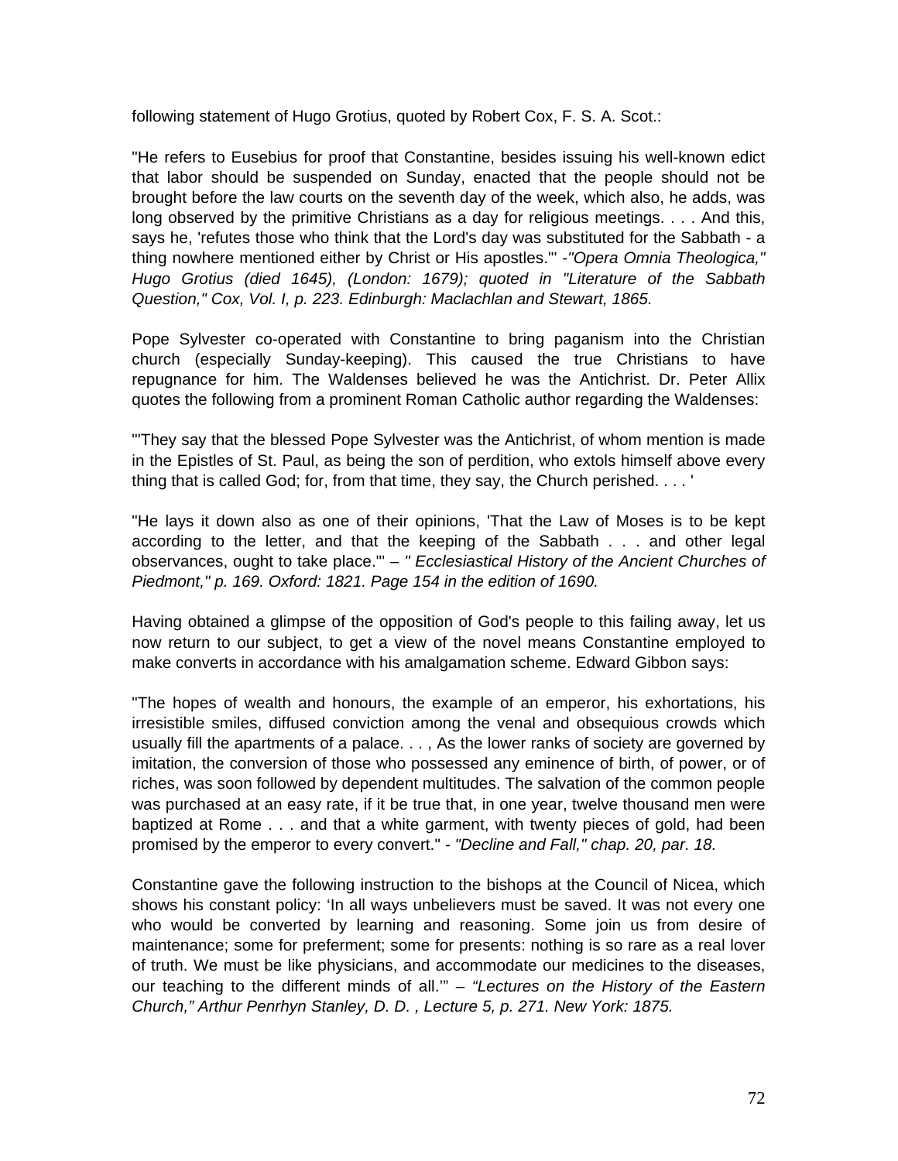following statement of Hugo Grotius, quoted by Robert Cox, F. S. A. Scot.:

"He refers to Eusebius for proof that Constantine, besides issuing his well-known edict that labor should be suspended on Sunday, enacted that the people should not be brought before the law courts on the seventh day of the week, which also, he adds, was long observed by the primitive Christians as a day for religious meetings. . . . And this, says he, 'refutes those who think that the Lord's day was substituted for the Sabbath - a thing nowhere mentioned either by Christ or His apostles."' -*"Opera Omnia Theologica," Hugo Grotius (died 1645), (London: 1679); quoted in "Literature of the Sabbath Question," Cox, Vol. I, p. 223. Edinburgh: Maclachlan and Stewart, 1865.* 

Pope Sylvester co-operated with Constantine to bring paganism into the Christian church (especially Sunday-keeping). This caused the true Christians to have repugnance for him. The Waldenses believed he was the Antichrist. Dr. Peter Allix quotes the following from a prominent Roman Catholic author regarding the Waldenses:

"'They say that the blessed Pope Sylvester was the Antichrist, of whom mention is made in the Epistles of St. Paul, as being the son of perdition, who extols himself above every thing that is called God; for, from that time, they say, the Church perished. . . . '

"He lays it down also as one of their opinions, 'That the Law of Moses is to be kept according to the letter, and that the keeping of the Sabbath . . . and other legal observances, ought to take place."' – *" Ecclesiastical History of the Ancient Churches of Piedmont," p. 169. Oxford: 1821. Page 154 in the edition of 1690.* 

Having obtained a glimpse of the opposition of God's people to this failing away, let us now return to our subject, to get a view of the novel means Constantine employed to make converts in accordance with his amalgamation scheme. Edward Gibbon says:

"The hopes of wealth and honours, the example of an emperor, his exhortations, his irresistible smiles, diffused conviction among the venal and obsequious crowds which usually fill the apartments of a palace. . . , As the lower ranks of society are governed by imitation, the conversion of those who possessed any eminence of birth, of power, or of riches, was soon followed by dependent multitudes. The salvation of the common people was purchased at an easy rate, if it be true that, in one year, twelve thousand men were baptized at Rome . . . and that a white garment, with twenty pieces of gold, had been promised by the emperor to every convert." *- "Decline and Fall," chap. 20, par. 18.* 

Constantine gave the following instruction to the bishops at the Council of Nicea, which shows his constant policy: 'In all ways unbelievers must be saved. It was not every one who would be converted by learning and reasoning. Some join us from desire of maintenance; some for preferment; some for presents: nothing is so rare as a real lover of truth. We must be like physicians, and accommodate our medicines to the diseases, our teaching to the different minds of all.'" – *"Lectures on the History of the Eastern Church," Arthur Penrhyn Stanley, D. D. , Lecture 5, p. 271. New York: 1875.*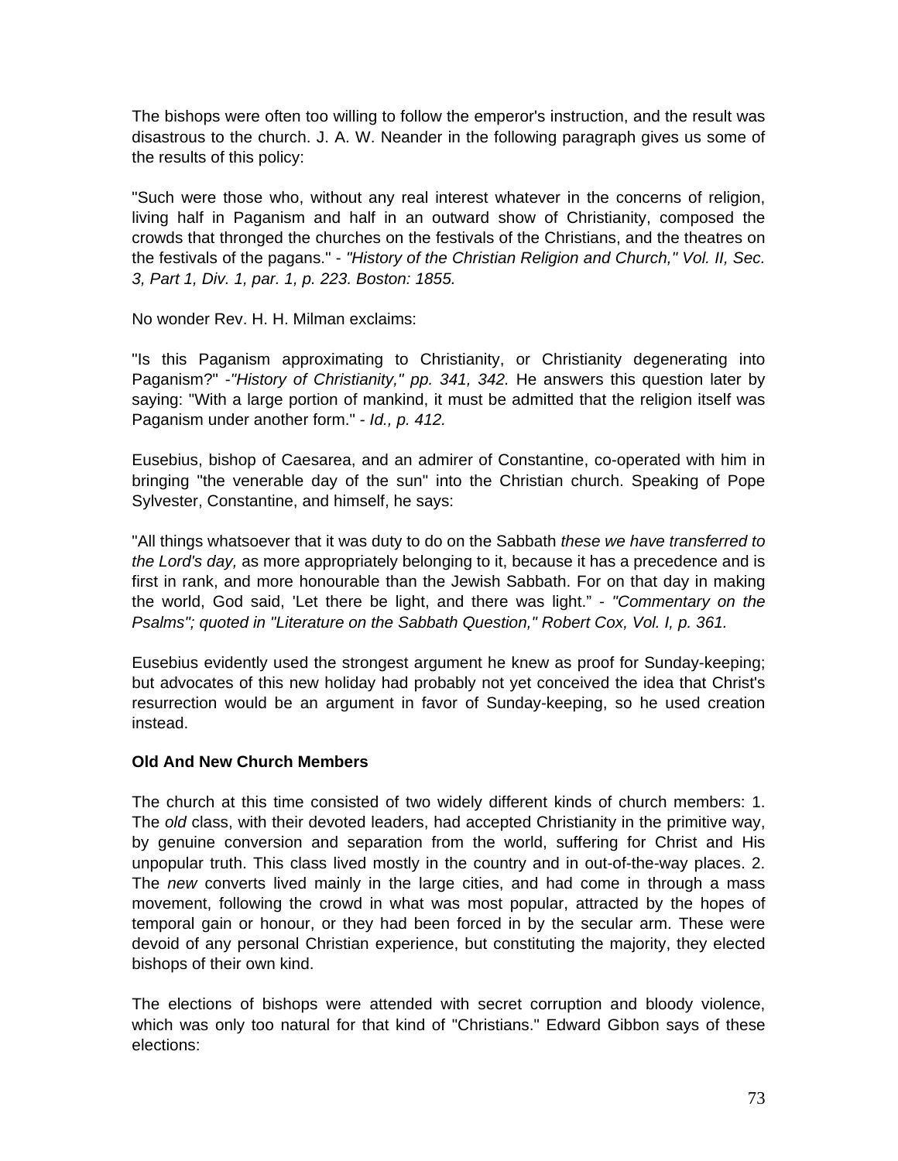The bishops were often too willing to follow the emperor's instruction, and the result was disastrous to the church. J. A. W. Neander in the following paragraph gives us some of the results of this policy:

"Such were those who, without any real interest whatever in the concerns of religion, living half in Paganism and half in an outward show of Christianity, composed the crowds that thronged the churches on the festivals of the Christians, and the theatres on the festivals of the pagans." - *"History of the Christian Religion and Church," Vol. II, Sec. 3, Part 1, Div. 1, par. 1, p. 223. Boston: 1855.* 

No wonder Rev. H. H. Milman exclaims:

"Is this Paganism approximating to Christianity, or Christianity degenerating into Paganism?" -*"History of Christianity," pp. 341, 342.* He answers this question later by saying: "With a large portion of mankind, it must be admitted that the religion itself was Paganism under another form." - *Id., p. 412.* 

Eusebius, bishop of Caesarea, and an admirer of Constantine, co-operated with him in bringing "the venerable day of the sun" into the Christian church. Speaking of Pope Sylvester, Constantine, and himself, he says:

"All things whatsoever that it was duty to do on the Sabbath *these we have transferred to the Lord's day,* as more appropriately belonging to it, because it has a precedence and is first in rank, and more honourable than the Jewish Sabbath. For on that day in making the world, God said, 'Let there be light, and there was light." - *"Commentary on the Psalms"; quoted in "Literature on the Sabbath Question," Robert Cox, Vol. I, p. 361.* 

Eusebius evidently used the strongest argument he knew as proof for Sunday-keeping; but advocates of this new holiday had probably not yet conceived the idea that Christ's resurrection would be an argument in favor of Sunday-keeping, so he used creation instead.

## **Old And New Church Members**

The church at this time consisted of two widely different kinds of church members: 1. The *old* class, with their devoted leaders, had accepted Christianity in the primitive way, by genuine conversion and separation from the world, suffering for Christ and His unpopular truth. This class lived mostly in the country and in out-of-the-way places. 2. The *new* converts lived mainly in the large cities, and had come in through a mass movement, following the crowd in what was most popular, attracted by the hopes of temporal gain or honour, or they had been forced in by the secular arm. These were devoid of any personal Christian experience, but constituting the majority, they elected bishops of their own kind.

The elections of bishops were attended with secret corruption and bloody violence, which was only too natural for that kind of "Christians." Edward Gibbon says of these elections: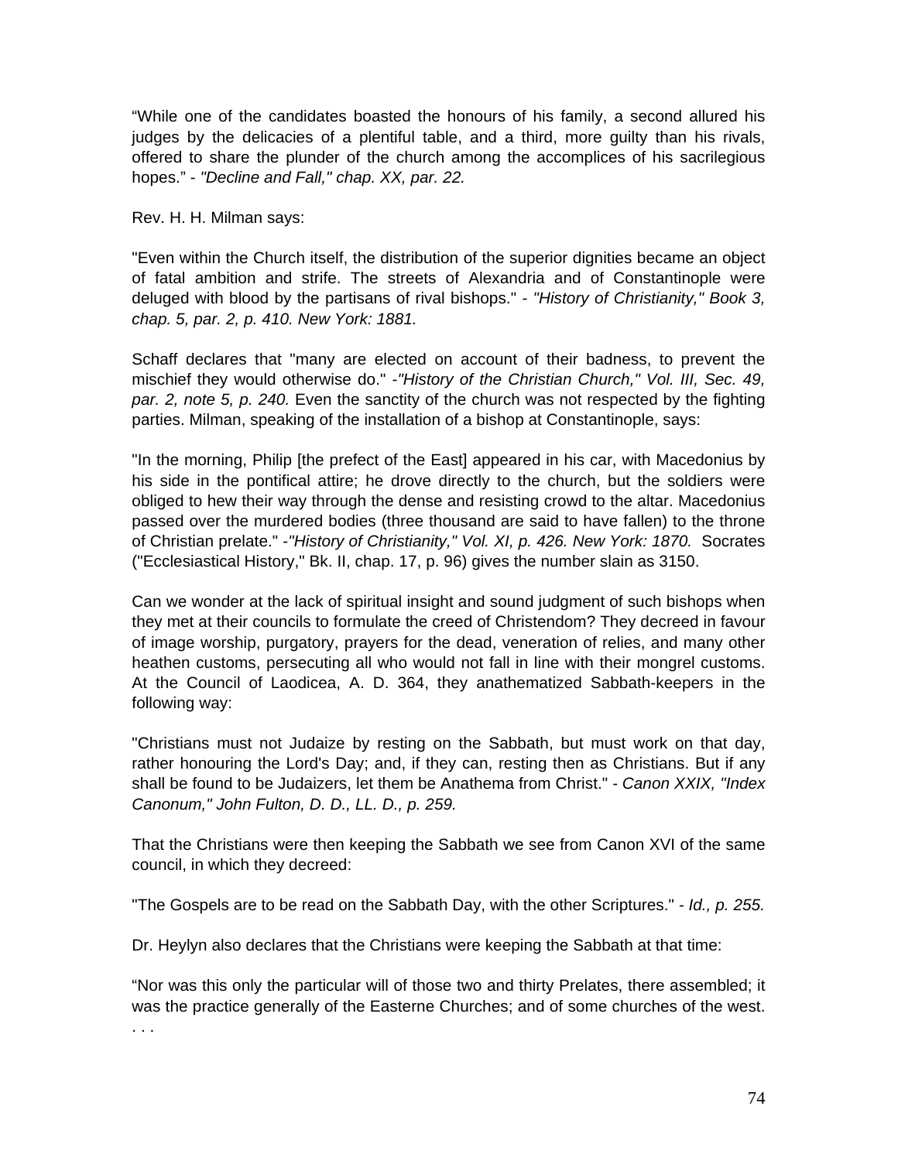"While one of the candidates boasted the honours of his family, a second allured his judges by the delicacies of a plentiful table, and a third, more guilty than his rivals, offered to share the plunder of the church among the accomplices of his sacrilegious hopes." - *"Decline and Fall," chap. XX, par. 22.* 

Rev. H. H. Milman says:

"Even within the Church itself, the distribution of the superior dignities became an object of fatal ambition and strife. The streets of Alexandria and of Constantinople were deluged with blood by the partisans of rival bishops." *- "History of Christianity," Book 3, chap. 5, par. 2, p. 410. New York: 1881.* 

Schaff declares that "many are elected on account of their badness, to prevent the mischief they would otherwise do." -*"History of the Christian Church," Vol. III, Sec. 49, par. 2, note 5, p. 240.* Even the sanctity of the church was not respected by the fighting parties. Milman, speaking of the installation of a bishop at Constantinople, says:

"In the morning, Philip [the prefect of the East] appeared in his car, with Macedonius by his side in the pontifical attire; he drove directly to the church, but the soldiers were obliged to hew their way through the dense and resisting crowd to the altar. Macedonius passed over the murdered bodies (three thousand are said to have fallen) to the throne of Christian prelate." -*"History of Christianity," Vol. XI, p. 426. New York: 1870.* Socrates ("Ecclesiastical History," Bk. II, chap. 17, p. 96) gives the number slain as 3150.

Can we wonder at the lack of spiritual insight and sound judgment of such bishops when they met at their councils to formulate the creed of Christendom? They decreed in favour of image worship, purgatory, prayers for the dead, veneration of relies, and many other heathen customs, persecuting all who would not fall in line with their mongrel customs. At the Council of Laodicea, A. D. 364, they anathematized Sabbath-keepers in the following way:

"Christians must not Judaize by resting on the Sabbath, but must work on that day, rather honouring the Lord's Day; and, if they can, resting then as Christians. But if any shall be found to be Judaizers, let them be Anathema from Christ." *- Canon XXIX, "Index Canonum," John Fulton, D. D., LL. D., p. 259.* 

That the Christians were then keeping the Sabbath we see from Canon XVI of the same council, in which they decreed:

"The Gospels are to be read on the Sabbath Day, with the other Scriptures." *- Id., p. 255.* 

Dr. Heylyn also declares that the Christians were keeping the Sabbath at that time:

"Nor was this only the particular will of those two and thirty Prelates, there assembled; it was the practice generally of the Easterne Churches; and of some churches of the west.

. . .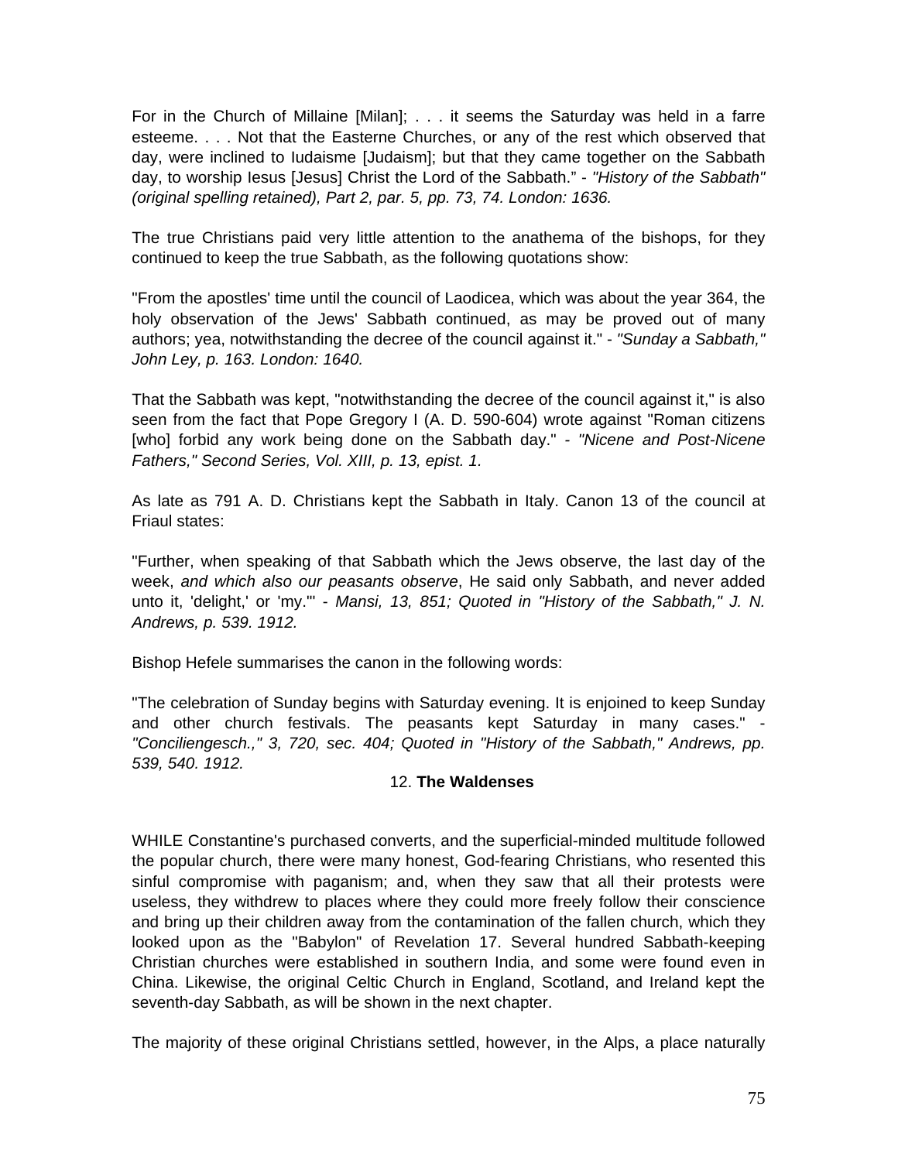For in the Church of Millaine [Milan]; . . . it seems the Saturday was held in a farre esteeme. . . . Not that the Easterne Churches, or any of the rest which observed that day, were inclined to Iudaisme [Judaism]; but that they came together on the Sabbath day, to worship Iesus [Jesus] Christ the Lord of the Sabbath." - *"History of the Sabbath" (original spelling retained), Part 2, par. 5, pp. 73, 74. London: 1636.* 

The true Christians paid very little attention to the anathema of the bishops, for they continued to keep the true Sabbath, as the following quotations show:

"From the apostles' time until the council of Laodicea, which was about the year 364, the holy observation of the Jews' Sabbath continued, as may be proved out of many authors; yea, notwithstanding the decree of the council against it." - *"Sunday a Sabbath," John Ley, p. 163. London: 1640.* 

That the Sabbath was kept, "notwithstanding the decree of the council against it," is also seen from the fact that Pope Gregory I (A. D. 590-604) wrote against "Roman citizens [who] forbid any work being done on the Sabbath day." *- "Nicene and Post-Nicene Fathers," Second Series, Vol. XIII, p. 13, epist. 1.* 

As late as 791 A. D. Christians kept the Sabbath in Italy. Canon 13 of the council at Friaul states:

"Further, when speaking of that Sabbath which the Jews observe, the last day of the week, *and which also our peasants observe*, He said only Sabbath, and never added unto it, 'delight,' or 'my."' - *Mansi, 13, 851; Quoted in "History of the Sabbath," J. N. Andrews, p. 539. 1912.* 

Bishop Hefele summarises the canon in the following words:

"The celebration of Sunday begins with Saturday evening. It is enjoined to keep Sunday and other church festivals. The peasants kept Saturday in many cases." - *"Conciliengesch.," 3, 720, sec. 404; Quoted in "History of the Sabbath," Andrews, pp. 539, 540. 1912.* 

## 12. **The Waldenses**

WHILE Constantine's purchased converts, and the superficial-minded multitude followed the popular church, there were many honest, God-fearing Christians, who resented this sinful compromise with paganism; and, when they saw that all their protests were useless, they withdrew to places where they could more freely follow their conscience and bring up their children away from the contamination of the fallen church, which they looked upon as the "Babylon" of Revelation 17. Several hundred Sabbath-keeping Christian churches were established in southern India, and some were found even in China. Likewise, the original Celtic Church in England, Scotland, and Ireland kept the seventh-day Sabbath, as will be shown in the next chapter.

The majority of these original Christians settled, however, in the Alps, a place naturally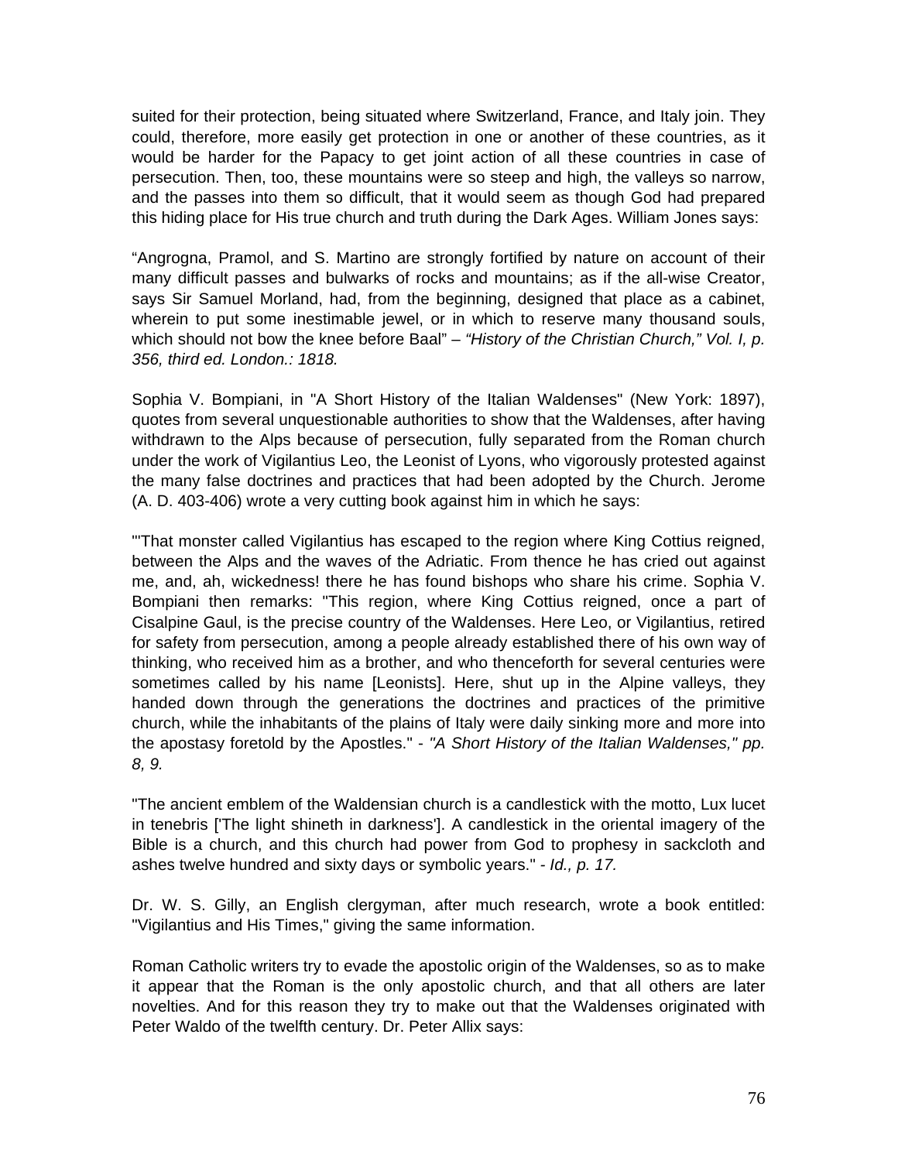suited for their protection, being situated where Switzerland, France, and Italy join. They could, therefore, more easily get protection in one or another of these countries, as it would be harder for the Papacy to get joint action of all these countries in case of persecution. Then, too, these mountains were so steep and high, the valleys so narrow, and the passes into them so difficult, that it would seem as though God had prepared this hiding place for His true church and truth during the Dark Ages. William Jones says:

"Angrogna, Pramol, and S. Martino are strongly fortified by nature on account of their many difficult passes and bulwarks of rocks and mountains; as if the all-wise Creator, says Sir Samuel Morland, had, from the beginning, designed that place as a cabinet, wherein to put some inestimable jewel, or in which to reserve many thousand souls, which should not bow the knee before Baal" – *"History of the Christian Church," Vol. I, p. 356, third ed. London.: 1818.* 

Sophia V. Bompiani, in "A Short History of the Italian Waldenses" (New York: 1897), quotes from several unquestionable authorities to show that the Waldenses, after having withdrawn to the Alps because of persecution, fully separated from the Roman church under the work of Vigilantius Leo, the Leonist of Lyons, who vigorously protested against the many false doctrines and practices that had been adopted by the Church. Jerome (A. D. 403-406) wrote a very cutting book against him in which he says:

"'That monster called Vigilantius has escaped to the region where King Cottius reigned, between the Alps and the waves of the Adriatic. From thence he has cried out against me, and, ah, wickedness! there he has found bishops who share his crime. Sophia V. Bompiani then remarks: "This region, where King Cottius reigned, once a part of Cisalpine Gaul, is the precise country of the Waldenses. Here Leo, or Vigilantius, retired for safety from persecution, among a people already established there of his own way of thinking, who received him as a brother, and who thenceforth for several centuries were sometimes called by his name [Leonists]. Here, shut up in the Alpine valleys, they handed down through the generations the doctrines and practices of the primitive church, while the inhabitants of the plains of Italy were daily sinking more and more into the apostasy foretold by the Apostles." - *"A Short History of the Italian Waldenses," pp. 8, 9.* 

"The ancient emblem of the Waldensian church is a candlestick with the motto, Lux lucet in tenebris ['The light shineth in darkness']. A candlestick in the oriental imagery of the Bible is a church, and this church had power from God to prophesy in sackcloth and ashes twelve hundred and sixty days or symbolic years." *- Id., p. 17.* 

Dr. W. S. Gilly, an English clergyman, after much research, wrote a book entitled: "Vigilantius and His Times," giving the same information.

Roman Catholic writers try to evade the apostolic origin of the Waldenses, so as to make it appear that the Roman is the only apostolic church, and that all others are later novelties. And for this reason they try to make out that the Waldenses originated with Peter Waldo of the twelfth century. Dr. Peter Allix says: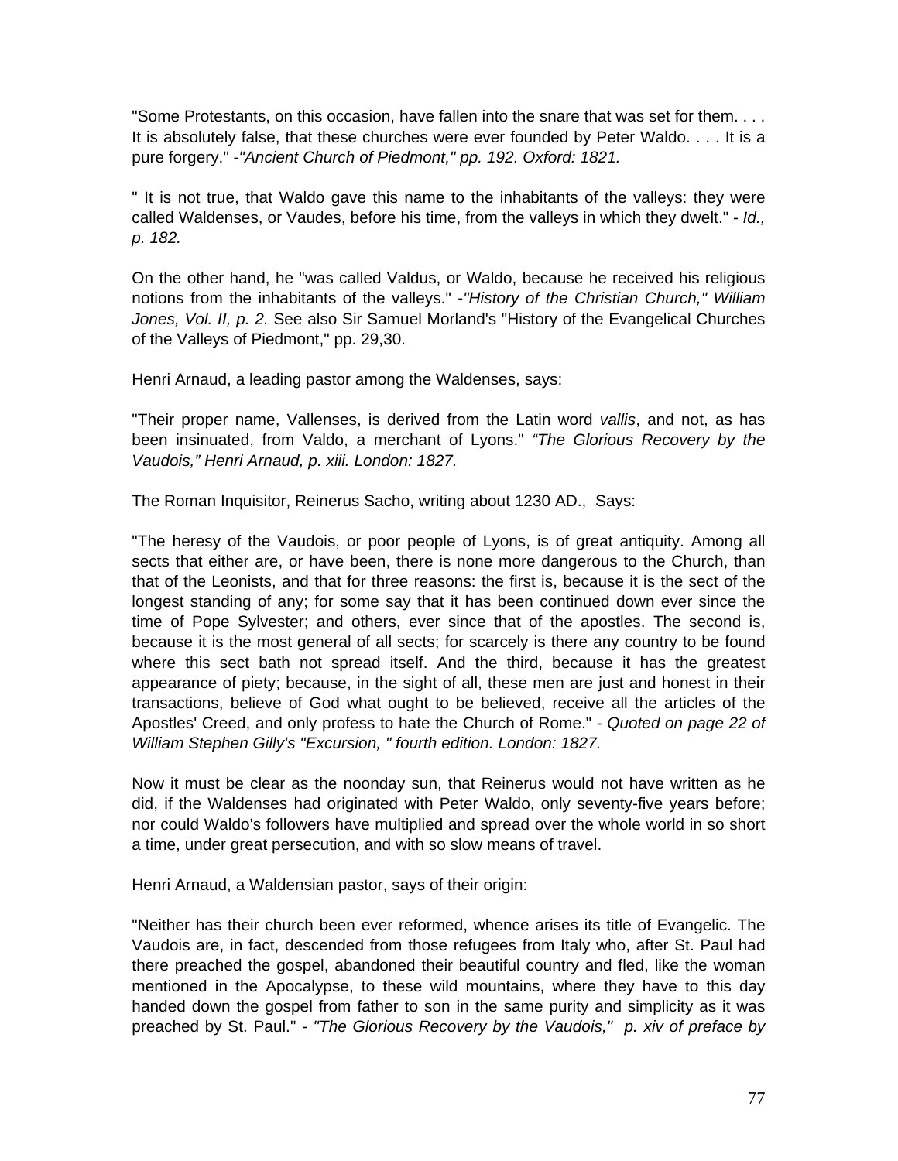"Some Protestants, on this occasion, have fallen into the snare that was set for them. . . . It is absolutely false, that these churches were ever founded by Peter Waldo. . . . It is a pure forgery." -*"Ancient Church of Piedmont," pp. 192. Oxford: 1821.* 

" It is not true, that Waldo gave this name to the inhabitants of the valleys: they were called Waldenses, or Vaudes, before his time, from the valleys in which they dwelt." - *Id., p. 182.* 

On the other hand, he "was called Valdus, or Waldo, because he received his religious notions from the inhabitants of the valleys." -*"History of the Christian Church," William Jones, Vol. II, p. 2.* See also Sir Samuel Morland's "History of the Evangelical Churches of the Valleys of Piedmont," pp. 29,30.

Henri Arnaud, a leading pastor among the Waldenses, says:

"Their proper name, Vallenses, is derived from the Latin word *vallis*, and not, as has been insinuated, from Valdo, a merchant of Lyons." *"The Glorious Recovery by the Vaudois," Henri Arnaud, p. xiii. London: 1827.* 

The Roman Inquisitor, Reinerus Sacho, writing about 1230 AD., Says:

"The heresy of the Vaudois, or poor people of Lyons, is of great antiquity. Among all sects that either are, or have been, there is none more dangerous to the Church, than that of the Leonists, and that for three reasons: the first is, because it is the sect of the longest standing of any; for some say that it has been continued down ever since the time of Pope Sylvester; and others, ever since that of the apostles. The second is, because it is the most general of all sects; for scarcely is there any country to be found where this sect bath not spread itself. And the third, because it has the greatest appearance of piety; because, in the sight of all, these men are just and honest in their transactions, believe of God what ought to be believed, receive all the articles of the Apostles' Creed, and only profess to hate the Church of Rome." - *Quoted on page 22 of William Stephen Gilly's "Excursion, " fourth edition. London: 1827.* 

Now it must be clear as the noonday sun, that Reinerus would not have written as he did, if the Waldenses had originated with Peter Waldo, only seventy-five years before; nor could Waldo's followers have multiplied and spread over the whole world in so short a time, under great persecution, and with so slow means of travel.

Henri Arnaud, a Waldensian pastor, says of their origin:

"Neither has their church been ever reformed, whence arises its title of Evangelic. The Vaudois are, in fact, descended from those refugees from Italy who, after St. Paul had there preached the gospel, abandoned their beautiful country and fled, like the woman mentioned in the Apocalypse, to these wild mountains, where they have to this day handed down the gospel from father to son in the same purity and simplicity as it was preached by St. Paul." - *"The Glorious Recovery by the Vaudois," p. xiv of preface by*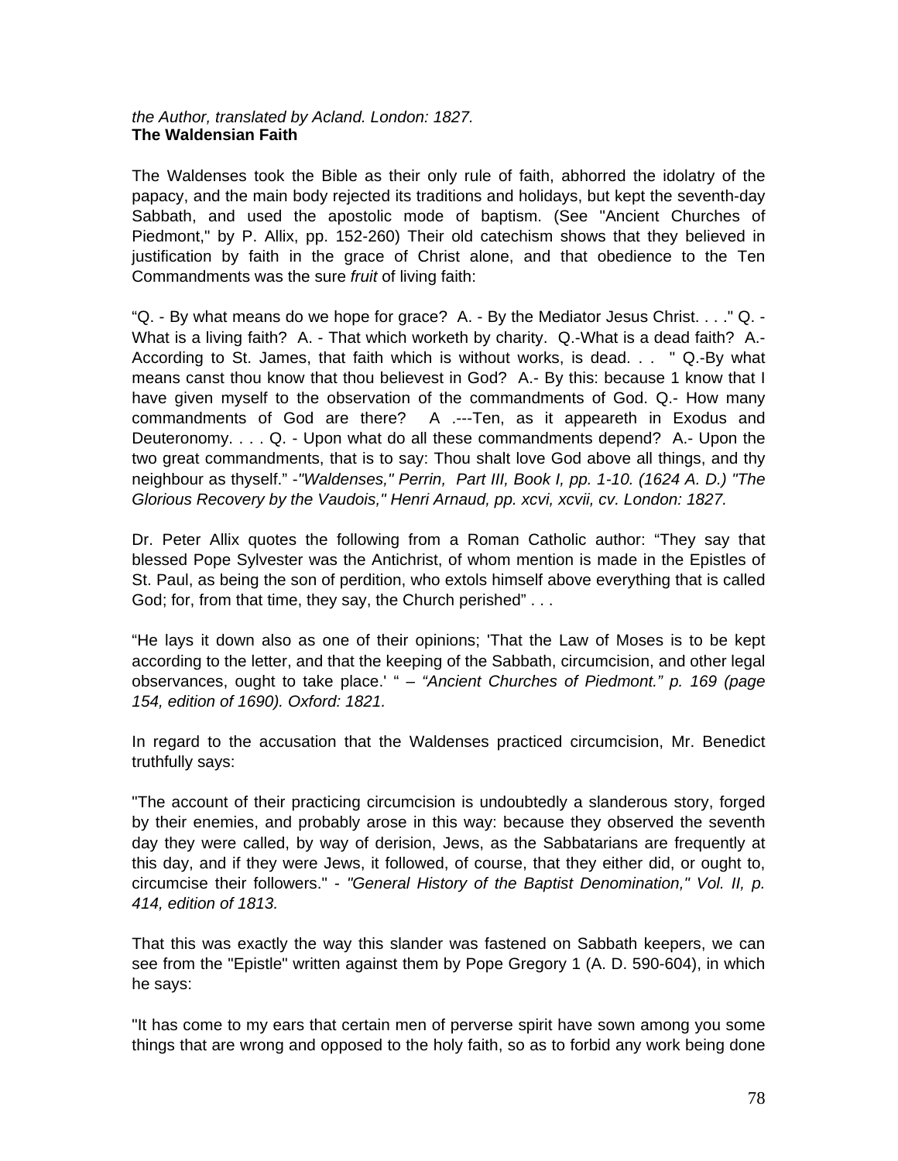#### *the Author, translated by Acland. London: 1827.*  **The Waldensian Faith**

The Waldenses took the Bible as their only rule of faith, abhorred the idolatry of the papacy, and the main body rejected its traditions and holidays, but kept the seventh-day Sabbath, and used the apostolic mode of baptism. (See "Ancient Churches of Piedmont," by P. Allix, pp. 152-260) Their old catechism shows that they believed in justification by faith in the grace of Christ alone, and that obedience to the Ten Commandments was the sure *fruit* of living faith:

"Q. - By what means do we hope for grace? A. - By the Mediator Jesus Christ. . . ." Q. - What is a living faith? A. - That which worketh by charity. Q.-What is a dead faith? A.- According to St. James, that faith which is without works, is dead. . . " Q.-By what means canst thou know that thou believest in God? A.- By this: because 1 know that I have given myself to the observation of the commandments of God. Q.- How many commandments of God are there? A .---Ten, as it appeareth in Exodus and Deuteronomy. . . . Q. - Upon what do all these commandments depend? A.- Upon the two great commandments, that is to say: Thou shalt love God above all things, and thy neighbour as thyself." -*"Waldenses," Perrin, Part III, Book I, pp. 1-10. (1624 A. D.) "The Glorious Recovery by the Vaudois," Henri Arnaud, pp. xcvi, xcvii, cv. London: 1827.* 

Dr. Peter Allix quotes the following from a Roman Catholic author: "They say that blessed Pope Sylvester was the Antichrist, of whom mention is made in the Epistles of St. Paul, as being the son of perdition, who extols himself above everything that is called God; for, from that time, they say, the Church perished" . . .

"He lays it down also as one of their opinions; 'That the Law of Moses is to be kept according to the letter, and that the keeping of the Sabbath, circumcision, and other legal observances, ought to take place.' " – *"Ancient Churches of Piedmont." p. 169 (page 154, edition of 1690). Oxford: 1821.* 

In regard to the accusation that the Waldenses practiced circumcision, Mr. Benedict truthfully says:

"The account of their practicing circumcision is undoubtedly a slanderous story, forged by their enemies, and probably arose in this way: because they observed the seventh day they were called, by way of derision, Jews, as the Sabbatarians are frequently at this day, and if they were Jews, it followed, of course, that they either did, or ought to, circumcise their followers." - *"General History of the Baptist Denomination," Vol. II, p. 414, edition of 1813.* 

That this was exactly the way this slander was fastened on Sabbath keepers, we can see from the "Epistle" written against them by Pope Gregory 1 (A. D. 590-604), in which he says:

"It has come to my ears that certain men of perverse spirit have sown among you some things that are wrong and opposed to the holy faith, so as to forbid any work being done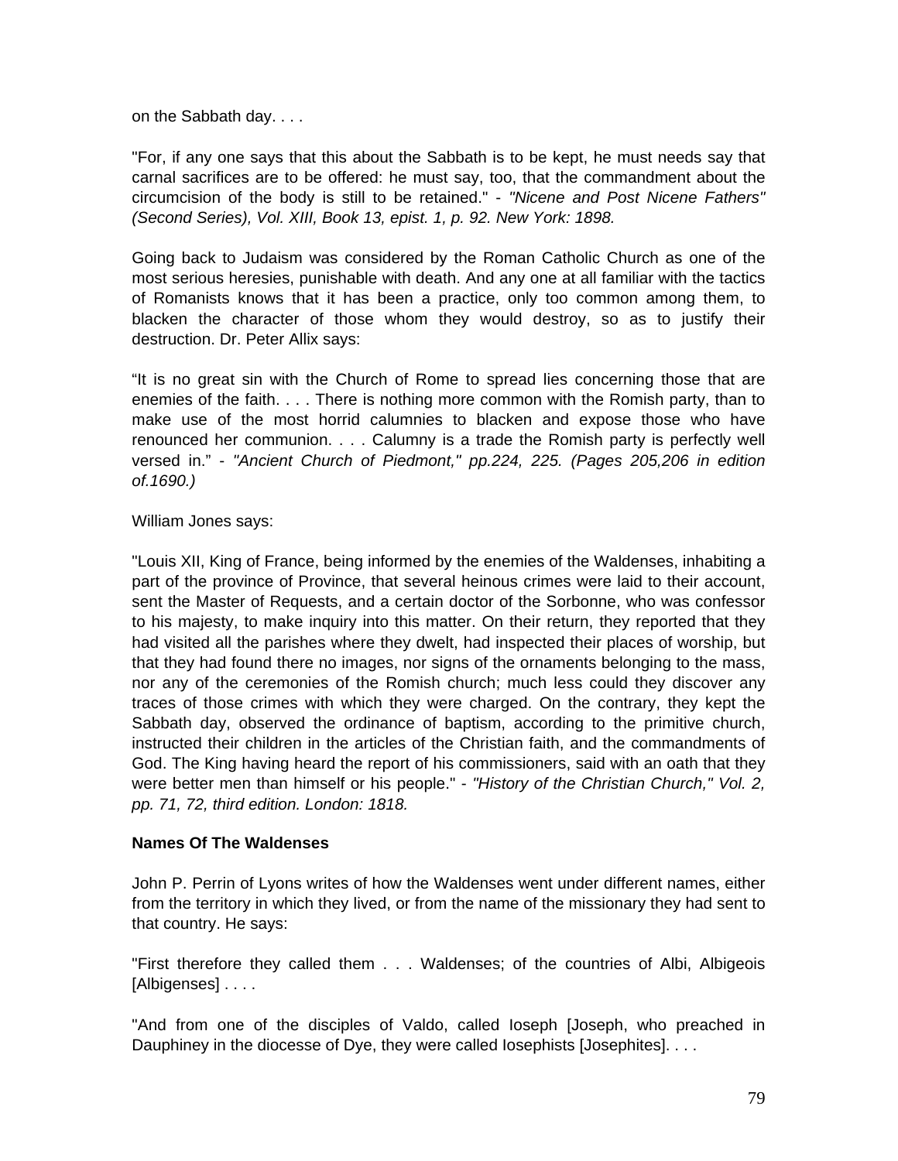on the Sabbath day. . . .

"For, if any one says that this about the Sabbath is to be kept, he must needs say that carnal sacrifices are to be offered: he must say, too, that the commandment about the circumcision of the body is still to be retained." - *"Nicene and Post Nicene Fathers" (Second Series), Vol. XIII, Book 13, epist. 1, p. 92. New York: 1898.* 

Going back to Judaism was considered by the Roman Catholic Church as one of the most serious heresies, punishable with death. And any one at all familiar with the tactics of Romanists knows that it has been a practice, only too common among them, to blacken the character of those whom they would destroy, so as to justify their destruction. Dr. Peter Allix says:

"It is no great sin with the Church of Rome to spread lies concerning those that are enemies of the faith. . . . There is nothing more common with the Romish party, than to make use of the most horrid calumnies to blacken and expose those who have renounced her communion. . . . Calumny is a trade the Romish party is perfectly well versed in." - *"Ancient Church of Piedmont," pp.224, 225. (Pages 205,206 in edition of.1690.)* 

William Jones says:

"Louis XII, King of France, being informed by the enemies of the Waldenses, inhabiting a part of the province of Province, that several heinous crimes were laid to their account, sent the Master of Requests, and a certain doctor of the Sorbonne, who was confessor to his majesty, to make inquiry into this matter. On their return, they reported that they had visited all the parishes where they dwelt, had inspected their places of worship, but that they had found there no images, nor signs of the ornaments belonging to the mass, nor any of the ceremonies of the Romish church; much less could they discover any traces of those crimes with which they were charged. On the contrary, they kept the Sabbath day, observed the ordinance of baptism, according to the primitive church, instructed their children in the articles of the Christian faith, and the commandments of God. The King having heard the report of his commissioners, said with an oath that they were better men than himself or his people." - *"History of the Christian Church," Vol. 2, pp. 71, 72, third edition. London: 1818.* 

## **Names Of The Waldenses**

John P. Perrin of Lyons writes of how the Waldenses went under different names, either from the territory in which they lived, or from the name of the missionary they had sent to that country. He says:

"First therefore they called them . . . Waldenses; of the countries of Albi, Albigeois [Albigenses] . . . .

"And from one of the disciples of Valdo, called Ioseph [Joseph, who preached in Dauphiney in the diocesse of Dye, they were called losephists [Josephites]. . . .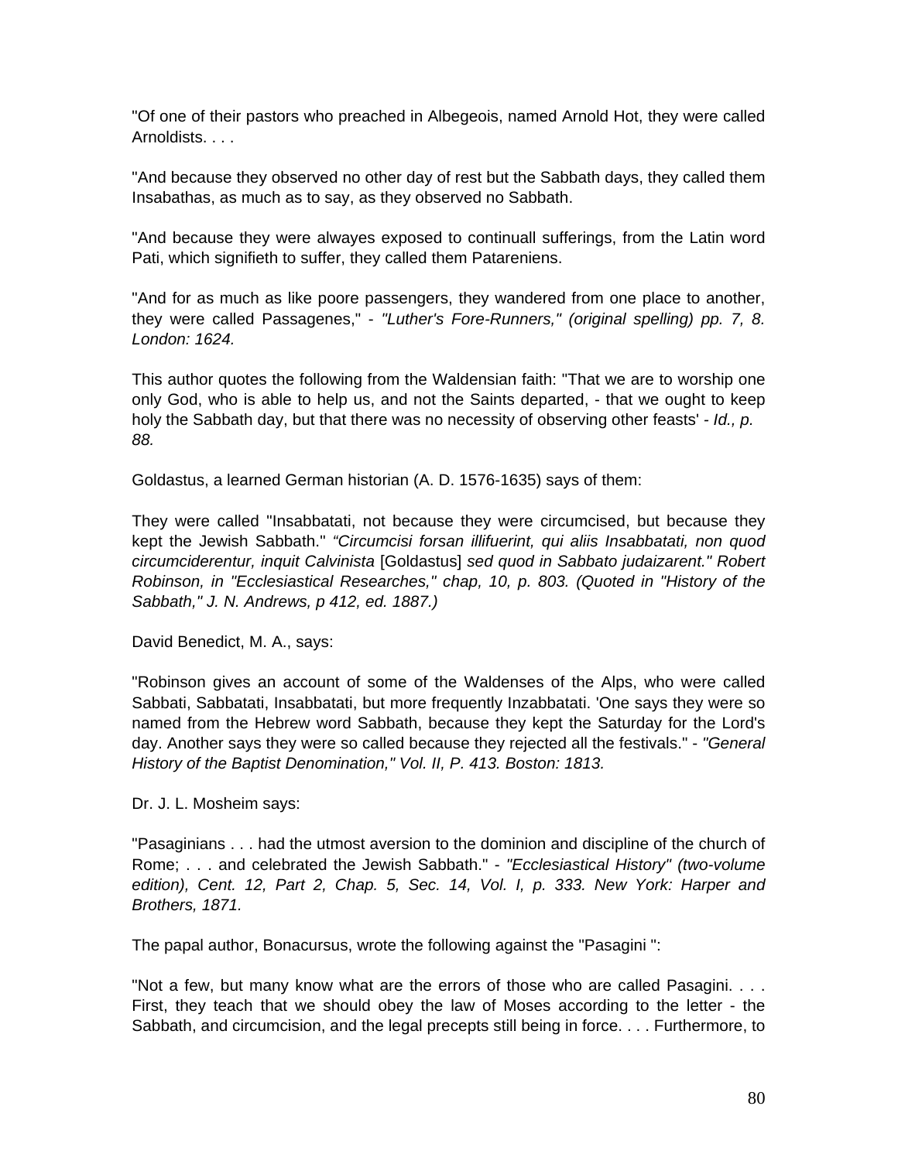"Of one of their pastors who preached in Albegeois, named Arnold Hot, they were called Arnoldists. . . .

"And because they observed no other day of rest but the Sabbath days, they called them Insabathas, as much as to say, as they observed no Sabbath.

"And because they were alwayes exposed to continuall sufferings, from the Latin word Pati, which signifieth to suffer, they called them Patareniens.

"And for as much as like poore passengers, they wandered from one place to another, they were called Passagenes," - *"Luther's Fore-Runners," (original spelling) pp. 7, 8. London: 1624.* 

This author quotes the following from the Waldensian faith: "That we are to worship one only God, who is able to help us, and not the Saints departed, - that we ought to keep holy the Sabbath day, but that there was no necessity of observing other feasts' *- Id., p. 88.* 

Goldastus, a learned German historian (A. D. 1576-1635) says of them:

They were called "Insabbatati, not because they were circumcised, but because they kept the Jewish Sabbath." *"Circumcisi forsan illifuerint, qui aliis Insabbatati, non quod circumciderentur, inquit Calvinista* [Goldastus] *sed quod in Sabbato judaizarent." Robert Robinson, in "Ecclesiastical Researches," chap, 10, p. 803. (Quoted in "History of the Sabbath," J. N. Andrews, p 412, ed. 1887.)* 

David Benedict, M. A., says:

"Robinson gives an account of some of the Waldenses of the Alps, who were called Sabbati, Sabbatati, Insabbatati, but more frequently Inzabbatati. 'One says they were so named from the Hebrew word Sabbath, because they kept the Saturday for the Lord's day. Another says they were so called because they rejected all the festivals." - *"General History of the Baptist Denomination," Vol. II, P. 413. Boston: 1813.* 

Dr. J. L. Mosheim says:

"Pasaginians . . . had the utmost aversion to the dominion and discipline of the church of Rome; . . . and celebrated the Jewish Sabbath." - *"Ecclesiastical History" (two-volume edition), Cent. 12, Part 2, Chap. 5, Sec. 14, Vol. I, p. 333. New York: Harper and Brothers, 1871.* 

The papal author, Bonacursus, wrote the following against the "Pasagini ":

"Not a few, but many know what are the errors of those who are called Pasagini. . . . First, they teach that we should obey the law of Moses according to the letter - the Sabbath, and circumcision, and the legal precepts still being in force. . . . Furthermore, to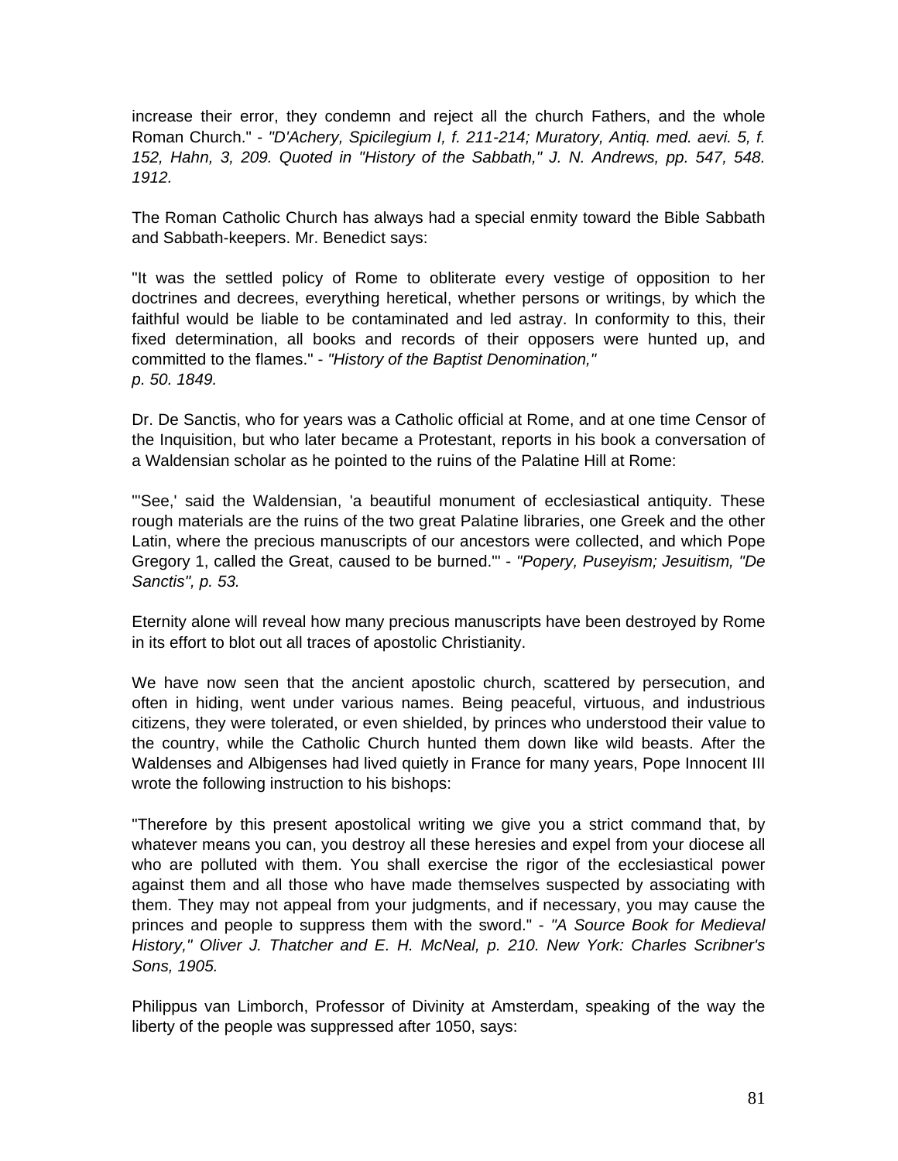increase their error, they condemn and reject all the church Fathers, and the whole Roman Church." - *"D'Achery, Spicilegium I, f. 211-214; Muratory, Antiq. med. aevi. 5, f. 152, Hahn, 3, 209. Quoted in "History of the Sabbath," J. N. Andrews, pp. 547, 548. 1912.* 

The Roman Catholic Church has always had a special enmity toward the Bible Sabbath and Sabbath-keepers. Mr. Benedict says:

"It was the settled policy of Rome to obliterate every vestige of opposition to her doctrines and decrees, everything heretical, whether persons or writings, by which the faithful would be liable to be contaminated and led astray. In conformity to this, their fixed determination, all books and records of their opposers were hunted up, and committed to the flames." - *"History of the Baptist Denomination," p. 50. 1849.* 

Dr. De Sanctis, who for years was a Catholic official at Rome, and at one time Censor of the Inquisition, but who later became a Protestant, reports in his book a conversation of a Waldensian scholar as he pointed to the ruins of the Palatine Hill at Rome:

"'See,' said the Waldensian, 'a beautiful monument of ecclesiastical antiquity. These rough materials are the ruins of the two great Palatine libraries, one Greek and the other Latin, where the precious manuscripts of our ancestors were collected, and which Pope Gregory 1, called the Great, caused to be burned."' - *"Popery, Puseyism; Jesuitism, "De Sanctis", p. 53.* 

Eternity alone will reveal how many precious manuscripts have been destroyed by Rome in its effort to blot out all traces of apostolic Christianity.

We have now seen that the ancient apostolic church, scattered by persecution, and often in hiding, went under various names. Being peaceful, virtuous, and industrious citizens, they were tolerated, or even shielded, by princes who understood their value to the country, while the Catholic Church hunted them down like wild beasts. After the Waldenses and Albigenses had lived quietly in France for many years, Pope Innocent III wrote the following instruction to his bishops:

"Therefore by this present apostolical writing we give you a strict command that, by whatever means you can, you destroy all these heresies and expel from your diocese all who are polluted with them. You shall exercise the rigor of the ecclesiastical power against them and all those who have made themselves suspected by associating with them. They may not appeal from your judgments, and if necessary, you may cause the princes and people to suppress them with the sword." - *"A Source Book for Medieval History," Oliver J. Thatcher and E. H. McNeal, p. 210. New York: Charles Scribner's Sons, 1905.* 

Philippus van Limborch, Professor of Divinity at Amsterdam, speaking of the way the liberty of the people was suppressed after 1050, says: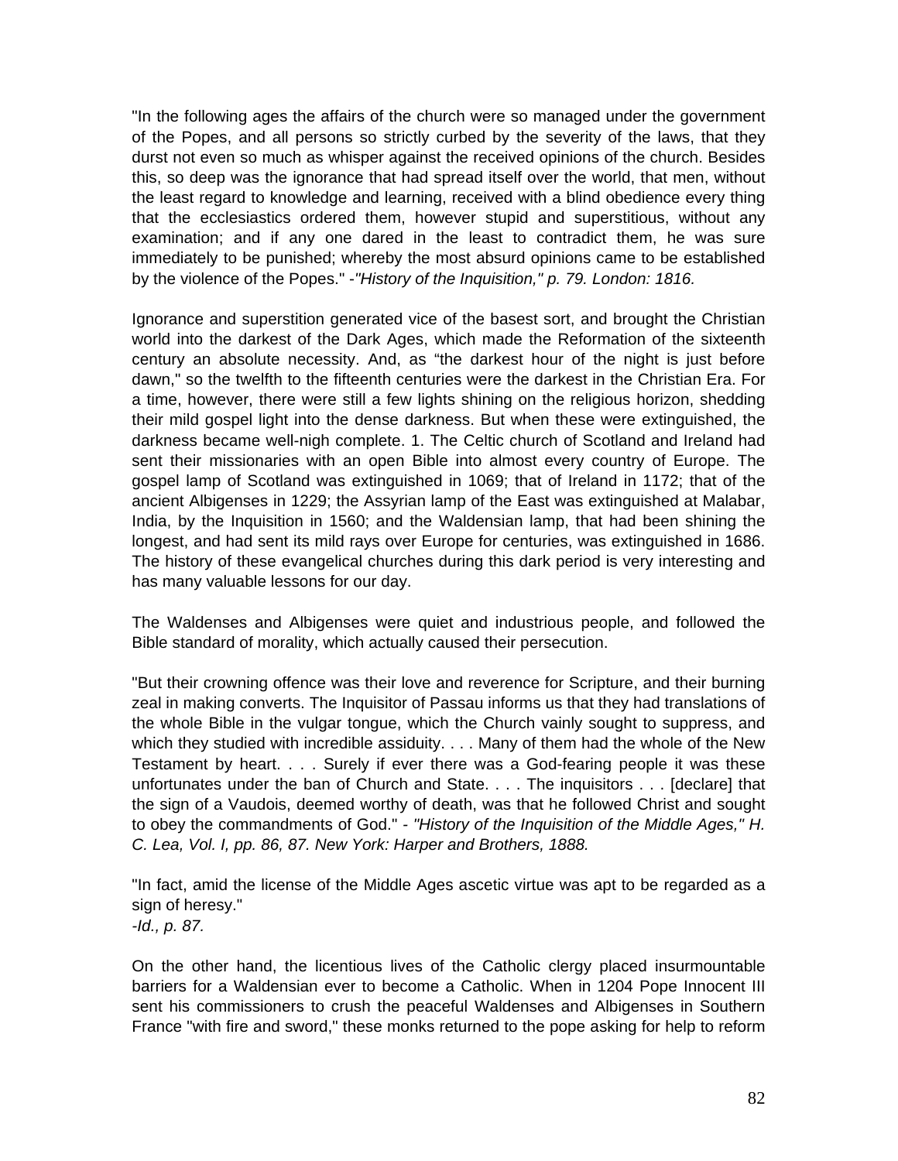"In the following ages the affairs of the church were so managed under the government of the Popes, and all persons so strictly curbed by the severity of the laws, that they durst not even so much as whisper against the received opinions of the church. Besides this, so deep was the ignorance that had spread itself over the world, that men, without the least regard to knowledge and learning, received with a blind obedience every thing that the ecclesiastics ordered them, however stupid and superstitious, without any examination; and if any one dared in the least to contradict them, he was sure immediately to be punished; whereby the most absurd opinions came to be established by the violence of the Popes." -*"History of the Inquisition," p. 79. London: 1816.* 

Ignorance and superstition generated vice of the basest sort, and brought the Christian world into the darkest of the Dark Ages, which made the Reformation of the sixteenth century an absolute necessity. And, as "the darkest hour of the night is just before dawn," so the twelfth to the fifteenth centuries were the darkest in the Christian Era. For a time, however, there were still a few lights shining on the religious horizon, shedding their mild gospel light into the dense darkness. But when these were extinguished, the darkness became well-nigh complete. 1. The Celtic church of Scotland and Ireland had sent their missionaries with an open Bible into almost every country of Europe. The gospel lamp of Scotland was extinguished in 1069; that of Ireland in 1172; that of the ancient Albigenses in 1229; the Assyrian lamp of the East was extinguished at Malabar, India, by the Inquisition in 1560; and the Waldensian lamp, that had been shining the longest, and had sent its mild rays over Europe for centuries, was extinguished in 1686. The history of these evangelical churches during this dark period is very interesting and has many valuable lessons for our day.

The Waldenses and Albigenses were quiet and industrious people, and followed the Bible standard of morality, which actually caused their persecution.

"But their crowning offence was their love and reverence for Scripture, and their burning zeal in making converts. The Inquisitor of Passau informs us that they had translations of the whole Bible in the vulgar tongue, which the Church vainly sought to suppress, and which they studied with incredible assiduity. . . . Many of them had the whole of the New Testament by heart. . . . Surely if ever there was a God-fearing people it was these unfortunates under the ban of Church and State. . . . The inquisitors . . . [declare] that the sign of a Vaudois, deemed worthy of death, was that he followed Christ and sought to obey the commandments of God." *- "History of the Inquisition of the Middle Ages," H. C. Lea, Vol. I, pp. 86, 87. New York: Harper and Brothers, 1888.* 

"In fact, amid the license of the Middle Ages ascetic virtue was apt to be regarded as a sign of heresy." *-Id., p. 87.* 

On the other hand, the licentious lives of the Catholic clergy placed insurmountable barriers for a Waldensian ever to become a Catholic. When in 1204 Pope Innocent III sent his commissioners to crush the peaceful Waldenses and Albigenses in Southern France "with fire and sword," these monks returned to the pope asking for help to reform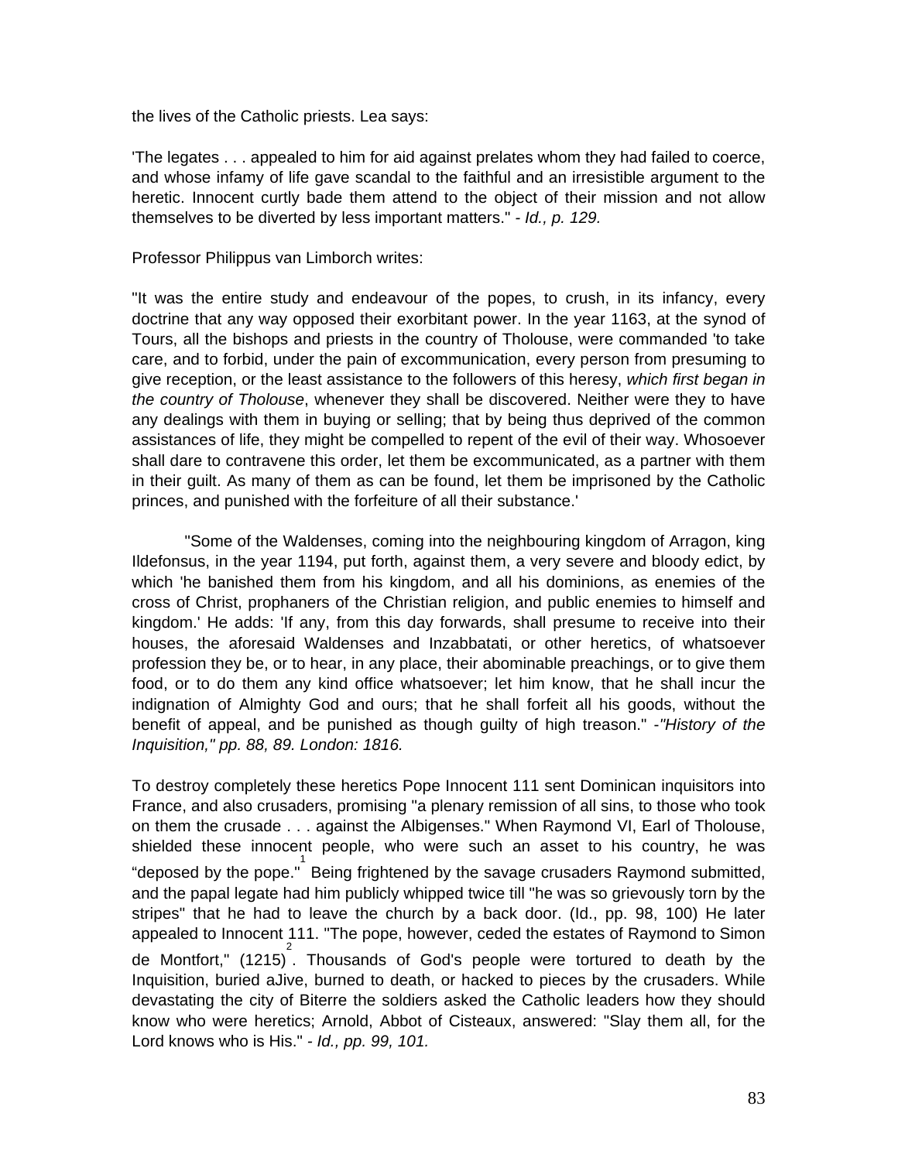the lives of the Catholic priests. Lea says:

'The legates . . . appealed to him for aid against prelates whom they had failed to coerce, and whose infamy of life gave scandal to the faithful and an irresistible argument to the heretic. Innocent curtly bade them attend to the object of their mission and not allow themselves to be diverted by less important matters." *- Id., p. 129.* 

Professor Philippus van Limborch writes:

"It was the entire study and endeavour of the popes, to crush, in its infancy, every doctrine that any way opposed their exorbitant power. In the year 1163, at the synod of Tours, all the bishops and priests in the country of Tholouse, were commanded 'to take care, and to forbid, under the pain of excommunication, every person from presuming to give reception, or the least assistance to the followers of this heresy, *which first began in the country of Tholouse*, whenever they shall be discovered. Neither were they to have any dealings with them in buying or selling; that by being thus deprived of the common assistances of life, they might be compelled to repent of the evil of their way. Whosoever shall dare to contravene this order, let them be excommunicated, as a partner with them in their guilt. As many of them as can be found, let them be imprisoned by the Catholic princes, and punished with the forfeiture of all their substance.'

"Some of the Waldenses, coming into the neighbouring kingdom of Arragon, king Ildefonsus, in the year 1194, put forth, against them, a very severe and bloody edict, by which 'he banished them from his kingdom, and all his dominions, as enemies of the cross of Christ, prophaners of the Christian religion, and public enemies to himself and kingdom.' He adds: 'If any, from this day forwards, shall presume to receive into their houses, the aforesaid Waldenses and Inzabbatati, or other heretics, of whatsoever profession they be, or to hear, in any place, their abominable preachings, or to give them food, or to do them any kind office whatsoever; let him know, that he shall incur the indignation of Almighty God and ours; that he shall forfeit all his goods, without the benefit of appeal, and be punished as though guilty of high treason." -*"History of the Inquisition," pp. 88, 89. London: 1816.* 

To destroy completely these heretics Pope Innocent 111 sent Dominican inquisitors into France, and also crusaders, promising "a plenary remission of all sins, to those who took on them the crusade . . . against the Albigenses." When Raymond VI, Earl of Tholouse, shielded these innocent people, who were such an asset to his country, he was "deposed by the pope." 1 Being frightened by the savage crusaders Raymond submitted, and the papal legate had him publicly whipped twice till "he was so grievously torn by the stripes" that he had to leave the church by a back door. (Id., pp. 98, 100) He later appealed to Innocent 111. "The pope, however, ceded the estates of Raymond to Simon de Montfort," (1215) 2 . Thousands of God's people were tortured to death by the Inquisition, buried aJive, burned to death, or hacked to pieces by the crusaders. While devastating the city of Biterre the soldiers asked the Catholic leaders how they should know who were heretics; Arnold, Abbot of Cisteaux, answered: "Slay them all, for the Lord knows who is His." *- Id., pp. 99, 101.*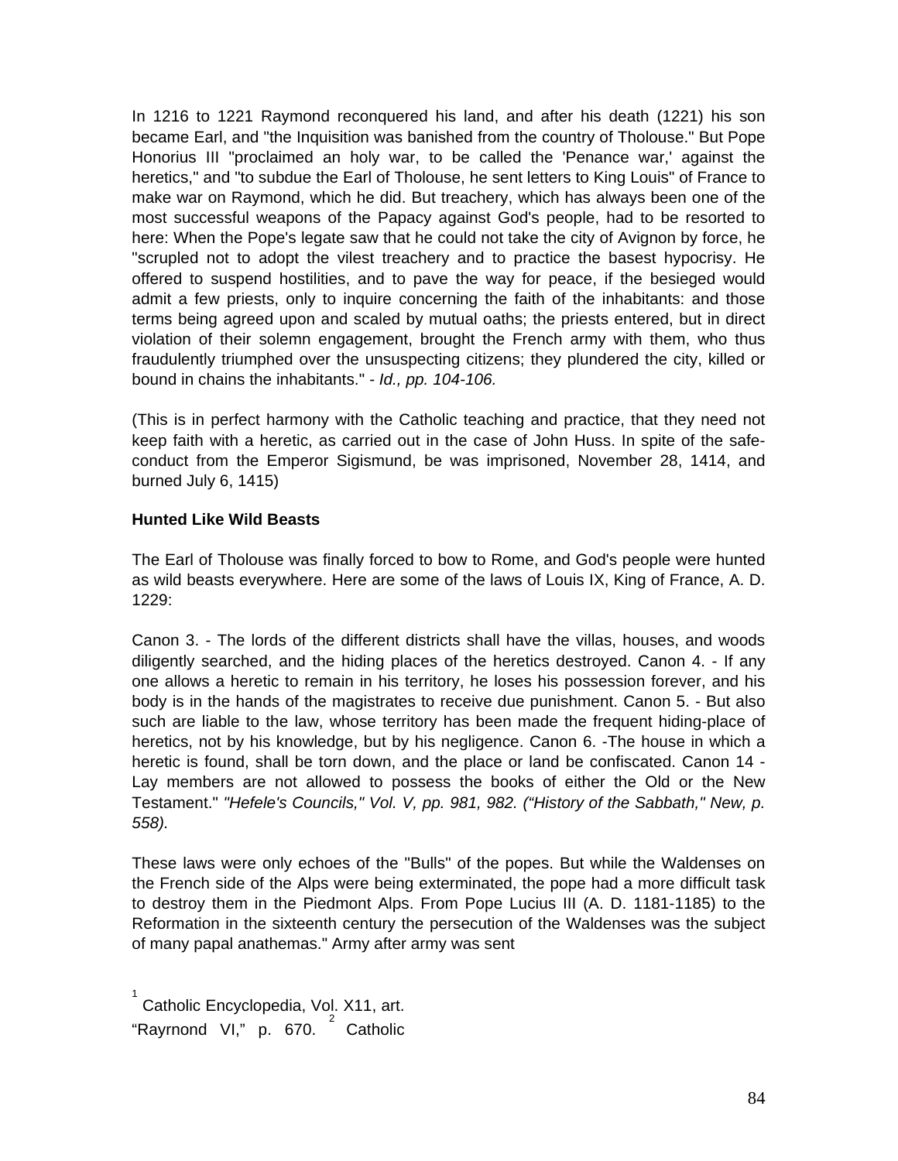In 1216 to 1221 Raymond reconquered his land, and after his death (1221) his son became Earl, and "the Inquisition was banished from the country of Tholouse." But Pope Honorius III "proclaimed an holy war, to be called the 'Penance war,' against the heretics," and "to subdue the Earl of Tholouse, he sent letters to King Louis" of France to make war on Raymond, which he did. But treachery, which has always been one of the most successful weapons of the Papacy against God's people, had to be resorted to here: When the Pope's legate saw that he could not take the city of Avignon by force, he "scrupled not to adopt the vilest treachery and to practice the basest hypocrisy. He offered to suspend hostilities, and to pave the way for peace, if the besieged would admit a few priests, only to inquire concerning the faith of the inhabitants: and those terms being agreed upon and scaled by mutual oaths; the priests entered, but in direct violation of their solemn engagement, brought the French army with them, who thus fraudulently triumphed over the unsuspecting citizens; they plundered the city, killed or bound in chains the inhabitants." *- Id., pp. 104-106.* 

(This is in perfect harmony with the Catholic teaching and practice, that they need not keep faith with a heretic, as carried out in the case of John Huss. In spite of the safeconduct from the Emperor Sigismund, be was imprisoned, November 28, 1414, and burned July 6, 1415)

# **Hunted Like Wild Beasts**

The Earl of Tholouse was finally forced to bow to Rome, and God's people were hunted as wild beasts everywhere. Here are some of the laws of Louis IX, King of France, A. D. 1229:

Canon 3. - The lords of the different districts shall have the villas, houses, and woods diligently searched, and the hiding places of the heretics destroyed. Canon 4. - If any one allows a heretic to remain in his territory, he loses his possession forever, and his body is in the hands of the magistrates to receive due punishment. Canon 5. - But also such are liable to the law, whose territory has been made the frequent hiding-place of heretics, not by his knowledge, but by his negligence. Canon 6. -The house in which a heretic is found, shall be torn down, and the place or land be confiscated. Canon 14 - Lay members are not allowed to possess the books of either the Old or the New Testament." *"Hefele's Councils," Vol. V, pp. 981, 982. ("History of the Sabbath," New, p. 558).* 

These laws were only echoes of the "Bulls" of the popes. But while the Waldenses on the French side of the Alps were being exterminated, the pope had a more difficult task to destroy them in the Piedmont Alps. From Pope Lucius III (A. D. 1181-1185) to the Reformation in the sixteenth century the persecution of the Waldenses was the subject of many papal anathemas." Army after army was sent

 $^{1}$  Catholic Encyclopedia, Vol. X11, art. "Rayrnond VI," p. 670. <sup>2</sup> Catholic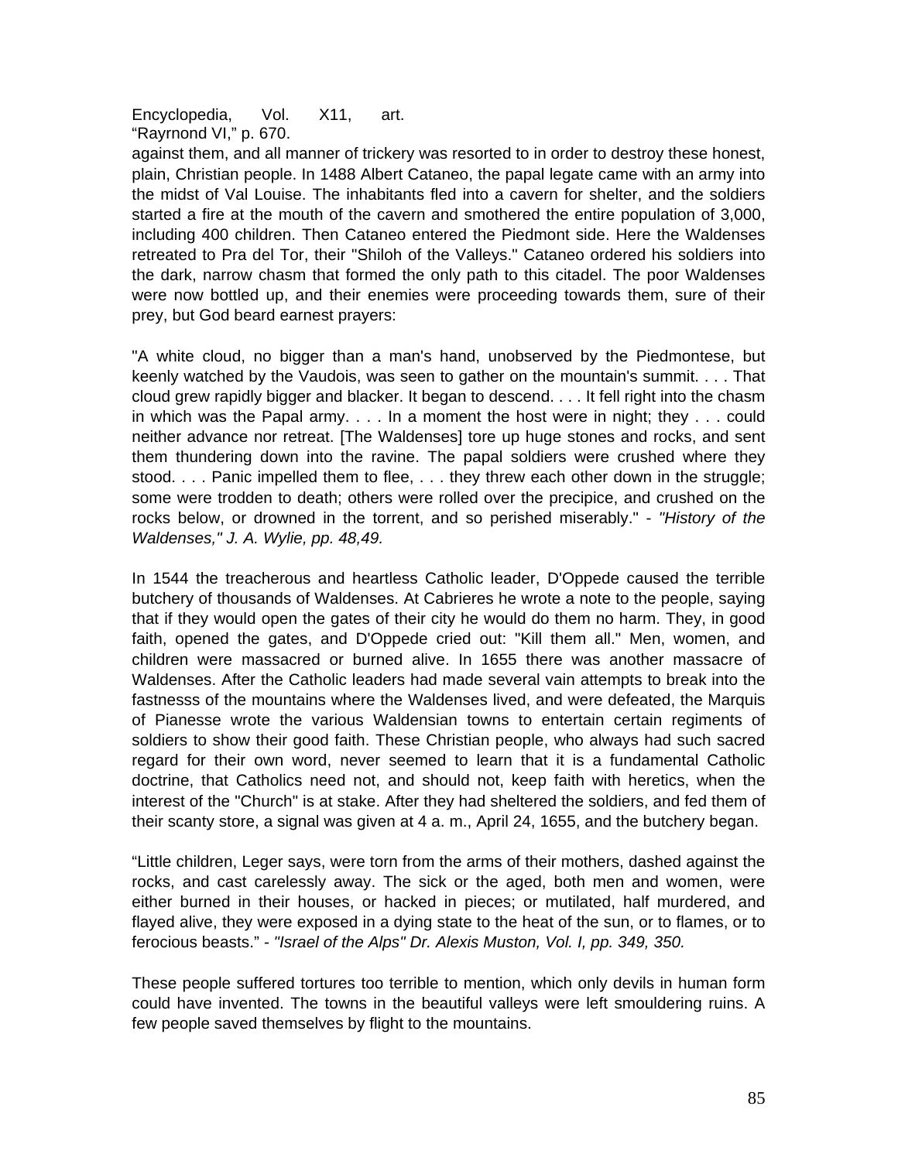Encyclopedia, Vol. X11, art. "Rayrnond VI," p. 670.

against them, and all manner of trickery was resorted to in order to destroy these honest, plain, Christian people. In 1488 Albert Cataneo, the papal legate came with an army into the midst of Val Louise. The inhabitants fled into a cavern for shelter, and the soldiers started a fire at the mouth of the cavern and smothered the entire population of 3,000, including 400 children. Then Cataneo entered the Piedmont side. Here the Waldenses retreated to Pra del Tor, their "Shiloh of the Valleys." Cataneo ordered his soldiers into the dark, narrow chasm that formed the only path to this citadel. The poor Waldenses were now bottled up, and their enemies were proceeding towards them, sure of their prey, but God beard earnest prayers:

"A white cloud, no bigger than a man's hand, unobserved by the Piedmontese, but keenly watched by the Vaudois, was seen to gather on the mountain's summit. . . . That cloud grew rapidly bigger and blacker. It began to descend. . . . It fell right into the chasm in which was the Papal army. . . . In a moment the host were in night; they . . . could neither advance nor retreat. [The Waldenses] tore up huge stones and rocks, and sent them thundering down into the ravine. The papal soldiers were crushed where they stood. . . . Panic impelled them to flee, . . . they threw each other down in the struggle; some were trodden to death; others were rolled over the precipice, and crushed on the rocks below, or drowned in the torrent, and so perished miserably." - *"History of the Waldenses," J. A. Wylie, pp. 48,49.* 

In 1544 the treacherous and heartless Catholic leader, D'Oppede caused the terrible butchery of thousands of Waldenses. At Cabrieres he wrote a note to the people, saying that if they would open the gates of their city he would do them no harm. They, in good faith, opened the gates, and D'Oppede cried out: "Kill them all." Men, women, and children were massacred or burned alive. In 1655 there was another massacre of Waldenses. After the Catholic leaders had made several vain attempts to break into the fastnesss of the mountains where the Waldenses lived, and were defeated, the Marquis of Pianesse wrote the various Waldensian towns to entertain certain regiments of soldiers to show their good faith. These Christian people, who always had such sacred regard for their own word, never seemed to learn that it is a fundamental Catholic doctrine, that Catholics need not, and should not, keep faith with heretics, when the interest of the "Church" is at stake. After they had sheltered the soldiers, and fed them of their scanty store, a signal was given at 4 a. m., April 24, 1655, and the butchery began.

"Little children, Leger says, were torn from the arms of their mothers, dashed against the rocks, and cast carelessly away. The sick or the aged, both men and women, were either burned in their houses, or hacked in pieces; or mutilated, half murdered, and flayed alive, they were exposed in a dying state to the heat of the sun, or to flames, or to ferocious beasts." *- "Israel of the Alps" Dr. Alexis Muston, Vol. I, pp. 349, 350.* 

These people suffered tortures too terrible to mention, which only devils in human form could have invented. The towns in the beautiful valleys were left smouldering ruins. A few people saved themselves by flight to the mountains.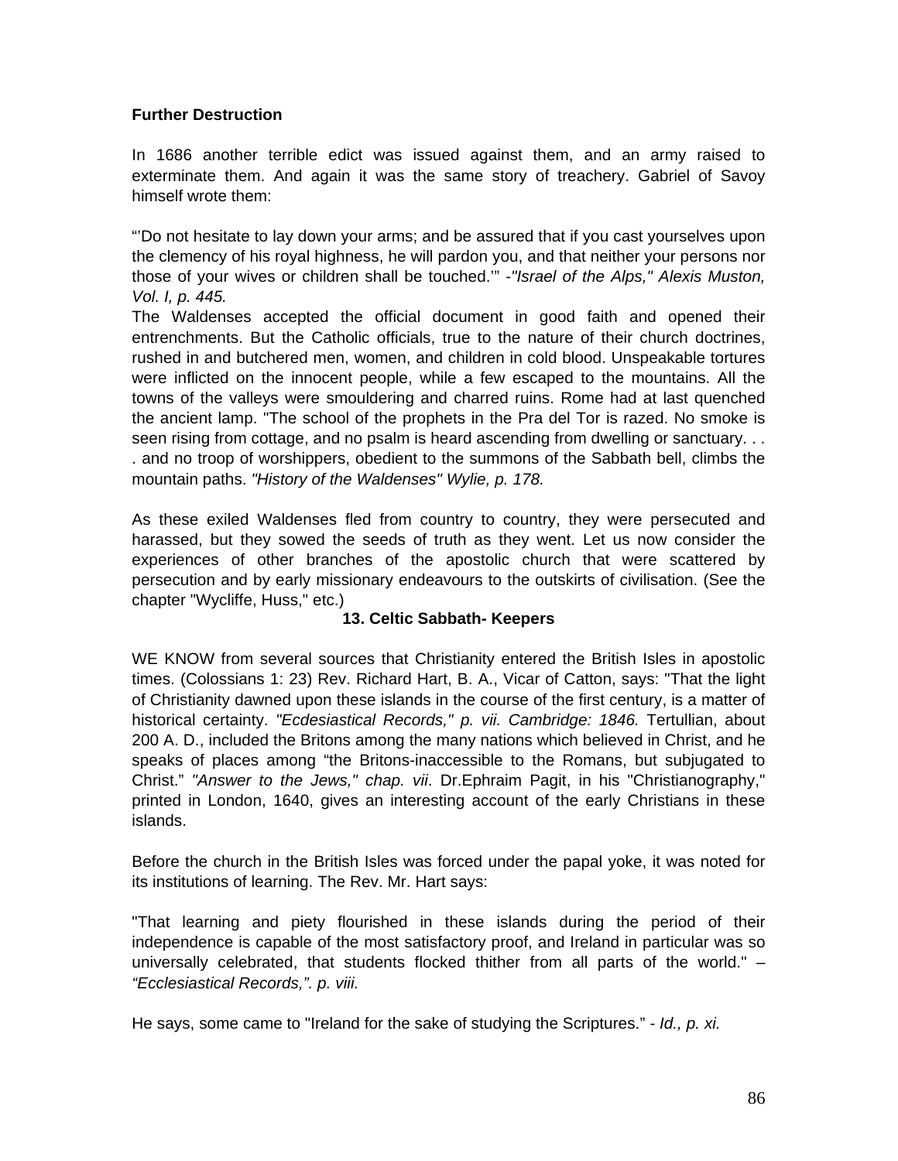# **Further Destruction**

In 1686 another terrible edict was issued against them, and an army raised to exterminate them. And again it was the same story of treachery. Gabriel of Savoy himself wrote them:

"'Do not hesitate to lay down your arms; and be assured that if you cast yourselves upon the clemency of his royal highness, he will pardon you, and that neither your persons nor those of your wives or children shall be touched.'" -*"Israel of the Alps," Alexis Muston, Vol. I, p. 445.* 

The Waldenses accepted the official document in good faith and opened their entrenchments. But the Catholic officials, true to the nature of their church doctrines, rushed in and butchered men, women, and children in cold blood. Unspeakable tortures were inflicted on the innocent people, while a few escaped to the mountains. All the towns of the valleys were smouldering and charred ruins. Rome had at last quenched the ancient lamp. "The school of the prophets in the Pra del Tor is razed. No smoke is seen rising from cottage, and no psalm is heard ascending from dwelling or sanctuary. . . . and no troop of worshippers, obedient to the summons of the Sabbath bell, climbs the mountain paths. *"History of the Waldenses" Wylie, p. 178.* 

As these exiled Waldenses fled from country to country, they were persecuted and harassed, but they sowed the seeds of truth as they went. Let us now consider the experiences of other branches of the apostolic church that were scattered by persecution and by early missionary endeavours to the outskirts of civilisation. (See the chapter "Wycliffe, Huss," etc.)

## **13. Celtic Sabbath- Keepers**

WE KNOW from several sources that Christianity entered the British Isles in apostolic times. (Colossians 1: 23) Rev. Richard Hart, B. A., Vicar of Catton, says: "That the light of Christianity dawned upon these islands in the course of the first century, is a matter of historical certainty. *"Ecdesiastical Records," p. vii. Cambridge: 1846.* Tertullian, about 200 A. D., included the Britons among the many nations which believed in Christ, and he speaks of places among "the Britons-inaccessible to the Romans, but subjugated to Christ." *"Answer to the Jews," chap. vii*. Dr.Ephraim Pagit, in his "Christianography," printed in London, 1640, gives an interesting account of the early Christians in these islands.

Before the church in the British Isles was forced under the papal yoke, it was noted for its institutions of learning. The Rev. Mr. Hart says:

"That learning and piety flourished in these islands during the period of their independence is capable of the most satisfactory proof, and Ireland in particular was so universally celebrated, that students flocked thither from all parts of the world." – *"Ecclesiastical Records,". p. viii.* 

He says, some came to "Ireland for the sake of studying the Scriptures." *- Id., p. xi.*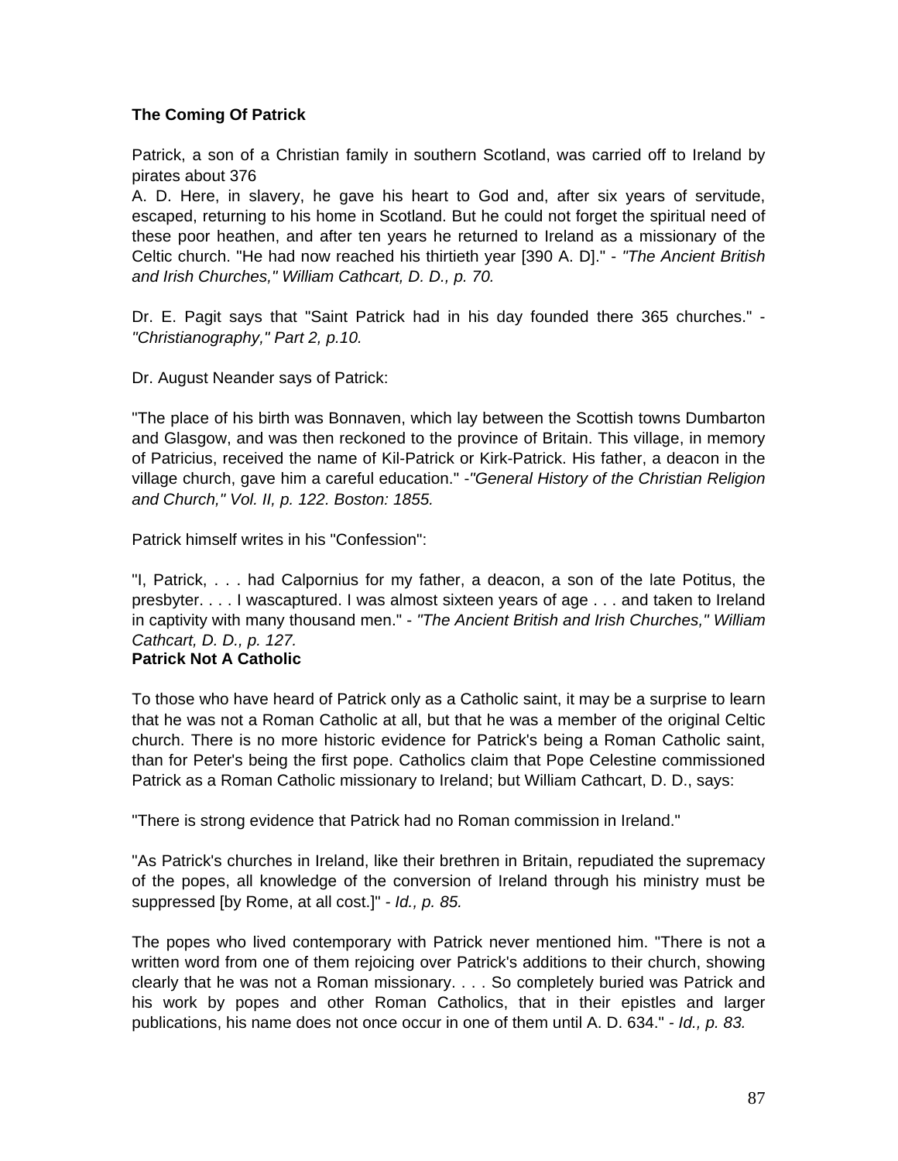# **The Coming Of Patrick**

Patrick, a son of a Christian family in southern Scotland, was carried off to Ireland by pirates about 376

A. D. Here, in slavery, he gave his heart to God and, after six years of servitude, escaped, returning to his home in Scotland. But he could not forget the spiritual need of these poor heathen, and after ten years he returned to Ireland as a missionary of the Celtic church. "He had now reached his thirtieth year [390 A. D]." - *"The Ancient British and Irish Churches," William Cathcart, D. D., p. 70.* 

Dr. E. Pagit says that "Saint Patrick had in his day founded there 365 churches." - *"Christianography," Part 2, p.10.* 

Dr. August Neander says of Patrick:

"The place of his birth was Bonnaven, which lay between the Scottish towns Dumbarton and Glasgow, and was then reckoned to the province of Britain. This village, in memory of Patricius, received the name of Kil-Patrick or Kirk-Patrick. His father, a deacon in the village church, gave him a careful education." -*"General History of the Christian Religion and Church," Vol. II, p. 122. Boston: 1855.* 

Patrick himself writes in his "Confession":

"I, Patrick, . . . had Calpornius for my father, a deacon, a son of the late Potitus, the presbyter. . . . I wascaptured. I was almost sixteen years of age . . . and taken to Ireland in captivity with many thousand men." - *"The Ancient British and Irish Churches," William Cathcart, D. D., p. 127.* 

# **Patrick Not A Catholic**

To those who have heard of Patrick only as a Catholic saint, it may be a surprise to learn that he was not a Roman Catholic at all, but that he was a member of the original Celtic church. There is no more historic evidence for Patrick's being a Roman Catholic saint, than for Peter's being the first pope. Catholics claim that Pope Celestine commissioned Patrick as a Roman Catholic missionary to Ireland; but William Cathcart, D. D., says:

"There is strong evidence that Patrick had no Roman commission in Ireland."

"As Patrick's churches in Ireland, like their brethren in Britain, repudiated the supremacy of the popes, all knowledge of the conversion of Ireland through his ministry must be suppressed [by Rome, at all cost.]" *- Id., p. 85.* 

The popes who lived contemporary with Patrick never mentioned him. "There is not a written word from one of them rejoicing over Patrick's additions to their church, showing clearly that he was not a Roman missionary. . . . So completely buried was Patrick and his work by popes and other Roman Catholics, that in their epistles and larger publications, his name does not once occur in one of them until A. D. 634." *- Id., p. 83.*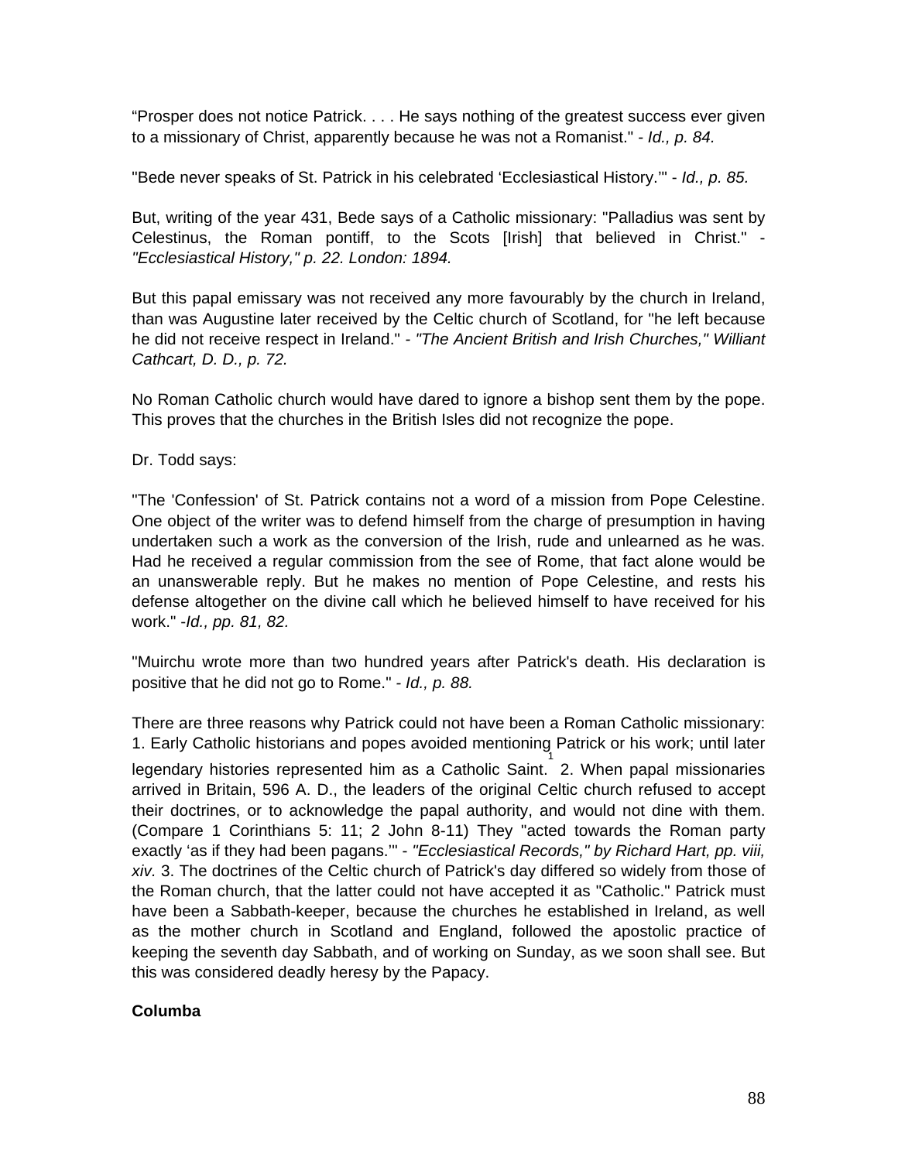"Prosper does not notice Patrick. . . . He says nothing of the greatest success ever given to a missionary of Christ, apparently because he was not a Romanist." *- Id., p. 84.* 

"Bede never speaks of St. Patrick in his celebrated 'Ecclesiastical History.'" - *Id., p. 85.* 

But, writing of the year 431, Bede says of a Catholic missionary: "Palladius was sent by Celestinus, the Roman pontiff, to the Scots [Irish] that believed in Christ." - *"Ecclesiastical History," p. 22. London: 1894.* 

But this papal emissary was not received any more favourably by the church in Ireland, than was Augustine later received by the Celtic church of Scotland, for "he left because he did not receive respect in Ireland." *- "The Ancient British and Irish Churches," Williant Cathcart, D. D., p. 72.* 

No Roman Catholic church would have dared to ignore a bishop sent them by the pope. This proves that the churches in the British Isles did not recognize the pope.

Dr. Todd says:

"The 'Confession' of St. Patrick contains not a word of a mission from Pope Celestine. One object of the writer was to defend himself from the charge of presumption in having undertaken such a work as the conversion of the Irish, rude and unlearned as he was. Had he received a regular commission from the see of Rome, that fact alone would be an unanswerable reply. But he makes no mention of Pope Celestine, and rests his defense altogether on the divine call which he believed himself to have received for his work." -*Id., pp. 81, 82.* 

"Muirchu wrote more than two hundred years after Patrick's death. His declaration is positive that he did not go to Rome." *- Id., p. 88.* 

There are three reasons why Patrick could not have been a Roman Catholic missionary: 1. Early Catholic historians and popes avoided mentioning Patrick or his work; until later

legendary histories represented him as a Catholic Saint. 1 2. When papal missionaries arrived in Britain, 596 A. D., the leaders of the original Celtic church refused to accept their doctrines, or to acknowledge the papal authority, and would not dine with them. (Compare 1 Corinthians 5: 11; 2 John 8-11) They "acted towards the Roman party exactly 'as if they had been pagans.'" - *"Ecclesiastical Records," by Richard Hart, pp. viii, xiv.* 3. The doctrines of the Celtic church of Patrick's day differed so widely from those of the Roman church, that the latter could not have accepted it as "Catholic." Patrick must have been a Sabbath-keeper, because the churches he established in Ireland, as well as the mother church in Scotland and England, followed the apostolic practice of keeping the seventh day Sabbath, and of working on Sunday, as we soon shall see. But this was considered deadly heresy by the Papacy.

## **Columba**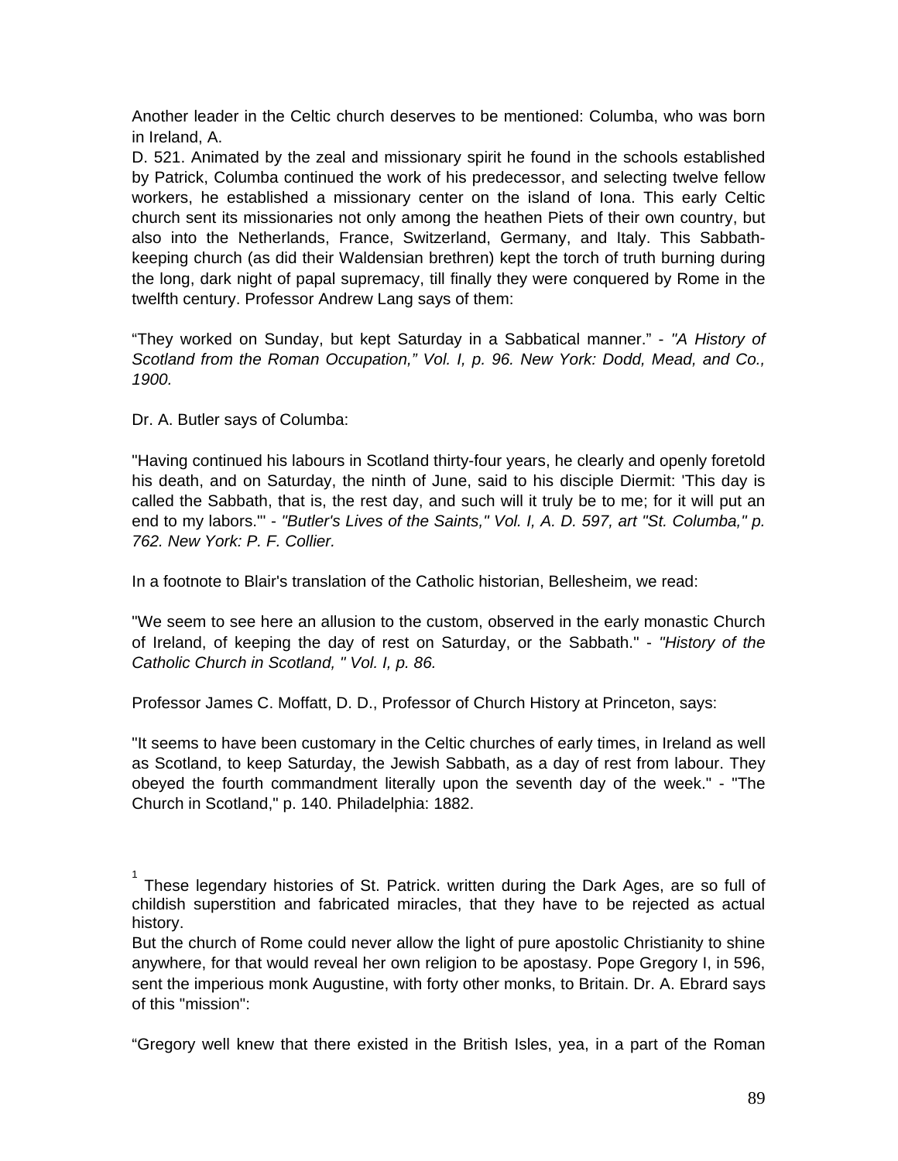Another leader in the Celtic church deserves to be mentioned: Columba, who was born in Ireland, A.

D. 521. Animated by the zeal and missionary spirit he found in the schools established by Patrick, Columba continued the work of his predecessor, and selecting twelve fellow workers, he established a missionary center on the island of Iona. This early Celtic church sent its missionaries not only among the heathen Piets of their own country, but also into the Netherlands, France, Switzerland, Germany, and Italy. This Sabbathkeeping church (as did their Waldensian brethren) kept the torch of truth burning during the long, dark night of papal supremacy, till finally they were conquered by Rome in the twelfth century. Professor Andrew Lang says of them:

"They worked on Sunday, but kept Saturday in a Sabbatical manner." - *"A History of Scotland from the Roman Occupation," Vol. I, p. 96. New York: Dodd, Mead, and Co., 1900.* 

Dr. A. Butler says of Columba:

"Having continued his labours in Scotland thirty-four years, he clearly and openly foretold his death, and on Saturday, the ninth of June, said to his disciple Diermit: 'This day is called the Sabbath, that is, the rest day, and such will it truly be to me; for it will put an end to my labors."' - *"Butler's Lives of the Saints," Vol. I, A. D. 597, art "St. Columba," p. 762. New York: P. F. Collier.* 

In a footnote to Blair's translation of the Catholic historian, Bellesheim, we read:

"We seem to see here an allusion to the custom, observed in the early monastic Church of Ireland, of keeping the day of rest on Saturday, or the Sabbath." - *"History of the Catholic Church in Scotland, " Vol. I, p. 86.* 

Professor James C. Moffatt, D. D., Professor of Church History at Princeton, says:

"It seems to have been customary in the Celtic churches of early times, in Ireland as well as Scotland, to keep Saturday, the Jewish Sabbath, as a day of rest from labour. They obeyed the fourth commandment literally upon the seventh day of the week." - "The Church in Scotland," p. 140. Philadelphia: 1882.

"Gregory well knew that there existed in the British Isles, yea, in a part of the Roman

<sup>1</sup> These legendary histories of St. Patrick. written during the Dark Ages, are so full of childish superstition and fabricated miracles, that they have to be rejected as actual history.

But the church of Rome could never allow the light of pure apostolic Christianity to shine anywhere, for that would reveal her own religion to be apostasy. Pope Gregory I, in 596, sent the imperious monk Augustine, with forty other monks, to Britain. Dr. A. Ebrard says of this "mission":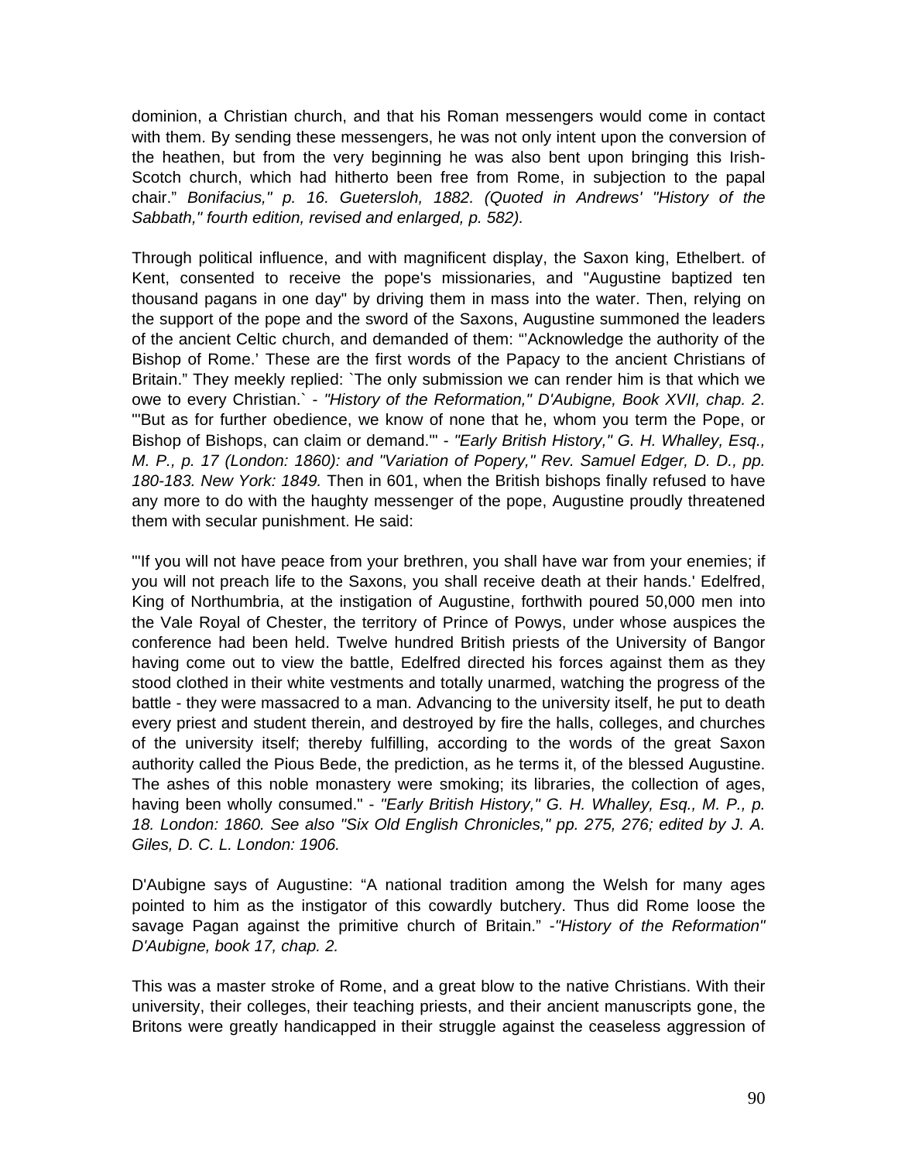dominion, a Christian church, and that his Roman messengers would come in contact with them. By sending these messengers, he was not only intent upon the conversion of the heathen, but from the very beginning he was also bent upon bringing this Irish-Scotch church, which had hitherto been free from Rome, in subjection to the papal chair." *Bonifacius," p. 16. Guetersloh, 1882. (Quoted in Andrews' "History of the Sabbath," fourth edition, revised and enlarged, p. 582).* 

Through political influence, and with magnificent display, the Saxon king, Ethelbert. of Kent, consented to receive the pope's missionaries, and "Augustine baptized ten thousand pagans in one day" by driving them in mass into the water. Then, relying on the support of the pope and the sword of the Saxons, Augustine summoned the leaders of the ancient Celtic church, and demanded of them: "'Acknowledge the authority of the Bishop of Rome.' These are the first words of the Papacy to the ancient Christians of Britain." They meekly replied: `The only submission we can render him is that which we owe to every Christian.` - *"History of the Reformation," D'Aubigne, Book XVII, chap. 2.*  "'But as for further obedience, we know of none that he, whom you term the Pope, or Bishop of Bishops, can claim or demand."' - *"Early British History," G. H. Whalley, Esq., M. P., p. 17 (London: 1860): and "Variation of Popery," Rev. Samuel Edger, D. D., pp. 180-183. New York: 1849.* Then in 601, when the British bishops finally refused to have any more to do with the haughty messenger of the pope, Augustine proudly threatened them with secular punishment. He said:

"'If you will not have peace from your brethren, you shall have war from your enemies; if you will not preach life to the Saxons, you shall receive death at their hands.' Edelfred, King of Northumbria, at the instigation of Augustine, forthwith poured 50,000 men into the Vale Royal of Chester, the territory of Prince of Powys, under whose auspices the conference had been held. Twelve hundred British priests of the University of Bangor having come out to view the battle, Edelfred directed his forces against them as they stood clothed in their white vestments and totally unarmed, watching the progress of the battle - they were massacred to a man. Advancing to the university itself, he put to death every priest and student therein, and destroyed by fire the halls, colleges, and churches of the university itself; thereby fulfilling, according to the words of the great Saxon authority called the Pious Bede, the prediction, as he terms it, of the blessed Augustine. The ashes of this noble monastery were smoking; its libraries, the collection of ages, having been wholly consumed." - *"Early British History," G. H. Whalley, Esq., M. P., p. 18. London: 1860. See also "Six Old English Chronicles," pp. 275, 276; edited by J. A. Giles, D. C. L. London: 1906.* 

D'Aubigne says of Augustine: "A national tradition among the Welsh for many ages pointed to him as the instigator of this cowardly butchery. Thus did Rome loose the savage Pagan against the primitive church of Britain." -*"History of the Reformation" D'Aubigne, book 17, chap. 2.* 

This was a master stroke of Rome, and a great blow to the native Christians. With their university, their colleges, their teaching priests, and their ancient manuscripts gone, the Britons were greatly handicapped in their struggle against the ceaseless aggression of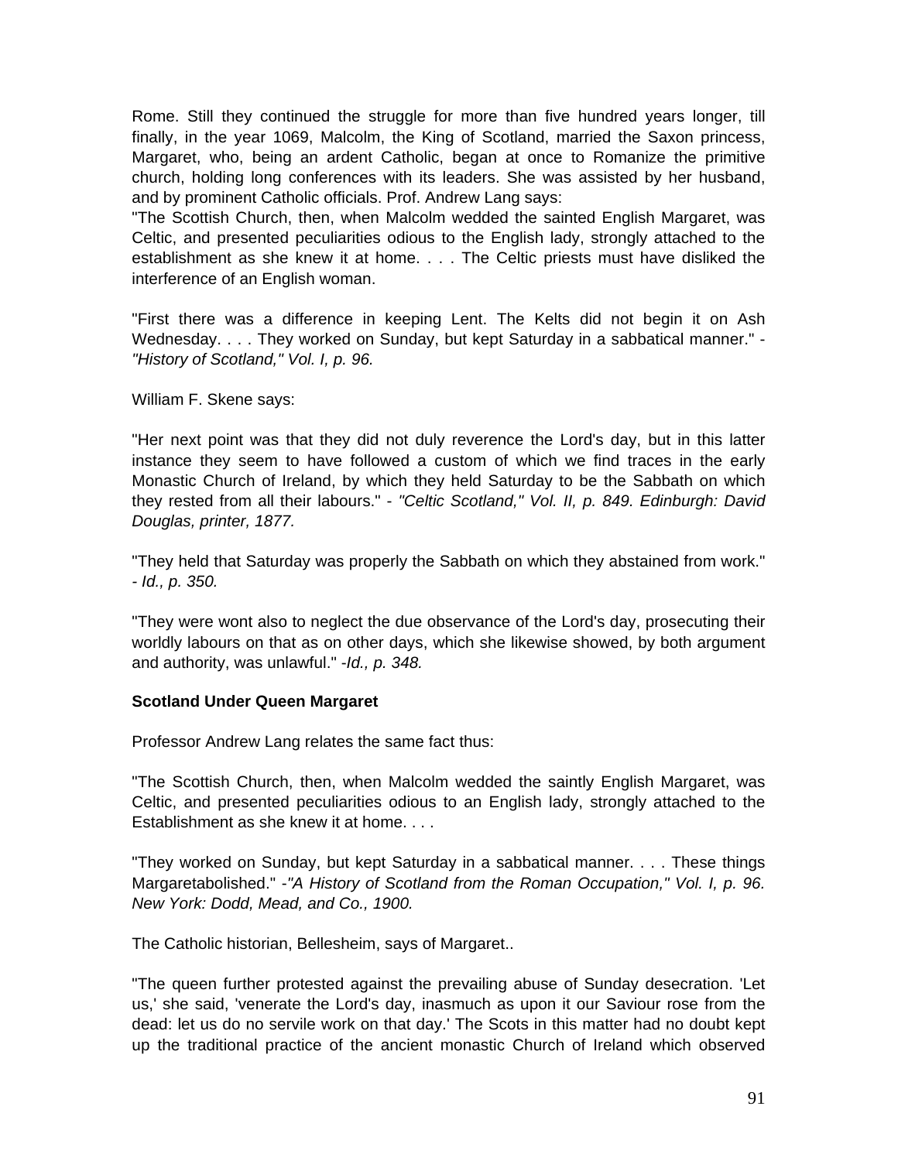Rome. Still they continued the struggle for more than five hundred years longer, till finally, in the year 1069, Malcolm, the King of Scotland, married the Saxon princess, Margaret, who, being an ardent Catholic, began at once to Romanize the primitive church, holding long conferences with its leaders. She was assisted by her husband, and by prominent Catholic officials. Prof. Andrew Lang says:

"The Scottish Church, then, when Malcolm wedded the sainted English Margaret, was Celtic, and presented peculiarities odious to the English lady, strongly attached to the establishment as she knew it at home. . . . The Celtic priests must have disliked the interference of an English woman.

"First there was a difference in keeping Lent. The Kelts did not begin it on Ash Wednesday. . . . They worked on Sunday, but kept Saturday in a sabbatical manner." - *"History of Scotland," Vol. I, p. 96.* 

William F. Skene says:

"Her next point was that they did not duly reverence the Lord's day, but in this latter instance they seem to have followed a custom of which we find traces in the early Monastic Church of Ireland, by which they held Saturday to be the Sabbath on which they rested from all their labours." - *"Celtic Scotland," Vol. II, p. 849. Edinburgh: David Douglas, printer, 1877.* 

"They held that Saturday was properly the Sabbath on which they abstained from work." *- Id., p. 350.* 

"They were wont also to neglect the due observance of the Lord's day, prosecuting their worldly labours on that as on other days, which she likewise showed, by both argument and authority, was unlawful." -*Id., p. 348.* 

## **Scotland Under Queen Margaret**

Professor Andrew Lang relates the same fact thus:

"The Scottish Church, then, when Malcolm wedded the saintly English Margaret, was Celtic, and presented peculiarities odious to an English lady, strongly attached to the Establishment as she knew it at home. . . .

"They worked on Sunday, but kept Saturday in a sabbatical manner. . . . These things Margaretabolished." -*"A History of Scotland from the Roman Occupation," Vol. I, p. 96. New York: Dodd, Mead, and Co., 1900.* 

The Catholic historian, Bellesheim, says of Margaret..

"The queen further protested against the prevailing abuse of Sunday desecration. 'Let us,' she said, 'venerate the Lord's day, inasmuch as upon it our Saviour rose from the dead: let us do no servile work on that day.' The Scots in this matter had no doubt kept up the traditional practice of the ancient monastic Church of Ireland which observed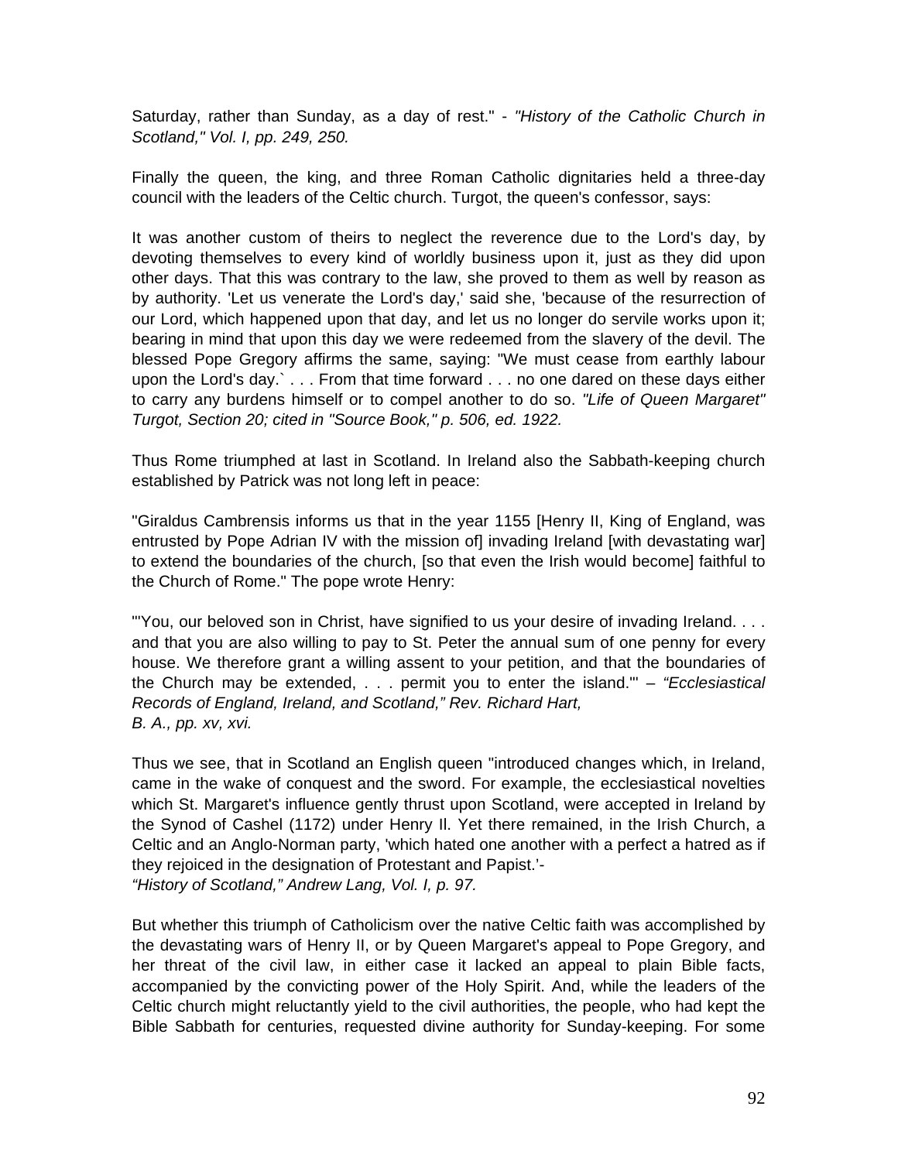Saturday, rather than Sunday, as a day of rest." - *"History of the Catholic Church in Scotland," Vol. I, pp. 249, 250.* 

Finally the queen, the king, and three Roman Catholic dignitaries held a three-day council with the leaders of the Celtic church. Turgot, the queen's confessor, says:

It was another custom of theirs to neglect the reverence due to the Lord's day, by devoting themselves to every kind of worldly business upon it, just as they did upon other days. That this was contrary to the law, she proved to them as well by reason as by authority. 'Let us venerate the Lord's day,' said she, 'because of the resurrection of our Lord, which happened upon that day, and let us no longer do servile works upon it; bearing in mind that upon this day we were redeemed from the slavery of the devil. The blessed Pope Gregory affirms the same, saying: "We must cease from earthly labour upon the Lord's day.` . . . From that time forward . . . no one dared on these days either to carry any burdens himself or to compel another to do so. *"Life of Queen Margaret" Turgot, Section 20; cited in "Source Book," p. 506, ed. 1922.* 

Thus Rome triumphed at last in Scotland. In Ireland also the Sabbath-keeping church established by Patrick was not long left in peace:

"Giraldus Cambrensis informs us that in the year 1155 [Henry II, King of England, was entrusted by Pope Adrian IV with the mission of invading Ireland [with devastating war] to extend the boundaries of the church, [so that even the Irish would become] faithful to the Church of Rome." The pope wrote Henry:

"'You, our beloved son in Christ, have signified to us your desire of invading Ireland. . . . and that you are also willing to pay to St. Peter the annual sum of one penny for every house. We therefore grant a willing assent to your petition, and that the boundaries of the Church may be extended, . . . permit you to enter the island."' – *"Ecclesiastical Records of England, Ireland, and Scotland," Rev. Richard Hart, B. A., pp. xv, xvi.* 

Thus we see, that in Scotland an English queen "introduced changes which, in Ireland, came in the wake of conquest and the sword. For example, the ecclesiastical novelties which St. Margaret's influence gently thrust upon Scotland, were accepted in Ireland by the Synod of Cashel (1172) under Henry Il. Yet there remained, in the Irish Church, a Celtic and an Anglo-Norman party, 'which hated one another with a perfect a hatred as if they rejoiced in the designation of Protestant and Papist.'- *"History of Scotland," Andrew Lang, Vol. I, p. 97.* 

But whether this triumph of Catholicism over the native Celtic faith was accomplished by the devastating wars of Henry II, or by Queen Margaret's appeal to Pope Gregory, and her threat of the civil law, in either case it lacked an appeal to plain Bible facts, accompanied by the convicting power of the Holy Spirit. And, while the leaders of the Celtic church might reluctantly yield to the civil authorities, the people, who had kept the Bible Sabbath for centuries, requested divine authority for Sunday-keeping. For some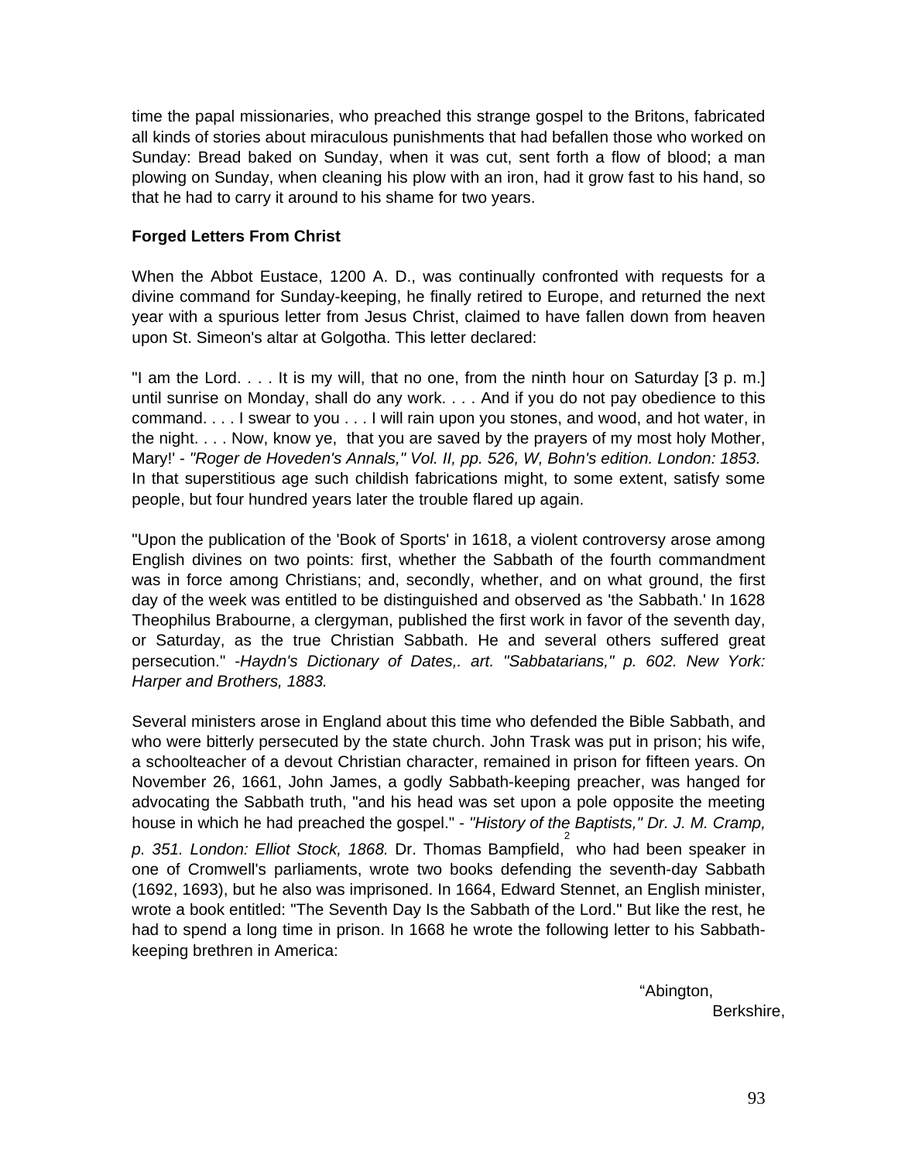time the papal missionaries, who preached this strange gospel to the Britons, fabricated all kinds of stories about miraculous punishments that had befallen those who worked on Sunday: Bread baked on Sunday, when it was cut, sent forth a flow of blood; a man plowing on Sunday, when cleaning his plow with an iron, had it grow fast to his hand, so that he had to carry it around to his shame for two years.

#### **Forged Letters From Christ**

When the Abbot Eustace, 1200 A. D., was continually confronted with requests for a divine command for Sunday-keeping, he finally retired to Europe, and returned the next year with a spurious letter from Jesus Christ, claimed to have fallen down from heaven upon St. Simeon's altar at Golgotha. This letter declared:

"I am the Lord. . . . It is my will, that no one, from the ninth hour on Saturday [3 p. m.] until sunrise on Monday, shall do any work. . . . And if you do not pay obedience to this command. . . . I swear to you . . . I will rain upon you stones, and wood, and hot water, in the night. . . . Now, know ye, that you are saved by the prayers of my most holy Mother, Mary!' - *"Roger de Hoveden's Annals," Vol. II, pp. 526, W, Bohn's edition. London: 1853.*  In that superstitious age such childish fabrications might, to some extent, satisfy some people, but four hundred years later the trouble flared up again.

"Upon the publication of the 'Book of Sports' in 1618, a violent controversy arose among English divines on two points: first, whether the Sabbath of the fourth commandment was in force among Christians; and, secondly, whether, and on what ground, the first day of the week was entitled to be distinguished and observed as 'the Sabbath.' In 1628 Theophilus Brabourne, a clergyman, published the first work in favor of the seventh day, or Saturday, as the true Christian Sabbath. He and several others suffered great persecution." -*Haydn's Dictionary of Dates,. art. "Sabbatarians," p. 602. New York: Harper and Brothers, 1883.* 

Several ministers arose in England about this time who defended the Bible Sabbath, and who were bitterly persecuted by the state church. John Trask was put in prison; his wife, a schoolteacher of a devout Christian character, remained in prison for fifteen years. On November 26, 1661, John James, a godly Sabbath-keeping preacher, was hanged for advocating the Sabbath truth, "and his head was set upon a pole opposite the meeting house in which he had preached the gospel." - *"History of the Baptists," Dr. J. M. Cramp,* 

p. 351. London: Elliot Stock, 1868. Dr. Thomas Bampfield, who had been speaker in one of Cromwell's parliaments, wrote two books defending the seventh-day Sabbath (1692, 1693), but he also was imprisoned. In 1664, Edward Stennet, an English minister, wrote a book entitled: "The Seventh Day Is the Sabbath of the Lord." But like the rest, he had to spend a long time in prison. In 1668 he wrote the following letter to his Sabbathkeeping brethren in America:

> "Abington, Berkshire,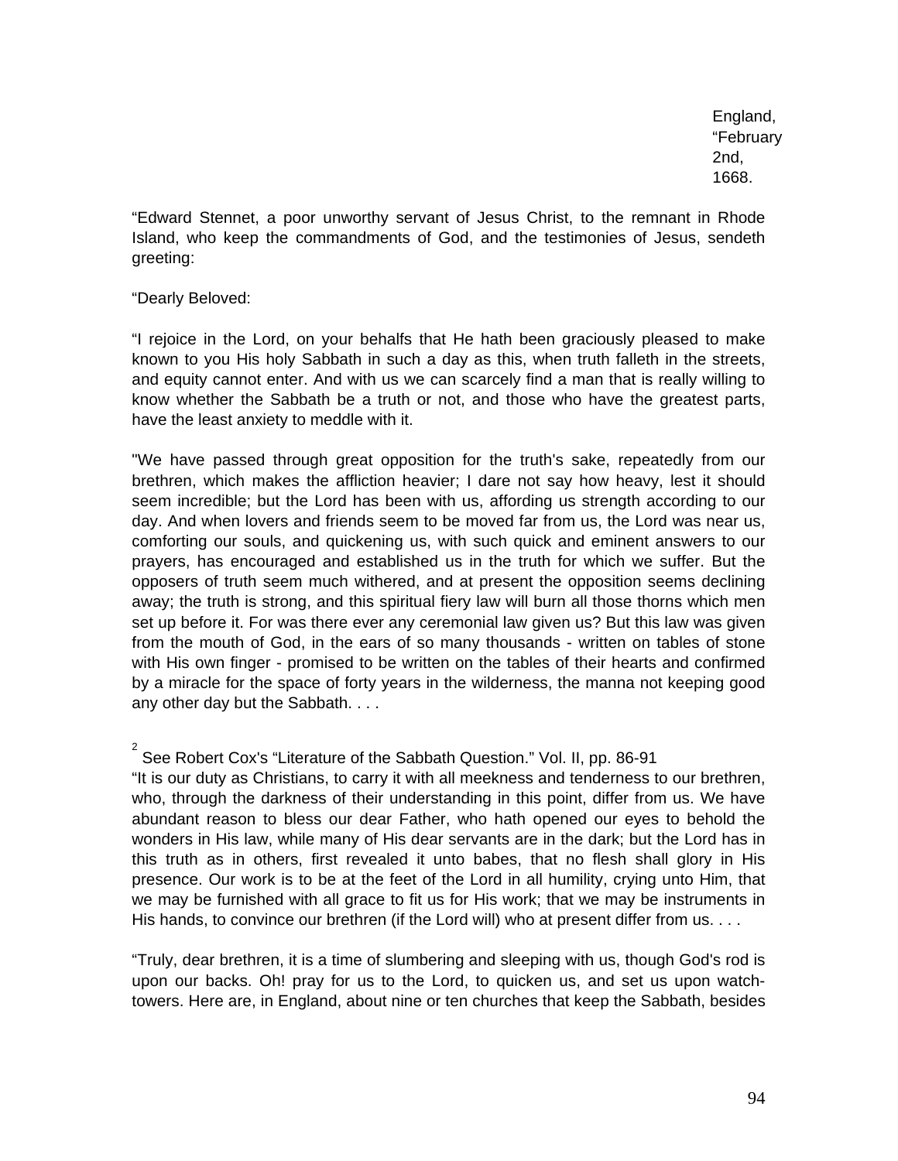England, "February 2nd, 1668.

"Edward Stennet, a poor unworthy servant of Jesus Christ, to the remnant in Rhode Island, who keep the commandments of God, and the testimonies of Jesus, sendeth greeting:

## "Dearly Beloved:

"I rejoice in the Lord, on your behalfs that He hath been graciously pleased to make known to you His holy Sabbath in such a day as this, when truth falleth in the streets, and equity cannot enter. And with us we can scarcely find a man that is really willing to know whether the Sabbath be a truth or not, and those who have the greatest parts, have the least anxiety to meddle with it.

"We have passed through great opposition for the truth's sake, repeatedly from our brethren, which makes the affliction heavier; I dare not say how heavy, lest it should seem incredible; but the Lord has been with us, affording us strength according to our day. And when lovers and friends seem to be moved far from us, the Lord was near us, comforting our souls, and quickening us, with such quick and eminent answers to our prayers, has encouraged and established us in the truth for which we suffer. But the opposers of truth seem much withered, and at present the opposition seems declining away; the truth is strong, and this spiritual fiery law will burn all those thorns which men set up before it. For was there ever any ceremonial law given us? But this law was given from the mouth of God, in the ears of so many thousands - written on tables of stone with His own finger - promised to be written on the tables of their hearts and confirmed by a miracle for the space of forty years in the wilderness, the manna not keeping good any other day but the Sabbath. . . .

2 See Robert Cox's "Literature of the Sabbath Question." Vol. II, pp. 86-91

"It is our duty as Christians, to carry it with all meekness and tenderness to our brethren, who, through the darkness of their understanding in this point, differ from us. We have abundant reason to bless our dear Father, who hath opened our eyes to behold the wonders in His law, while many of His dear servants are in the dark; but the Lord has in this truth as in others, first revealed it unto babes, that no flesh shall glory in His presence. Our work is to be at the feet of the Lord in all humility, crying unto Him, that we may be furnished with all grace to fit us for His work; that we may be instruments in His hands, to convince our brethren (if the Lord will) who at present differ from us. . . .

"Truly, dear brethren, it is a time of slumbering and sleeping with us, though God's rod is upon our backs. Oh! pray for us to the Lord, to quicken us, and set us upon watchtowers. Here are, in England, about nine or ten churches that keep the Sabbath, besides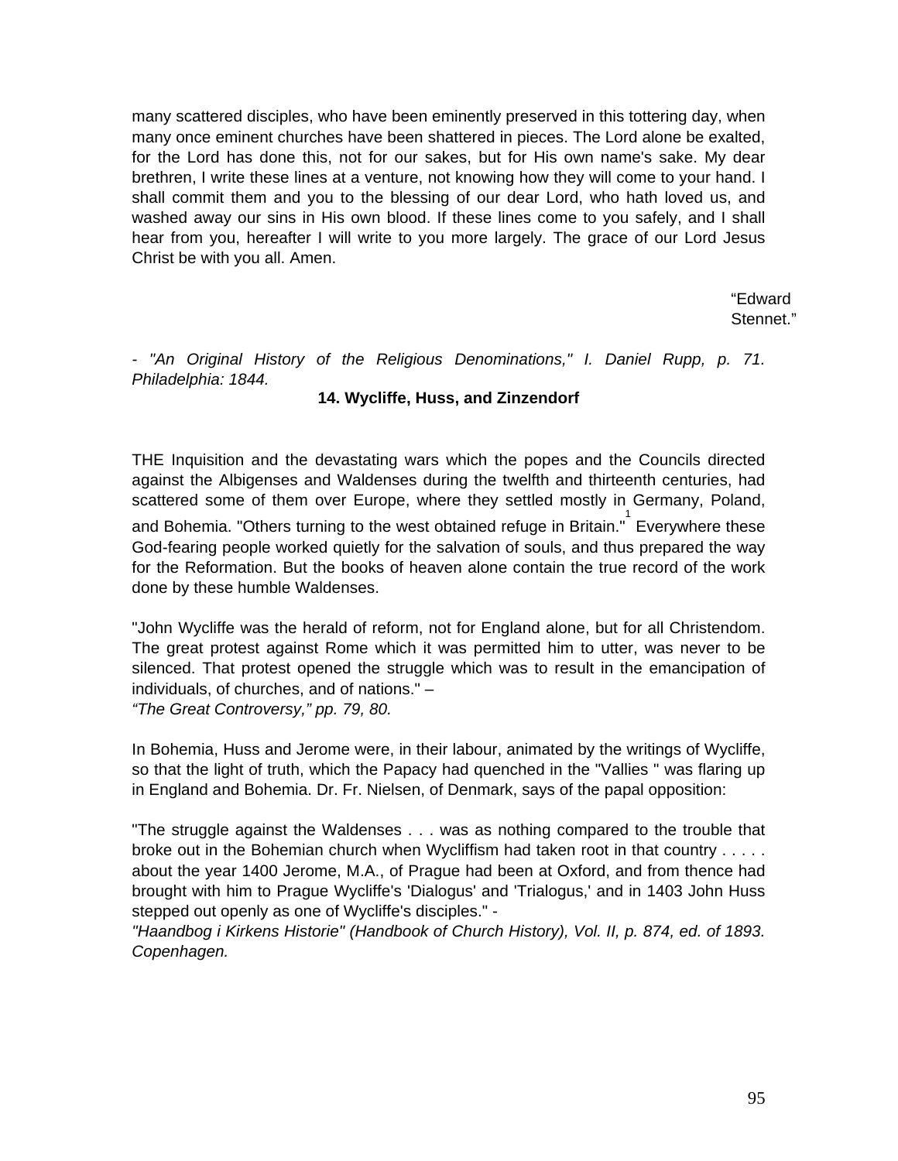many scattered disciples, who have been eminently preserved in this tottering day, when many once eminent churches have been shattered in pieces. The Lord alone be exalted, for the Lord has done this, not for our sakes, but for His own name's sake. My dear brethren, I write these lines at a venture, not knowing how they will come to your hand. I shall commit them and you to the blessing of our dear Lord, who hath loved us, and washed away our sins in His own blood. If these lines come to you safely, and I shall hear from you, hereafter I will write to you more largely. The grace of our Lord Jesus Christ be with you all. Amen.

> "Edward Stennet."

*- "An Original History of the Religious Denominations," I. Daniel Rupp, p. 71. Philadelphia: 1844.* 

#### **14. Wycliffe, Huss, and Zinzendorf**

THE Inquisition and the devastating wars which the popes and the Councils directed against the Albigenses and Waldenses during the twelfth and thirteenth centuries, had scattered some of them over Europe, where they settled mostly in Germany, Poland, and Bohemia. "Others turning to the west obtained refuge in Britain." 1 Everywhere these God-fearing people worked quietly for the salvation of souls, and thus prepared the way for the Reformation. But the books of heaven alone contain the true record of the work done by these humble Waldenses.

"John Wycliffe was the herald of reform, not for England alone, but for all Christendom. The great protest against Rome which it was permitted him to utter, was never to be silenced. That protest opened the struggle which was to result in the emancipation of individuals, of churches, and of nations." –

*"The Great Controversy," pp. 79, 80.* 

In Bohemia, Huss and Jerome were, in their labour, animated by the writings of Wycliffe, so that the light of truth, which the Papacy had quenched in the "Vallies " was flaring up in England and Bohemia. Dr. Fr. Nielsen, of Denmark, says of the papal opposition:

"The struggle against the Waldenses . . . was as nothing compared to the trouble that broke out in the Bohemian church when Wycliffism had taken root in that country . . . . . about the year 1400 Jerome, M.A., of Prague had been at Oxford, and from thence had brought with him to Prague Wycliffe's 'Dialogus' and 'Trialogus,' and in 1403 John Huss stepped out openly as one of Wycliffe's disciples." -

*"Haandbog i Kirkens Historie" (Handbook of Church History), Vol. II, p. 874, ed. of 1893. Copenhagen.*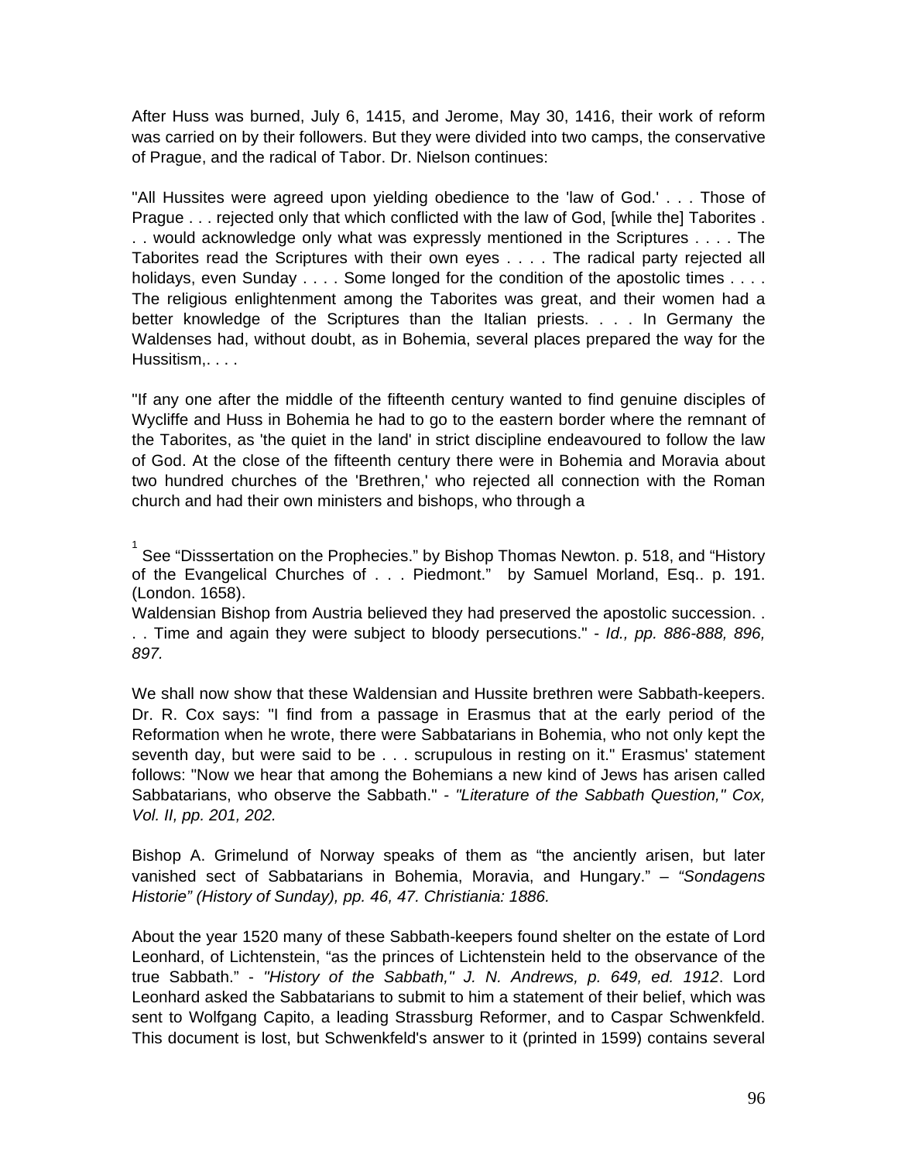After Huss was burned, July 6, 1415, and Jerome, May 30, 1416, their work of reform was carried on by their followers. But they were divided into two camps, the conservative of Prague, and the radical of Tabor. Dr. Nielson continues:

"All Hussites were agreed upon yielding obedience to the 'law of God.' . . . Those of Prague . . . rejected only that which conflicted with the law of God, [while the] Taborites . . . would acknowledge only what was expressly mentioned in the Scriptures . . . . The Taborites read the Scriptures with their own eyes . . . . The radical party rejected all holidays, even Sunday . . . . Some longed for the condition of the apostolic times . . . . The religious enlightenment among the Taborites was great, and their women had a better knowledge of the Scriptures than the Italian priests. . . . In Germany the Waldenses had, without doubt, as in Bohemia, several places prepared the way for the Hussitism,. . . .

"If any one after the middle of the fifteenth century wanted to find genuine disciples of Wycliffe and Huss in Bohemia he had to go to the eastern border where the remnant of the Taborites, as 'the quiet in the land' in strict discipline endeavoured to follow the law of God. At the close of the fifteenth century there were in Bohemia and Moravia about two hundred churches of the 'Brethren,' who rejected all connection with the Roman church and had their own ministers and bishops, who through a

1 See "Disssertation on the Prophecies." by Bishop Thomas Newton. p. 518, and "History of the Evangelical Churches of . . . Piedmont." by Samuel Morland, Esq.. p. 191. (London. 1658).

Waldensian Bishop from Austria believed they had preserved the apostolic succession. . . . Time and again they were subject to bloody persecutions." - *Id., pp. 886-888, 896, 897.* 

We shall now show that these Waldensian and Hussite brethren were Sabbath-keepers. Dr. R. Cox says: "I find from a passage in Erasmus that at the early period of the Reformation when he wrote, there were Sabbatarians in Bohemia, who not only kept the seventh day, but were said to be . . . scrupulous in resting on it." Erasmus' statement follows: "Now we hear that among the Bohemians a new kind of Jews has arisen called Sabbatarians, who observe the Sabbath." *- "Literature of the Sabbath Question," Cox, Vol. II, pp. 201, 202.* 

Bishop A. Grimelund of Norway speaks of them as "the anciently arisen, but later vanished sect of Sabbatarians in Bohemia, Moravia, and Hungary." – *"Sondagens Historie" (History of Sunday), pp. 46, 47. Christiania: 1886.* 

About the year 1520 many of these Sabbath-keepers found shelter on the estate of Lord Leonhard, of Lichtenstein, "as the princes of Lichtenstein held to the observance of the true Sabbath." - *"History of the Sabbath," J. N. Andrews, p. 649, ed. 1912*. Lord Leonhard asked the Sabbatarians to submit to him a statement of their belief, which was sent to Wolfgang Capito, a leading Strassburg Reformer, and to Caspar Schwenkfeld. This document is lost, but Schwenkfeld's answer to it (printed in 1599) contains several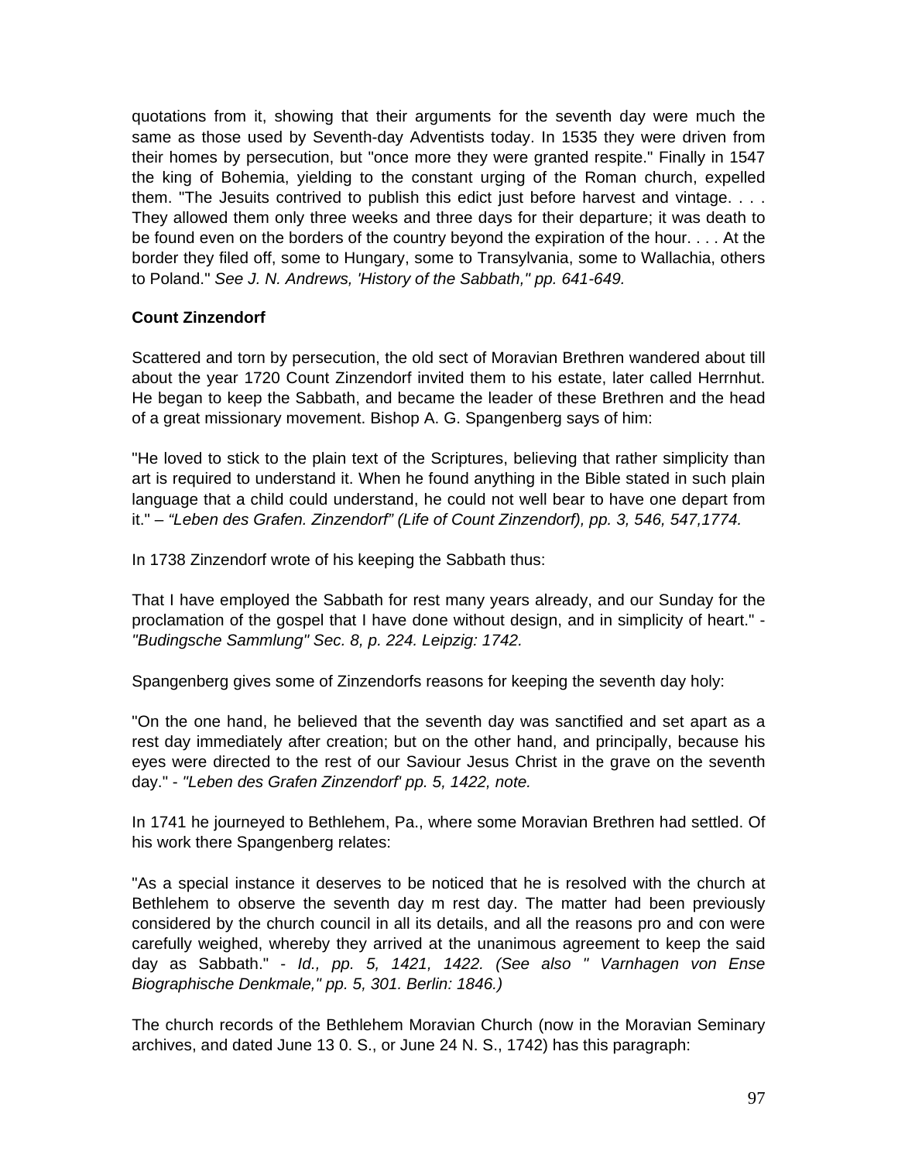quotations from it, showing that their arguments for the seventh day were much the same as those used by Seventh-day Adventists today. In 1535 they were driven from their homes by persecution, but "once more they were granted respite." Finally in 1547 the king of Bohemia, yielding to the constant urging of the Roman church, expelled them. "The Jesuits contrived to publish this edict just before harvest and vintage. . . . They allowed them only three weeks and three days for their departure; it was death to be found even on the borders of the country beyond the expiration of the hour. . . . At the border they filed off, some to Hungary, some to Transylvania, some to Wallachia, others to Poland." *See J. N. Andrews, 'History of the Sabbath," pp. 641-649.* 

# **Count Zinzendorf**

Scattered and torn by persecution, the old sect of Moravian Brethren wandered about till about the year 1720 Count Zinzendorf invited them to his estate, later called Herrnhut. He began to keep the Sabbath, and became the leader of these Brethren and the head of a great missionary movement. Bishop A. G. Spangenberg says of him:

"He loved to stick to the plain text of the Scriptures, believing that rather simplicity than art is required to understand it. When he found anything in the Bible stated in such plain language that a child could understand, he could not well bear to have one depart from it." – *"Leben des Grafen. Zinzendorf" (Life of Count Zinzendorf), pp. 3, 546, 547,1774.* 

In 1738 Zinzendorf wrote of his keeping the Sabbath thus:

That I have employed the Sabbath for rest many years already, and our Sunday for the proclamation of the gospel that I have done without design, and in simplicity of heart." - *"Budingsche Sammlung" Sec. 8, p. 224. Leipzig: 1742.* 

Spangenberg gives some of Zinzendorfs reasons for keeping the seventh day holy:

"On the one hand, he believed that the seventh day was sanctified and set apart as a rest day immediately after creation; but on the other hand, and principally, because his eyes were directed to the rest of our Saviour Jesus Christ in the grave on the seventh day." - *"Leben des Grafen Zinzendorf' pp. 5, 1422, note.* 

In 1741 he journeyed to Bethlehem, Pa., where some Moravian Brethren had settled. Of his work there Spangenberg relates:

"As a special instance it deserves to be noticed that he is resolved with the church at Bethlehem to observe the seventh day m rest day. The matter had been previously considered by the church council in all its details, and all the reasons pro and con were carefully weighed, whereby they arrived at the unanimous agreement to keep the said day as Sabbath." - *Id., pp. 5, 1421, 1422. (See also " Varnhagen von Ense Biographische Denkmale," pp. 5, 301. Berlin: 1846.)* 

The church records of the Bethlehem Moravian Church (now in the Moravian Seminary archives, and dated June 13 0. S., or June 24 N. S., 1742) has this paragraph: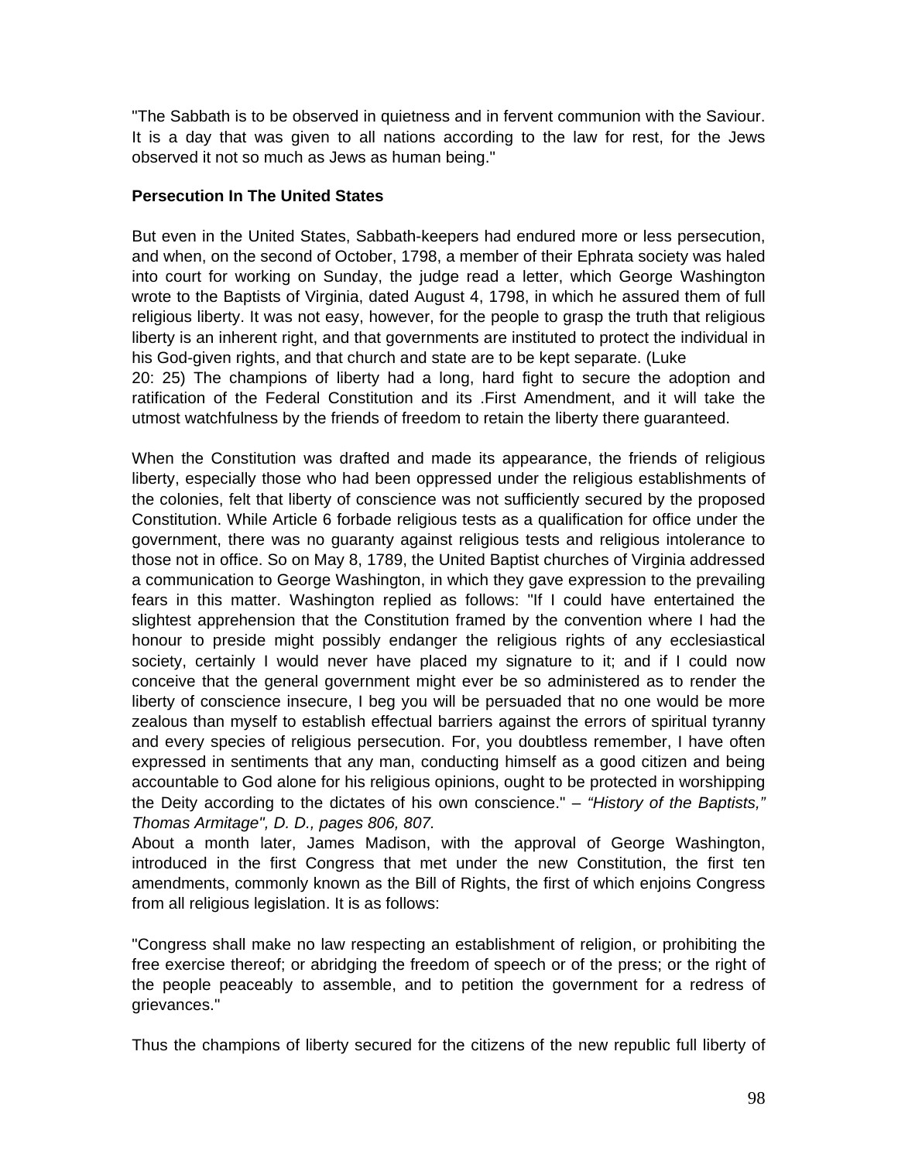"The Sabbath is to be observed in quietness and in fervent communion with the Saviour. It is a day that was given to all nations according to the law for rest, for the Jews observed it not so much as Jews as human being."

#### **Persecution In The United States**

But even in the United States, Sabbath-keepers had endured more or less persecution, and when, on the second of October, 1798, a member of their Ephrata society was haled into court for working on Sunday, the judge read a letter, which George Washington wrote to the Baptists of Virginia, dated August 4, 1798, in which he assured them of full religious liberty. It was not easy, however, for the people to grasp the truth that religious liberty is an inherent right, and that governments are instituted to protect the individual in his God-given rights, and that church and state are to be kept separate. (Luke 20: 25) The champions of liberty had a long, hard fight to secure the adoption and ratification of the Federal Constitution and its .First Amendment, and it will take the utmost watchfulness by the friends of freedom to retain the liberty there guaranteed.

When the Constitution was drafted and made its appearance, the friends of religious liberty, especially those who had been oppressed under the religious establishments of the colonies, felt that liberty of conscience was not sufficiently secured by the proposed Constitution. While Article 6 forbade religious tests as a qualification for office under the government, there was no guaranty against religious tests and religious intolerance to those not in office. So on May 8, 1789, the United Baptist churches of Virginia addressed a communication to George Washington, in which they gave expression to the prevailing fears in this matter. Washington replied as follows: "If I could have entertained the slightest apprehension that the Constitution framed by the convention where I had the honour to preside might possibly endanger the religious rights of any ecclesiastical society, certainly I would never have placed my signature to it; and if I could now conceive that the general government might ever be so administered as to render the liberty of conscience insecure, I beg you will be persuaded that no one would be more zealous than myself to establish effectual barriers against the errors of spiritual tyranny and every species of religious persecution. For, you doubtless remember, I have often expressed in sentiments that any man, conducting himself as a good citizen and being accountable to God alone for his religious opinions, ought to be protected in worshipping the Deity according to the dictates of his own conscience." – *"History of the Baptists," Thomas Armitage", D. D., pages 806, 807.* 

About a month later, James Madison, with the approval of George Washington, introduced in the first Congress that met under the new Constitution, the first ten amendments, commonly known as the Bill of Rights, the first of which enjoins Congress from all religious legislation. It is as follows:

"Congress shall make no law respecting an establishment of religion, or prohibiting the free exercise thereof; or abridging the freedom of speech or of the press; or the right of the people peaceably to assemble, and to petition the government for a redress of grievances."

Thus the champions of liberty secured for the citizens of the new republic full liberty of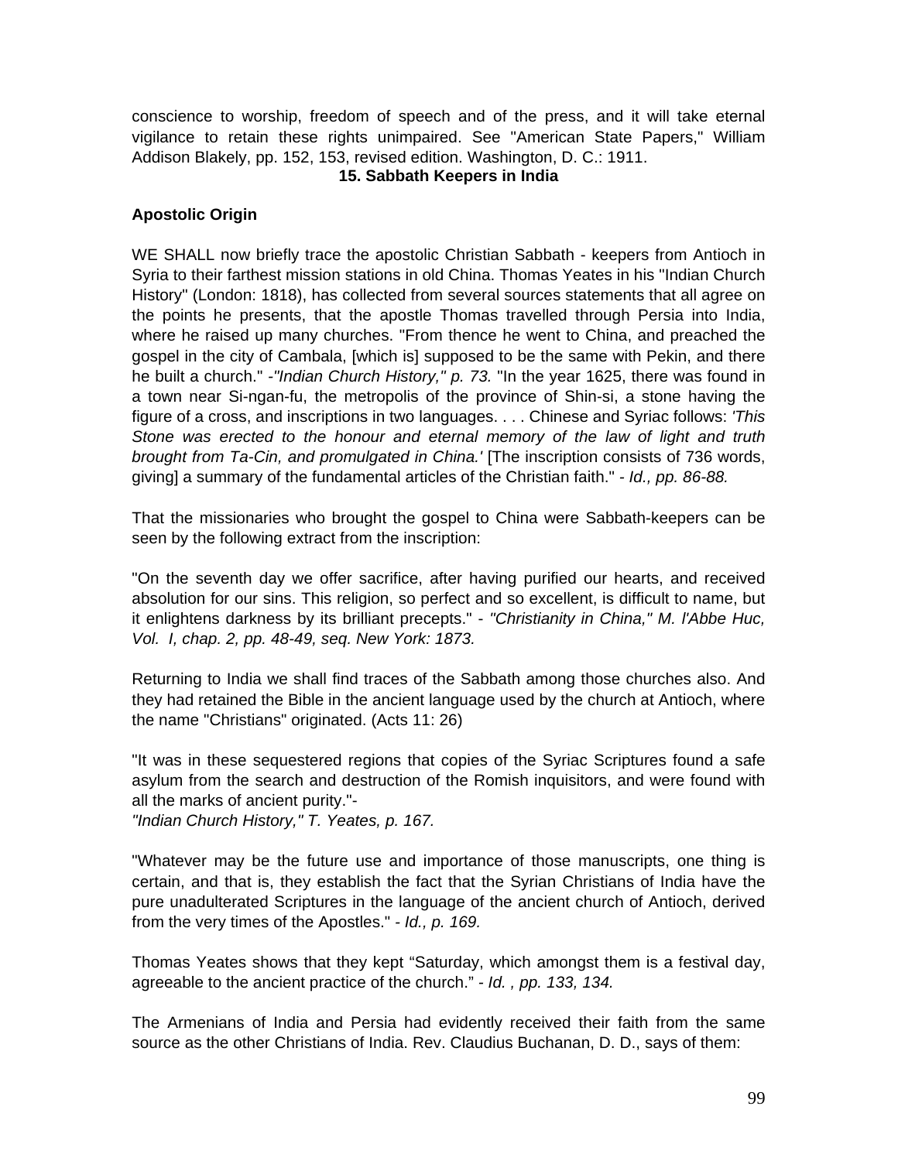conscience to worship, freedom of speech and of the press, and it will take eternal vigilance to retain these rights unimpaired. See "American State Papers," William Addison Blakely, pp. 152, 153, revised edition. Washington, D. C.: 1911.

#### **15. Sabbath Keepers in India**

# **Apostolic Origin**

WE SHALL now briefly trace the apostolic Christian Sabbath - keepers from Antioch in Syria to their farthest mission stations in old China. Thomas Yeates in his "Indian Church History" (London: 1818), has collected from several sources statements that all agree on the points he presents, that the apostle Thomas travelled through Persia into India, where he raised up many churches. "From thence he went to China, and preached the gospel in the city of Cambala, [which is] supposed to be the same with Pekin, and there he built a church." *-"Indian Church History," p. 73.* "In the year 1625, there was found in a town near Si-ngan-fu, the metropolis of the province of Shin-si, a stone having the figure of a cross, and inscriptions in two languages. . . . Chinese and Syriac follows: *'This Stone was erected to the honour and eternal memory of the law of light and truth brought from Ta-Cin, and promulgated in China.'* [The inscription consists of 736 words, giving] a summary of the fundamental articles of the Christian faith." *- Id., pp. 86-88.* 

That the missionaries who brought the gospel to China were Sabbath-keepers can be seen by the following extract from the inscription:

"On the seventh day we offer sacrifice, after having purified our hearts, and received absolution for our sins. This religion, so perfect and so excellent, is difficult to name, but it enlightens darkness by its brilliant precepts." - *"Christianity in China," M. l'Abbe Huc, Vol. I, chap. 2, pp. 48-49, seq. New York: 1873.* 

Returning to India we shall find traces of the Sabbath among those churches also. And they had retained the Bible in the ancient language used by the church at Antioch, where the name "Christians" originated. (Acts 11: 26)

"It was in these sequestered regions that copies of the Syriac Scriptures found a safe asylum from the search and destruction of the Romish inquisitors, and were found with all the marks of ancient purity."-

*"Indian Church History," T. Yeates, p. 167.* 

"Whatever may be the future use and importance of those manuscripts, one thing is certain, and that is, they establish the fact that the Syrian Christians of India have the pure unadulterated Scriptures in the language of the ancient church of Antioch, derived from the very times of the Apostles." *- Id., p. 169.* 

Thomas Yeates shows that they kept "Saturday, which amongst them is a festival day, agreeable to the ancient practice of the church." *- Id. , pp. 133, 134.* 

The Armenians of India and Persia had evidently received their faith from the same source as the other Christians of India. Rev. Claudius Buchanan, D. D., says of them: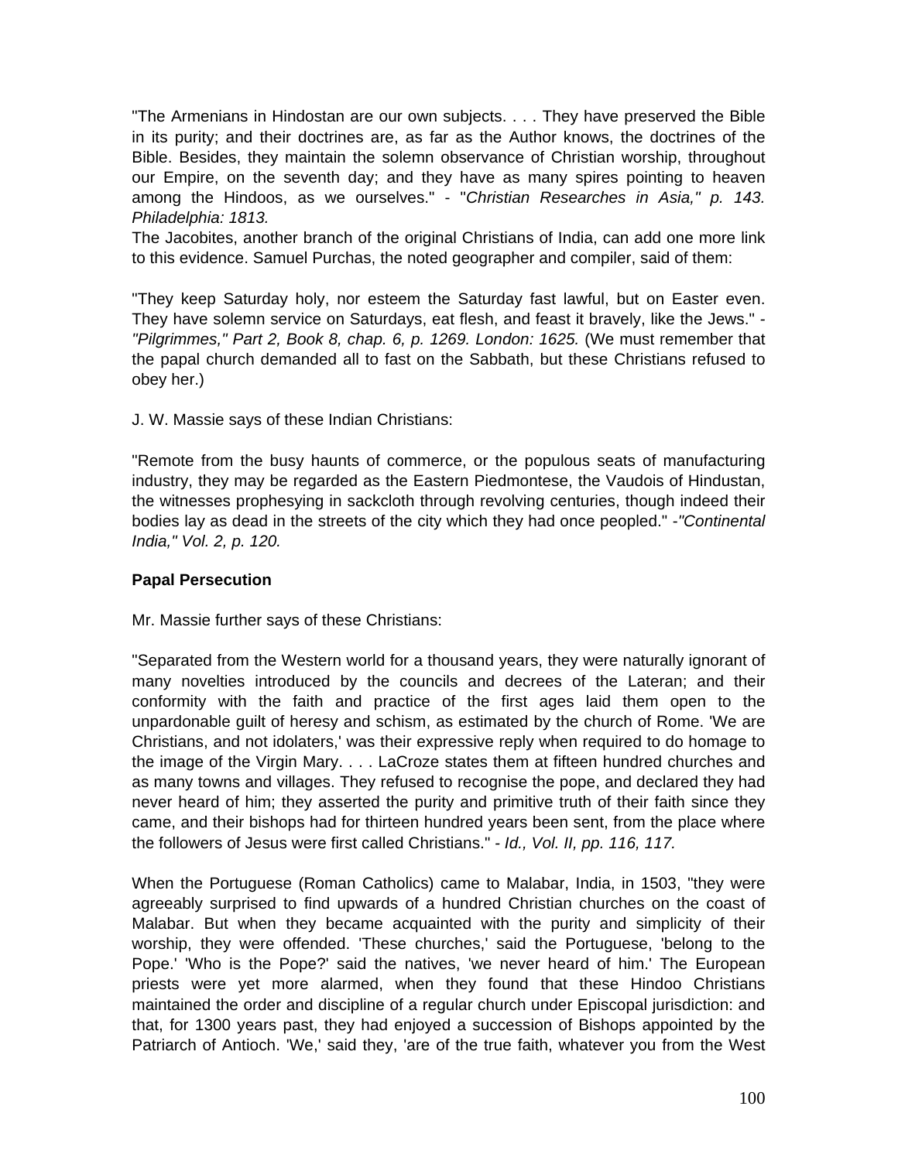"The Armenians in Hindostan are our own subjects. . . . They have preserved the Bible in its purity; and their doctrines are, as far as the Author knows, the doctrines of the Bible. Besides, they maintain the solemn observance of Christian worship, throughout our Empire, on the seventh day; and they have as many spires pointing to heaven among the Hindoos, as we ourselves." - "*Christian Researches in Asia," p. 143. Philadelphia: 1813.* 

The Jacobites, another branch of the original Christians of India, can add one more link to this evidence. Samuel Purchas, the noted geographer and compiler, said of them:

"They keep Saturday holy, nor esteem the Saturday fast lawful, but on Easter even. They have solemn service on Saturdays, eat flesh, and feast it bravely, like the Jews." *- "Pilgrimmes," Part 2, Book 8, chap. 6, p. 1269. London: 1625.* (We must remember that the papal church demanded all to fast on the Sabbath, but these Christians refused to obey her.)

J. W. Massie says of these Indian Christians:

"Remote from the busy haunts of commerce, or the populous seats of manufacturing industry, they may be regarded as the Eastern Piedmontese, the Vaudois of Hindustan, the witnesses prophesying in sackcloth through revolving centuries, though indeed their bodies lay as dead in the streets of the city which they had once peopled." -*"Continental India," Vol. 2, p. 120.* 

#### **Papal Persecution**

Mr. Massie further says of these Christians:

"Separated from the Western world for a thousand years, they were naturally ignorant of many novelties introduced by the councils and decrees of the Lateran; and their conformity with the faith and practice of the first ages laid them open to the unpardonable guilt of heresy and schism, as estimated by the church of Rome. 'We are Christians, and not idolaters,' was their expressive reply when required to do homage to the image of the Virgin Mary. . . . LaCroze states them at fifteen hundred churches and as many towns and villages. They refused to recognise the pope, and declared they had never heard of him; they asserted the purity and primitive truth of their faith since they came, and their bishops had for thirteen hundred years been sent, from the place where the followers of Jesus were first called Christians." *- Id., Vol. II, pp. 116, 117.* 

When the Portuguese (Roman Catholics) came to Malabar, India, in 1503, "they were agreeably surprised to find upwards of a hundred Christian churches on the coast of Malabar. But when they became acquainted with the purity and simplicity of their worship, they were offended. 'These churches,' said the Portuguese, 'belong to the Pope.' 'Who is the Pope?' said the natives, 'we never heard of him.' The European priests were yet more alarmed, when they found that these Hindoo Christians maintained the order and discipline of a regular church under Episcopal jurisdiction: and that, for 1300 years past, they had enjoyed a succession of Bishops appointed by the Patriarch of Antioch. 'We,' said they, 'are of the true faith, whatever you from the West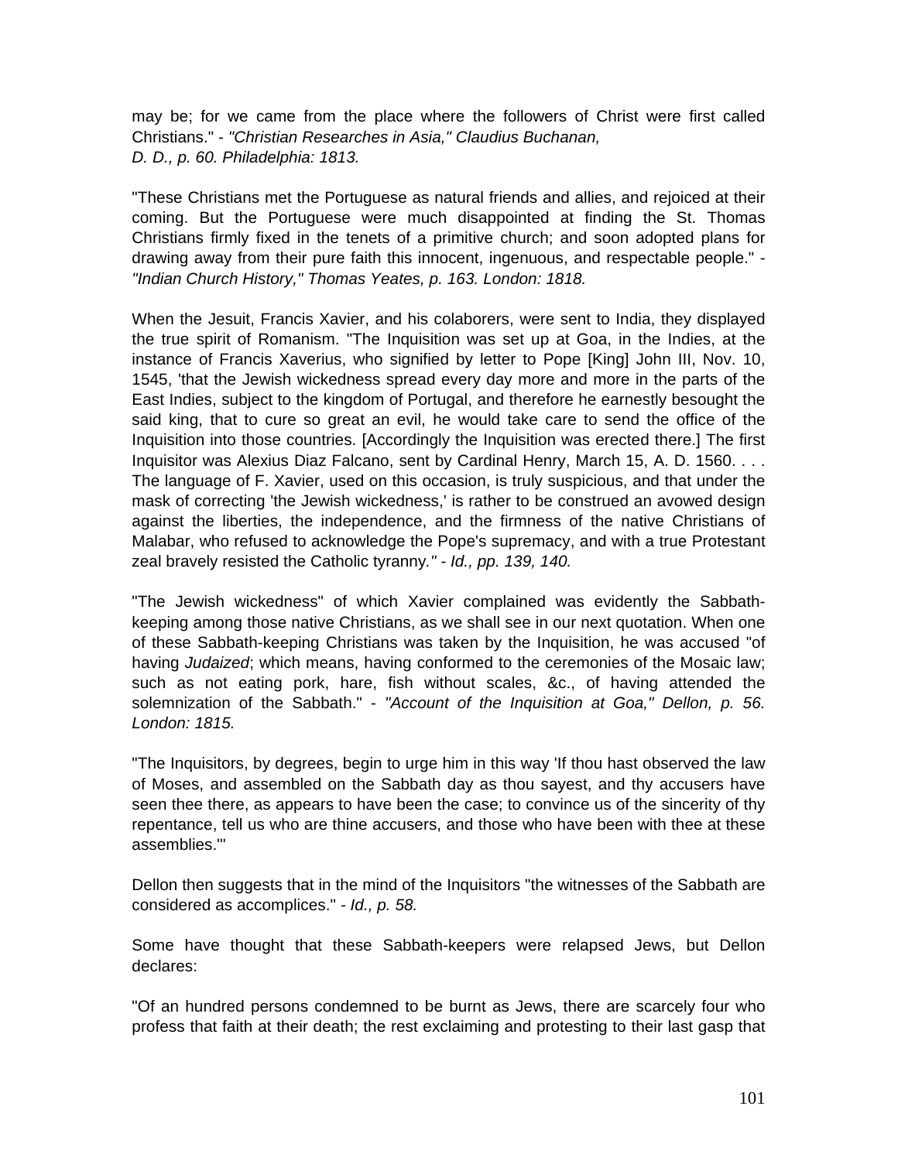may be; for we came from the place where the followers of Christ were first called Christians." - *"Christian Researches in Asia," Claudius Buchanan, D. D., p. 60. Philadelphia: 1813.* 

"These Christians met the Portuguese as natural friends and allies, and rejoiced at their coming. But the Portuguese were much disappointed at finding the St. Thomas Christians firmly fixed in the tenets of a primitive church; and soon adopted plans for drawing away from their pure faith this innocent, ingenuous, and respectable people." - *"Indian Church History," Thomas Yeates, p. 163. London: 1818.* 

When the Jesuit, Francis Xavier, and his colaborers, were sent to India, they displayed the true spirit of Romanism. "The Inquisition was set up at Goa, in the Indies, at the instance of Francis Xaverius, who signified by letter to Pope [King] John III, Nov. 10, 1545, 'that the Jewish wickedness spread every day more and more in the parts of the East Indies, subject to the kingdom of Portugal, and therefore he earnestly besought the said king, that to cure so great an evil, he would take care to send the office of the Inquisition into those countries. [Accordingly the Inquisition was erected there.] The first Inquisitor was Alexius Diaz Falcano, sent by Cardinal Henry, March 15, A. D. 1560. . . . The language of F. Xavier, used on this occasion, is truly suspicious, and that under the mask of correcting 'the Jewish wickedness,' is rather to be construed an avowed design against the liberties, the independence, and the firmness of the native Christians of Malabar, who refused to acknowledge the Pope's supremacy, and with a true Protestant zeal bravely resisted the Catholic tyranny*." - Id., pp. 139, 140.* 

"The Jewish wickedness" of which Xavier complained was evidently the Sabbathkeeping among those native Christians, as we shall see in our next quotation. When one of these Sabbath-keeping Christians was taken by the Inquisition, he was accused "of having *Judaized*; which means, having conformed to the ceremonies of the Mosaic law; such as not eating pork, hare, fish without scales, &c., of having attended the solemnization of the Sabbath." - *"Account of the Inquisition at Goa," Dellon, p. 56. London: 1815.* 

"The Inquisitors, by degrees, begin to urge him in this way 'If thou hast observed the law of Moses, and assembled on the Sabbath day as thou sayest, and thy accusers have seen thee there, as appears to have been the case; to convince us of the sincerity of thy repentance, tell us who are thine accusers, and those who have been with thee at these assemblies."'

Dellon then suggests that in the mind of the Inquisitors "the witnesses of the Sabbath are considered as accomplices." *- Id., p. 58.* 

Some have thought that these Sabbath-keepers were relapsed Jews, but Dellon declares:

"Of an hundred persons condemned to be burnt as Jews, there are scarcely four who profess that faith at their death; the rest exclaiming and protesting to their last gasp that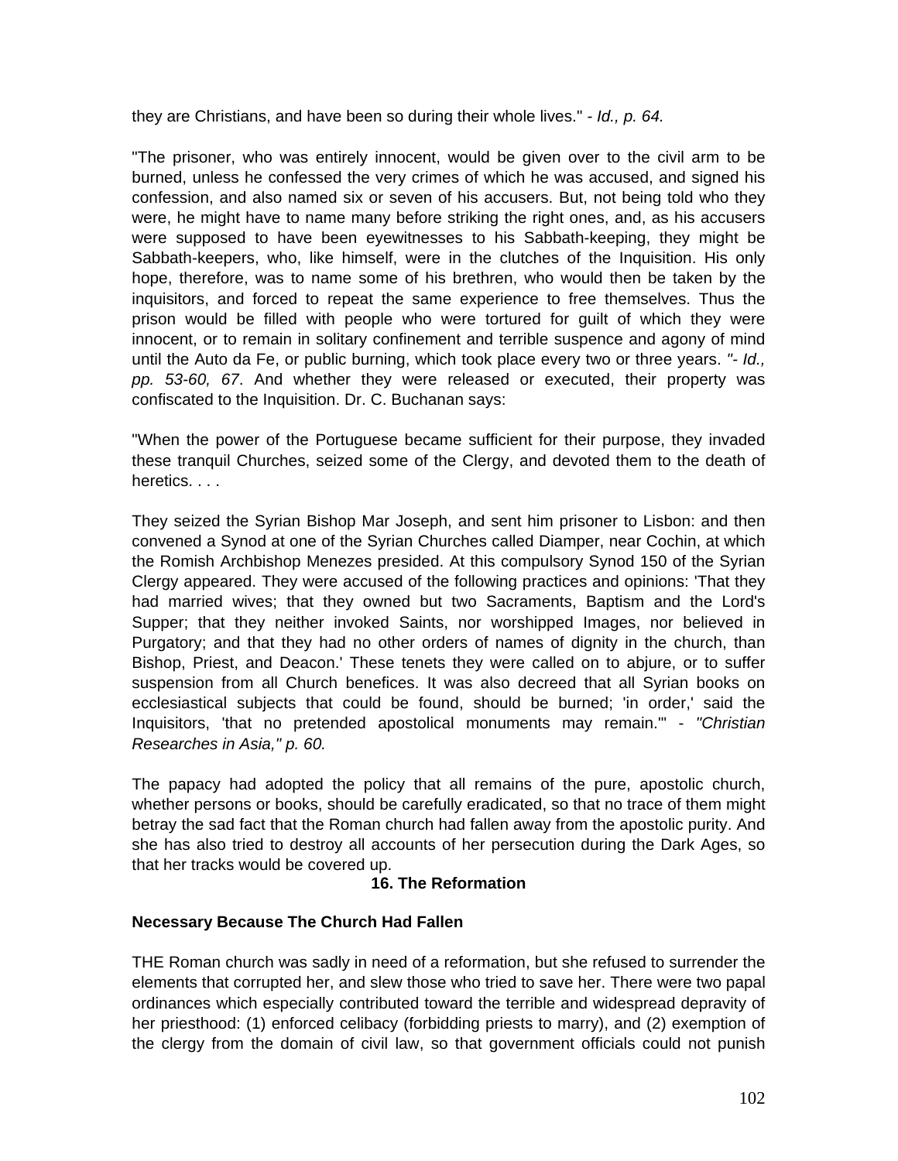they are Christians, and have been so during their whole lives." *- Id., p. 64.* 

"The prisoner, who was entirely innocent, would be given over to the civil arm to be burned, unless he confessed the very crimes of which he was accused, and signed his confession, and also named six or seven of his accusers. But, not being told who they were, he might have to name many before striking the right ones, and, as his accusers were supposed to have been eyewitnesses to his Sabbath-keeping, they might be Sabbath-keepers, who, like himself, were in the clutches of the Inquisition. His only hope, therefore, was to name some of his brethren, who would then be taken by the inquisitors, and forced to repeat the same experience to free themselves. Thus the prison would be filled with people who were tortured for guilt of which they were innocent, or to remain in solitary confinement and terrible suspence and agony of mind until the Auto da Fe, or public burning, which took place every two or three years. *"- Id., pp. 53-60, 67*. And whether they were released or executed, their property was confiscated to the Inquisition. Dr. C. Buchanan says:

"When the power of the Portuguese became sufficient for their purpose, they invaded these tranquil Churches, seized some of the Clergy, and devoted them to the death of heretics. . . .

They seized the Syrian Bishop Mar Joseph, and sent him prisoner to Lisbon: and then convened a Synod at one of the Syrian Churches called Diamper, near Cochin, at which the Romish Archbishop Menezes presided. At this compulsory Synod 150 of the Syrian Clergy appeared. They were accused of the following practices and opinions: 'That they had married wives; that they owned but two Sacraments, Baptism and the Lord's Supper; that they neither invoked Saints, nor worshipped Images, nor believed in Purgatory; and that they had no other orders of names of dignity in the church, than Bishop, Priest, and Deacon.' These tenets they were called on to abjure, or to suffer suspension from all Church benefices. It was also decreed that all Syrian books on ecclesiastical subjects that could be found, should be burned; 'in order,' said the Inquisitors, 'that no pretended apostolical monuments may remain."' - *"Christian Researches in Asia," p. 60.* 

The papacy had adopted the policy that all remains of the pure, apostolic church, whether persons or books, should be carefully eradicated, so that no trace of them might betray the sad fact that the Roman church had fallen away from the apostolic purity. And she has also tried to destroy all accounts of her persecution during the Dark Ages, so that her tracks would be covered up.

## **16. The Reformation**

## **Necessary Because The Church Had Fallen**

THE Roman church was sadly in need of a reformation, but she refused to surrender the elements that corrupted her, and slew those who tried to save her. There were two papal ordinances which especially contributed toward the terrible and widespread depravity of her priesthood: (1) enforced celibacy (forbidding priests to marry), and (2) exemption of the clergy from the domain of civil law, so that government officials could not punish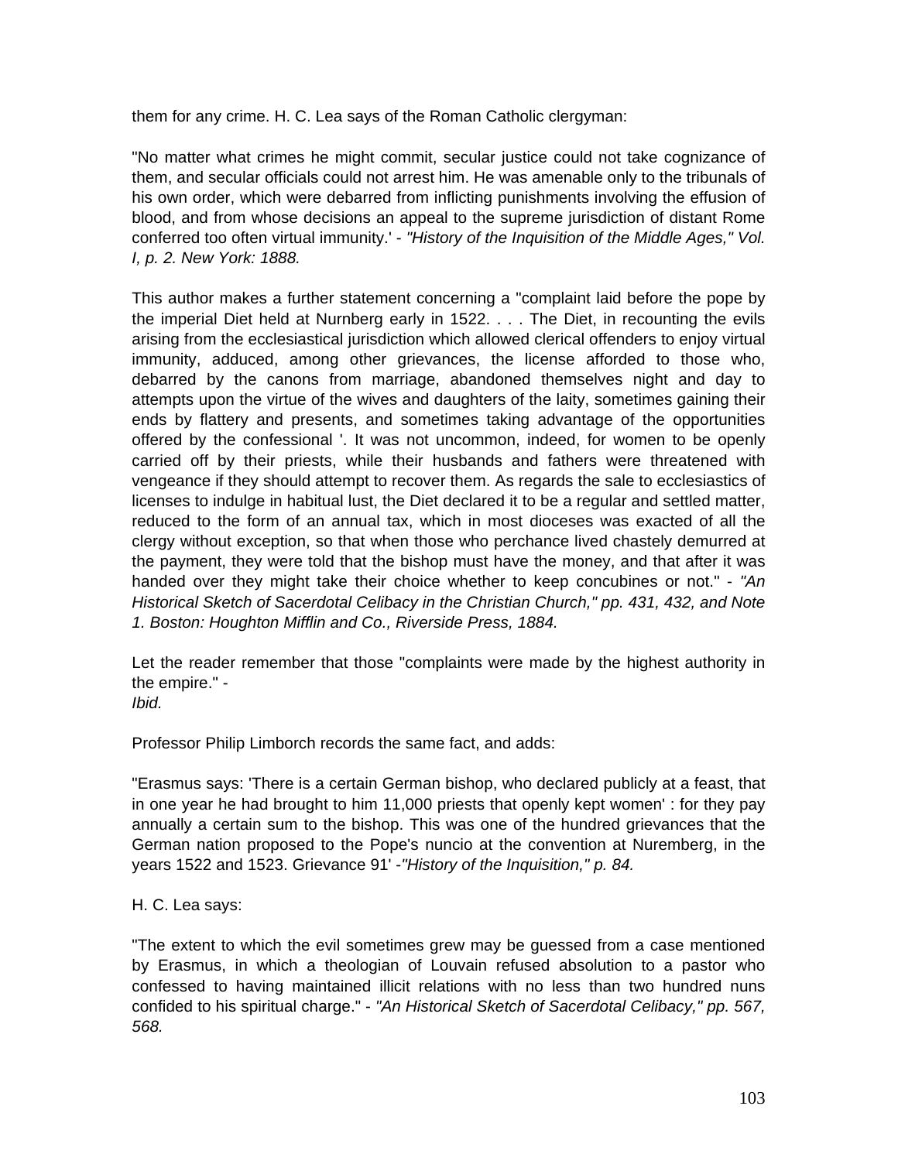them for any crime. H. C. Lea says of the Roman Catholic clergyman:

"No matter what crimes he might commit, secular justice could not take cognizance of them, and secular officials could not arrest him. He was amenable only to the tribunals of his own order, which were debarred from inflicting punishments involving the effusion of blood, and from whose decisions an appeal to the supreme jurisdiction of distant Rome conferred too often virtual immunity.' - *"History of the Inquisition of the Middle Ages," Vol. I, p. 2. New York: 1888.* 

This author makes a further statement concerning a "complaint laid before the pope by the imperial Diet held at Nurnberg early in 1522. . . . The Diet, in recounting the evils arising from the ecclesiastical jurisdiction which allowed clerical offenders to enjoy virtual immunity, adduced, among other grievances, the license afforded to those who, debarred by the canons from marriage, abandoned themselves night and day to attempts upon the virtue of the wives and daughters of the laity, sometimes gaining their ends by flattery and presents, and sometimes taking advantage of the opportunities offered by the confessional '. It was not uncommon, indeed, for women to be openly carried off by their priests, while their husbands and fathers were threatened with vengeance if they should attempt to recover them. As regards the sale to ecclesiastics of licenses to indulge in habitual lust, the Diet declared it to be a regular and settled matter, reduced to the form of an annual tax, which in most dioceses was exacted of all the clergy without exception, so that when those who perchance lived chastely demurred at the payment, they were told that the bishop must have the money, and that after it was handed over they might take their choice whether to keep concubines or not." - *"An Historical Sketch of Sacerdotal Celibacy in the Christian Church," pp. 431, 432, and Note 1. Boston: Houghton Mifflin and Co., Riverside Press, 1884.* 

Let the reader remember that those "complaints were made by the highest authority in the empire." - *Ibid.* 

Professor Philip Limborch records the same fact, and adds:

"Erasmus says: 'There is a certain German bishop, who declared publicly at a feast, that in one year he had brought to him 11,000 priests that openly kept women' : for they pay annually a certain sum to the bishop. This was one of the hundred grievances that the German nation proposed to the Pope's nuncio at the convention at Nuremberg, in the years 1522 and 1523. Grievance 91' -*"History of the Inquisition," p. 84.* 

#### H. C. Lea says:

"The extent to which the evil sometimes grew may be guessed from a case mentioned by Erasmus, in which a theologian of Louvain refused absolution to a pastor who confessed to having maintained illicit relations with no less than two hundred nuns confided to his spiritual charge." - *"An Historical Sketch of Sacerdotal Celibacy," pp. 567, 568.*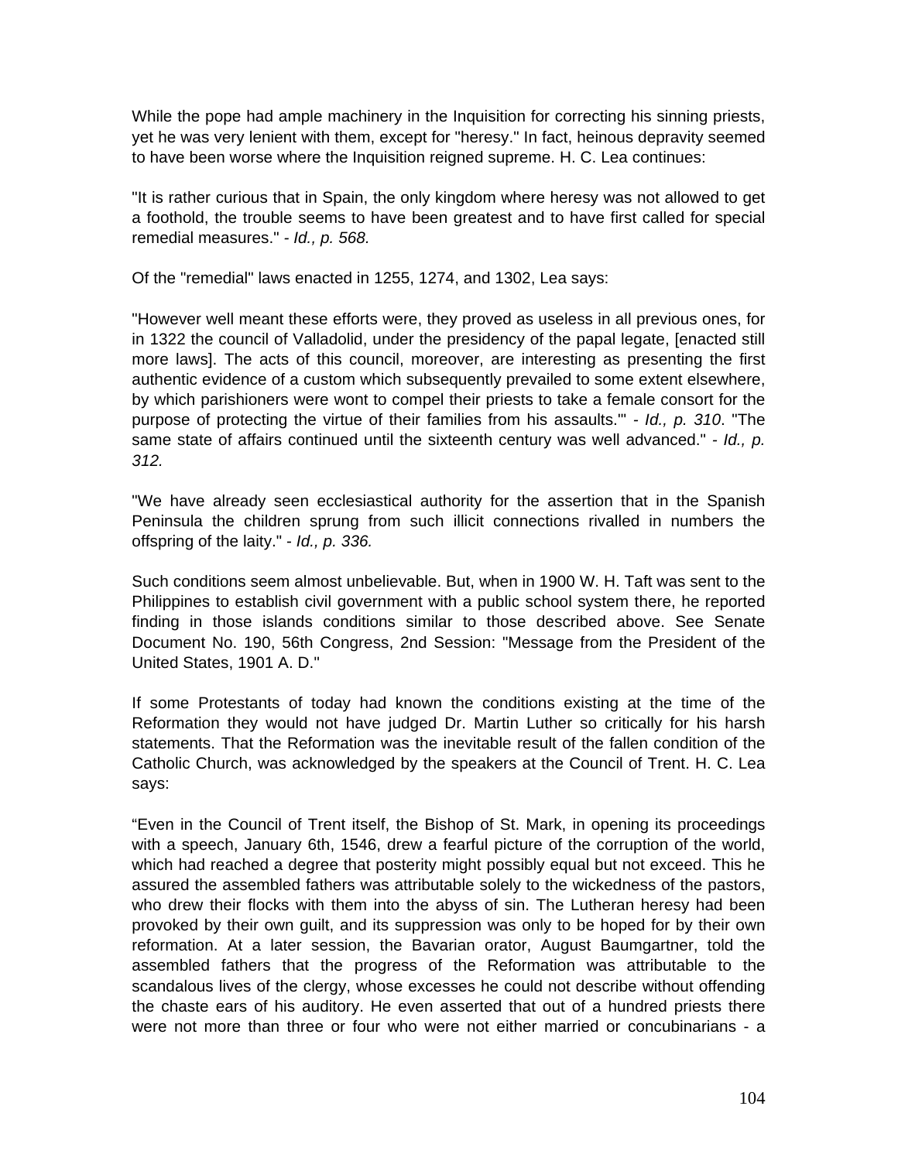While the pope had ample machinery in the Inquisition for correcting his sinning priests, yet he was very lenient with them, except for "heresy." In fact, heinous depravity seemed to have been worse where the Inquisition reigned supreme. H. C. Lea continues:

"It is rather curious that in Spain, the only kingdom where heresy was not allowed to get a foothold, the trouble seems to have been greatest and to have first called for special remedial measures." *- Id., p. 568.* 

Of the "remedial" laws enacted in 1255, 1274, and 1302, Lea says:

"However well meant these efforts were, they proved as useless in all previous ones, for in 1322 the council of Valladolid, under the presidency of the papal legate, [enacted still more laws]. The acts of this council, moreover, are interesting as presenting the first authentic evidence of a custom which subsequently prevailed to some extent elsewhere, by which parishioners were wont to compel their priests to take a female consort for the purpose of protecting the virtue of their families from his assaults."' *- Id., p. 310*. "The same state of affairs continued until the sixteenth century was well advanced." *- Id., p. 312.* 

"We have already seen ecclesiastical authority for the assertion that in the Spanish Peninsula the children sprung from such illicit connections rivalled in numbers the offspring of the laity." - *Id., p. 336.* 

Such conditions seem almost unbelievable. But, when in 1900 W. H. Taft was sent to the Philippines to establish civil government with a public school system there, he reported finding in those islands conditions similar to those described above. See Senate Document No. 190, 56th Congress, 2nd Session: "Message from the President of the United States, 1901 A. D."

If some Protestants of today had known the conditions existing at the time of the Reformation they would not have judged Dr. Martin Luther so critically for his harsh statements. That the Reformation was the inevitable result of the fallen condition of the Catholic Church, was acknowledged by the speakers at the Council of Trent. H. C. Lea says:

"Even in the Council of Trent itself, the Bishop of St. Mark, in opening its proceedings with a speech, January 6th, 1546, drew a fearful picture of the corruption of the world, which had reached a degree that posterity might possibly equal but not exceed. This he assured the assembled fathers was attributable solely to the wickedness of the pastors, who drew their flocks with them into the abyss of sin. The Lutheran heresy had been provoked by their own guilt, and its suppression was only to be hoped for by their own reformation. At a later session, the Bavarian orator, August Baumgartner, told the assembled fathers that the progress of the Reformation was attributable to the scandalous lives of the clergy, whose excesses he could not describe without offending the chaste ears of his auditory. He even asserted that out of a hundred priests there were not more than three or four who were not either married or concubinarians - a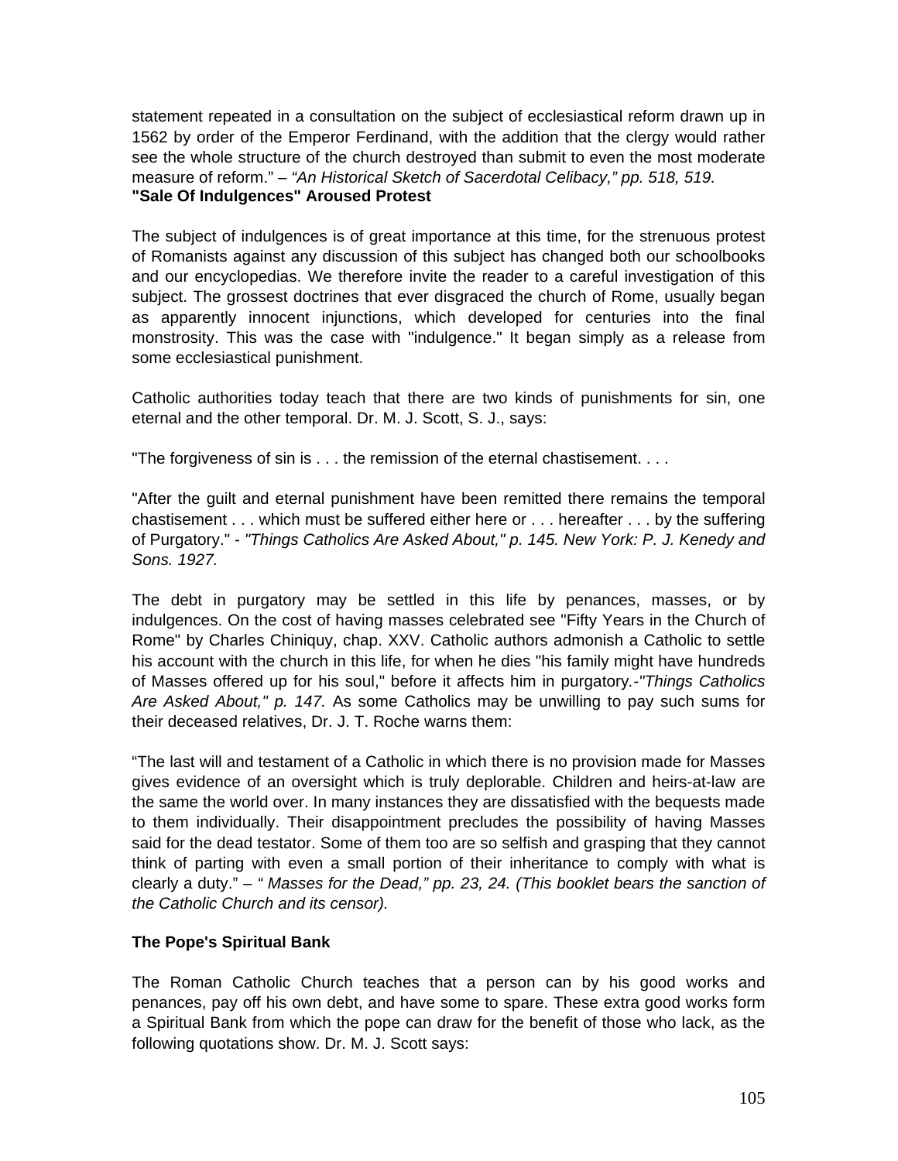statement repeated in a consultation on the subject of ecclesiastical reform drawn up in 1562 by order of the Emperor Ferdinand, with the addition that the clergy would rather see the whole structure of the church destroyed than submit to even the most moderate measure of reform." – *"An Historical Sketch of Sacerdotal Celibacy," pp. 518, 519.*  **"Sale Of Indulgences" Aroused Protest** 

The subject of indulgences is of great importance at this time, for the strenuous protest of Romanists against any discussion of this subject has changed both our schoolbooks and our encyclopedias. We therefore invite the reader to a careful investigation of this subject. The grossest doctrines that ever disgraced the church of Rome, usually began as apparently innocent injunctions, which developed for centuries into the final monstrosity. This was the case with "indulgence." It began simply as a release from some ecclesiastical punishment.

Catholic authorities today teach that there are two kinds of punishments for sin, one eternal and the other temporal. Dr. M. J. Scott, S. J., says:

"The forgiveness of sin is . . . the remission of the eternal chastisement. . . .

"After the guilt and eternal punishment have been remitted there remains the temporal chastisement . . . which must be suffered either here or . . . hereafter . . . by the suffering of Purgatory." - *"Things Catholics Are Asked About," p. 145. New York: P. J. Kenedy and Sons. 1927.* 

The debt in purgatory may be settled in this life by penances, masses, or by indulgences. On the cost of having masses celebrated see "Fifty Years in the Church of Rome" by Charles Chiniquy, chap. XXV. Catholic authors admonish a Catholic to settle his account with the church in this life, for when he dies "his family might have hundreds of Masses offered up for his soul," before it affects him in purgatory*.-"Things Catholics Are Asked About," p. 147.* As some Catholics may be unwilling to pay such sums for their deceased relatives, Dr. J. T. Roche warns them:

"The last will and testament of a Catholic in which there is no provision made for Masses gives evidence of an oversight which is truly deplorable. Children and heirs-at-law are the same the world over. In many instances they are dissatisfied with the bequests made to them individually. Their disappointment precludes the possibility of having Masses said for the dead testator. Some of them too are so selfish and grasping that they cannot think of parting with even a small portion of their inheritance to comply with what is clearly a duty." – *" Masses for the Dead," pp. 23, 24. (This booklet bears the sanction of the Catholic Church and its censor).* 

## **The Pope's Spiritual Bank**

The Roman Catholic Church teaches that a person can by his good works and penances, pay off his own debt, and have some to spare. These extra good works form a Spiritual Bank from which the pope can draw for the benefit of those who lack, as the following quotations show. Dr. M. J. Scott says: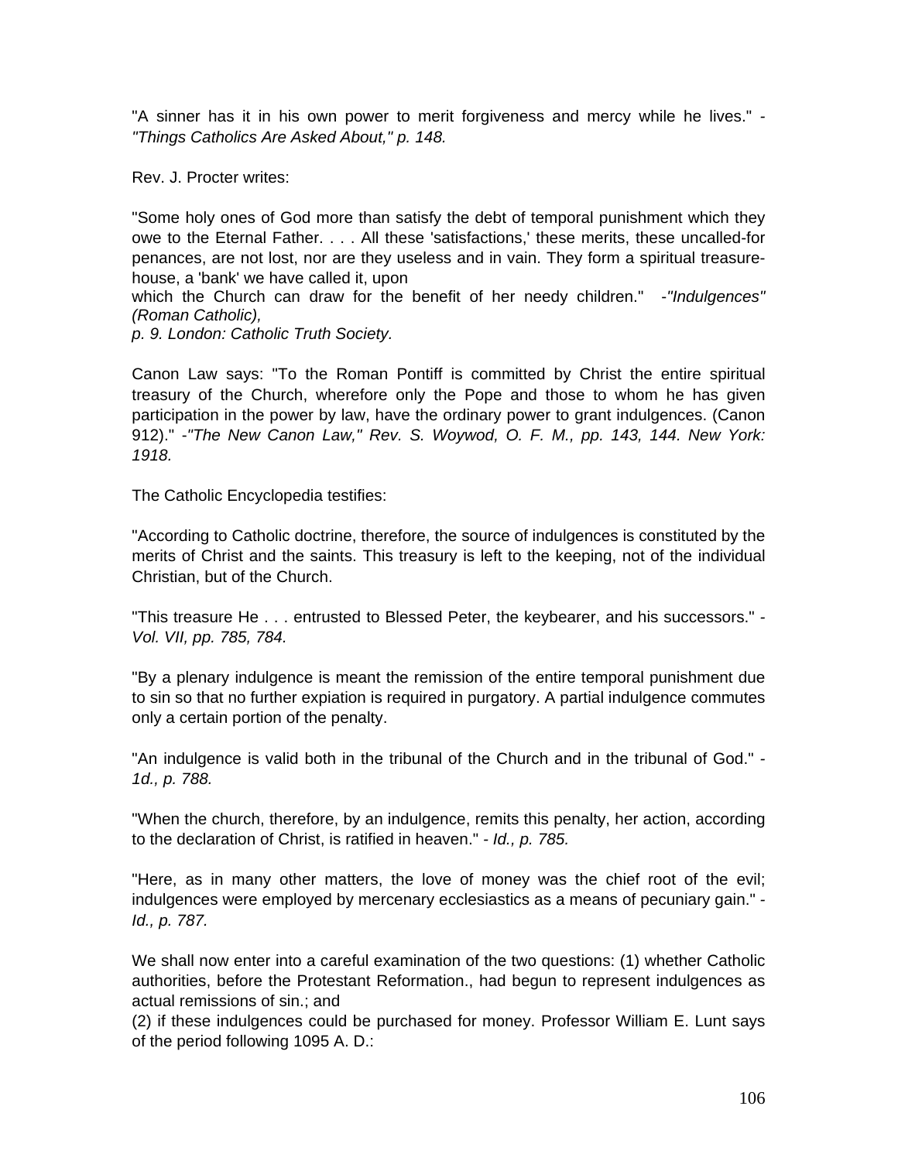"A sinner has it in his own power to merit forgiveness and mercy while he lives." *- "Things Catholics Are Asked About," p. 148.* 

Rev. J. Procter writes:

"Some holy ones of God more than satisfy the debt of temporal punishment which they owe to the Eternal Father. . . . All these 'satisfactions,' these merits, these uncalled-for penances, are not lost, nor are they useless and in vain. They form a spiritual treasurehouse, a 'bank' we have called it, upon

which the Church can draw for the benefit of her needy children." -*"Indulgences" (Roman Catholic),* 

*p. 9. London: Catholic Truth Society.* 

Canon Law says: "To the Roman Pontiff is committed by Christ the entire spiritual treasury of the Church, wherefore only the Pope and those to whom he has given participation in the power by law, have the ordinary power to grant indulgences. (Canon 912)." -*"The New Canon Law," Rev. S. Woywod, O. F. M., pp. 143, 144. New York: 1918.* 

The Catholic Encyclopedia testifies:

"According to Catholic doctrine, therefore, the source of indulgences is constituted by the merits of Christ and the saints. This treasury is left to the keeping, not of the individual Christian, but of the Church.

"This treasure He . . . entrusted to Blessed Peter, the keybearer, and his successors." *- Vol. VII, pp. 785, 784.* 

"By a plenary indulgence is meant the remission of the entire temporal punishment due to sin so that no further expiation is required in purgatory. A partial indulgence commutes only a certain portion of the penalty.

"An indulgence is valid both in the tribunal of the Church and in the tribunal of God." *- 1d., p. 788.* 

"When the church, therefore, by an indulgence, remits this penalty, her action, according to the declaration of Christ, is ratified in heaven." *- Id., p. 785.* 

"Here, as in many other matters, the love of money was the chief root of the evil; indulgences were employed by mercenary ecclesiastics as a means of pecuniary gain." *- Id., p. 787.* 

We shall now enter into a careful examination of the two questions: (1) whether Catholic authorities, before the Protestant Reformation., had begun to represent indulgences as actual remissions of sin.; and

(2) if these indulgences could be purchased for money. Professor William E. Lunt says of the period following 1095 A. D.: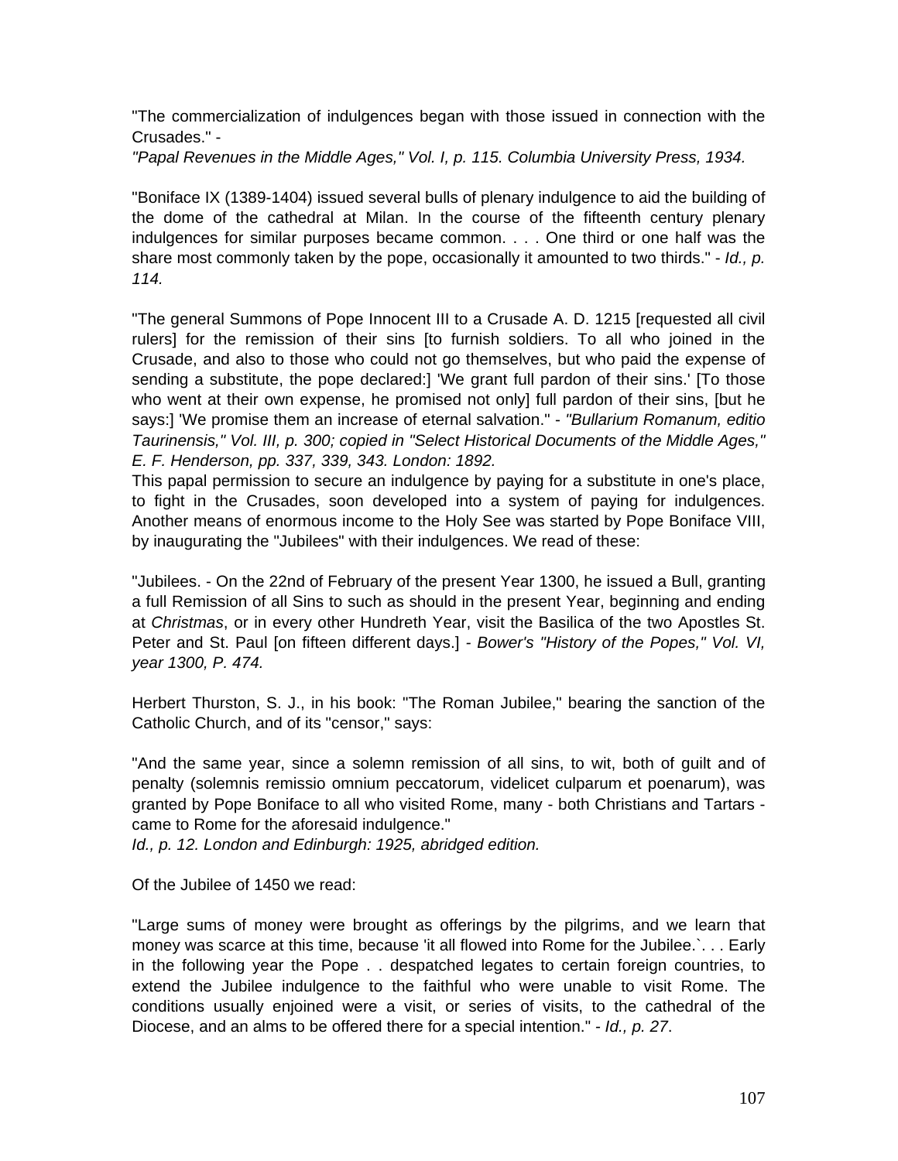"The commercialization of indulgences began with those issued in connection with the Crusades." -

*"Papal Revenues in the Middle Ages," Vol. I, p. 115. Columbia University Press, 1934.* 

"Boniface IX (1389-1404) issued several bulls of plenary indulgence to aid the building of the dome of the cathedral at Milan. In the course of the fifteenth century plenary indulgences for similar purposes became common. . . . One third or one half was the share most commonly taken by the pope, occasionally it amounted to two thirds." - *Id., p. 114.* 

"The general Summons of Pope Innocent III to a Crusade A. D. 1215 [requested all civil rulers] for the remission of their sins [to furnish soldiers. To all who joined in the Crusade, and also to those who could not go themselves, but who paid the expense of sending a substitute, the pope declared:] 'We grant full pardon of their sins.' [To those who went at their own expense, he promised not only] full pardon of their sins, [but he says:] 'We promise them an increase of eternal salvation." - *"Bullarium Romanum, editio Taurinensis," Vol. III, p. 300; copied in "Select Historical Documents of the Middle Ages," E. F. Henderson, pp. 337, 339, 343. London: 1892.* 

This papal permission to secure an indulgence by paying for a substitute in one's place, to fight in the Crusades, soon developed into a system of paying for indulgences. Another means of enormous income to the Holy See was started by Pope Boniface VIII, by inaugurating the "Jubilees" with their indulgences. We read of these:

"Jubilees. - On the 22nd of February of the present Year 1300, he issued a Bull, granting a full Remission of all Sins to such as should in the present Year, beginning and ending at *Christmas*, or in every other Hundreth Year, visit the Basilica of the two Apostles St. Peter and St. Paul [on fifteen different days.] *- Bower's "History of the Popes," Vol. VI, year 1300, P. 474.* 

Herbert Thurston, S. J., in his book: "The Roman Jubilee," bearing the sanction of the Catholic Church, and of its "censor," says:

"And the same year, since a solemn remission of all sins, to wit, both of guilt and of penalty (solemnis remissio omnium peccatorum, videlicet culparum et poenarum), was granted by Pope Boniface to all who visited Rome, many - both Christians and Tartars came to Rome for the aforesaid indulgence."

*Id., p. 12. London and Edinburgh: 1925, abridged edition.* 

Of the Jubilee of 1450 we read:

"Large sums of money were brought as offerings by the pilgrims, and we learn that money was scarce at this time, because 'it all flowed into Rome for the Jubilee.`. . . Early in the following year the Pope . . despatched legates to certain foreign countries, to extend the Jubilee indulgence to the faithful who were unable to visit Rome. The conditions usually enjoined were a visit, or series of visits, to the cathedral of the Diocese, and an alms to be offered there for a special intention." *- Id., p. 27*.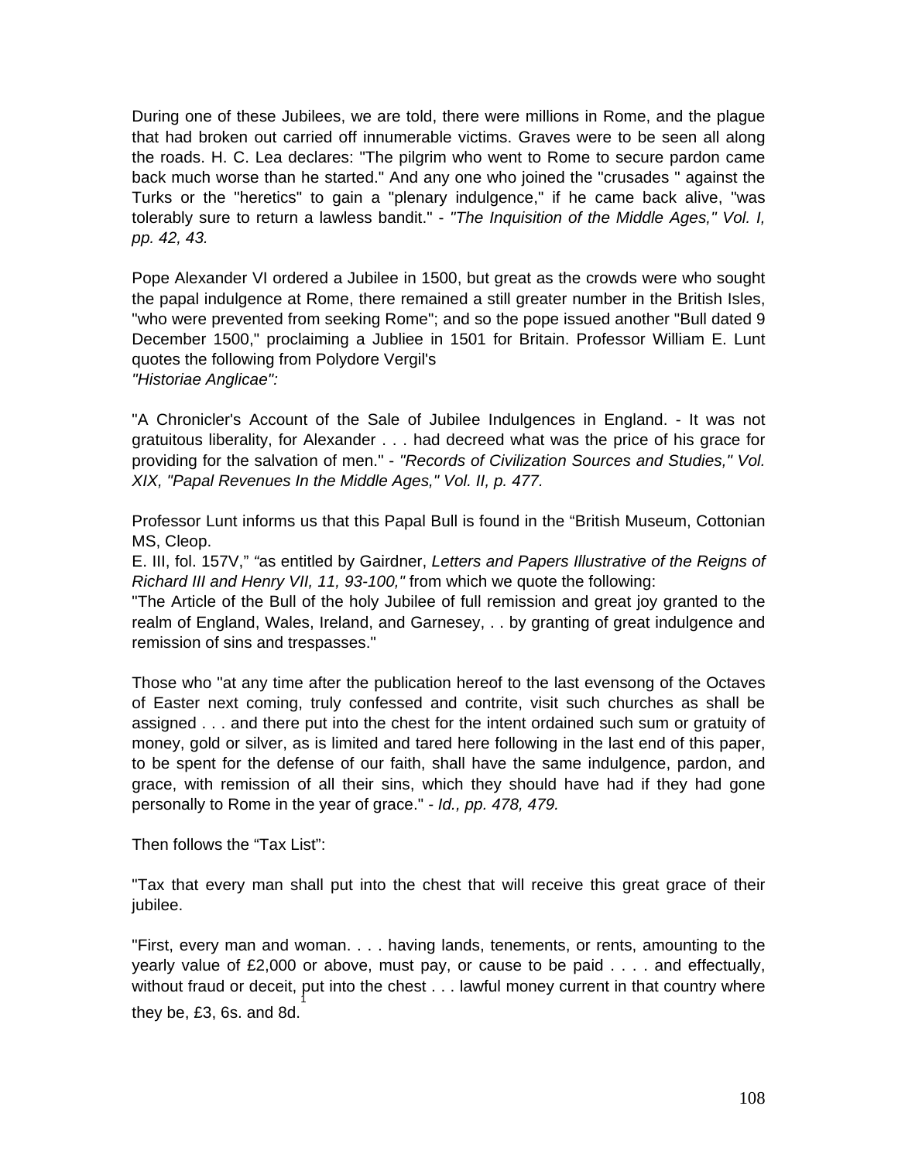During one of these Jubilees, we are told, there were millions in Rome, and the plague that had broken out carried off innumerable victims. Graves were to be seen all along the roads. H. C. Lea declares: "The pilgrim who went to Rome to secure pardon came back much worse than he started." And any one who joined the "crusades " against the Turks or the "heretics" to gain a "plenary indulgence," if he came back alive, "was tolerably sure to return a lawless bandit." - *"The Inquisition of the Middle Ages," Vol. I, pp. 42, 43.* 

Pope Alexander VI ordered a Jubilee in 1500, but great as the crowds were who sought the papal indulgence at Rome, there remained a still greater number in the British Isles, "who were prevented from seeking Rome"; and so the pope issued another "Bull dated 9 December 1500," proclaiming a Jubliee in 1501 for Britain. Professor William E. Lunt quotes the following from Polydore Vergil's *"Historiae Anglicae":* 

"A Chronicler's Account of the Sale of Jubilee Indulgences in England. - It was not gratuitous liberality, for Alexander . . . had decreed what was the price of his grace for providing for the salvation of men." - *"Records of Civilization Sources and Studies," Vol. XIX, "Papal Revenues In the Middle Ages," Vol. II, p. 477.* 

Professor Lunt informs us that this Papal Bull is found in the "British Museum, Cottonian MS, Cleop.

E. III, fol. 157V," *"*as entitled by Gairdner, *Letters and Papers Illustrative of the Reigns of Richard III and Henry VII, 11, 93-100,"* from which we quote the following:

"The Article of the Bull of the holy Jubilee of full remission and great joy granted to the realm of England, Wales, Ireland, and Garnesey, . . by granting of great indulgence and remission of sins and trespasses."

Those who "at any time after the publication hereof to the last evensong of the Octaves of Easter next coming, truly confessed and contrite, visit such churches as shall be assigned . . . and there put into the chest for the intent ordained such sum or gratuity of money, gold or silver, as is limited and tared here following in the last end of this paper, to be spent for the defense of our faith, shall have the same indulgence, pardon, and grace, with remission of all their sins, which they should have had if they had gone personally to Rome in the year of grace." *- Id., pp. 478, 479.* 

Then follows the "Tax List":

"Tax that every man shall put into the chest that will receive this great grace of their jubilee.

"First, every man and woman. . . . having lands, tenements, or rents, amounting to the yearly value of £2,000 or above, must pay, or cause to be paid . . . . and effectually, without fraud or deceit, put into the chest . . . lawful money current in that country where they be, £3, 6s. and 8d. 1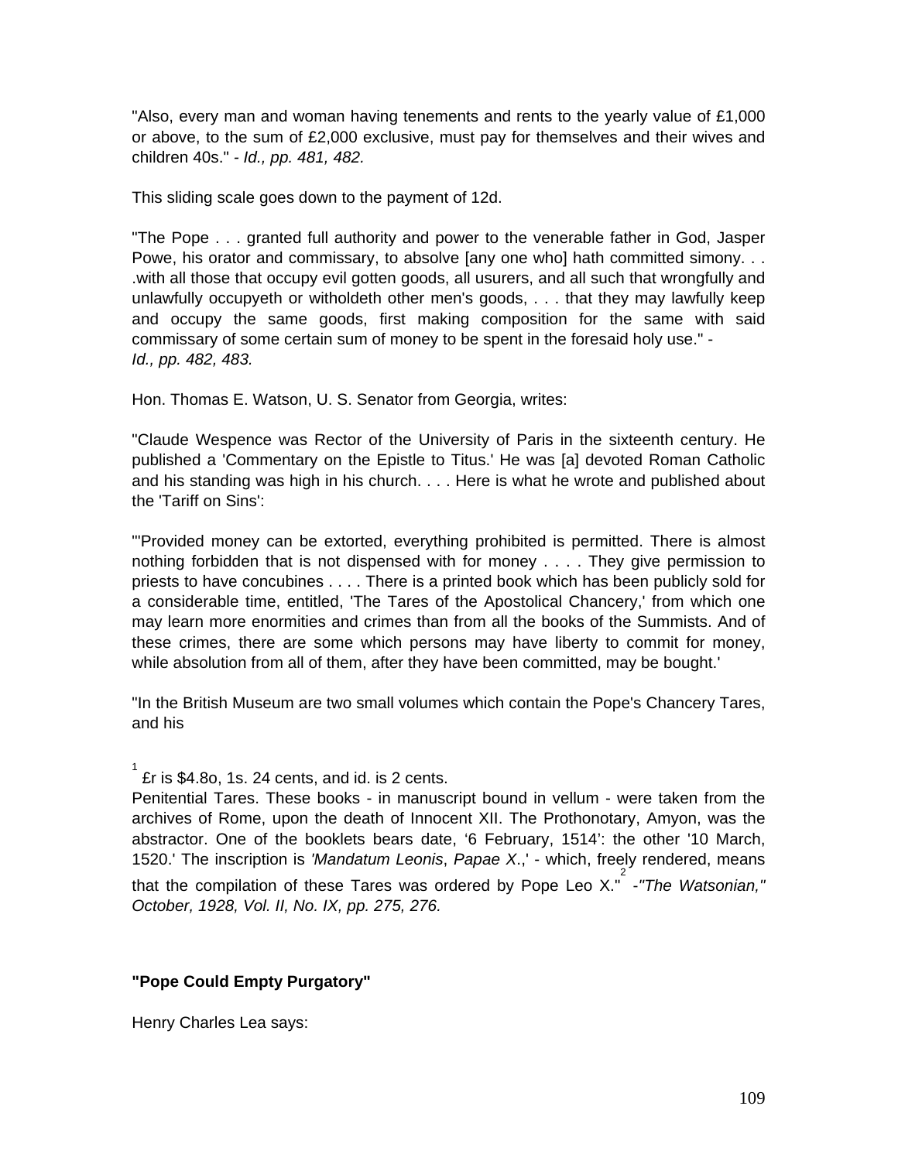"Also, every man and woman having tenements and rents to the yearly value of £1,000 or above, to the sum of £2,000 exclusive, must pay for themselves and their wives and children 40s." *- Id., pp. 481, 482.* 

This sliding scale goes down to the payment of 12d.

"The Pope . . . granted full authority and power to the venerable father in God, Jasper Powe, his orator and commissary, to absolve [any one who] hath committed simony. . . .with all those that occupy evil gotten goods, all usurers, and all such that wrongfully and unlawfully occupyeth or witholdeth other men's goods, . . . that they may lawfully keep and occupy the same goods, first making composition for the same with said commissary of some certain sum of money to be spent in the foresaid holy use." - *Id., pp. 482, 483.* 

Hon. Thomas E. Watson, U. S. Senator from Georgia, writes:

"Claude Wespence was Rector of the University of Paris in the sixteenth century. He published a 'Commentary on the Epistle to Titus.' He was [a] devoted Roman Catholic and his standing was high in his church. . . . Here is what he wrote and published about the 'Tariff on Sins':

"'Provided money can be extorted, everything prohibited is permitted. There is almost nothing forbidden that is not dispensed with for money . . . . They give permission to priests to have concubines . . . . There is a printed book which has been publicly sold for a considerable time, entitled, 'The Tares of the Apostolical Chancery,' from which one may learn more enormities and crimes than from all the books of the Summists. And of these crimes, there are some which persons may have liberty to commit for money, while absolution from all of them, after they have been committed, may be bought.'

"In the British Museum are two small volumes which contain the Pope's Chancery Tares, and his

 $^{1}$  £r is \$4.8o, 1s. 24 cents, and id. is 2 cents.

Penitential Tares. These books - in manuscript bound in vellum - were taken from the archives of Rome, upon the death of Innocent XII. The Prothonotary, Amyon, was the abstractor. One of the booklets bears date, '6 February, 1514': the other '10 March, 1520.' The inscription is *'Mandatum Leonis*, *Papae X*.,' - which, freely rendered, means

that the compilation of these Tares was ordered by Pope Leo X." 2 -*"The Watsonian," October, 1928, Vol. II, No. IX, pp. 275, 276.* 

### **"Pope Could Empty Purgatory"**

Henry Charles Lea says: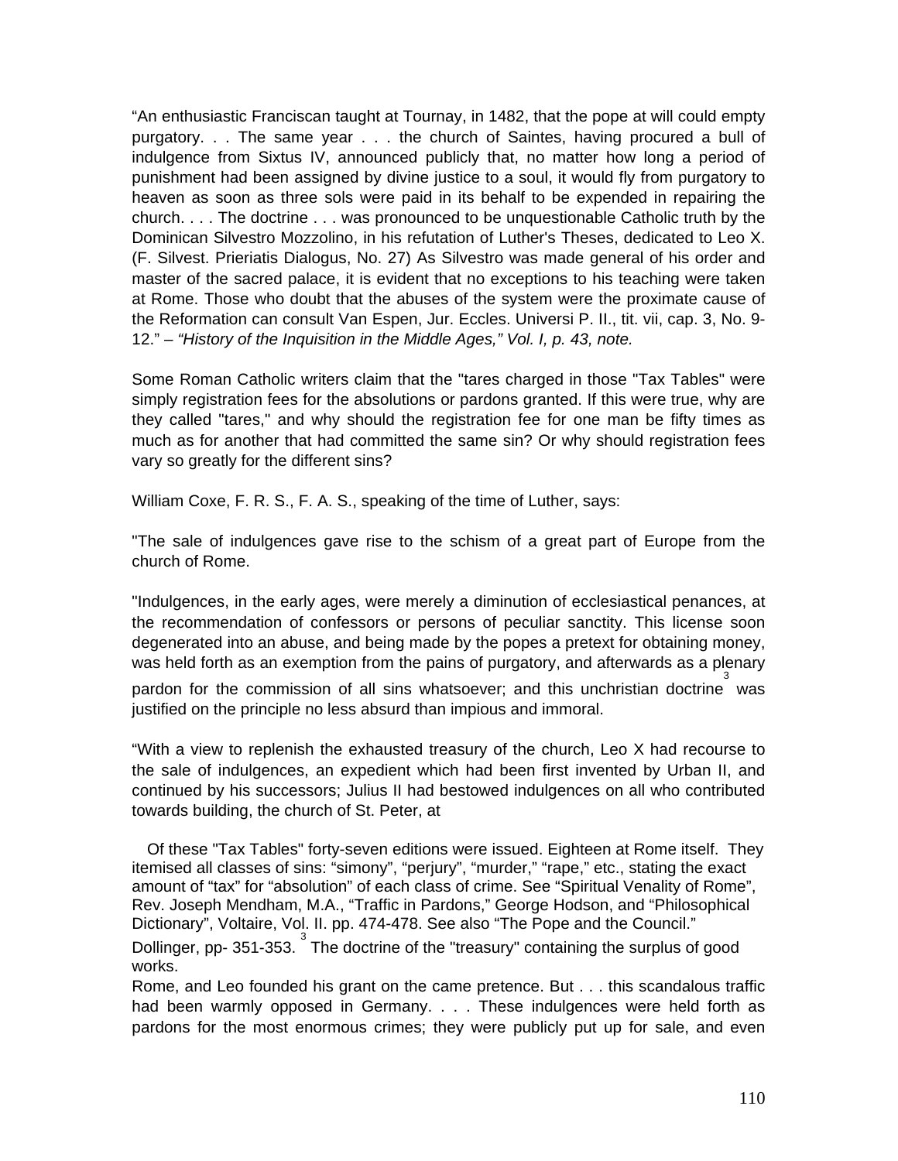"An enthusiastic Franciscan taught at Tournay, in 1482, that the pope at will could empty purgatory. . . The same year . . . the church of Saintes, having procured a bull of indulgence from Sixtus IV, announced publicly that, no matter how long a period of punishment had been assigned by divine justice to a soul, it would fly from purgatory to heaven as soon as three sols were paid in its behalf to be expended in repairing the church. . . . The doctrine . . . was pronounced to be unquestionable Catholic truth by the Dominican Silvestro Mozzolino, in his refutation of Luther's Theses, dedicated to Leo X. (F. Silvest. Prieriatis Dialogus, No. 27) As Silvestro was made general of his order and master of the sacred palace, it is evident that no exceptions to his teaching were taken at Rome. Those who doubt that the abuses of the system were the proximate cause of the Reformation can consult Van Espen, Jur. Eccles. Universi P. II., tit. vii, cap. 3, No. 9- 12." – *"History of the Inquisition in the Middle Ages," Vol. I, p. 43, note.* 

Some Roman Catholic writers claim that the "tares charged in those "Tax Tables" were simply registration fees for the absolutions or pardons granted. If this were true, why are they called "tares," and why should the registration fee for one man be fifty times as much as for another that had committed the same sin? Or why should registration fees vary so greatly for the different sins?

William Coxe, F. R. S., F. A. S., speaking of the time of Luther, says:

"The sale of indulgences gave rise to the schism of a great part of Europe from the church of Rome.

"Indulgences, in the early ages, were merely a diminution of ecclesiastical penances, at the recommendation of confessors or persons of peculiar sanctity. This license soon degenerated into an abuse, and being made by the popes a pretext for obtaining money, was held forth as an exemption from the pains of purgatory, and afterwards as a plenary

pardon for the commission of all sins whatsoever; and this unchristian doctrine was justified on the principle no less absurd than impious and immoral.

"With a view to replenish the exhausted treasury of the church, Leo X had recourse to the sale of indulgences, an expedient which had been first invented by Urban II, and continued by his successors; Julius II had bestowed indulgences on all who contributed towards building, the church of St. Peter, at

 Of these "Tax Tables" forty-seven editions were issued. Eighteen at Rome itself. They itemised all classes of sins: "simony", "perjury", "murder," "rape," etc., stating the exact amount of "tax" for "absolution" of each class of crime. See "Spiritual Venality of Rome", Rev. Joseph Mendham, M.A., "Traffic in Pardons," George Hodson, and "Philosophical Dictionary", Voltaire, Vol. II. pp. 474-478. See also "The Pope and the Council."

Dollinger, pp- 351-353. <sup>3</sup> The doctrine of the "treasury" containing the surplus of good works.

Rome, and Leo founded his grant on the came pretence. But . . . this scandalous traffic had been warmly opposed in Germany. . . . These indulgences were held forth as pardons for the most enormous crimes; they were publicly put up for sale, and even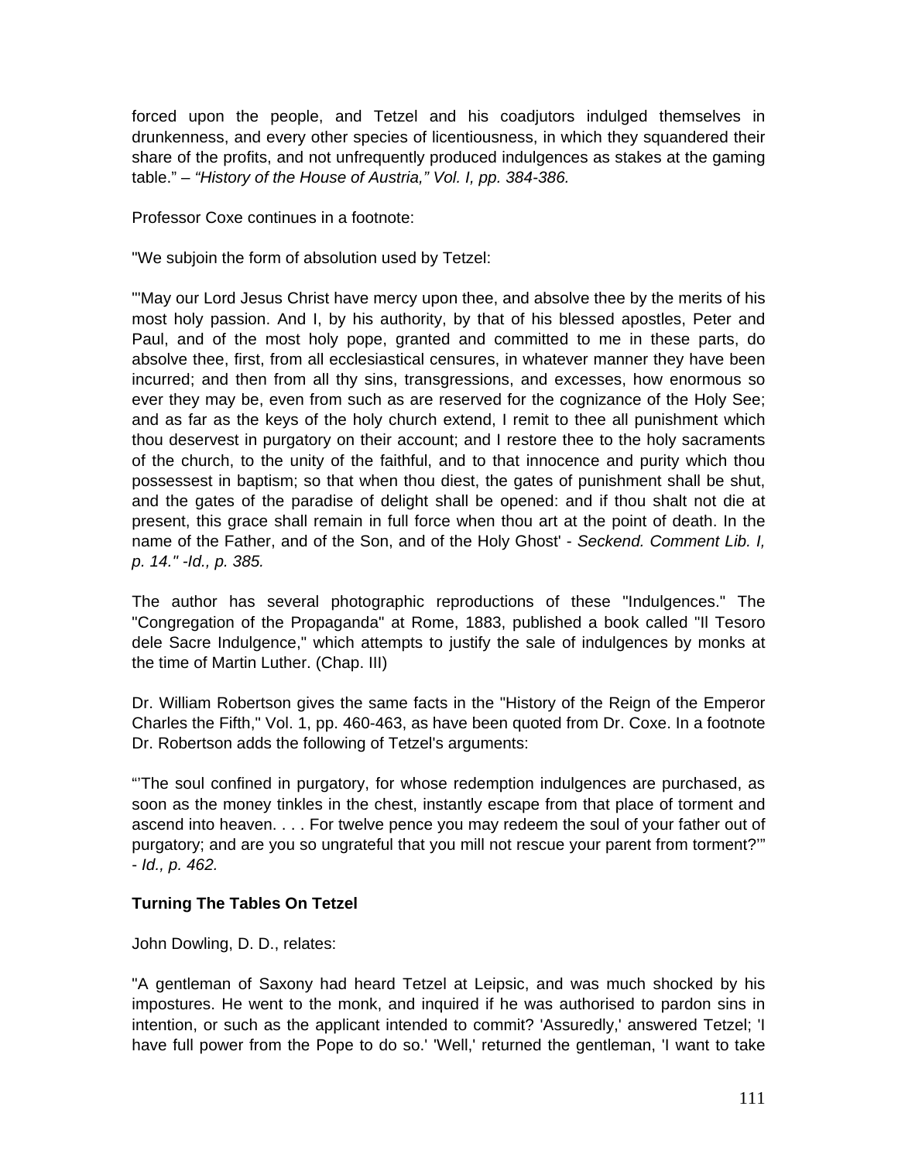forced upon the people, and Tetzel and his coadjutors indulged themselves in drunkenness, and every other species of licentiousness, in which they squandered their share of the profits, and not unfrequently produced indulgences as stakes at the gaming table." – *"History of the House of Austria," Vol. I, pp. 384-386.* 

Professor Coxe continues in a footnote:

"We subjoin the form of absolution used by Tetzel:

"'May our Lord Jesus Christ have mercy upon thee, and absolve thee by the merits of his most holy passion. And I, by his authority, by that of his blessed apostles, Peter and Paul, and of the most holy pope, granted and committed to me in these parts, do absolve thee, first, from all ecclesiastical censures, in whatever manner they have been incurred; and then from all thy sins, transgressions, and excesses, how enormous so ever they may be, even from such as are reserved for the cognizance of the Holy See; and as far as the keys of the holy church extend, I remit to thee all punishment which thou deservest in purgatory on their account; and I restore thee to the holy sacraments of the church, to the unity of the faithful, and to that innocence and purity which thou possessest in baptism; so that when thou diest, the gates of punishment shall be shut, and the gates of the paradise of delight shall be opened: and if thou shalt not die at present, this grace shall remain in full force when thou art at the point of death. In the name of the Father, and of the Son, and of the Holy Ghost' - *Seckend. Comment Lib. I, p. 14." -Id., p. 385.* 

The author has several photographic reproductions of these "Indulgences." The "Congregation of the Propaganda" at Rome, 1883, published a book called "Il Tesoro dele Sacre Indulgence," which attempts to justify the sale of indulgences by monks at the time of Martin Luther. (Chap. III)

Dr. William Robertson gives the same facts in the "History of the Reign of the Emperor Charles the Fifth," Vol. 1, pp. 460-463, as have been quoted from Dr. Coxe. In a footnote Dr. Robertson adds the following of Tetzel's arguments:

"'The soul confined in purgatory, for whose redemption indulgences are purchased, as soon as the money tinkles in the chest, instantly escape from that place of torment and ascend into heaven. . . . For twelve pence you may redeem the soul of your father out of purgatory; and are you so ungrateful that you mill not rescue your parent from torment?'" - *Id., p. 462.* 

### **Turning The Tables On Tetzel**

John Dowling, D. D., relates:

"A gentleman of Saxony had heard Tetzel at Leipsic, and was much shocked by his impostures. He went to the monk, and inquired if he was authorised to pardon sins in intention, or such as the applicant intended to commit? 'Assuredly,' answered Tetzel; 'I have full power from the Pope to do so.' 'Well,' returned the gentleman, 'I want to take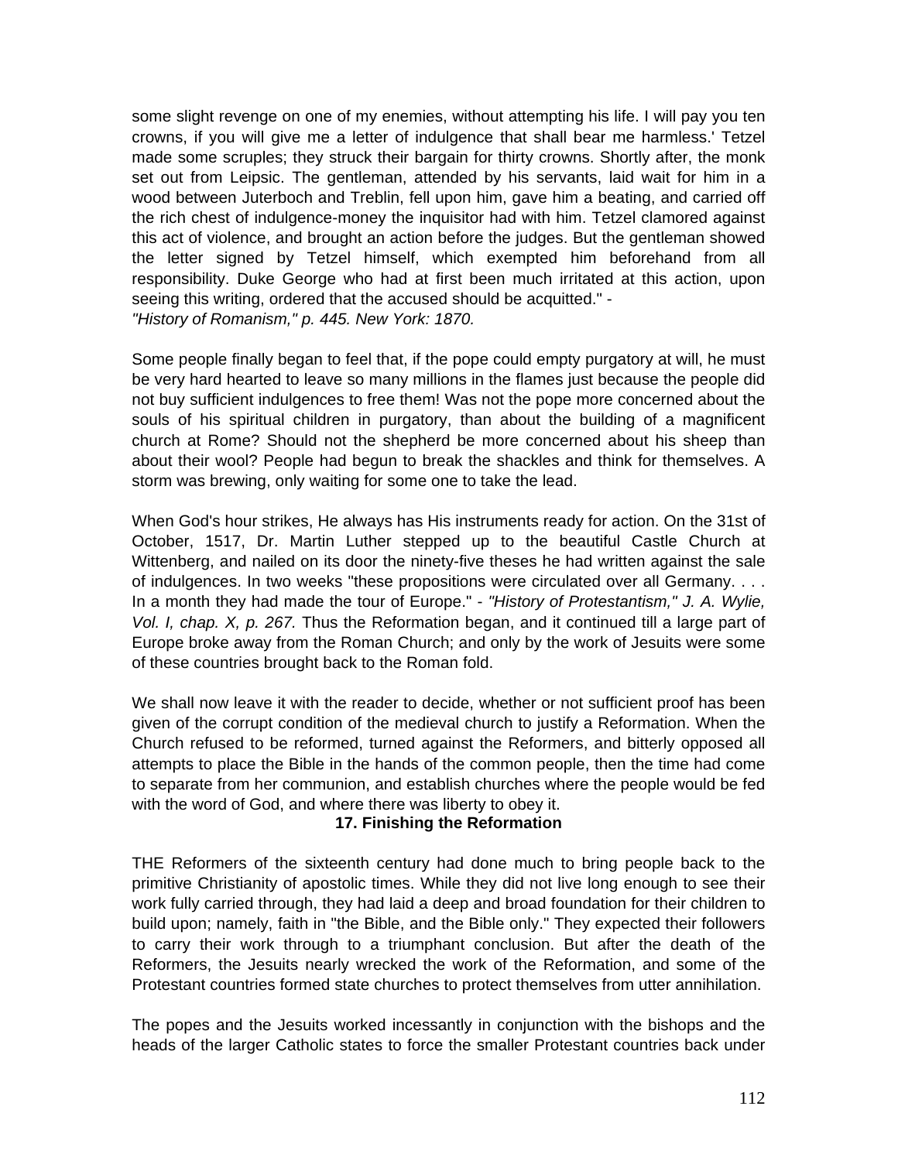some slight revenge on one of my enemies, without attempting his life. I will pay you ten crowns, if you will give me a letter of indulgence that shall bear me harmless.' Tetzel made some scruples; they struck their bargain for thirty crowns. Shortly after, the monk set out from Leipsic. The gentleman, attended by his servants, laid wait for him in a wood between Juterboch and Treblin, fell upon him, gave him a beating, and carried off the rich chest of indulgence-money the inquisitor had with him. Tetzel clamored against this act of violence, and brought an action before the judges. But the gentleman showed the letter signed by Tetzel himself, which exempted him beforehand from all responsibility. Duke George who had at first been much irritated at this action, upon seeing this writing, ordered that the accused should be acquitted." - *"History of Romanism," p. 445. New York: 1870.* 

Some people finally began to feel that, if the pope could empty purgatory at will, he must be very hard hearted to leave so many millions in the flames just because the people did not buy sufficient indulgences to free them! Was not the pope more concerned about the souls of his spiritual children in purgatory, than about the building of a magnificent church at Rome? Should not the shepherd be more concerned about his sheep than about their wool? People had begun to break the shackles and think for themselves. A storm was brewing, only waiting for some one to take the lead.

When God's hour strikes, He always has His instruments ready for action. On the 31st of October, 1517, Dr. Martin Luther stepped up to the beautiful Castle Church at Wittenberg, and nailed on its door the ninety-five theses he had written against the sale of indulgences. In two weeks "these propositions were circulated over all Germany. . . . In a month they had made the tour of Europe." - *"History of Protestantism," J. A. Wylie, Vol. I, chap. X, p. 267.* Thus the Reformation began, and it continued till a large part of Europe broke away from the Roman Church; and only by the work of Jesuits were some of these countries brought back to the Roman fold.

We shall now leave it with the reader to decide, whether or not sufficient proof has been given of the corrupt condition of the medieval church to justify a Reformation. When the Church refused to be reformed, turned against the Reformers, and bitterly opposed all attempts to place the Bible in the hands of the common people, then the time had come to separate from her communion, and establish churches where the people would be fed with the word of God, and where there was liberty to obey it.

### **17. Finishing the Reformation**

THE Reformers of the sixteenth century had done much to bring people back to the primitive Christianity of apostolic times. While they did not live long enough to see their work fully carried through, they had laid a deep and broad foundation for their children to build upon; namely, faith in "the Bible, and the Bible only." They expected their followers to carry their work through to a triumphant conclusion. But after the death of the Reformers, the Jesuits nearly wrecked the work of the Reformation, and some of the Protestant countries formed state churches to protect themselves from utter annihilation.

The popes and the Jesuits worked incessantly in conjunction with the bishops and the heads of the larger Catholic states to force the smaller Protestant countries back under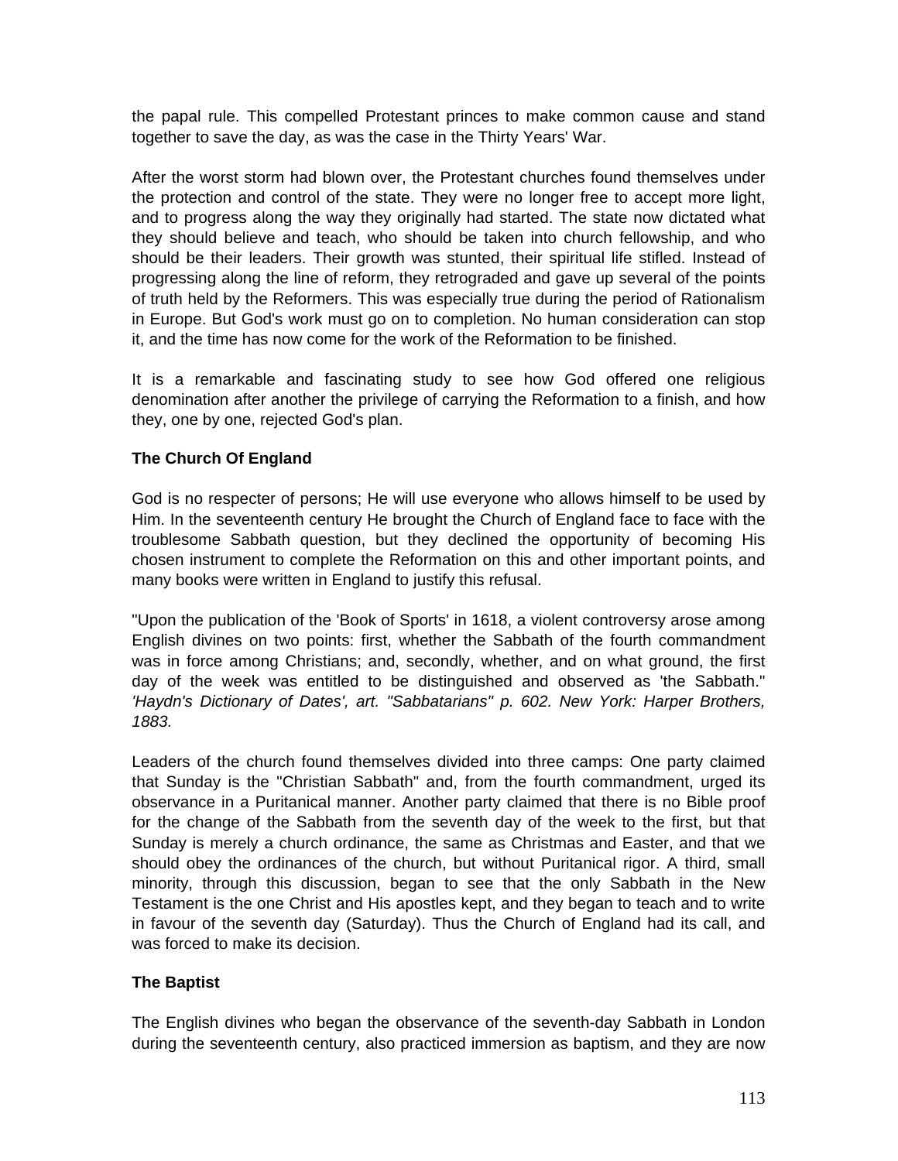the papal rule. This compelled Protestant princes to make common cause and stand together to save the day, as was the case in the Thirty Years' War.

After the worst storm had blown over, the Protestant churches found themselves under the protection and control of the state. They were no longer free to accept more light, and to progress along the way they originally had started. The state now dictated what they should believe and teach, who should be taken into church fellowship, and who should be their leaders. Their growth was stunted, their spiritual life stifled. Instead of progressing along the line of reform, they retrograded and gave up several of the points of truth held by the Reformers. This was especially true during the period of Rationalism in Europe. But God's work must go on to completion. No human consideration can stop it, and the time has now come for the work of the Reformation to be finished.

It is a remarkable and fascinating study to see how God offered one religious denomination after another the privilege of carrying the Reformation to a finish, and how they, one by one, rejected God's plan.

## **The Church Of England**

God is no respecter of persons; He will use everyone who allows himself to be used by Him. In the seventeenth century He brought the Church of England face to face with the troublesome Sabbath question, but they declined the opportunity of becoming His chosen instrument to complete the Reformation on this and other important points, and many books were written in England to justify this refusal.

"Upon the publication of the 'Book of Sports' in 1618, a violent controversy arose among English divines on two points: first, whether the Sabbath of the fourth commandment was in force among Christians; and, secondly, whether, and on what ground, the first day of the week was entitled to be distinguished and observed as 'the Sabbath." *'Haydn's Dictionary of Dates', art. "Sabbatarians" p. 602. New York: Harper Brothers, 1883.* 

Leaders of the church found themselves divided into three camps: One party claimed that Sunday is the "Christian Sabbath" and, from the fourth commandment, urged its observance in a Puritanical manner. Another party claimed that there is no Bible proof for the change of the Sabbath from the seventh day of the week to the first, but that Sunday is merely a church ordinance, the same as Christmas and Easter, and that we should obey the ordinances of the church, but without Puritanical rigor. A third, small minority, through this discussion, began to see that the only Sabbath in the New Testament is the one Christ and His apostles kept, and they began to teach and to write in favour of the seventh day (Saturday). Thus the Church of England had its call, and was forced to make its decision.

# **The Baptist**

The English divines who began the observance of the seventh-day Sabbath in London during the seventeenth century, also practiced immersion as baptism, and they are now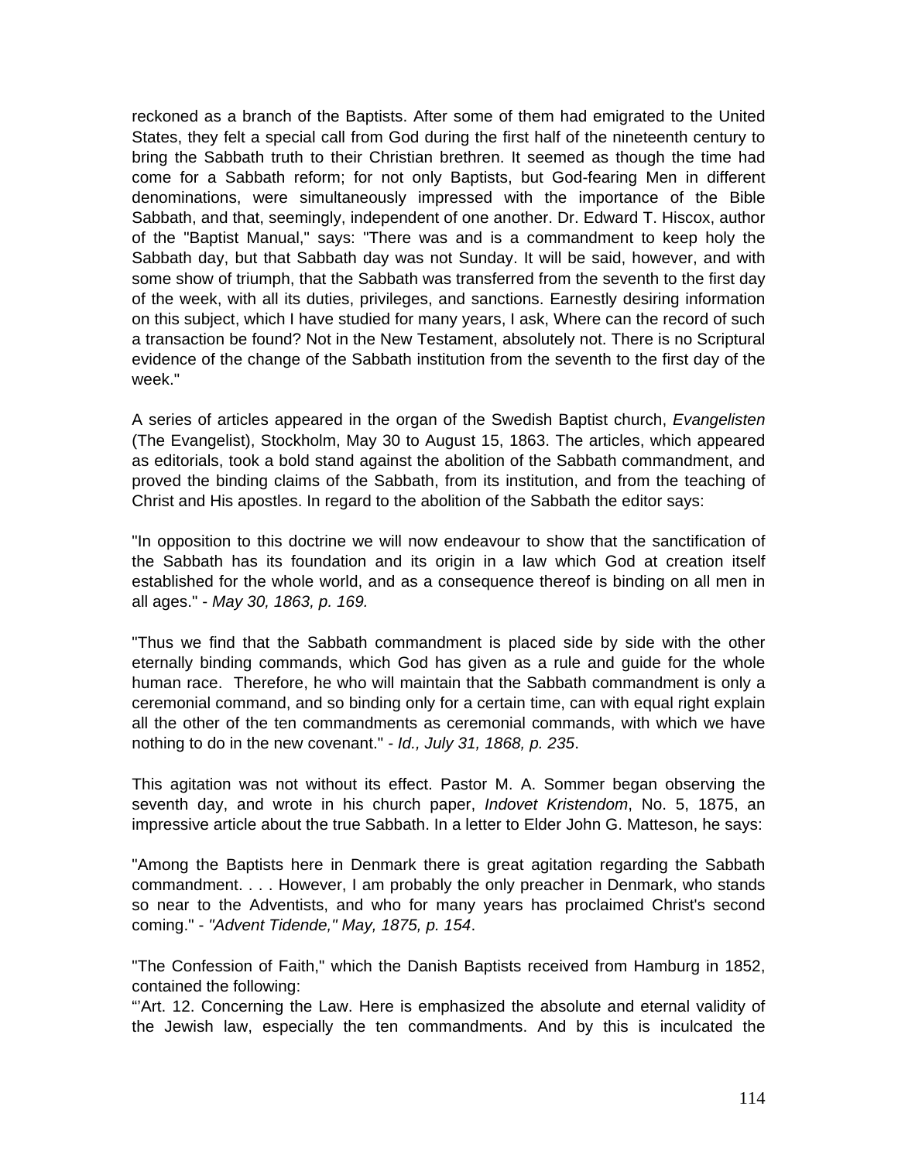reckoned as a branch of the Baptists. After some of them had emigrated to the United States, they felt a special call from God during the first half of the nineteenth century to bring the Sabbath truth to their Christian brethren. It seemed as though the time had come for a Sabbath reform; for not only Baptists, but God-fearing Men in different denominations, were simultaneously impressed with the importance of the Bible Sabbath, and that, seemingly, independent of one another. Dr. Edward T. Hiscox, author of the "Baptist Manual," says: "There was and is a commandment to keep holy the Sabbath day, but that Sabbath day was not Sunday. It will be said, however, and with some show of triumph, that the Sabbath was transferred from the seventh to the first day of the week, with all its duties, privileges, and sanctions. Earnestly desiring information on this subject, which I have studied for many years, I ask, Where can the record of such a transaction be found? Not in the New Testament, absolutely not. There is no Scriptural evidence of the change of the Sabbath institution from the seventh to the first day of the week."

A series of articles appeared in the organ of the Swedish Baptist church, *Evangelisten* (The Evangelist), Stockholm, May 30 to August 15, 1863. The articles, which appeared as editorials, took a bold stand against the abolition of the Sabbath commandment, and proved the binding claims of the Sabbath, from its institution, and from the teaching of Christ and His apostles. In regard to the abolition of the Sabbath the editor says:

"In opposition to this doctrine we will now endeavour to show that the sanctification of the Sabbath has its foundation and its origin in a law which God at creation itself established for the whole world, and as a consequence thereof is binding on all men in all ages." - *May 30, 1863, p. 169.* 

"Thus we find that the Sabbath commandment is placed side by side with the other eternally binding commands, which God has given as a rule and guide for the whole human race. Therefore, he who will maintain that the Sabbath commandment is only a ceremonial command, and so binding only for a certain time, can with equal right explain all the other of the ten commandments as ceremonial commands, with which we have nothing to do in the new covenant." *- Id., July 31, 1868, p. 235*.

This agitation was not without its effect. Pastor M. A. Sommer began observing the seventh day, and wrote in his church paper, *Indovet Kristendom*, No. 5, 1875, an impressive article about the true Sabbath. In a letter to Elder John G. Matteson, he says:

"Among the Baptists here in Denmark there is great agitation regarding the Sabbath commandment. . . . However, I am probably the only preacher in Denmark, who stands so near to the Adventists, and who for many years has proclaimed Christ's second coming." - *"Advent Tidende," May, 1875, p. 154*.

"The Confession of Faith," which the Danish Baptists received from Hamburg in 1852, contained the following:

"'Art. 12. Concerning the Law. Here is emphasized the absolute and eternal validity of the Jewish law, especially the ten commandments. And by this is inculcated the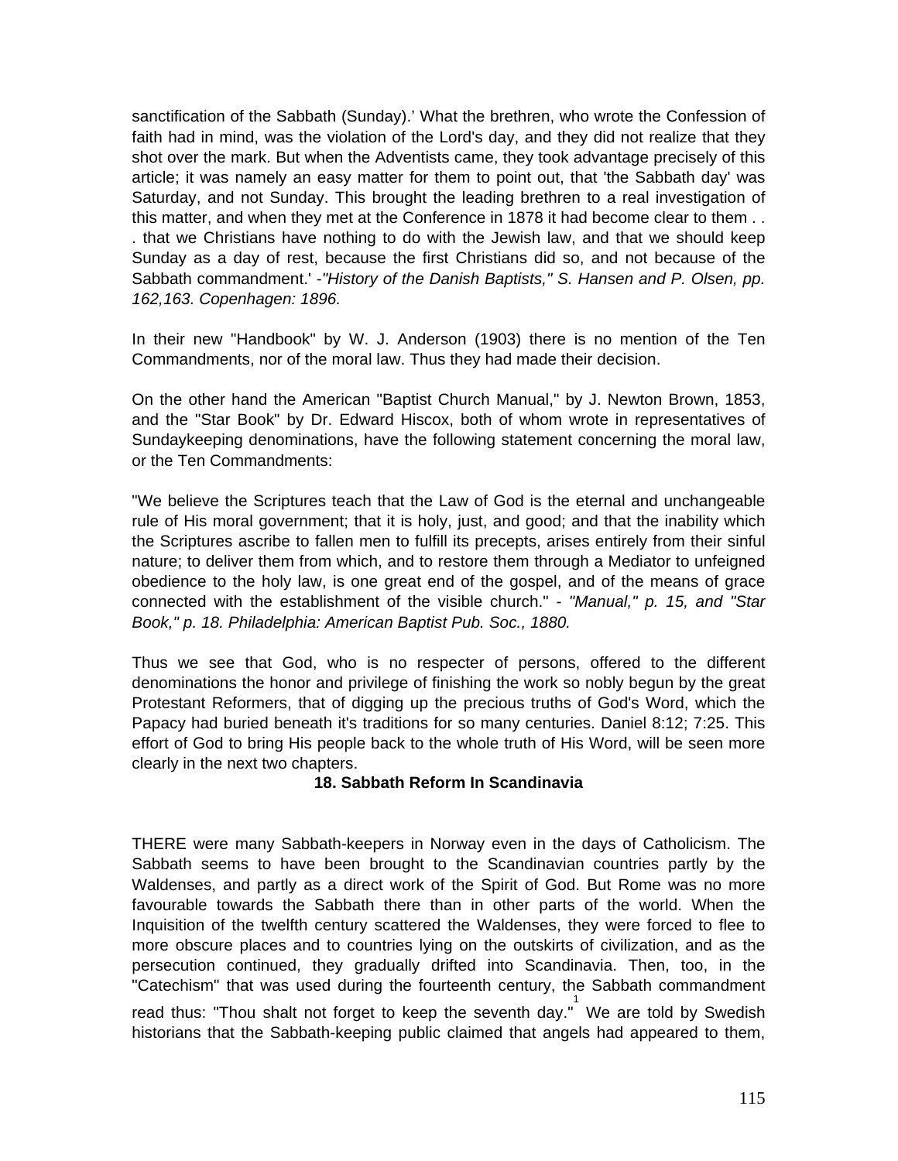sanctification of the Sabbath (Sunday).' What the brethren, who wrote the Confession of faith had in mind, was the violation of the Lord's day, and they did not realize that they shot over the mark. But when the Adventists came, they took advantage precisely of this article; it was namely an easy matter for them to point out, that 'the Sabbath day' was Saturday, and not Sunday. This brought the leading brethren to a real investigation of this matter, and when they met at the Conference in 1878 it had become clear to them . . . that we Christians have nothing to do with the Jewish law, and that we should keep Sunday as a day of rest, because the first Christians did so, and not because of the Sabbath commandment.' -*"History of the Danish Baptists," S. Hansen and P. Olsen, pp. 162,163. Copenhagen: 1896.* 

In their new "Handbook" by W. J. Anderson (1903) there is no mention of the Ten Commandments, nor of the moral law. Thus they had made their decision.

On the other hand the American "Baptist Church Manual," by J. Newton Brown, 1853, and the "Star Book" by Dr. Edward Hiscox, both of whom wrote in representatives of Sundaykeeping denominations, have the following statement concerning the moral law, or the Ten Commandments:

"We believe the Scriptures teach that the Law of God is the eternal and unchangeable rule of His moral government; that it is holy, just, and good; and that the inability which the Scriptures ascribe to fallen men to fulfill its precepts, arises entirely from their sinful nature; to deliver them from which, and to restore them through a Mediator to unfeigned obedience to the holy law, is one great end of the gospel, and of the means of grace connected with the establishment of the visible church." *- "Manual," p. 15, and "Star Book," p. 18. Philadelphia: American Baptist Pub. Soc., 1880.* 

Thus we see that God, who is no respecter of persons, offered to the different denominations the honor and privilege of finishing the work so nobly begun by the great Protestant Reformers, that of digging up the precious truths of God's Word, which the Papacy had buried beneath it's traditions for so many centuries. Daniel 8:12; 7:25. This effort of God to bring His people back to the whole truth of His Word, will be seen more clearly in the next two chapters.

### **18. Sabbath Reform In Scandinavia**

THERE were many Sabbath-keepers in Norway even in the days of Catholicism. The Sabbath seems to have been brought to the Scandinavian countries partly by the Waldenses, and partly as a direct work of the Spirit of God. But Rome was no more favourable towards the Sabbath there than in other parts of the world. When the Inquisition of the twelfth century scattered the Waldenses, they were forced to flee to more obscure places and to countries lying on the outskirts of civilization, and as the persecution continued, they gradually drifted into Scandinavia. Then, too, in the "Catechism" that was used during the fourteenth century, the Sabbath commandment read thus: "Thou shalt not forget to keep the seventh day." 1 We are told by Swedish historians that the Sabbath-keeping public claimed that angels had appeared to them,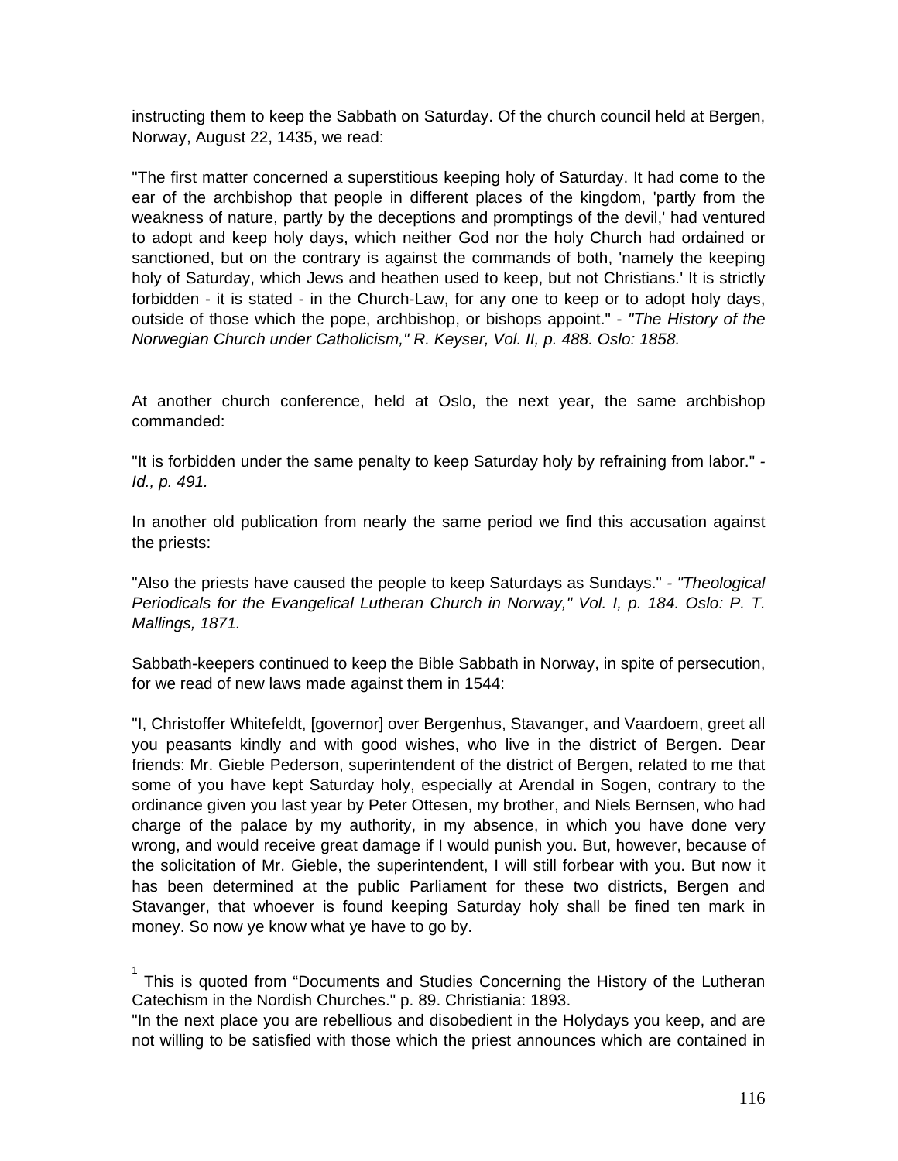instructing them to keep the Sabbath on Saturday. Of the church council held at Bergen, Norway, August 22, 1435, we read:

"The first matter concerned a superstitious keeping holy of Saturday. It had come to the ear of the archbishop that people in different places of the kingdom, 'partly from the weakness of nature, partly by the deceptions and promptings of the devil,' had ventured to adopt and keep holy days, which neither God nor the holy Church had ordained or sanctioned, but on the contrary is against the commands of both, 'namely the keeping holy of Saturday, which Jews and heathen used to keep, but not Christians.' It is strictly forbidden - it is stated - in the Church-Law, for any one to keep or to adopt holy days, outside of those which the pope, archbishop, or bishops appoint." - *"The History of the Norwegian Church under Catholicism," R. Keyser, Vol. II, p. 488. Oslo: 1858.* 

At another church conference, held at Oslo, the next year, the same archbishop commanded:

"It is forbidden under the same penalty to keep Saturday holy by refraining from labor." *- Id., p. 491.* 

In another old publication from nearly the same period we find this accusation against the priests:

"Also the priests have caused the people to keep Saturdays as Sundays." *- "Theological Periodicals for the Evangelical Lutheran Church in Norway," Vol. I, p. 184. Oslo: P. T. Mallings, 1871.* 

Sabbath-keepers continued to keep the Bible Sabbath in Norway, in spite of persecution, for we read of new laws made against them in 1544:

"I, Christoffer Whitefeldt, [governor] over Bergenhus, Stavanger, and Vaardoem, greet all you peasants kindly and with good wishes, who live in the district of Bergen. Dear friends: Mr. Gieble Pederson, superintendent of the district of Bergen, related to me that some of you have kept Saturday holy, especially at Arendal in Sogen, contrary to the ordinance given you last year by Peter Ottesen, my brother, and Niels Bernsen, who had charge of the palace by my authority, in my absence, in which you have done very wrong, and would receive great damage if I would punish you. But, however, because of the solicitation of Mr. Gieble, the superintendent, I will still forbear with you. But now it has been determined at the public Parliament for these two districts, Bergen and Stavanger, that whoever is found keeping Saturday holy shall be fined ten mark in money. So now ye know what ye have to go by.

<sup>&</sup>lt;sup>1</sup> This is quoted from "Documents and Studies Concerning the History of the Lutheran Catechism in the Nordish Churches." p. 89. Christiania: 1893.

<sup>&</sup>quot;In the next place you are rebellious and disobedient in the Holydays you keep, and are not willing to be satisfied with those which the priest announces which are contained in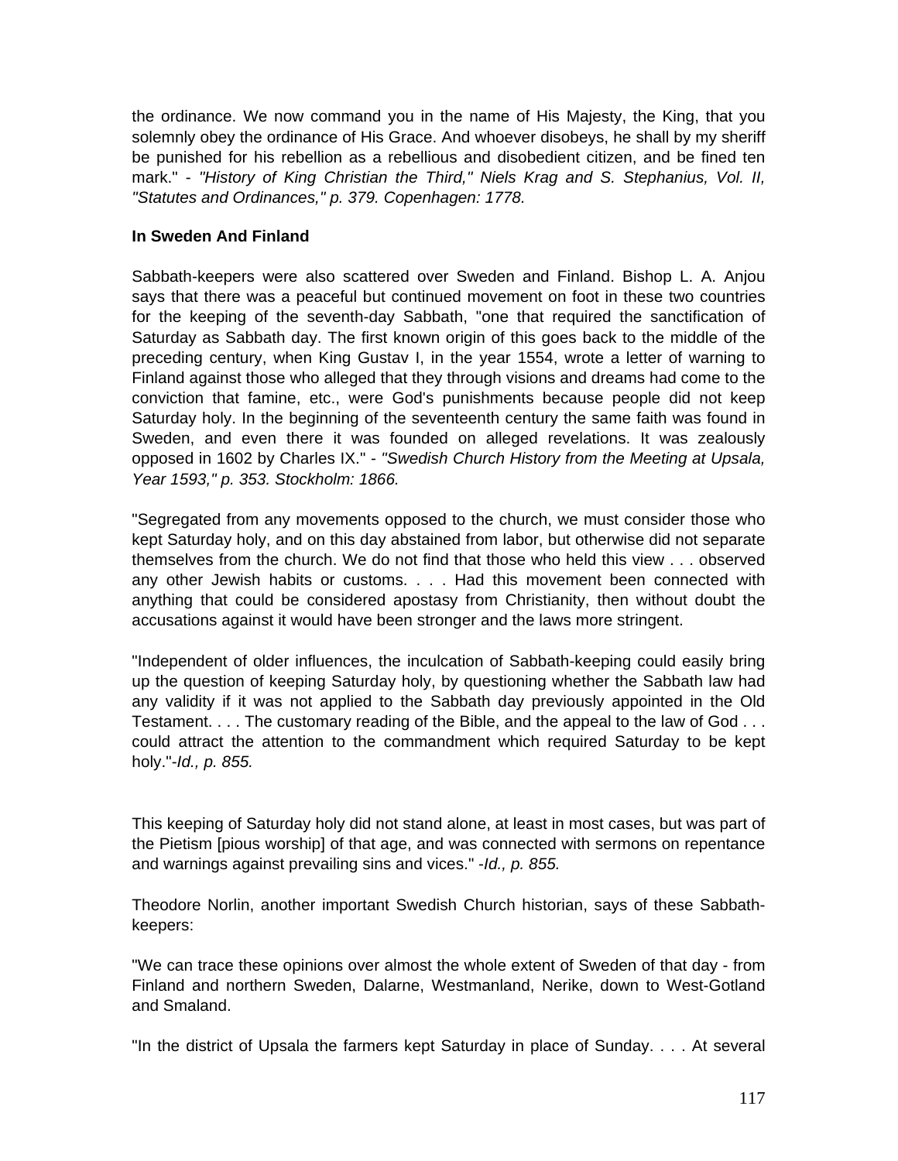the ordinance. We now command you in the name of His Majesty, the King, that you solemnly obey the ordinance of His Grace. And whoever disobeys, he shall by my sheriff be punished for his rebellion as a rebellious and disobedient citizen, and be fined ten mark." - *"History of King Christian the Third," Niels Krag and S. Stephanius, Vol. II, "Statutes and Ordinances," p. 379. Copenhagen: 1778.* 

#### **In Sweden And Finland**

Sabbath-keepers were also scattered over Sweden and Finland. Bishop L. A. Anjou says that there was a peaceful but continued movement on foot in these two countries for the keeping of the seventh-day Sabbath, "one that required the sanctification of Saturday as Sabbath day. The first known origin of this goes back to the middle of the preceding century, when King Gustav I, in the year 1554, wrote a letter of warning to Finland against those who alleged that they through visions and dreams had come to the conviction that famine, etc., were God's punishments because people did not keep Saturday holy. In the beginning of the seventeenth century the same faith was found in Sweden, and even there it was founded on alleged revelations. It was zealously opposed in 1602 by Charles IX." - *"Swedish Church History from the Meeting at Upsala, Year 1593," p. 353. Stockholm: 1866.* 

"Segregated from any movements opposed to the church, we must consider those who kept Saturday holy, and on this day abstained from labor, but otherwise did not separate themselves from the church. We do not find that those who held this view . . . observed any other Jewish habits or customs. . . . Had this movement been connected with anything that could be considered apostasy from Christianity, then without doubt the accusations against it would have been stronger and the laws more stringent.

"Independent of older influences, the inculcation of Sabbath-keeping could easily bring up the question of keeping Saturday holy, by questioning whether the Sabbath law had any validity if it was not applied to the Sabbath day previously appointed in the Old Testament. . . . The customary reading of the Bible, and the appeal to the law of God . . . could attract the attention to the commandment which required Saturday to be kept holy."-*Id., p. 855.* 

This keeping of Saturday holy did not stand alone, at least in most cases, but was part of the Pietism [pious worship] of that age, and was connected with sermons on repentance and warnings against prevailing sins and vices." -*Id., p. 855.* 

Theodore Norlin, another important Swedish Church historian, says of these Sabbathkeepers:

"We can trace these opinions over almost the whole extent of Sweden of that day - from Finland and northern Sweden, Dalarne, Westmanland, Nerike, down to West-Gotland and Smaland.

"In the district of Upsala the farmers kept Saturday in place of Sunday. . . . At several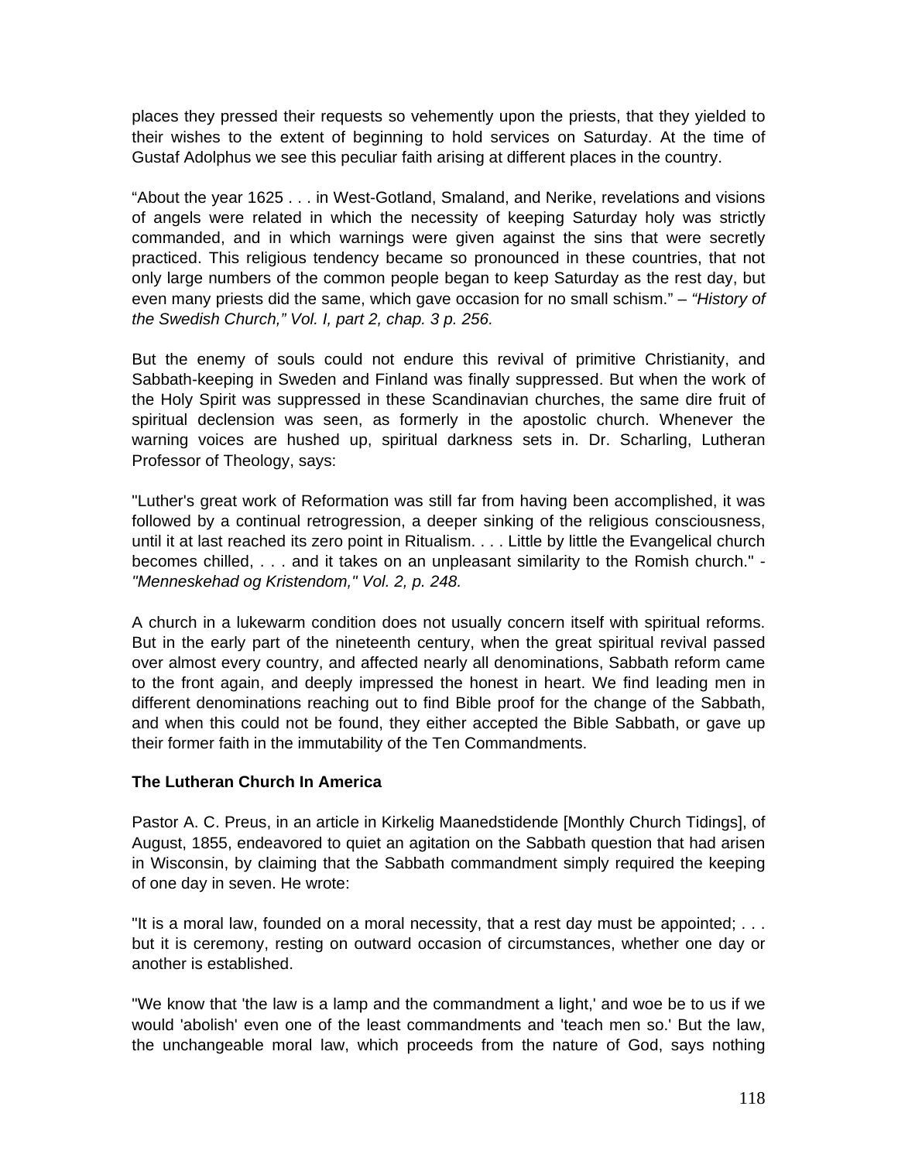places they pressed their requests so vehemently upon the priests, that they yielded to their wishes to the extent of beginning to hold services on Saturday. At the time of Gustaf Adolphus we see this peculiar faith arising at different places in the country.

"About the year 1625 . . . in West-Gotland, Smaland, and Nerike, revelations and visions of angels were related in which the necessity of keeping Saturday holy was strictly commanded, and in which warnings were given against the sins that were secretly practiced. This religious tendency became so pronounced in these countries, that not only large numbers of the common people began to keep Saturday as the rest day, but even many priests did the same, which gave occasion for no small schism." – *"History of the Swedish Church," Vol. I, part 2, chap. 3 p. 256.* 

But the enemy of souls could not endure this revival of primitive Christianity, and Sabbath-keeping in Sweden and Finland was finally suppressed. But when the work of the Holy Spirit was suppressed in these Scandinavian churches, the same dire fruit of spiritual declension was seen, as formerly in the apostolic church. Whenever the warning voices are hushed up, spiritual darkness sets in. Dr. Scharling, Lutheran Professor of Theology, says:

"Luther's great work of Reformation was still far from having been accomplished, it was followed by a continual retrogression, a deeper sinking of the religious consciousness, until it at last reached its zero point in Ritualism. . . . Little by little the Evangelical church becomes chilled, . . . and it takes on an unpleasant similarity to the Romish church." *- "Menneskehad og Kristendom," Vol. 2, p. 248.* 

A church in a lukewarm condition does not usually concern itself with spiritual reforms. But in the early part of the nineteenth century, when the great spiritual revival passed over almost every country, and affected nearly all denominations, Sabbath reform came to the front again, and deeply impressed the honest in heart. We find leading men in different denominations reaching out to find Bible proof for the change of the Sabbath, and when this could not be found, they either accepted the Bible Sabbath, or gave up their former faith in the immutability of the Ten Commandments.

### **The Lutheran Church In America**

Pastor A. C. Preus, in an article in Kirkelig Maanedstidende [Monthly Church Tidings], of August, 1855, endeavored to quiet an agitation on the Sabbath question that had arisen in Wisconsin, by claiming that the Sabbath commandment simply required the keeping of one day in seven. He wrote:

"It is a moral law, founded on a moral necessity, that a rest day must be appointed; . . . but it is ceremony, resting on outward occasion of circumstances, whether one day or another is established.

"We know that 'the law is a lamp and the commandment a light,' and woe be to us if we would 'abolish' even one of the least commandments and 'teach men so.' But the law, the unchangeable moral law, which proceeds from the nature of God, says nothing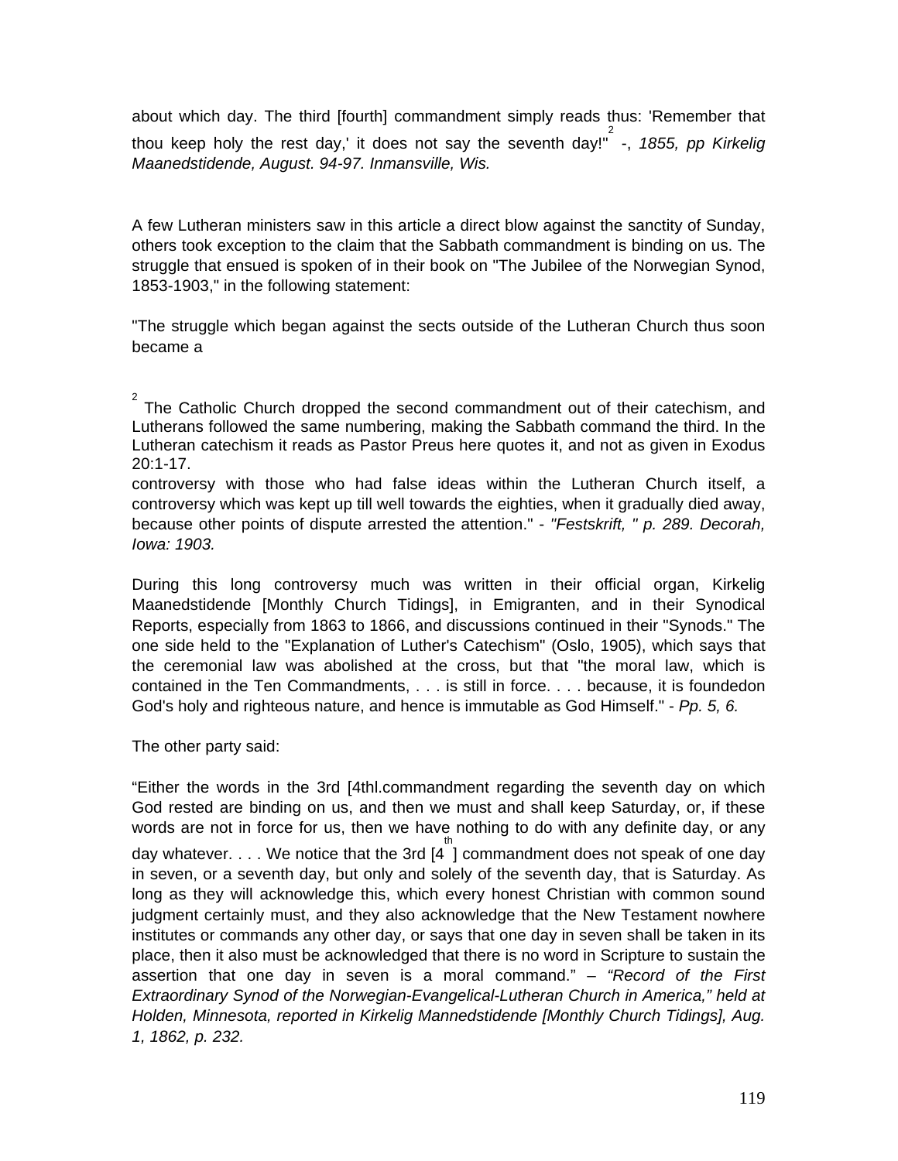about which day. The third [fourth] commandment simply reads thus: 'Remember that thou keep holy the rest day,' it does not say the seventh day!" 2 -, *1855, pp Kirkelig Maanedstidende, August. 94-97. Inmansville, Wis.* 

A few Lutheran ministers saw in this article a direct blow against the sanctity of Sunday, others took exception to the claim that the Sabbath commandment is binding on us. The struggle that ensued is spoken of in their book on "The Jubilee of the Norwegian Synod, 1853-1903," in the following statement:

"The struggle which began against the sects outside of the Lutheran Church thus soon became a

 $2^{2}$  The Catholic Church dropped the second commandment out of their catechism, and Lutherans followed the same numbering, making the Sabbath command the third. In the Lutheran catechism it reads as Pastor Preus here quotes it, and not as given in Exodus 20:1-17.

controversy with those who had false ideas within the Lutheran Church itself, a controversy which was kept up till well towards the eighties, when it gradually died away, because other points of dispute arrested the attention." - *"Festskrift, " p. 289. Decorah, Iowa: 1903.* 

During this long controversy much was written in their official organ, Kirkelig Maanedstidende [Monthly Church Tidings], in Emigranten, and in their Synodical Reports, especially from 1863 to 1866, and discussions continued in their "Synods." The one side held to the "Explanation of Luther's Catechism" (Oslo, 1905), which says that the ceremonial law was abolished at the cross, but that "the moral law, which is contained in the Ten Commandments, . . . is still in force. . . . because, it is foundedon God's holy and righteous nature, and hence is immutable as God Himself." - *Pp. 5, 6.* 

The other party said:

"Either the words in the 3rd [4thl.commandment regarding the seventh day on which God rested are binding on us, and then we must and shall keep Saturday, or, if these words are not in force for us, then we have nothing to do with any definite day, or any day whatever. . . . We notice that the 3rd [4 ] commandment does not speak of one day in seven, or a seventh day, but only and solely of the seventh day, that is Saturday. As long as they will acknowledge this, which every honest Christian with common sound judgment certainly must, and they also acknowledge that the New Testament nowhere institutes or commands any other day, or says that one day in seven shall be taken in its place, then it also must be acknowledged that there is no word in Scripture to sustain the assertion that one day in seven is a moral command." – *"Record of the First Extraordinary Synod of the Norwegian-Evangelical-Lutheran Church in America," held at Holden, Minnesota, reported in Kirkelig Mannedstidende [Monthly Church Tidings], Aug. 1, 1862, p. 232.*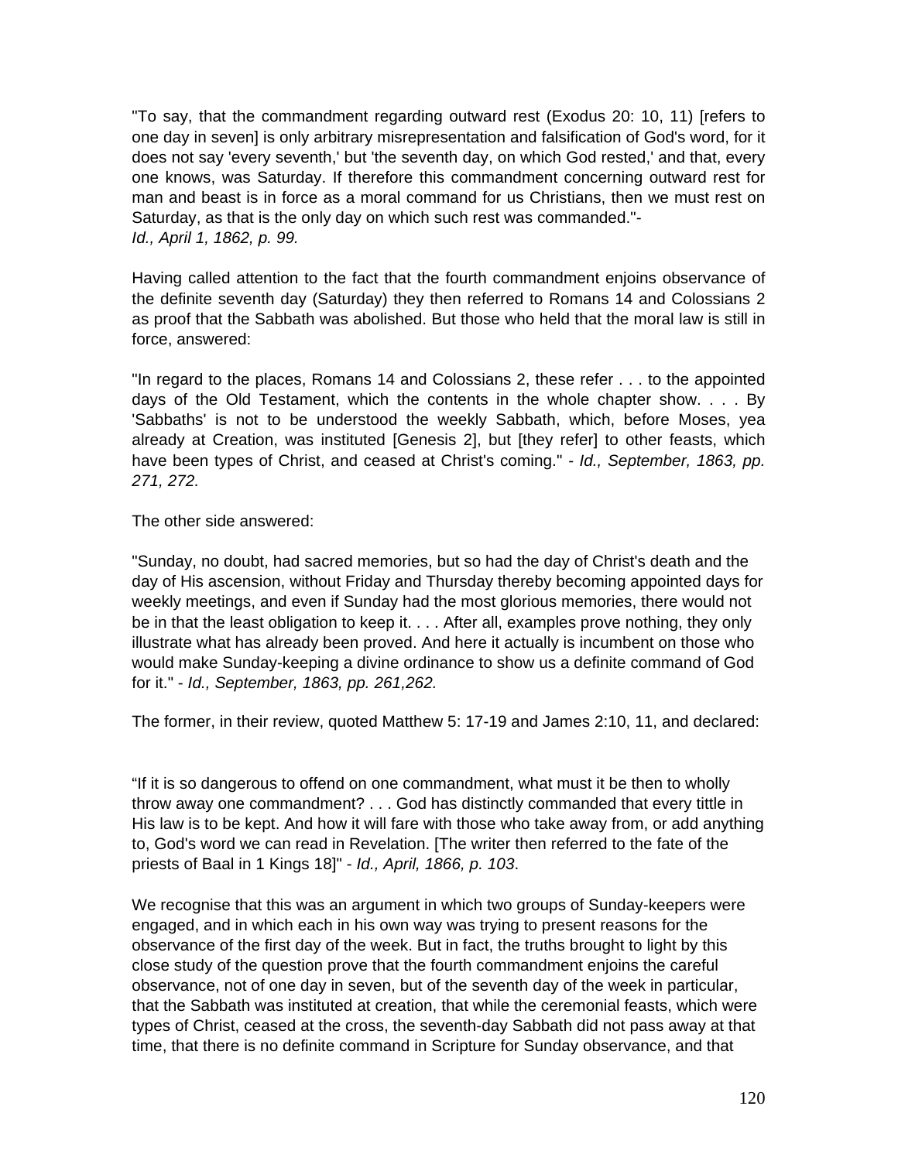"To say, that the commandment regarding outward rest (Exodus 20: 10, 11) [refers to one day in seven] is only arbitrary misrepresentation and falsification of God's word, for it does not say 'every seventh,' but 'the seventh day, on which God rested,' and that, every one knows, was Saturday. If therefore this commandment concerning outward rest for man and beast is in force as a moral command for us Christians, then we must rest on Saturday, as that is the only day on which such rest was commanded."- *Id., April 1, 1862, p. 99.* 

Having called attention to the fact that the fourth commandment enjoins observance of the definite seventh day (Saturday) they then referred to Romans 14 and Colossians 2 as proof that the Sabbath was abolished. But those who held that the moral law is still in force, answered:

"In regard to the places, Romans 14 and Colossians 2, these refer . . . to the appointed days of the Old Testament, which the contents in the whole chapter show. . . . By 'Sabbaths' is not to be understood the weekly Sabbath, which, before Moses, yea already at Creation, was instituted [Genesis 2], but [they refer] to other feasts, which have been types of Christ, and ceased at Christ's coming." *- Id., September, 1863, pp. 271, 272.* 

The other side answered:

"Sunday, no doubt, had sacred memories, but so had the day of Christ's death and the day of His ascension, without Friday and Thursday thereby becoming appointed days for weekly meetings, and even if Sunday had the most glorious memories, there would not be in that the least obligation to keep it. . . . After all, examples prove nothing, they only illustrate what has already been proved. And here it actually is incumbent on those who would make Sunday-keeping a divine ordinance to show us a definite command of God for it." - *Id., September, 1863, pp. 261,262.* 

The former, in their review, quoted Matthew 5: 17-19 and James 2:10, 11, and declared:

"If it is so dangerous to offend on one commandment, what must it be then to wholly throw away one commandment? . . . God has distinctly commanded that every tittle in His law is to be kept. And how it will fare with those who take away from, or add anything to, God's word we can read in Revelation. [The writer then referred to the fate of the priests of Baal in 1 Kings 18]" - *Id., April, 1866, p. 103*.

We recognise that this was an argument in which two groups of Sunday-keepers were engaged, and in which each in his own way was trying to present reasons for the observance of the first day of the week. But in fact, the truths brought to light by this close study of the question prove that the fourth commandment enjoins the careful observance, not of one day in seven, but of the seventh day of the week in particular, that the Sabbath was instituted at creation, that while the ceremonial feasts, which were types of Christ, ceased at the cross, the seventh-day Sabbath did not pass away at that time, that there is no definite command in Scripture for Sunday observance, and that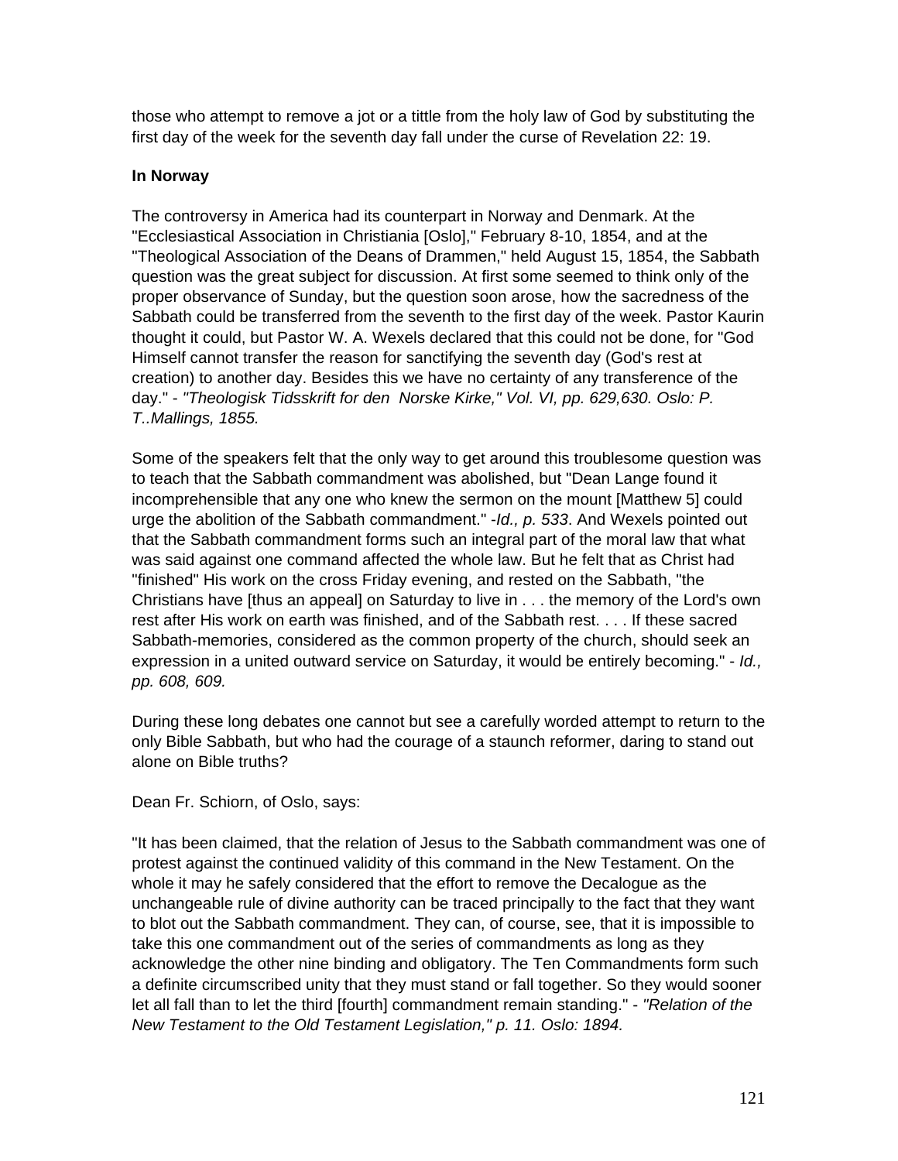those who attempt to remove a jot or a tittle from the holy law of God by substituting the first day of the week for the seventh day fall under the curse of Revelation 22: 19.

### **In Norway**

The controversy in America had its counterpart in Norway and Denmark. At the "Ecclesiastical Association in Christiania [Oslo]," February 8-10, 1854, and at the "Theological Association of the Deans of Drammen," held August 15, 1854, the Sabbath question was the great subject for discussion. At first some seemed to think only of the proper observance of Sunday, but the question soon arose, how the sacredness of the Sabbath could be transferred from the seventh to the first day of the week. Pastor Kaurin thought it could, but Pastor W. A. Wexels declared that this could not be done, for "God Himself cannot transfer the reason for sanctifying the seventh day (God's rest at creation) to another day. Besides this we have no certainty of any transference of the day." - *"Theologisk Tidsskrift for den Norske Kirke," Vol. VI, pp. 629,630. Oslo: P. T..Mallings, 1855.* 

Some of the speakers felt that the only way to get around this troublesome question was to teach that the Sabbath commandment was abolished, but "Dean Lange found it incomprehensible that any one who knew the sermon on the mount [Matthew 5] could urge the abolition of the Sabbath commandment." -*Id., p. 533*. And Wexels pointed out that the Sabbath commandment forms such an integral part of the moral law that what was said against one command affected the whole law. But he felt that as Christ had "finished" His work on the cross Friday evening, and rested on the Sabbath, "the Christians have [thus an appeal] on Saturday to live in . . . the memory of the Lord's own rest after His work on earth was finished, and of the Sabbath rest. . . . If these sacred Sabbath-memories, considered as the common property of the church, should seek an expression in a united outward service on Saturday, it would be entirely becoming." - *Id., pp. 608, 609.* 

During these long debates one cannot but see a carefully worded attempt to return to the only Bible Sabbath, but who had the courage of a staunch reformer, daring to stand out alone on Bible truths?

Dean Fr. Schiorn, of Oslo, says:

"It has been claimed, that the relation of Jesus to the Sabbath commandment was one of protest against the continued validity of this command in the New Testament. On the whole it may he safely considered that the effort to remove the Decalogue as the unchangeable rule of divine authority can be traced principally to the fact that they want to blot out the Sabbath commandment. They can, of course, see, that it is impossible to take this one commandment out of the series of commandments as long as they acknowledge the other nine binding and obligatory. The Ten Commandments form such a definite circumscribed unity that they must stand or fall together. So they would sooner let all fall than to let the third [fourth] commandment remain standing." - *"Relation of the New Testament to the Old Testament Legislation," p. 11. Oslo: 1894.*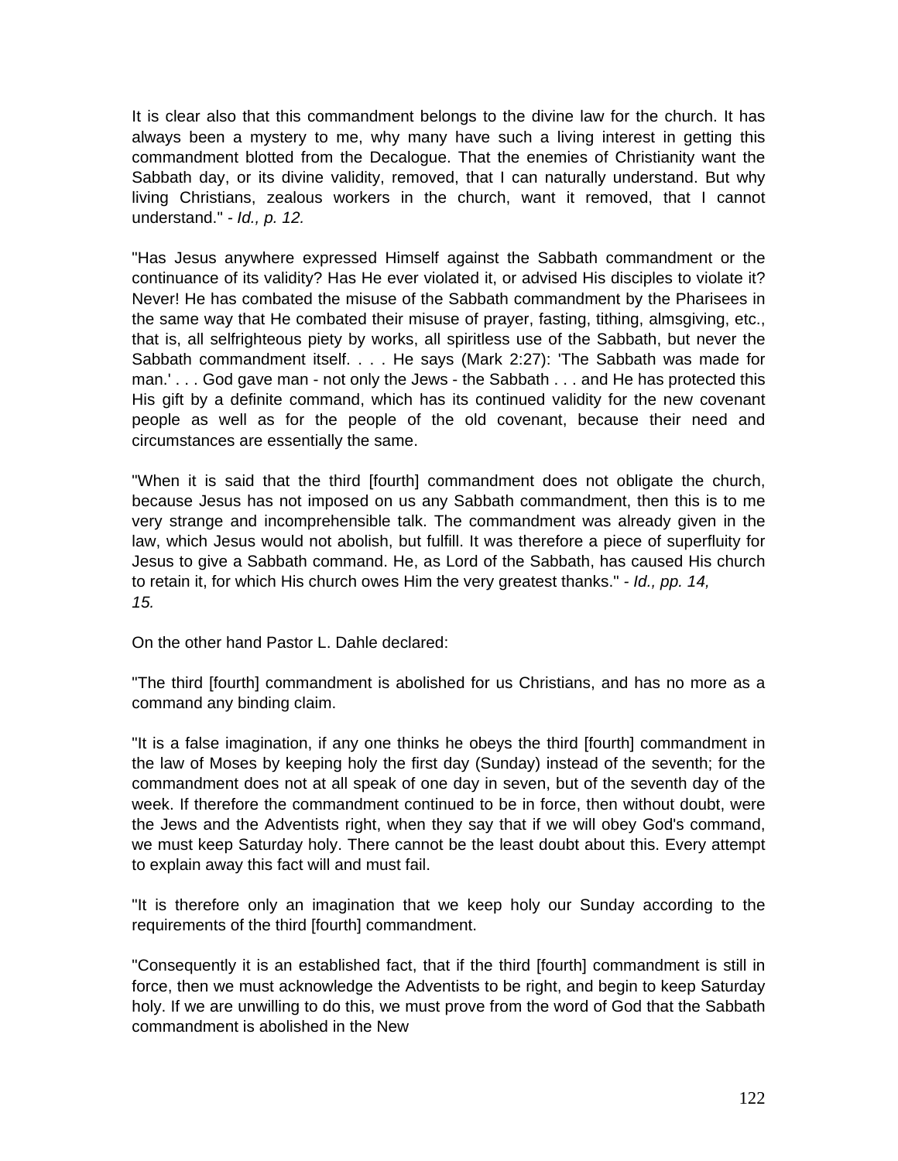It is clear also that this commandment belongs to the divine law for the church. It has always been a mystery to me, why many have such a living interest in getting this commandment blotted from the Decalogue. That the enemies of Christianity want the Sabbath day, or its divine validity, removed, that I can naturally understand. But why living Christians, zealous workers in the church, want it removed, that I cannot understand." *- Id., p. 12.* 

"Has Jesus anywhere expressed Himself against the Sabbath commandment or the continuance of its validity? Has He ever violated it, or advised His disciples to violate it? Never! He has combated the misuse of the Sabbath commandment by the Pharisees in the same way that He combated their misuse of prayer, fasting, tithing, almsgiving, etc., that is, all selfrighteous piety by works, all spiritless use of the Sabbath, but never the Sabbath commandment itself. . . . He says (Mark 2:27): 'The Sabbath was made for man.'... God gave man - not only the Jews - the Sabbath ... and He has protected this His gift by a definite command, which has its continued validity for the new covenant people as well as for the people of the old covenant, because their need and circumstances are essentially the same.

"When it is said that the third [fourth] commandment does not obligate the church, because Jesus has not imposed on us any Sabbath commandment, then this is to me very strange and incomprehensible talk. The commandment was already given in the law, which Jesus would not abolish, but fulfill. It was therefore a piece of superfluity for Jesus to give a Sabbath command. He, as Lord of the Sabbath, has caused His church to retain it, for which His church owes Him the very greatest thanks." *- Id., pp. 14, 15.* 

On the other hand Pastor L. Dahle declared:

"The third [fourth] commandment is abolished for us Christians, and has no more as a command any binding claim.

"It is a false imagination, if any one thinks he obeys the third [fourth] commandment in the law of Moses by keeping holy the first day (Sunday) instead of the seventh; for the commandment does not at all speak of one day in seven, but of the seventh day of the week. If therefore the commandment continued to be in force, then without doubt, were the Jews and the Adventists right, when they say that if we will obey God's command, we must keep Saturday holy. There cannot be the least doubt about this. Every attempt to explain away this fact will and must fail.

"It is therefore only an imagination that we keep holy our Sunday according to the requirements of the third [fourth] commandment.

"Consequently it is an established fact, that if the third [fourth] commandment is still in force, then we must acknowledge the Adventists to be right, and begin to keep Saturday holy. If we are unwilling to do this, we must prove from the word of God that the Sabbath commandment is abolished in the New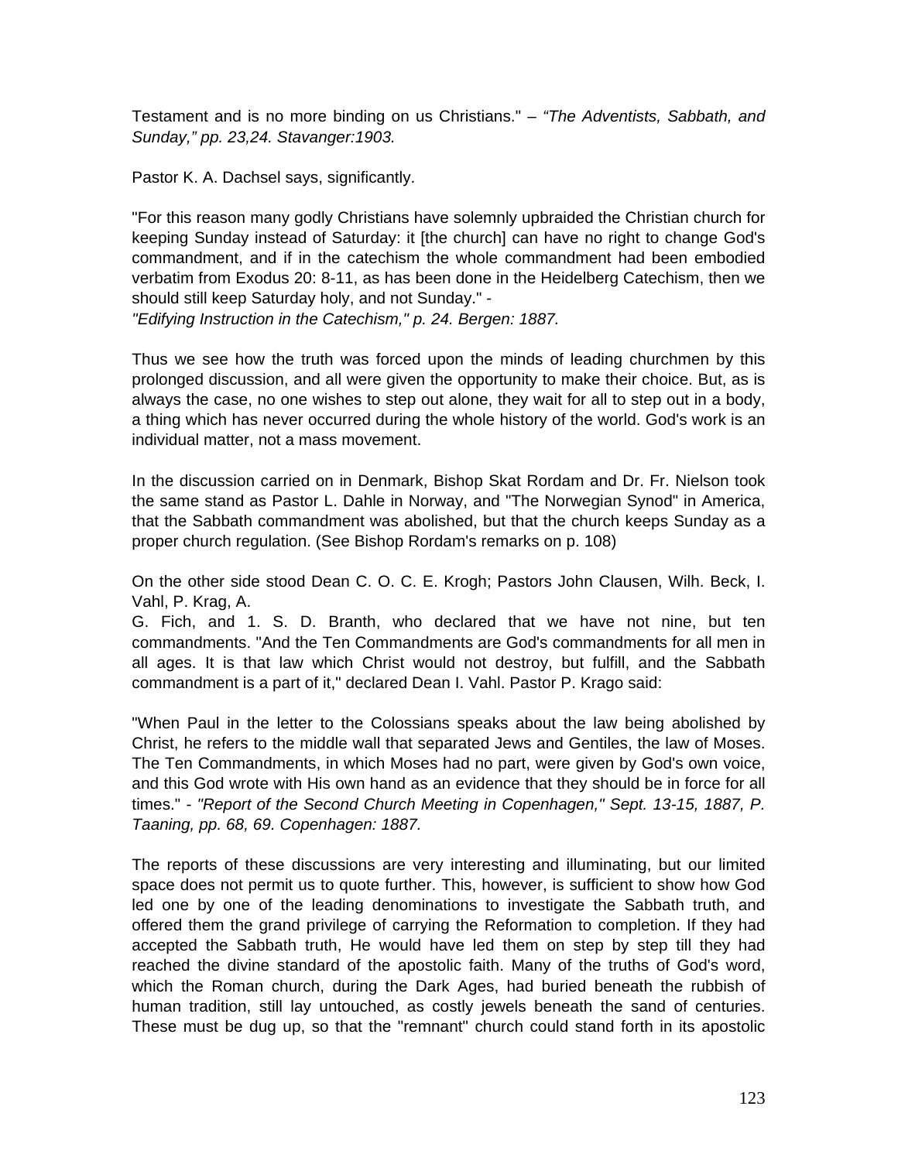Testament and is no more binding on us Christians." – *"The Adventists, Sabbath, and Sunday," pp. 23,24. Stavanger:1903.* 

Pastor K. A. Dachsel says, significantly.

"For this reason many godly Christians have solemnly upbraided the Christian church for keeping Sunday instead of Saturday: it [the church] can have no right to change God's commandment, and if in the catechism the whole commandment had been embodied verbatim from Exodus 20: 8-11, as has been done in the Heidelberg Catechism, then we should still keep Saturday holy, and not Sunday." -

*"Edifying Instruction in the Catechism," p. 24. Bergen: 1887.* 

Thus we see how the truth was forced upon the minds of leading churchmen by this prolonged discussion, and all were given the opportunity to make their choice. But, as is always the case, no one wishes to step out alone, they wait for all to step out in a body, a thing which has never occurred during the whole history of the world. God's work is an individual matter, not a mass movement.

In the discussion carried on in Denmark, Bishop Skat Rordam and Dr. Fr. Nielson took the same stand as Pastor L. Dahle in Norway, and "The Norwegian Synod" in America, that the Sabbath commandment was abolished, but that the church keeps Sunday as a proper church regulation. (See Bishop Rordam's remarks on p. 108)

On the other side stood Dean C. O. C. E. Krogh; Pastors John Clausen, Wilh. Beck, I. Vahl, P. Krag, A.

G. Fich, and 1. S. D. Branth, who declared that we have not nine, but ten commandments. "And the Ten Commandments are God's commandments for all men in all ages. It is that law which Christ would not destroy, but fulfill, and the Sabbath commandment is a part of it," declared Dean I. Vahl. Pastor P. Krago said:

"When Paul in the letter to the Colossians speaks about the law being abolished by Christ, he refers to the middle wall that separated Jews and Gentiles, the law of Moses. The Ten Commandments, in which Moses had no part, were given by God's own voice, and this God wrote with His own hand as an evidence that they should be in force for all times." - *"Report of the Second Church Meeting in Copenhagen," Sept. 13-15, 1887, P. Taaning, pp. 68, 69. Copenhagen: 1887.* 

The reports of these discussions are very interesting and illuminating, but our limited space does not permit us to quote further. This, however, is sufficient to show how God led one by one of the leading denominations to investigate the Sabbath truth, and offered them the grand privilege of carrying the Reformation to completion. If they had accepted the Sabbath truth, He would have led them on step by step till they had reached the divine standard of the apostolic faith. Many of the truths of God's word, which the Roman church, during the Dark Ages, had buried beneath the rubbish of human tradition, still lay untouched, as costly jewels beneath the sand of centuries. These must be dug up, so that the "remnant" church could stand forth in its apostolic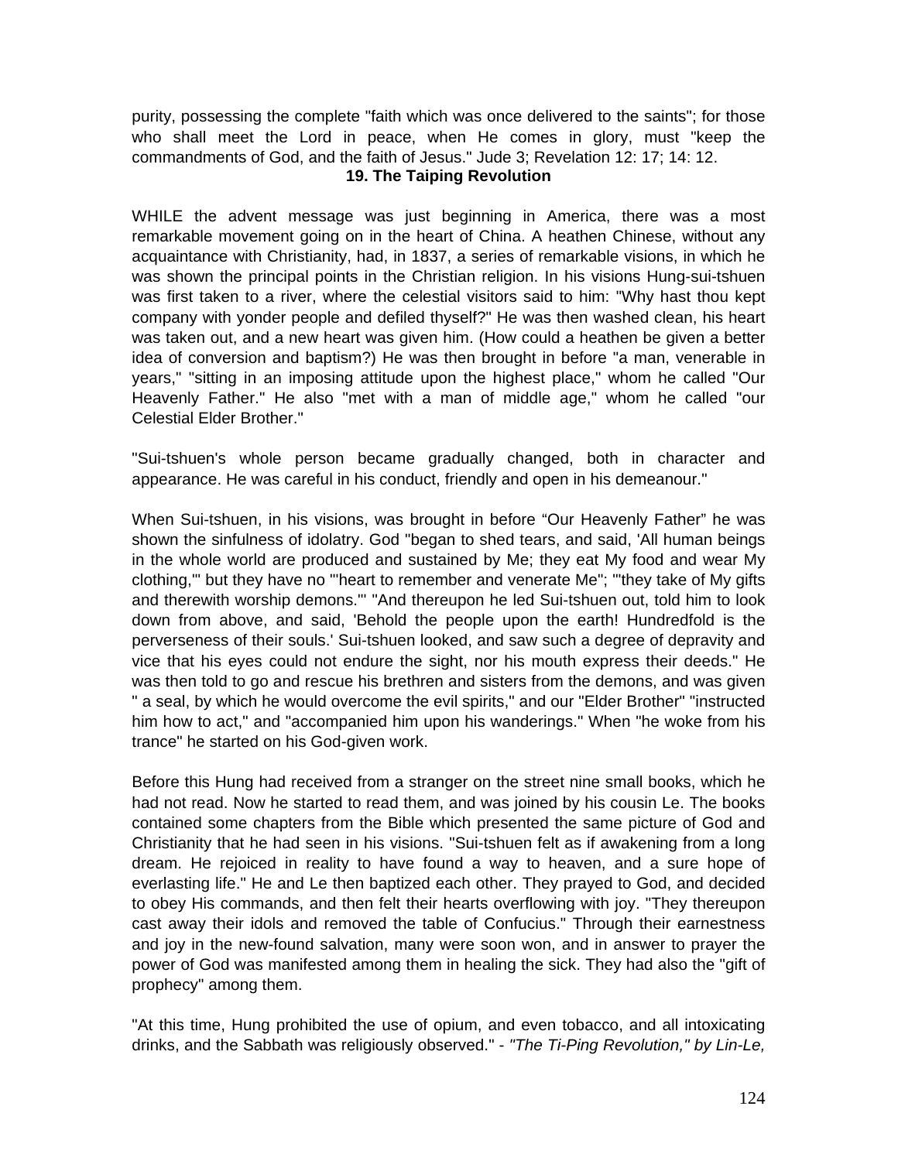purity, possessing the complete "faith which was once delivered to the saints"; for those who shall meet the Lord in peace, when He comes in glory, must "keep the commandments of God, and the faith of Jesus." Jude 3; Revelation 12: 17; 14: 12.

#### **19. The Taiping Revolution**

WHILE the advent message was just beginning in America, there was a most remarkable movement going on in the heart of China. A heathen Chinese, without any acquaintance with Christianity, had, in 1837, a series of remarkable visions, in which he was shown the principal points in the Christian religion. In his visions Hung-sui-tshuen was first taken to a river, where the celestial visitors said to him: "Why hast thou kept company with yonder people and defiled thyself?" He was then washed clean, his heart was taken out, and a new heart was given him. (How could a heathen be given a better idea of conversion and baptism?) He was then brought in before "a man, venerable in years," "sitting in an imposing attitude upon the highest place," whom he called "Our Heavenly Father." He also "met with a man of middle age," whom he called "our Celestial Elder Brother."

"Sui-tshuen's whole person became gradually changed, both in character and appearance. He was careful in his conduct, friendly and open in his demeanour."

When Sui-tshuen, in his visions, was brought in before "Our Heavenly Father" he was shown the sinfulness of idolatry. God "began to shed tears, and said, 'All human beings in the whole world are produced and sustained by Me; they eat My food and wear My clothing,"' but they have no "'heart to remember and venerate Me"; "'they take of My gifts and therewith worship demons."' "And thereupon he led Sui-tshuen out, told him to look down from above, and said, 'Behold the people upon the earth! Hundredfold is the perverseness of their souls.' Sui-tshuen looked, and saw such a degree of depravity and vice that his eyes could not endure the sight, nor his mouth express their deeds." He was then told to go and rescue his brethren and sisters from the demons, and was given " a seal, by which he would overcome the evil spirits," and our "Elder Brother" "instructed him how to act," and "accompanied him upon his wanderings." When "he woke from his trance" he started on his God-given work.

Before this Hung had received from a stranger on the street nine small books, which he had not read. Now he started to read them, and was joined by his cousin Le. The books contained some chapters from the Bible which presented the same picture of God and Christianity that he had seen in his visions. "Sui-tshuen felt as if awakening from a long dream. He rejoiced in reality to have found a way to heaven, and a sure hope of everlasting life." He and Le then baptized each other. They prayed to God, and decided to obey His commands, and then felt their hearts overflowing with joy. "They thereupon cast away their idols and removed the table of Confucius." Through their earnestness and joy in the new-found salvation, many were soon won, and in answer to prayer the power of God was manifested among them in healing the sick. They had also the "gift of prophecy" among them.

"At this time, Hung prohibited the use of opium, and even tobacco, and all intoxicating drinks, and the Sabbath was religiously observed." - *"The Ti-Ping Revolution," by Lin-Le,*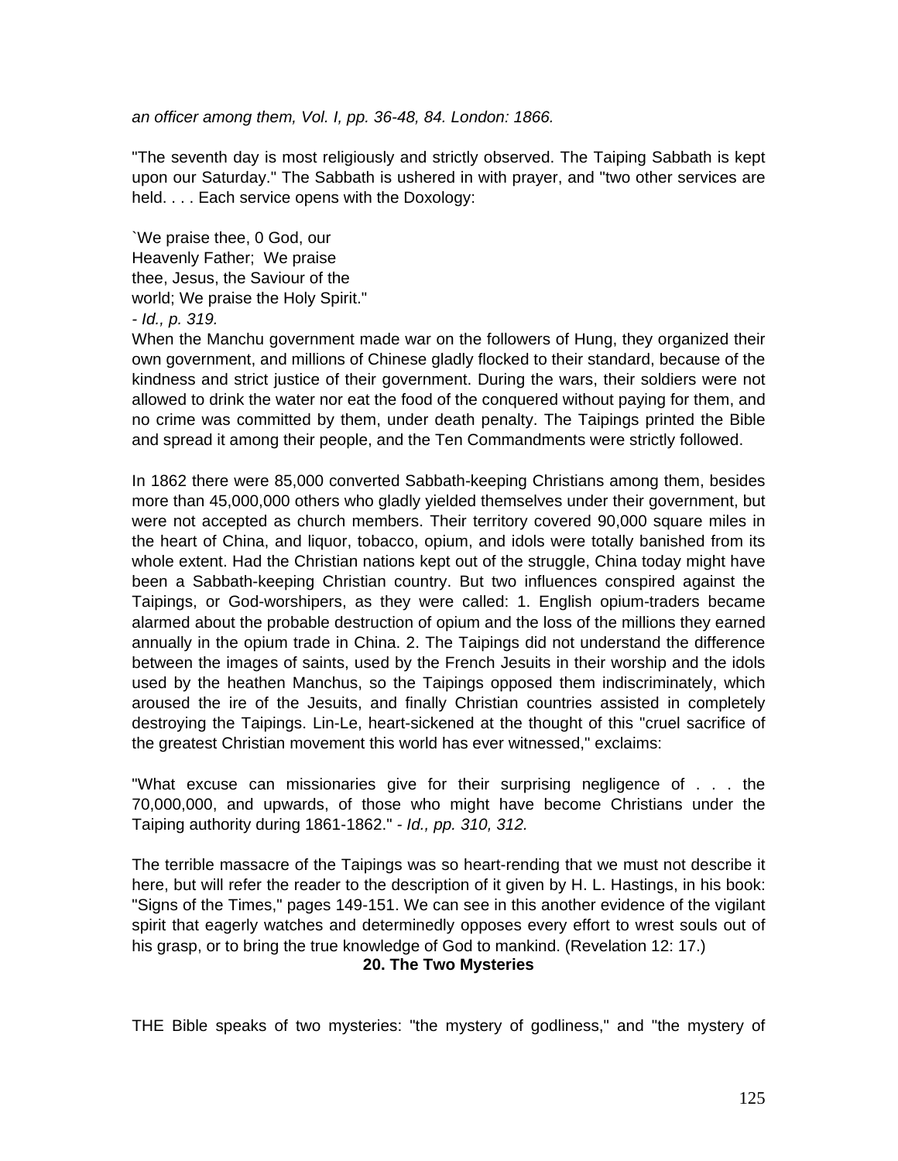*an officer among them, Vol. I, pp. 36-48, 84. London: 1866.* 

"The seventh day is most religiously and strictly observed. The Taiping Sabbath is kept upon our Saturday." The Sabbath is ushered in with prayer, and "two other services are held. . . . Each service opens with the Doxology:

`We praise thee, 0 God, our Heavenly Father; We praise thee, Jesus, the Saviour of the world; We praise the Holy Spirit." *- Id., p. 319.* 

When the Manchu government made war on the followers of Hung, they organized their own government, and millions of Chinese gladly flocked to their standard, because of the kindness and strict justice of their government. During the wars, their soldiers were not allowed to drink the water nor eat the food of the conquered without paying for them, and no crime was committed by them, under death penalty. The Taipings printed the Bible and spread it among their people, and the Ten Commandments were strictly followed.

In 1862 there were 85,000 converted Sabbath-keeping Christians among them, besides more than 45,000,000 others who gladly yielded themselves under their government, but were not accepted as church members. Their territory covered 90,000 square miles in the heart of China, and liquor, tobacco, opium, and idols were totally banished from its whole extent. Had the Christian nations kept out of the struggle, China today might have been a Sabbath-keeping Christian country. But two influences conspired against the Taipings, or God-worshipers, as they were called: 1. English opium-traders became alarmed about the probable destruction of opium and the loss of the millions they earned annually in the opium trade in China. 2. The Taipings did not understand the difference between the images of saints, used by the French Jesuits in their worship and the idols used by the heathen Manchus, so the Taipings opposed them indiscriminately, which aroused the ire of the Jesuits, and finally Christian countries assisted in completely destroying the Taipings. Lin-Le, heart-sickened at the thought of this "cruel sacrifice of the greatest Christian movement this world has ever witnessed," exclaims:

"What excuse can missionaries give for their surprising negligence of . . . the 70,000,000, and upwards, of those who might have become Christians under the Taiping authority during 1861-1862." *- Id., pp. 310, 312.* 

The terrible massacre of the Taipings was so heart-rending that we must not describe it here, but will refer the reader to the description of it given by H. L. Hastings, in his book: "Signs of the Times," pages 149-151. We can see in this another evidence of the vigilant spirit that eagerly watches and determinedly opposes every effort to wrest souls out of his grasp, or to bring the true knowledge of God to mankind. (Revelation 12: 17.) **20. The Two Mysteries** 

THE Bible speaks of two mysteries: "the mystery of godliness," and "the mystery of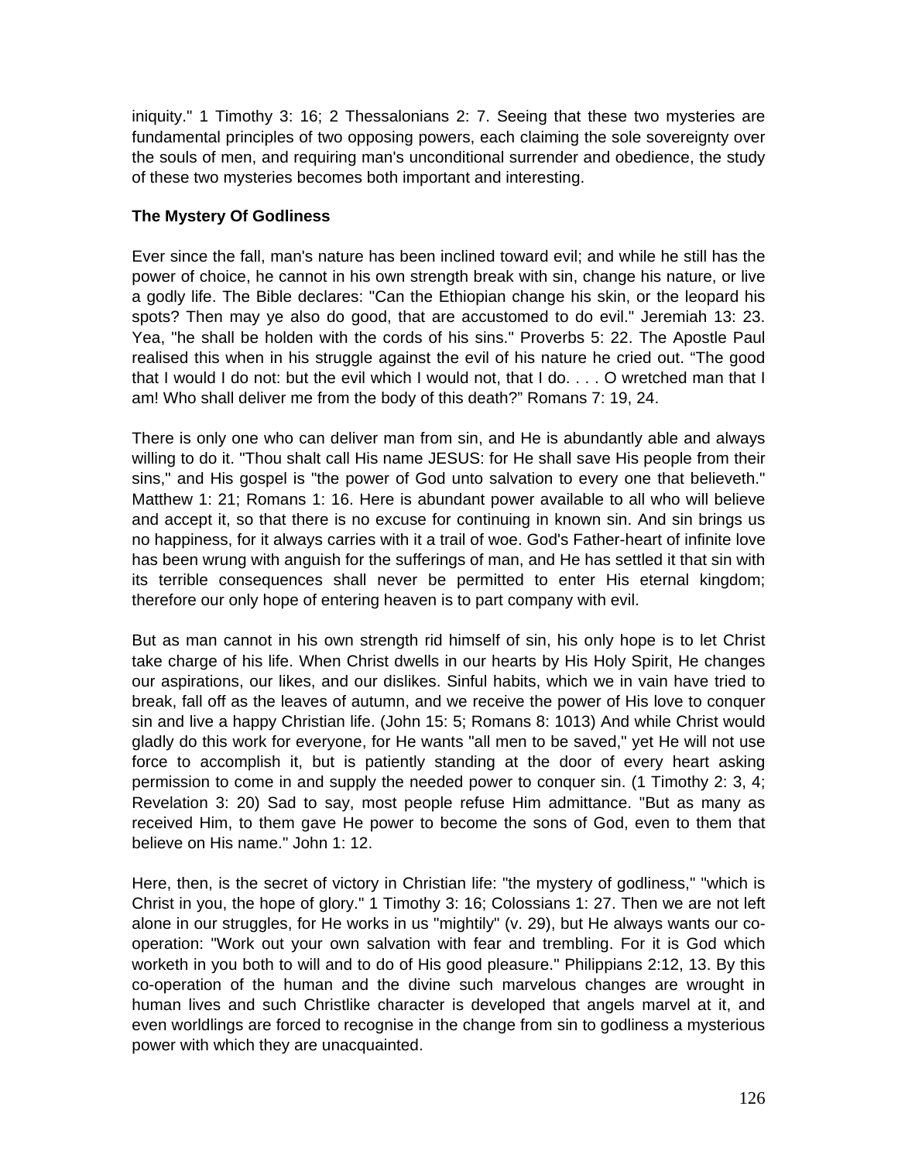iniquity." 1 Timothy 3: 16; 2 Thessalonians 2: 7. Seeing that these two mysteries are fundamental principles of two opposing powers, each claiming the sole sovereignty over the souls of men, and requiring man's unconditional surrender and obedience, the study of these two mysteries becomes both important and interesting.

## **The Mystery Of Godliness**

Ever since the fall, man's nature has been inclined toward evil; and while he still has the power of choice, he cannot in his own strength break with sin, change his nature, or live a godly life. The Bible declares: "Can the Ethiopian change his skin, or the leopard his spots? Then may ye also do good, that are accustomed to do evil." Jeremiah 13: 23. Yea, "he shall be holden with the cords of his sins." Proverbs 5: 22. The Apostle Paul realised this when in his struggle against the evil of his nature he cried out. "The good that I would I do not: but the evil which I would not, that I do. . . . O wretched man that I am! Who shall deliver me from the body of this death?" Romans 7: 19, 24.

There is only one who can deliver man from sin, and He is abundantly able and always willing to do it. "Thou shalt call His name JESUS: for He shall save His people from their sins," and His gospel is "the power of God unto salvation to every one that believeth." Matthew 1: 21; Romans 1: 16. Here is abundant power available to all who will believe and accept it, so that there is no excuse for continuing in known sin. And sin brings us no happiness, for it always carries with it a trail of woe. God's Father-heart of infinite love has been wrung with anguish for the sufferings of man, and He has settled it that sin with its terrible consequences shall never be permitted to enter His eternal kingdom; therefore our only hope of entering heaven is to part company with evil.

But as man cannot in his own strength rid himself of sin, his only hope is to let Christ take charge of his life. When Christ dwells in our hearts by His Holy Spirit, He changes our aspirations, our likes, and our dislikes. Sinful habits, which we in vain have tried to break, fall off as the leaves of autumn, and we receive the power of His love to conquer sin and live a happy Christian life. (John 15: 5; Romans 8: 1013) And while Christ would gladly do this work for everyone, for He wants "all men to be saved," yet He will not use force to accomplish it, but is patiently standing at the door of every heart asking permission to come in and supply the needed power to conquer sin. (1 Timothy 2: 3, 4; Revelation 3: 20) Sad to say, most people refuse Him admittance. "But as many as received Him, to them gave He power to become the sons of God, even to them that believe on His name." John 1: 12.

Here, then, is the secret of victory in Christian life: "the mystery of godliness," "which is Christ in you, the hope of glory." 1 Timothy 3: 16; Colossians 1: 27. Then we are not left alone in our struggles, for He works in us "mightily" (v. 29), but He always wants our cooperation: "Work out your own salvation with fear and trembling. For it is God which worketh in you both to will and to do of His good pleasure." Philippians 2:12, 13. By this co-operation of the human and the divine such marvelous changes are wrought in human lives and such Christlike character is developed that angels marvel at it, and even worldlings are forced to recognise in the change from sin to godliness a mysterious power with which they are unacquainted.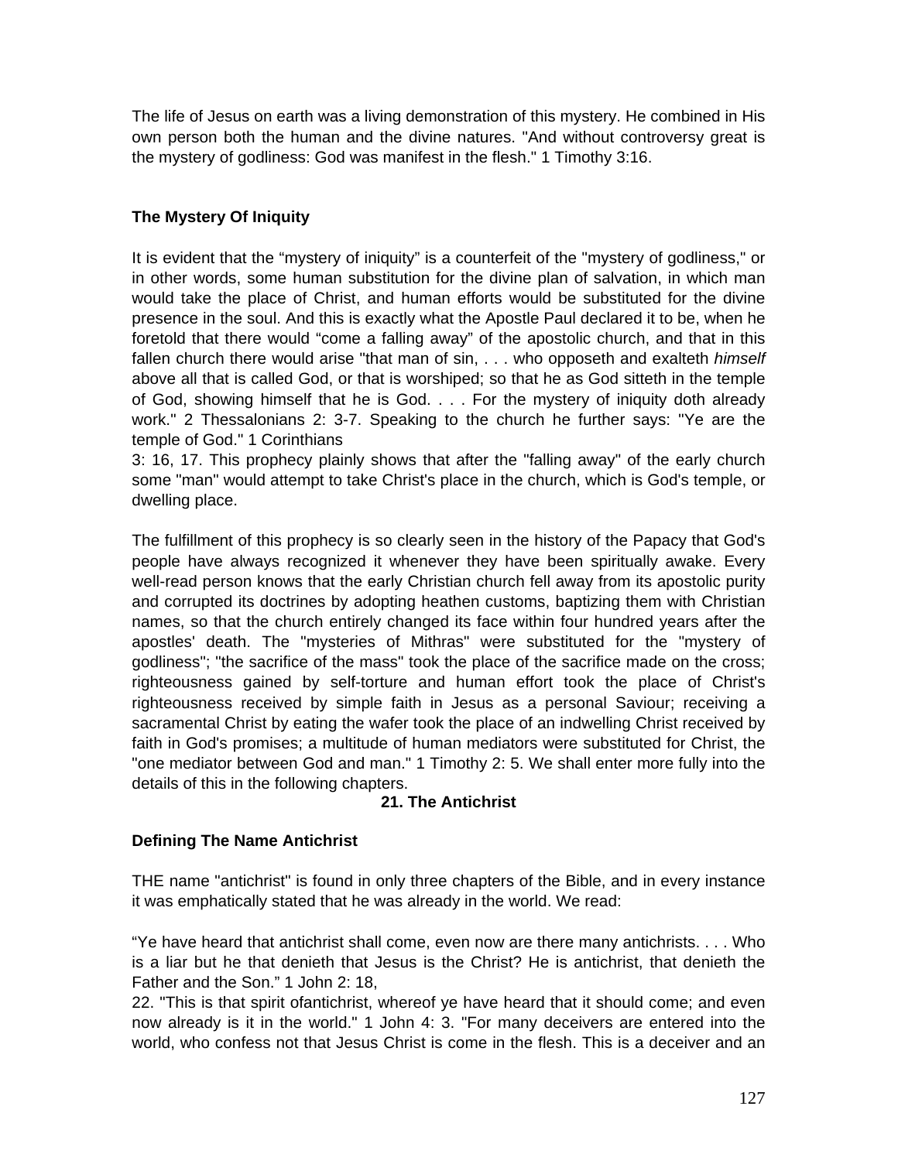The life of Jesus on earth was a living demonstration of this mystery. He combined in His own person both the human and the divine natures. "And without controversy great is the mystery of godliness: God was manifest in the flesh." 1 Timothy 3:16.

# **The Mystery Of Iniquity**

It is evident that the "mystery of iniquity" is a counterfeit of the "mystery of godliness," or in other words, some human substitution for the divine plan of salvation, in which man would take the place of Christ, and human efforts would be substituted for the divine presence in the soul. And this is exactly what the Apostle Paul declared it to be, when he foretold that there would "come a falling away" of the apostolic church, and that in this fallen church there would arise "that man of sin, . . . who opposeth and exalteth *himself* above all that is called God, or that is worshiped; so that he as God sitteth in the temple of God, showing himself that he is God. . . . For the mystery of iniquity doth already work." 2 Thessalonians 2: 3-7. Speaking to the church he further says: "Ye are the temple of God." 1 Corinthians

3: 16, 17. This prophecy plainly shows that after the "falling away" of the early church some "man" would attempt to take Christ's place in the church, which is God's temple, or dwelling place.

The fulfillment of this prophecy is so clearly seen in the history of the Papacy that God's people have always recognized it whenever they have been spiritually awake. Every well-read person knows that the early Christian church fell away from its apostolic purity and corrupted its doctrines by adopting heathen customs, baptizing them with Christian names, so that the church entirely changed its face within four hundred years after the apostles' death. The "mysteries of Mithras" were substituted for the "mystery of godliness"; "the sacrifice of the mass" took the place of the sacrifice made on the cross; righteousness gained by self-torture and human effort took the place of Christ's righteousness received by simple faith in Jesus as a personal Saviour; receiving a sacramental Christ by eating the wafer took the place of an indwelling Christ received by faith in God's promises; a multitude of human mediators were substituted for Christ, the "one mediator between God and man." 1 Timothy 2: 5. We shall enter more fully into the details of this in the following chapters.

# **21. The Antichrist**

# **Defining The Name Antichrist**

THE name "antichrist" is found in only three chapters of the Bible, and in every instance it was emphatically stated that he was already in the world. We read:

"Ye have heard that antichrist shall come, even now are there many antichrists. . . . Who is a liar but he that denieth that Jesus is the Christ? He is antichrist, that denieth the Father and the Son." 1 John 2: 18,

22. "This is that spirit ofantichrist, whereof ye have heard that it should come; and even now already is it in the world." 1 John 4: 3. "For many deceivers are entered into the world, who confess not that Jesus Christ is come in the flesh. This is a deceiver and an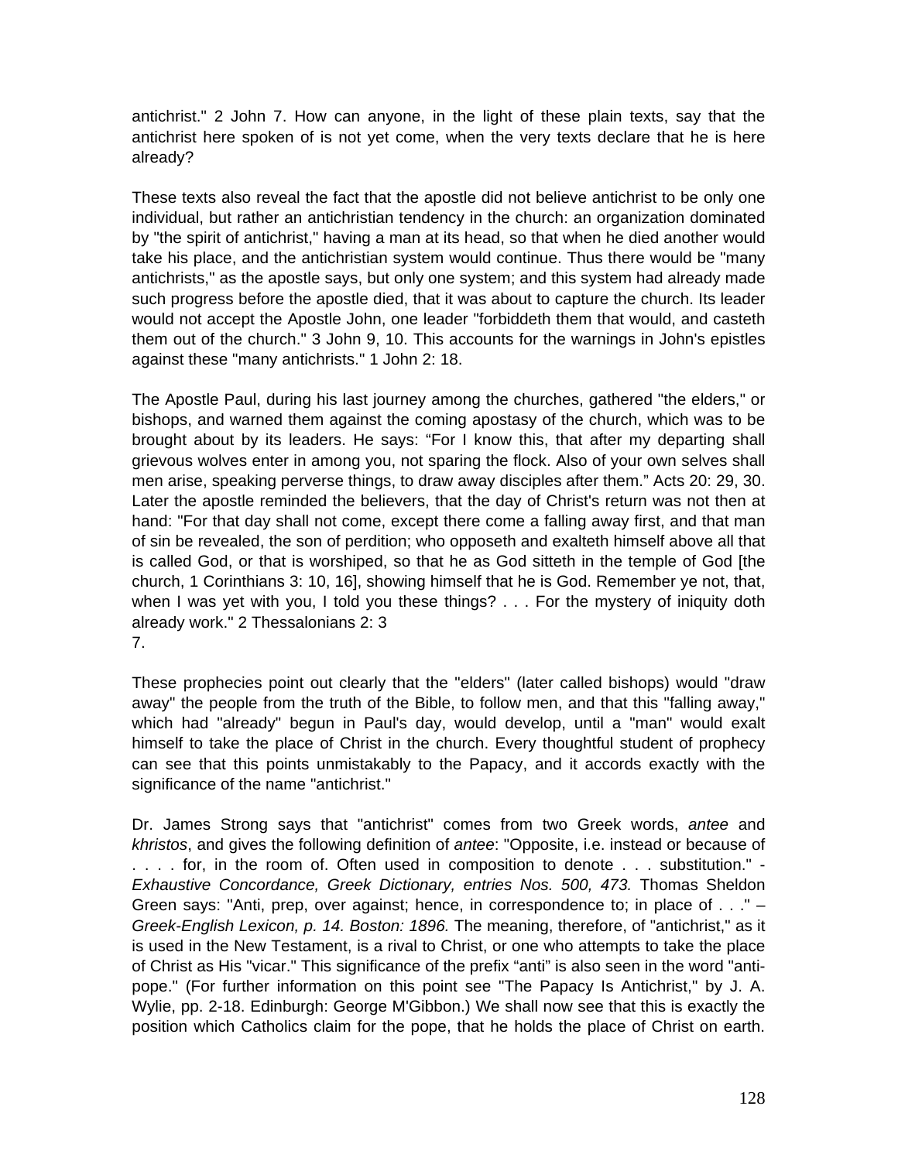antichrist." 2 John 7. How can anyone, in the light of these plain texts, say that the antichrist here spoken of is not yet come, when the very texts declare that he is here already?

These texts also reveal the fact that the apostle did not believe antichrist to be only one individual, but rather an antichristian tendency in the church: an organization dominated by "the spirit of antichrist," having a man at its head, so that when he died another would take his place, and the antichristian system would continue. Thus there would be "many antichrists," as the apostle says, but only one system; and this system had already made such progress before the apostle died, that it was about to capture the church. Its leader would not accept the Apostle John, one leader "forbiddeth them that would, and casteth them out of the church." 3 John 9, 10. This accounts for the warnings in John's epistles against these "many antichrists." 1 John 2: 18.

The Apostle Paul, during his last journey among the churches, gathered "the elders," or bishops, and warned them against the coming apostasy of the church, which was to be brought about by its leaders. He says: "For I know this, that after my departing shall grievous wolves enter in among you, not sparing the flock. Also of your own selves shall men arise, speaking perverse things, to draw away disciples after them." Acts 20: 29, 30. Later the apostle reminded the believers, that the day of Christ's return was not then at hand: "For that day shall not come, except there come a falling away first, and that man of sin be revealed, the son of perdition; who opposeth and exalteth himself above all that is called God, or that is worshiped, so that he as God sitteth in the temple of God [the church, 1 Corinthians 3: 10, 16], showing himself that he is God. Remember ye not, that, when I was yet with you, I told you these things? . . . For the mystery of iniquity doth already work." 2 Thessalonians 2: 3 7.

These prophecies point out clearly that the "elders" (later called bishops) would "draw away" the people from the truth of the Bible, to follow men, and that this "falling away," which had "already" begun in Paul's day, would develop, until a "man" would exalt himself to take the place of Christ in the church. Every thoughtful student of prophecy can see that this points unmistakably to the Papacy, and it accords exactly with the significance of the name "antichrist."

Dr. James Strong says that "antichrist" comes from two Greek words, *antee* and *khristos*, and gives the following definition of *antee*: "Opposite, i.e. instead or because of . . . . for, in the room of. Often used in composition to denote . . . substitution." - *Exhaustive Concordance, Greek Dictionary, entries Nos. 500, 473.* Thomas Sheldon Green says: "Anti, prep, over against; hence, in correspondence to; in place of . . ." – *Greek-English Lexicon, p. 14. Boston: 1896.* The meaning, therefore, of "antichrist," as it is used in the New Testament, is a rival to Christ, or one who attempts to take the place of Christ as His "vicar." This significance of the prefix "anti" is also seen in the word "antipope." (For further information on this point see "The Papacy Is Antichrist," by J. A. Wylie, pp. 2-18. Edinburgh: George M'Gibbon.) We shall now see that this is exactly the position which Catholics claim for the pope, that he holds the place of Christ on earth.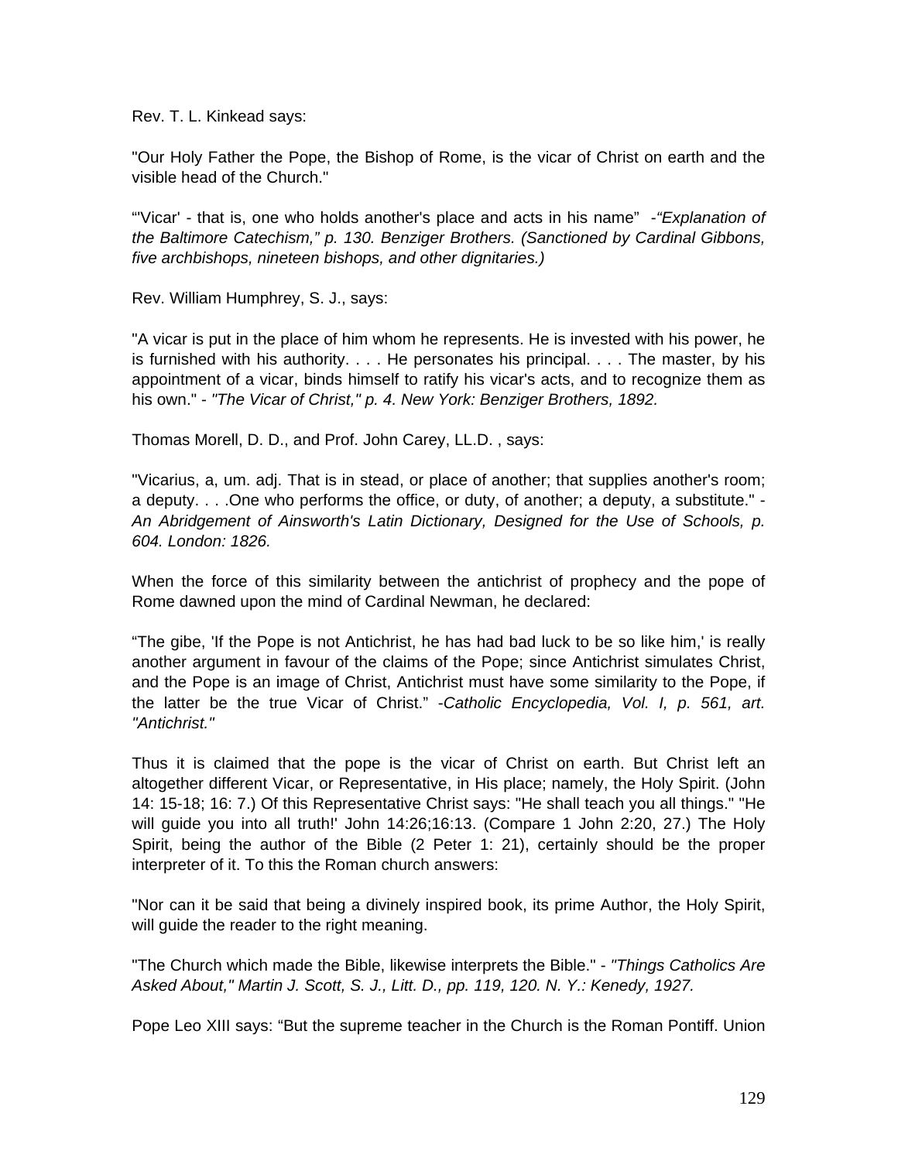Rev. T. L. Kinkead says:

"Our Holy Father the Pope, the Bishop of Rome, is the vicar of Christ on earth and the visible head of the Church."

"'Vicar' - that is, one who holds another's place and acts in his name" -*"Explanation of the Baltimore Catechism," p. 130. Benziger Brothers. (Sanctioned by Cardinal Gibbons, five archbishops, nineteen bishops, and other dignitaries.)* 

Rev. William Humphrey, S. J., says:

"A vicar is put in the place of him whom he represents. He is invested with his power, he is furnished with his authority. . . . He personates his principal. . . . The master, by his appointment of a vicar, binds himself to ratify his vicar's acts, and to recognize them as his own." - *"The Vicar of Christ," p. 4. New York: Benziger Brothers, 1892.* 

Thomas Morell, D. D., and Prof. John Carey, LL.D. , says:

"Vicarius, a, um. adj. That is in stead, or place of another; that supplies another's room; a deputy. . . .One who performs the office, or duty, of another; a deputy, a substitute." - *An Abridgement of Ainsworth's Latin Dictionary, Designed for the Use of Schools, p. 604. London: 1826.* 

When the force of this similarity between the antichrist of prophecy and the pope of Rome dawned upon the mind of Cardinal Newman, he declared:

"The gibe, 'If the Pope is not Antichrist, he has had bad luck to be so like him,' is really another argument in favour of the claims of the Pope; since Antichrist simulates Christ, and the Pope is an image of Christ, Antichrist must have some similarity to the Pope, if the latter be the true Vicar of Christ." -*Catholic Encyclopedia, Vol. I, p. 561, art. "Antichrist."* 

Thus it is claimed that the pope is the vicar of Christ on earth. But Christ left an altogether different Vicar, or Representative, in His place; namely, the Holy Spirit. (John 14: 15-18; 16: 7.) Of this Representative Christ says: "He shall teach you all things." "He will guide you into all truth!' John 14:26:16:13. (Compare 1 John 2:20, 27.) The Holy Spirit, being the author of the Bible (2 Peter 1: 21), certainly should be the proper interpreter of it. To this the Roman church answers:

"Nor can it be said that being a divinely inspired book, its prime Author, the Holy Spirit, will guide the reader to the right meaning.

"The Church which made the Bible, likewise interprets the Bible." - *"Things Catholics Are Asked About," Martin J. Scott, S. J., Litt. D., pp. 119, 120. N. Y.: Kenedy, 1927.* 

Pope Leo XIII says: "But the supreme teacher in the Church is the Roman Pontiff. Union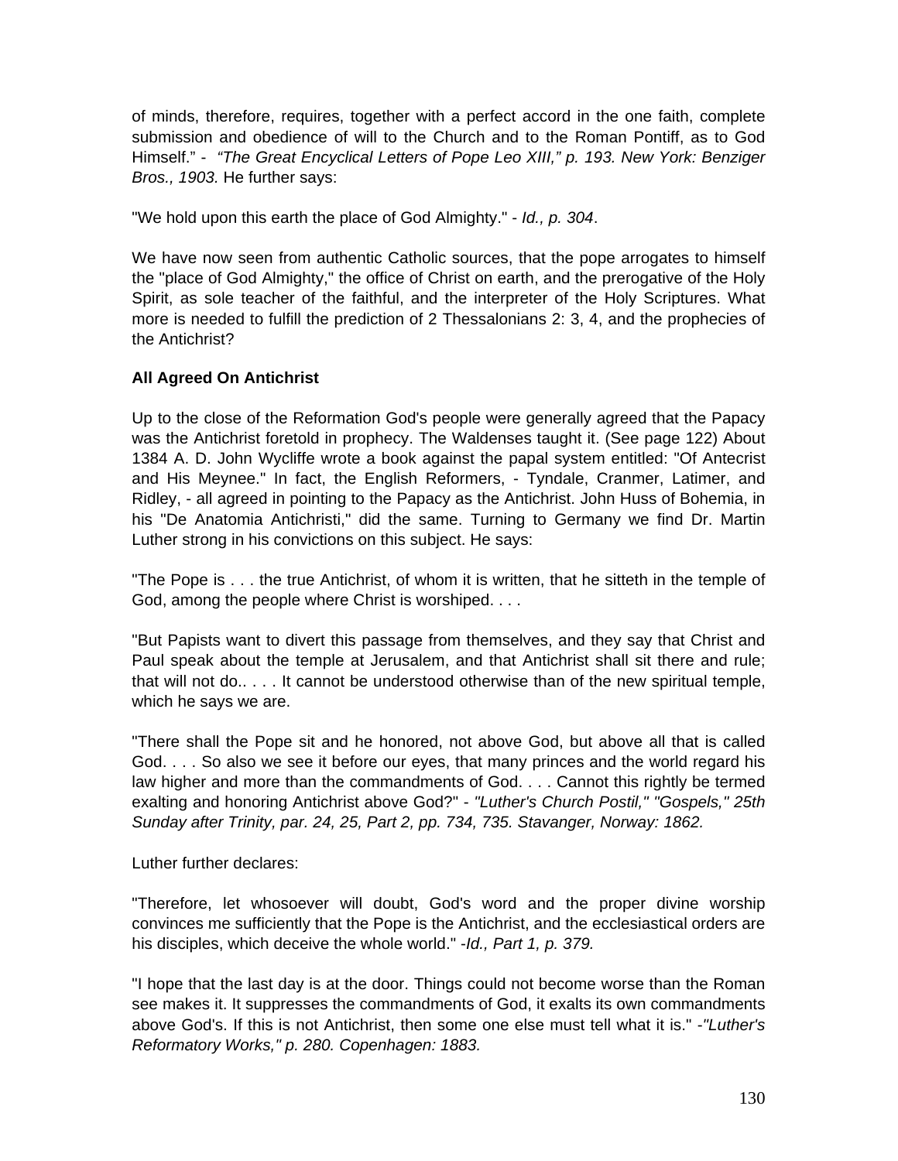of minds, therefore, requires, together with a perfect accord in the one faith, complete submission and obedience of will to the Church and to the Roman Pontiff, as to God Himself." - *"The Great Encyclical Letters of Pope Leo XIII," p. 193. New York: Benziger Bros., 1903.* He further says:

"We hold upon this earth the place of God Almighty." - *Id., p. 304*.

We have now seen from authentic Catholic sources, that the pope arrogates to himself the "place of God Almighty," the office of Christ on earth, and the prerogative of the Holy Spirit, as sole teacher of the faithful, and the interpreter of the Holy Scriptures. What more is needed to fulfill the prediction of 2 Thessalonians 2: 3, 4, and the prophecies of the Antichrist?

## **All Agreed On Antichrist**

Up to the close of the Reformation God's people were generally agreed that the Papacy was the Antichrist foretold in prophecy. The Waldenses taught it. (See page 122) About 1384 A. D. John Wycliffe wrote a book against the papal system entitled: "Of Antecrist and His Meynee." In fact, the English Reformers, - Tyndale, Cranmer, Latimer, and Ridley, - all agreed in pointing to the Papacy as the Antichrist. John Huss of Bohemia, in his "De Anatomia Antichristi," did the same. Turning to Germany we find Dr. Martin Luther strong in his convictions on this subject. He says:

"The Pope is . . . the true Antichrist, of whom it is written, that he sitteth in the temple of God, among the people where Christ is worshiped. . . .

"But Papists want to divert this passage from themselves, and they say that Christ and Paul speak about the temple at Jerusalem, and that Antichrist shall sit there and rule; that will not do.. . . . It cannot be understood otherwise than of the new spiritual temple, which he says we are.

"There shall the Pope sit and he honored, not above God, but above all that is called God. . . . So also we see it before our eyes, that many princes and the world regard his law higher and more than the commandments of God. . . . Cannot this rightly be termed exalting and honoring Antichrist above God?" - *"Luther's Church Postil," "Gospels," 25th Sunday after Trinity, par. 24, 25, Part 2, pp. 734, 735. Stavanger, Norway: 1862.* 

Luther further declares:

"Therefore, let whosoever will doubt, God's word and the proper divine worship convinces me sufficiently that the Pope is the Antichrist, and the ecclesiastical orders are his disciples, which deceive the whole world." -*Id., Part 1, p. 379.* 

"I hope that the last day is at the door. Things could not become worse than the Roman see makes it. It suppresses the commandments of God, it exalts its own commandments above God's. If this is not Antichrist, then some one else must tell what it is." -*"Luther's Reformatory Works," p. 280. Copenhagen: 1883.*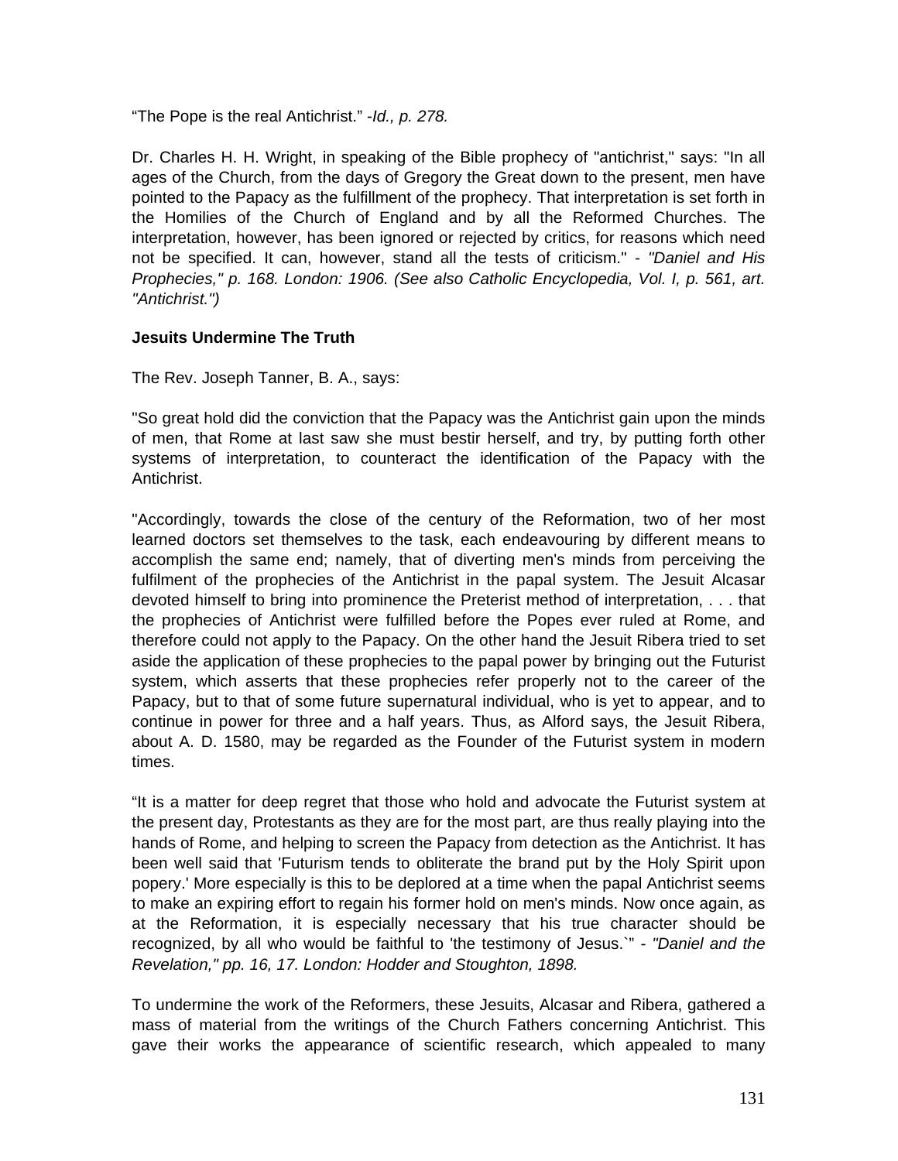"The Pope is the real Antichrist." -*Id., p. 278.* 

Dr. Charles H. H. Wright, in speaking of the Bible prophecy of "antichrist," says: "In all ages of the Church, from the days of Gregory the Great down to the present, men have pointed to the Papacy as the fulfillment of the prophecy. That interpretation is set forth in the Homilies of the Church of England and by all the Reformed Churches. The interpretation, however, has been ignored or rejected by critics, for reasons which need not be specified. It can, however, stand all the tests of criticism." *- "Daniel and His Prophecies," p. 168. London: 1906. (See also Catholic Encyclopedia, Vol. I, p. 561, art. "Antichrist.")* 

## **Jesuits Undermine The Truth**

The Rev. Joseph Tanner, B. A., says:

"So great hold did the conviction that the Papacy was the Antichrist gain upon the minds of men, that Rome at last saw she must bestir herself, and try, by putting forth other systems of interpretation, to counteract the identification of the Papacy with the Antichrist.

"Accordingly, towards the close of the century of the Reformation, two of her most learned doctors set themselves to the task, each endeavouring by different means to accomplish the same end; namely, that of diverting men's minds from perceiving the fulfilment of the prophecies of the Antichrist in the papal system. The Jesuit Alcasar devoted himself to bring into prominence the Preterist method of interpretation, . . . that the prophecies of Antichrist were fulfilled before the Popes ever ruled at Rome, and therefore could not apply to the Papacy. On the other hand the Jesuit Ribera tried to set aside the application of these prophecies to the papal power by bringing out the Futurist system, which asserts that these prophecies refer properly not to the career of the Papacy, but to that of some future supernatural individual, who is yet to appear, and to continue in power for three and a half years. Thus, as Alford says, the Jesuit Ribera, about A. D. 1580, may be regarded as the Founder of the Futurist system in modern times.

"It is a matter for deep regret that those who hold and advocate the Futurist system at the present day, Protestants as they are for the most part, are thus really playing into the hands of Rome, and helping to screen the Papacy from detection as the Antichrist. It has been well said that 'Futurism tends to obliterate the brand put by the Holy Spirit upon popery.' More especially is this to be deplored at a time when the papal Antichrist seems to make an expiring effort to regain his former hold on men's minds. Now once again, as at the Reformation, it is especially necessary that his true character should be recognized, by all who would be faithful to 'the testimony of Jesus.`" *- "Daniel and the Revelation," pp. 16, 17. London: Hodder and Stoughton, 1898.* 

To undermine the work of the Reformers, these Jesuits, Alcasar and Ribera, gathered a mass of material from the writings of the Church Fathers concerning Antichrist. This gave their works the appearance of scientific research, which appealed to many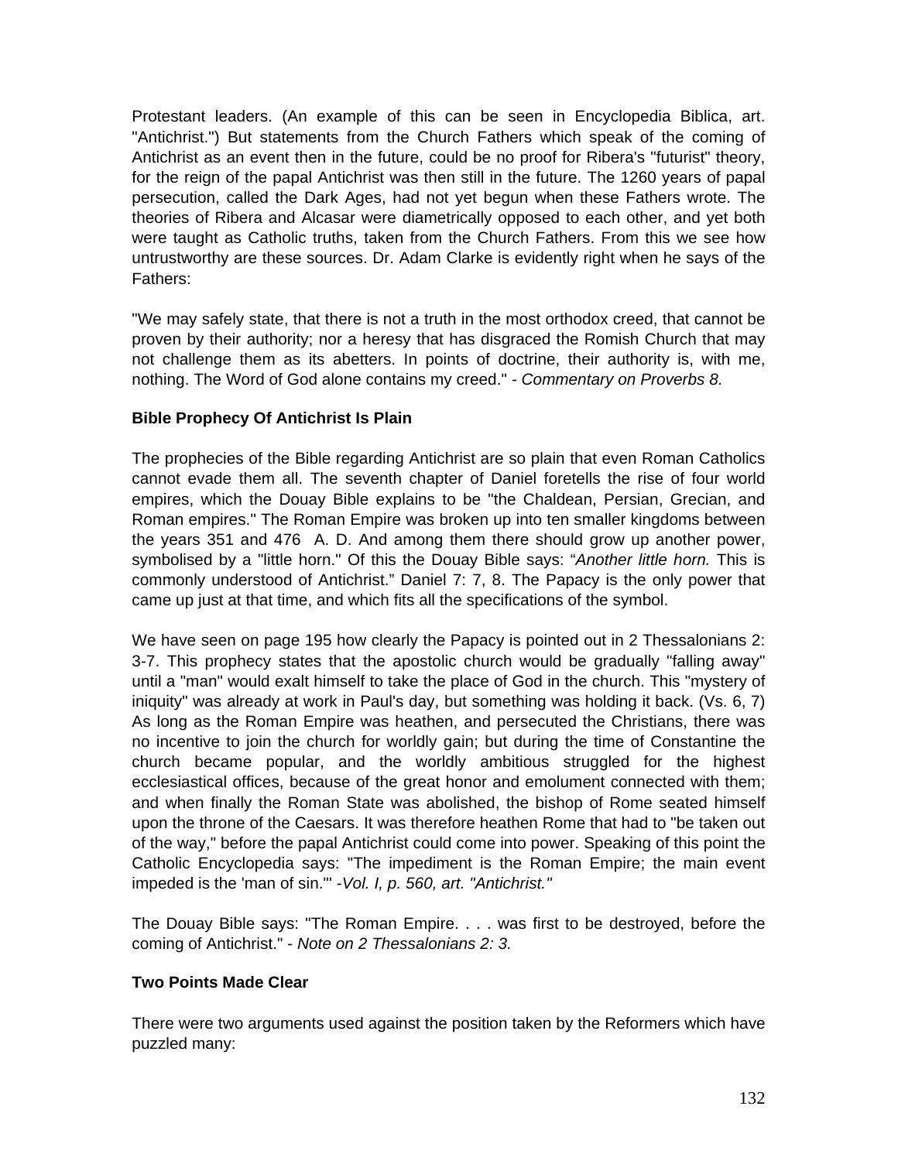Protestant leaders. (An example of this can be seen in Encyclopedia Biblica, art. "Antichrist.") But statements from the Church Fathers which speak of the coming of Antichrist as an event then in the future, could be no proof for Ribera's "futurist" theory, for the reign of the papal Antichrist was then still in the future. The 1260 years of papal persecution, called the Dark Ages, had not yet begun when these Fathers wrote. The theories of Ribera and Alcasar were diametrically opposed to each other, and yet both were taught as Catholic truths, taken from the Church Fathers. From this we see how untrustworthy are these sources. Dr. Adam Clarke is evidently right when he says of the Fathers:

"We may safely state, that there is not a truth in the most orthodox creed, that cannot be proven by their authority; nor a heresy that has disgraced the Romish Church that may not challenge them as its abetters. In points of doctrine, their authority is, with me, nothing. The Word of God alone contains my creed." *- Commentary on Proverbs 8.* 

### **Bible Prophecy Of Antichrist Is Plain**

The prophecies of the Bible regarding Antichrist are so plain that even Roman Catholics cannot evade them all. The seventh chapter of Daniel foretells the rise of four world empires, which the Douay Bible explains to be "the Chaldean, Persian, Grecian, and Roman empires." The Roman Empire was broken up into ten smaller kingdoms between the years 351 and 476 A. D. And among them there should grow up another power, symbolised by a "little horn." Of this the Douay Bible says: "*Another little horn.* This is commonly understood of Antichrist." Daniel 7: 7, 8. The Papacy is the only power that came up just at that time, and which fits all the specifications of the symbol.

We have seen on page 195 how clearly the Papacy is pointed out in 2 Thessalonians 2: 3-7. This prophecy states that the apostolic church would be gradually "falling away" until a "man" would exalt himself to take the place of God in the church. This "mystery of iniquity" was already at work in Paul's day, but something was holding it back. (Vs. 6, 7) As long as the Roman Empire was heathen, and persecuted the Christians, there was no incentive to join the church for worldly gain; but during the time of Constantine the church became popular, and the worldly ambitious struggled for the highest ecclesiastical offices, because of the great honor and emolument connected with them; and when finally the Roman State was abolished, the bishop of Rome seated himself upon the throne of the Caesars. It was therefore heathen Rome that had to "be taken out of the way," before the papal Antichrist could come into power. Speaking of this point the Catholic Encyclopedia says: "The impediment is the Roman Empire; the main event impeded is the 'man of sin."' -*Vol. I, p. 560, art. "Antichrist."* 

The Douay Bible says: "The Roman Empire. . . . was first to be destroyed, before the coming of Antichrist." - *Note on 2 Thessalonians 2: 3.* 

# **Two Points Made Clear**

There were two arguments used against the position taken by the Reformers which have puzzled many: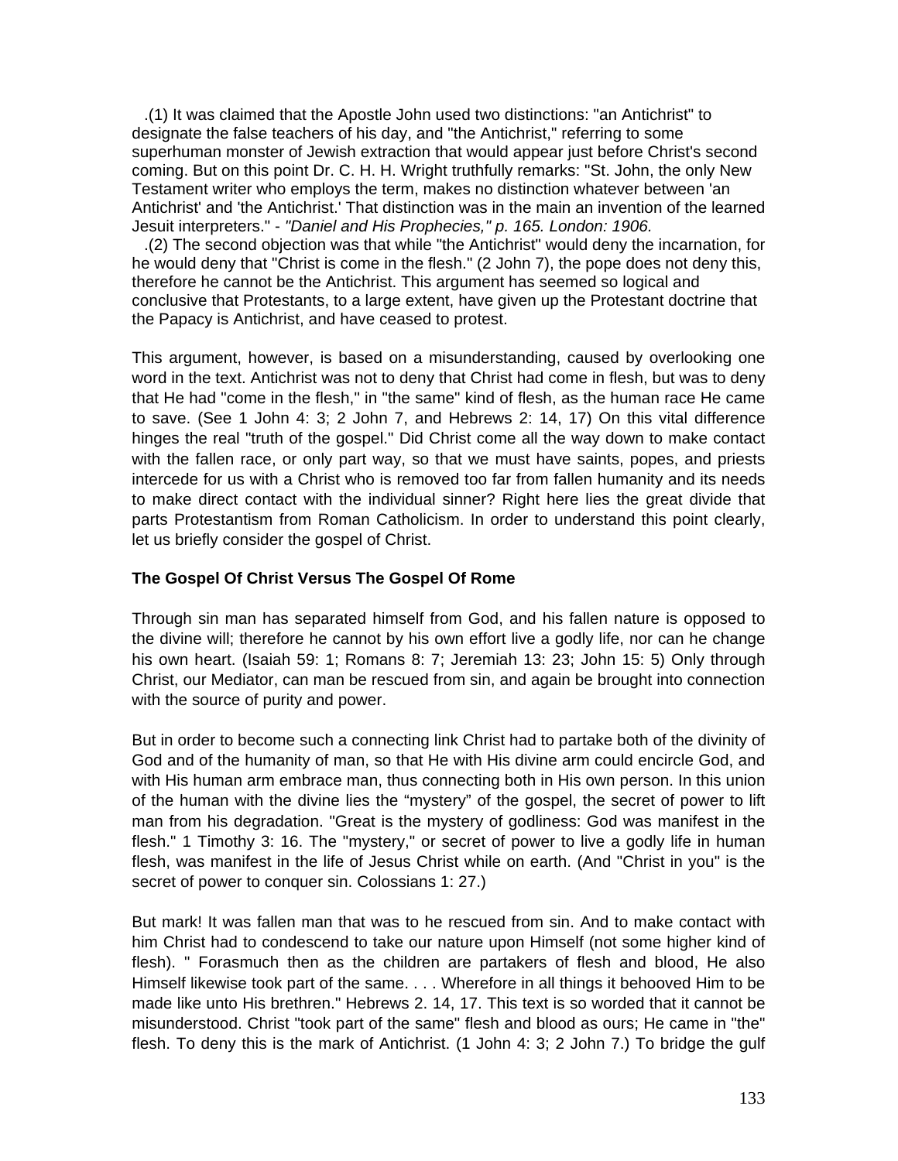.(1) It was claimed that the Apostle John used two distinctions: "an Antichrist" to designate the false teachers of his day, and "the Antichrist," referring to some superhuman monster of Jewish extraction that would appear just before Christ's second coming. But on this point Dr. C. H. H. Wright truthfully remarks: "St. John, the only New Testament writer who employs the term, makes no distinction whatever between 'an Antichrist' and 'the Antichrist.' That distinction was in the main an invention of the learned Jesuit interpreters." - *"Daniel and His Prophecies," p. 165. London: 1906.* 

.(2) The second objection was that while "the Antichrist" would deny the incarnation, for he would deny that "Christ is come in the flesh." (2 John 7), the pope does not deny this, therefore he cannot be the Antichrist. This argument has seemed so logical and conclusive that Protestants, to a large extent, have given up the Protestant doctrine that the Papacy is Antichrist, and have ceased to protest.

This argument, however, is based on a misunderstanding, caused by overlooking one word in the text. Antichrist was not to deny that Christ had come in flesh, but was to deny that He had "come in the flesh," in "the same" kind of flesh, as the human race He came to save. (See 1 John 4: 3; 2 John 7, and Hebrews 2: 14, 17) On this vital difference hinges the real "truth of the gospel." Did Christ come all the way down to make contact with the fallen race, or only part way, so that we must have saints, popes, and priests intercede for us with a Christ who is removed too far from fallen humanity and its needs to make direct contact with the individual sinner? Right here lies the great divide that parts Protestantism from Roman Catholicism. In order to understand this point clearly, let us briefly consider the gospel of Christ.

### **The Gospel Of Christ Versus The Gospel Of Rome**

Through sin man has separated himself from God, and his fallen nature is opposed to the divine will; therefore he cannot by his own effort live a godly life, nor can he change his own heart. (Isaiah 59: 1; Romans 8: 7; Jeremiah 13: 23; John 15: 5) Only through Christ, our Mediator, can man be rescued from sin, and again be brought into connection with the source of purity and power.

But in order to become such a connecting link Christ had to partake both of the divinity of God and of the humanity of man, so that He with His divine arm could encircle God, and with His human arm embrace man, thus connecting both in His own person. In this union of the human with the divine lies the "mystery" of the gospel, the secret of power to lift man from his degradation. "Great is the mystery of godliness: God was manifest in the flesh." 1 Timothy 3: 16. The "mystery," or secret of power to live a godly life in human flesh, was manifest in the life of Jesus Christ while on earth. (And "Christ in you" is the secret of power to conquer sin. Colossians 1: 27.)

But mark! It was fallen man that was to he rescued from sin. And to make contact with him Christ had to condescend to take our nature upon Himself (not some higher kind of flesh). " Forasmuch then as the children are partakers of flesh and blood, He also Himself likewise took part of the same. . . . Wherefore in all things it behooved Him to be made like unto His brethren." Hebrews 2. 14, 17. This text is so worded that it cannot be misunderstood. Christ "took part of the same" flesh and blood as ours; He came in "the" flesh. To deny this is the mark of Antichrist. (1 John 4: 3; 2 John 7.) To bridge the gulf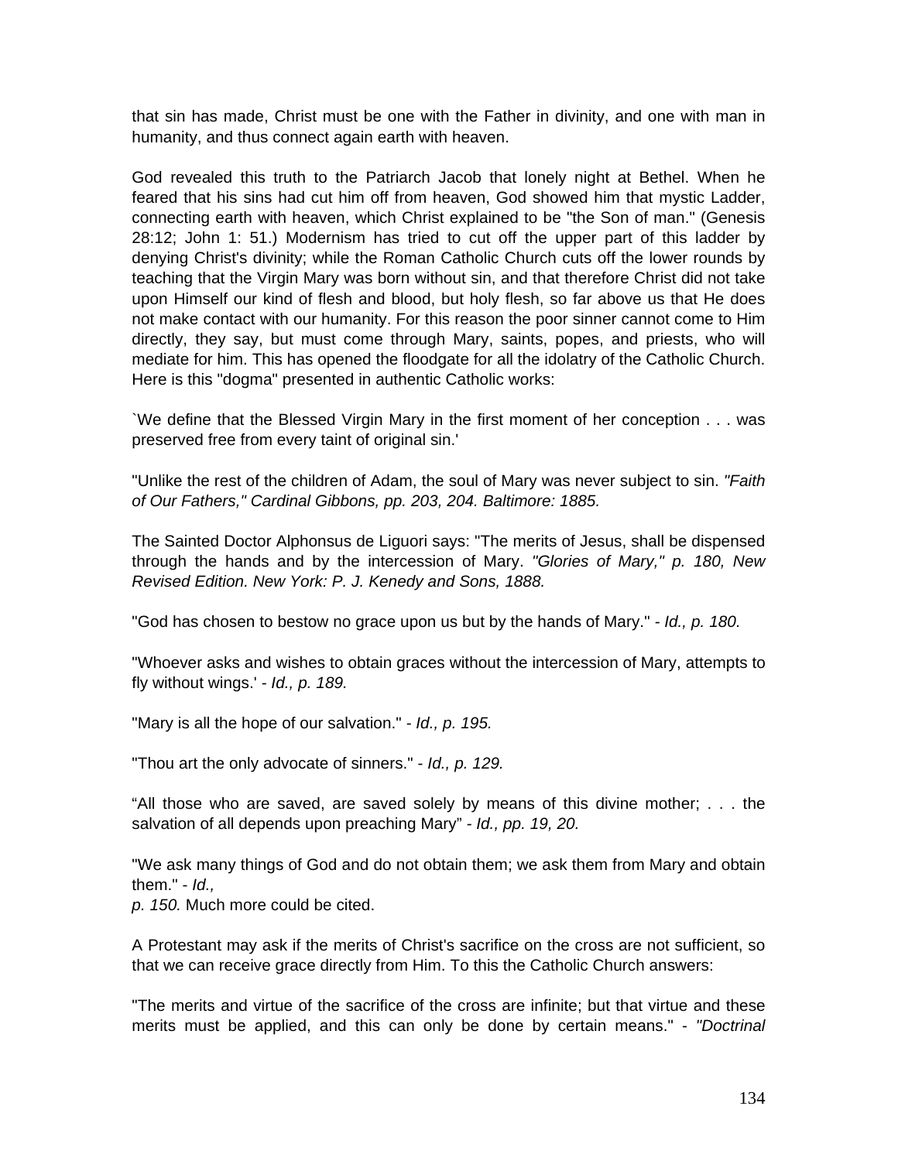that sin has made, Christ must be one with the Father in divinity, and one with man in humanity, and thus connect again earth with heaven.

God revealed this truth to the Patriarch Jacob that lonely night at Bethel. When he feared that his sins had cut him off from heaven, God showed him that mystic Ladder, connecting earth with heaven, which Christ explained to be "the Son of man." (Genesis 28:12; John 1: 51.) Modernism has tried to cut off the upper part of this ladder by denying Christ's divinity; while the Roman Catholic Church cuts off the lower rounds by teaching that the Virgin Mary was born without sin, and that therefore Christ did not take upon Himself our kind of flesh and blood, but holy flesh, so far above us that He does not make contact with our humanity. For this reason the poor sinner cannot come to Him directly, they say, but must come through Mary, saints, popes, and priests, who will mediate for him. This has opened the floodgate for all the idolatry of the Catholic Church. Here is this "dogma" presented in authentic Catholic works:

`We define that the Blessed Virgin Mary in the first moment of her conception . . . was preserved free from every taint of original sin.'

"Unlike the rest of the children of Adam, the soul of Mary was never subject to sin. *"Faith of Our Fathers," Cardinal Gibbons, pp. 203, 204. Baltimore: 1885.* 

The Sainted Doctor Alphonsus de Liguori says: "The merits of Jesus, shall be dispensed through the hands and by the intercession of Mary. *"Glories of Mary," p. 180, New Revised Edition. New York: P. J. Kenedy and Sons, 1888.* 

"God has chosen to bestow no grace upon us but by the hands of Mary." *- Id., p. 180.* 

"Whoever asks and wishes to obtain graces without the intercession of Mary, attempts to fly without wings.' *- Id., p. 189.* 

"Mary is all the hope of our salvation." *- Id., p. 195.* 

"Thou art the only advocate of sinners." - *Id., p. 129.* 

"All those who are saved, are saved solely by means of this divine mother; . . . the salvation of all depends upon preaching Mary" *- Id., pp. 19, 20.* 

"We ask many things of God and do not obtain them; we ask them from Mary and obtain them." - *Id.,* 

*p. 150.* Much more could be cited.

A Protestant may ask if the merits of Christ's sacrifice on the cross are not sufficient, so that we can receive grace directly from Him. To this the Catholic Church answers:

"The merits and virtue of the sacrifice of the cross are infinite; but that virtue and these merits must be applied, and this can only be done by certain means." - *"Doctrinal*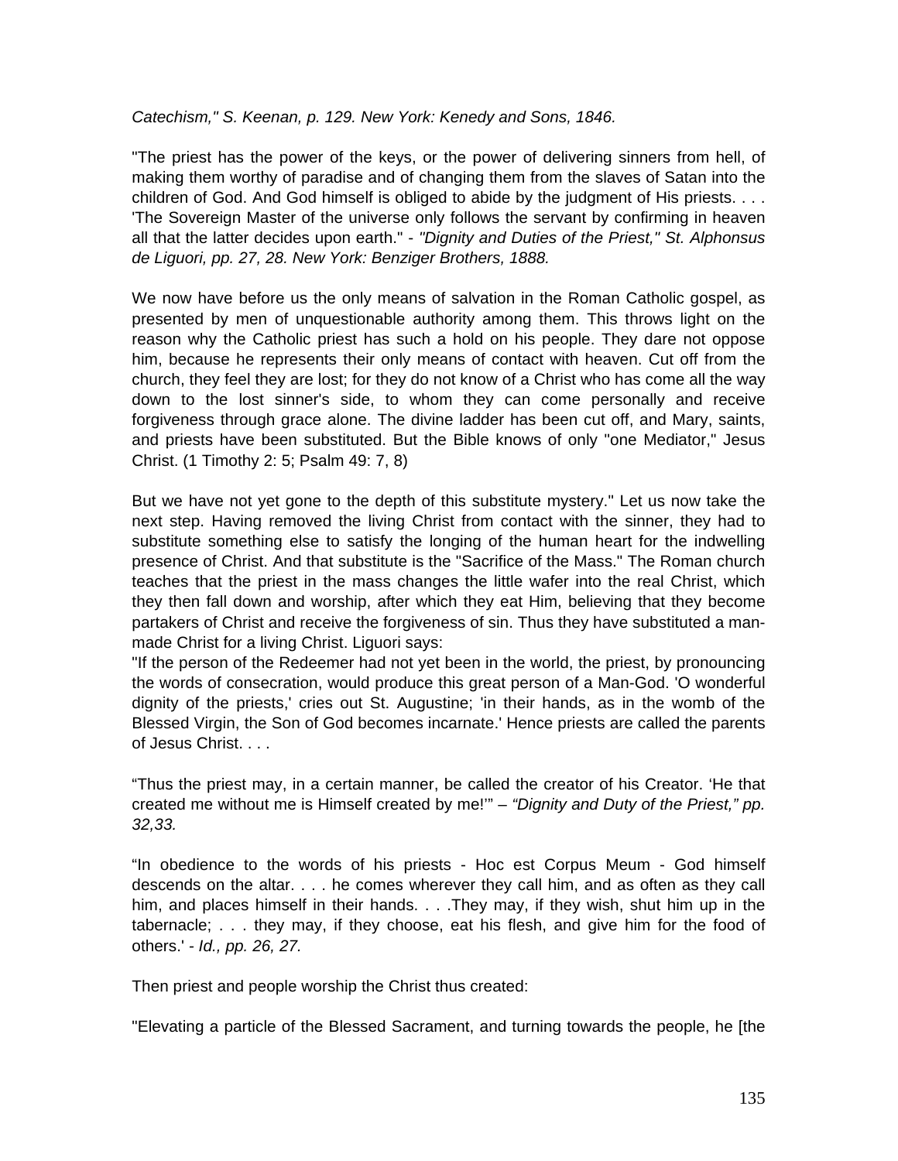*Catechism," S. Keenan, p. 129. New York: Kenedy and Sons, 1846.* 

"The priest has the power of the keys, or the power of delivering sinners from hell, of making them worthy of paradise and of changing them from the slaves of Satan into the children of God. And God himself is obliged to abide by the judgment of His priests. . . . 'The Sovereign Master of the universe only follows the servant by confirming in heaven all that the latter decides upon earth." - *"Dignity and Duties of the Priest," St. Alphonsus de Liguori, pp. 27, 28. New York: Benziger Brothers, 1888.* 

We now have before us the only means of salvation in the Roman Catholic gospel, as presented by men of unquestionable authority among them. This throws light on the reason why the Catholic priest has such a hold on his people. They dare not oppose him, because he represents their only means of contact with heaven. Cut off from the church, they feel they are lost; for they do not know of a Christ who has come all the way down to the lost sinner's side, to whom they can come personally and receive forgiveness through grace alone. The divine ladder has been cut off, and Mary, saints, and priests have been substituted. But the Bible knows of only "one Mediator," Jesus Christ. (1 Timothy 2: 5; Psalm 49: 7, 8)

But we have not yet gone to the depth of this substitute mystery." Let us now take the next step. Having removed the living Christ from contact with the sinner, they had to substitute something else to satisfy the longing of the human heart for the indwelling presence of Christ. And that substitute is the "Sacrifice of the Mass." The Roman church teaches that the priest in the mass changes the little wafer into the real Christ, which they then fall down and worship, after which they eat Him, believing that they become partakers of Christ and receive the forgiveness of sin. Thus they have substituted a manmade Christ for a living Christ. Liguori says:

"If the person of the Redeemer had not yet been in the world, the priest, by pronouncing the words of consecration, would produce this great person of a Man-God. 'O wonderful dignity of the priests,' cries out St. Augustine; 'in their hands, as in the womb of the Blessed Virgin, the Son of God becomes incarnate.' Hence priests are called the parents of Jesus Christ. . . .

"Thus the priest may, in a certain manner, be called the creator of his Creator. 'He that created me without me is Himself created by me!'" – *"Dignity and Duty of the Priest," pp. 32,33.* 

"In obedience to the words of his priests - Hoc est Corpus Meum - God himself descends on the altar. . . . he comes wherever they call him, and as often as they call him, and places himself in their hands. . . .They may, if they wish, shut him up in the tabernacle; . . . they may, if they choose, eat his flesh, and give him for the food of others.' *- Id., pp. 26, 27.* 

Then priest and people worship the Christ thus created:

"Elevating a particle of the Blessed Sacrament, and turning towards the people, he [the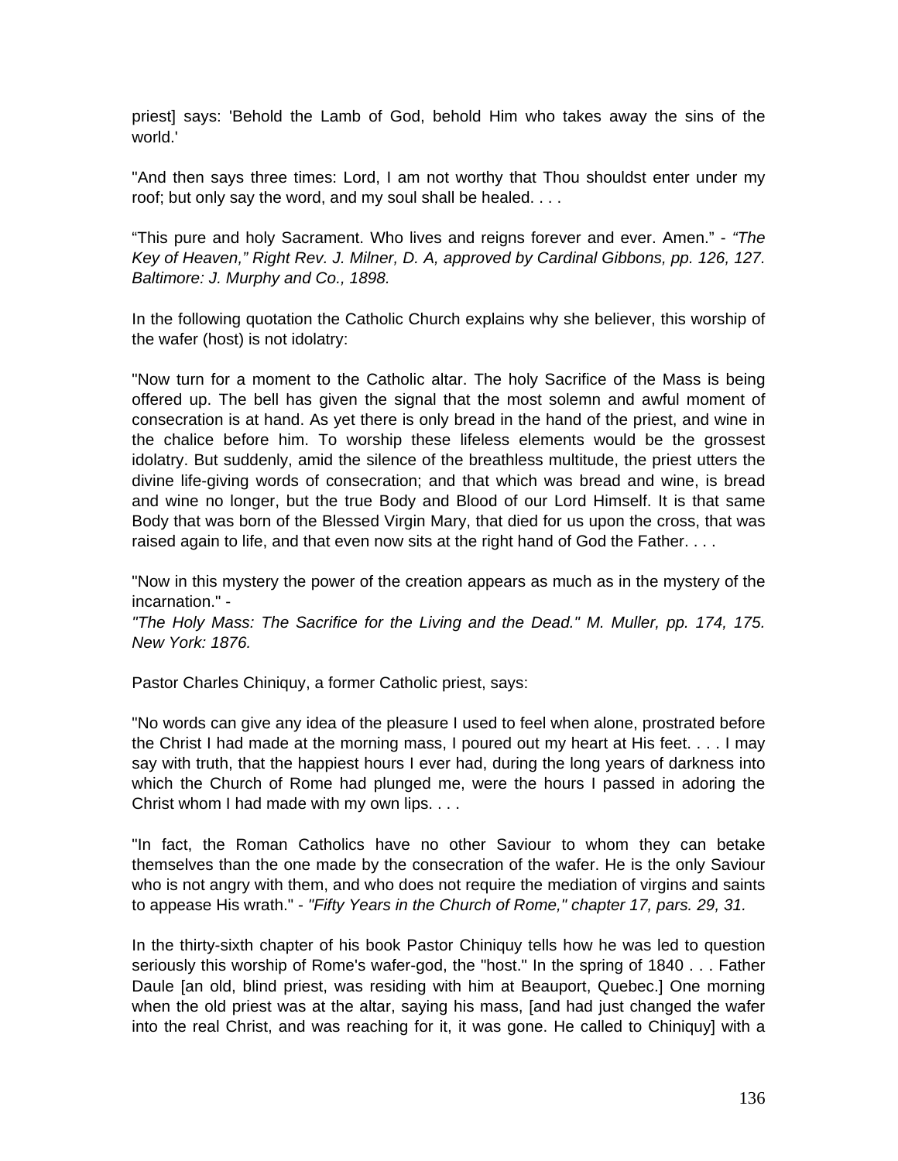priest] says: 'Behold the Lamb of God, behold Him who takes away the sins of the world.'

"And then says three times: Lord, I am not worthy that Thou shouldst enter under my roof; but only say the word, and my soul shall be healed. . . .

"This pure and holy Sacrament. Who lives and reigns forever and ever. Amen." - *"The Key of Heaven," Right Rev. J. Milner, D. A, approved by Cardinal Gibbons, pp. 126, 127. Baltimore: J. Murphy and Co., 1898.* 

In the following quotation the Catholic Church explains why she believer, this worship of the wafer (host) is not idolatry:

"Now turn for a moment to the Catholic altar. The holy Sacrifice of the Mass is being offered up. The bell has given the signal that the most solemn and awful moment of consecration is at hand. As yet there is only bread in the hand of the priest, and wine in the chalice before him. To worship these lifeless elements would be the grossest idolatry. But suddenly, amid the silence of the breathless multitude, the priest utters the divine life-giving words of consecration; and that which was bread and wine, is bread and wine no longer, but the true Body and Blood of our Lord Himself. It is that same Body that was born of the Blessed Virgin Mary, that died for us upon the cross, that was raised again to life, and that even now sits at the right hand of God the Father. . . .

"Now in this mystery the power of the creation appears as much as in the mystery of the incarnation." -

*"The Holy Mass: The Sacrifice for the Living and the Dead." M. Muller, pp. 174, 175. New York: 1876.* 

Pastor Charles Chiniquy, a former Catholic priest, says:

"No words can give any idea of the pleasure I used to feel when alone, prostrated before the Christ I had made at the morning mass, I poured out my heart at His feet. . . . I may say with truth, that the happiest hours I ever had, during the long years of darkness into which the Church of Rome had plunged me, were the hours I passed in adoring the Christ whom I had made with my own lips. . . .

"In fact, the Roman Catholics have no other Saviour to whom they can betake themselves than the one made by the consecration of the wafer. He is the only Saviour who is not angry with them, and who does not require the mediation of virgins and saints to appease His wrath." - *"Fifty Years in the Church of Rome," chapter 17, pars. 29, 31.* 

In the thirty-sixth chapter of his book Pastor Chiniquy tells how he was led to question seriously this worship of Rome's wafer-god, the "host." In the spring of 1840 . . . Father Daule [an old, blind priest, was residing with him at Beauport, Quebec.] One morning when the old priest was at the altar, saying his mass, [and had just changed the wafer into the real Christ, and was reaching for it, it was gone. He called to Chiniquy] with a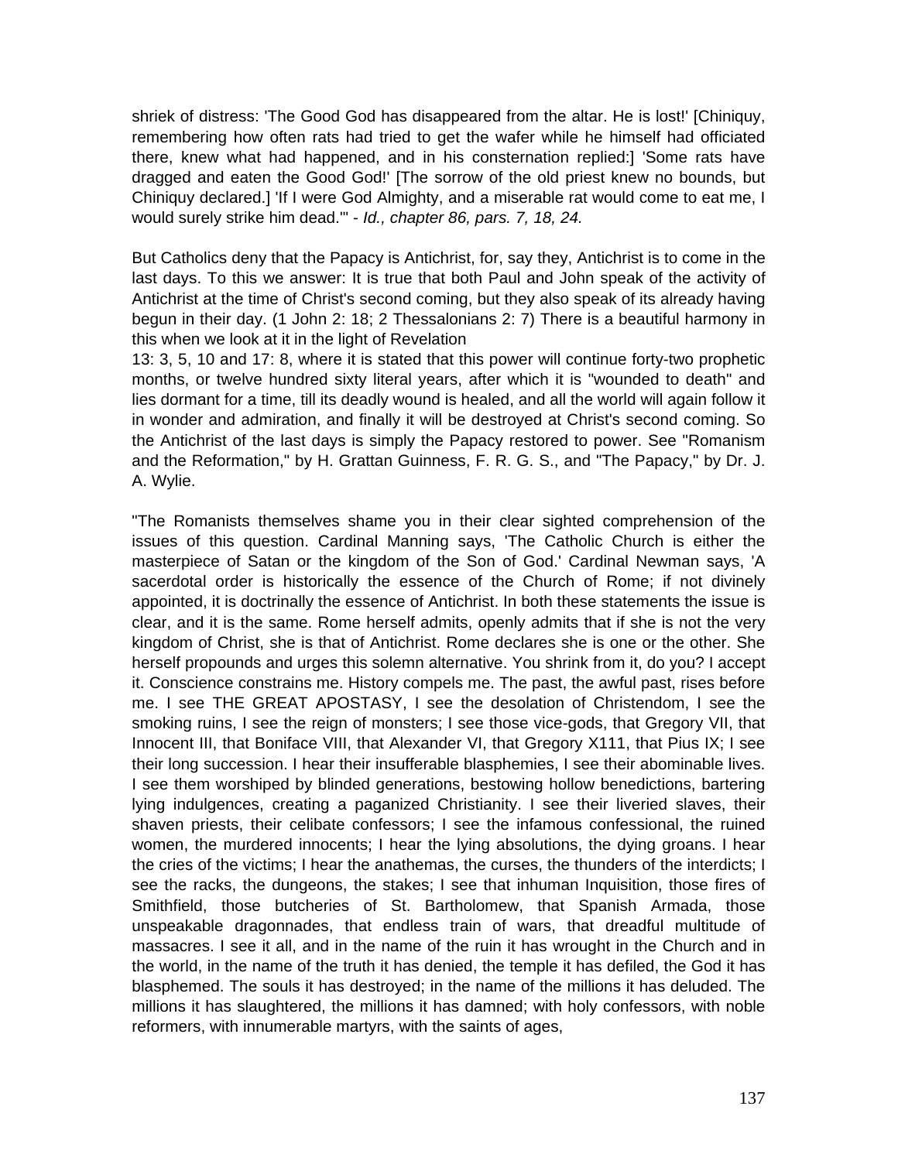shriek of distress: 'The Good God has disappeared from the altar. He is lost!' [Chiniquy, remembering how often rats had tried to get the wafer while he himself had officiated there, knew what had happened, and in his consternation replied:] 'Some rats have dragged and eaten the Good God!' [The sorrow of the old priest knew no bounds, but Chiniquy declared.] 'If I were God Almighty, and a miserable rat would come to eat me, I would surely strike him dead."' - *Id., chapter 86, pars. 7, 18, 24.* 

But Catholics deny that the Papacy is Antichrist, for, say they, Antichrist is to come in the last days. To this we answer: It is true that both Paul and John speak of the activity of Antichrist at the time of Christ's second coming, but they also speak of its already having begun in their day. (1 John 2: 18; 2 Thessalonians 2: 7) There is a beautiful harmony in this when we look at it in the light of Revelation

13: 3, 5, 10 and 17: 8, where it is stated that this power will continue forty-two prophetic months, or twelve hundred sixty literal years, after which it is "wounded to death" and lies dormant for a time, till its deadly wound is healed, and all the world will again follow it in wonder and admiration, and finally it will be destroyed at Christ's second coming. So the Antichrist of the last days is simply the Papacy restored to power. See "Romanism and the Reformation," by H. Grattan Guinness, F. R. G. S., and "The Papacy," by Dr. J. A. Wylie.

"The Romanists themselves shame you in their clear sighted comprehension of the issues of this question. Cardinal Manning says, 'The Catholic Church is either the masterpiece of Satan or the kingdom of the Son of God.' Cardinal Newman says, 'A sacerdotal order is historically the essence of the Church of Rome; if not divinely appointed, it is doctrinally the essence of Antichrist. In both these statements the issue is clear, and it is the same. Rome herself admits, openly admits that if she is not the very kingdom of Christ, she is that of Antichrist. Rome declares she is one or the other. She herself propounds and urges this solemn alternative. You shrink from it, do you? I accept it. Conscience constrains me. History compels me. The past, the awful past, rises before me. I see THE GREAT APOSTASY, I see the desolation of Christendom, I see the smoking ruins, I see the reign of monsters; I see those vice-gods, that Gregory VII, that Innocent III, that Boniface VIII, that Alexander VI, that Gregory X111, that Pius IX; I see their long succession. I hear their insufferable blasphemies, I see their abominable lives. I see them worshiped by blinded generations, bestowing hollow benedictions, bartering lying indulgences, creating a paganized Christianity. I see their liveried slaves, their shaven priests, their celibate confessors; I see the infamous confessional, the ruined women, the murdered innocents; I hear the lying absolutions, the dying groans. I hear the cries of the victims; I hear the anathemas, the curses, the thunders of the interdicts; I see the racks, the dungeons, the stakes; I see that inhuman Inquisition, those fires of Smithfield, those butcheries of St. Bartholomew, that Spanish Armada, those unspeakable dragonnades, that endless train of wars, that dreadful multitude of massacres. I see it all, and in the name of the ruin it has wrought in the Church and in the world, in the name of the truth it has denied, the temple it has defiled, the God it has blasphemed. The souls it has destroyed; in the name of the millions it has deluded. The millions it has slaughtered, the millions it has damned; with holy confessors, with noble reformers, with innumerable martyrs, with the saints of ages,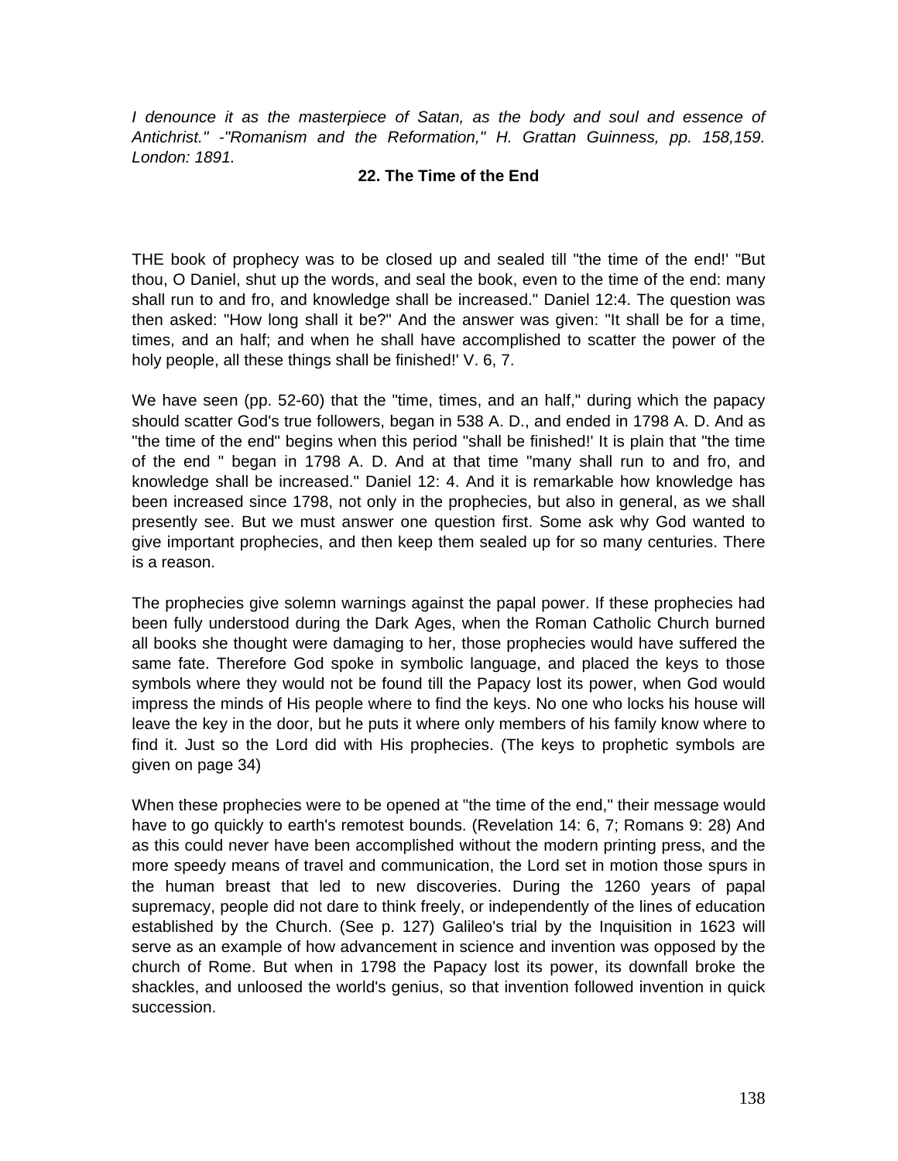*I denounce it as the masterpiece of Satan, as the body and soul and essence of Antichrist." -"Romanism and the Reformation," H. Grattan Guinness, pp. 158,159. London: 1891.* 

#### **22. The Time of the End**

THE book of prophecy was to be closed up and sealed till "the time of the end!' "But thou, O Daniel, shut up the words, and seal the book, even to the time of the end: many shall run to and fro, and knowledge shall be increased." Daniel 12:4. The question was then asked: "How long shall it be?" And the answer was given: "It shall be for a time, times, and an half; and when he shall have accomplished to scatter the power of the holy people, all these things shall be finished!' V. 6, 7.

We have seen (pp. 52-60) that the "time, times, and an half," during which the papacy should scatter God's true followers, began in 538 A. D., and ended in 1798 A. D. And as "the time of the end" begins when this period "shall be finished!' It is plain that "the time of the end " began in 1798 A. D. And at that time "many shall run to and fro, and knowledge shall be increased." Daniel 12: 4. And it is remarkable how knowledge has been increased since 1798, not only in the prophecies, but also in general, as we shall presently see. But we must answer one question first. Some ask why God wanted to give important prophecies, and then keep them sealed up for so many centuries. There is a reason.

The prophecies give solemn warnings against the papal power. If these prophecies had been fully understood during the Dark Ages, when the Roman Catholic Church burned all books she thought were damaging to her, those prophecies would have suffered the same fate. Therefore God spoke in symbolic language, and placed the keys to those symbols where they would not be found till the Papacy lost its power, when God would impress the minds of His people where to find the keys. No one who locks his house will leave the key in the door, but he puts it where only members of his family know where to find it. Just so the Lord did with His prophecies. (The keys to prophetic symbols are given on page 34)

When these prophecies were to be opened at "the time of the end," their message would have to go quickly to earth's remotest bounds. (Revelation 14: 6, 7; Romans 9: 28) And as this could never have been accomplished without the modern printing press, and the more speedy means of travel and communication, the Lord set in motion those spurs in the human breast that led to new discoveries. During the 1260 years of papal supremacy, people did not dare to think freely, or independently of the lines of education established by the Church. (See p. 127) Galileo's trial by the Inquisition in 1623 will serve as an example of how advancement in science and invention was opposed by the church of Rome. But when in 1798 the Papacy lost its power, its downfall broke the shackles, and unloosed the world's genius, so that invention followed invention in quick succession.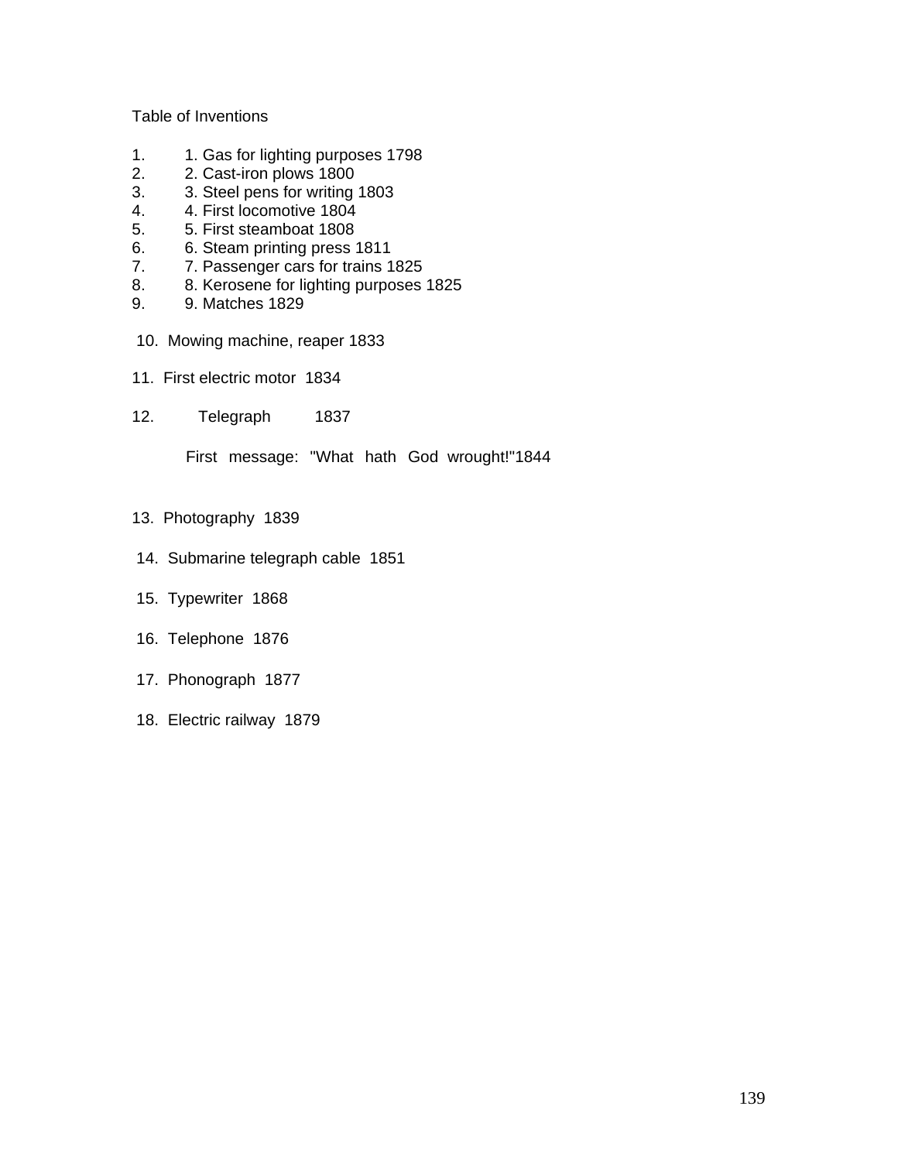Table of Inventions

- 1. 1. Gas for lighting purposes 1798<br>2. 2. Cast-iron plows 1800
- 2. 2. Cast-iron plows 1800
- 3. 3. Steel pens for writing 1803
- 4. 4. First locomotive 1804
- 5. 5. First steamboat 1808
- 6. 6. Steam printing press 1811
- 7. 7. Passenger cars for trains 1825
- 8. 8. Kerosene for lighting purposes 1825
- 9. 9. Matches 1829
- 10. Mowing machine, reaper 1833
- 11. First electric motor 1834
- 12. Telegraph 1837

First message: "What hath God wrought!"1844

- 13. Photography 1839
- 14. Submarine telegraph cable 1851
- 15. Typewriter 1868
- 16. Telephone 1876
- 17. Phonograph 1877
- 18. Electric railway 1879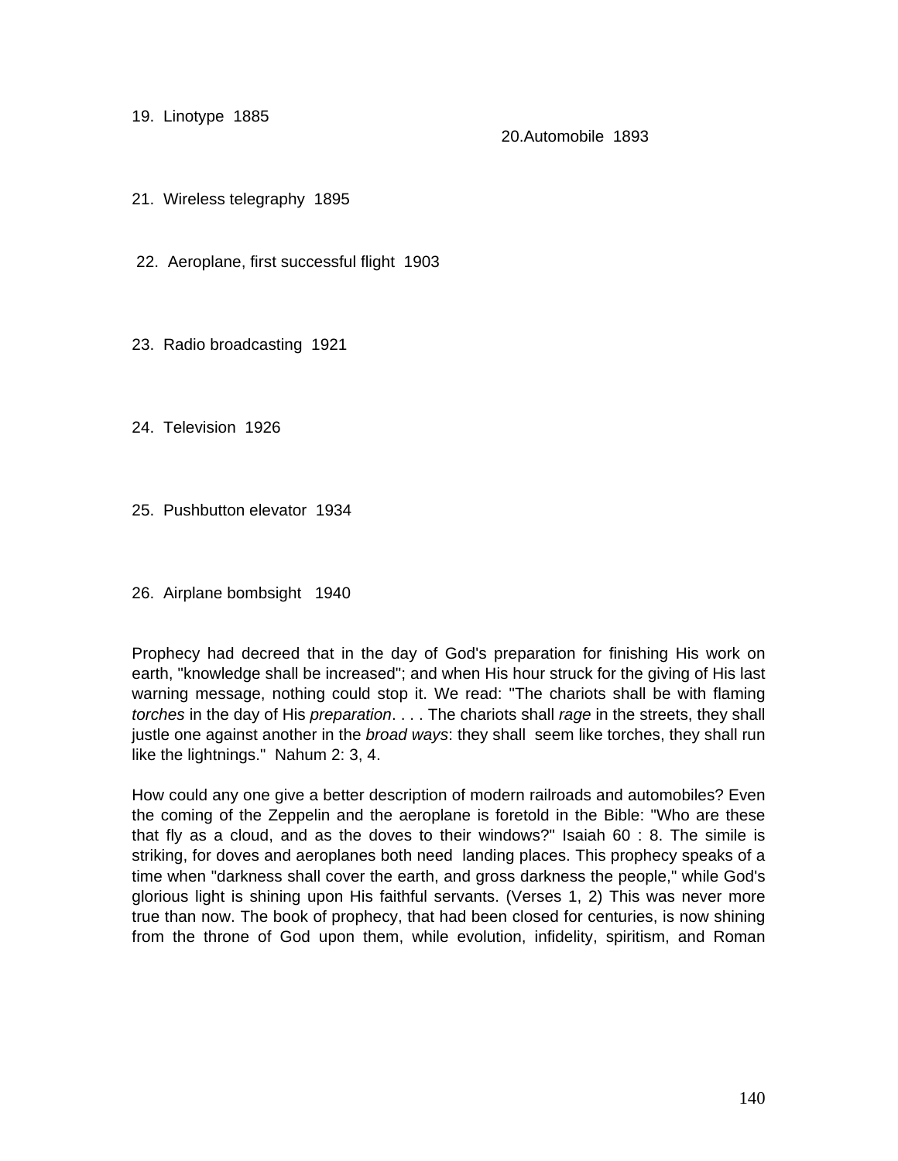19. Linotype 1885

20.Automobile 1893

21. Wireless telegraphy 1895

22. Aeroplane, first successful flight 1903

23. Radio broadcasting 1921

24. Television 1926

25. Pushbutton elevator 1934

26. Airplane bombsight 1940

Prophecy had decreed that in the day of God's preparation for finishing His work on earth, "knowledge shall be increased"; and when His hour struck for the giving of His last warning message, nothing could stop it. We read: "The chariots shall be with flaming *torches* in the day of His *preparation*. . . . The chariots shall *rage* in the streets, they shall justle one against another in the *broad ways*: they shall seem like torches, they shall run like the lightnings." Nahum 2: 3, 4.

How could any one give a better description of modern railroads and automobiles? Even the coming of the Zeppelin and the aeroplane is foretold in the Bible: "Who are these that fly as a cloud, and as the doves to their windows?" Isaiah 60 : 8. The simile is striking, for doves and aeroplanes both need landing places. This prophecy speaks of a time when "darkness shall cover the earth, and gross darkness the people," while God's glorious light is shining upon His faithful servants. (Verses 1, 2) This was never more true than now. The book of prophecy, that had been closed for centuries, is now shining from the throne of God upon them, while evolution, infidelity, spiritism, and Roman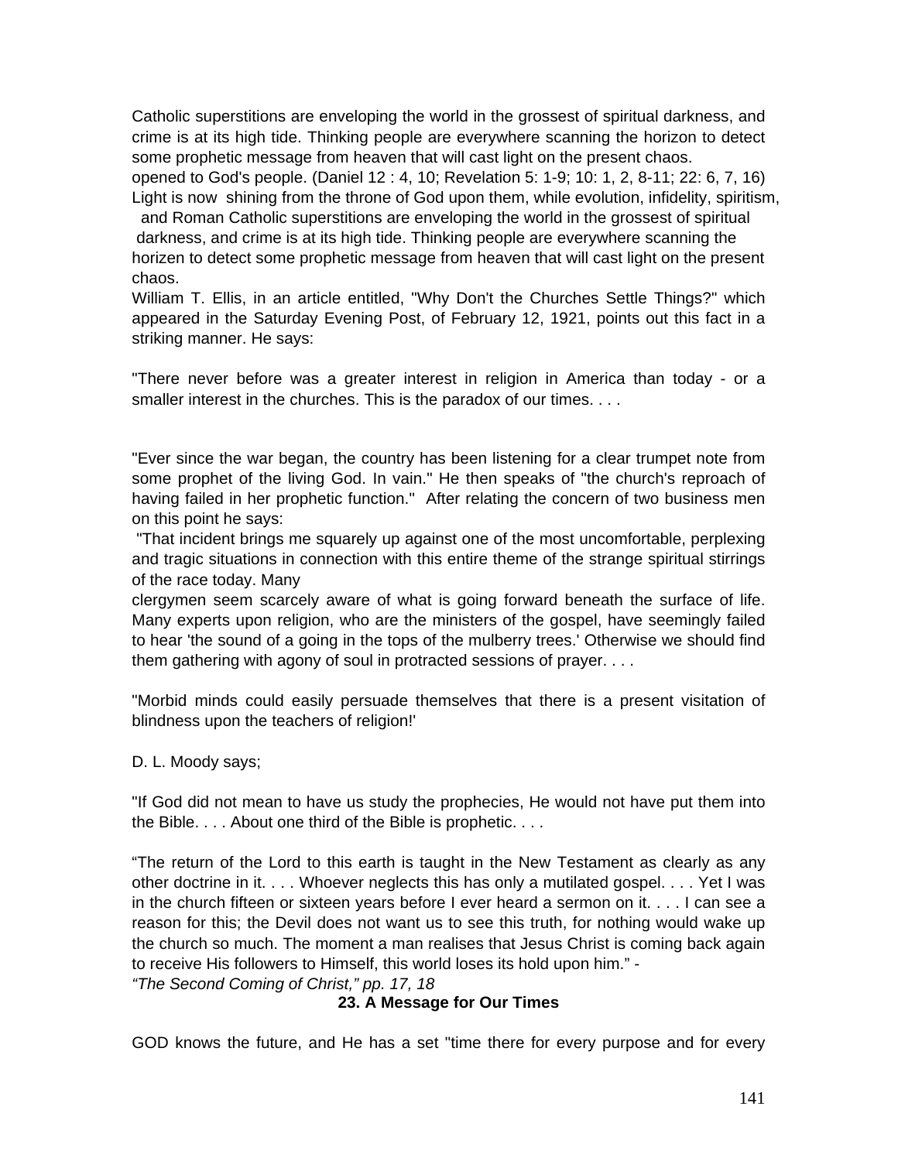Catholic superstitions are enveloping the world in the grossest of spiritual darkness, and crime is at its high tide. Thinking people are everywhere scanning the horizon to detect some prophetic message from heaven that will cast light on the present chaos. opened to God's people. (Daniel 12 : 4, 10; Revelation 5: 1-9; 10: 1, 2, 8-11; 22: 6, 7, 16) Light is now shining from the throne of God upon them, while evolution, infidelity, spiritism,

and Roman Catholic superstitions are enveloping the world in the grossest of spiritual darkness, and crime is at its high tide. Thinking people are everywhere scanning the horizen to detect some prophetic message from heaven that will cast light on the present chaos.

William T. Ellis, in an article entitled, "Why Don't the Churches Settle Things?" which appeared in the Saturday Evening Post, of February 12, 1921, points out this fact in a striking manner. He says:

"There never before was a greater interest in religion in America than today - or a smaller interest in the churches. This is the paradox of our times. . . .

"Ever since the war began, the country has been listening for a clear trumpet note from some prophet of the living God. In vain." He then speaks of "the church's reproach of having failed in her prophetic function." After relating the concern of two business men on this point he says:

 "That incident brings me squarely up against one of the most uncomfortable, perplexing and tragic situations in connection with this entire theme of the strange spiritual stirrings of the race today. Many

clergymen seem scarcely aware of what is going forward beneath the surface of life. Many experts upon religion, who are the ministers of the gospel, have seemingly failed to hear 'the sound of a going in the tops of the mulberry trees.' Otherwise we should find them gathering with agony of soul in protracted sessions of prayer. . . .

"Morbid minds could easily persuade themselves that there is a present visitation of blindness upon the teachers of religion!'

D. L. Moody says;

"If God did not mean to have us study the prophecies, He would not have put them into the Bible. . . . About one third of the Bible is prophetic. . . .

"The return of the Lord to this earth is taught in the New Testament as clearly as any other doctrine in it. . . . Whoever neglects this has only a mutilated gospel. . . . Yet I was in the church fifteen or sixteen years before I ever heard a sermon on it. . . . I can see a reason for this; the Devil does not want us to see this truth, for nothing would wake up the church so much. The moment a man realises that Jesus Christ is coming back again to receive His followers to Himself, this world loses its hold upon him." -

*"The Second Coming of Christ," pp. 17, 18* 

# **23. A Message for Our Times**

GOD knows the future, and He has a set "time there for every purpose and for every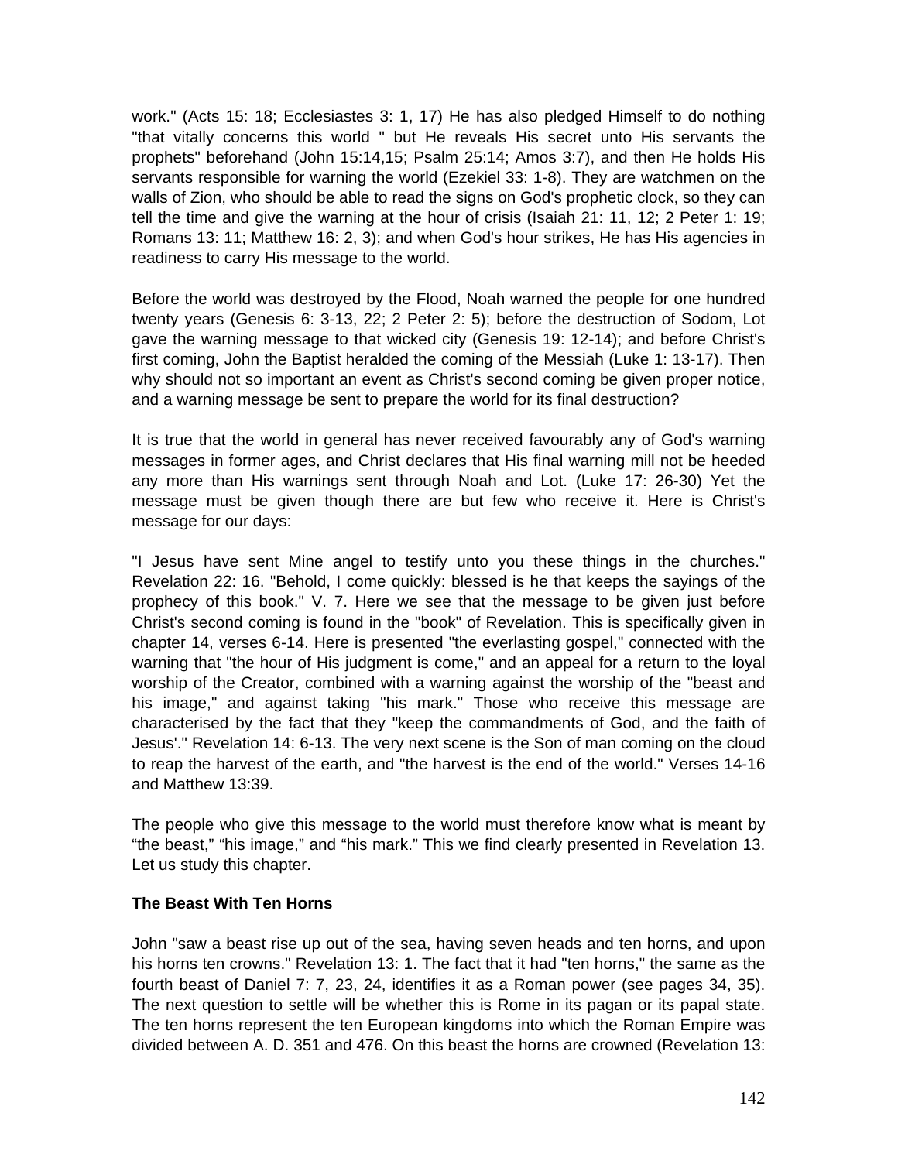work." (Acts 15: 18; Ecclesiastes 3: 1, 17) He has also pledged Himself to do nothing "that vitally concerns this world " but He reveals His secret unto His servants the prophets" beforehand (John 15:14,15; Psalm 25:14; Amos 3:7), and then He holds His servants responsible for warning the world (Ezekiel 33: 1-8). They are watchmen on the walls of Zion, who should be able to read the signs on God's prophetic clock, so they can tell the time and give the warning at the hour of crisis (Isaiah 21: 11, 12; 2 Peter 1: 19; Romans 13: 11; Matthew 16: 2, 3); and when God's hour strikes, He has His agencies in readiness to carry His message to the world.

Before the world was destroyed by the Flood, Noah warned the people for one hundred twenty years (Genesis 6: 3-13, 22; 2 Peter 2: 5); before the destruction of Sodom, Lot gave the warning message to that wicked city (Genesis 19: 12-14); and before Christ's first coming, John the Baptist heralded the coming of the Messiah (Luke 1: 13-17). Then why should not so important an event as Christ's second coming be given proper notice, and a warning message be sent to prepare the world for its final destruction?

It is true that the world in general has never received favourably any of God's warning messages in former ages, and Christ declares that His final warning mill not be heeded any more than His warnings sent through Noah and Lot. (Luke 17: 26-30) Yet the message must be given though there are but few who receive it. Here is Christ's message for our days:

"I Jesus have sent Mine angel to testify unto you these things in the churches." Revelation 22: 16. "Behold, I come quickly: blessed is he that keeps the sayings of the prophecy of this book." V. 7. Here we see that the message to be given just before Christ's second coming is found in the "book" of Revelation. This is specifically given in chapter 14, verses 6-14. Here is presented "the everlasting gospel," connected with the warning that "the hour of His judgment is come," and an appeal for a return to the loyal worship of the Creator, combined with a warning against the worship of the "beast and his image," and against taking "his mark." Those who receive this message are characterised by the fact that they "keep the commandments of God, and the faith of Jesus'." Revelation 14: 6-13. The very next scene is the Son of man coming on the cloud to reap the harvest of the earth, and "the harvest is the end of the world." Verses 14-16 and Matthew 13:39.

The people who give this message to the world must therefore know what is meant by "the beast," "his image," and "his mark." This we find clearly presented in Revelation 13. Let us study this chapter.

### **The Beast With Ten Horns**

John "saw a beast rise up out of the sea, having seven heads and ten horns, and upon his horns ten crowns." Revelation 13: 1. The fact that it had "ten horns," the same as the fourth beast of Daniel 7: 7, 23, 24, identifies it as a Roman power (see pages 34, 35). The next question to settle will be whether this is Rome in its pagan or its papal state. The ten horns represent the ten European kingdoms into which the Roman Empire was divided between A. D. 351 and 476. On this beast the horns are crowned (Revelation 13: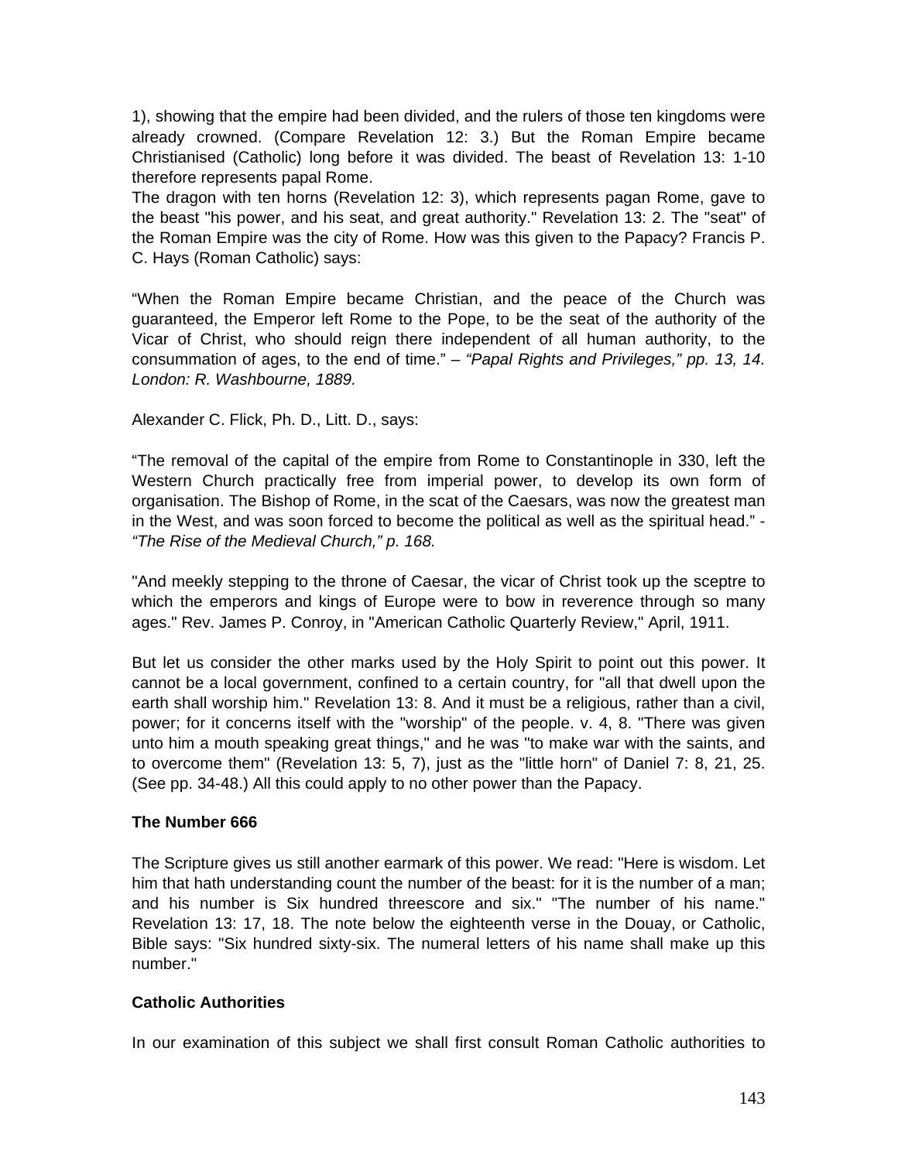1), showing that the empire had been divided, and the rulers of those ten kingdoms were already crowned. (Compare Revelation 12: 3.) But the Roman Empire became Christianised (Catholic) long before it was divided. The beast of Revelation 13: 1-10 therefore represents papal Rome.

The dragon with ten horns (Revelation 12: 3), which represents pagan Rome, gave to the beast "his power, and his seat, and great authority." Revelation 13: 2. The "seat" of the Roman Empire was the city of Rome. How was this given to the Papacy? Francis P. C. Hays (Roman Catholic) says:

"When the Roman Empire became Christian, and the peace of the Church was guaranteed, the Emperor left Rome to the Pope, to be the seat of the authority of the Vicar of Christ, who should reign there independent of all human authority, to the consummation of ages, to the end of time." – *"Papal Rights and Privileges," pp. 13, 14. London: R. Washbourne, 1889.* 

Alexander C. Flick, Ph. D., Litt. D., says:

"The removal of the capital of the empire from Rome to Constantinople in 330, left the Western Church practically free from imperial power, to develop its own form of organisation. The Bishop of Rome, in the scat of the Caesars, was now the greatest man in the West, and was soon forced to become the political as well as the spiritual head." - *"The Rise of the Medieval Church," p. 168.* 

"And meekly stepping to the throne of Caesar, the vicar of Christ took up the sceptre to which the emperors and kings of Europe were to bow in reverence through so many ages." Rev. James P. Conroy, in "American Catholic Quarterly Review," April, 1911.

But let us consider the other marks used by the Holy Spirit to point out this power. It cannot be a local government, confined to a certain country, for "all that dwell upon the earth shall worship him." Revelation 13: 8. And it must be a religious, rather than a civil, power; for it concerns itself with the "worship" of the people. v. 4, 8. "There was given unto him a mouth speaking great things," and he was "to make war with the saints, and to overcome them" (Revelation 13: 5, 7), just as the "little horn" of Daniel 7: 8, 21, 25. (See pp. 34-48.) All this could apply to no other power than the Papacy.

### **The Number 666**

The Scripture gives us still another earmark of this power. We read: "Here is wisdom. Let him that hath understanding count the number of the beast: for it is the number of a man; and his number is Six hundred threescore and six." "The number of his name." Revelation 13: 17, 18. The note below the eighteenth verse in the Douay, or Catholic, Bible says: "Six hundred sixty-six. The numeral letters of his name shall make up this number."

### **Catholic Authorities**

In our examination of this subject we shall first consult Roman Catholic authorities to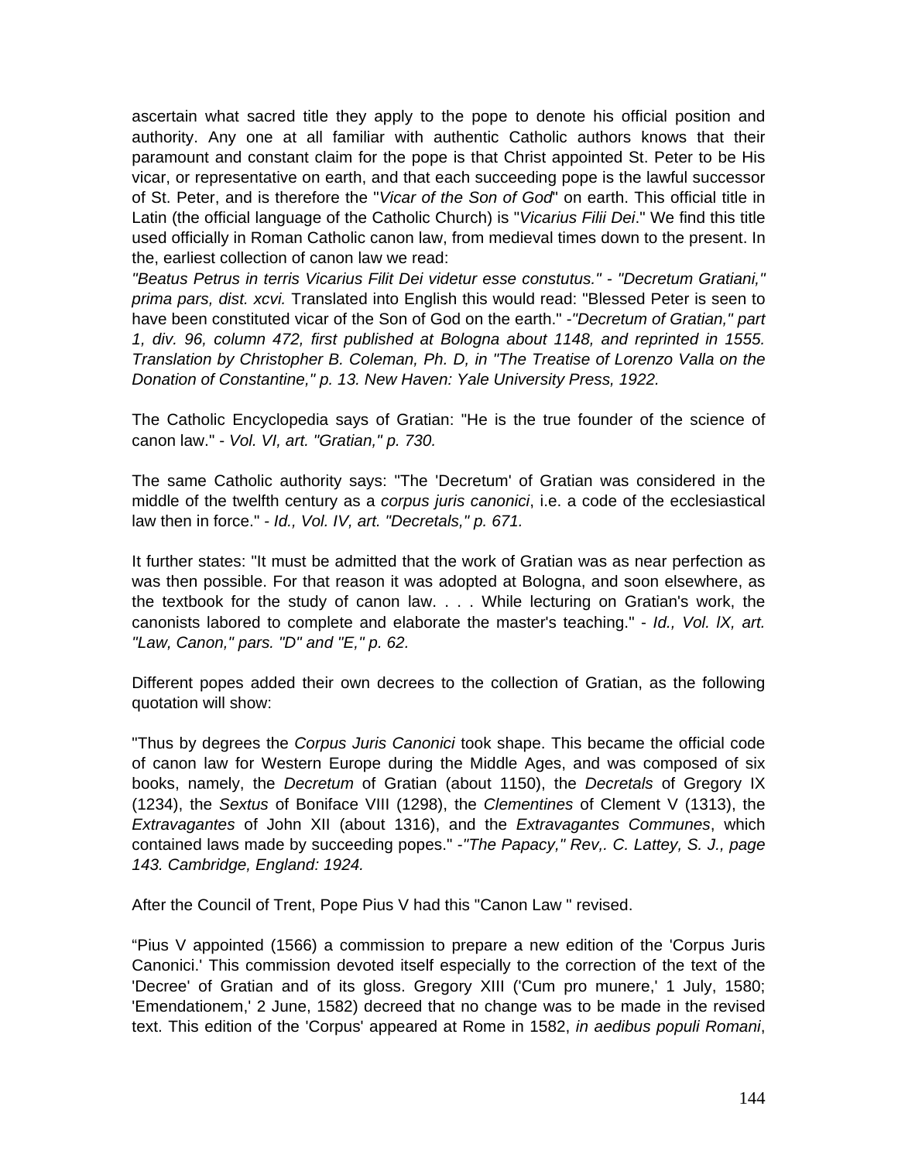ascertain what sacred title they apply to the pope to denote his official position and authority. Any one at all familiar with authentic Catholic authors knows that their paramount and constant claim for the pope is that Christ appointed St. Peter to be His vicar, or representative on earth, and that each succeeding pope is the lawful successor of St. Peter, and is therefore the "*Vicar of the Son of God*" on earth. This official title in Latin (the official language of the Catholic Church) is "*Vicarius Filii Dei*." We find this title used officially in Roman Catholic canon law, from medieval times down to the present. In the, earliest collection of canon law we read:

*"Beatus Petrus in terris Vicarius Filit Dei videtur esse constutus." - "Decretum Gratiani," prima pars, dist. xcvi.* Translated into English this would read: "Blessed Peter is seen to have been constituted vicar of the Son of God on the earth." -*"Decretum of Gratian," part 1, div. 96, column 472, first published at Bologna about 1148, and reprinted in 1555. Translation by Christopher B. Coleman, Ph. D, in "The Treatise of Lorenzo Valla on the Donation of Constantine," p. 13. New Haven: Yale University Press, 1922.* 

The Catholic Encyclopedia says of Gratian: "He is the true founder of the science of canon law." - *Vol. VI, art. "Gratian," p. 730.* 

The same Catholic authority says: "The 'Decretum' of Gratian was considered in the middle of the twelfth century as a *corpus juris canonici*, i.e. a code of the ecclesiastical law then in force." *- Id., Vol. IV, art. "Decretals," p. 671.* 

It further states: "It must be admitted that the work of Gratian was as near perfection as was then possible. For that reason it was adopted at Bologna, and soon elsewhere, as the textbook for the study of canon law. . . . While lecturing on Gratian's work, the canonists labored to complete and elaborate the master's teaching." - *Id., Vol. lX, art. "Law, Canon," pars. "D" and "E," p. 62.* 

Different popes added their own decrees to the collection of Gratian, as the following quotation will show:

"Thus by degrees the *Corpus Juris Canonici* took shape. This became the official code of canon law for Western Europe during the Middle Ages, and was composed of six books, namely, the *Decretum* of Gratian (about 1150), the *Decretals* of Gregory IX (1234), the *Sextus* of Boniface VIII (1298), the *Clementines* of Clement V (1313), the *Extravagantes* of John XII (about 1316), and the *Extravagantes Communes*, which contained laws made by succeeding popes." -*"The Papacy," Rev,. C. Lattey, S. J., page 143. Cambridge, England: 1924.* 

After the Council of Trent, Pope Pius V had this "Canon Law " revised.

"Pius V appointed (1566) a commission to prepare a new edition of the 'Corpus Juris Canonici.' This commission devoted itself especially to the correction of the text of the 'Decree' of Gratian and of its gloss. Gregory XIII ('Cum pro munere,' 1 July, 1580; 'Emendationem,' 2 June, 1582) decreed that no change was to be made in the revised text. This edition of the 'Corpus' appeared at Rome in 1582, *in aedibus populi Romani*,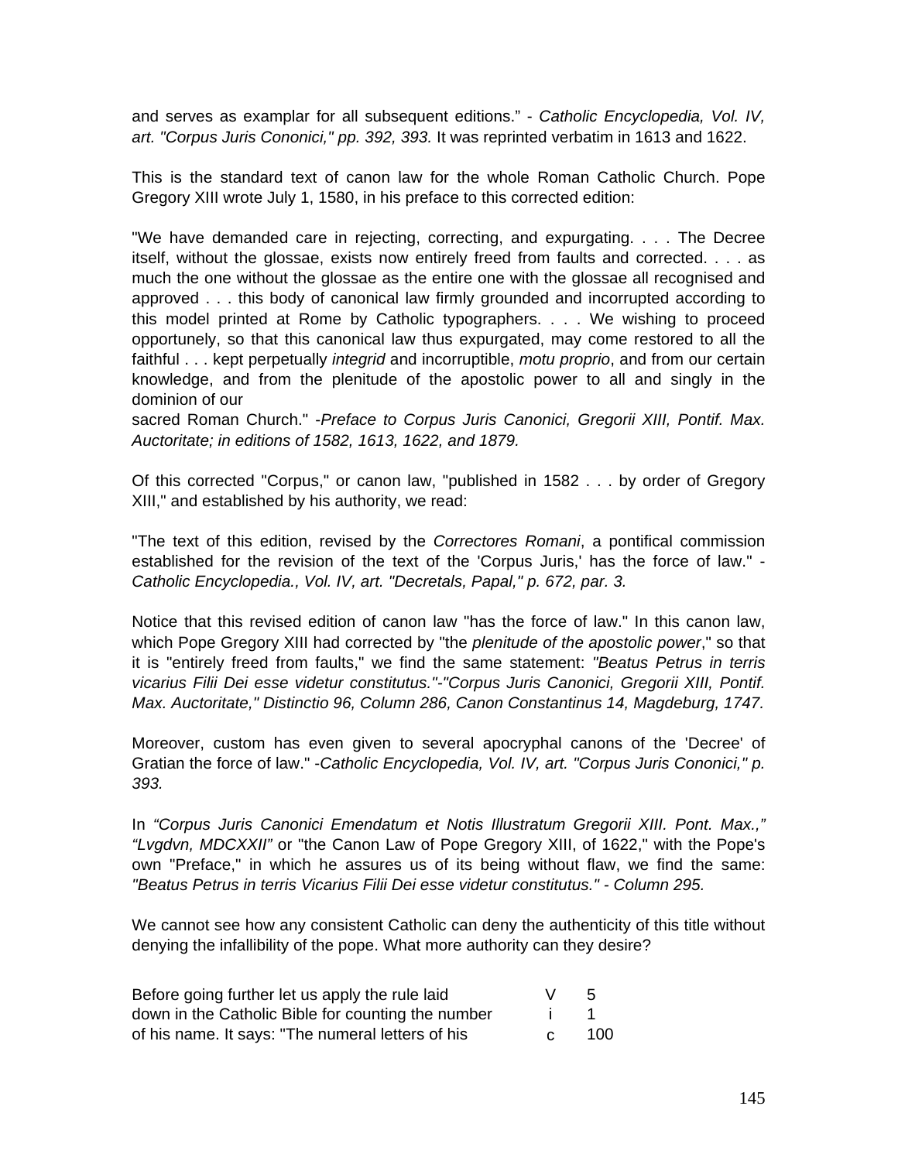and serves as examplar for all subsequent editions." - *Catholic Encyclopedia, Vol. IV, art. "Corpus Juris Cononici," pp. 392, 393.* It was reprinted verbatim in 1613 and 1622.

This is the standard text of canon law for the whole Roman Catholic Church. Pope Gregory XIII wrote July 1, 1580, in his preface to this corrected edition:

"We have demanded care in rejecting, correcting, and expurgating. . . . The Decree itself, without the glossae, exists now entirely freed from faults and corrected. . . . as much the one without the glossae as the entire one with the glossae all recognised and approved . . . this body of canonical law firmly grounded and incorrupted according to this model printed at Rome by Catholic typographers. . . . We wishing to proceed opportunely, so that this canonical law thus expurgated, may come restored to all the faithful . . . kept perpetually *integrid* and incorruptible, *motu proprio*, and from our certain knowledge, and from the plenitude of the apostolic power to all and singly in the dominion of our

sacred Roman Church." -*Preface to Corpus Juris Canonici, Gregorii XIII, Pontif. Max. Auctoritate; in editions of 1582, 1613, 1622, and 1879.* 

Of this corrected "Corpus," or canon law, "published in 1582 . . . by order of Gregory XIII," and established by his authority, we read:

"The text of this edition, revised by the *Correctores Romani*, a pontifical commission established for the revision of the text of the 'Corpus Juris,' has the force of law." - *Catholic Encyclopedia., Vol. IV, art. "Decretals, Papal," p. 672, par. 3.* 

Notice that this revised edition of canon law "has the force of law." In this canon law, which Pope Gregory XIII had corrected by "the *plenitude of the apostolic power*," so that it is "entirely freed from faults," we find the same statement: *"Beatus Petrus in terris vicarius Filii Dei esse videtur constitutus."-"Corpus Juris Canonici, Gregorii XIII, Pontif. Max. Auctoritate," Distinctio 96, Column 286, Canon Constantinus 14, Magdeburg, 1747.* 

Moreover, custom has even given to several apocryphal canons of the 'Decree' of Gratian the force of law." -*Catholic Encyclopedia, Vol. IV, art. "Corpus Juris Cononici," p. 393.* 

In *"Corpus Juris Canonici Emendatum et Notis Illustratum Gregorii XIII. Pont. Max.," "Lvgdvn, MDCXXII"* or "the Canon Law of Pope Gregory XIII, of 1622," with the Pope's own "Preface," in which he assures us of its being without flaw, we find the same: *"Beatus Petrus in terris Vicarius Filii Dei esse videtur constitutus." - Column 295.* 

We cannot see how any consistent Catholic can deny the authenticity of this title without denying the infallibility of the pope. What more authority can they desire?

| Before going further let us apply the rule laid    |              | -5  |
|----------------------------------------------------|--------------|-----|
| down in the Catholic Bible for counting the number |              |     |
| of his name. It says: "The numeral letters of his  | $\mathbf{c}$ | 100 |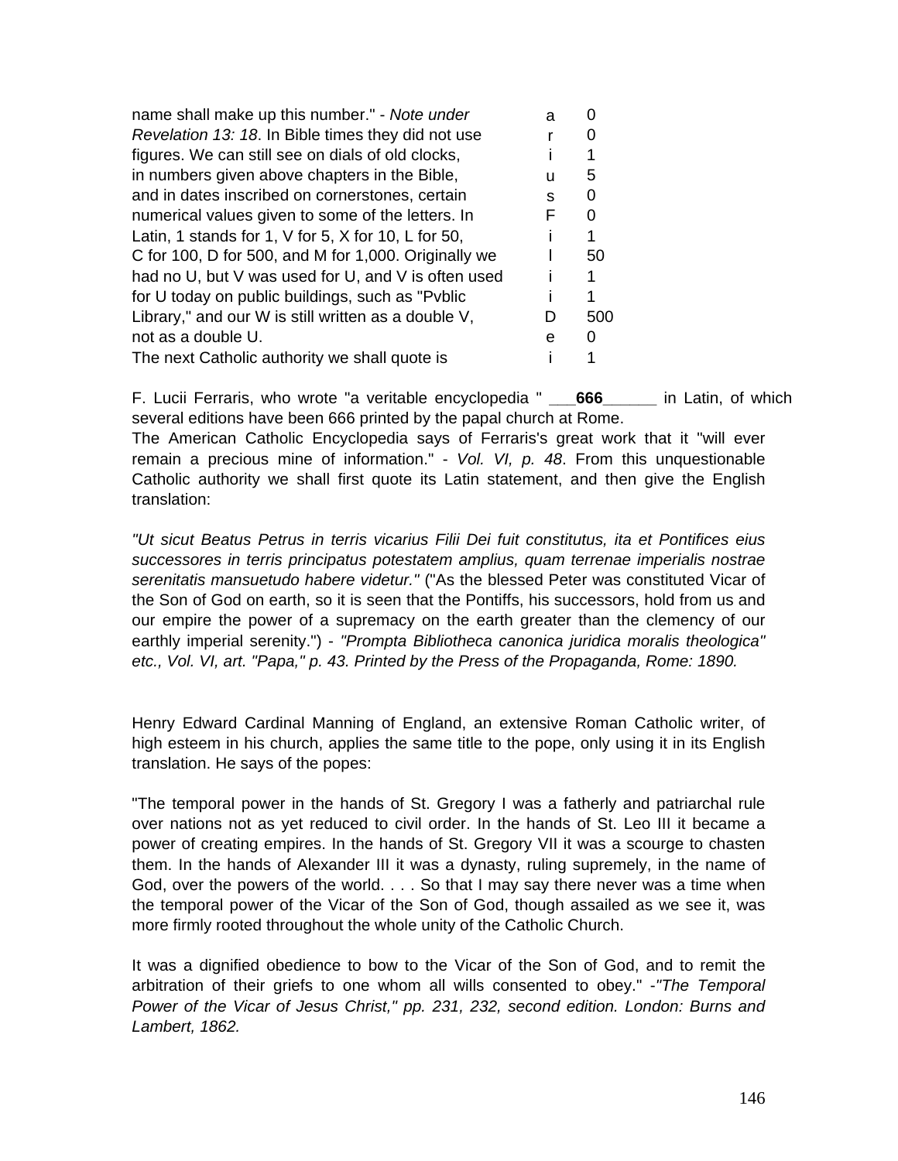| name shall make up this number." - Note under             | а |     |
|-----------------------------------------------------------|---|-----|
| Revelation 13: 18. In Bible times they did not use        |   |     |
| figures. We can still see on dials of old clocks,         |   |     |
| in numbers given above chapters in the Bible,             | u | 5   |
| and in dates inscribed on cornerstones, certain           | s |     |
| numerical values given to some of the letters. In         |   |     |
| Latin, 1 stands for 1, $V$ for 5, $X$ for 10, $L$ for 50, |   |     |
| C for 100, D for 500, and M for 1,000. Originally we      |   | 50  |
| had no U, but V was used for U, and V is often used       |   |     |
| for U today on public buildings, such as "Pyblic"         |   |     |
| Library," and our W is still written as a double V,       | D | 500 |
| not as a double U.                                        | e |     |
| The next Catholic authority we shall quote is             |   |     |

F. Lucii Ferraris, who wrote "a veritable encyclopedia " **\_\_\_666\_\_\_\_\_\_** in Latin, of which several editions have been 666 printed by the papal church at Rome.

The American Catholic Encyclopedia says of Ferraris's great work that it "will ever remain a precious mine of information." - *Vol. VI, p. 48*. From this unquestionable Catholic authority we shall first quote its Latin statement, and then give the English translation:

*"Ut sicut Beatus Petrus in terris vicarius Filii Dei fuit constitutus, ita et Pontifices eius successores in terris principatus potestatem amplius, quam terrenae imperialis nostrae serenitatis mansuetudo habere videtur."* ("As the blessed Peter was constituted Vicar of the Son of God on earth, so it is seen that the Pontiffs, his successors, hold from us and our empire the power of a supremacy on the earth greater than the clemency of our earthly imperial serenity.") - *"Prompta Bibliotheca canonica juridica moralis theologica" etc., Vol. VI, art. "Papa," p. 43. Printed by the Press of the Propaganda, Rome: 1890.* 

Henry Edward Cardinal Manning of England, an extensive Roman Catholic writer, of high esteem in his church, applies the same title to the pope, only using it in its English translation. He says of the popes:

"The temporal power in the hands of St. Gregory I was a fatherly and patriarchal rule over nations not as yet reduced to civil order. In the hands of St. Leo III it became a power of creating empires. In the hands of St. Gregory VII it was a scourge to chasten them. In the hands of Alexander III it was a dynasty, ruling supremely, in the name of God, over the powers of the world. . . . So that I may say there never was a time when the temporal power of the Vicar of the Son of God, though assailed as we see it, was more firmly rooted throughout the whole unity of the Catholic Church.

It was a dignified obedience to bow to the Vicar of the Son of God, and to remit the arbitration of their griefs to one whom all wills consented to obey." -*"The Temporal Power of the Vicar of Jesus Christ," pp. 231, 232, second edition. London: Burns and Lambert, 1862.*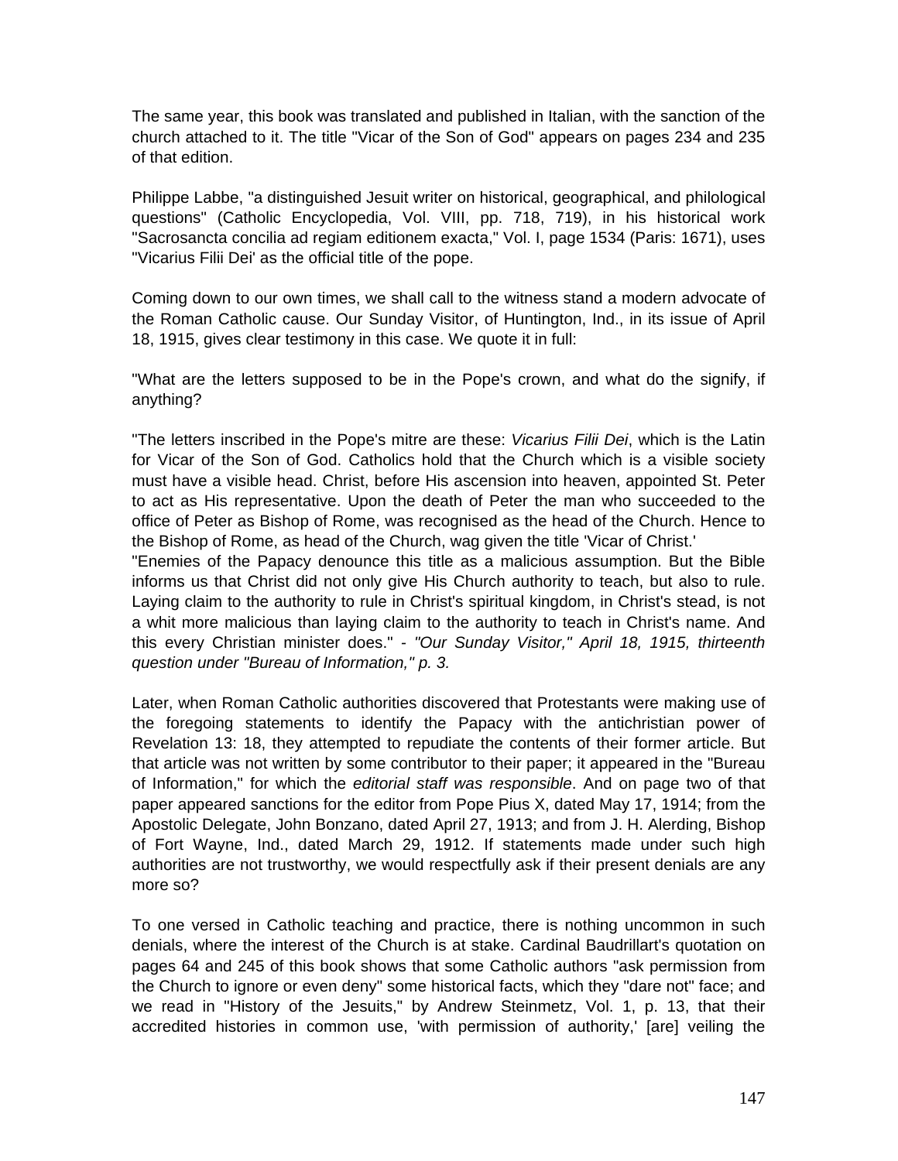The same year, this book was translated and published in Italian, with the sanction of the church attached to it. The title "Vicar of the Son of God" appears on pages 234 and 235 of that edition.

Philippe Labbe, "a distinguished Jesuit writer on historical, geographical, and philological questions" (Catholic Encyclopedia, Vol. VIII, pp. 718, 719), in his historical work "Sacrosancta concilia ad regiam editionem exacta," Vol. I, page 1534 (Paris: 1671), uses "Vicarius Filii Dei' as the official title of the pope.

Coming down to our own times, we shall call to the witness stand a modern advocate of the Roman Catholic cause. Our Sunday Visitor, of Huntington, Ind., in its issue of April 18, 1915, gives clear testimony in this case. We quote it in full:

"What are the letters supposed to be in the Pope's crown, and what do the signify, if anything?

"The letters inscribed in the Pope's mitre are these: *Vicarius Filii Dei*, which is the Latin for Vicar of the Son of God. Catholics hold that the Church which is a visible society must have a visible head. Christ, before His ascension into heaven, appointed St. Peter to act as His representative. Upon the death of Peter the man who succeeded to the office of Peter as Bishop of Rome, was recognised as the head of the Church. Hence to the Bishop of Rome, as head of the Church, wag given the title 'Vicar of Christ.'

"Enemies of the Papacy denounce this title as a malicious assumption. But the Bible informs us that Christ did not only give His Church authority to teach, but also to rule. Laying claim to the authority to rule in Christ's spiritual kingdom, in Christ's stead, is not a whit more malicious than laying claim to the authority to teach in Christ's name. And this every Christian minister does." *- "Our Sunday Visitor," April 18, 1915, thirteenth question under "Bureau of Information," p. 3.* 

Later, when Roman Catholic authorities discovered that Protestants were making use of the foregoing statements to identify the Papacy with the antichristian power of Revelation 13: 18, they attempted to repudiate the contents of their former article. But that article was not written by some contributor to their paper; it appeared in the "Bureau of Information," for which the *editorial staff was responsible*. And on page two of that paper appeared sanctions for the editor from Pope Pius X, dated May 17, 1914; from the Apostolic Delegate, John Bonzano, dated April 27, 1913; and from J. H. Alerding, Bishop of Fort Wayne, Ind., dated March 29, 1912. If statements made under such high authorities are not trustworthy, we would respectfully ask if their present denials are any more so?

To one versed in Catholic teaching and practice, there is nothing uncommon in such denials, where the interest of the Church is at stake. Cardinal Baudrillart's quotation on pages 64 and 245 of this book shows that some Catholic authors "ask permission from the Church to ignore or even deny" some historical facts, which they "dare not" face; and we read in "History of the Jesuits," by Andrew Steinmetz, Vol. 1, p. 13, that their accredited histories in common use, 'with permission of authority,' [are] veiling the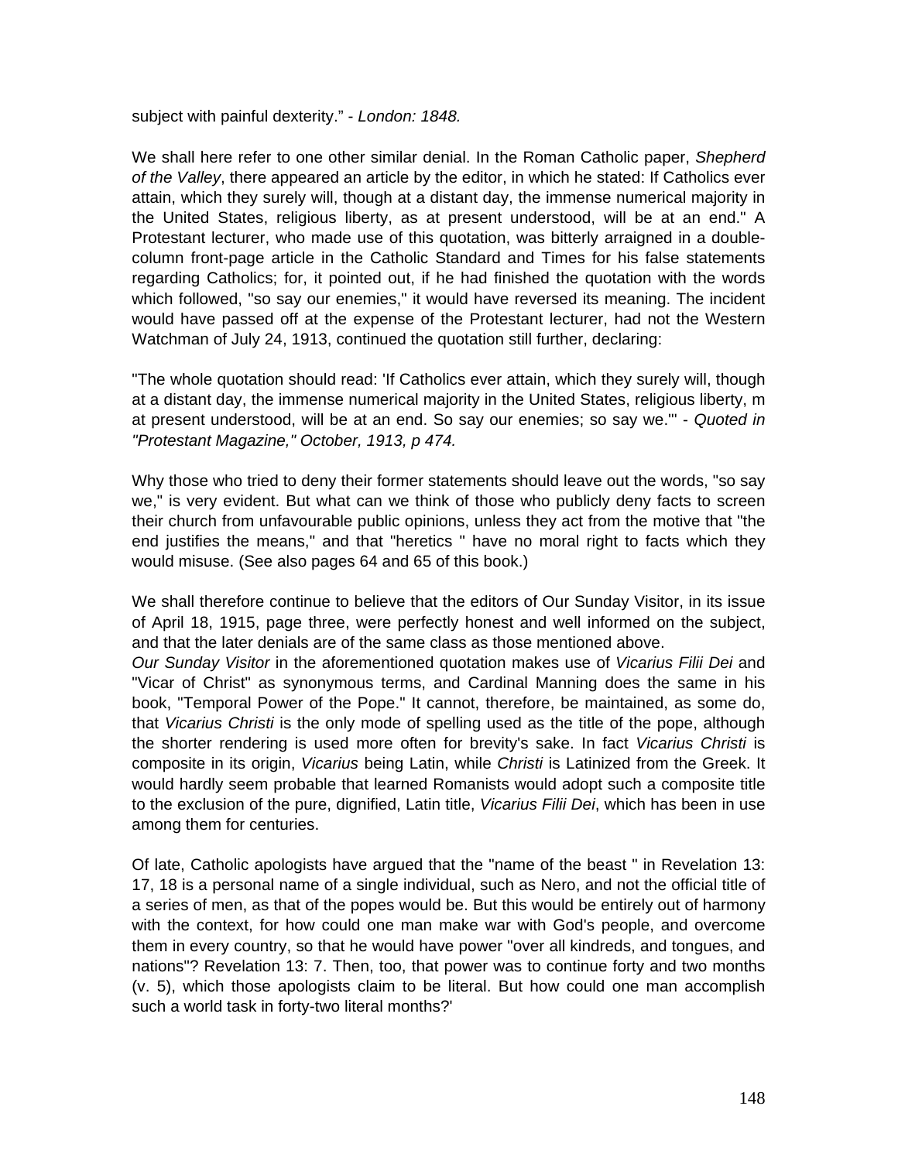subject with painful dexterity." - *London: 1848.* 

We shall here refer to one other similar denial. In the Roman Catholic paper, *Shepherd of the Valley*, there appeared an article by the editor, in which he stated: If Catholics ever attain, which they surely will, though at a distant day, the immense numerical majority in the United States, religious liberty, as at present understood, will be at an end." A Protestant lecturer, who made use of this quotation, was bitterly arraigned in a doublecolumn front-page article in the Catholic Standard and Times for his false statements regarding Catholics; for, it pointed out, if he had finished the quotation with the words which followed, "so say our enemies," it would have reversed its meaning. The incident would have passed off at the expense of the Protestant lecturer, had not the Western Watchman of July 24, 1913, continued the quotation still further, declaring:

"The whole quotation should read: 'If Catholics ever attain, which they surely will, though at a distant day, the immense numerical majority in the United States, religious liberty, m at present understood, will be at an end. So say our enemies; so say we."' - *Quoted in "Protestant Magazine," October, 1913, p 474.* 

Why those who tried to deny their former statements should leave out the words, "so say we," is very evident. But what can we think of those who publicly deny facts to screen their church from unfavourable public opinions, unless they act from the motive that "the end justifies the means," and that "heretics " have no moral right to facts which they would misuse. (See also pages 64 and 65 of this book.)

We shall therefore continue to believe that the editors of Our Sunday Visitor, in its issue of April 18, 1915, page three, were perfectly honest and well informed on the subject, and that the later denials are of the same class as those mentioned above.

*Our Sunday Visitor* in the aforementioned quotation makes use of *Vicarius Filii Dei* and "Vicar of Christ" as synonymous terms, and Cardinal Manning does the same in his book, "Temporal Power of the Pope." It cannot, therefore, be maintained, as some do, that *Vicarius Christi* is the only mode of spelling used as the title of the pope, although the shorter rendering is used more often for brevity's sake. In fact *Vicarius Christi* is composite in its origin, *Vicarius* being Latin, while *Christi* is Latinized from the Greek. It would hardly seem probable that learned Romanists would adopt such a composite title to the exclusion of the pure, dignified, Latin title, *Vicarius Filii Dei*, which has been in use among them for centuries.

Of late, Catholic apologists have argued that the "name of the beast " in Revelation 13: 17, 18 is a personal name of a single individual, such as Nero, and not the official title of a series of men, as that of the popes would be. But this would be entirely out of harmony with the context, for how could one man make war with God's people, and overcome them in every country, so that he would have power "over all kindreds, and tongues, and nations"? Revelation 13: 7. Then, too, that power was to continue forty and two months (v. 5), which those apologists claim to be literal. But how could one man accomplish such a world task in forty-two literal months?'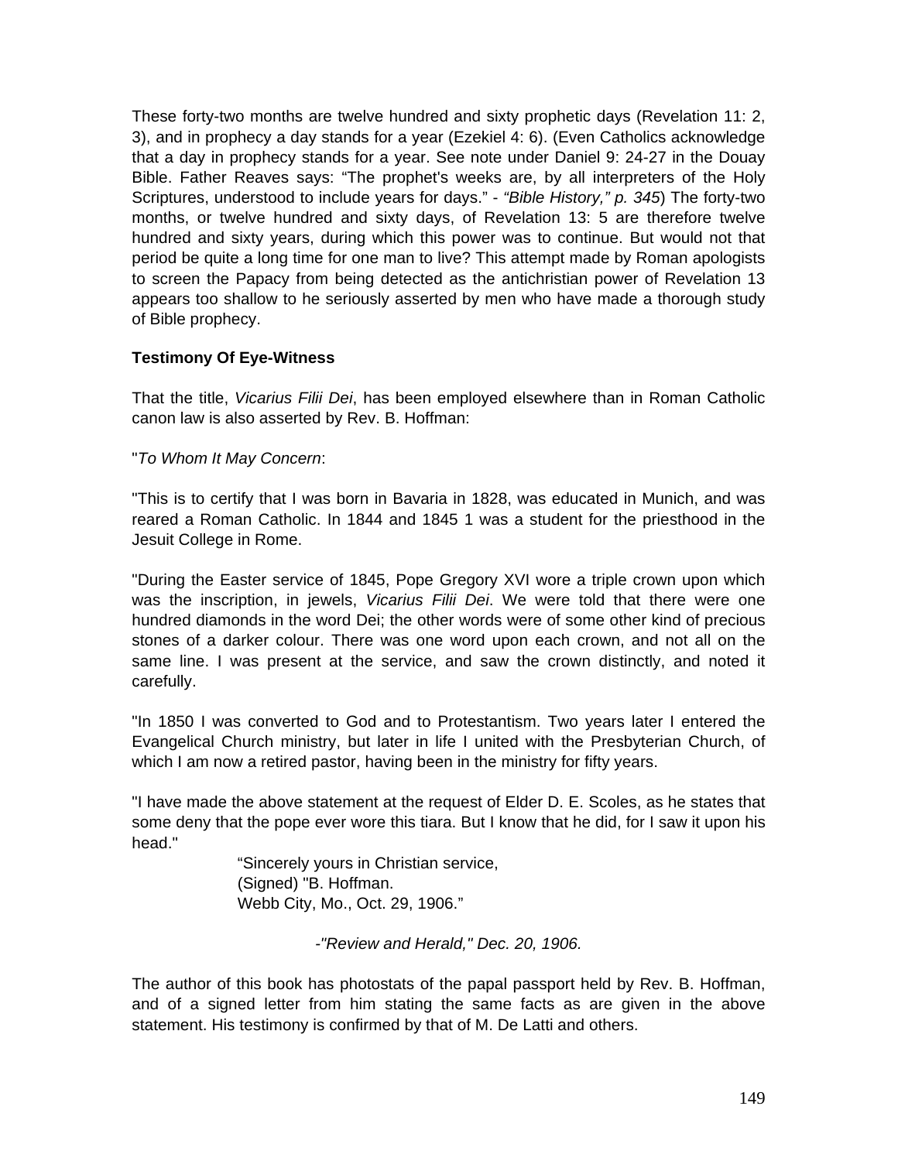These forty-two months are twelve hundred and sixty prophetic days (Revelation 11: 2, 3), and in prophecy a day stands for a year (Ezekiel 4: 6). (Even Catholics acknowledge that a day in prophecy stands for a year. See note under Daniel 9: 24-27 in the Douay Bible. Father Reaves says: "The prophet's weeks are, by all interpreters of the Holy Scriptures, understood to include years for days." - *"Bible History," p. 345*) The forty-two months, or twelve hundred and sixty days, of Revelation 13: 5 are therefore twelve hundred and sixty years, during which this power was to continue. But would not that period be quite a long time for one man to live? This attempt made by Roman apologists to screen the Papacy from being detected as the antichristian power of Revelation 13 appears too shallow to he seriously asserted by men who have made a thorough study of Bible prophecy.

## **Testimony Of Eye-Witness**

That the title, *Vicarius Filii Dei*, has been employed elsewhere than in Roman Catholic canon law is also asserted by Rev. B. Hoffman:

"*To Whom It May Concern*:

"This is to certify that I was born in Bavaria in 1828, was educated in Munich, and was reared a Roman Catholic. In 1844 and 1845 1 was a student for the priesthood in the Jesuit College in Rome.

"During the Easter service of 1845, Pope Gregory XVI wore a triple crown upon which was the inscription, in jewels, *Vicarius Filii Dei*. We were told that there were one hundred diamonds in the word Dei; the other words were of some other kind of precious stones of a darker colour. There was one word upon each crown, and not all on the same line. I was present at the service, and saw the crown distinctly, and noted it carefully.

"In 1850 I was converted to God and to Protestantism. Two years later I entered the Evangelical Church ministry, but later in life I united with the Presbyterian Church, of which I am now a retired pastor, having been in the ministry for fifty years.

"I have made the above statement at the request of Elder D. E. Scoles, as he states that some deny that the pope ever wore this tiara. But I know that he did, for I saw it upon his head."

> "Sincerely yours in Christian service, (Signed) "B. Hoffman. Webb City, Mo., Oct. 29, 1906."

> > *-"Review and Herald," Dec. 20, 1906.*

The author of this book has photostats of the papal passport held by Rev. B. Hoffman, and of a signed letter from him stating the same facts as are given in the above statement. His testimony is confirmed by that of M. De Latti and others.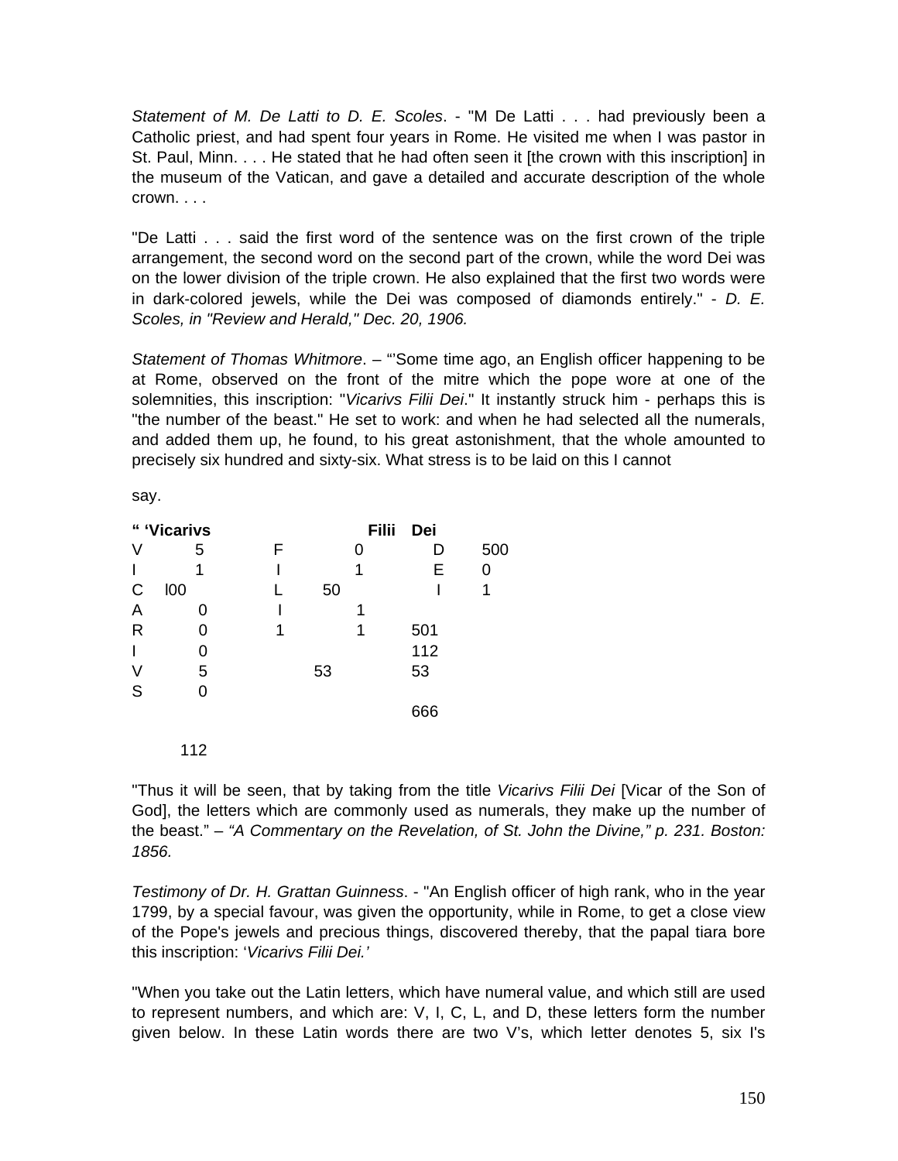*Statement of M. De Latti to D. E. Scoles*. - "M De Latti . . . had previously been a Catholic priest, and had spent four years in Rome. He visited me when I was pastor in St. Paul, Minn. . . . He stated that he had often seen it [the crown with this inscription] in the museum of the Vatican, and gave a detailed and accurate description of the whole crown. . . .

"De Latti . . . said the first word of the sentence was on the first crown of the triple arrangement, the second word on the second part of the crown, while the word Dei was on the lower division of the triple crown. He also explained that the first two words were in dark-colored jewels, while the Dei was composed of diamonds entirely." - *D. E. Scoles, in "Review and Herald," Dec. 20, 1906.* 

*Statement of Thomas Whitmore*. – "'Some time ago, an English officer happening to be at Rome, observed on the front of the mitre which the pope wore at one of the solemnities, this inscription: "*Vicarivs Filii Dei*." It instantly struck him - perhaps this is "the number of the beast." He set to work: and when he had selected all the numerals, and added them up, he found, to his great astonishment, that the whole amounted to precisely six hundred and sixty-six. What stress is to be laid on this I cannot

|              | " 'Vicarivs |   | <b>Filii</b> | Dei |     |
|--------------|-------------|---|--------------|-----|-----|
| ٧            | 5           | F | ი            | D   | 500 |
|              |             |   | 1            | Е   | 0   |
| $\mathsf{C}$ | 100         |   | 50           |     | 1   |
| A            | O           |   | 1            |     |     |
| R            | 0           | 1 | 1            | 501 |     |
| ı            | 0           |   |              | 112 |     |
| ٧            | 5           |   | 53           | 53  |     |
| S            | 0           |   |              |     |     |
|              |             |   |              | 666 |     |
|              |             |   |              |     |     |

112

"Thus it will be seen, that by taking from the title *Vicarivs Filii Dei* [Vicar of the Son of God], the letters which are commonly used as numerals, they make up the number of the beast." – *"A Commentary on the Revelation, of St. John the Divine," p. 231. Boston: 1856.* 

*Testimony of Dr. H. Grattan Guinness*. - "An English officer of high rank, who in the year 1799, by a special favour, was given the opportunity, while in Rome, to get a close view of the Pope's jewels and precious things, discovered thereby, that the papal tiara bore this inscription: '*Vicarivs Filii Dei.'* 

"When you take out the Latin letters, which have numeral value, and which still are used to represent numbers, and which are: V, I, C, L, and D, these letters form the number given below. In these Latin words there are two V's, which letter denotes 5, six I's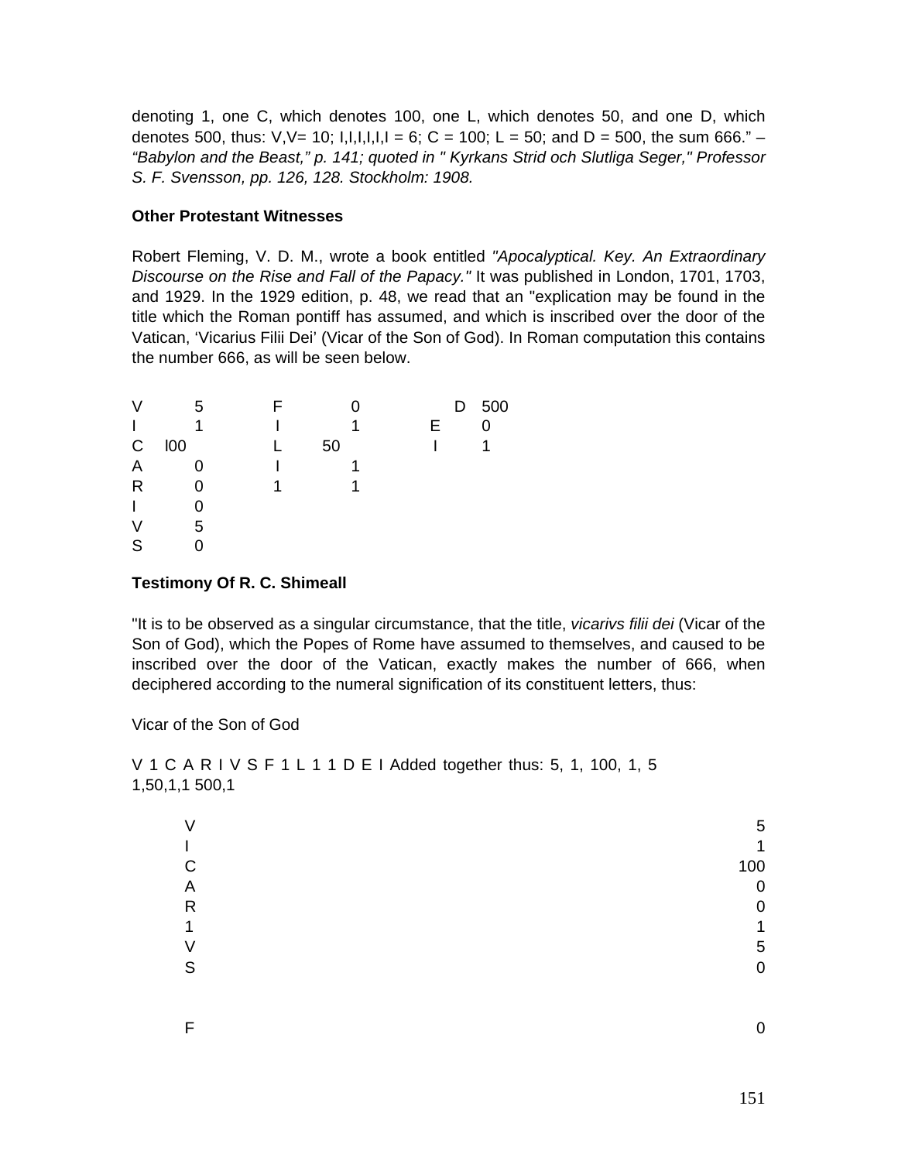denoting 1, one C, which denotes 100, one L, which denotes 50, and one D, which denotes 500, thus:  $V, V= 10$ ; I,I,I,I,I,I = 6; C = 100; L = 50; and D = 500, the sum 666." – *"Babylon and the Beast," p. 141; quoted in " Kyrkans Strid och Slutliga Seger," Professor S. F. Svensson, pp. 126, 128. Stockholm: 1908.* 

#### **Other Protestant Witnesses**

Robert Fleming, V. D. M., wrote a book entitled *"Apocalyptical. Key. An Extraordinary Discourse on the Rise and Fall of the Papacy."* It was published in London, 1701, 1703, and 1929. In the 1929 edition, p. 48, we read that an "explication may be found in the title which the Roman pontiff has assumed, and which is inscribed over the door of the Vatican, 'Vicarius Filii Dei' (Vicar of the Son of God). In Roman computation this contains the number 666, as will be seen below.

| ٧            | 5   |   |    |   | D | 500 |
|--------------|-----|---|----|---|---|-----|
| I            | 1   |   | 1  | F |   | 0   |
| $\mathsf{C}$ | 100 |   | 50 |   |   | 1   |
| A            |     |   |    |   |   |     |
| R            |     | 1 | 1  |   |   |     |
| I            | O   |   |    |   |   |     |
| ٧            | 5   |   |    |   |   |     |
| S            |     |   |    |   |   |     |

#### **Testimony Of R. C. Shimeall**

"It is to be observed as a singular circumstance, that the title, *vicarivs filii dei* (Vicar of the Son of God), which the Popes of Rome have assumed to themselves, and caused to be inscribed over the door of the Vatican, exactly makes the number of 666, when deciphered according to the numeral signification of its constituent letters, thus:

Vicar of the Son of God

```
V 1 C A R I V S F 1 L 1 1 D E I Added together thus: 5, 1, 100, 1, 5 
1,50,1,1 500,1
```

| V            | 5           |
|--------------|-------------|
|              | ٠           |
| C            | 100         |
| A            | $\mathbf 0$ |
| $\mathsf{R}$ | 0           |
| 1            | ٠           |
| V            | 5           |
| S            | 0           |
|              |             |
|              |             |

 $\mathsf F$  0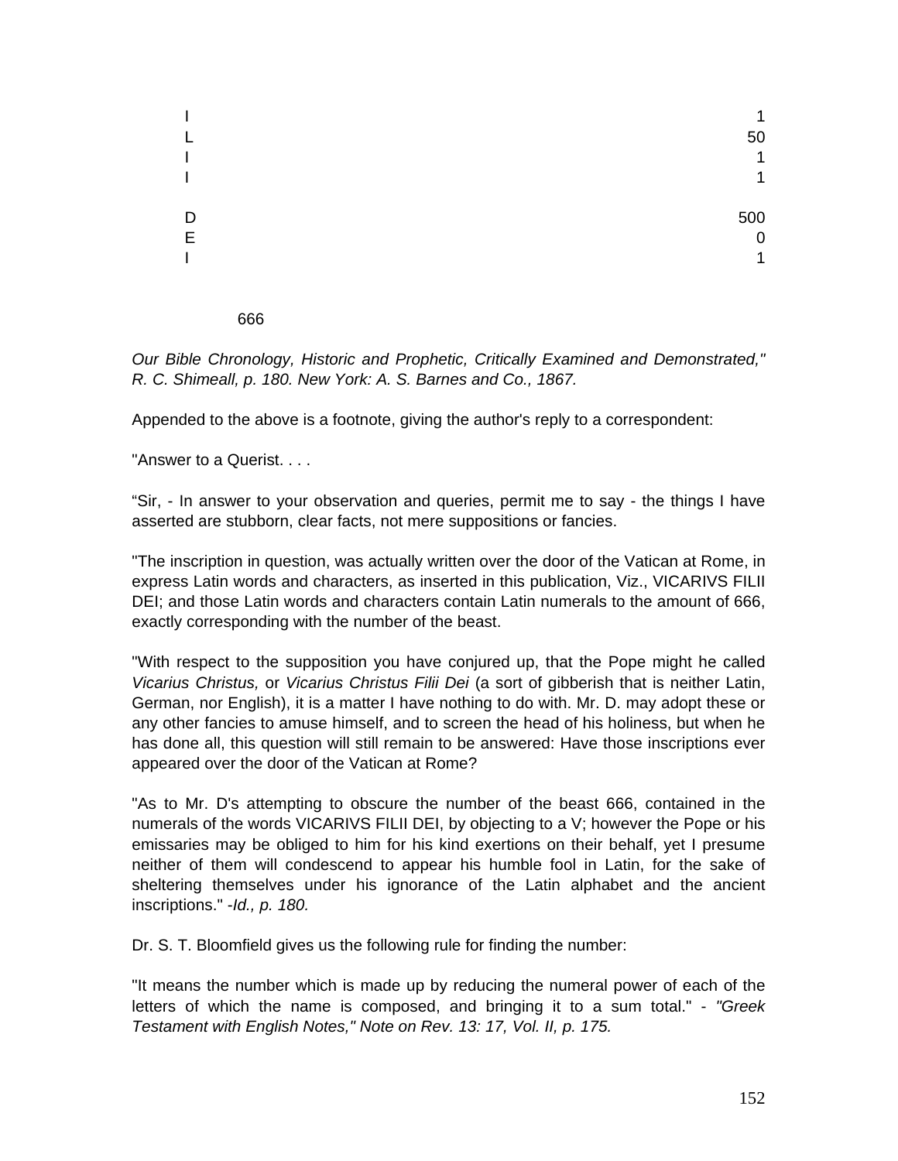| ┕ | 50          |
|---|-------------|
|   | и           |
|   | ۰           |
| D | 500         |
| E | $\mathbf 0$ |
|   | ۰           |

666

*Our Bible Chronology, Historic and Prophetic, Critically Examined and Demonstrated," R. C. Shimeall, p. 180. New York: A. S. Barnes and Co., 1867.* 

Appended to the above is a footnote, giving the author's reply to a correspondent:

"Answer to a Querist. . . .

"Sir, - In answer to your observation and queries, permit me to say - the things I have asserted are stubborn, clear facts, not mere suppositions or fancies.

"The inscription in question, was actually written over the door of the Vatican at Rome, in express Latin words and characters, as inserted in this publication, Viz., VICARIVS FILII DEI; and those Latin words and characters contain Latin numerals to the amount of 666, exactly corresponding with the number of the beast.

"With respect to the supposition you have conjured up, that the Pope might he called *Vicarius Christus,* or *Vicarius Christus Filii Dei* (a sort of gibberish that is neither Latin, German, nor English), it is a matter I have nothing to do with. Mr. D. may adopt these or any other fancies to amuse himself, and to screen the head of his holiness, but when he has done all, this question will still remain to be answered: Have those inscriptions ever appeared over the door of the Vatican at Rome?

"As to Mr. D's attempting to obscure the number of the beast 666, contained in the numerals of the words VICARIVS FILII DEI, by objecting to a V; however the Pope or his emissaries may be obliged to him for his kind exertions on their behalf, yet I presume neither of them will condescend to appear his humble fool in Latin, for the sake of sheltering themselves under his ignorance of the Latin alphabet and the ancient inscriptions." -*Id., p. 180.* 

Dr. S. T. Bloomfield gives us the following rule for finding the number:

"It means the number which is made up by reducing the numeral power of each of the letters of which the name is composed, and bringing it to a sum total." - *"Greek Testament with English Notes," Note on Rev. 13: 17, Vol. II, p. 175.*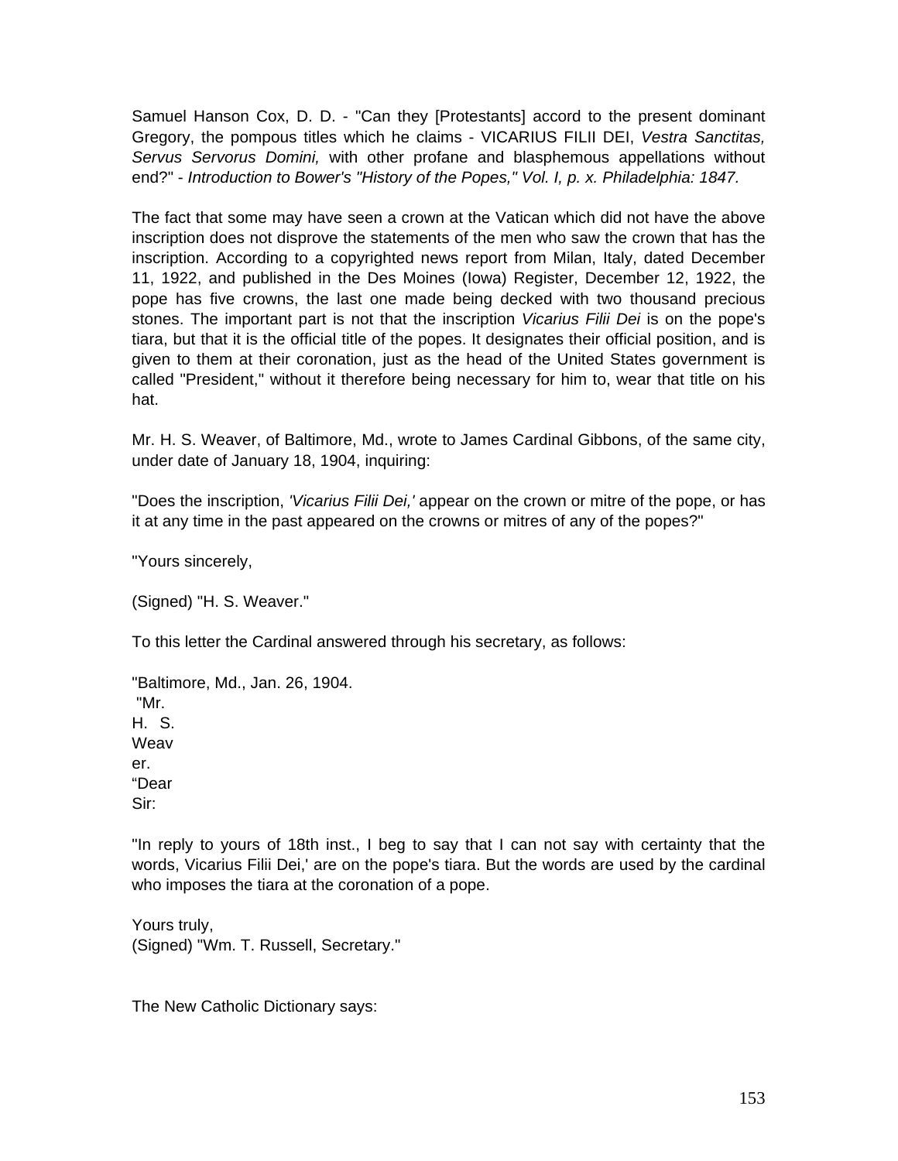Samuel Hanson Cox, D. D. - "Can they [Protestants] accord to the present dominant Gregory, the pompous titles which he claims - VICARIUS FILII DEI, *Vestra Sanctitas, Servus Servorus Domini,* with other profane and blasphemous appellations without end?" - *Introduction to Bower's "History of the Popes," Vol. I, p. x. Philadelphia: 1847.* 

The fact that some may have seen a crown at the Vatican which did not have the above inscription does not disprove the statements of the men who saw the crown that has the inscription. According to a copyrighted news report from Milan, Italy, dated December 11, 1922, and published in the Des Moines (Iowa) Register, December 12, 1922, the pope has five crowns, the last one made being decked with two thousand precious stones. The important part is not that the inscription *Vicarius Filii Dei* is on the pope's tiara, but that it is the official title of the popes. It designates their official position, and is given to them at their coronation, just as the head of the United States government is called "President," without it therefore being necessary for him to, wear that title on his hat.

Mr. H. S. Weaver, of Baltimore, Md., wrote to James Cardinal Gibbons, of the same city, under date of January 18, 1904, inquiring:

"Does the inscription, *'Vicarius Filii Dei,'* appear on the crown or mitre of the pope, or has it at any time in the past appeared on the crowns or mitres of any of the popes?"

"Yours sincerely,

(Signed) "H. S. Weaver."

To this letter the Cardinal answered through his secretary, as follows:

"Baltimore, Md., Jan. 26, 1904. "Mr. H. S. Weav er. "Dear Sir:

"In reply to yours of 18th inst., I beg to say that I can not say with certainty that the words, Vicarius Filii Dei,' are on the pope's tiara. But the words are used by the cardinal who imposes the tiara at the coronation of a pope.

Yours truly, (Signed) "Wm. T. Russell, Secretary."

The New Catholic Dictionary says: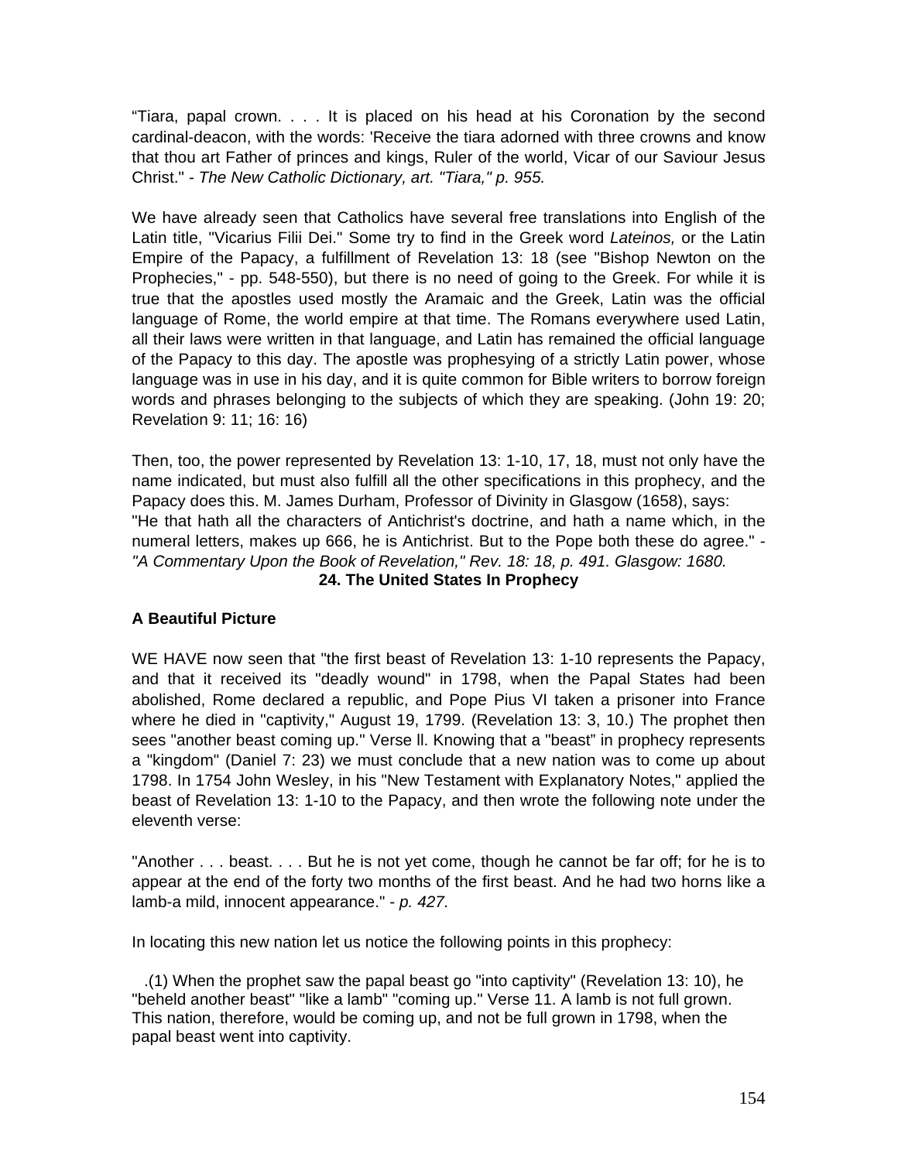"Tiara, papal crown. . . . It is placed on his head at his Coronation by the second cardinal-deacon, with the words: 'Receive the tiara adorned with three crowns and know that thou art Father of princes and kings, Ruler of the world, Vicar of our Saviour Jesus Christ." *- The New Catholic Dictionary, art. "Tiara," p. 955.* 

We have already seen that Catholics have several free translations into English of the Latin title, "Vicarius Filii Dei." Some try to find in the Greek word *Lateinos,* or the Latin Empire of the Papacy, a fulfillment of Revelation 13: 18 (see "Bishop Newton on the Prophecies," - pp. 548-550), but there is no need of going to the Greek. For while it is true that the apostles used mostly the Aramaic and the Greek, Latin was the official language of Rome, the world empire at that time. The Romans everywhere used Latin, all their laws were written in that language, and Latin has remained the official language of the Papacy to this day. The apostle was prophesying of a strictly Latin power, whose language was in use in his day, and it is quite common for Bible writers to borrow foreign words and phrases belonging to the subjects of which they are speaking. (John 19: 20; Revelation 9: 11; 16: 16)

Then, too, the power represented by Revelation 13: 1-10, 17, 18, must not only have the name indicated, but must also fulfill all the other specifications in this prophecy, and the Papacy does this. M. James Durham, Professor of Divinity in Glasgow (1658), says: "He that hath all the characters of Antichrist's doctrine, and hath a name which, in the numeral letters, makes up 666, he is Antichrist. But to the Pope both these do agree." *- "A Commentary Upon the Book of Revelation," Rev. 18: 18, p. 491. Glasgow: 1680.*  **24. The United States In Prophecy** 

## **A Beautiful Picture**

WE HAVE now seen that "the first beast of Revelation 13: 1-10 represents the Papacy, and that it received its "deadly wound" in 1798, when the Papal States had been abolished, Rome declared a republic, and Pope Pius VI taken a prisoner into France where he died in "captivity," August 19, 1799. (Revelation 13: 3, 10.) The prophet then sees "another beast coming up." Verse ll. Knowing that a "beast" in prophecy represents a "kingdom" (Daniel 7: 23) we must conclude that a new nation was to come up about 1798. In 1754 John Wesley, in his "New Testament with Explanatory Notes," applied the beast of Revelation 13: 1-10 to the Papacy, and then wrote the following note under the eleventh verse:

"Another . . . beast. . . . But he is not yet come, though he cannot be far off; for he is to appear at the end of the forty two months of the first beast. And he had two horns like a lamb-a mild, innocent appearance." - *p. 427.* 

In locating this new nation let us notice the following points in this prophecy:

.(1) When the prophet saw the papal beast go "into captivity" (Revelation 13: 10), he "beheld another beast" "like a lamb" "coming up." Verse 11. A lamb is not full grown. This nation, therefore, would be coming up, and not be full grown in 1798, when the papal beast went into captivity.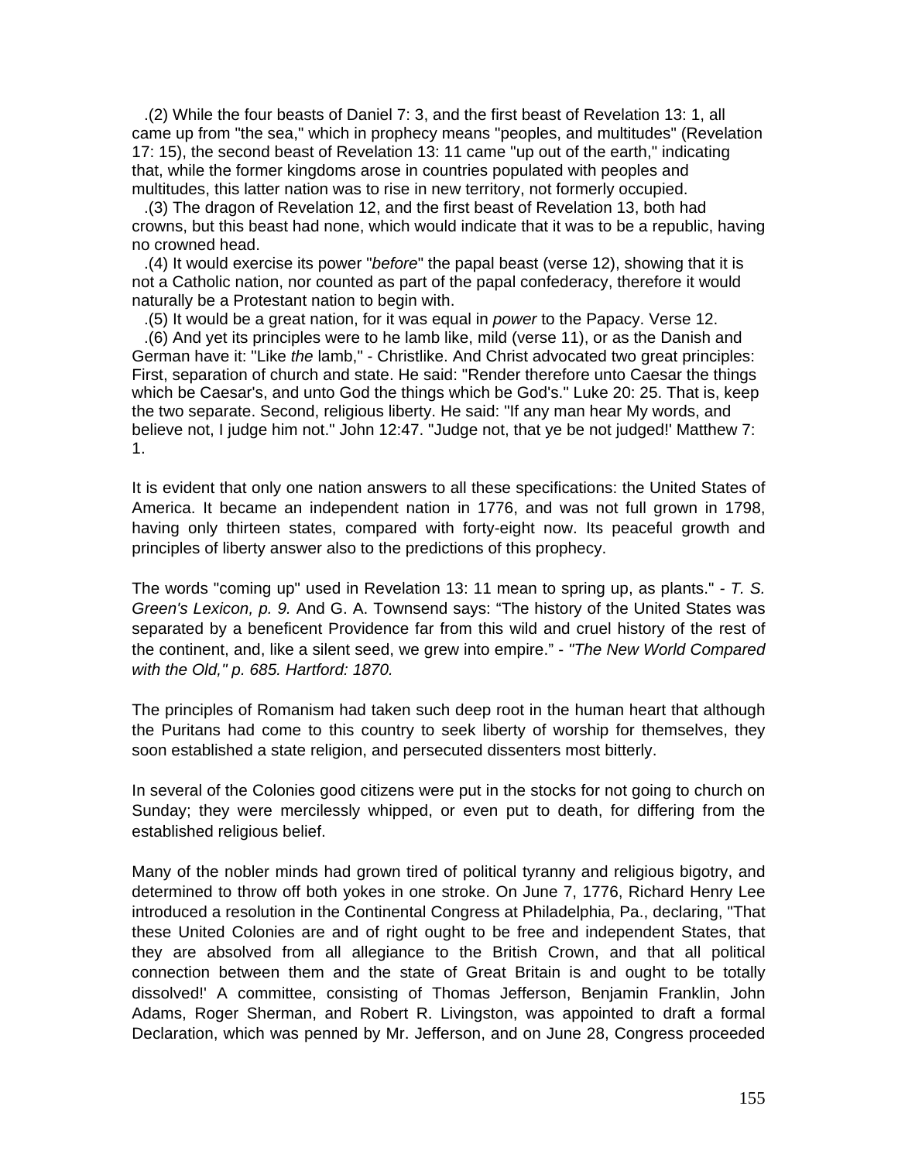.(2) While the four beasts of Daniel 7: 3, and the first beast of Revelation 13: 1, all came up from "the sea," which in prophecy means "peoples, and multitudes" (Revelation 17: 15), the second beast of Revelation 13: 11 came "up out of the earth," indicating that, while the former kingdoms arose in countries populated with peoples and multitudes, this latter nation was to rise in new territory, not formerly occupied.

.(3) The dragon of Revelation 12, and the first beast of Revelation 13, both had crowns, but this beast had none, which would indicate that it was to be a republic, having no crowned head.

.(4) It would exercise its power "*before*" the papal beast (verse 12), showing that it is not a Catholic nation, nor counted as part of the papal confederacy, therefore it would naturally be a Protestant nation to begin with.

.(5) It would be a great nation, for it was equal in *power* to the Papacy. Verse 12.

.(6) And yet its principles were to he lamb like, mild (verse 11), or as the Danish and German have it: "Like *the* lamb," - Christlike. And Christ advocated two great principles: First, separation of church and state. He said: "Render therefore unto Caesar the things which be Caesar's, and unto God the things which be God's." Luke 20: 25. That is, keep the two separate. Second, religious liberty. He said: "If any man hear My words, and believe not, I judge him not." John 12:47. "Judge not, that ye be not judged!' Matthew 7: 1.

It is evident that only one nation answers to all these specifications: the United States of America. It became an independent nation in 1776, and was not full grown in 1798, having only thirteen states, compared with forty-eight now. Its peaceful growth and principles of liberty answer also to the predictions of this prophecy.

The words "coming up" used in Revelation 13: 11 mean to spring up, as plants." *- T. S. Green's Lexicon, p. 9.* And G. A. Townsend says: "The history of the United States was separated by a beneficent Providence far from this wild and cruel history of the rest of the continent, and, like a silent seed, we grew into empire." - *"The New World Compared with the Old," p. 685. Hartford: 1870.* 

The principles of Romanism had taken such deep root in the human heart that although the Puritans had come to this country to seek liberty of worship for themselves, they soon established a state religion, and persecuted dissenters most bitterly.

In several of the Colonies good citizens were put in the stocks for not going to church on Sunday; they were mercilessly whipped, or even put to death, for differing from the established religious belief.

Many of the nobler minds had grown tired of political tyranny and religious bigotry, and determined to throw off both yokes in one stroke. On June 7, 1776, Richard Henry Lee introduced a resolution in the Continental Congress at Philadelphia, Pa., declaring, "That these United Colonies are and of right ought to be free and independent States, that they are absolved from all allegiance to the British Crown, and that all political connection between them and the state of Great Britain is and ought to be totally dissolved!' A committee, consisting of Thomas Jefferson, Benjamin Franklin, John Adams, Roger Sherman, and Robert R. Livingston, was appointed to draft a formal Declaration, which was penned by Mr. Jefferson, and on June 28, Congress proceeded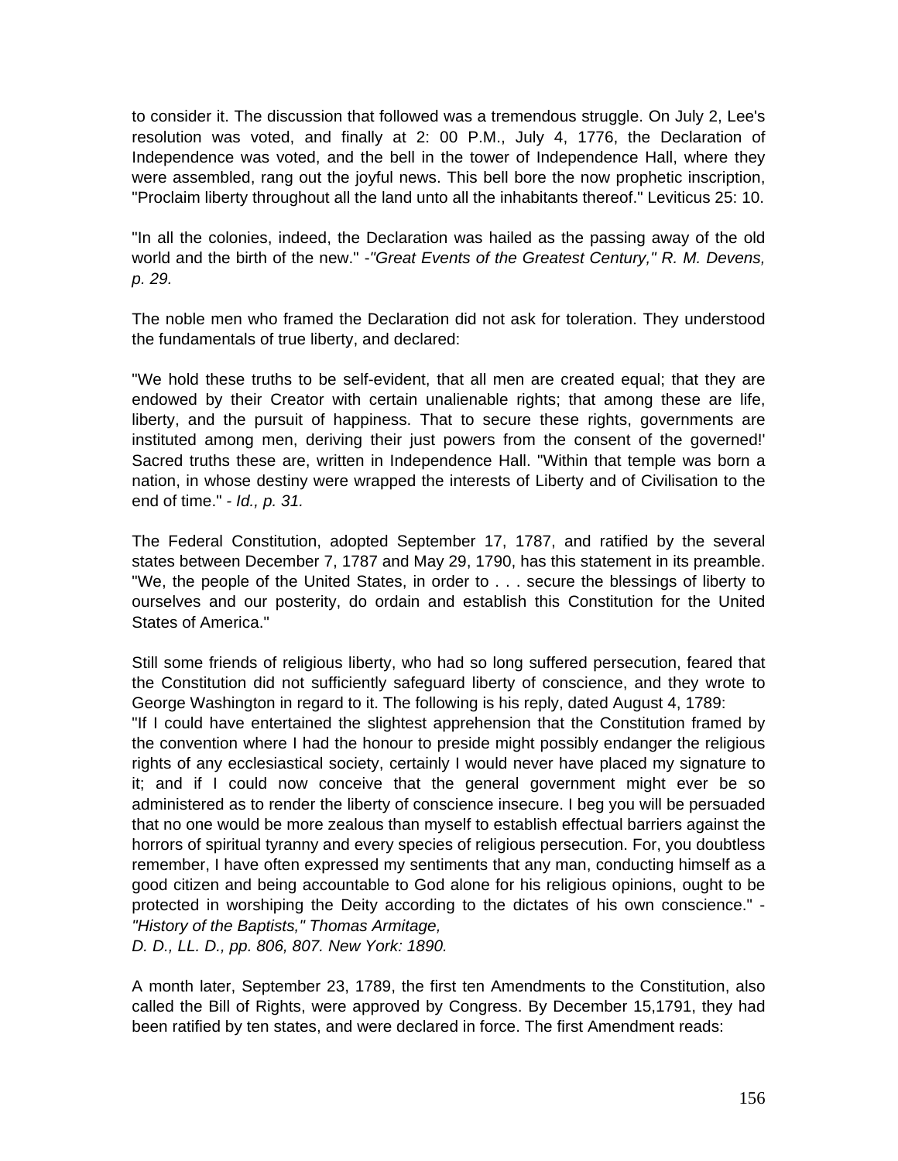to consider it. The discussion that followed was a tremendous struggle. On July 2, Lee's resolution was voted, and finally at 2: 00 P.M., July 4, 1776, the Declaration of Independence was voted, and the bell in the tower of Independence Hall, where they were assembled, rang out the joyful news. This bell bore the now prophetic inscription, "Proclaim liberty throughout all the land unto all the inhabitants thereof." Leviticus 25: 10.

"In all the colonies, indeed, the Declaration was hailed as the passing away of the old world and the birth of the new." -*"Great Events of the Greatest Century," R. M. Devens, p. 29.* 

The noble men who framed the Declaration did not ask for toleration. They understood the fundamentals of true liberty, and declared:

"We hold these truths to be self-evident, that all men are created equal; that they are endowed by their Creator with certain unalienable rights; that among these are life, liberty, and the pursuit of happiness. That to secure these rights, governments are instituted among men, deriving their just powers from the consent of the governed!' Sacred truths these are, written in Independence Hall. "Within that temple was born a nation, in whose destiny were wrapped the interests of Liberty and of Civilisation to the end of time." *- Id., p. 31.* 

The Federal Constitution, adopted September 17, 1787, and ratified by the several states between December 7, 1787 and May 29, 1790, has this statement in its preamble. "We, the people of the United States, in order to . . . secure the blessings of liberty to ourselves and our posterity, do ordain and establish this Constitution for the United States of America."

Still some friends of religious liberty, who had so long suffered persecution, feared that the Constitution did not sufficiently safeguard liberty of conscience, and they wrote to George Washington in regard to it. The following is his reply, dated August 4, 1789:

"If I could have entertained the slightest apprehension that the Constitution framed by the convention where I had the honour to preside might possibly endanger the religious rights of any ecclesiastical society, certainly I would never have placed my signature to it; and if I could now conceive that the general government might ever be so administered as to render the liberty of conscience insecure. I beg you will be persuaded that no one would be more zealous than myself to establish effectual barriers against the horrors of spiritual tyranny and every species of religious persecution. For, you doubtless remember, I have often expressed my sentiments that any man, conducting himself as a good citizen and being accountable to God alone for his religious opinions, ought to be protected in worshiping the Deity according to the dictates of his own conscience." - *"History of the Baptists," Thomas Armitage,* 

*D. D., LL. D., pp. 806, 807. New York: 1890.* 

A month later, September 23, 1789, the first ten Amendments to the Constitution, also called the Bill of Rights, were approved by Congress. By December 15,1791, they had been ratified by ten states, and were declared in force. The first Amendment reads: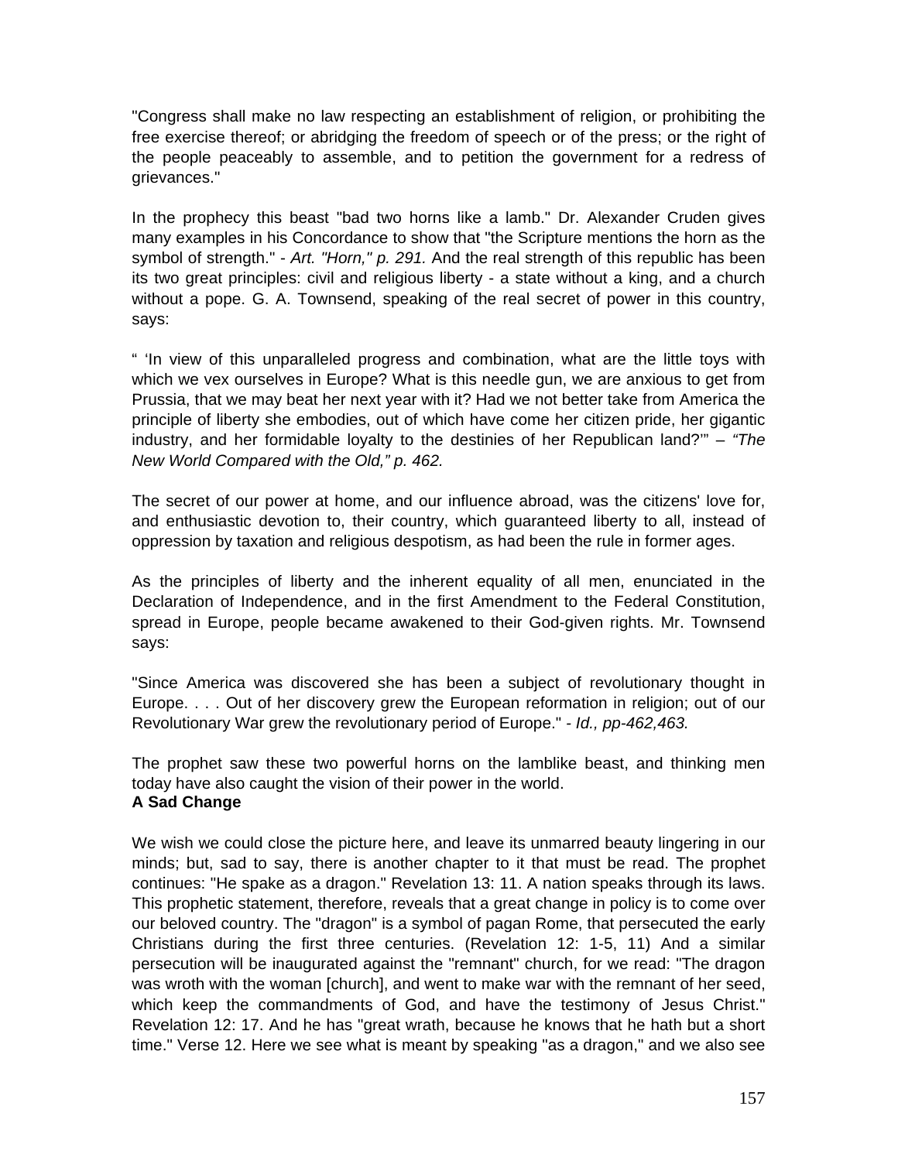"Congress shall make no law respecting an establishment of religion, or prohibiting the free exercise thereof; or abridging the freedom of speech or of the press; or the right of the people peaceably to assemble, and to petition the government for a redress of grievances."

In the prophecy this beast "bad two horns like a lamb." Dr. Alexander Cruden gives many examples in his Concordance to show that "the Scripture mentions the horn as the symbol of strength." - *Art. "Horn," p. 291.* And the real strength of this republic has been its two great principles: civil and religious liberty - a state without a king, and a church without a pope. G. A. Townsend, speaking of the real secret of power in this country, says:

" 'In view of this unparalleled progress and combination, what are the little toys with which we vex ourselves in Europe? What is this needle gun, we are anxious to get from Prussia, that we may beat her next year with it? Had we not better take from America the principle of liberty she embodies, out of which have come her citizen pride, her gigantic industry, and her formidable loyalty to the destinies of her Republican land?'" – *"The New World Compared with the Old," p. 462.* 

The secret of our power at home, and our influence abroad, was the citizens' love for, and enthusiastic devotion to, their country, which guaranteed liberty to all, instead of oppression by taxation and religious despotism, as had been the rule in former ages.

As the principles of liberty and the inherent equality of all men, enunciated in the Declaration of Independence, and in the first Amendment to the Federal Constitution, spread in Europe, people became awakened to their God-given rights. Mr. Townsend says:

"Since America was discovered she has been a subject of revolutionary thought in Europe. . . . Out of her discovery grew the European reformation in religion; out of our Revolutionary War grew the revolutionary period of Europe." *- Id., pp-462,463.* 

The prophet saw these two powerful horns on the lamblike beast, and thinking men today have also caught the vision of their power in the world. **A Sad Change** 

We wish we could close the picture here, and leave its unmarred beauty lingering in our minds; but, sad to say, there is another chapter to it that must be read. The prophet continues: "He spake as a dragon." Revelation 13: 11. A nation speaks through its laws. This prophetic statement, therefore, reveals that a great change in policy is to come over our beloved country. The "dragon" is a symbol of pagan Rome, that persecuted the early Christians during the first three centuries. (Revelation 12: 1-5, 11) And a similar persecution will be inaugurated against the "remnant" church, for we read: "The dragon was wroth with the woman [church], and went to make war with the remnant of her seed, which keep the commandments of God, and have the testimony of Jesus Christ." Revelation 12: 17. And he has "great wrath, because he knows that he hath but a short time." Verse 12. Here we see what is meant by speaking "as a dragon," and we also see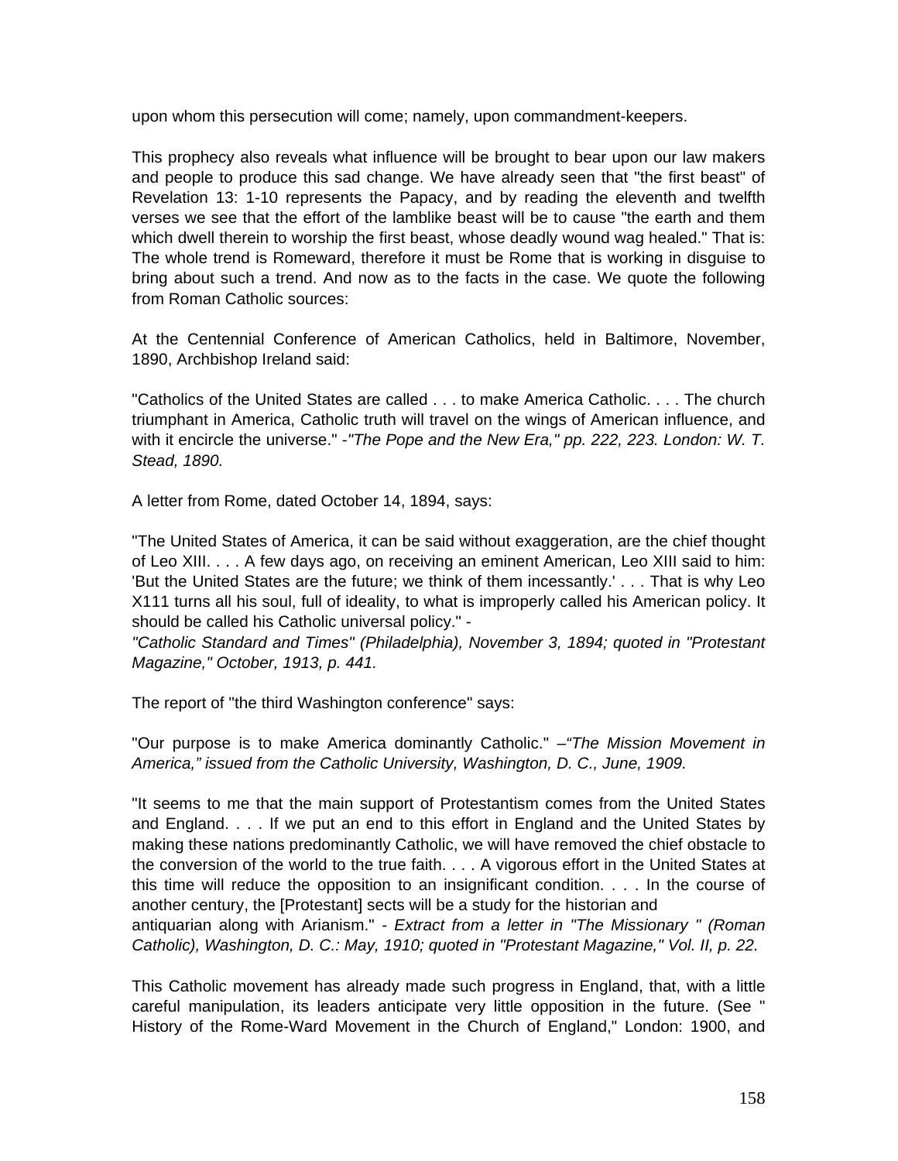upon whom this persecution will come; namely, upon commandment-keepers.

This prophecy also reveals what influence will be brought to bear upon our law makers and people to produce this sad change. We have already seen that "the first beast" of Revelation 13: 1-10 represents the Papacy, and by reading the eleventh and twelfth verses we see that the effort of the lamblike beast will be to cause "the earth and them which dwell therein to worship the first beast, whose deadly wound wag healed." That is: The whole trend is Romeward, therefore it must be Rome that is working in disguise to bring about such a trend. And now as to the facts in the case. We quote the following from Roman Catholic sources:

At the Centennial Conference of American Catholics, held in Baltimore, November, 1890, Archbishop Ireland said:

"Catholics of the United States are called . . . to make America Catholic. . . . The church triumphant in America, Catholic truth will travel on the wings of American influence, and with it encircle the universe." -*"The Pope and the New Era," pp. 222, 223. London: W. T. Stead, 1890.* 

A letter from Rome, dated October 14, 1894, says:

"The United States of America, it can be said without exaggeration, are the chief thought of Leo XIII. . . . A few days ago, on receiving an eminent American, Leo XIII said to him: 'But the United States are the future; we think of them incessantly.' . . . That is why Leo X111 turns all his soul, full of ideality, to what is improperly called his American policy. It should be called his Catholic universal policy." -

*"Catholic Standard and Times" (Philadelphia), November 3, 1894; quoted in "Protestant Magazine," October, 1913, p. 441.* 

The report of "the third Washington conference" says:

"Our purpose is to make America dominantly Catholic." *–"The Mission Movement in America," issued from the Catholic University, Washington, D. C., June, 1909.* 

"It seems to me that the main support of Protestantism comes from the United States and England. . . . If we put an end to this effort in England and the United States by making these nations predominantly Catholic, we will have removed the chief obstacle to the conversion of the world to the true faith. . . . A vigorous effort in the United States at this time will reduce the opposition to an insignificant condition. . . . In the course of another century, the [Protestant] sects will be a study for the historian and antiquarian along with Arianism." *- Extract from a letter in "The Missionary " (Roman Catholic), Washington, D. C.: May, 1910; quoted in "Protestant Magazine," Vol. II, p. 22.* 

This Catholic movement has already made such progress in England, that, with a little careful manipulation, its leaders anticipate very little opposition in the future. (See " History of the Rome-Ward Movement in the Church of England," London: 1900, and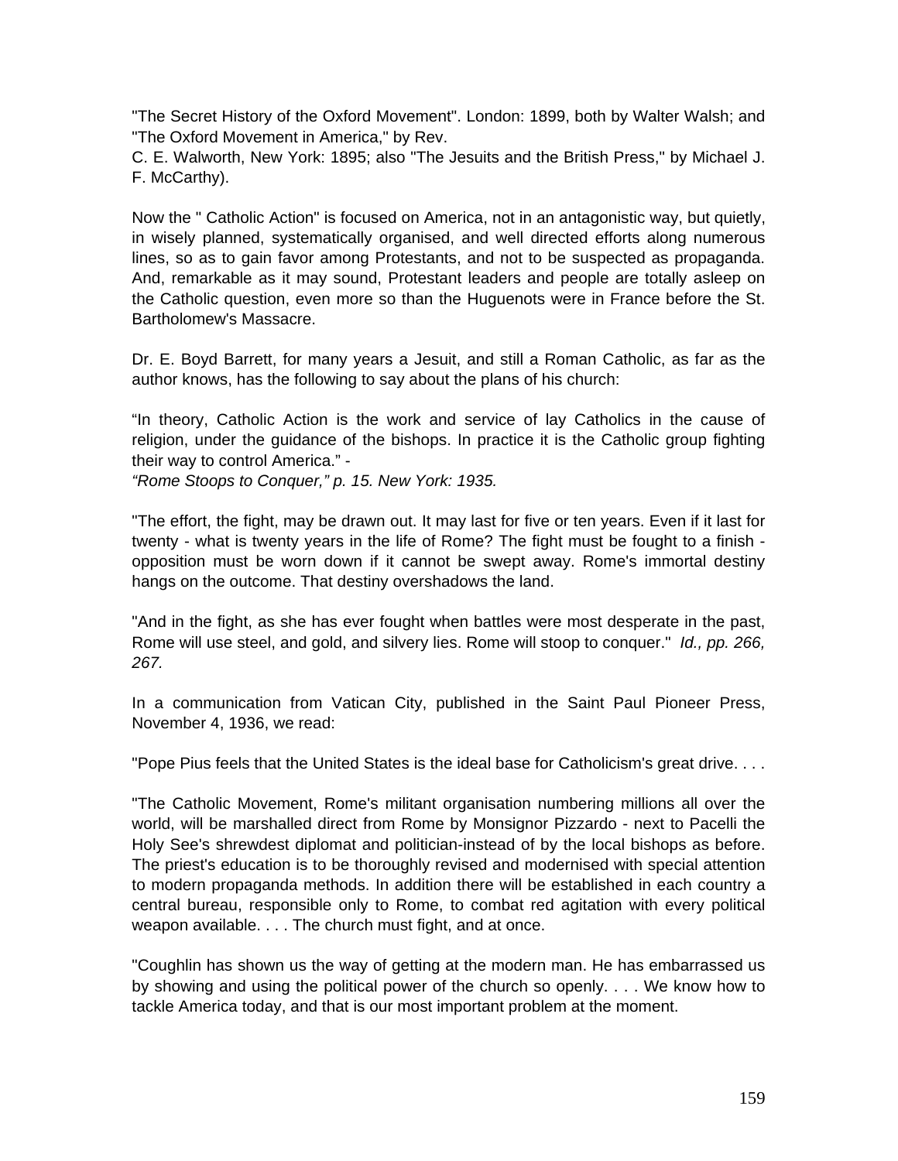"The Secret History of the Oxford Movement". London: 1899, both by Walter Walsh; and "The Oxford Movement in America," by Rev.

C. E. Walworth, New York: 1895; also "The Jesuits and the British Press," by Michael J. F. McCarthy).

Now the " Catholic Action" is focused on America, not in an antagonistic way, but quietly, in wisely planned, systematically organised, and well directed efforts along numerous lines, so as to gain favor among Protestants, and not to be suspected as propaganda. And, remarkable as it may sound, Protestant leaders and people are totally asleep on the Catholic question, even more so than the Huguenots were in France before the St. Bartholomew's Massacre.

Dr. E. Boyd Barrett, for many years a Jesuit, and still a Roman Catholic, as far as the author knows, has the following to say about the plans of his church:

"In theory, Catholic Action is the work and service of lay Catholics in the cause of religion, under the guidance of the bishops. In practice it is the Catholic group fighting their way to control America." -

*"Rome Stoops to Conquer," p. 15. New York: 1935.* 

"The effort, the fight, may be drawn out. It may last for five or ten years. Even if it last for twenty - what is twenty years in the life of Rome? The fight must be fought to a finish opposition must be worn down if it cannot be swept away. Rome's immortal destiny hangs on the outcome. That destiny overshadows the land.

"And in the fight, as she has ever fought when battles were most desperate in the past, Rome will use steel, and gold, and silvery lies. Rome will stoop to conquer." *Id., pp. 266, 267.* 

In a communication from Vatican City, published in the Saint Paul Pioneer Press, November 4, 1936, we read:

"Pope Pius feels that the United States is the ideal base for Catholicism's great drive. . . .

"The Catholic Movement, Rome's militant organisation numbering millions all over the world, will be marshalled direct from Rome by Monsignor Pizzardo - next to Pacelli the Holy See's shrewdest diplomat and politician-instead of by the local bishops as before. The priest's education is to be thoroughly revised and modernised with special attention to modern propaganda methods. In addition there will be established in each country a central bureau, responsible only to Rome, to combat red agitation with every political weapon available. . . . The church must fight, and at once.

"Coughlin has shown us the way of getting at the modern man. He has embarrassed us by showing and using the political power of the church so openly. . . . We know how to tackle America today, and that is our most important problem at the moment.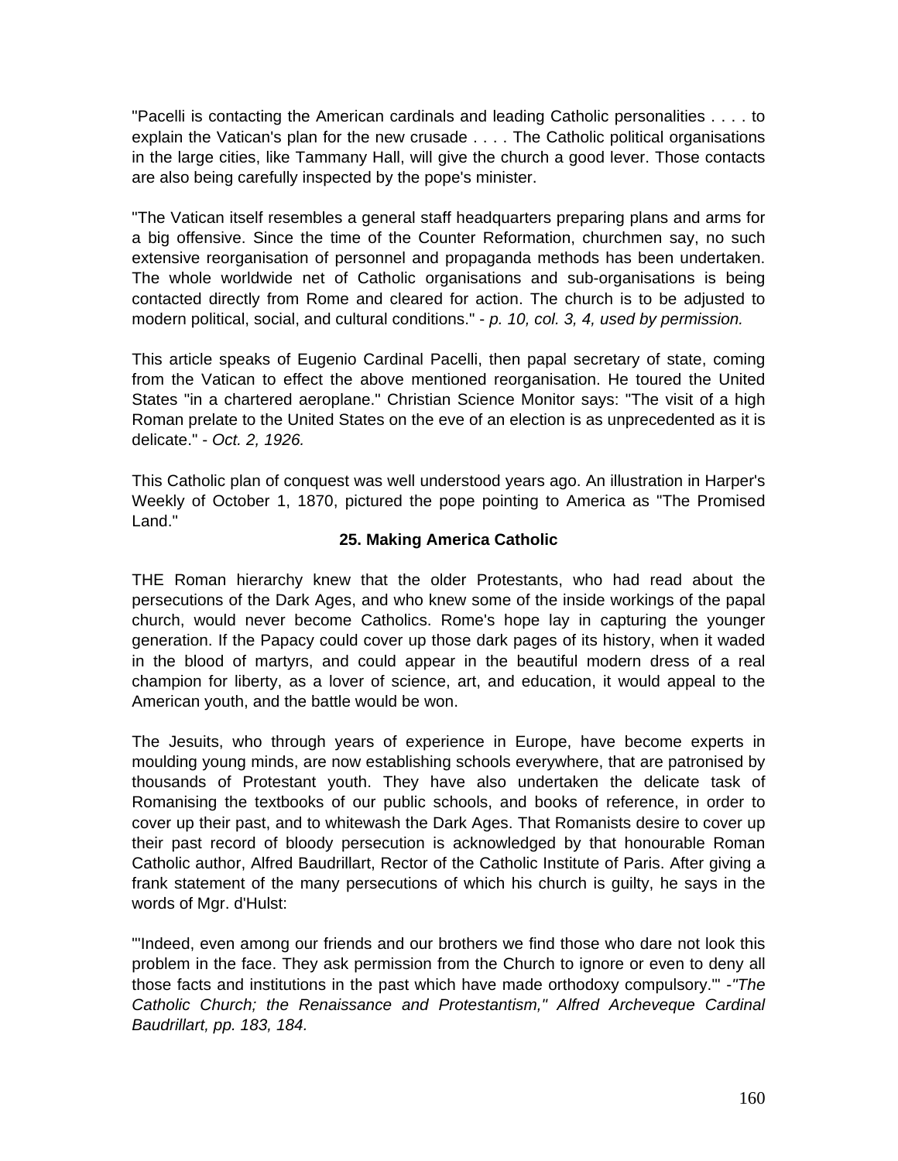"Pacelli is contacting the American cardinals and leading Catholic personalities . . . . to explain the Vatican's plan for the new crusade . . . . The Catholic political organisations in the large cities, like Tammany Hall, will give the church a good lever. Those contacts are also being carefully inspected by the pope's minister.

"The Vatican itself resembles a general staff headquarters preparing plans and arms for a big offensive. Since the time of the Counter Reformation, churchmen say, no such extensive reorganisation of personnel and propaganda methods has been undertaken. The whole worldwide net of Catholic organisations and sub-organisations is being contacted directly from Rome and cleared for action. The church is to be adjusted to modern political, social, and cultural conditions." - *p. 10, col. 3, 4, used by permission.* 

This article speaks of Eugenio Cardinal Pacelli, then papal secretary of state, coming from the Vatican to effect the above mentioned reorganisation. He toured the United States "in a chartered aeroplane." Christian Science Monitor says: "The visit of a high Roman prelate to the United States on the eve of an election is as unprecedented as it is delicate." - *Oct. 2, 1926.* 

This Catholic plan of conquest was well understood years ago. An illustration in Harper's Weekly of October 1, 1870, pictured the pope pointing to America as "The Promised Land."

# **25. Making America Catholic**

THE Roman hierarchy knew that the older Protestants, who had read about the persecutions of the Dark Ages, and who knew some of the inside workings of the papal church, would never become Catholics. Rome's hope lay in capturing the younger generation. If the Papacy could cover up those dark pages of its history, when it waded in the blood of martyrs, and could appear in the beautiful modern dress of a real champion for liberty, as a lover of science, art, and education, it would appeal to the American youth, and the battle would be won.

The Jesuits, who through years of experience in Europe, have become experts in moulding young minds, are now establishing schools everywhere, that are patronised by thousands of Protestant youth. They have also undertaken the delicate task of Romanising the textbooks of our public schools, and books of reference, in order to cover up their past, and to whitewash the Dark Ages. That Romanists desire to cover up their past record of bloody persecution is acknowledged by that honourable Roman Catholic author, Alfred Baudrillart, Rector of the Catholic Institute of Paris. After giving a frank statement of the many persecutions of which his church is guilty, he says in the words of Mgr. d'Hulst:

"'Indeed, even among our friends and our brothers we find those who dare not look this problem in the face. They ask permission from the Church to ignore or even to deny all those facts and institutions in the past which have made orthodoxy compulsory."' -*"The Catholic Church; the Renaissance and Protestantism," Alfred Archeveque Cardinal Baudrillart, pp. 183, 184.*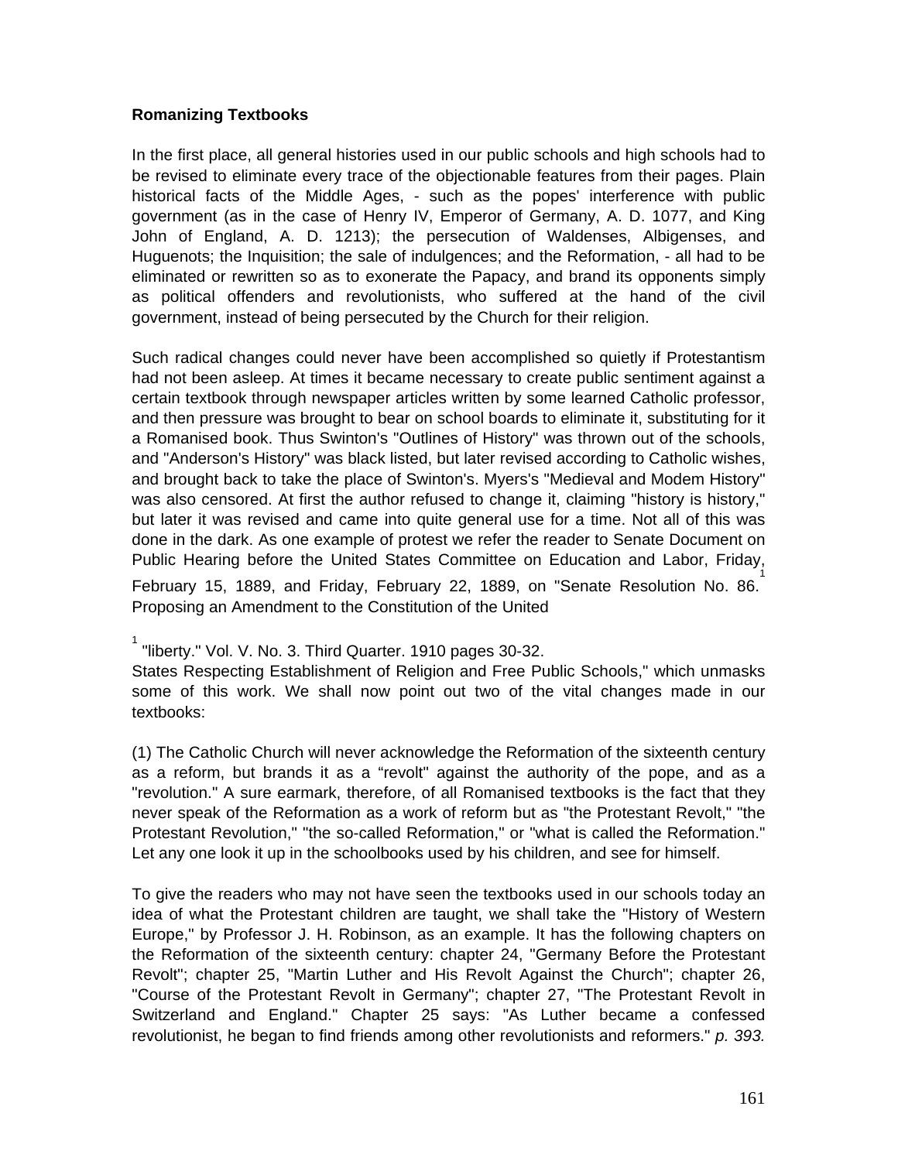# **Romanizing Textbooks**

In the first place, all general histories used in our public schools and high schools had to be revised to eliminate every trace of the objectionable features from their pages. Plain historical facts of the Middle Ages, - such as the popes' interference with public government (as in the case of Henry IV, Emperor of Germany, A. D. 1077, and King John of England, A. D. 1213); the persecution of Waldenses, Albigenses, and Huguenots; the Inquisition; the sale of indulgences; and the Reformation, - all had to be eliminated or rewritten so as to exonerate the Papacy, and brand its opponents simply as political offenders and revolutionists, who suffered at the hand of the civil government, instead of being persecuted by the Church for their religion.

Such radical changes could never have been accomplished so quietly if Protestantism had not been asleep. At times it became necessary to create public sentiment against a certain textbook through newspaper articles written by some learned Catholic professor, and then pressure was brought to bear on school boards to eliminate it, substituting for it a Romanised book. Thus Swinton's "Outlines of History" was thrown out of the schools, and "Anderson's History" was black listed, but later revised according to Catholic wishes, and brought back to take the place of Swinton's. Myers's "Medieval and Modem History" was also censored. At first the author refused to change it, claiming "history is history," but later it was revised and came into quite general use for a time. Not all of this was done in the dark. As one example of protest we refer the reader to Senate Document on Public Hearing before the United States Committee on Education and Labor, Friday, February 15, 1889, and Friday, February 22, 1889, on "Senate Resolution No. 86. 1 Proposing an Amendment to the Constitution of the United

States Respecting Establishment of Religion and Free Public Schools," which unmasks some of this work. We shall now point out two of the vital changes made in our textbooks:

(1) The Catholic Church will never acknowledge the Reformation of the sixteenth century as a reform, but brands it as a "revolt" against the authority of the pope, and as a "revolution." A sure earmark, therefore, of all Romanised textbooks is the fact that they never speak of the Reformation as a work of reform but as "the Protestant Revolt," "the Protestant Revolution," "the so-called Reformation," or "what is called the Reformation." Let any one look it up in the schoolbooks used by his children, and see for himself.

To give the readers who may not have seen the textbooks used in our schools today an idea of what the Protestant children are taught, we shall take the "History of Western Europe," by Professor J. H. Robinson, as an example. It has the following chapters on the Reformation of the sixteenth century: chapter 24, "Germany Before the Protestant Revolt"; chapter 25, "Martin Luther and His Revolt Against the Church"; chapter 26, "Course of the Protestant Revolt in Germany"; chapter 27, "The Protestant Revolt in Switzerland and England." Chapter 25 says: "As Luther became a confessed revolutionist, he began to find friends among other revolutionists and reformers." *p. 393.*

 $^1$  "liberty." Vol. V. No. 3. Third Quarter. 1910 pages 30-32.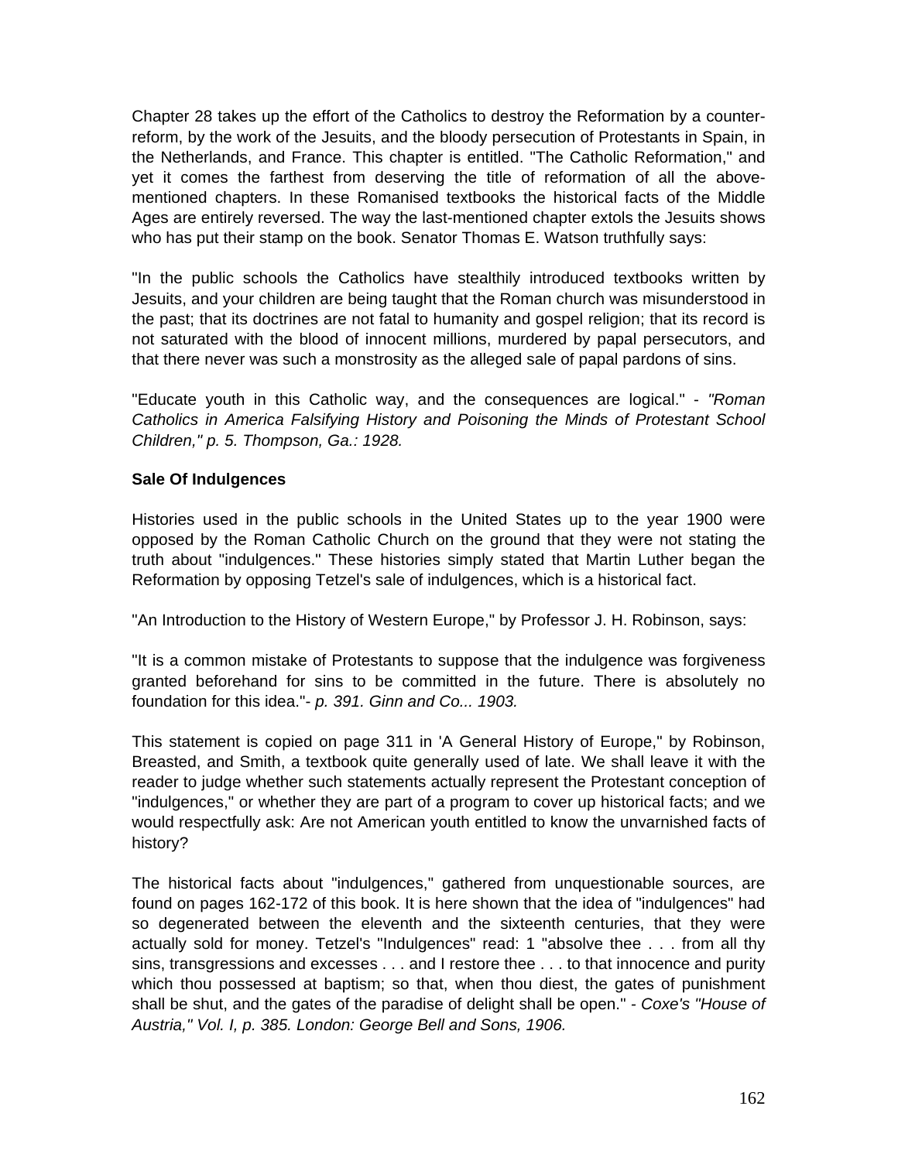Chapter 28 takes up the effort of the Catholics to destroy the Reformation by a counterreform, by the work of the Jesuits, and the bloody persecution of Protestants in Spain, in the Netherlands, and France. This chapter is entitled. "The Catholic Reformation," and yet it comes the farthest from deserving the title of reformation of all the abovementioned chapters. In these Romanised textbooks the historical facts of the Middle Ages are entirely reversed. The way the last-mentioned chapter extols the Jesuits shows who has put their stamp on the book. Senator Thomas E. Watson truthfully says:

"In the public schools the Catholics have stealthily introduced textbooks written by Jesuits, and your children are being taught that the Roman church was misunderstood in the past; that its doctrines are not fatal to humanity and gospel religion; that its record is not saturated with the blood of innocent millions, murdered by papal persecutors, and that there never was such a monstrosity as the alleged sale of papal pardons of sins.

"Educate youth in this Catholic way, and the consequences are logical." - *"Roman Catholics in America Falsifying History and Poisoning the Minds of Protestant School Children," p. 5. Thompson, Ga.: 1928.* 

## **Sale Of Indulgences**

Histories used in the public schools in the United States up to the year 1900 were opposed by the Roman Catholic Church on the ground that they were not stating the truth about "indulgences." These histories simply stated that Martin Luther began the Reformation by opposing Tetzel's sale of indulgences, which is a historical fact.

"An Introduction to the History of Western Europe," by Professor J. H. Robinson, says:

"It is a common mistake of Protestants to suppose that the indulgence was forgiveness granted beforehand for sins to be committed in the future. There is absolutely no foundation for this idea."- *p. 391. Ginn and Co... 1903.* 

This statement is copied on page 311 in 'A General History of Europe," by Robinson, Breasted, and Smith, a textbook quite generally used of late. We shall leave it with the reader to judge whether such statements actually represent the Protestant conception of "indulgences," or whether they are part of a program to cover up historical facts; and we would respectfully ask: Are not American youth entitled to know the unvarnished facts of history?

The historical facts about "indulgences," gathered from unquestionable sources, are found on pages 162-172 of this book. It is here shown that the idea of "indulgences" had so degenerated between the eleventh and the sixteenth centuries, that they were actually sold for money. Tetzel's "Indulgences" read: 1 "absolve thee . . . from all thy sins, transgressions and excesses . . . and I restore thee . . . to that innocence and purity which thou possessed at baptism; so that, when thou diest, the gates of punishment shall be shut, and the gates of the paradise of delight shall be open." *- Coxe's "House of Austria," Vol. I, p. 385. London: George Bell and Sons, 1906.*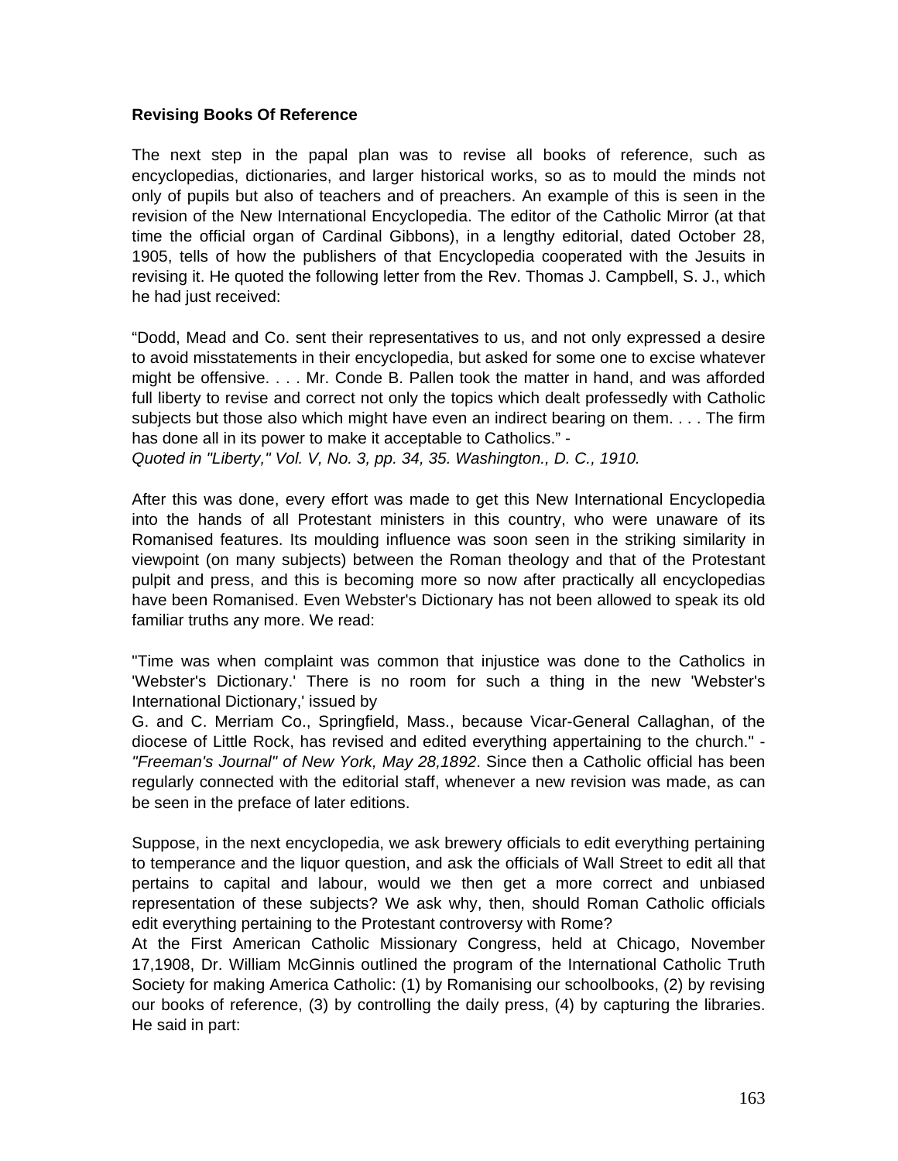#### **Revising Books Of Reference**

The next step in the papal plan was to revise all books of reference, such as encyclopedias, dictionaries, and larger historical works, so as to mould the minds not only of pupils but also of teachers and of preachers. An example of this is seen in the revision of the New International Encyclopedia. The editor of the Catholic Mirror (at that time the official organ of Cardinal Gibbons), in a lengthy editorial, dated October 28, 1905, tells of how the publishers of that Encyclopedia cooperated with the Jesuits in revising it. He quoted the following letter from the Rev. Thomas J. Campbell, S. J., which he had just received:

"Dodd, Mead and Co. sent their representatives to us, and not only expressed a desire to avoid misstatements in their encyclopedia, but asked for some one to excise whatever might be offensive. . . . Mr. Conde B. Pallen took the matter in hand, and was afforded full liberty to revise and correct not only the topics which dealt professedly with Catholic subjects but those also which might have even an indirect bearing on them. . . . The firm has done all in its power to make it acceptable to Catholics." -

*Quoted in "Liberty," Vol. V, No. 3, pp. 34, 35. Washington., D. C., 1910.* 

After this was done, every effort was made to get this New International Encyclopedia into the hands of all Protestant ministers in this country, who were unaware of its Romanised features. Its moulding influence was soon seen in the striking similarity in viewpoint (on many subjects) between the Roman theology and that of the Protestant pulpit and press, and this is becoming more so now after practically all encyclopedias have been Romanised. Even Webster's Dictionary has not been allowed to speak its old familiar truths any more. We read:

"Time was when complaint was common that injustice was done to the Catholics in 'Webster's Dictionary.' There is no room for such a thing in the new 'Webster's International Dictionary,' issued by

G. and C. Merriam Co., Springfield, Mass., because Vicar-General Callaghan, of the diocese of Little Rock, has revised and edited everything appertaining to the church." - *"Freeman's Journal" of New York, May 28,1892*. Since then a Catholic official has been regularly connected with the editorial staff, whenever a new revision was made, as can be seen in the preface of later editions.

Suppose, in the next encyclopedia, we ask brewery officials to edit everything pertaining to temperance and the liquor question, and ask the officials of Wall Street to edit all that pertains to capital and labour, would we then get a more correct and unbiased representation of these subjects? We ask why, then, should Roman Catholic officials edit everything pertaining to the Protestant controversy with Rome?

At the First American Catholic Missionary Congress, held at Chicago, November 17,1908, Dr. William McGinnis outlined the program of the International Catholic Truth Society for making America Catholic: (1) by Romanising our schoolbooks, (2) by revising our books of reference, (3) by controlling the daily press, (4) by capturing the libraries. He said in part: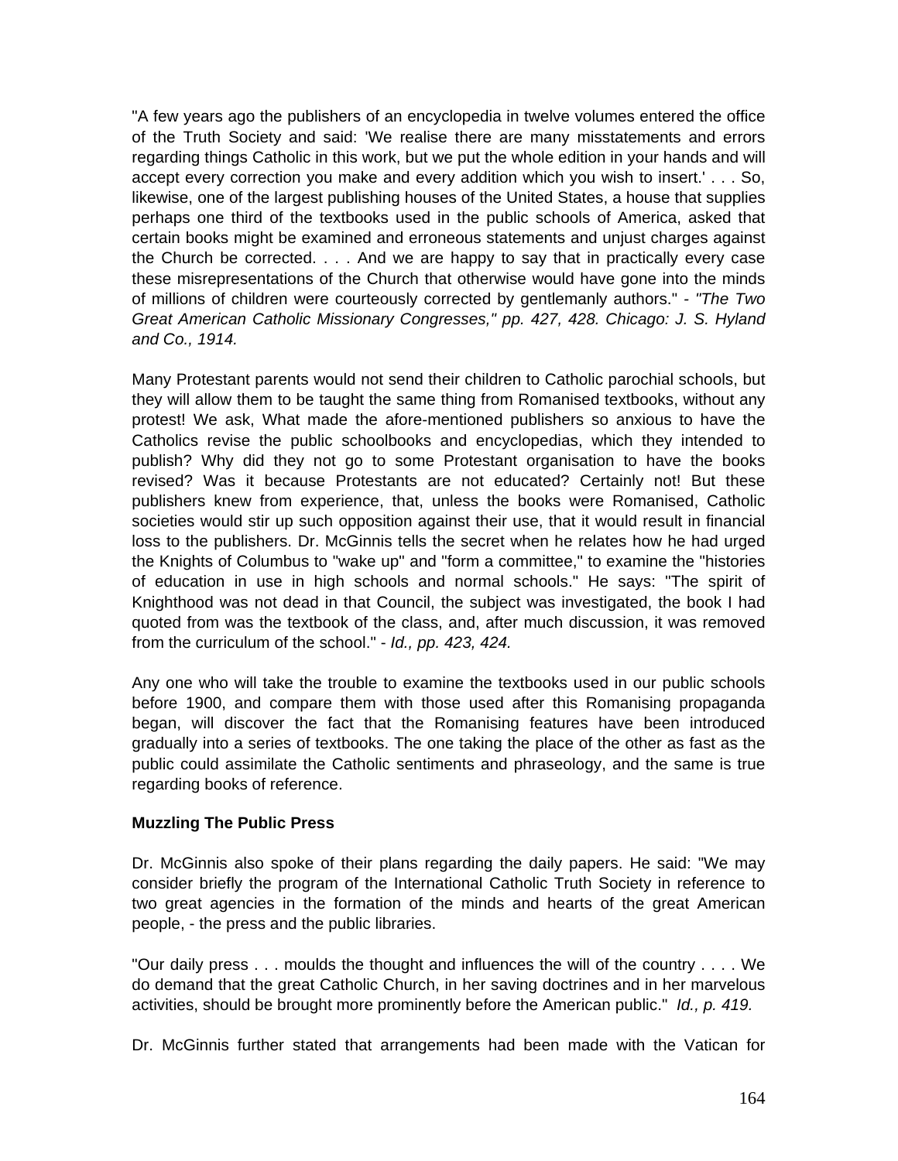"A few years ago the publishers of an encyclopedia in twelve volumes entered the office of the Truth Society and said: 'We realise there are many misstatements and errors regarding things Catholic in this work, but we put the whole edition in your hands and will accept every correction you make and every addition which you wish to insert.' . . . So, likewise, one of the largest publishing houses of the United States, a house that supplies perhaps one third of the textbooks used in the public schools of America, asked that certain books might be examined and erroneous statements and unjust charges against the Church be corrected. . . . And we are happy to say that in practically every case these misrepresentations of the Church that otherwise would have gone into the minds of millions of children were courteously corrected by gentlemanly authors." *- "The Two Great American Catholic Missionary Congresses," pp. 427, 428. Chicago: J. S. Hyland and Co., 1914.* 

Many Protestant parents would not send their children to Catholic parochial schools, but they will allow them to be taught the same thing from Romanised textbooks, without any protest! We ask, What made the afore-mentioned publishers so anxious to have the Catholics revise the public schoolbooks and encyclopedias, which they intended to publish? Why did they not go to some Protestant organisation to have the books revised? Was it because Protestants are not educated? Certainly not! But these publishers knew from experience, that, unless the books were Romanised, Catholic societies would stir up such opposition against their use, that it would result in financial loss to the publishers. Dr. McGinnis tells the secret when he relates how he had urged the Knights of Columbus to "wake up" and "form a committee," to examine the "histories of education in use in high schools and normal schools." He says: "The spirit of Knighthood was not dead in that Council, the subject was investigated, the book I had quoted from was the textbook of the class, and, after much discussion, it was removed from the curriculum of the school." - *Id., pp. 423, 424.* 

Any one who will take the trouble to examine the textbooks used in our public schools before 1900, and compare them with those used after this Romanising propaganda began, will discover the fact that the Romanising features have been introduced gradually into a series of textbooks. The one taking the place of the other as fast as the public could assimilate the Catholic sentiments and phraseology, and the same is true regarding books of reference.

## **Muzzling The Public Press**

Dr. McGinnis also spoke of their plans regarding the daily papers. He said: "We may consider briefly the program of the International Catholic Truth Society in reference to two great agencies in the formation of the minds and hearts of the great American people, - the press and the public libraries.

"Our daily press . . . moulds the thought and influences the will of the country . . . . We do demand that the great Catholic Church, in her saving doctrines and in her marvelous activities, should be brought more prominently before the American public." *Id., p. 419.* 

Dr. McGinnis further stated that arrangements had been made with the Vatican for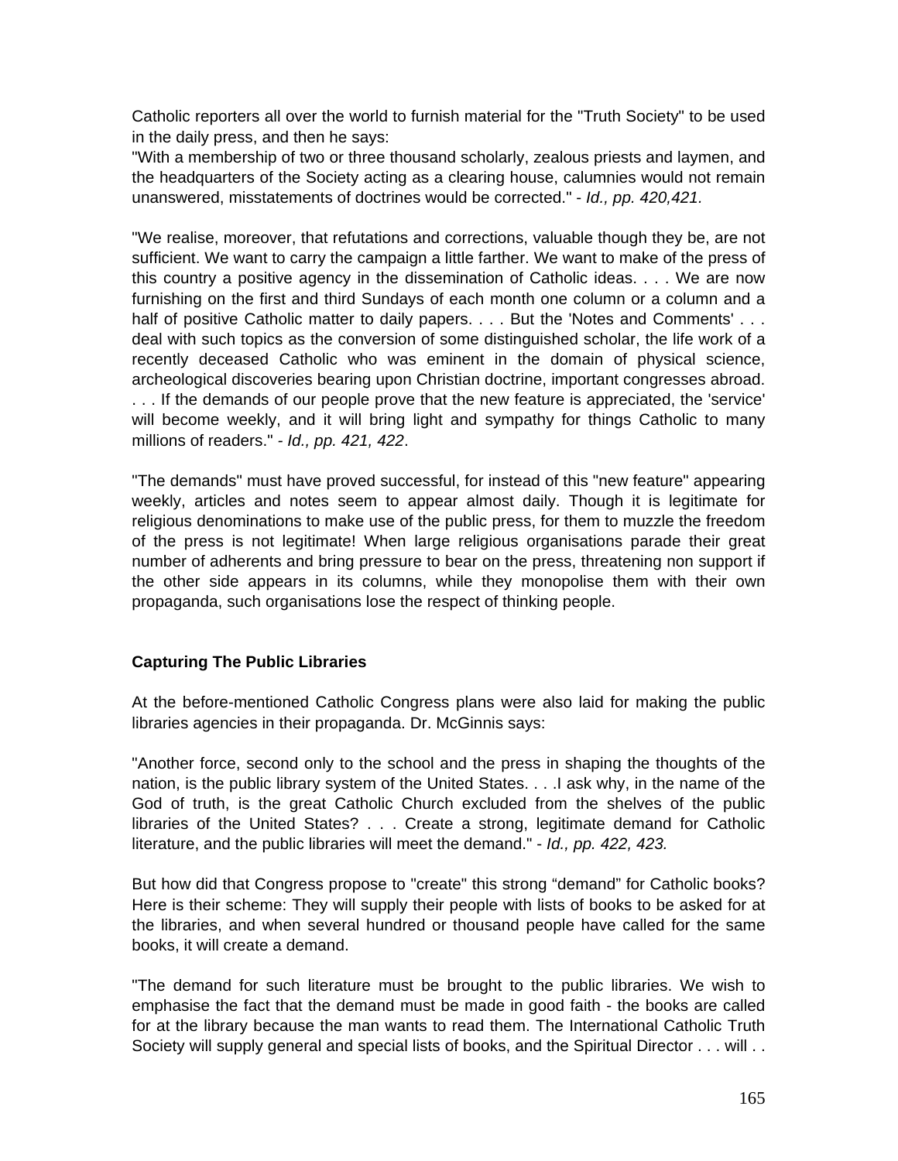Catholic reporters all over the world to furnish material for the "Truth Society" to be used in the daily press, and then he says:

"With a membership of two or three thousand scholarly, zealous priests and laymen, and the headquarters of the Society acting as a clearing house, calumnies would not remain unanswered, misstatements of doctrines would be corrected." - *Id., pp. 420,421.* 

"We realise, moreover, that refutations and corrections, valuable though they be, are not sufficient. We want to carry the campaign a little farther. We want to make of the press of this country a positive agency in the dissemination of Catholic ideas. . . . We are now furnishing on the first and third Sundays of each month one column or a column and a half of positive Catholic matter to daily papers. . . . But the 'Notes and Comments' . . . deal with such topics as the conversion of some distinguished scholar, the life work of a recently deceased Catholic who was eminent in the domain of physical science, archeological discoveries bearing upon Christian doctrine, important congresses abroad. . . . If the demands of our people prove that the new feature is appreciated, the 'service' will become weekly, and it will bring light and sympathy for things Catholic to many millions of readers." *- Id., pp. 421, 422*.

"The demands" must have proved successful, for instead of this "new feature" appearing weekly, articles and notes seem to appear almost daily. Though it is legitimate for religious denominations to make use of the public press, for them to muzzle the freedom of the press is not legitimate! When large religious organisations parade their great number of adherents and bring pressure to bear on the press, threatening non support if the other side appears in its columns, while they monopolise them with their own propaganda, such organisations lose the respect of thinking people.

## **Capturing The Public Libraries**

At the before-mentioned Catholic Congress plans were also laid for making the public libraries agencies in their propaganda. Dr. McGinnis says:

"Another force, second only to the school and the press in shaping the thoughts of the nation, is the public library system of the United States. . . .I ask why, in the name of the God of truth, is the great Catholic Church excluded from the shelves of the public libraries of the United States? . . . Create a strong, legitimate demand for Catholic literature, and the public libraries will meet the demand." - *Id., pp. 422, 423.* 

But how did that Congress propose to "create" this strong "demand" for Catholic books? Here is their scheme: They will supply their people with lists of books to be asked for at the libraries, and when several hundred or thousand people have called for the same books, it will create a demand.

"The demand for such literature must be brought to the public libraries. We wish to emphasise the fact that the demand must be made in good faith - the books are called for at the library because the man wants to read them. The International Catholic Truth Society will supply general and special lists of books, and the Spiritual Director . . . will . .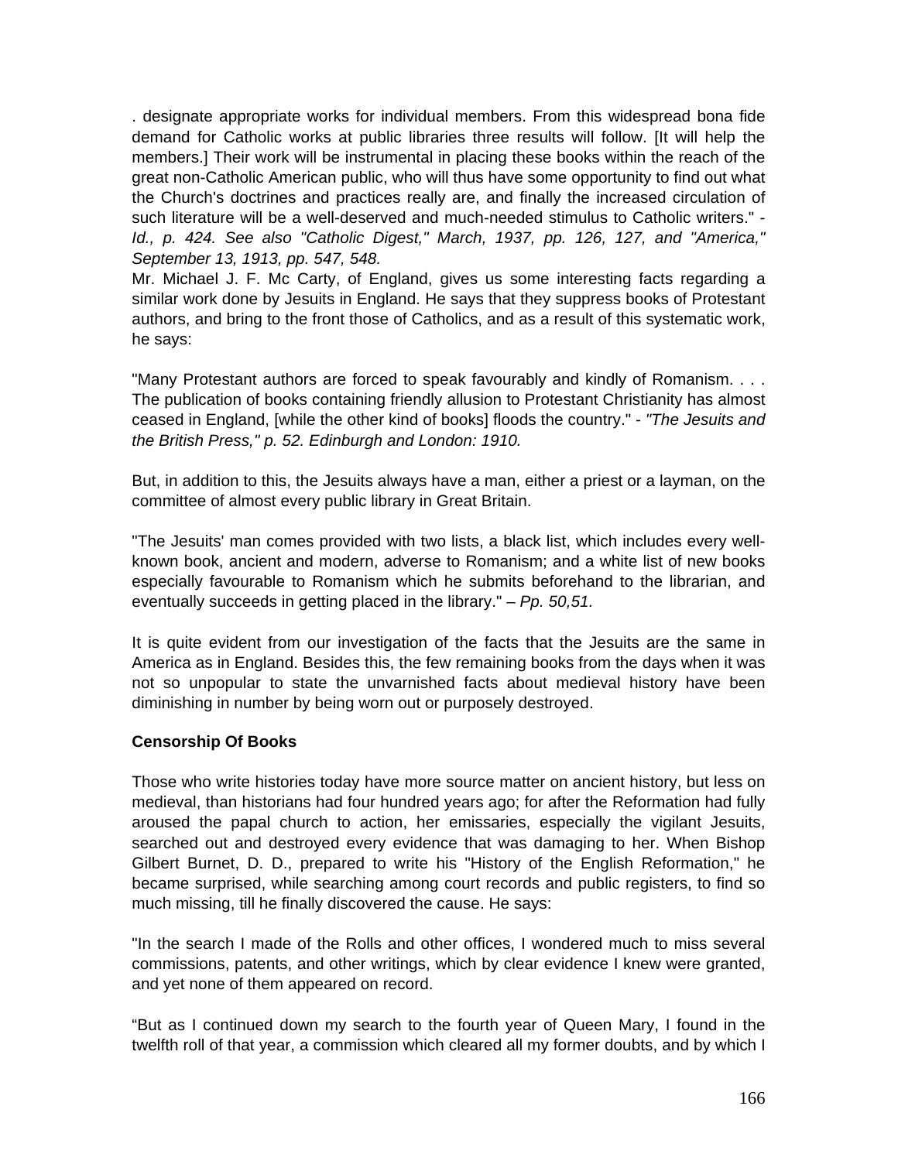. designate appropriate works for individual members. From this widespread bona fide demand for Catholic works at public libraries three results will follow. [It will help the members.] Their work will be instrumental in placing these books within the reach of the great non-Catholic American public, who will thus have some opportunity to find out what the Church's doctrines and practices really are, and finally the increased circulation of such literature will be a well-deserved and much-needed stimulus to Catholic writers." - *Id., p. 424. See also "Catholic Digest," March, 1937, pp. 126, 127, and "America," September 13, 1913, pp. 547, 548.* 

Mr. Michael J. F. Mc Carty, of England, gives us some interesting facts regarding a similar work done by Jesuits in England. He says that they suppress books of Protestant authors, and bring to the front those of Catholics, and as a result of this systematic work, he says:

"Many Protestant authors are forced to speak favourably and kindly of Romanism. . . . The publication of books containing friendly allusion to Protestant Christianity has almost ceased in England, [while the other kind of books] floods the country." *- "The Jesuits and the British Press," p. 52. Edinburgh and London: 1910.* 

But, in addition to this, the Jesuits always have a man, either a priest or a layman, on the committee of almost every public library in Great Britain.

"The Jesuits' man comes provided with two lists, a black list, which includes every wellknown book, ancient and modern, adverse to Romanism; and a white list of new books especially favourable to Romanism which he submits beforehand to the librarian, and eventually succeeds in getting placed in the library." – *Pp. 50,51.* 

It is quite evident from our investigation of the facts that the Jesuits are the same in America as in England. Besides this, the few remaining books from the days when it was not so unpopular to state the unvarnished facts about medieval history have been diminishing in number by being worn out or purposely destroyed.

## **Censorship Of Books**

Those who write histories today have more source matter on ancient history, but less on medieval, than historians had four hundred years ago; for after the Reformation had fully aroused the papal church to action, her emissaries, especially the vigilant Jesuits, searched out and destroyed every evidence that was damaging to her. When Bishop Gilbert Burnet, D. D., prepared to write his "History of the English Reformation," he became surprised, while searching among court records and public registers, to find so much missing, till he finally discovered the cause. He says:

"In the search I made of the Rolls and other offices, I wondered much to miss several commissions, patents, and other writings, which by clear evidence I knew were granted, and yet none of them appeared on record.

"But as I continued down my search to the fourth year of Queen Mary, I found in the twelfth roll of that year, a commission which cleared all my former doubts, and by which I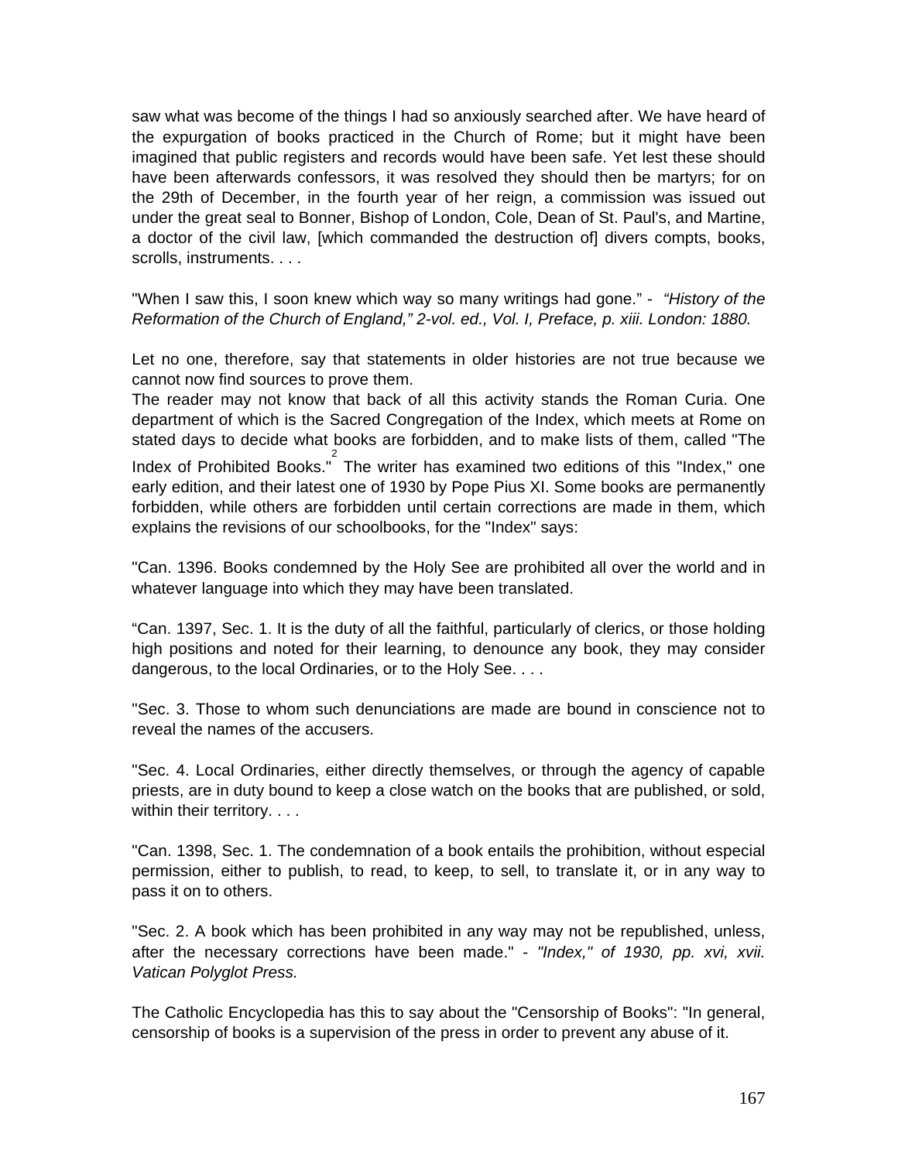saw what was become of the things I had so anxiously searched after. We have heard of the expurgation of books practiced in the Church of Rome; but it might have been imagined that public registers and records would have been safe. Yet lest these should have been afterwards confessors, it was resolved they should then be martyrs; for on the 29th of December, in the fourth year of her reign, a commission was issued out under the great seal to Bonner, Bishop of London, Cole, Dean of St. Paul's, and Martine, a doctor of the civil law, [which commanded the destruction of] divers compts, books, scrolls, instruments. . . .

"When I saw this, I soon knew which way so many writings had gone." - *"History of the Reformation of the Church of England," 2-vol. ed., Vol. I, Preface, p. xiii. London: 1880.* 

Let no one, therefore, say that statements in older histories are not true because we cannot now find sources to prove them.

The reader may not know that back of all this activity stands the Roman Curia. One department of which is the Sacred Congregation of the Index, which meets at Rome on stated days to decide what books are forbidden, and to make lists of them, called "The Index of Prohibited Books." The writer has examined two editions of this "Index," one early edition, and their latest one of 1930 by Pope Pius XI. Some books are permanently forbidden, while others are forbidden until certain corrections are made in them, which explains the revisions of our schoolbooks, for the "Index" says:

"Can. 1396. Books condemned by the Holy See are prohibited all over the world and in whatever language into which they may have been translated.

"Can. 1397, Sec. 1. It is the duty of all the faithful, particularly of clerics, or those holding high positions and noted for their learning, to denounce any book, they may consider dangerous, to the local Ordinaries, or to the Holy See. . . .

"Sec. 3. Those to whom such denunciations are made are bound in conscience not to reveal the names of the accusers.

"Sec. 4. Local Ordinaries, either directly themselves, or through the agency of capable priests, are in duty bound to keep a close watch on the books that are published, or sold, within their territory. . . .

"Can. 1398, Sec. 1. The condemnation of a book entails the prohibition, without especial permission, either to publish, to read, to keep, to sell, to translate it, or in any way to pass it on to others.

"Sec. 2. A book which has been prohibited in any way may not be republished, unless, after the necessary corrections have been made." - *"Index," of 1930, pp. xvi, xvii. Vatican Polyglot Press.* 

The Catholic Encyclopedia has this to say about the "Censorship of Books": "In general, censorship of books is a supervision of the press in order to prevent any abuse of it.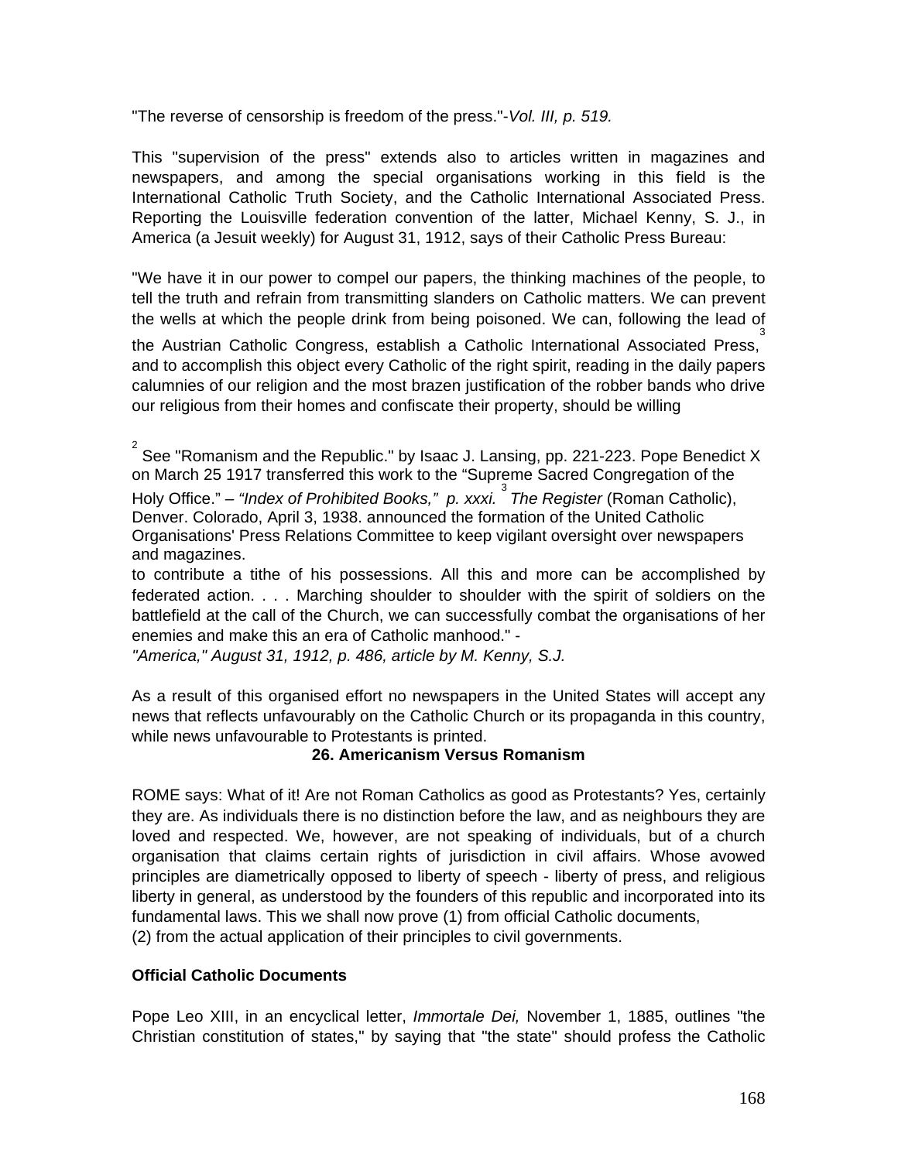"The reverse of censorship is freedom of the press."-*Vol. III, p. 519.* 

This "supervision of the press" extends also to articles written in magazines and newspapers, and among the special organisations working in this field is the International Catholic Truth Society, and the Catholic International Associated Press. Reporting the Louisville federation convention of the latter, Michael Kenny, S. J., in America (a Jesuit weekly) for August 31, 1912, says of their Catholic Press Bureau:

"We have it in our power to compel our papers, the thinking machines of the people, to tell the truth and refrain from transmitting slanders on Catholic matters. We can prevent the wells at which the people drink from being poisoned. We can, following the lead of 3

the Austrian Catholic Congress, establish a Catholic International Associated Press, and to accomplish this object every Catholic of the right spirit, reading in the daily papers calumnies of our religion and the most brazen justification of the robber bands who drive our religious from their homes and confiscate their property, should be willing

2 See "Romanism and the Republic." by Isaac J. Lansing, pp. 221-223. Pope Benedict X on March 25 1917 transferred this work to the "Supreme Sacred Congregation of the Holy Office." – *"Index of Prohibited Books," p. xxxi.*  3 *The Register* (Roman Catholic), Denver. Colorado, April 3, 1938. announced the formation of the United Catholic Organisations' Press Relations Committee to keep vigilant oversight over newspapers

and magazines.

to contribute a tithe of his possessions. All this and more can be accomplished by federated action. . . . Marching shoulder to shoulder with the spirit of soldiers on the battlefield at the call of the Church, we can successfully combat the organisations of her enemies and make this an era of Catholic manhood." -

*"America," August 31, 1912, p. 486, article by M. Kenny, S.J.* 

As a result of this organised effort no newspapers in the United States will accept any news that reflects unfavourably on the Catholic Church or its propaganda in this country, while news unfavourable to Protestants is printed.

## **26. Americanism Versus Romanism**

ROME says: What of it! Are not Roman Catholics as good as Protestants? Yes, certainly they are. As individuals there is no distinction before the law, and as neighbours they are loved and respected. We, however, are not speaking of individuals, but of a church organisation that claims certain rights of jurisdiction in civil affairs. Whose avowed principles are diametrically opposed to liberty of speech - liberty of press, and religious liberty in general, as understood by the founders of this republic and incorporated into its fundamental laws. This we shall now prove (1) from official Catholic documents, (2) from the actual application of their principles to civil governments.

## **Official Catholic Documents**

Pope Leo XIII, in an encyclical letter, *Immortale Dei,* November 1, 1885, outlines "the Christian constitution of states," by saying that "the state" should profess the Catholic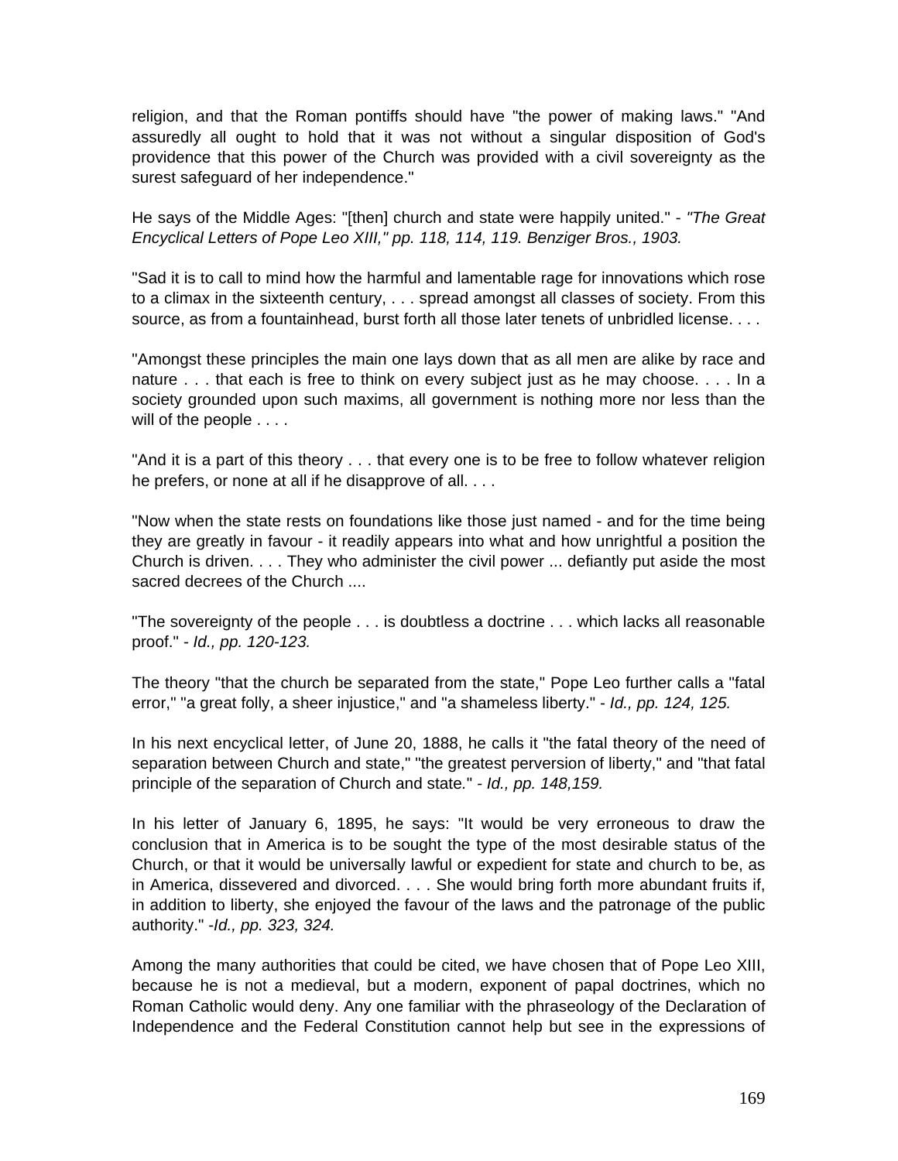religion, and that the Roman pontiffs should have "the power of making laws." "And assuredly all ought to hold that it was not without a singular disposition of God's providence that this power of the Church was provided with a civil sovereignty as the surest safeguard of her independence."

He says of the Middle Ages: "[then] church and state were happily united." - *"The Great Encyclical Letters of Pope Leo XIII," pp. 118, 114, 119. Benziger Bros., 1903.* 

"Sad it is to call to mind how the harmful and lamentable rage for innovations which rose to a climax in the sixteenth century, . . . spread amongst all classes of society. From this source, as from a fountainhead, burst forth all those later tenets of unbridled license. . . .

"Amongst these principles the main one lays down that as all men are alike by race and nature . . . that each is free to think on every subject just as he may choose. . . . In a society grounded upon such maxims, all government is nothing more nor less than the will of the people . . . .

"And it is a part of this theory . . . that every one is to be free to follow whatever religion he prefers, or none at all if he disapprove of all. . . .

"Now when the state rests on foundations like those just named - and for the time being they are greatly in favour - it readily appears into what and how unrightful a position the Church is driven. . . . They who administer the civil power ... defiantly put aside the most sacred decrees of the Church ....

"The sovereignty of the people . . . is doubtless a doctrine . . . which lacks all reasonable proof." *- Id., pp. 120-123.* 

The theory "that the church be separated from the state," Pope Leo further calls a "fatal error," "a great folly, a sheer injustice," and "a shameless liberty." - *Id., pp. 124, 125.* 

In his next encyclical letter, of June 20, 1888, he calls it "the fatal theory of the need of separation between Church and state," "the greatest perversion of liberty," and "that fatal principle of the separation of Church and state*.*" *- Id., pp. 148,159.* 

In his letter of January 6, 1895, he says: "It would be very erroneous to draw the conclusion that in America is to be sought the type of the most desirable status of the Church, or that it would be universally lawful or expedient for state and church to be, as in America, dissevered and divorced. . . . She would bring forth more abundant fruits if, in addition to liberty, she enjoyed the favour of the laws and the patronage of the public authority." -*Id., pp. 323, 324.* 

Among the many authorities that could be cited, we have chosen that of Pope Leo XIII, because he is not a medieval, but a modern, exponent of papal doctrines, which no Roman Catholic would deny. Any one familiar with the phraseology of the Declaration of Independence and the Federal Constitution cannot help but see in the expressions of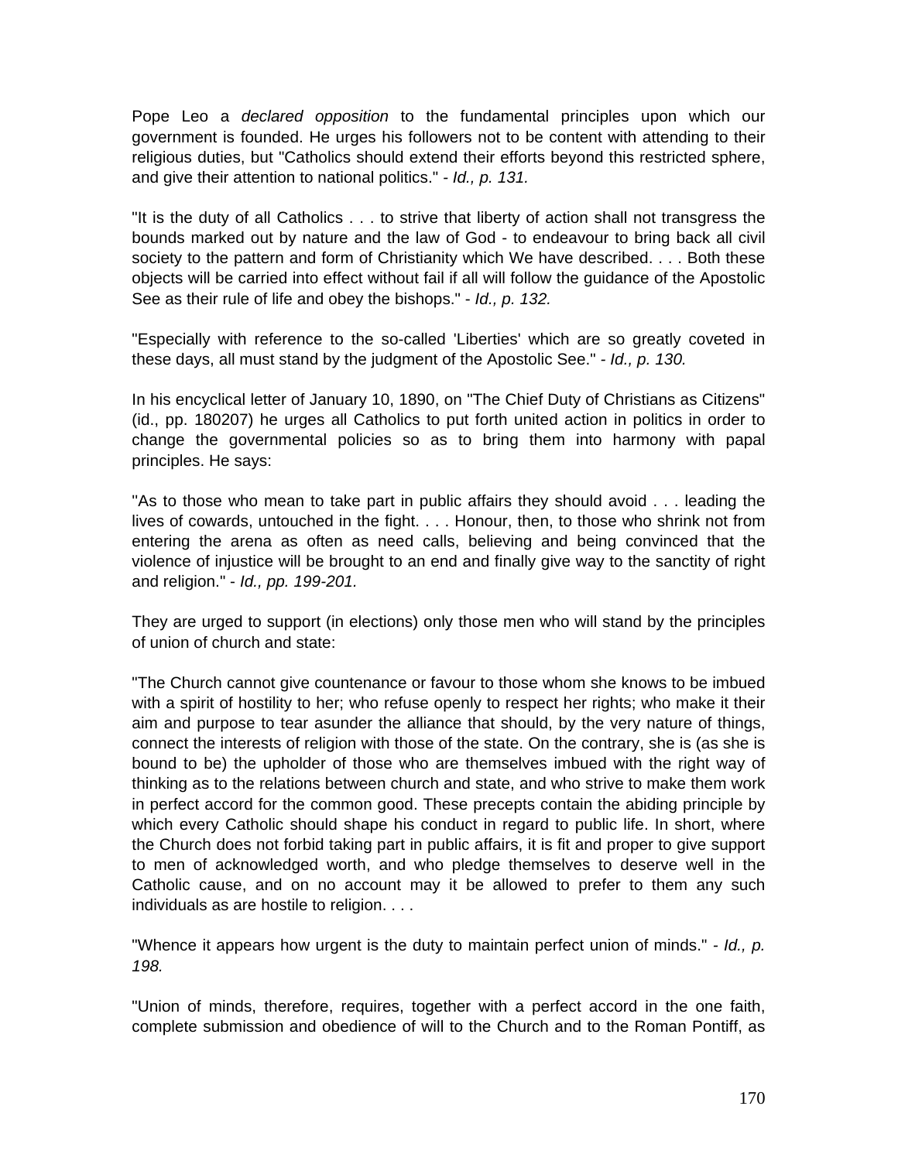Pope Leo a *declared opposition* to the fundamental principles upon which our government is founded. He urges his followers not to be content with attending to their religious duties, but "Catholics should extend their efforts beyond this restricted sphere, and give their attention to national politics." *- Id., p. 131.* 

"It is the duty of all Catholics . . . to strive that liberty of action shall not transgress the bounds marked out by nature and the law of God - to endeavour to bring back all civil society to the pattern and form of Christianity which We have described. . . . Both these objects will be carried into effect without fail if all will follow the guidance of the Apostolic See as their rule of life and obey the bishops." - *Id., p. 132.* 

"Especially with reference to the so-called 'Liberties' which are so greatly coveted in these days, all must stand by the judgment of the Apostolic See." *- Id., p. 130.* 

In his encyclical letter of January 10, 1890, on "The Chief Duty of Christians as Citizens" (id., pp. 180207) he urges all Catholics to put forth united action in politics in order to change the governmental policies so as to bring them into harmony with papal principles. He says:

"As to those who mean to take part in public affairs they should avoid . . . leading the lives of cowards, untouched in the fight. . . . Honour, then, to those who shrink not from entering the arena as often as need calls, believing and being convinced that the violence of injustice will be brought to an end and finally give way to the sanctity of right and religion." - *Id., pp. 199-201.* 

They are urged to support (in elections) only those men who will stand by the principles of union of church and state:

"The Church cannot give countenance or favour to those whom she knows to be imbued with a spirit of hostility to her; who refuse openly to respect her rights; who make it their aim and purpose to tear asunder the alliance that should, by the very nature of things, connect the interests of religion with those of the state. On the contrary, she is (as she is bound to be) the upholder of those who are themselves imbued with the right way of thinking as to the relations between church and state, and who strive to make them work in perfect accord for the common good. These precepts contain the abiding principle by which every Catholic should shape his conduct in regard to public life. In short, where the Church does not forbid taking part in public affairs, it is fit and proper to give support to men of acknowledged worth, and who pledge themselves to deserve well in the Catholic cause, and on no account may it be allowed to prefer to them any such individuals as are hostile to religion. . . .

"Whence it appears how urgent is the duty to maintain perfect union of minds." *- Id., p. 198.* 

"Union of minds, therefore, requires, together with a perfect accord in the one faith, complete submission and obedience of will to the Church and to the Roman Pontiff, as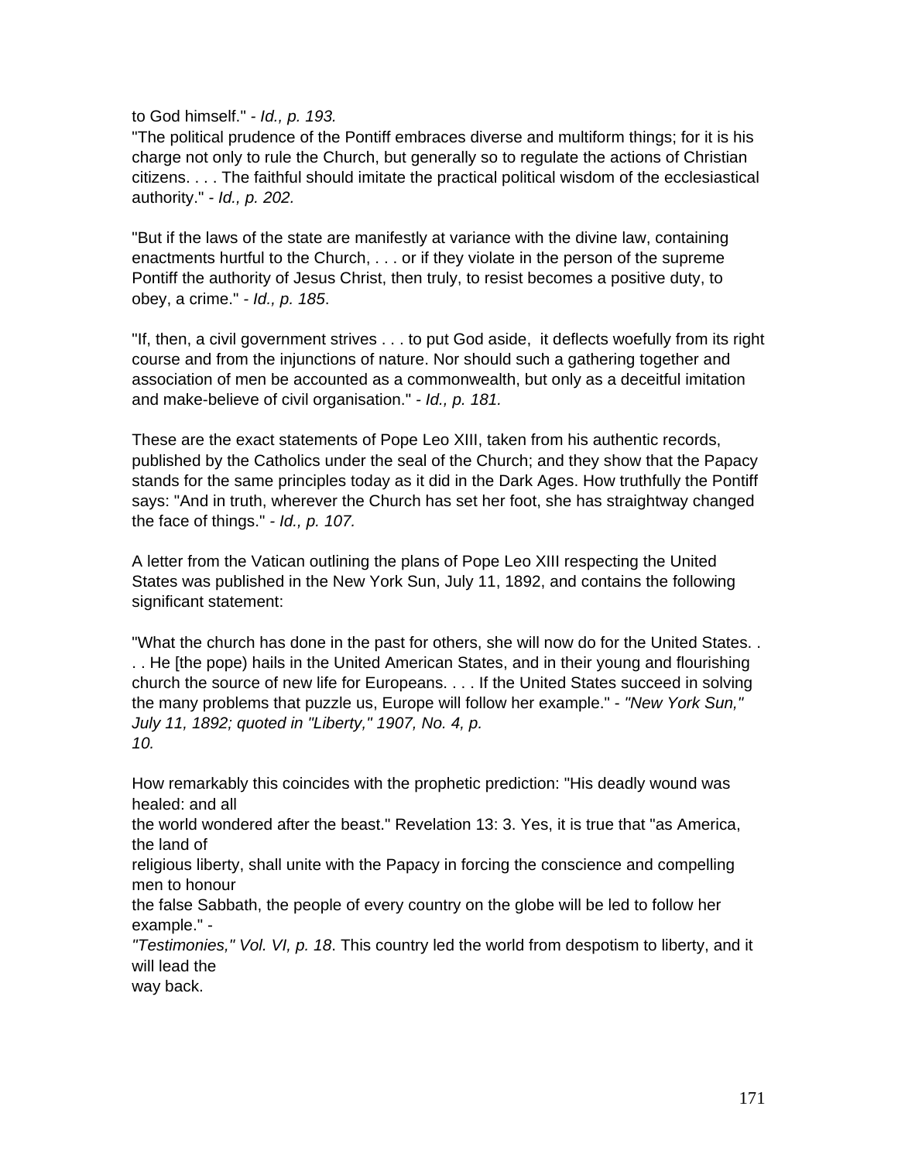to God himself." *- Id., p. 193.* 

"The political prudence of the Pontiff embraces diverse and multiform things; for it is his charge not only to rule the Church, but generally so to regulate the actions of Christian citizens. . . . The faithful should imitate the practical political wisdom of the ecclesiastical authority." *- Id., p. 202.* 

"But if the laws of the state are manifestly at variance with the divine law, containing enactments hurtful to the Church, . . . or if they violate in the person of the supreme Pontiff the authority of Jesus Christ, then truly, to resist becomes a positive duty, to obey, a crime." *- Id., p. 185*.

"If, then, a civil government strives . . . to put God aside, it deflects woefully from its right course and from the injunctions of nature. Nor should such a gathering together and association of men be accounted as a commonwealth, but only as a deceitful imitation and make-believe of civil organisation." *- Id., p. 181.* 

These are the exact statements of Pope Leo XIII, taken from his authentic records, published by the Catholics under the seal of the Church; and they show that the Papacy stands for the same principles today as it did in the Dark Ages. How truthfully the Pontiff says: "And in truth, wherever the Church has set her foot, she has straightway changed the face of things." *- Id., p. 107.* 

A letter from the Vatican outlining the plans of Pope Leo XIII respecting the United States was published in the New York Sun, July 11, 1892, and contains the following significant statement:

"What the church has done in the past for others, she will now do for the United States. . . . He [the pope) hails in the United American States, and in their young and flourishing church the source of new life for Europeans. . . . If the United States succeed in solving the many problems that puzzle us, Europe will follow her example." - *"New York Sun," July 11, 1892; quoted in "Liberty," 1907, No. 4, p. 10.* 

How remarkably this coincides with the prophetic prediction: "His deadly wound was healed: and all

the world wondered after the beast." Revelation 13: 3. Yes, it is true that "as America, the land of

religious liberty, shall unite with the Papacy in forcing the conscience and compelling men to honour

the false Sabbath, the people of every country on the globe will be led to follow her example." -

*"Testimonies," Vol. VI, p. 18*. This country led the world from despotism to liberty, and it will lead the

way back.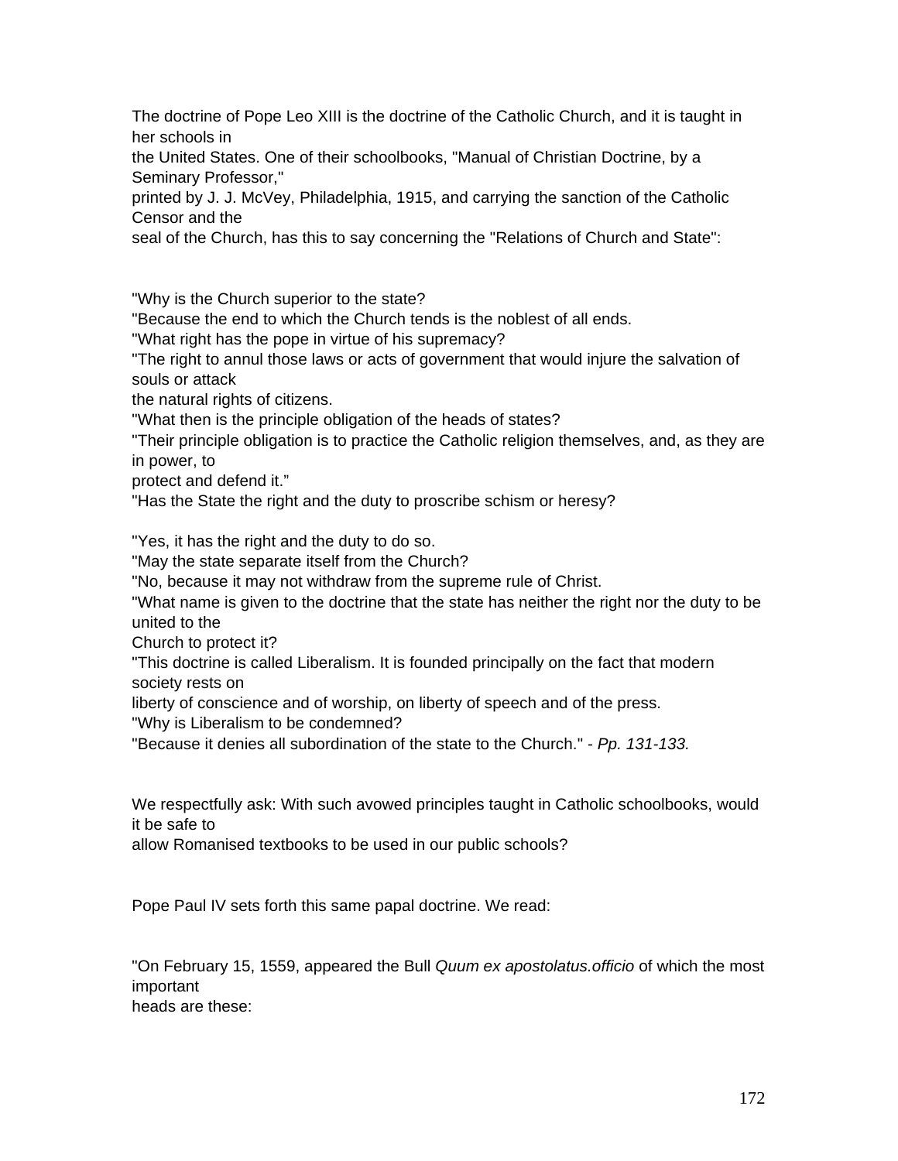The doctrine of Pope Leo XIII is the doctrine of the Catholic Church, and it is taught in her schools in

the United States. One of their schoolbooks, "Manual of Christian Doctrine, by a Seminary Professor,"

printed by J. J. McVey, Philadelphia, 1915, and carrying the sanction of the Catholic Censor and the

seal of the Church, has this to say concerning the "Relations of Church and State":

"Why is the Church superior to the state?

"Because the end to which the Church tends is the noblest of all ends.

"What right has the pope in virtue of his supremacy?

"The right to annul those laws or acts of government that would injure the salvation of souls or attack

the natural rights of citizens.

"What then is the principle obligation of the heads of states?

"Their principle obligation is to practice the Catholic religion themselves, and, as they are in power, to

protect and defend it."

"Has the State the right and the duty to proscribe schism or heresy?

"Yes, it has the right and the duty to do so.

"May the state separate itself from the Church?

"No, because it may not withdraw from the supreme rule of Christ.

"What name is given to the doctrine that the state has neither the right nor the duty to be united to the

Church to protect it?

"This doctrine is called Liberalism. It is founded principally on the fact that modern society rests on

liberty of conscience and of worship, on liberty of speech and of the press.

"Why is Liberalism to be condemned?

"Because it denies all subordination of the state to the Church." - *Pp. 131-133.* 

We respectfully ask: With such avowed principles taught in Catholic schoolbooks, would it be safe to

allow Romanised textbooks to be used in our public schools?

Pope Paul IV sets forth this same papal doctrine. We read:

"On February 15, 1559, appeared the Bull *Quum ex apostolatus.officio* of which the most important

heads are these: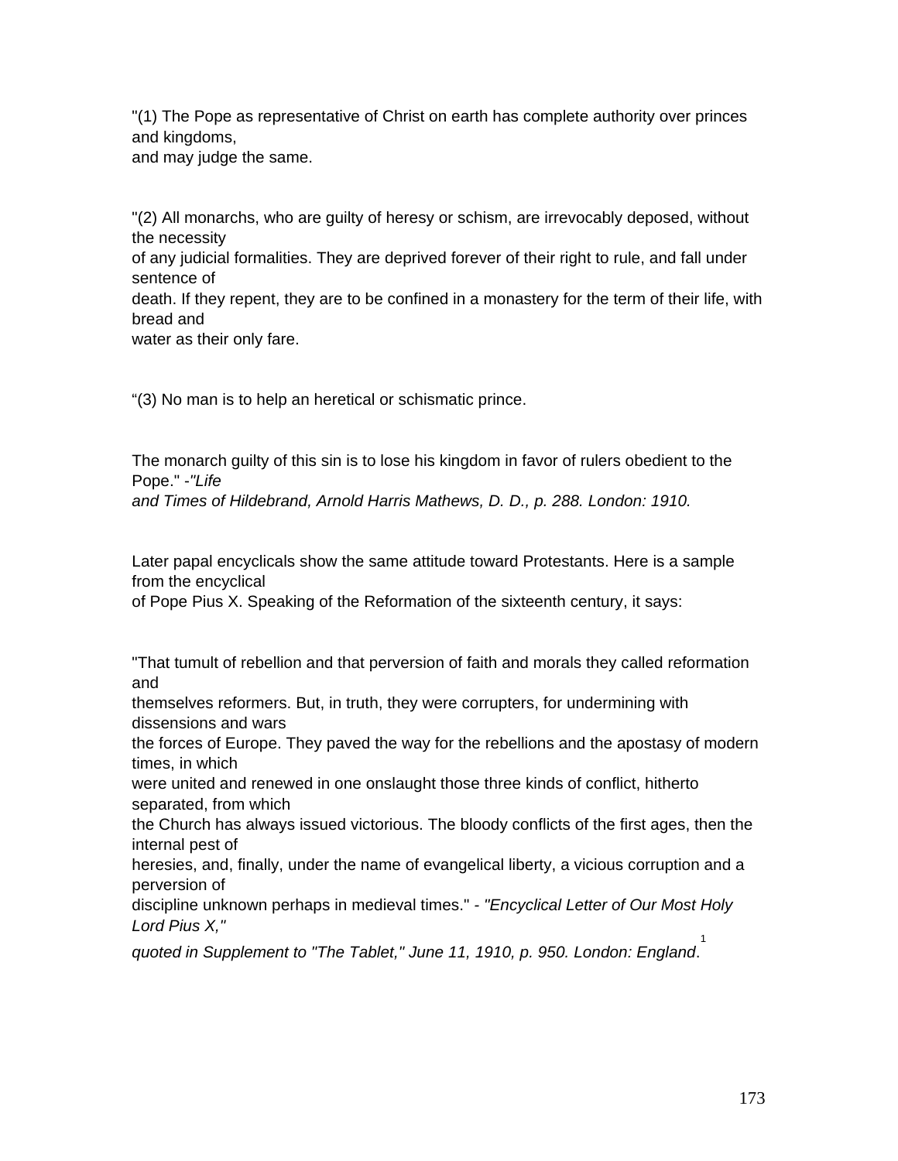"(1) The Pope as representative of Christ on earth has complete authority over princes and kingdoms,

and may judge the same.

"(2) All monarchs, who are guilty of heresy or schism, are irrevocably deposed, without the necessity

of any judicial formalities. They are deprived forever of their right to rule, and fall under sentence of

death. If they repent, they are to be confined in a monastery for the term of their life, with bread and

water as their only fare.

"(3) No man is to help an heretical or schismatic prince.

The monarch guilty of this sin is to lose his kingdom in favor of rulers obedient to the Pope." -*"Life* 

*and Times of Hildebrand, Arnold Harris Mathews, D. D., p. 288. London: 1910.* 

Later papal encyclicals show the same attitude toward Protestants. Here is a sample from the encyclical

of Pope Pius X. Speaking of the Reformation of the sixteenth century, it says:

"That tumult of rebellion and that perversion of faith and morals they called reformation and

themselves reformers. But, in truth, they were corrupters, for undermining with dissensions and wars

the forces of Europe. They paved the way for the rebellions and the apostasy of modern times, in which

were united and renewed in one onslaught those three kinds of conflict, hitherto separated, from which

the Church has always issued victorious. The bloody conflicts of the first ages, then the internal pest of

heresies, and, finally, under the name of evangelical liberty, a vicious corruption and a perversion of

discipline unknown perhaps in medieval times." *- "Encyclical Letter of Our Most Holy Lord Pius X,"* 

*quoted in Supplement to "The Tablet," June 11, 1910, p. 950. London: England*. 1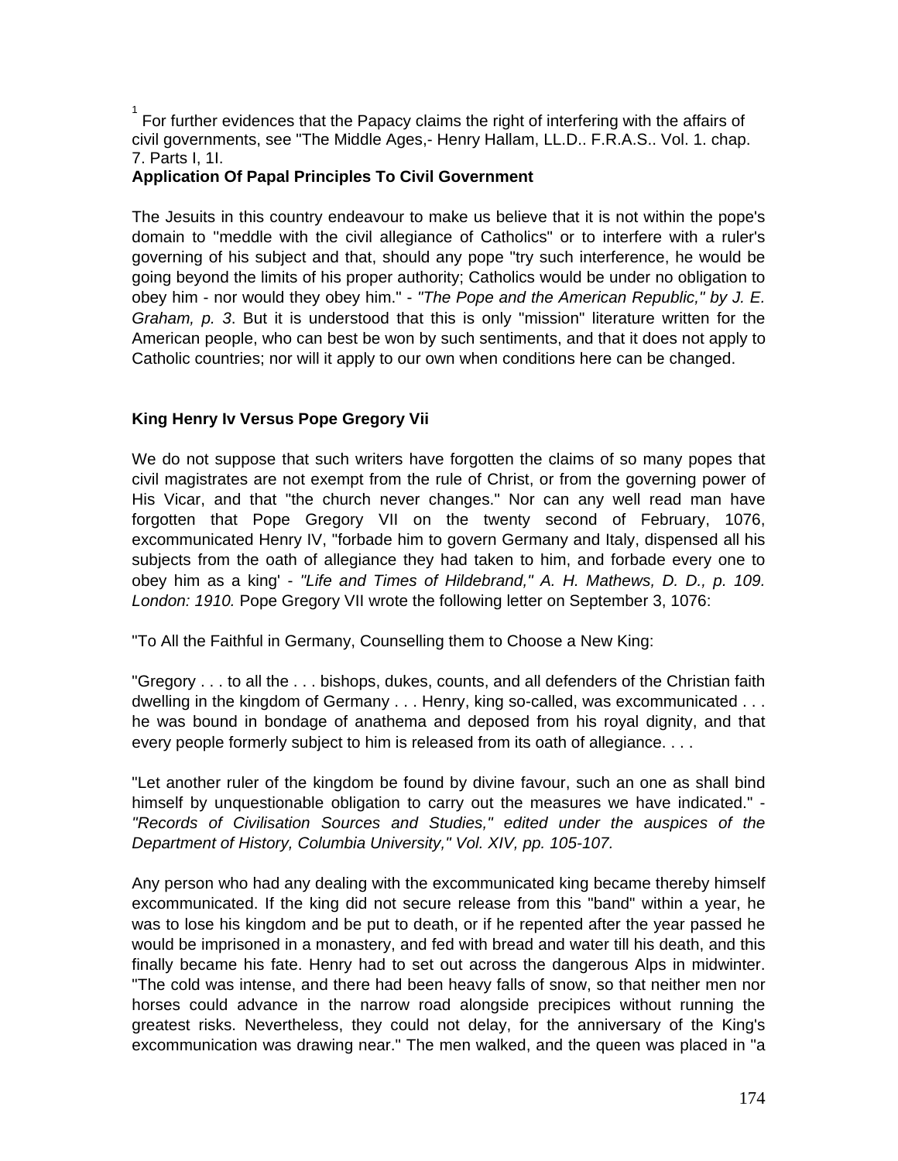$^{1}$  For further evidences that the Papacy claims the right of interfering with the affairs of civil governments, see "The Middle Ages,- Henry Hallam, LL.D.. F.R.A.S.. Vol. 1. chap. 7. Parts I, 1I.

## **Application Of Papal Principles To Civil Government**

The Jesuits in this country endeavour to make us believe that it is not within the pope's domain to ''meddle with the civil allegiance of Catholics" or to interfere with a ruler's governing of his subject and that, should any pope "try such interference, he would be going beyond the limits of his proper authority; Catholics would be under no obligation to obey him - nor would they obey him." - *"The Pope and the American Republic," by J. E. Graham, p. 3*. But it is understood that this is only "mission" literature written for the American people, who can best be won by such sentiments, and that it does not apply to Catholic countries; nor will it apply to our own when conditions here can be changed.

# **King Henry Iv Versus Pope Gregory Vii**

We do not suppose that such writers have forgotten the claims of so many popes that civil magistrates are not exempt from the rule of Christ, or from the governing power of His Vicar, and that "the church never changes." Nor can any well read man have forgotten that Pope Gregory VII on the twenty second of February, 1076, excommunicated Henry IV, "forbade him to govern Germany and Italy, dispensed all his subjects from the oath of allegiance they had taken to him, and forbade every one to obey him as a king' - *"Life and Times of Hildebrand," A. H. Mathews, D. D., p. 109. London: 1910.* Pope Gregory VII wrote the following letter on September 3, 1076:

"To All the Faithful in Germany, Counselling them to Choose a New King:

"Gregory . . . to all the . . . bishops, dukes, counts, and all defenders of the Christian faith dwelling in the kingdom of Germany . . . Henry, king so-called, was excommunicated . . . he was bound in bondage of anathema and deposed from his royal dignity, and that every people formerly subject to him is released from its oath of allegiance. . . .

"Let another ruler of the kingdom be found by divine favour, such an one as shall bind himself by unquestionable obligation to carry out the measures we have indicated." - *"Records of Civilisation Sources and Studies," edited under the auspices of the Department of History, Columbia University," Vol. XIV, pp. 105-107.* 

Any person who had any dealing with the excommunicated king became thereby himself excommunicated. If the king did not secure release from this "band" within a year, he was to lose his kingdom and be put to death, or if he repented after the year passed he would be imprisoned in a monastery, and fed with bread and water till his death, and this finally became his fate. Henry had to set out across the dangerous Alps in midwinter. "The cold was intense, and there had been heavy falls of snow, so that neither men nor horses could advance in the narrow road alongside precipices without running the greatest risks. Nevertheless, they could not delay, for the anniversary of the King's excommunication was drawing near." The men walked, and the queen was placed in "a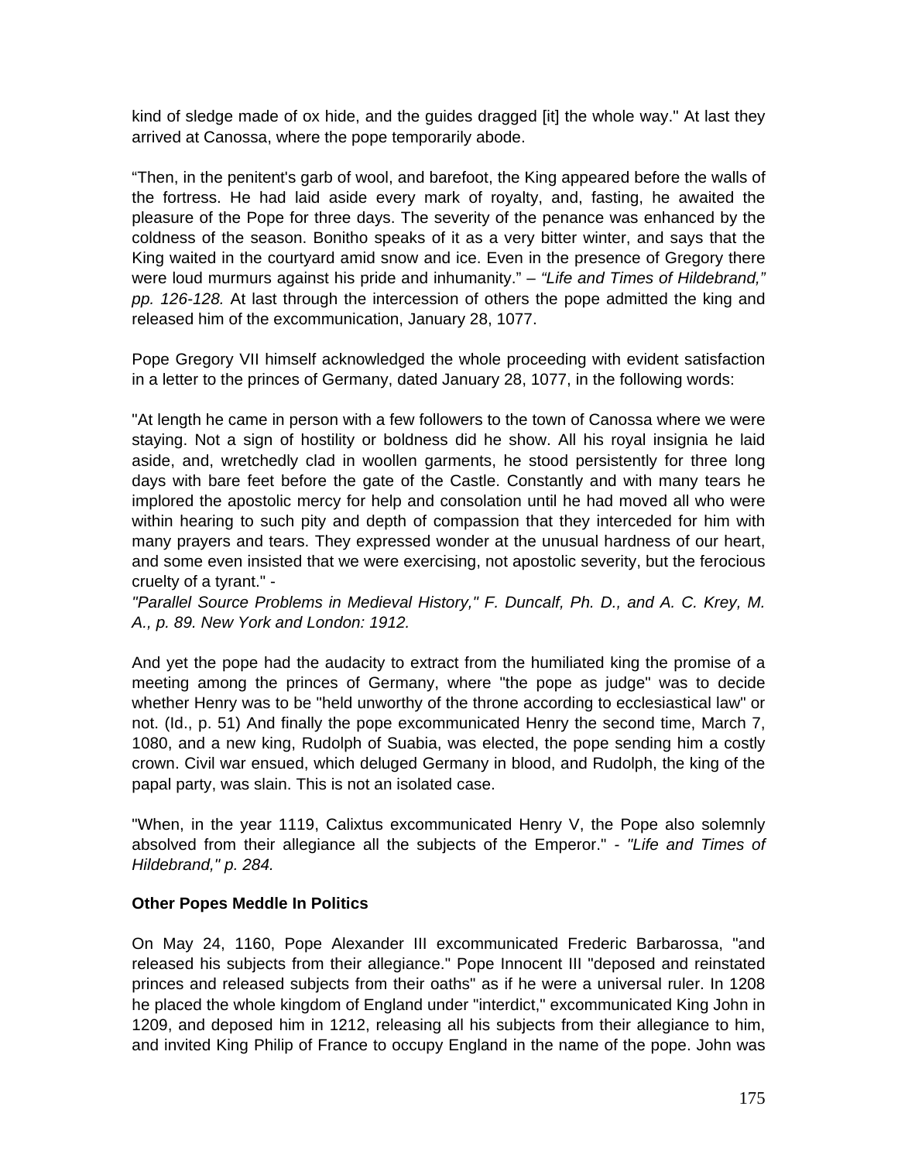kind of sledge made of ox hide, and the guides dragged [it] the whole way." At last they arrived at Canossa, where the pope temporarily abode.

"Then, in the penitent's garb of wool, and barefoot, the King appeared before the walls of the fortress. He had laid aside every mark of royalty, and, fasting, he awaited the pleasure of the Pope for three days. The severity of the penance was enhanced by the coldness of the season. Bonitho speaks of it as a very bitter winter, and says that the King waited in the courtyard amid snow and ice. Even in the presence of Gregory there were loud murmurs against his pride and inhumanity." – *"Life and Times of Hildebrand," pp. 126-128.* At last through the intercession of others the pope admitted the king and released him of the excommunication, January 28, 1077.

Pope Gregory VII himself acknowledged the whole proceeding with evident satisfaction in a letter to the princes of Germany, dated January 28, 1077, in the following words:

"At length he came in person with a few followers to the town of Canossa where we were staying. Not a sign of hostility or boldness did he show. All his royal insignia he laid aside, and, wretchedly clad in woollen garments, he stood persistently for three long days with bare feet before the gate of the Castle. Constantly and with many tears he implored the apostolic mercy for help and consolation until he had moved all who were within hearing to such pity and depth of compassion that they interceded for him with many prayers and tears. They expressed wonder at the unusual hardness of our heart, and some even insisted that we were exercising, not apostolic severity, but the ferocious cruelty of a tyrant." -

*"Parallel Source Problems in Medieval History," F. Duncalf, Ph. D., and A. C. Krey, M. A., p. 89. New York and London: 1912.* 

And yet the pope had the audacity to extract from the humiliated king the promise of a meeting among the princes of Germany, where "the pope as judge" was to decide whether Henry was to be "held unworthy of the throne according to ecclesiastical law" or not. (Id., p. 51) And finally the pope excommunicated Henry the second time, March 7, 1080, and a new king, Rudolph of Suabia, was elected, the pope sending him a costly crown. Civil war ensued, which deluged Germany in blood, and Rudolph, the king of the papal party, was slain. This is not an isolated case.

"When, in the year 1119, Calixtus excommunicated Henry V, the Pope also solemnly absolved from their allegiance all the subjects of the Emperor." *- "Life and Times of Hildebrand," p. 284.* 

## **Other Popes Meddle In Politics**

On May 24, 1160, Pope Alexander III excommunicated Frederic Barbarossa, "and released his subjects from their allegiance." Pope Innocent III "deposed and reinstated princes and released subjects from their oaths" as if he were a universal ruler. In 1208 he placed the whole kingdom of England under "interdict," excommunicated King John in 1209, and deposed him in 1212, releasing all his subjects from their allegiance to him, and invited King Philip of France to occupy England in the name of the pope. John was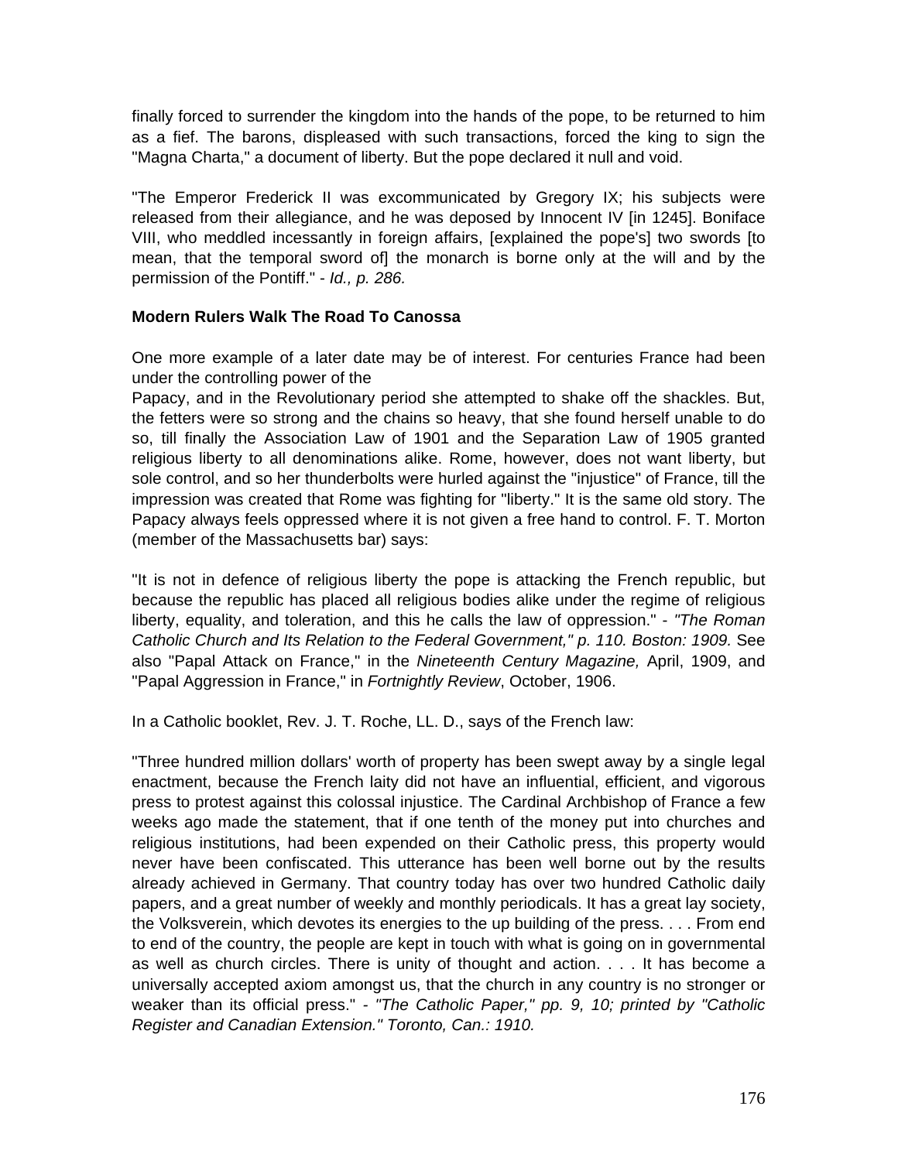finally forced to surrender the kingdom into the hands of the pope, to be returned to him as a fief. The barons, displeased with such transactions, forced the king to sign the "Magna Charta," a document of liberty. But the pope declared it null and void.

"The Emperor Frederick II was excommunicated by Gregory IX; his subjects were released from their allegiance, and he was deposed by Innocent IV [in 1245]. Boniface VIII, who meddled incessantly in foreign affairs, [explained the pope's] two swords [to mean, that the temporal sword of] the monarch is borne only at the will and by the permission of the Pontiff." - *Id., p. 286.* 

# **Modern Rulers Walk The Road To Canossa**

One more example of a later date may be of interest. For centuries France had been under the controlling power of the

Papacy, and in the Revolutionary period she attempted to shake off the shackles. But, the fetters were so strong and the chains so heavy, that she found herself unable to do so, till finally the Association Law of 1901 and the Separation Law of 1905 granted religious liberty to all denominations alike. Rome, however, does not want liberty, but sole control, and so her thunderbolts were hurled against the "injustice" of France, till the impression was created that Rome was fighting for "liberty." It is the same old story. The Papacy always feels oppressed where it is not given a free hand to control. F. T. Morton (member of the Massachusetts bar) says:

"It is not in defence of religious liberty the pope is attacking the French republic, but because the republic has placed all religious bodies alike under the regime of religious liberty, equality, and toleration, and this he calls the law of oppression." - *"The Roman Catholic Church and Its Relation to the Federal Government," p. 110. Boston: 1909.* See also "Papal Attack on France," in the *Nineteenth Century Magazine,* April, 1909, and "Papal Aggression in France," in *Fortnightly Review*, October, 1906.

In a Catholic booklet, Rev. J. T. Roche, LL. D., says of the French law:

"Three hundred million dollars' worth of property has been swept away by a single legal enactment, because the French laity did not have an influential, efficient, and vigorous press to protest against this colossal injustice. The Cardinal Archbishop of France a few weeks ago made the statement, that if one tenth of the money put into churches and religious institutions, had been expended on their Catholic press, this property would never have been confiscated. This utterance has been well borne out by the results already achieved in Germany. That country today has over two hundred Catholic daily papers, and a great number of weekly and monthly periodicals. It has a great lay society, the Volksverein, which devotes its energies to the up building of the press. . . . From end to end of the country, the people are kept in touch with what is going on in governmental as well as church circles. There is unity of thought and action. . . . It has become a universally accepted axiom amongst us, that the church in any country is no stronger or weaker than its official press." *- "The Catholic Paper," pp. 9, 10; printed by "Catholic Register and Canadian Extension." Toronto, Can.: 1910.*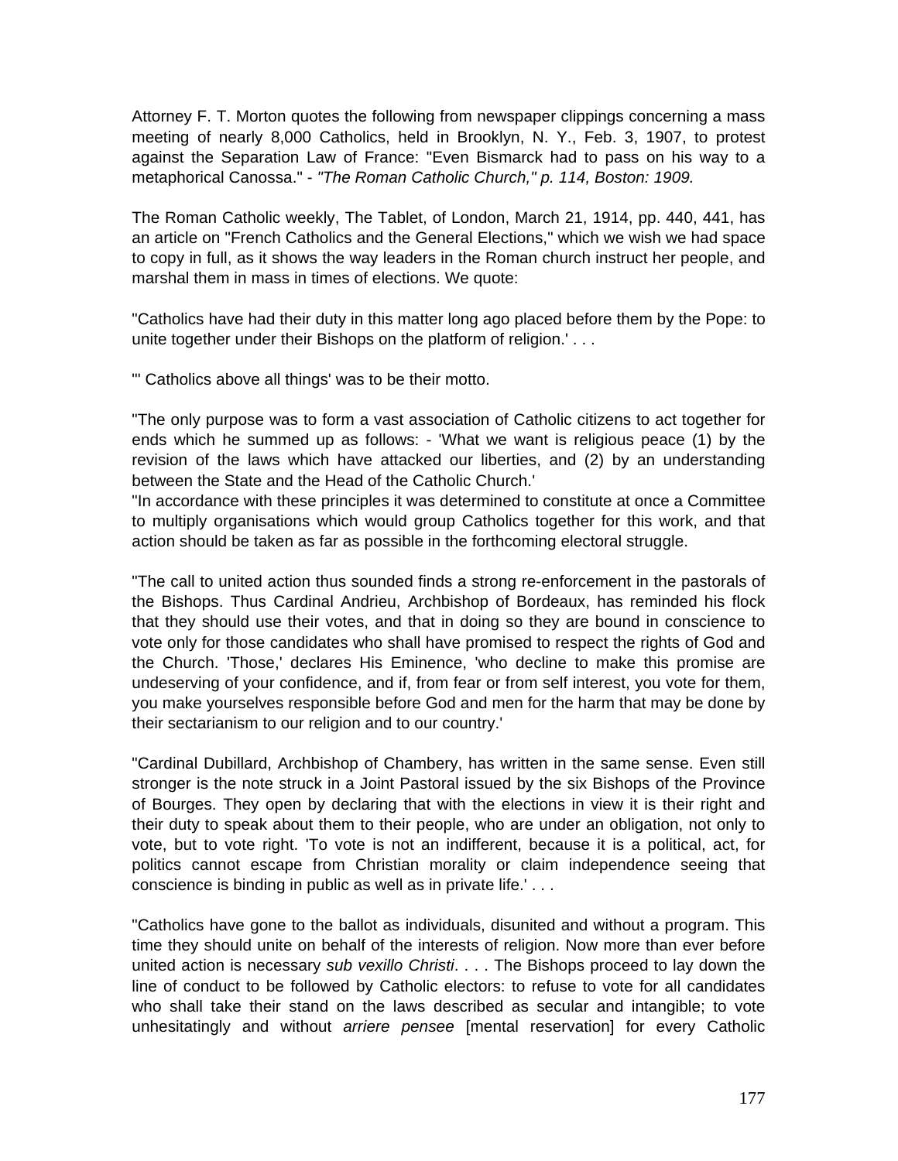Attorney F. T. Morton quotes the following from newspaper clippings concerning a mass meeting of nearly 8,000 Catholics, held in Brooklyn, N. Y., Feb. 3, 1907, to protest against the Separation Law of France: "Even Bismarck had to pass on his way to a metaphorical Canossa." - *"The Roman Catholic Church," p. 114, Boston: 1909.* 

The Roman Catholic weekly, The Tablet, of London, March 21, 1914, pp. 440, 441, has an article on "French Catholics and the General Elections," which we wish we had space to copy in full, as it shows the way leaders in the Roman church instruct her people, and marshal them in mass in times of elections. We quote:

"Catholics have had their duty in this matter long ago placed before them by the Pope: to unite together under their Bishops on the platform of religion.' . . .

"' Catholics above all things' was to be their motto.

"The only purpose was to form a vast association of Catholic citizens to act together for ends which he summed up as follows: - 'What we want is religious peace (1) by the revision of the laws which have attacked our liberties, and (2) by an understanding between the State and the Head of the Catholic Church.'

"In accordance with these principles it was determined to constitute at once a Committee to multiply organisations which would group Catholics together for this work, and that action should be taken as far as possible in the forthcoming electoral struggle.

"The call to united action thus sounded finds a strong re-enforcement in the pastorals of the Bishops. Thus Cardinal Andrieu, Archbishop of Bordeaux, has reminded his flock that they should use their votes, and that in doing so they are bound in conscience to vote only for those candidates who shall have promised to respect the rights of God and the Church. 'Those,' declares His Eminence, 'who decline to make this promise are undeserving of your confidence, and if, from fear or from self interest, you vote for them, you make yourselves responsible before God and men for the harm that may be done by their sectarianism to our religion and to our country.'

"Cardinal Dubillard, Archbishop of Chambery, has written in the same sense. Even still stronger is the note struck in a Joint Pastoral issued by the six Bishops of the Province of Bourges. They open by declaring that with the elections in view it is their right and their duty to speak about them to their people, who are under an obligation, not only to vote, but to vote right. 'To vote is not an indifferent, because it is a political, act, for politics cannot escape from Christian morality or claim independence seeing that conscience is binding in public as well as in private life.' . . .

"Catholics have gone to the ballot as individuals, disunited and without a program. This time they should unite on behalf of the interests of religion. Now more than ever before united action is necessary *sub vexillo Christi*. . . . The Bishops proceed to lay down the line of conduct to be followed by Catholic electors: to refuse to vote for all candidates who shall take their stand on the laws described as secular and intangible; to vote unhesitatingly and without *arriere pensee* [mental reservation] for every Catholic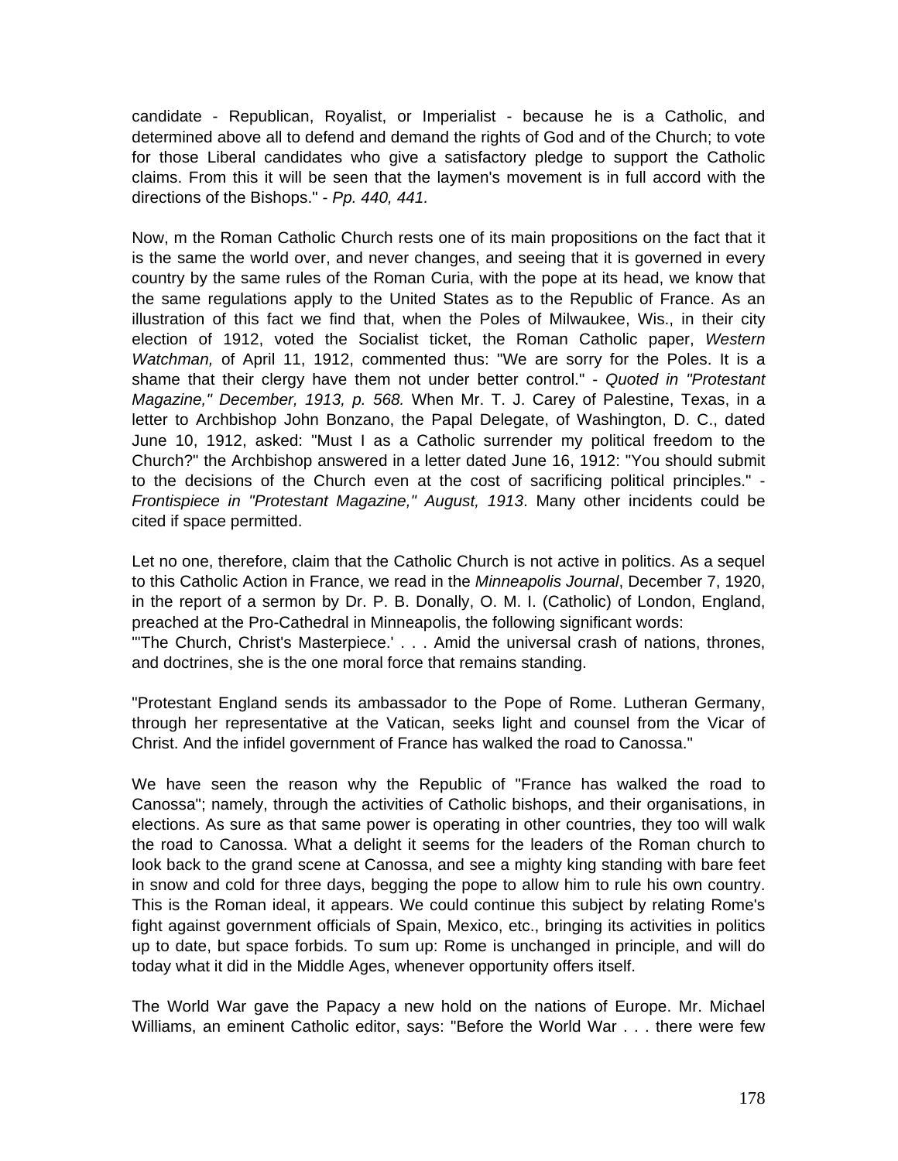candidate - Republican, Royalist, or Imperialist - because he is a Catholic, and determined above all to defend and demand the rights of God and of the Church; to vote for those Liberal candidates who give a satisfactory pledge to support the Catholic claims. From this it will be seen that the laymen's movement is in full accord with the directions of the Bishops." - *Pp. 440, 441.* 

Now, m the Roman Catholic Church rests one of its main propositions on the fact that it is the same the world over, and never changes, and seeing that it is governed in every country by the same rules of the Roman Curia, with the pope at its head, we know that the same regulations apply to the United States as to the Republic of France. As an illustration of this fact we find that, when the Poles of Milwaukee, Wis., in their city election of 1912, voted the Socialist ticket, the Roman Catholic paper, *Western Watchman,* of April 11, 1912, commented thus: "We are sorry for the Poles. It is a shame that their clergy have them not under better control." - *Quoted in "Protestant Magazine," December, 1913, p. 568.* When Mr. T. J. Carey of Palestine, Texas, in a letter to Archbishop John Bonzano, the Papal Delegate, of Washington, D. C., dated June 10, 1912, asked: "Must I as a Catholic surrender my political freedom to the Church?" the Archbishop answered in a letter dated June 16, 1912: "You should submit to the decisions of the Church even at the cost of sacrificing political principles." - *Frontispiece in "Protestant Magazine," August, 1913*. Many other incidents could be cited if space permitted.

Let no one, therefore, claim that the Catholic Church is not active in politics. As a sequel to this Catholic Action in France, we read in the *Minneapolis Journal*, December 7, 1920, in the report of a sermon by Dr. P. B. Donally, O. M. I. (Catholic) of London, England, preached at the Pro-Cathedral in Minneapolis, the following significant words:

"'The Church, Christ's Masterpiece.' . . . Amid the universal crash of nations, thrones, and doctrines, she is the one moral force that remains standing.

"Protestant England sends its ambassador to the Pope of Rome. Lutheran Germany, through her representative at the Vatican, seeks light and counsel from the Vicar of Christ. And the infidel government of France has walked the road to Canossa."

We have seen the reason why the Republic of "France has walked the road to Canossa"; namely, through the activities of Catholic bishops, and their organisations, in elections. As sure as that same power is operating in other countries, they too will walk the road to Canossa. What a delight it seems for the leaders of the Roman church to look back to the grand scene at Canossa, and see a mighty king standing with bare feet in snow and cold for three days, begging the pope to allow him to rule his own country. This is the Roman ideal, it appears. We could continue this subject by relating Rome's fight against government officials of Spain, Mexico, etc., bringing its activities in politics up to date, but space forbids. To sum up: Rome is unchanged in principle, and will do today what it did in the Middle Ages, whenever opportunity offers itself.

The World War gave the Papacy a new hold on the nations of Europe. Mr. Michael Williams, an eminent Catholic editor, says: "Before the World War . . . there were few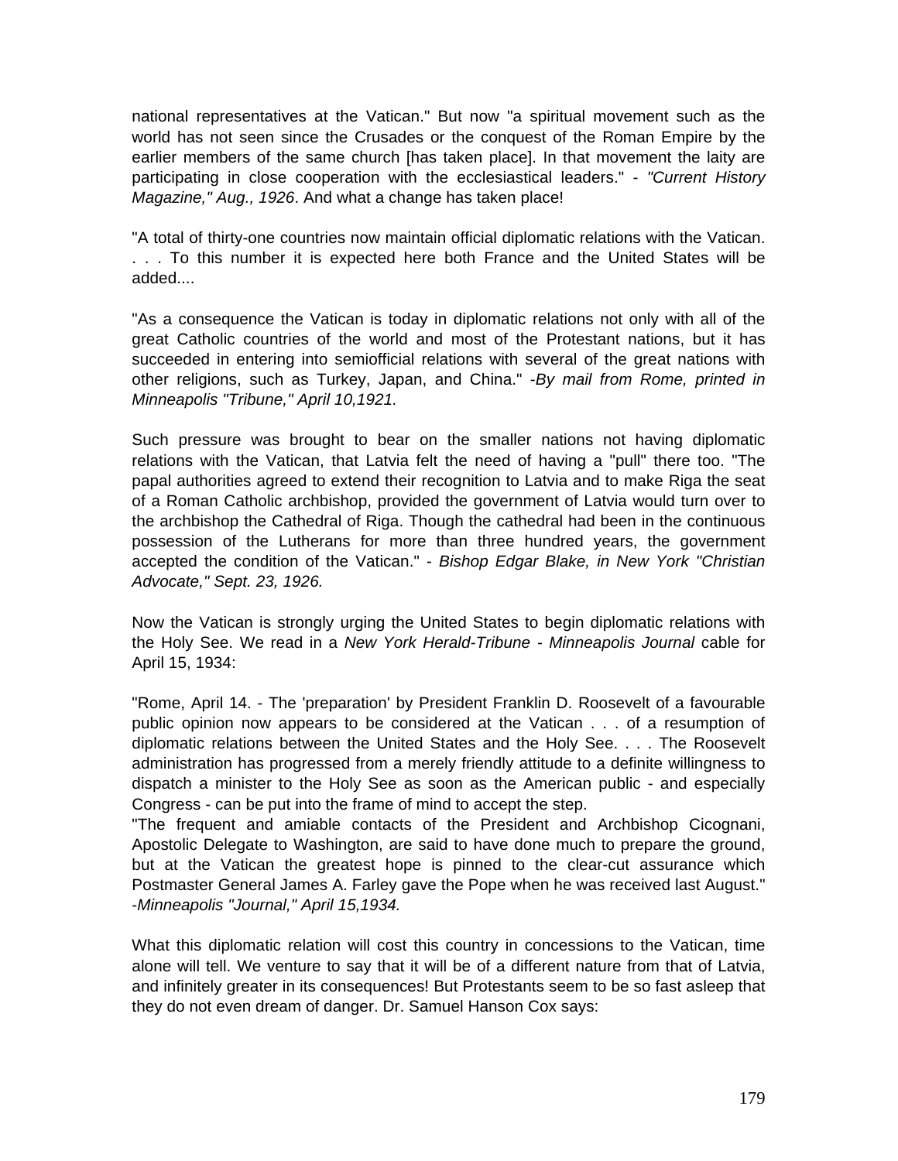national representatives at the Vatican." But now "a spiritual movement such as the world has not seen since the Crusades or the conquest of the Roman Empire by the earlier members of the same church [has taken place]. In that movement the laity are participating in close cooperation with the ecclesiastical leaders." - *"Current History Magazine," Aug., 1926*. And what a change has taken place!

"A total of thirty-one countries now maintain official diplomatic relations with the Vatican. . . . To this number it is expected here both France and the United States will be added....

"As a consequence the Vatican is today in diplomatic relations not only with all of the great Catholic countries of the world and most of the Protestant nations, but it has succeeded in entering into semiofficial relations with several of the great nations with other religions, such as Turkey, Japan, and China." -*By mail from Rome, printed in Minneapolis "Tribune," April 10,1921.* 

Such pressure was brought to bear on the smaller nations not having diplomatic relations with the Vatican, that Latvia felt the need of having a "pull" there too. "The papal authorities agreed to extend their recognition to Latvia and to make Riga the seat of a Roman Catholic archbishop, provided the government of Latvia would turn over to the archbishop the Cathedral of Riga. Though the cathedral had been in the continuous possession of the Lutherans for more than three hundred years, the government accepted the condition of the Vatican." - *Bishop Edgar Blake, in New York "Christian Advocate," Sept. 23, 1926.* 

Now the Vatican is strongly urging the United States to begin diplomatic relations with the Holy See. We read in a *New York Herald-Tribune - Minneapolis Journal* cable for April 15, 1934:

"Rome, April 14. - The 'preparation' by President Franklin D. Roosevelt of a favourable public opinion now appears to be considered at the Vatican . . . of a resumption of diplomatic relations between the United States and the Holy See. . . . The Roosevelt administration has progressed from a merely friendly attitude to a definite willingness to dispatch a minister to the Holy See as soon as the American public - and especially Congress - can be put into the frame of mind to accept the step.

"The frequent and amiable contacts of the President and Archbishop Cicognani, Apostolic Delegate to Washington, are said to have done much to prepare the ground, but at the Vatican the greatest hope is pinned to the clear-cut assurance which Postmaster General James A. Farley gave the Pope when he was received last August." -*Minneapolis "Journal," April 15,1934.* 

What this diplomatic relation will cost this country in concessions to the Vatican, time alone will tell. We venture to say that it will be of a different nature from that of Latvia, and infinitely greater in its consequences! But Protestants seem to be so fast asleep that they do not even dream of danger. Dr. Samuel Hanson Cox says: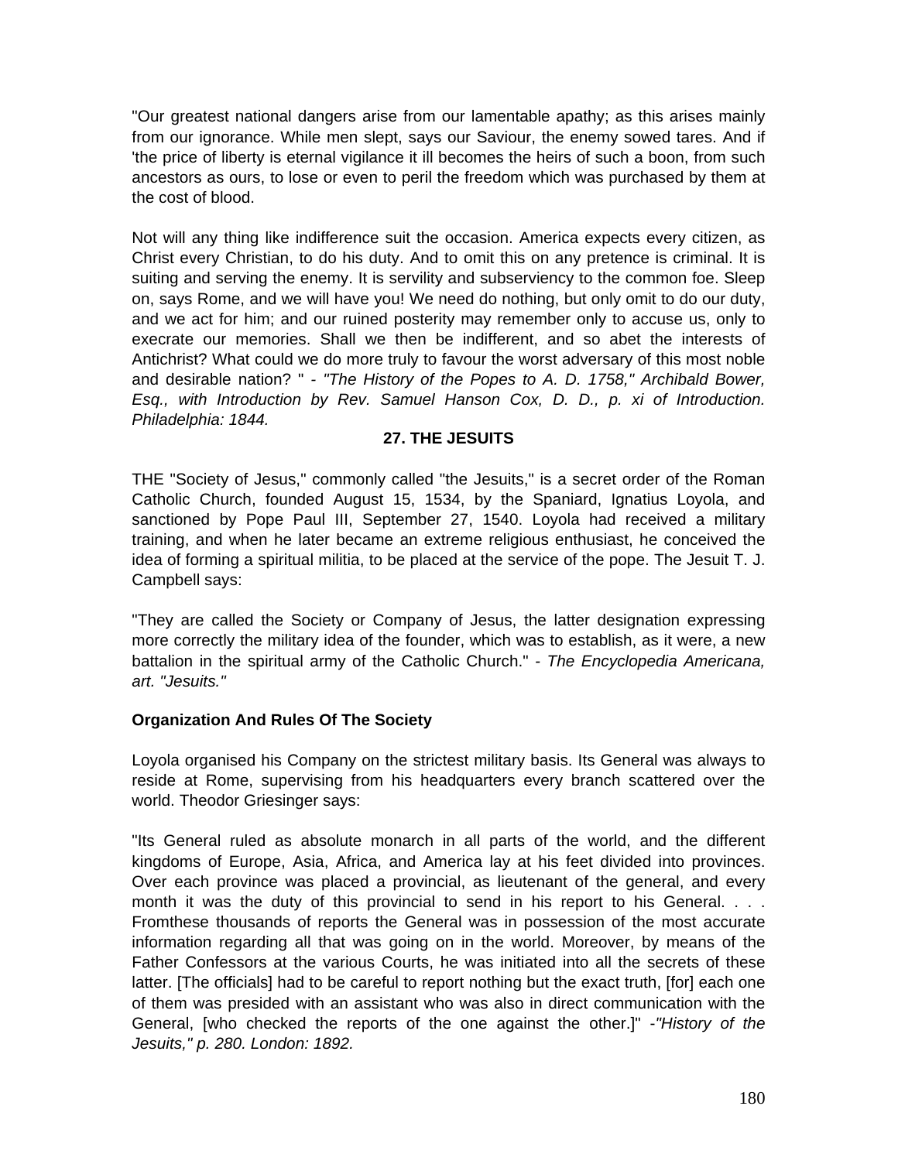"Our greatest national dangers arise from our lamentable apathy; as this arises mainly from our ignorance. While men slept, says our Saviour, the enemy sowed tares. And if 'the price of liberty is eternal vigilance it ill becomes the heirs of such a boon, from such ancestors as ours, to lose or even to peril the freedom which was purchased by them at the cost of blood.

Not will any thing like indifference suit the occasion. America expects every citizen, as Christ every Christian, to do his duty. And to omit this on any pretence is criminal. It is suiting and serving the enemy. It is servility and subserviency to the common foe. Sleep on, says Rome, and we will have you! We need do nothing, but only omit to do our duty, and we act for him; and our ruined posterity may remember only to accuse us, only to execrate our memories. Shall we then be indifferent, and so abet the interests of Antichrist? What could we do more truly to favour the worst adversary of this most noble and desirable nation? " *- "The History of the Popes to A. D. 1758," Archibald Bower, Esq., with Introduction by Rev. Samuel Hanson Cox, D. D., p. xi of Introduction. Philadelphia: 1844.* 

#### **27. THE JESUITS**

THE "Society of Jesus," commonly called "the Jesuits," is a secret order of the Roman Catholic Church, founded August 15, 1534, by the Spaniard, Ignatius Loyola, and sanctioned by Pope Paul III, September 27, 1540. Loyola had received a military training, and when he later became an extreme religious enthusiast, he conceived the idea of forming a spiritual militia, to be placed at the service of the pope. The Jesuit T. J. Campbell says:

"They are called the Society or Company of Jesus, the latter designation expressing more correctly the military idea of the founder, which was to establish, as it were, a new battalion in the spiritual army of the Catholic Church." *- The Encyclopedia Americana, art. "Jesuits."* 

#### **Organization And Rules Of The Society**

Loyola organised his Company on the strictest military basis. Its General was always to reside at Rome, supervising from his headquarters every branch scattered over the world. Theodor Griesinger says:

"Its General ruled as absolute monarch in all parts of the world, and the different kingdoms of Europe, Asia, Africa, and America lay at his feet divided into provinces. Over each province was placed a provincial, as lieutenant of the general, and every month it was the duty of this provincial to send in his report to his General. . . . Fromthese thousands of reports the General was in possession of the most accurate information regarding all that was going on in the world. Moreover, by means of the Father Confessors at the various Courts, he was initiated into all the secrets of these latter. [The officials] had to be careful to report nothing but the exact truth, [for] each one of them was presided with an assistant who was also in direct communication with the General, [who checked the reports of the one against the other.]" -*"History of the Jesuits," p. 280. London: 1892.*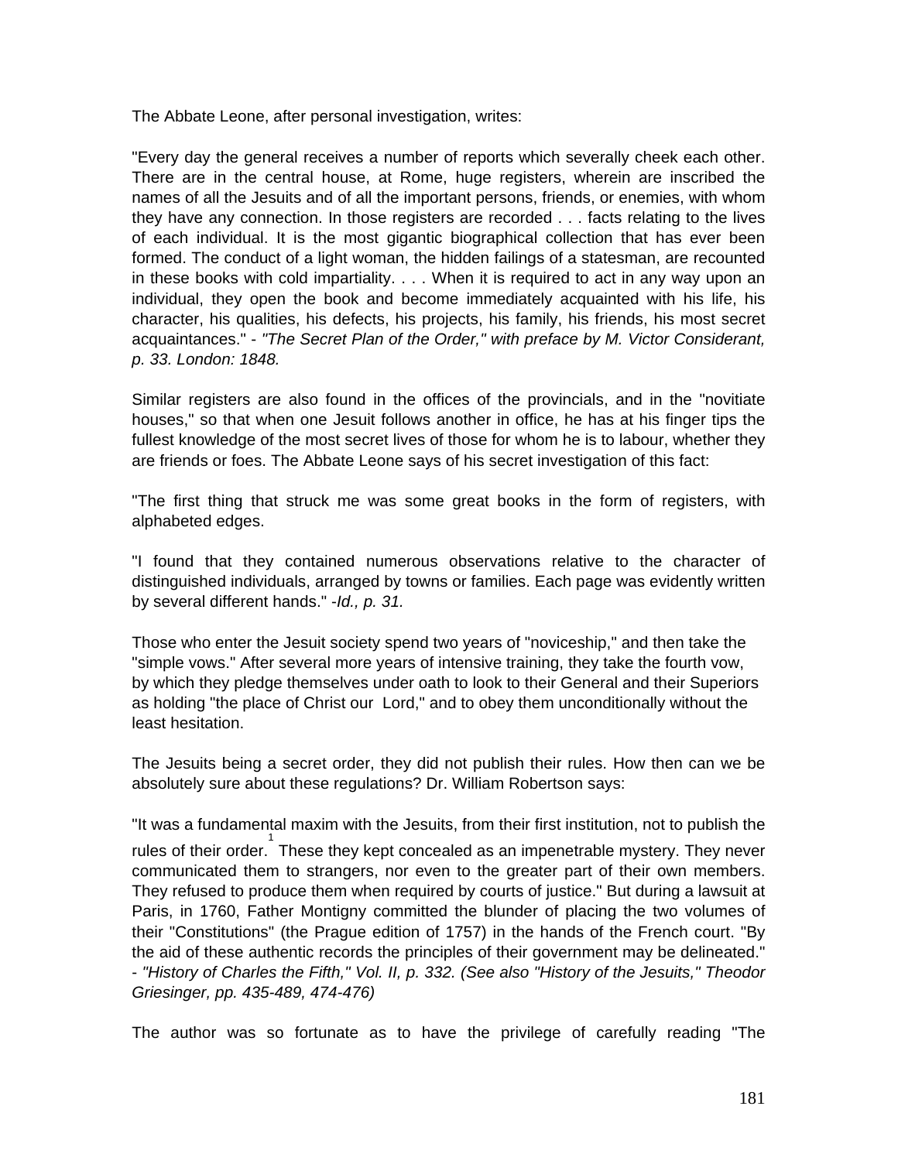The Abbate Leone, after personal investigation, writes:

"Every day the general receives a number of reports which severally cheek each other. There are in the central house, at Rome, huge registers, wherein are inscribed the names of all the Jesuits and of all the important persons, friends, or enemies, with whom they have any connection. In those registers are recorded . . . facts relating to the lives of each individual. It is the most gigantic biographical collection that has ever been formed. The conduct of a light woman, the hidden failings of a statesman, are recounted in these books with cold impartiality. . . . When it is required to act in any way upon an individual, they open the book and become immediately acquainted with his life, his character, his qualities, his defects, his projects, his family, his friends, his most secret acquaintances." - *"The Secret Plan of the Order," with preface by M. Victor Considerant, p. 33. London: 1848.* 

Similar registers are also found in the offices of the provincials, and in the "novitiate houses," so that when one Jesuit follows another in office, he has at his finger tips the fullest knowledge of the most secret lives of those for whom he is to labour, whether they are friends or foes. The Abbate Leone says of his secret investigation of this fact:

"The first thing that struck me was some great books in the form of registers, with alphabeted edges.

"I found that they contained numerous observations relative to the character of distinguished individuals, arranged by towns or families. Each page was evidently written by several different hands." -*Id., p. 31.* 

Those who enter the Jesuit society spend two years of "noviceship," and then take the "simple vows." After several more years of intensive training, they take the fourth vow, by which they pledge themselves under oath to look to their General and their Superiors as holding "the place of Christ our Lord," and to obey them unconditionally without the least hesitation.

The Jesuits being a secret order, they did not publish their rules. How then can we be absolutely sure about these regulations? Dr. William Robertson says:

"It was a fundamental maxim with the Jesuits, from their first institution, not to publish the rules of their order. 1 These they kept concealed as an impenetrable mystery. They never communicated them to strangers, nor even to the greater part of their own members. They refused to produce them when required by courts of justice." But during a lawsuit at Paris, in 1760, Father Montigny committed the blunder of placing the two volumes of their "Constitutions" (the Prague edition of 1757) in the hands of the French court. "By the aid of these authentic records the principles of their government may be delineated." - *"History of Charles the Fifth," Vol. II, p. 332. (See also "History of the Jesuits," Theodor Griesinger, pp. 435-489, 474-476)* 

The author was so fortunate as to have the privilege of carefully reading "The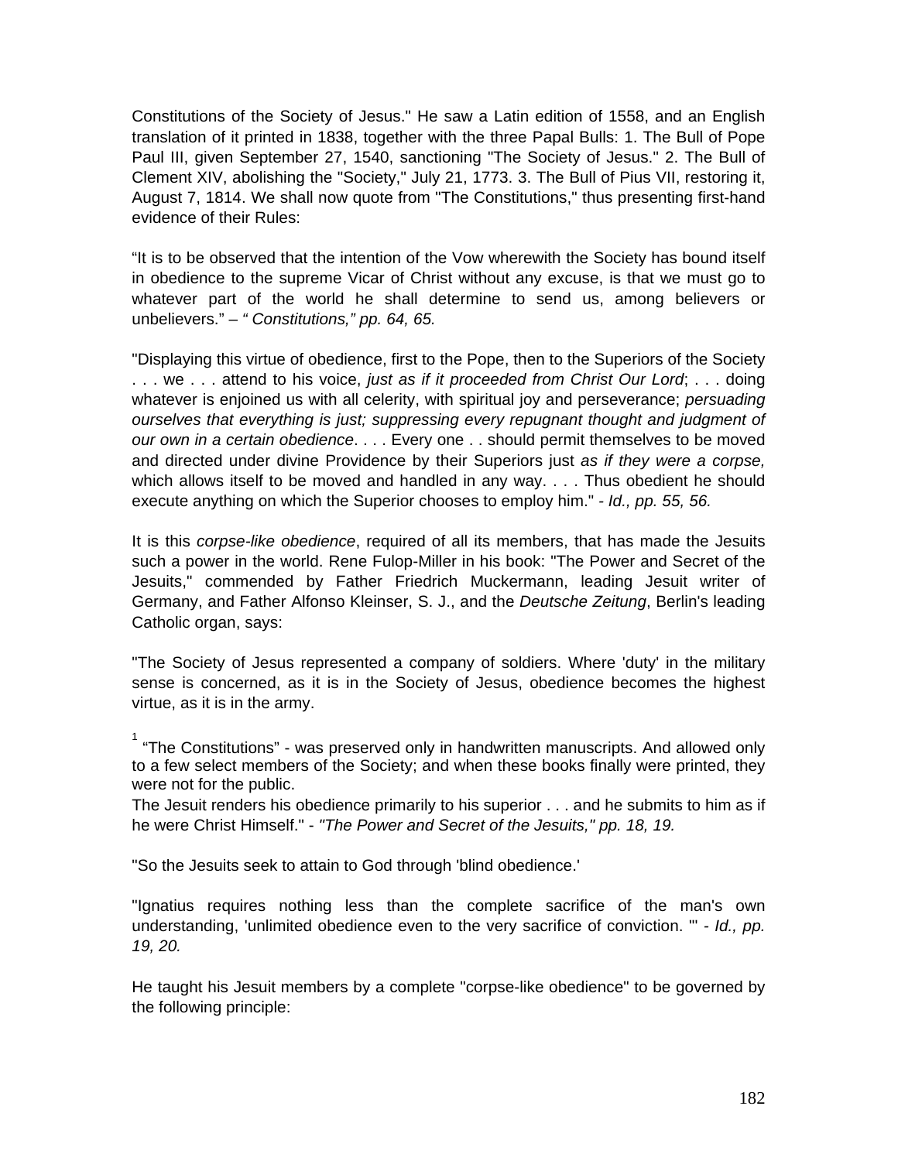Constitutions of the Society of Jesus." He saw a Latin edition of 1558, and an English translation of it printed in 1838, together with the three Papal Bulls: 1. The Bull of Pope Paul III, given September 27, 1540, sanctioning "The Society of Jesus." 2. The Bull of Clement XIV, abolishing the "Society," July 21, 1773. 3. The Bull of Pius VII, restoring it, August 7, 1814. We shall now quote from "The Constitutions," thus presenting first-hand evidence of their Rules:

"It is to be observed that the intention of the Vow wherewith the Society has bound itself in obedience to the supreme Vicar of Christ without any excuse, is that we must go to whatever part of the world he shall determine to send us, among believers or unbelievers." – *" Constitutions," pp. 64, 65.* 

"Displaying this virtue of obedience, first to the Pope, then to the Superiors of the Society . . . we . . . attend to his voice, *just as if it proceeded from Christ Our Lord*; . . . doing whatever is enjoined us with all celerity, with spiritual joy and perseverance; *persuading ourselves that everything is just; suppressing every repugnant thought and judgment of our own in a certain obedience*. . . . Every one . . should permit themselves to be moved and directed under divine Providence by their Superiors just *as if they were a corpse,*  which allows itself to be moved and handled in any way. . . . Thus obedient he should execute anything on which the Superior chooses to employ him." *- Id., pp. 55, 56.* 

It is this *corpse-like obedience*, required of all its members, that has made the Jesuits such a power in the world. Rene Fulop-Miller in his book: "The Power and Secret of the Jesuits," commended by Father Friedrich Muckermann, leading Jesuit writer of Germany, and Father Alfonso Kleinser, S. J., and the *Deutsche Zeitung*, Berlin's leading Catholic organ, says:

"The Society of Jesus represented a company of soldiers. Where 'duty' in the military sense is concerned, as it is in the Society of Jesus, obedience becomes the highest virtue, as it is in the army.

 $1$  "The Constitutions" - was preserved only in handwritten manuscripts. And allowed only to a few select members of the Society; and when these books finally were printed, they were not for the public.

The Jesuit renders his obedience primarily to his superior . . . and he submits to him as if he were Christ Himself." - *"The Power and Secret of the Jesuits," pp. 18, 19.* 

"So the Jesuits seek to attain to God through 'blind obedience.'

"Ignatius requires nothing less than the complete sacrifice of the man's own understanding, 'unlimited obedience even to the very sacrifice of conviction. "' *- Id., pp. 19, 20.* 

He taught his Jesuit members by a complete "corpse-like obedience" to be governed by the following principle: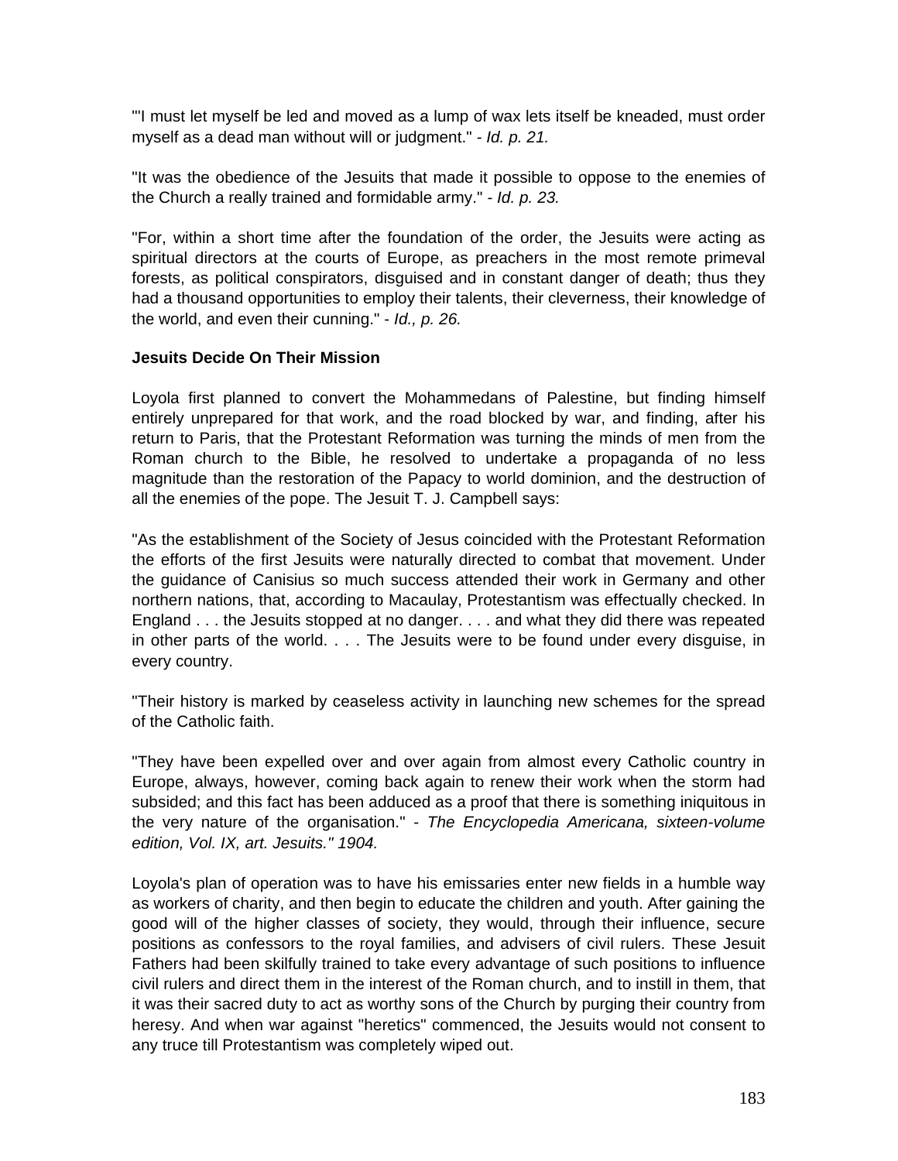"'I must let myself be led and moved as a lump of wax lets itself be kneaded, must order myself as a dead man without will or judgment." *- Id. p. 21.* 

"It was the obedience of the Jesuits that made it possible to oppose to the enemies of the Church a really trained and formidable army." *- Id. p. 23.* 

"For, within a short time after the foundation of the order, the Jesuits were acting as spiritual directors at the courts of Europe, as preachers in the most remote primeval forests, as political conspirators, disguised and in constant danger of death; thus they had a thousand opportunities to employ their talents, their cleverness, their knowledge of the world, and even their cunning." - *Id., p. 26.* 

#### **Jesuits Decide On Their Mission**

Loyola first planned to convert the Mohammedans of Palestine, but finding himself entirely unprepared for that work, and the road blocked by war, and finding, after his return to Paris, that the Protestant Reformation was turning the minds of men from the Roman church to the Bible, he resolved to undertake a propaganda of no less magnitude than the restoration of the Papacy to world dominion, and the destruction of all the enemies of the pope. The Jesuit T. J. Campbell says:

"As the establishment of the Society of Jesus coincided with the Protestant Reformation the efforts of the first Jesuits were naturally directed to combat that movement. Under the guidance of Canisius so much success attended their work in Germany and other northern nations, that, according to Macaulay, Protestantism was effectually checked. In England . . . the Jesuits stopped at no danger. . . . and what they did there was repeated in other parts of the world. . . . The Jesuits were to be found under every disguise, in every country.

"Their history is marked by ceaseless activity in launching new schemes for the spread of the Catholic faith.

"They have been expelled over and over again from almost every Catholic country in Europe, always, however, coming back again to renew their work when the storm had subsided; and this fact has been adduced as a proof that there is something iniquitous in the very nature of the organisation." - *The Encyclopedia Americana, sixteen-volume edition, Vol. IX, art. Jesuits." 1904.* 

Loyola's plan of operation was to have his emissaries enter new fields in a humble way as workers of charity, and then begin to educate the children and youth. After gaining the good will of the higher classes of society, they would, through their influence, secure positions as confessors to the royal families, and advisers of civil rulers. These Jesuit Fathers had been skilfully trained to take every advantage of such positions to influence civil rulers and direct them in the interest of the Roman church, and to instill in them, that it was their sacred duty to act as worthy sons of the Church by purging their country from heresy. And when war against "heretics" commenced, the Jesuits would not consent to any truce till Protestantism was completely wiped out.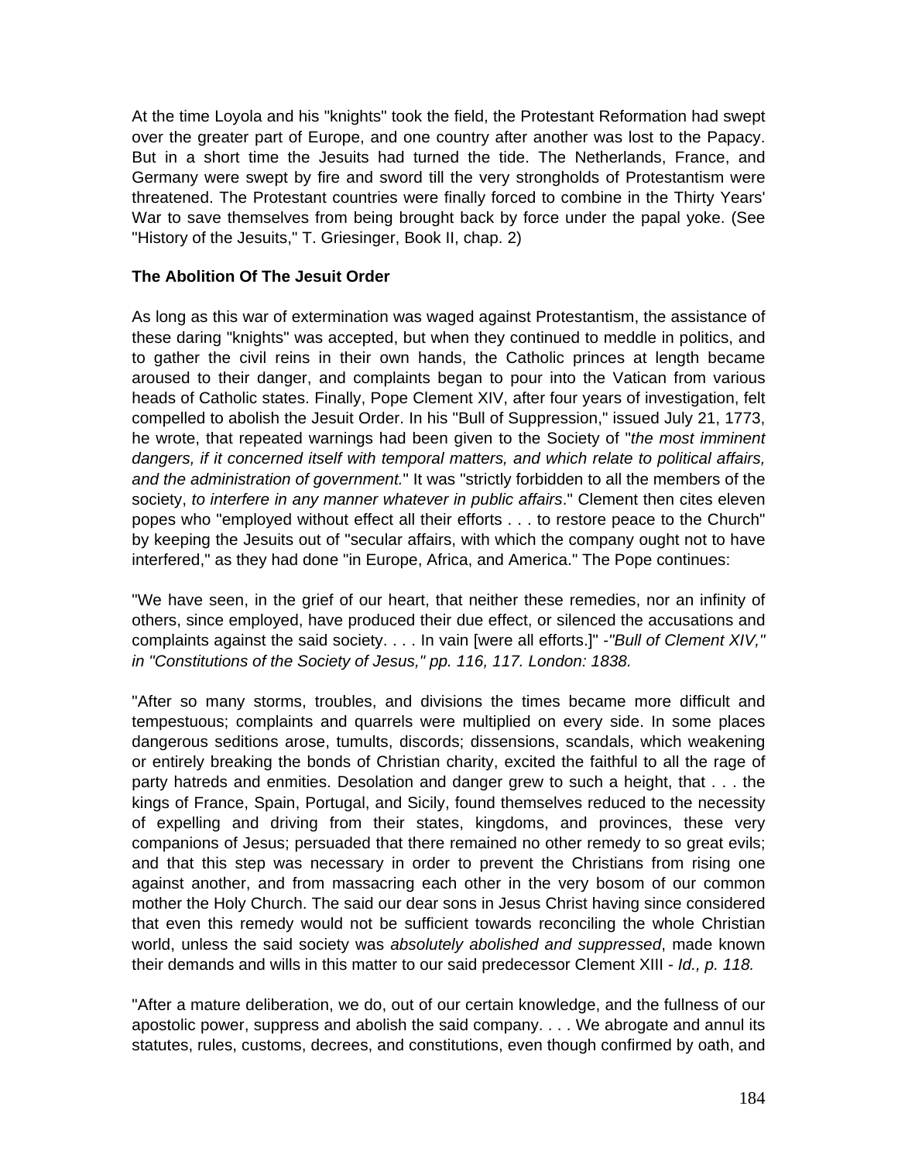At the time Loyola and his "knights" took the field, the Protestant Reformation had swept over the greater part of Europe, and one country after another was lost to the Papacy. But in a short time the Jesuits had turned the tide. The Netherlands, France, and Germany were swept by fire and sword till the very strongholds of Protestantism were threatened. The Protestant countries were finally forced to combine in the Thirty Years' War to save themselves from being brought back by force under the papal yoke. (See "History of the Jesuits," T. Griesinger, Book II, chap. 2)

#### **The Abolition Of The Jesuit Order**

As long as this war of extermination was waged against Protestantism, the assistance of these daring "knights" was accepted, but when they continued to meddle in politics, and to gather the civil reins in their own hands, the Catholic princes at length became aroused to their danger, and complaints began to pour into the Vatican from various heads of Catholic states. Finally, Pope Clement XIV, after four years of investigation, felt compelled to abolish the Jesuit Order. In his "Bull of Suppression," issued July 21, 1773, he wrote, that repeated warnings had been given to the Society of "*the most imminent dangers, if it concerned itself with temporal matters, and which relate to political affairs, and the administration of government.*" It was "strictly forbidden to all the members of the society, *to interfere in any manner whatever in public affairs*." Clement then cites eleven popes who "employed without effect all their efforts . . . to restore peace to the Church" by keeping the Jesuits out of "secular affairs, with which the company ought not to have interfered," as they had done "in Europe, Africa, and America." The Pope continues:

"We have seen, in the grief of our heart, that neither these remedies, nor an infinity of others, since employed, have produced their due effect, or silenced the accusations and complaints against the said society. . . . In vain [were all efforts.]" -*"Bull of Clement XIV," in "Constitutions of the Society of Jesus," pp. 116, 117. London: 1838.* 

"After so many storms, troubles, and divisions the times became more difficult and tempestuous; complaints and quarrels were multiplied on every side. In some places dangerous seditions arose, tumults, discords; dissensions, scandals, which weakening or entirely breaking the bonds of Christian charity, excited the faithful to all the rage of party hatreds and enmities. Desolation and danger grew to such a height, that . . . the kings of France, Spain, Portugal, and Sicily, found themselves reduced to the necessity of expelling and driving from their states, kingdoms, and provinces, these very companions of Jesus; persuaded that there remained no other remedy to so great evils; and that this step was necessary in order to prevent the Christians from rising one against another, and from massacring each other in the very bosom of our common mother the Holy Church. The said our dear sons in Jesus Christ having since considered that even this remedy would not be sufficient towards reconciling the whole Christian world, unless the said society was *absolutely abolished and suppressed*, made known their demands and wills in this matter to our said predecessor Clement XIII - *Id., p. 118.* 

"After a mature deliberation, we do, out of our certain knowledge, and the fullness of our apostolic power, suppress and abolish the said company. . . . We abrogate and annul its statutes, rules, customs, decrees, and constitutions, even though confirmed by oath, and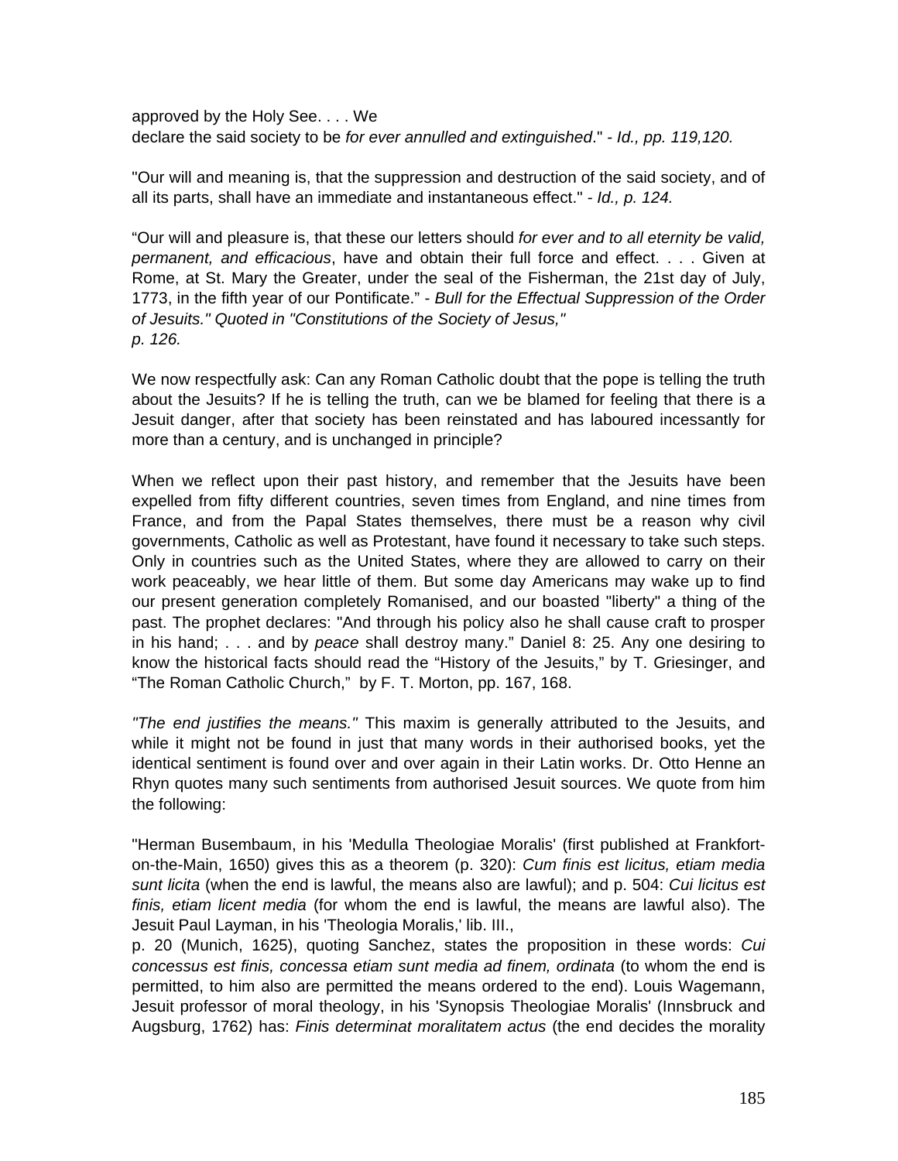approved by the Holy See. . . . We declare the said society to be *for ever annulled and extinguished*." *- Id., pp. 119,120.* 

"Our will and meaning is, that the suppression and destruction of the said society, and of all its parts, shall have an immediate and instantaneous effect." *- Id., p. 124.* 

"Our will and pleasure is, that these our letters should *for ever and to all eternity be valid, permanent, and efficacious*, have and obtain their full force and effect. . . . Given at Rome, at St. Mary the Greater, under the seal of the Fisherman, the 21st day of July, 1773, in the fifth year of our Pontificate." - *Bull for the Effectual Suppression of the Order of Jesuits." Quoted in "Constitutions of the Society of Jesus," p. 126.* 

We now respectfully ask: Can any Roman Catholic doubt that the pope is telling the truth about the Jesuits? If he is telling the truth, can we be blamed for feeling that there is a Jesuit danger, after that society has been reinstated and has laboured incessantly for more than a century, and is unchanged in principle?

When we reflect upon their past history, and remember that the Jesuits have been expelled from fifty different countries, seven times from England, and nine times from France, and from the Papal States themselves, there must be a reason why civil governments, Catholic as well as Protestant, have found it necessary to take such steps. Only in countries such as the United States, where they are allowed to carry on their work peaceably, we hear little of them. But some day Americans may wake up to find our present generation completely Romanised, and our boasted "liberty" a thing of the past. The prophet declares: "And through his policy also he shall cause craft to prosper in his hand; . . . and by *peace* shall destroy many." Daniel 8: 25. Any one desiring to know the historical facts should read the "History of the Jesuits," by T. Griesinger, and "The Roman Catholic Church," by F. T. Morton, pp. 167, 168.

*"The end justifies the means."* This maxim is generally attributed to the Jesuits, and while it might not be found in just that many words in their authorised books, yet the identical sentiment is found over and over again in their Latin works. Dr. Otto Henne an Rhyn quotes many such sentiments from authorised Jesuit sources. We quote from him the following:

"Herman Busembaum, in his 'Medulla Theologiae Moralis' (first published at Frankforton-the-Main, 1650) gives this as a theorem (p. 320): *Cum finis est licitus, etiam media sunt licita* (when the end is lawful, the means also are lawful); and p. 504: *Cui licitus est finis, etiam licent media* (for whom the end is lawful, the means are lawful also). The Jesuit Paul Layman, in his 'Theologia Moralis,' lib. III.,

p. 20 (Munich, 1625), quoting Sanchez, states the proposition in these words: *Cui concessus est finis, concessa etiam sunt media ad finem, ordinata* (to whom the end is permitted, to him also are permitted the means ordered to the end). Louis Wagemann, Jesuit professor of moral theology, in his 'Synopsis Theologiae Moralis' (Innsbruck and Augsburg, 1762) has: *Finis determinat moralitatem actus* (the end decides the morality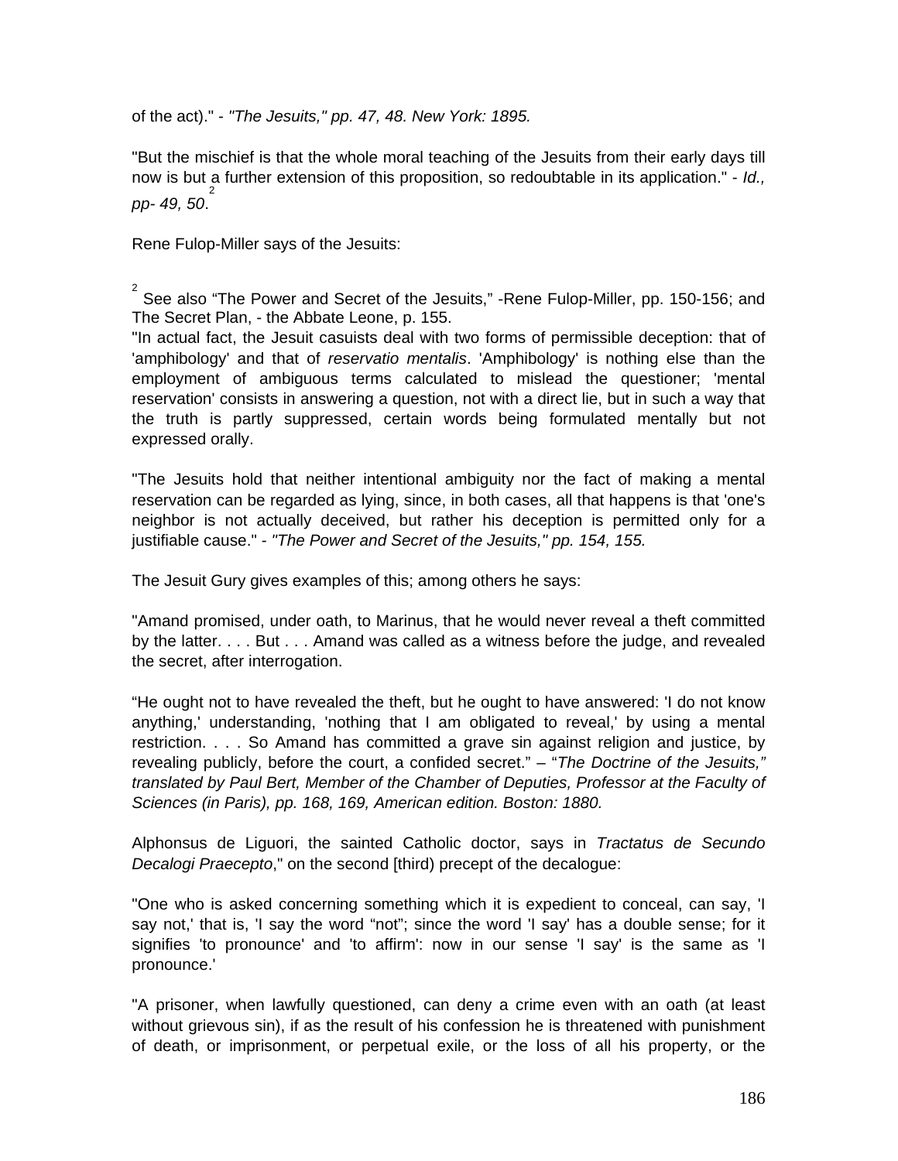of the act)." - *"The Jesuits," pp. 47, 48. New York: 1895.* 

"But the mischief is that the whole moral teaching of the Jesuits from their early days till now is but a further extension of this proposition, so redoubtable in its application." - *Id., pp- 49, 50*. 2

Rene Fulop-Miller says of the Jesuits:

 $2^{2}$  See also "The Power and Secret of the Jesuits," -Rene Fulop-Miller, pp. 150-156; and The Secret Plan, - the Abbate Leone, p. 155.

"In actual fact, the Jesuit casuists deal with two forms of permissible deception: that of 'amphibology' and that of *reservatio mentalis*. 'Amphibology' is nothing else than the employment of ambiguous terms calculated to mislead the questioner; 'mental reservation' consists in answering a question, not with a direct lie, but in such a way that the truth is partly suppressed, certain words being formulated mentally but not expressed orally.

"The Jesuits hold that neither intentional ambiguity nor the fact of making a mental reservation can be regarded as lying, since, in both cases, all that happens is that 'one's neighbor is not actually deceived, but rather his deception is permitted only for a justifiable cause." - *"The Power and Secret of the Jesuits," pp. 154, 155.* 

The Jesuit Gury gives examples of this; among others he says:

"Amand promised, under oath, to Marinus, that he would never reveal a theft committed by the latter. . . . But . . . Amand was called as a witness before the judge, and revealed the secret, after interrogation.

"He ought not to have revealed the theft, but he ought to have answered: 'I do not know anything,' understanding, 'nothing that I am obligated to reveal,' by using a mental restriction. . . . So Amand has committed a grave sin against religion and justice, by revealing publicly, before the court, a confided secret." – "*The Doctrine of the Jesuits," translated by Paul Bert, Member of the Chamber of Deputies, Professor at the Faculty of Sciences (in Paris), pp. 168, 169, American edition. Boston: 1880.* 

Alphonsus de Liguori, the sainted Catholic doctor, says in *Tractatus de Secundo Decalogi Praecepto*," on the second [third) precept of the decalogue:

"One who is asked concerning something which it is expedient to conceal, can say, 'I say not,' that is, 'I say the word "not"; since the word 'I say' has a double sense; for it signifies 'to pronounce' and 'to affirm': now in our sense 'I say' is the same as 'I pronounce.'

"A prisoner, when lawfully questioned, can deny a crime even with an oath (at least without grievous sin), if as the result of his confession he is threatened with punishment of death, or imprisonment, or perpetual exile, or the loss of all his property, or the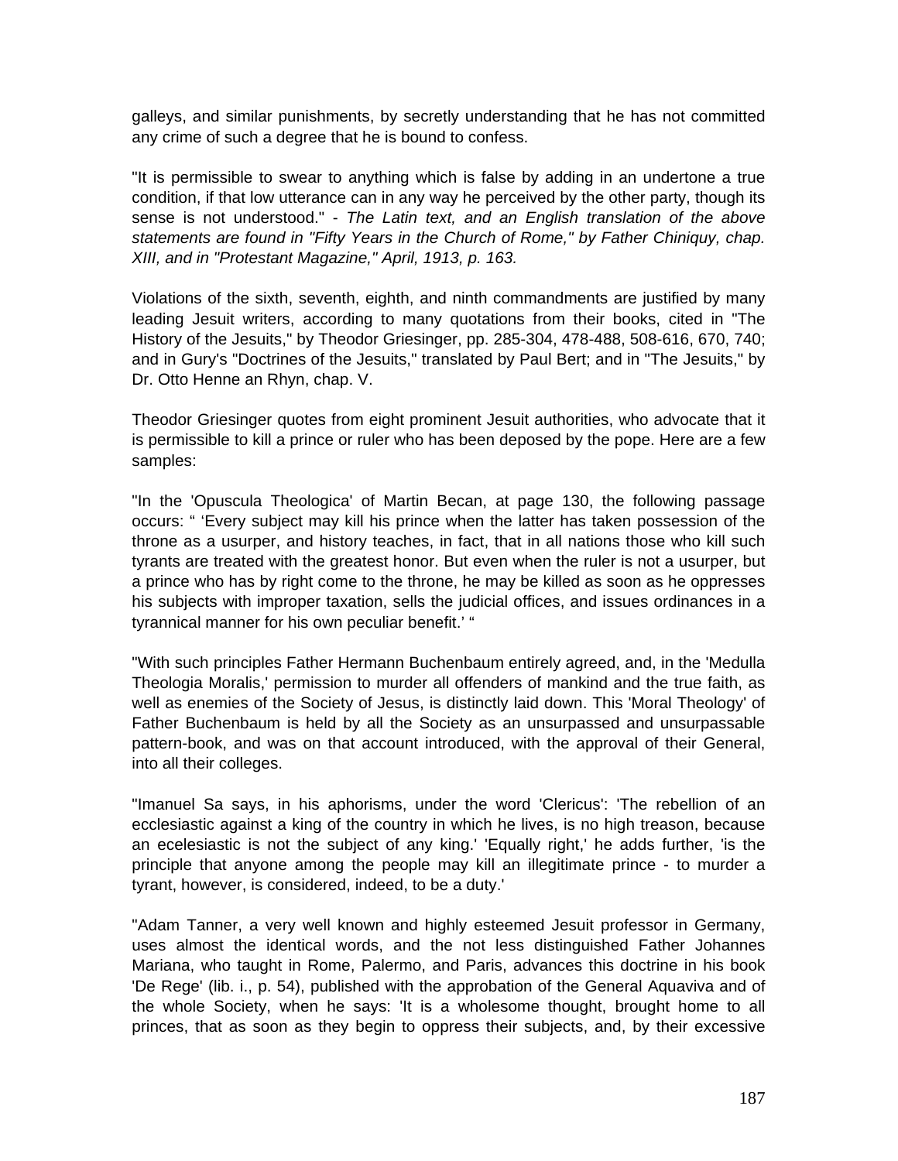galleys, and similar punishments, by secretly understanding that he has not committed any crime of such a degree that he is bound to confess.

"It is permissible to swear to anything which is false by adding in an undertone a true condition, if that low utterance can in any way he perceived by the other party, though its sense is not understood." - *The Latin text, and an English translation of the above statements are found in "Fifty Years in the Church of Rome," by Father Chiniquy, chap. XIII, and in "Protestant Magazine," April, 1913, p. 163.* 

Violations of the sixth, seventh, eighth, and ninth commandments are justified by many leading Jesuit writers, according to many quotations from their books, cited in "The History of the Jesuits," by Theodor Griesinger, pp. 285-304, 478-488, 508-616, 670, 740; and in Gury's "Doctrines of the Jesuits," translated by Paul Bert; and in "The Jesuits," by Dr. Otto Henne an Rhyn, chap. V.

Theodor Griesinger quotes from eight prominent Jesuit authorities, who advocate that it is permissible to kill a prince or ruler who has been deposed by the pope. Here are a few samples:

"In the 'Opuscula Theologica' of Martin Becan, at page 130, the following passage occurs: " 'Every subject may kill his prince when the latter has taken possession of the throne as a usurper, and history teaches, in fact, that in all nations those who kill such tyrants are treated with the greatest honor. But even when the ruler is not a usurper, but a prince who has by right come to the throne, he may be killed as soon as he oppresses his subjects with improper taxation, sells the judicial offices, and issues ordinances in a tyrannical manner for his own peculiar benefit.' "

"With such principles Father Hermann Buchenbaum entirely agreed, and, in the 'Medulla Theologia Moralis,' permission to murder all offenders of mankind and the true faith, as well as enemies of the Society of Jesus, is distinctly laid down. This 'Moral Theology' of Father Buchenbaum is held by all the Society as an unsurpassed and unsurpassable pattern-book, and was on that account introduced, with the approval of their General, into all their colleges.

"Imanuel Sa says, in his aphorisms, under the word 'Clericus': 'The rebellion of an ecclesiastic against a king of the country in which he lives, is no high treason, because an ecelesiastic is not the subject of any king.' 'Equally right,' he adds further, 'is the principle that anyone among the people may kill an illegitimate prince - to murder a tyrant, however, is considered, indeed, to be a duty.'

"Adam Tanner, a very well known and highly esteemed Jesuit professor in Germany, uses almost the identical words, and the not less distinguished Father Johannes Mariana, who taught in Rome, Palermo, and Paris, advances this doctrine in his book 'De Rege' (lib. i., p. 54), published with the approbation of the General Aquaviva and of the whole Society, when he says: 'It is a wholesome thought, brought home to all princes, that as soon as they begin to oppress their subjects, and, by their excessive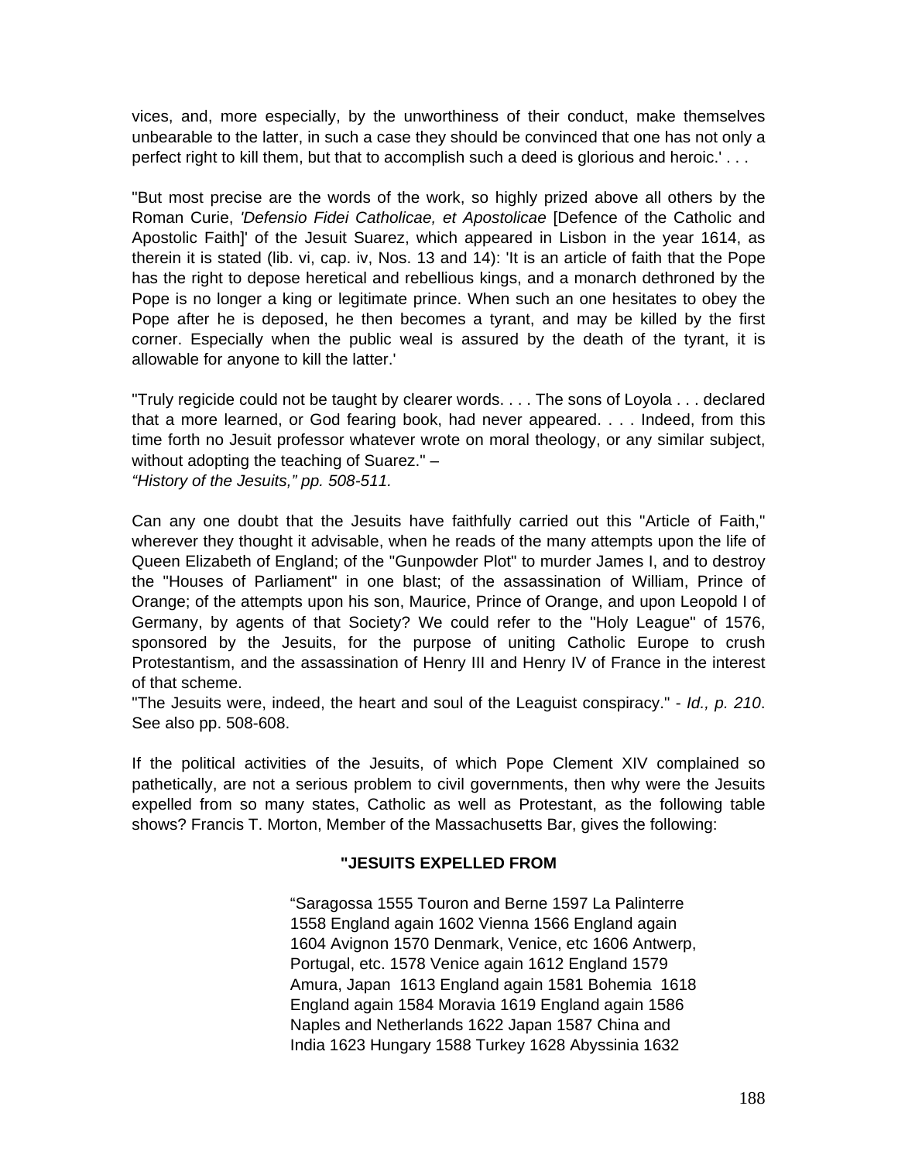vices, and, more especially, by the unworthiness of their conduct, make themselves unbearable to the latter, in such a case they should be convinced that one has not only a perfect right to kill them, but that to accomplish such a deed is glorious and heroic.' . . .

"But most precise are the words of the work, so highly prized above all others by the Roman Curie, *'Defensio Fidei Catholicae, et Apostolicae* [Defence of the Catholic and Apostolic Faith]' of the Jesuit Suarez, which appeared in Lisbon in the year 1614, as therein it is stated (lib. vi, cap. iv, Nos. 13 and 14): 'It is an article of faith that the Pope has the right to depose heretical and rebellious kings, and a monarch dethroned by the Pope is no longer a king or legitimate prince. When such an one hesitates to obey the Pope after he is deposed, he then becomes a tyrant, and may be killed by the first corner. Especially when the public weal is assured by the death of the tyrant, it is allowable for anyone to kill the latter.'

"Truly regicide could not be taught by clearer words. . . . The sons of Loyola . . . declared that a more learned, or God fearing book, had never appeared. . . . Indeed, from this time forth no Jesuit professor whatever wrote on moral theology, or any similar subject, without adopting the teaching of Suarez." – *"History of the Jesuits," pp. 508-511.* 

Can any one doubt that the Jesuits have faithfully carried out this "Article of Faith," wherever they thought it advisable, when he reads of the many attempts upon the life of Queen Elizabeth of England; of the "Gunpowder Plot" to murder James I, and to destroy the "Houses of Parliament" in one blast; of the assassination of William, Prince of Orange; of the attempts upon his son, Maurice, Prince of Orange, and upon Leopold I of Germany, by agents of that Society? We could refer to the "Holy League" of 1576, sponsored by the Jesuits, for the purpose of uniting Catholic Europe to crush Protestantism, and the assassination of Henry III and Henry IV of France in the interest of that scheme.

"The Jesuits were, indeed, the heart and soul of the Leaguist conspiracy." - *Id., p. 210*. See also pp. 508-608.

If the political activities of the Jesuits, of which Pope Clement XIV complained so pathetically, are not a serious problem to civil governments, then why were the Jesuits expelled from so many states, Catholic as well as Protestant, as the following table shows? Francis T. Morton, Member of the Massachusetts Bar, gives the following:

### **"JESUITS EXPELLED FROM**

"Saragossa 1555 Touron and Berne 1597 La Palinterre 1558 England again 1602 Vienna 1566 England again 1604 Avignon 1570 Denmark, Venice, etc 1606 Antwerp, Portugal, etc. 1578 Venice again 1612 England 1579 Amura, Japan 1613 England again 1581 Bohemia 1618 England again 1584 Moravia 1619 England again 1586 Naples and Netherlands 1622 Japan 1587 China and India 1623 Hungary 1588 Turkey 1628 Abyssinia 1632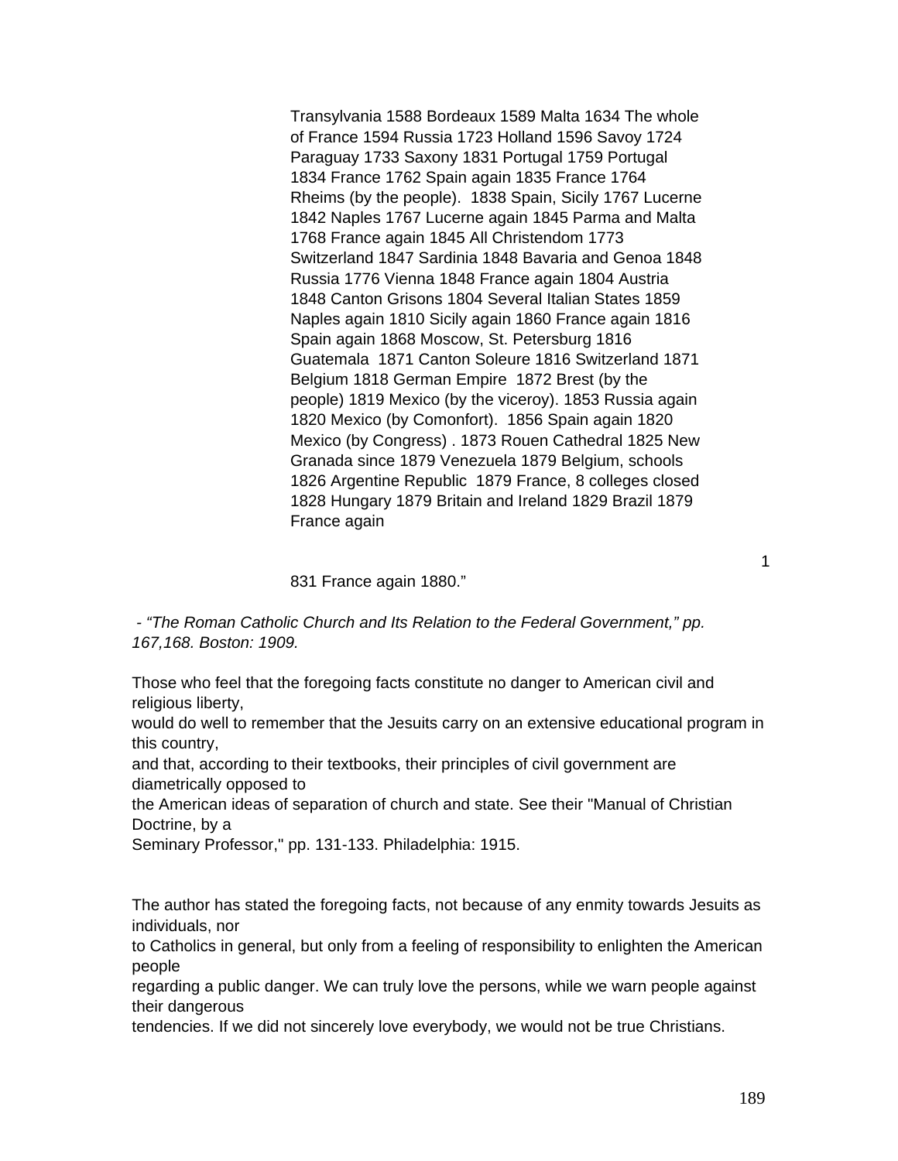Transylvania 1588 Bordeaux 1589 Malta 1634 The whole of France 1594 Russia 1723 Holland 1596 Savoy 1724 Paraguay 1733 Saxony 1831 Portugal 1759 Portugal 1834 France 1762 Spain again 1835 France 1764 Rheims (by the people). 1838 Spain, Sicily 1767 Lucerne 1842 Naples 1767 Lucerne again 1845 Parma and Malta 1768 France again 1845 All Christendom 1773 Switzerland 1847 Sardinia 1848 Bavaria and Genoa 1848 Russia 1776 Vienna 1848 France again 1804 Austria 1848 Canton Grisons 1804 Several Italian States 1859 Naples again 1810 Sicily again 1860 France again 1816 Spain again 1868 Moscow, St. Petersburg 1816 Guatemala 1871 Canton Soleure 1816 Switzerland 1871 Belgium 1818 German Empire 1872 Brest (by the people) 1819 Mexico (by the viceroy). 1853 Russia again 1820 Mexico (by Comonfort). 1856 Spain again 1820 Mexico (by Congress) . 1873 Rouen Cathedral 1825 New Granada since 1879 Venezuela 1879 Belgium, schools 1826 Argentine Republic 1879 France, 8 colleges closed 1828 Hungary 1879 Britain and Ireland 1829 Brazil 1879 France again

831 France again 1880."

1

*- "The Roman Catholic Church and Its Relation to the Federal Government," pp. 167,168. Boston: 1909.* 

Those who feel that the foregoing facts constitute no danger to American civil and religious liberty,

would do well to remember that the Jesuits carry on an extensive educational program in this country,

and that, according to their textbooks, their principles of civil government are diametrically opposed to

the American ideas of separation of church and state. See their "Manual of Christian Doctrine, by a

Seminary Professor," pp. 131-133. Philadelphia: 1915.

The author has stated the foregoing facts, not because of any enmity towards Jesuits as individuals, nor

to Catholics in general, but only from a feeling of responsibility to enlighten the American people

regarding a public danger. We can truly love the persons, while we warn people against their dangerous

tendencies. If we did not sincerely love everybody, we would not be true Christians.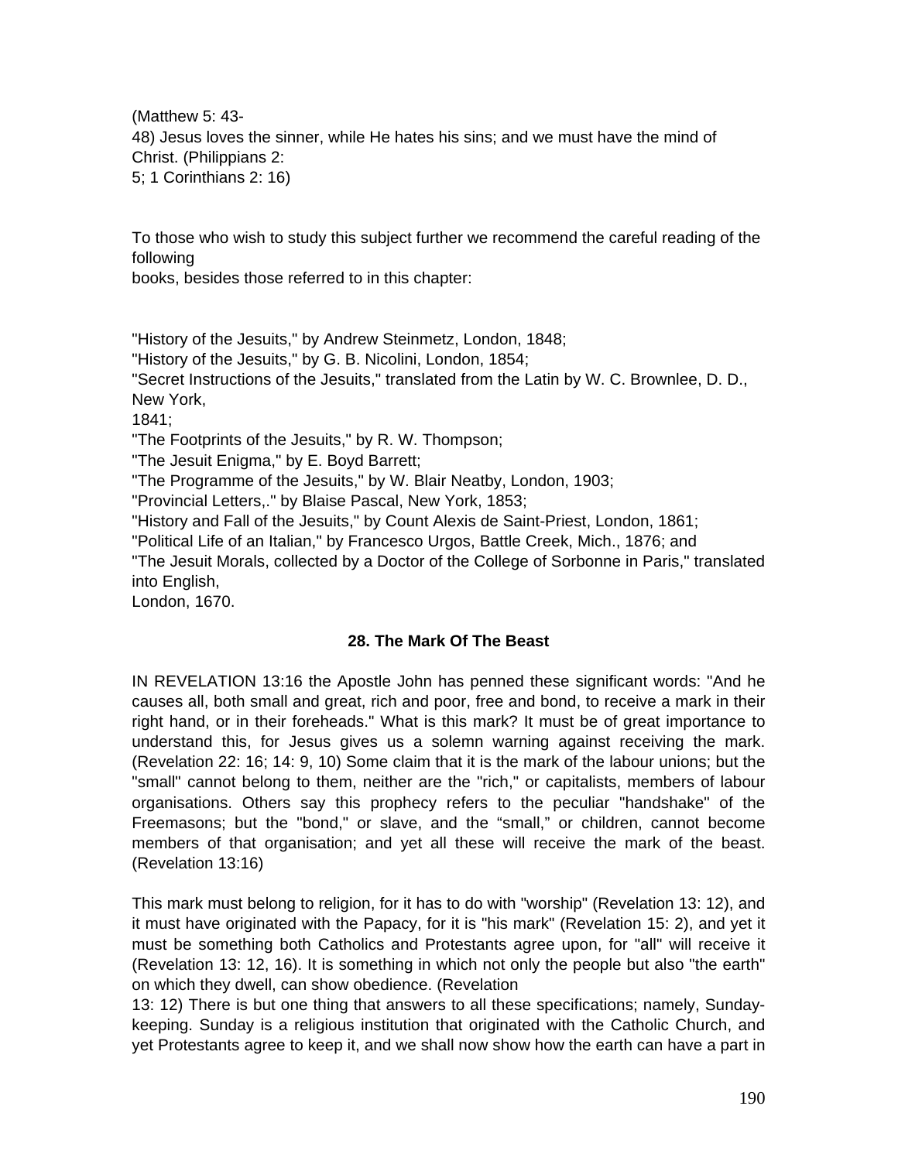(Matthew 5: 43- 48) Jesus loves the sinner, while He hates his sins; and we must have the mind of Christ. (Philippians 2: 5; 1 Corinthians 2: 16)

To those who wish to study this subject further we recommend the careful reading of the following

books, besides those referred to in this chapter:

"History of the Jesuits," by Andrew Steinmetz, London, 1848;

"History of the Jesuits," by G. B. Nicolini, London, 1854;

"Secret Instructions of the Jesuits," translated from the Latin by W. C. Brownlee, D. D., New York,

1841;

"The Footprints of the Jesuits," by R. W. Thompson;

"The Jesuit Enigma," by E. Boyd Barrett;

"The Programme of the Jesuits," by W. Blair Neatby, London, 1903;

"Provincial Letters,." by Blaise Pascal, New York, 1853;

"History and Fall of the Jesuits," by Count Alexis de Saint-Priest, London, 1861;

"Political Life of an Italian," by Francesco Urgos, Battle Creek, Mich., 1876; and

"The Jesuit Morals, collected by a Doctor of the College of Sorbonne in Paris," translated into English,

London, 1670.

### **28. The Mark Of The Beast**

IN REVELATION 13:16 the Apostle John has penned these significant words: "And he causes all, both small and great, rich and poor, free and bond, to receive a mark in their right hand, or in their foreheads." What is this mark? It must be of great importance to understand this, for Jesus gives us a solemn warning against receiving the mark. (Revelation 22: 16; 14: 9, 10) Some claim that it is the mark of the labour unions; but the "small" cannot belong to them, neither are the "rich," or capitalists, members of labour organisations. Others say this prophecy refers to the peculiar "handshake" of the Freemasons; but the "bond," or slave, and the "small," or children, cannot become members of that organisation; and yet all these will receive the mark of the beast. (Revelation 13:16)

This mark must belong to religion, for it has to do with "worship" (Revelation 13: 12), and it must have originated with the Papacy, for it is "his mark" (Revelation 15: 2), and yet it must be something both Catholics and Protestants agree upon, for "all" will receive it (Revelation 13: 12, 16). It is something in which not only the people but also "the earth" on which they dwell, can show obedience. (Revelation

13: 12) There is but one thing that answers to all these specifications; namely, Sundaykeeping. Sunday is a religious institution that originated with the Catholic Church, and yet Protestants agree to keep it, and we shall now show how the earth can have a part in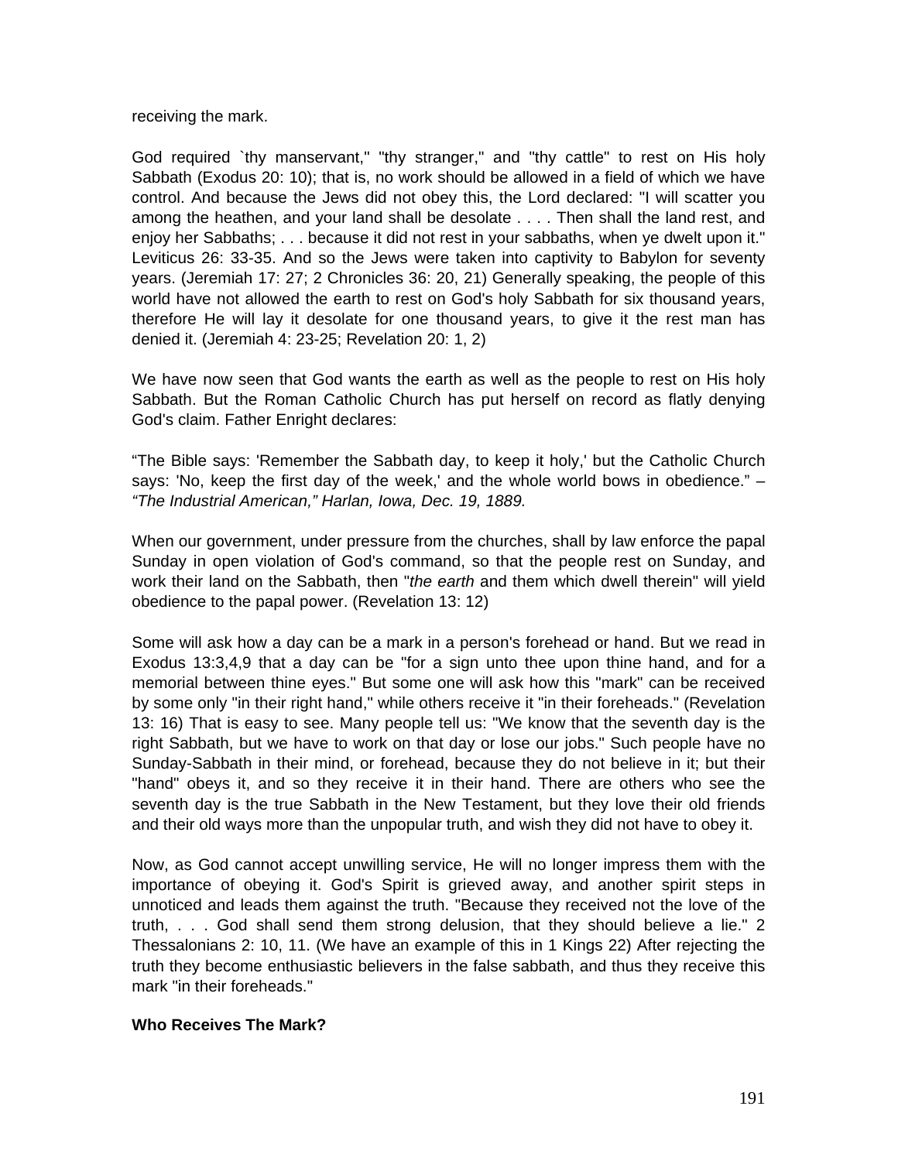receiving the mark.

God required `thy manservant," "thy stranger," and "thy cattle" to rest on His holy Sabbath (Exodus 20: 10); that is, no work should be allowed in a field of which we have control. And because the Jews did not obey this, the Lord declared: "I will scatter you among the heathen, and your land shall be desolate . . . . Then shall the land rest, and enjoy her Sabbaths; . . . because it did not rest in your sabbaths, when ye dwelt upon it." Leviticus 26: 33-35. And so the Jews were taken into captivity to Babylon for seventy years. (Jeremiah 17: 27; 2 Chronicles 36: 20, 21) Generally speaking, the people of this world have not allowed the earth to rest on God's holy Sabbath for six thousand years, therefore He will lay it desolate for one thousand years, to give it the rest man has denied it. (Jeremiah 4: 23-25; Revelation 20: 1, 2)

We have now seen that God wants the earth as well as the people to rest on His holy Sabbath. But the Roman Catholic Church has put herself on record as flatly denying God's claim. Father Enright declares:

"The Bible says: 'Remember the Sabbath day, to keep it holy,' but the Catholic Church says: 'No, keep the first day of the week,' and the whole world bows in obedience." – *"The Industrial American," Harlan, Iowa, Dec. 19, 1889.* 

When our government, under pressure from the churches, shall by law enforce the papal Sunday in open violation of God's command, so that the people rest on Sunday, and work their land on the Sabbath, then "*the earth* and them which dwell therein" will yield obedience to the papal power. (Revelation 13: 12)

Some will ask how a day can be a mark in a person's forehead or hand. But we read in Exodus 13:3,4,9 that a day can be "for a sign unto thee upon thine hand, and for a memorial between thine eyes." But some one will ask how this "mark" can be received by some only "in their right hand," while others receive it "in their foreheads." (Revelation 13: 16) That is easy to see. Many people tell us: "We know that the seventh day is the right Sabbath, but we have to work on that day or lose our jobs." Such people have no Sunday-Sabbath in their mind, or forehead, because they do not believe in it; but their "hand" obeys it, and so they receive it in their hand. There are others who see the seventh day is the true Sabbath in the New Testament, but they love their old friends and their old ways more than the unpopular truth, and wish they did not have to obey it.

Now, as God cannot accept unwilling service, He will no longer impress them with the importance of obeying it. God's Spirit is grieved away, and another spirit steps in unnoticed and leads them against the truth. "Because they received not the love of the truth, . . . God shall send them strong delusion, that they should believe a lie." 2 Thessalonians 2: 10, 11. (We have an example of this in 1 Kings 22) After rejecting the truth they become enthusiastic believers in the false sabbath, and thus they receive this mark "in their foreheads."

### **Who Receives The Mark?**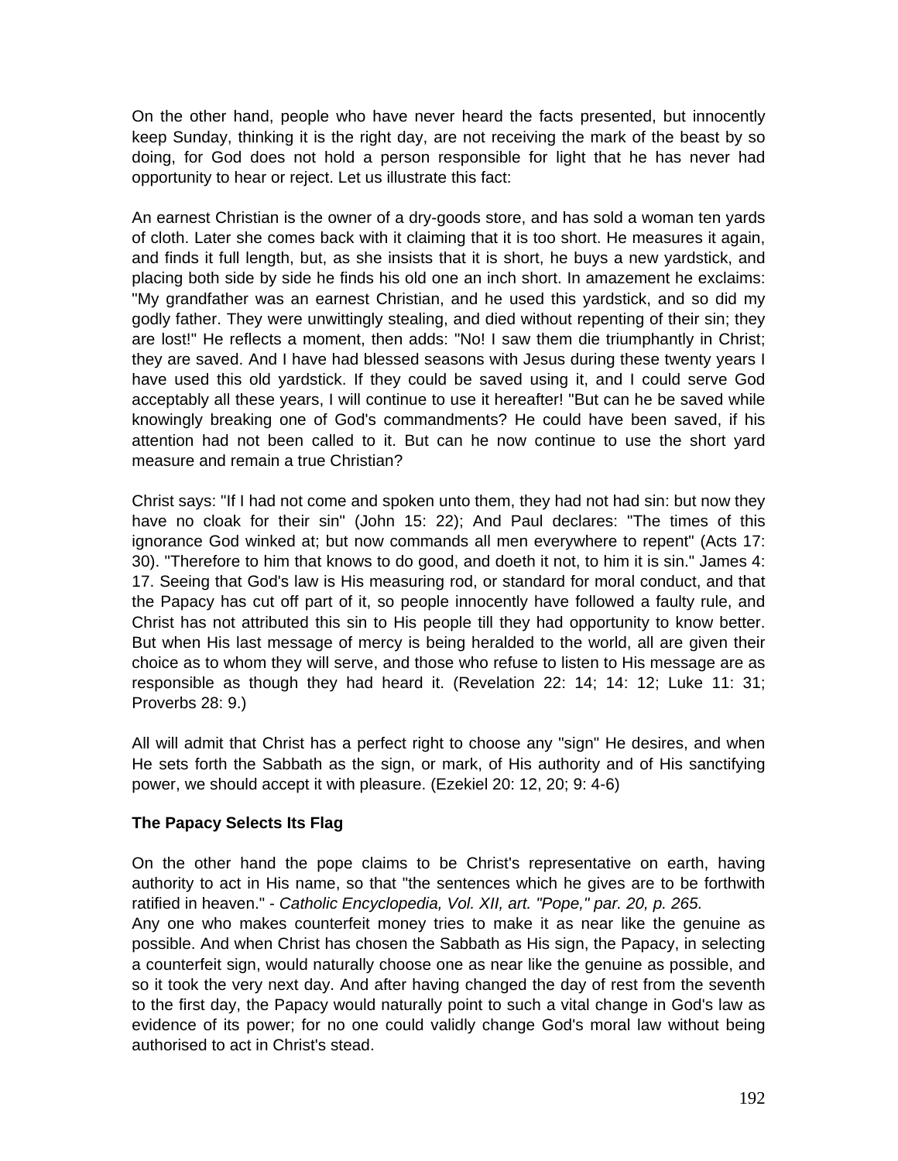On the other hand, people who have never heard the facts presented, but innocently keep Sunday, thinking it is the right day, are not receiving the mark of the beast by so doing, for God does not hold a person responsible for light that he has never had opportunity to hear or reject. Let us illustrate this fact:

An earnest Christian is the owner of a dry-goods store, and has sold a woman ten yards of cloth. Later she comes back with it claiming that it is too short. He measures it again, and finds it full length, but, as she insists that it is short, he buys a new yardstick, and placing both side by side he finds his old one an inch short. In amazement he exclaims: "My grandfather was an earnest Christian, and he used this yardstick, and so did my godly father. They were unwittingly stealing, and died without repenting of their sin; they are lost!" He reflects a moment, then adds: "No! I saw them die triumphantly in Christ; they are saved. And I have had blessed seasons with Jesus during these twenty years I have used this old yardstick. If they could be saved using it, and I could serve God acceptably all these years, I will continue to use it hereafter! "But can he be saved while knowingly breaking one of God's commandments? He could have been saved, if his attention had not been called to it. But can he now continue to use the short yard measure and remain a true Christian?

Christ says: "If I had not come and spoken unto them, they had not had sin: but now they have no cloak for their sin" (John 15: 22); And Paul declares: "The times of this ignorance God winked at; but now commands all men everywhere to repent" (Acts 17: 30). "Therefore to him that knows to do good, and doeth it not, to him it is sin." James 4: 17. Seeing that God's law is His measuring rod, or standard for moral conduct, and that the Papacy has cut off part of it, so people innocently have followed a faulty rule, and Christ has not attributed this sin to His people till they had opportunity to know better. But when His last message of mercy is being heralded to the world, all are given their choice as to whom they will serve, and those who refuse to listen to His message are as responsible as though they had heard it. (Revelation 22: 14; 14: 12; Luke 11: 31; Proverbs 28: 9.)

All will admit that Christ has a perfect right to choose any "sign" He desires, and when He sets forth the Sabbath as the sign, or mark, of His authority and of His sanctifying power, we should accept it with pleasure. (Ezekiel 20: 12, 20; 9: 4-6)

### **The Papacy Selects Its Flag**

On the other hand the pope claims to be Christ's representative on earth, having authority to act in His name, so that "the sentences which he gives are to be forthwith ratified in heaven." - *Catholic Encyclopedia, Vol. XII, art. "Pope," par. 20, p. 265.*  Any one who makes counterfeit money tries to make it as near like the genuine as possible. And when Christ has chosen the Sabbath as His sign, the Papacy, in selecting a counterfeit sign, would naturally choose one as near like the genuine as possible, and so it took the very next day. And after having changed the day of rest from the seventh to the first day, the Papacy would naturally point to such a vital change in God's law as evidence of its power; for no one could validly change God's moral law without being authorised to act in Christ's stead.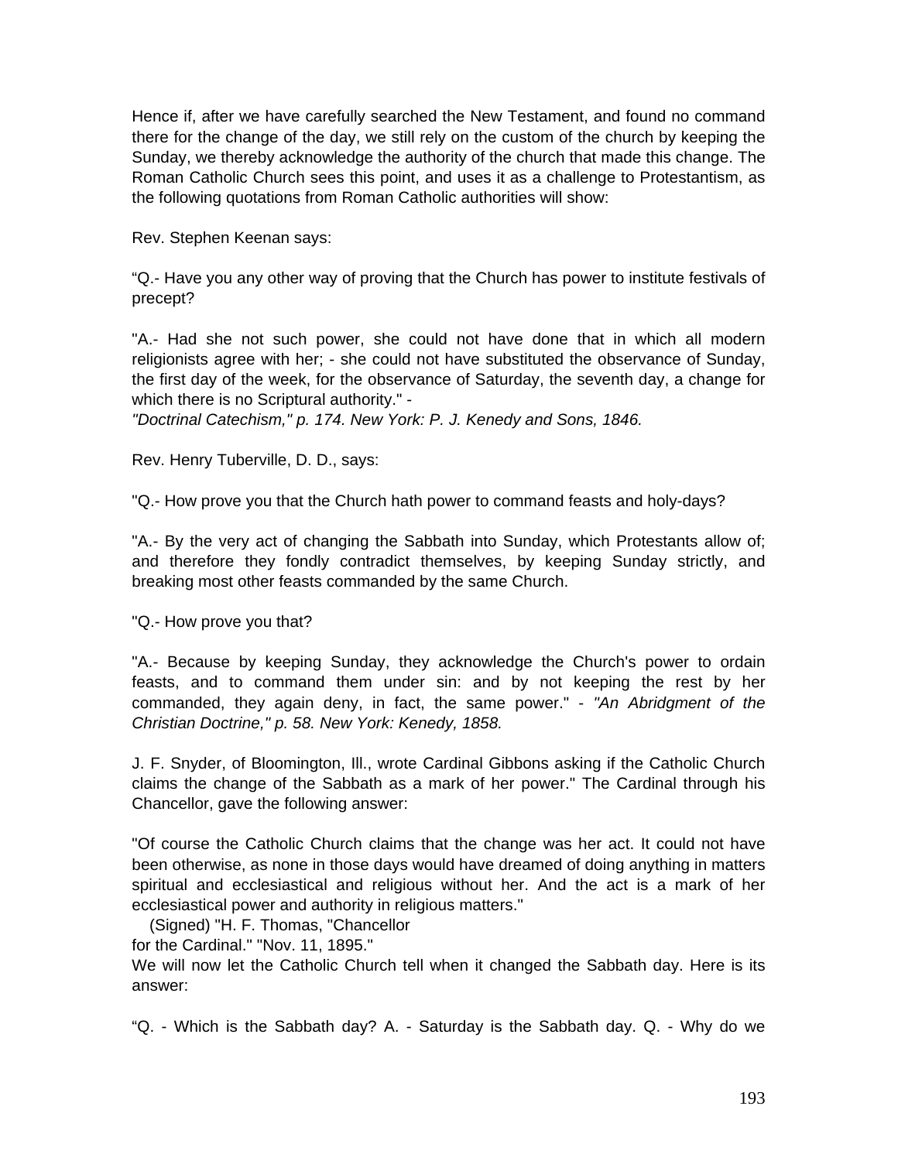Hence if, after we have carefully searched the New Testament, and found no command there for the change of the day, we still rely on the custom of the church by keeping the Sunday, we thereby acknowledge the authority of the church that made this change. The Roman Catholic Church sees this point, and uses it as a challenge to Protestantism, as the following quotations from Roman Catholic authorities will show:

Rev. Stephen Keenan says:

"Q.- Have you any other way of proving that the Church has power to institute festivals of precept?

"A.- Had she not such power, she could not have done that in which all modern religionists agree with her; - she could not have substituted the observance of Sunday, the first day of the week, for the observance of Saturday, the seventh day, a change for which there is no Scriptural authority." -

*"Doctrinal Catechism," p. 174. New York: P. J. Kenedy and Sons, 1846.* 

Rev. Henry Tuberville, D. D., says:

"Q.- How prove you that the Church hath power to command feasts and holy-days?

"A.- By the very act of changing the Sabbath into Sunday, which Protestants allow of; and therefore they fondly contradict themselves, by keeping Sunday strictly, and breaking most other feasts commanded by the same Church.

"Q.- How prove you that?

"A.- Because by keeping Sunday, they acknowledge the Church's power to ordain feasts, and to command them under sin: and by not keeping the rest by her commanded, they again deny, in fact, the same power." - *"An Abridgment of the Christian Doctrine," p. 58. New York: Kenedy, 1858.* 

J. F. Snyder, of Bloomington, Ill., wrote Cardinal Gibbons asking if the Catholic Church claims the change of the Sabbath as a mark of her power." The Cardinal through his Chancellor, gave the following answer:

"Of course the Catholic Church claims that the change was her act. It could not have been otherwise, as none in those days would have dreamed of doing anything in matters spiritual and ecclesiastical and religious without her. And the act is a mark of her ecclesiastical power and authority in religious matters."

(Signed) "H. F. Thomas, "Chancellor

for the Cardinal." "Nov. 11, 1895."

We will now let the Catholic Church tell when it changed the Sabbath day. Here is its answer:

"Q. - Which is the Sabbath day? A. - Saturday is the Sabbath day. Q. - Why do we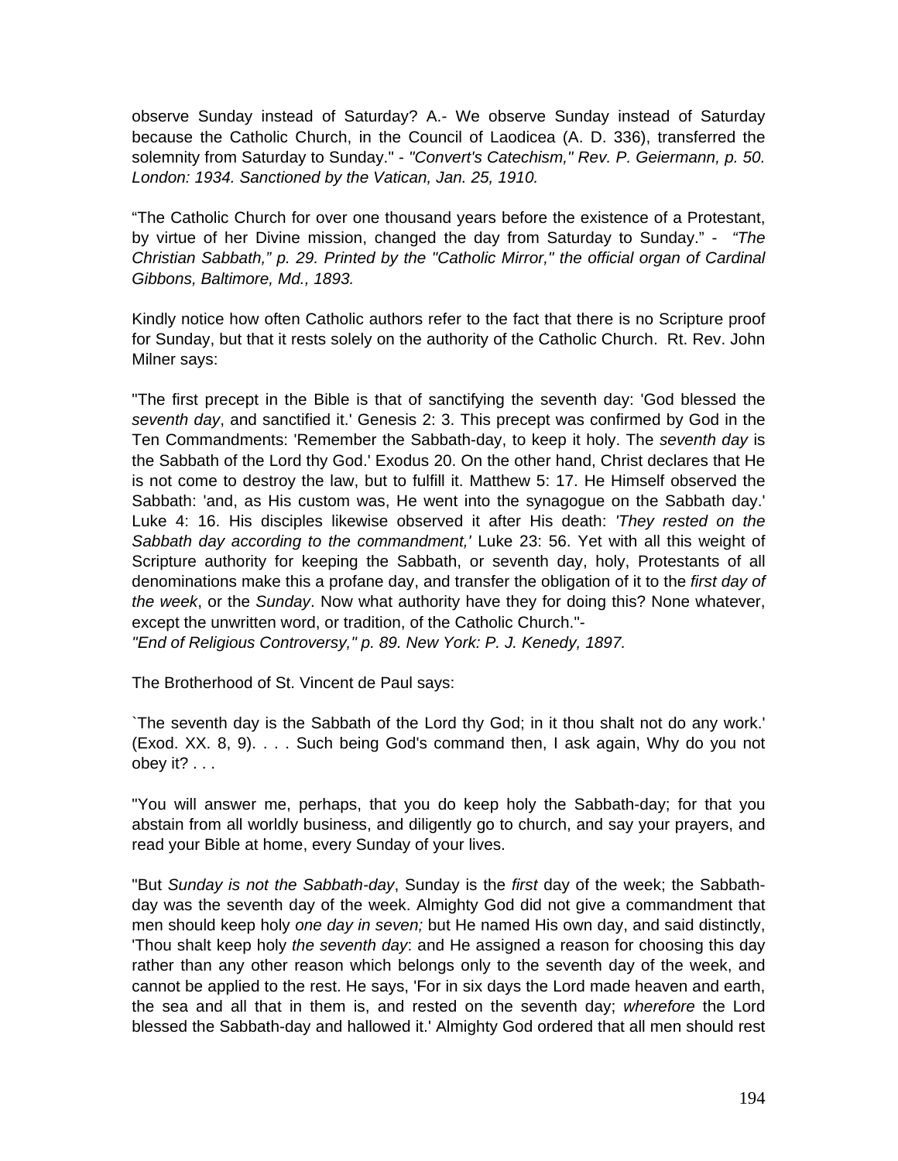observe Sunday instead of Saturday? A.- We observe Sunday instead of Saturday because the Catholic Church, in the Council of Laodicea (A. D. 336), transferred the solemnity from Saturday to Sunday." - *"Convert's Catechism," Rev. P. Geiermann, p. 50. London: 1934. Sanctioned by the Vatican, Jan. 25, 1910.* 

"The Catholic Church for over one thousand years before the existence of a Protestant, by virtue of her Divine mission, changed the day from Saturday to Sunday." - *"The Christian Sabbath," p. 29. Printed by the "Catholic Mirror," the official organ of Cardinal Gibbons, Baltimore, Md., 1893.* 

Kindly notice how often Catholic authors refer to the fact that there is no Scripture proof for Sunday, but that it rests solely on the authority of the Catholic Church. Rt. Rev. John Milner says:

"The first precept in the Bible is that of sanctifying the seventh day: 'God blessed the *seventh day*, and sanctified it.' Genesis 2: 3. This precept was confirmed by God in the Ten Commandments: 'Remember the Sabbath-day, to keep it holy. The *seventh day* is the Sabbath of the Lord thy God.' Exodus 20. On the other hand, Christ declares that He is not come to destroy the law, but to fulfill it. Matthew 5: 17. He Himself observed the Sabbath: 'and, as His custom was, He went into the synagogue on the Sabbath day.' Luke 4: 16. His disciples likewise observed it after His death: *'They rested on the Sabbath day according to the commandment,'* Luke 23: 56. Yet with all this weight of Scripture authority for keeping the Sabbath, or seventh day, holy, Protestants of all denominations make this a profane day, and transfer the obligation of it to the *first day of the week*, or the *Sunday*. Now what authority have they for doing this? None whatever, except the unwritten word, or tradition, of the Catholic Church."-

*"End of Religious Controversy," p. 89. New York: P. J. Kenedy, 1897.* 

The Brotherhood of St. Vincent de Paul says:

`The seventh day is the Sabbath of the Lord thy God; in it thou shalt not do any work.' (Exod. XX. 8, 9). . . . Such being God's command then, I ask again, Why do you not obey it? . . .

"You will answer me, perhaps, that you do keep holy the Sabbath-day; for that you abstain from all worldly business, and diligently go to church, and say your prayers, and read your Bible at home, every Sunday of your lives.

"But *Sunday is not the Sabbath-day*, Sunday is the *first* day of the week; the Sabbathday was the seventh day of the week. Almighty God did not give a commandment that men should keep holy *one day in seven;* but He named His own day, and said distinctly, 'Thou shalt keep holy *the seventh day*: and He assigned a reason for choosing this day rather than any other reason which belongs only to the seventh day of the week, and cannot be applied to the rest. He says, 'For in six days the Lord made heaven and earth, the sea and all that in them is, and rested on the seventh day; *wherefore* the Lord blessed the Sabbath-day and hallowed it.' Almighty God ordered that all men should rest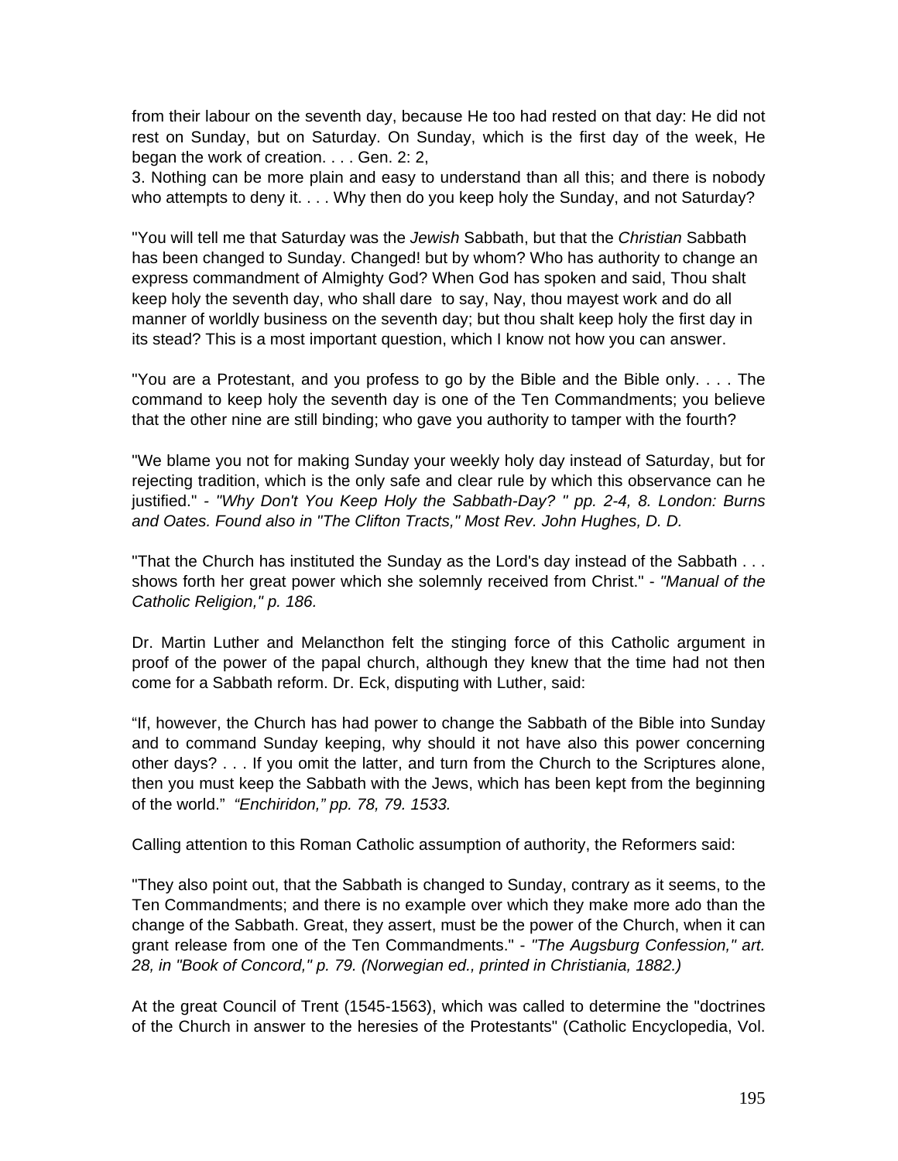from their labour on the seventh day, because He too had rested on that day: He did not rest on Sunday, but on Saturday. On Sunday, which is the first day of the week, He began the work of creation. . . . Gen. 2: 2,

3. Nothing can be more plain and easy to understand than all this; and there is nobody who attempts to deny it. . . . Why then do you keep holy the Sunday, and not Saturday?

"You will tell me that Saturday was the *Jewish* Sabbath, but that the *Christian* Sabbath has been changed to Sunday. Changed! but by whom? Who has authority to change an express commandment of Almighty God? When God has spoken and said, Thou shalt keep holy the seventh day, who shall dare to say, Nay, thou mayest work and do all manner of worldly business on the seventh day; but thou shalt keep holy the first day in its stead? This is a most important question, which I know not how you can answer.

"You are a Protestant, and you profess to go by the Bible and the Bible only. . . . The command to keep holy the seventh day is one of the Ten Commandments; you believe that the other nine are still binding; who gave you authority to tamper with the fourth?

"We blame you not for making Sunday your weekly holy day instead of Saturday, but for rejecting tradition, which is the only safe and clear rule by which this observance can he justified." *- "Why Don't You Keep Holy the Sabbath-Day? " pp. 2-4, 8. London: Burns and Oates. Found also in "The Clifton Tracts," Most Rev. John Hughes, D. D.* 

"That the Church has instituted the Sunday as the Lord's day instead of the Sabbath . . . shows forth her great power which she solemnly received from Christ." - *"Manual of the Catholic Religion," p. 186.* 

Dr. Martin Luther and Melancthon felt the stinging force of this Catholic argument in proof of the power of the papal church, although they knew that the time had not then come for a Sabbath reform. Dr. Eck, disputing with Luther, said:

"If, however, the Church has had power to change the Sabbath of the Bible into Sunday and to command Sunday keeping, why should it not have also this power concerning other days? . . . If you omit the latter, and turn from the Church to the Scriptures alone, then you must keep the Sabbath with the Jews, which has been kept from the beginning of the world." *"Enchiridon," pp. 78, 79. 1533.* 

Calling attention to this Roman Catholic assumption of authority, the Reformers said:

"They also point out, that the Sabbath is changed to Sunday, contrary as it seems, to the Ten Commandments; and there is no example over which they make more ado than the change of the Sabbath. Great, they assert, must be the power of the Church, when it can grant release from one of the Ten Commandments." - *"The Augsburg Confession," art. 28, in "Book of Concord," p. 79. (Norwegian ed., printed in Christiania, 1882.)* 

At the great Council of Trent (1545-1563), which was called to determine the "doctrines of the Church in answer to the heresies of the Protestants" (Catholic Encyclopedia, Vol.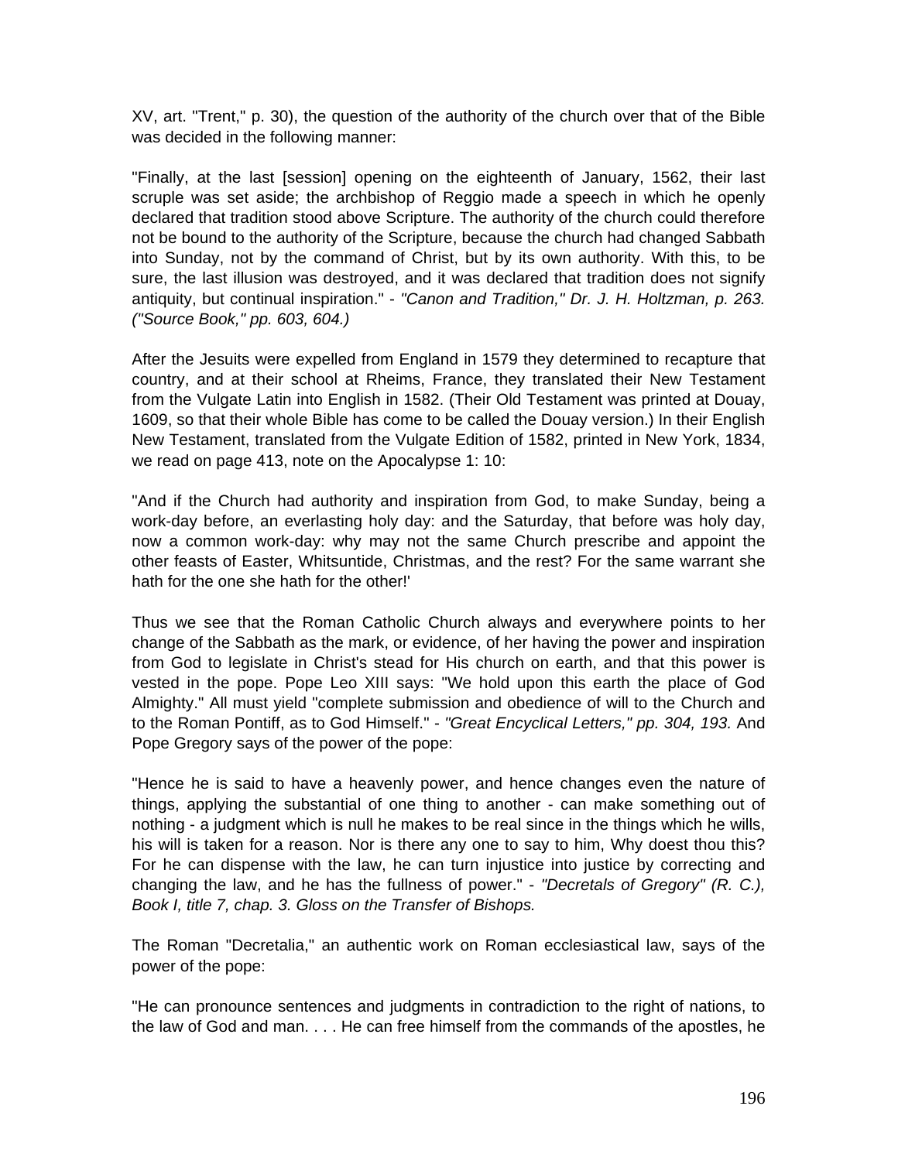XV, art. "Trent," p. 30), the question of the authority of the church over that of the Bible was decided in the following manner:

"Finally, at the last [session] opening on the eighteenth of January, 1562, their last scruple was set aside; the archbishop of Reggio made a speech in which he openly declared that tradition stood above Scripture. The authority of the church could therefore not be bound to the authority of the Scripture, because the church had changed Sabbath into Sunday, not by the command of Christ, but by its own authority. With this, to be sure, the last illusion was destroyed, and it was declared that tradition does not signify antiquity, but continual inspiration." - *"Canon and Tradition," Dr. J. H. Holtzman, p. 263. ("Source Book," pp. 603, 604.)* 

After the Jesuits were expelled from England in 1579 they determined to recapture that country, and at their school at Rheims, France, they translated their New Testament from the Vulgate Latin into English in 1582. (Their Old Testament was printed at Douay, 1609, so that their whole Bible has come to be called the Douay version.) In their English New Testament, translated from the Vulgate Edition of 1582, printed in New York, 1834, we read on page 413, note on the Apocalypse 1: 10:

"And if the Church had authority and inspiration from God, to make Sunday, being a work-day before, an everlasting holy day: and the Saturday, that before was holy day, now a common work-day: why may not the same Church prescribe and appoint the other feasts of Easter, Whitsuntide, Christmas, and the rest? For the same warrant she hath for the one she hath for the other!'

Thus we see that the Roman Catholic Church always and everywhere points to her change of the Sabbath as the mark, or evidence, of her having the power and inspiration from God to legislate in Christ's stead for His church on earth, and that this power is vested in the pope. Pope Leo XIII says: "We hold upon this earth the place of God Almighty." All must yield "complete submission and obedience of will to the Church and to the Roman Pontiff, as to God Himself." - *"Great Encyclical Letters," pp. 304, 193.* And Pope Gregory says of the power of the pope:

"Hence he is said to have a heavenly power, and hence changes even the nature of things, applying the substantial of one thing to another - can make something out of nothing - a judgment which is null he makes to be real since in the things which he wills, his will is taken for a reason. Nor is there any one to say to him, Why doest thou this? For he can dispense with the law, he can turn injustice into justice by correcting and changing the law, and he has the fullness of power." - *"Decretals of Gregory" (R. C.), Book I, title 7, chap. 3. Gloss on the Transfer of Bishops.* 

The Roman "Decretalia," an authentic work on Roman ecclesiastical law, says of the power of the pope:

"He can pronounce sentences and judgments in contradiction to the right of nations, to the law of God and man. . . . He can free himself from the commands of the apostles, he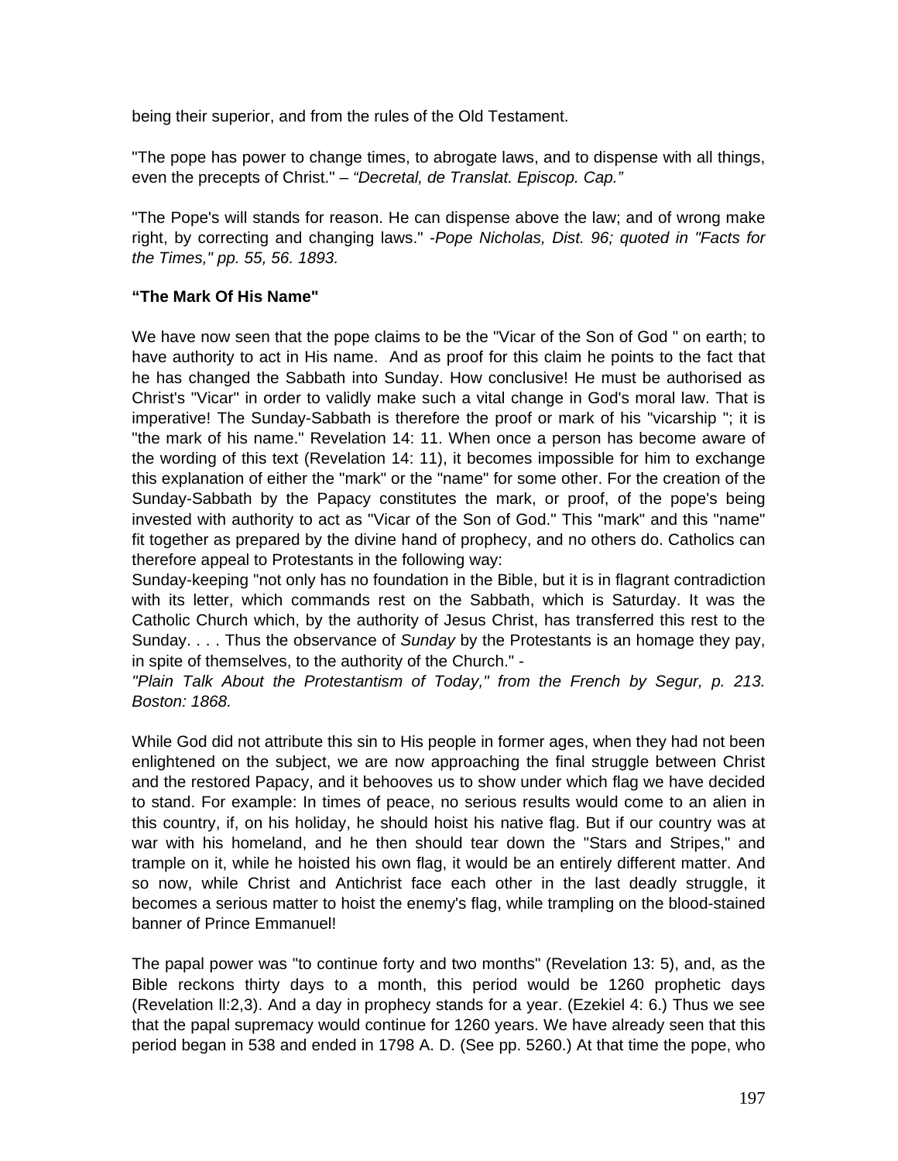being their superior, and from the rules of the Old Testament.

"The pope has power to change times, to abrogate laws, and to dispense with all things, even the precepts of Christ." – *"Decretal, de Translat. Episcop. Cap."* 

"The Pope's will stands for reason. He can dispense above the law; and of wrong make right, by correcting and changing laws." -*Pope Nicholas, Dist. 96; quoted in "Facts for the Times," pp. 55, 56. 1893.* 

### **"The Mark Of His Name"**

We have now seen that the pope claims to be the "Vicar of the Son of God " on earth; to have authority to act in His name. And as proof for this claim he points to the fact that he has changed the Sabbath into Sunday. How conclusive! He must be authorised as Christ's "Vicar" in order to validly make such a vital change in God's moral law. That is imperative! The Sunday-Sabbath is therefore the proof or mark of his "vicarship "; it is "the mark of his name." Revelation 14: 11. When once a person has become aware of the wording of this text (Revelation 14: 11), it becomes impossible for him to exchange this explanation of either the "mark" or the "name" for some other. For the creation of the Sunday-Sabbath by the Papacy constitutes the mark, or proof, of the pope's being invested with authority to act as "Vicar of the Son of God." This "mark" and this "name" fit together as prepared by the divine hand of prophecy, and no others do. Catholics can therefore appeal to Protestants in the following way:

Sunday-keeping "not only has no foundation in the Bible, but it is in flagrant contradiction with its letter, which commands rest on the Sabbath, which is Saturday. It was the Catholic Church which, by the authority of Jesus Christ, has transferred this rest to the Sunday. . . . Thus the observance of *Sunday* by the Protestants is an homage they pay, in spite of themselves, to the authority of the Church." -

*"Plain Talk About the Protestantism of Today," from the French by Segur, p. 213. Boston: 1868.* 

While God did not attribute this sin to His people in former ages, when they had not been enlightened on the subject, we are now approaching the final struggle between Christ and the restored Papacy, and it behooves us to show under which flag we have decided to stand. For example: In times of peace, no serious results would come to an alien in this country, if, on his holiday, he should hoist his native flag. But if our country was at war with his homeland, and he then should tear down the "Stars and Stripes," and trample on it, while he hoisted his own flag, it would be an entirely different matter. And so now, while Christ and Antichrist face each other in the last deadly struggle, it becomes a serious matter to hoist the enemy's flag, while trampling on the blood-stained banner of Prince Emmanuel!

The papal power was "to continue forty and two months" (Revelation 13: 5), and, as the Bible reckons thirty days to a month, this period would be 1260 prophetic days (Revelation ll:2,3). And a day in prophecy stands for a year. (Ezekiel 4: 6.) Thus we see that the papal supremacy would continue for 1260 years. We have already seen that this period began in 538 and ended in 1798 A. D. (See pp. 5260.) At that time the pope, who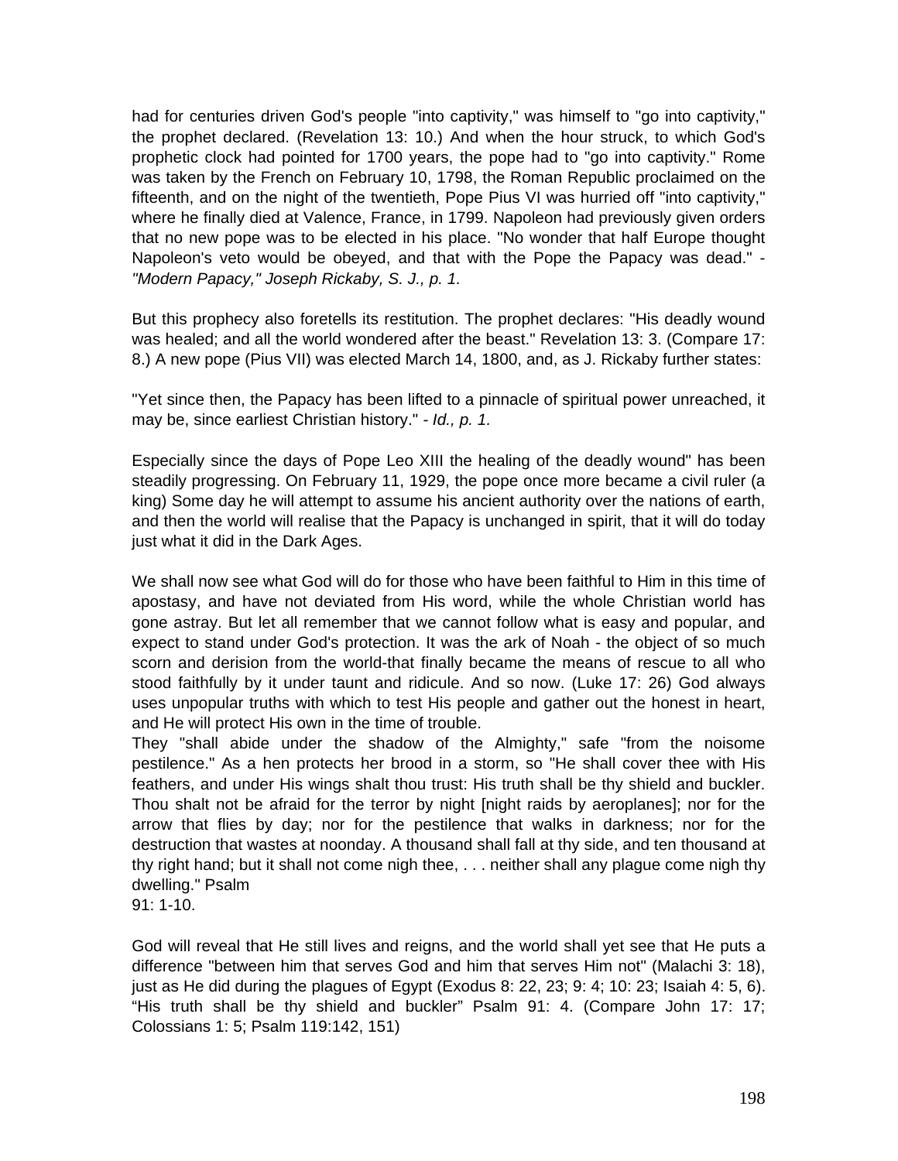had for centuries driven God's people "into captivity," was himself to "go into captivity," the prophet declared. (Revelation 13: 10.) And when the hour struck, to which God's prophetic clock had pointed for 1700 years, the pope had to "go into captivity." Rome was taken by the French on February 10, 1798, the Roman Republic proclaimed on the fifteenth, and on the night of the twentieth, Pope Pius VI was hurried off "into captivity," where he finally died at Valence, France, in 1799. Napoleon had previously given orders that no new pope was to be elected in his place. "No wonder that half Europe thought Napoleon's veto would be obeyed, and that with the Pope the Papacy was dead." - *"Modern Papacy," Joseph Rickaby, S. J., p. 1.* 

But this prophecy also foretells its restitution. The prophet declares: "His deadly wound was healed; and all the world wondered after the beast." Revelation 13: 3. (Compare 17: 8.) A new pope (Pius VII) was elected March 14, 1800, and, as J. Rickaby further states:

"Yet since then, the Papacy has been lifted to a pinnacle of spiritual power unreached, it may be, since earliest Christian history." *- Id., p. 1.* 

Especially since the days of Pope Leo XIII the healing of the deadly wound" has been steadily progressing. On February 11, 1929, the pope once more became a civil ruler (a king) Some day he will attempt to assume his ancient authority over the nations of earth, and then the world will realise that the Papacy is unchanged in spirit, that it will do today just what it did in the Dark Ages.

We shall now see what God will do for those who have been faithful to Him in this time of apostasy, and have not deviated from His word, while the whole Christian world has gone astray. But let all remember that we cannot follow what is easy and popular, and expect to stand under God's protection. It was the ark of Noah - the object of so much scorn and derision from the world-that finally became the means of rescue to all who stood faithfully by it under taunt and ridicule. And so now. (Luke 17: 26) God always uses unpopular truths with which to test His people and gather out the honest in heart, and He will protect His own in the time of trouble.

They "shall abide under the shadow of the Almighty," safe "from the noisome pestilence." As a hen protects her brood in a storm, so "He shall cover thee with His feathers, and under His wings shalt thou trust: His truth shall be thy shield and buckler. Thou shalt not be afraid for the terror by night [night raids by aeroplanes]; nor for the arrow that flies by day; nor for the pestilence that walks in darkness; nor for the destruction that wastes at noonday. A thousand shall fall at thy side, and ten thousand at thy right hand; but it shall not come nigh thee, . . . neither shall any plague come nigh thy dwelling." Psalm

91: 1-10.

God will reveal that He still lives and reigns, and the world shall yet see that He puts a difference "between him that serves God and him that serves Him not" (Malachi 3: 18), just as He did during the plagues of Egypt (Exodus 8: 22, 23; 9: 4; 10: 23; Isaiah 4: 5, 6). "His truth shall be thy shield and buckler" Psalm 91: 4. (Compare John 17: 17; Colossians 1: 5; Psalm 119:142, 151)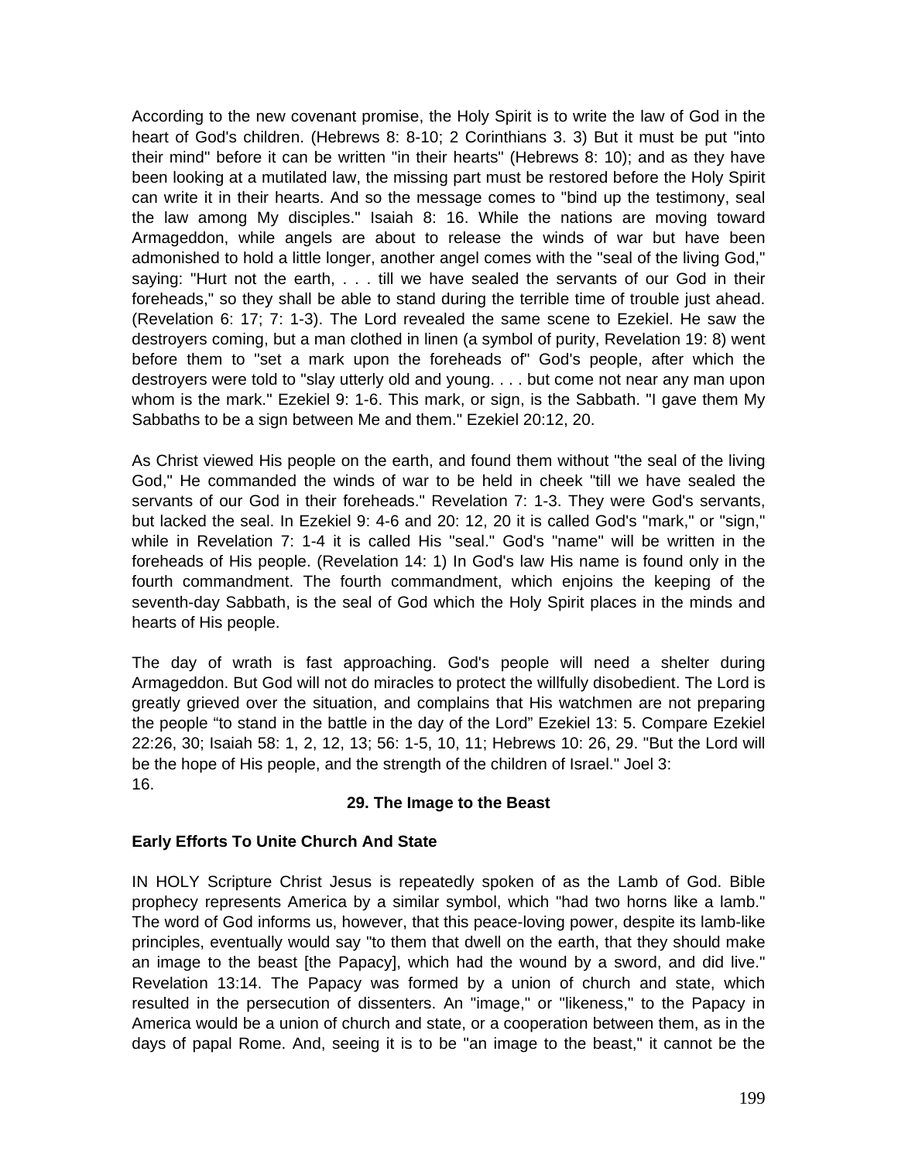According to the new covenant promise, the Holy Spirit is to write the law of God in the heart of God's children. (Hebrews 8: 8-10; 2 Corinthians 3. 3) But it must be put "into their mind" before it can be written "in their hearts" (Hebrews 8: 10); and as they have been looking at a mutilated law, the missing part must be restored before the Holy Spirit can write it in their hearts. And so the message comes to "bind up the testimony, seal the law among My disciples." Isaiah 8: 16. While the nations are moving toward Armageddon, while angels are about to release the winds of war but have been admonished to hold a little longer, another angel comes with the "seal of the living God," saying: "Hurt not the earth, . . . till we have sealed the servants of our God in their foreheads," so they shall be able to stand during the terrible time of trouble just ahead. (Revelation 6: 17; 7: 1-3). The Lord revealed the same scene to Ezekiel. He saw the destroyers coming, but a man clothed in linen (a symbol of purity, Revelation 19: 8) went before them to "set a mark upon the foreheads of" God's people, after which the destroyers were told to "slay utterly old and young. . . . but come not near any man upon whom is the mark." Ezekiel 9: 1-6. This mark, or sign, is the Sabbath. "I gave them My Sabbaths to be a sign between Me and them." Ezekiel 20:12, 20.

As Christ viewed His people on the earth, and found them without "the seal of the living God," He commanded the winds of war to be held in cheek "till we have sealed the servants of our God in their foreheads." Revelation 7: 1-3. They were God's servants, but lacked the seal. In Ezekiel 9: 4-6 and 20: 12, 20 it is called God's "mark," or "sign," while in Revelation 7: 1-4 it is called His "seal." God's "name" will be written in the foreheads of His people. (Revelation 14: 1) In God's law His name is found only in the fourth commandment. The fourth commandment, which enjoins the keeping of the seventh-day Sabbath, is the seal of God which the Holy Spirit places in the minds and hearts of His people.

The day of wrath is fast approaching. God's people will need a shelter during Armageddon. But God will not do miracles to protect the willfully disobedient. The Lord is greatly grieved over the situation, and complains that His watchmen are not preparing the people "to stand in the battle in the day of the Lord" Ezekiel 13: 5. Compare Ezekiel 22:26, 30; Isaiah 58: 1, 2, 12, 13; 56: 1-5, 10, 11; Hebrews 10: 26, 29. "But the Lord will be the hope of His people, and the strength of the children of Israel." Joel 3: 16.

# **29. The Image to the Beast**

# **Early Efforts To Unite Church And State**

IN HOLY Scripture Christ Jesus is repeatedly spoken of as the Lamb of God. Bible prophecy represents America by a similar symbol, which "had two horns like a lamb." The word of God informs us, however, that this peace-loving power, despite its lamb-like principles, eventually would say "to them that dwell on the earth, that they should make an image to the beast [the Papacy], which had the wound by a sword, and did live." Revelation 13:14. The Papacy was formed by a union of church and state, which resulted in the persecution of dissenters. An "image," or "likeness," to the Papacy in America would be a union of church and state, or a cooperation between them, as in the days of papal Rome. And, seeing it is to be "an image to the beast," it cannot be the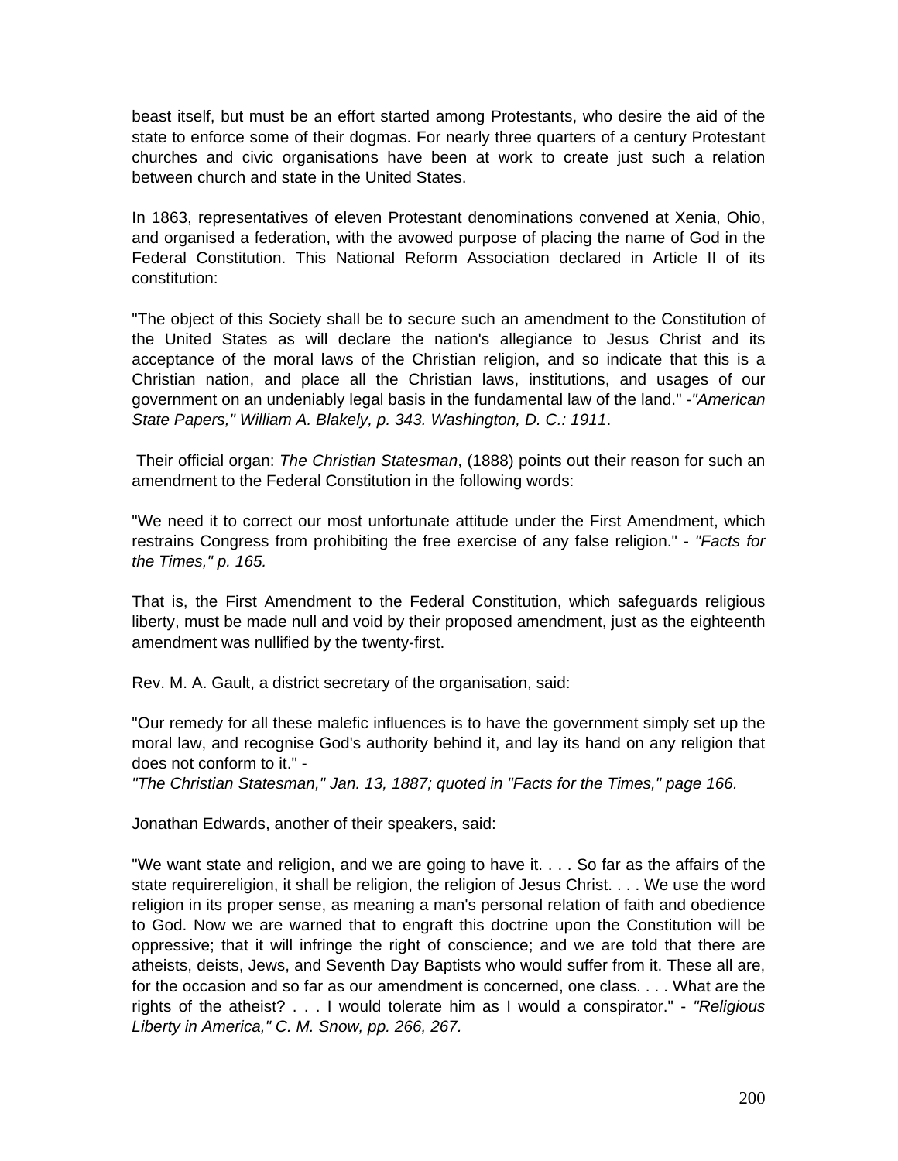beast itself, but must be an effort started among Protestants, who desire the aid of the state to enforce some of their dogmas. For nearly three quarters of a century Protestant churches and civic organisations have been at work to create just such a relation between church and state in the United States.

In 1863, representatives of eleven Protestant denominations convened at Xenia, Ohio, and organised a federation, with the avowed purpose of placing the name of God in the Federal Constitution. This National Reform Association declared in Article II of its constitution:

"The object of this Society shall be to secure such an amendment to the Constitution of the United States as will declare the nation's allegiance to Jesus Christ and its acceptance of the moral laws of the Christian religion, and so indicate that this is a Christian nation, and place all the Christian laws, institutions, and usages of our government on an undeniably legal basis in the fundamental law of the land." -*"American State Papers," William A. Blakely, p. 343. Washington, D. C.: 1911*.

Their official organ: *The Christian Statesman*, (1888) points out their reason for such an amendment to the Federal Constitution in the following words:

"We need it to correct our most unfortunate attitude under the First Amendment, which restrains Congress from prohibiting the free exercise of any false religion." - *"Facts for the Times," p. 165.* 

That is, the First Amendment to the Federal Constitution, which safeguards religious liberty, must be made null and void by their proposed amendment, just as the eighteenth amendment was nullified by the twenty-first.

Rev. M. A. Gault, a district secretary of the organisation, said:

"Our remedy for all these malefic influences is to have the government simply set up the moral law, and recognise God's authority behind it, and lay its hand on any religion that does not conform to it." -

*"The Christian Statesman," Jan. 13, 1887; quoted in "Facts for the Times," page 166.* 

Jonathan Edwards, another of their speakers, said:

"We want state and religion, and we are going to have it. . . . So far as the affairs of the state requirereligion, it shall be religion, the religion of Jesus Christ. . . . We use the word religion in its proper sense, as meaning a man's personal relation of faith and obedience to God. Now we are warned that to engraft this doctrine upon the Constitution will be oppressive; that it will infringe the right of conscience; and we are told that there are atheists, deists, Jews, and Seventh Day Baptists who would suffer from it. These all are, for the occasion and so far as our amendment is concerned, one class. . . . What are the rights of the atheist? . . . I would tolerate him as I would a conspirator." - *"Religious Liberty in America," C. M. Snow, pp. 266, 267.*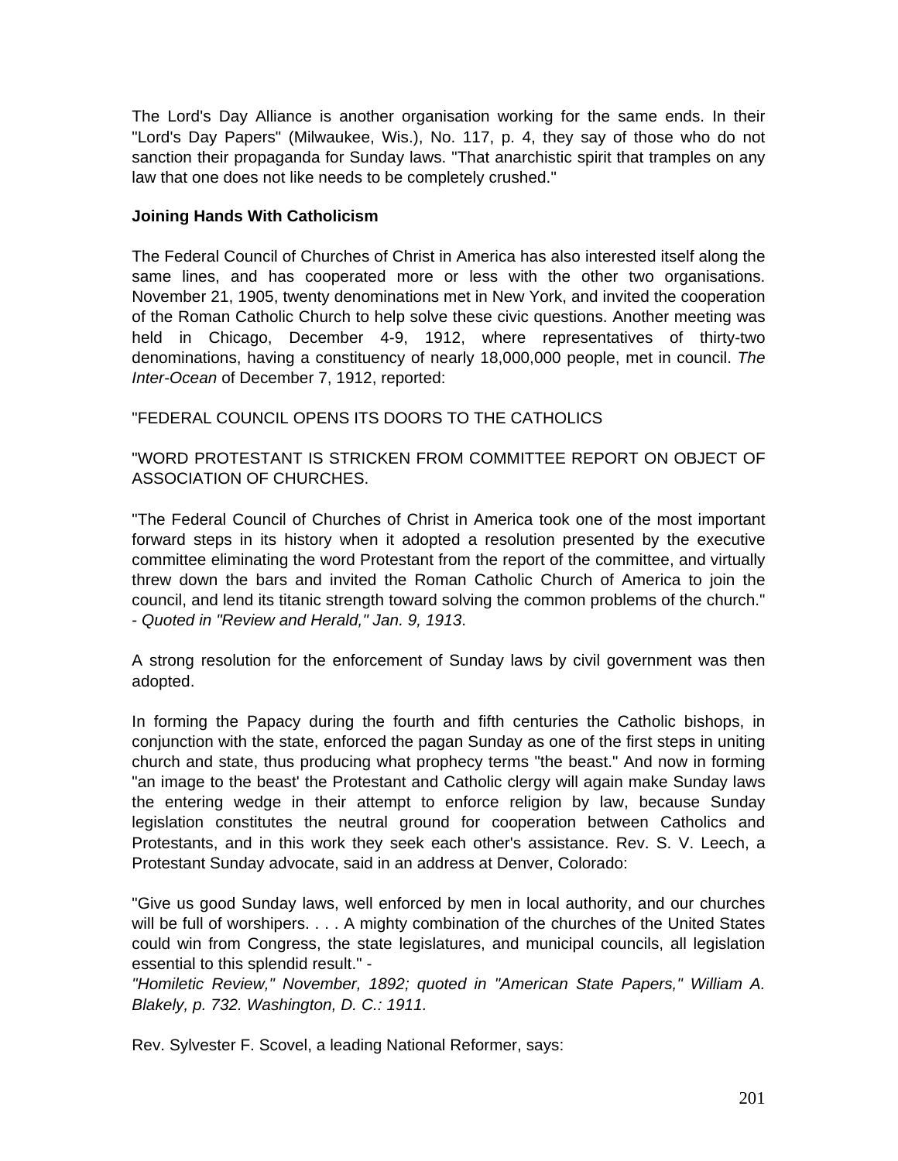The Lord's Day Alliance is another organisation working for the same ends. In their "Lord's Day Papers" (Milwaukee, Wis.), No. 117, p. 4, they say of those who do not sanction their propaganda for Sunday laws. "That anarchistic spirit that tramples on any law that one does not like needs to be completely crushed."

### **Joining Hands With Catholicism**

The Federal Council of Churches of Christ in America has also interested itself along the same lines, and has cooperated more or less with the other two organisations. November 21, 1905, twenty denominations met in New York, and invited the cooperation of the Roman Catholic Church to help solve these civic questions. Another meeting was held in Chicago, December 4-9, 1912, where representatives of thirty-two denominations, having a constituency of nearly 18,000,000 people, met in council. *The Inter-Ocean* of December 7, 1912, reported:

"FEDERAL COUNCIL OPENS ITS DOORS TO THE CATHOLICS

"WORD PROTESTANT IS STRICKEN FROM COMMITTEE REPORT ON OBJECT OF ASSOCIATION OF CHURCHES.

"The Federal Council of Churches of Christ in America took one of the most important forward steps in its history when it adopted a resolution presented by the executive committee eliminating the word Protestant from the report of the committee, and virtually threw down the bars and invited the Roman Catholic Church of America to join the council, and lend its titanic strength toward solving the common problems of the church." - *Quoted in "Review and Herald," Jan. 9, 1913*.

A strong resolution for the enforcement of Sunday laws by civil government was then adopted.

In forming the Papacy during the fourth and fifth centuries the Catholic bishops, in conjunction with the state, enforced the pagan Sunday as one of the first steps in uniting church and state, thus producing what prophecy terms "the beast." And now in forming "an image to the beast' the Protestant and Catholic clergy will again make Sunday laws the entering wedge in their attempt to enforce religion by law, because Sunday legislation constitutes the neutral ground for cooperation between Catholics and Protestants, and in this work they seek each other's assistance. Rev. S. V. Leech, a Protestant Sunday advocate, said in an address at Denver, Colorado:

"Give us good Sunday laws, well enforced by men in local authority, and our churches will be full of worshipers. . . . A mighty combination of the churches of the United States could win from Congress, the state legislatures, and municipal councils, all legislation essential to this splendid result." -

*"Homiletic Review," November, 1892; quoted in "American State Papers," William A. Blakely, p. 732. Washington, D. C.: 1911.* 

Rev. Sylvester F. Scovel, a leading National Reformer, says: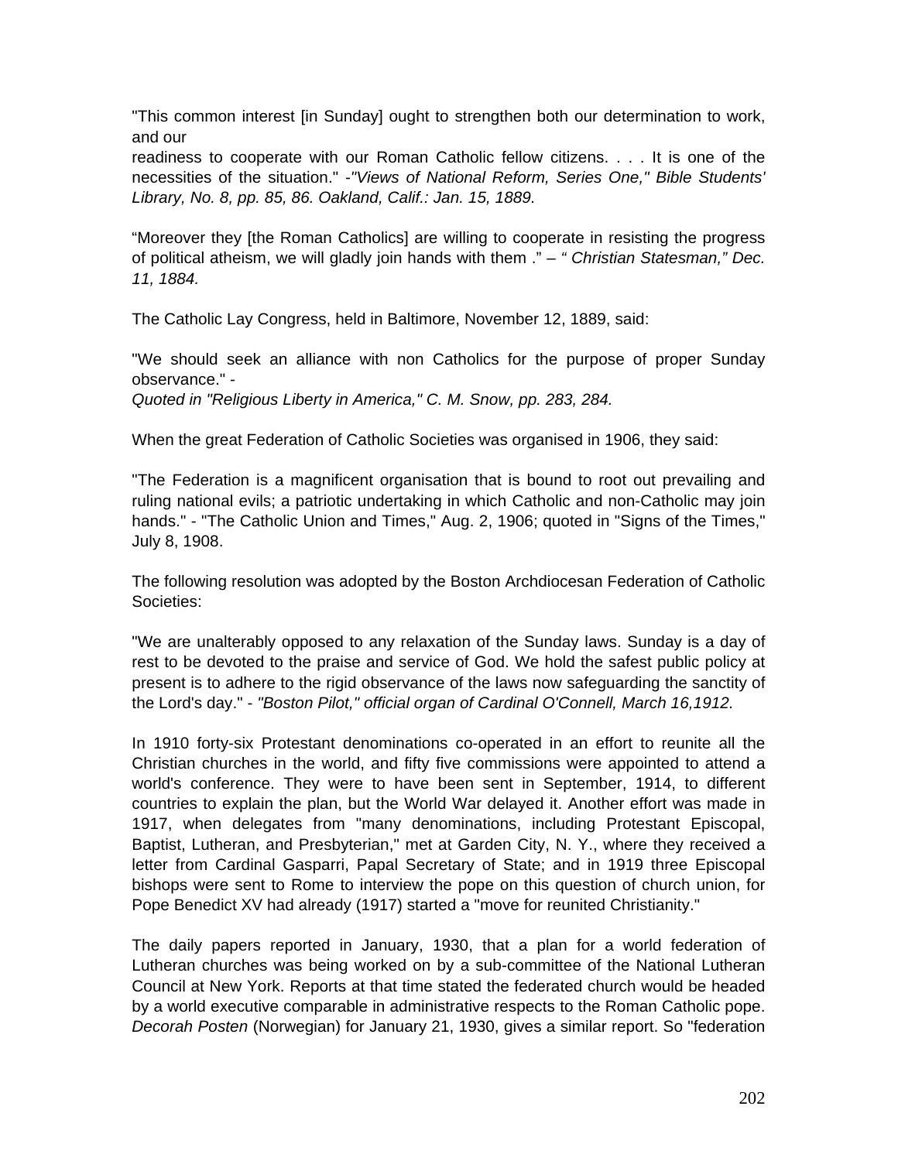"This common interest [in Sunday] ought to strengthen both our determination to work, and our

readiness to cooperate with our Roman Catholic fellow citizens. . . . It is one of the necessities of the situation." -*"Views of National Reform, Series One," Bible Students' Library, No. 8, pp. 85, 86. Oakland, Calif.: Jan. 15, 1889.* 

"Moreover they [the Roman Catholics] are willing to cooperate in resisting the progress of political atheism, we will gladly join hands with them ." – *" Christian Statesman," Dec. 11, 1884.* 

The Catholic Lay Congress, held in Baltimore, November 12, 1889, said:

"We should seek an alliance with non Catholics for the purpose of proper Sunday observance." -

*Quoted in "Religious Liberty in America," C. M. Snow, pp. 283, 284.* 

When the great Federation of Catholic Societies was organised in 1906, they said:

"The Federation is a magnificent organisation that is bound to root out prevailing and ruling national evils; a patriotic undertaking in which Catholic and non-Catholic may join hands." - "The Catholic Union and Times," Aug. 2, 1906; quoted in "Signs of the Times," July 8, 1908.

The following resolution was adopted by the Boston Archdiocesan Federation of Catholic Societies:

"We are unalterably opposed to any relaxation of the Sunday laws. Sunday is a day of rest to be devoted to the praise and service of God. We hold the safest public policy at present is to adhere to the rigid observance of the laws now safeguarding the sanctity of the Lord's day." - *"Boston Pilot," official organ of Cardinal O'Connell, March 16,1912.* 

In 1910 forty-six Protestant denominations co-operated in an effort to reunite all the Christian churches in the world, and fifty five commissions were appointed to attend a world's conference. They were to have been sent in September, 1914, to different countries to explain the plan, but the World War delayed it. Another effort was made in 1917, when delegates from "many denominations, including Protestant Episcopal, Baptist, Lutheran, and Presbyterian," met at Garden City, N. Y., where they received a letter from Cardinal Gasparri, Papal Secretary of State; and in 1919 three Episcopal bishops were sent to Rome to interview the pope on this question of church union, for Pope Benedict XV had already (1917) started a "move for reunited Christianity."

The daily papers reported in January, 1930, that a plan for a world federation of Lutheran churches was being worked on by a sub-committee of the National Lutheran Council at New York. Reports at that time stated the federated church would be headed by a world executive comparable in administrative respects to the Roman Catholic pope. *Decorah Posten* (Norwegian) for January 21, 1930, gives a similar report. So "federation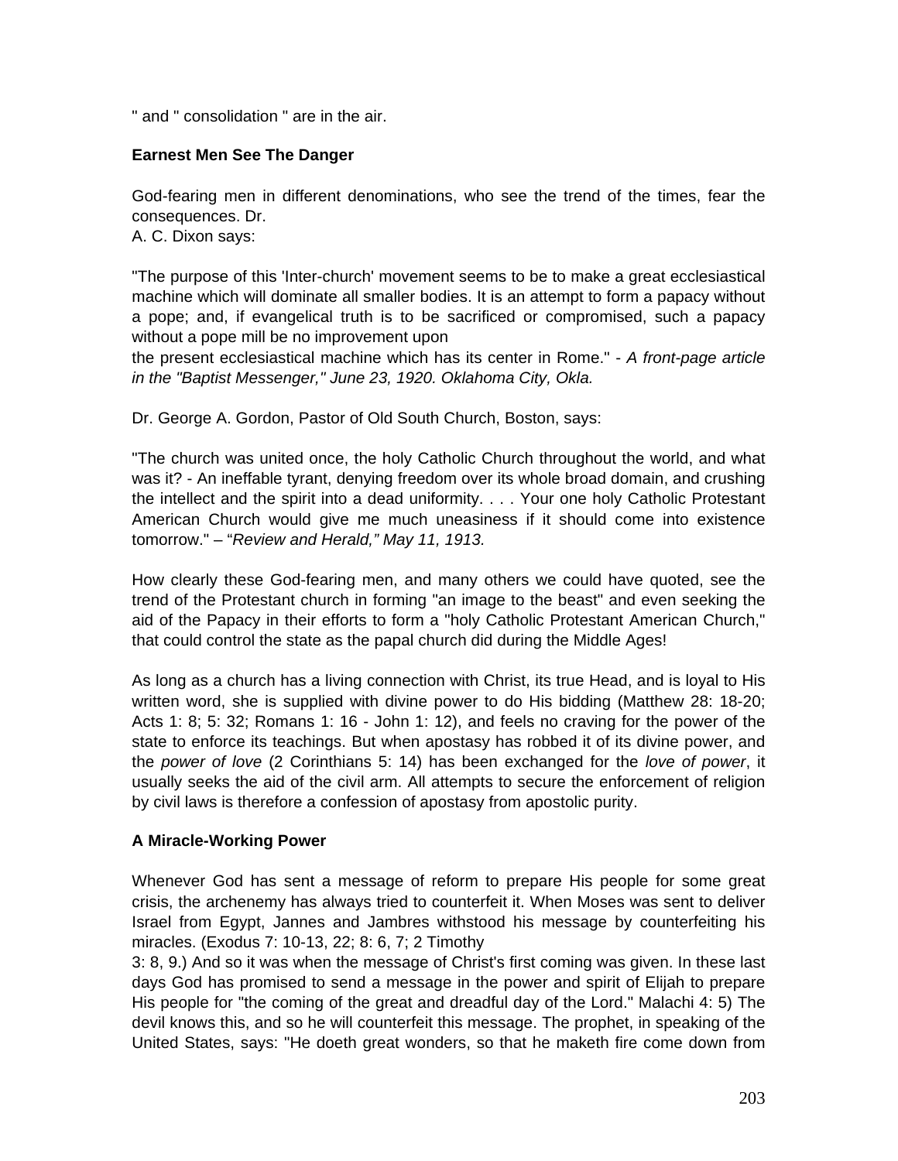" and " consolidation " are in the air.

### **Earnest Men See The Danger**

God-fearing men in different denominations, who see the trend of the times, fear the consequences. Dr.

A. C. Dixon says:

"The purpose of this 'Inter-church' movement seems to be to make a great ecclesiastical machine which will dominate all smaller bodies. It is an attempt to form a papacy without a pope; and, if evangelical truth is to be sacrificed or compromised, such a papacy without a pope mill be no improvement upon

the present ecclesiastical machine which has its center in Rome." - *A front-page article in the "Baptist Messenger," June 23, 1920. Oklahoma City, Okla.* 

Dr. George A. Gordon, Pastor of Old South Church, Boston, says:

"The church was united once, the holy Catholic Church throughout the world, and what was it? - An ineffable tyrant, denying freedom over its whole broad domain, and crushing the intellect and the spirit into a dead uniformity. . . . Your one holy Catholic Protestant American Church would give me much uneasiness if it should come into existence tomorrow." – "*Review and Herald," May 11, 1913.* 

How clearly these God-fearing men, and many others we could have quoted, see the trend of the Protestant church in forming "an image to the beast" and even seeking the aid of the Papacy in their efforts to form a "holy Catholic Protestant American Church," that could control the state as the papal church did during the Middle Ages!

As long as a church has a living connection with Christ, its true Head, and is loyal to His written word, she is supplied with divine power to do His bidding (Matthew 28: 18-20; Acts 1: 8; 5: 32; Romans 1: 16 - John 1: 12), and feels no craving for the power of the state to enforce its teachings. But when apostasy has robbed it of its divine power, and the *power of love* (2 Corinthians 5: 14) has been exchanged for the *love of power*, it usually seeks the aid of the civil arm. All attempts to secure the enforcement of religion by civil laws is therefore a confession of apostasy from apostolic purity.

### **A Miracle-Working Power**

Whenever God has sent a message of reform to prepare His people for some great crisis, the archenemy has always tried to counterfeit it. When Moses was sent to deliver Israel from Egypt, Jannes and Jambres withstood his message by counterfeiting his miracles. (Exodus 7: 10-13, 22; 8: 6, 7; 2 Timothy

3: 8, 9.) And so it was when the message of Christ's first coming was given. In these last days God has promised to send a message in the power and spirit of Elijah to prepare His people for "the coming of the great and dreadful day of the Lord." Malachi 4: 5) The devil knows this, and so he will counterfeit this message. The prophet, in speaking of the United States, says: "He doeth great wonders, so that he maketh fire come down from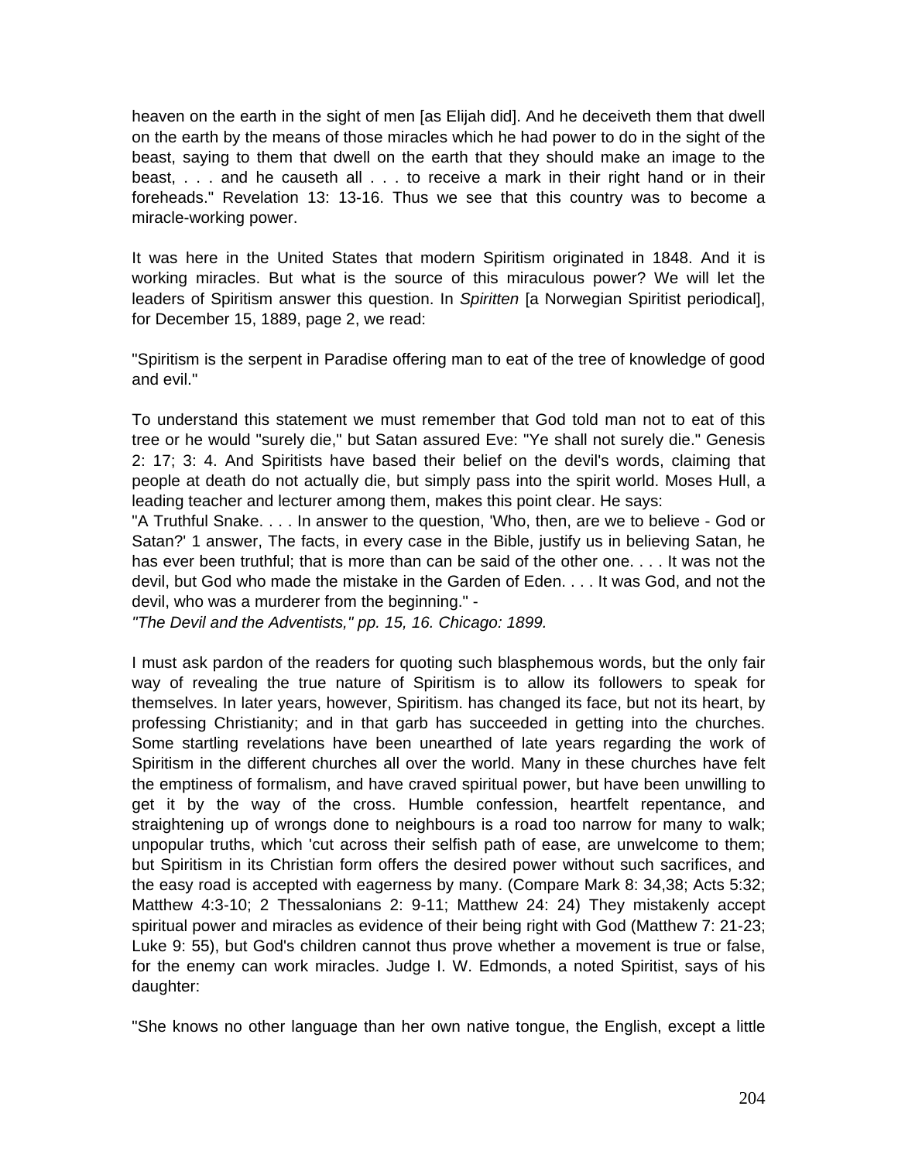heaven on the earth in the sight of men [as Elijah did]. And he deceiveth them that dwell on the earth by the means of those miracles which he had power to do in the sight of the beast, saying to them that dwell on the earth that they should make an image to the beast, . . . and he causeth all . . . to receive a mark in their right hand or in their foreheads." Revelation 13: 13-16. Thus we see that this country was to become a miracle-working power.

It was here in the United States that modern Spiritism originated in 1848. And it is working miracles. But what is the source of this miraculous power? We will let the leaders of Spiritism answer this question. In *Spiritten* [a Norwegian Spiritist periodical], for December 15, 1889, page 2, we read:

"Spiritism is the serpent in Paradise offering man to eat of the tree of knowledge of good and evil."

To understand this statement we must remember that God told man not to eat of this tree or he would "surely die," but Satan assured Eve: "Ye shall not surely die." Genesis 2: 17; 3: 4. And Spiritists have based their belief on the devil's words, claiming that people at death do not actually die, but simply pass into the spirit world. Moses Hull, a leading teacher and lecturer among them, makes this point clear. He says:

"A Truthful Snake. . . . In answer to the question, 'Who, then, are we to believe - God or Satan?' 1 answer, The facts, in every case in the Bible, justify us in believing Satan, he has ever been truthful; that is more than can be said of the other one.... It was not the devil, but God who made the mistake in the Garden of Eden. . . . It was God, and not the devil, who was a murderer from the beginning." -

*"The Devil and the Adventists," pp. 15, 16. Chicago: 1899.* 

I must ask pardon of the readers for quoting such blasphemous words, but the only fair way of revealing the true nature of Spiritism is to allow its followers to speak for themselves. In later years, however, Spiritism. has changed its face, but not its heart, by professing Christianity; and in that garb has succeeded in getting into the churches. Some startling revelations have been unearthed of late years regarding the work of Spiritism in the different churches all over the world. Many in these churches have felt the emptiness of formalism, and have craved spiritual power, but have been unwilling to get it by the way of the cross. Humble confession, heartfelt repentance, and straightening up of wrongs done to neighbours is a road too narrow for many to walk; unpopular truths, which 'cut across their selfish path of ease, are unwelcome to them; but Spiritism in its Christian form offers the desired power without such sacrifices, and the easy road is accepted with eagerness by many. (Compare Mark 8: 34,38; Acts 5:32; Matthew 4:3-10; 2 Thessalonians 2: 9-11; Matthew 24: 24) They mistakenly accept spiritual power and miracles as evidence of their being right with God (Matthew 7: 21-23; Luke 9: 55), but God's children cannot thus prove whether a movement is true or false, for the enemy can work miracles. Judge I. W. Edmonds, a noted Spiritist, says of his daughter:

"She knows no other language than her own native tongue, the English, except a little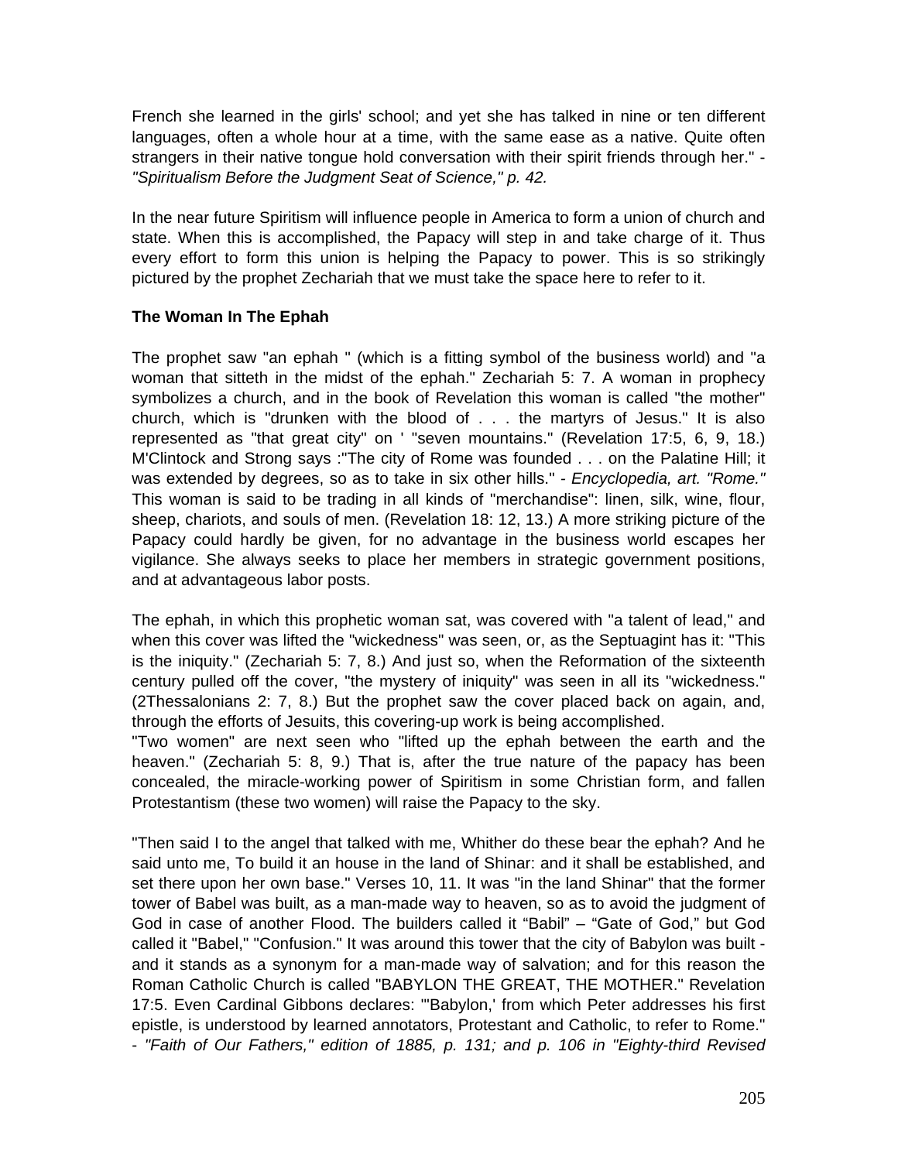French she learned in the girls' school; and yet she has talked in nine or ten different languages, often a whole hour at a time, with the same ease as a native. Quite often strangers in their native tongue hold conversation with their spirit friends through her." - *"Spiritualism Before the Judgment Seat of Science," p. 42.* 

In the near future Spiritism will influence people in America to form a union of church and state. When this is accomplished, the Papacy will step in and take charge of it. Thus every effort to form this union is helping the Papacy to power. This is so strikingly pictured by the prophet Zechariah that we must take the space here to refer to it.

# **The Woman In The Ephah**

The prophet saw "an ephah " (which is a fitting symbol of the business world) and "a woman that sitteth in the midst of the ephah." Zechariah 5: 7. A woman in prophecy symbolizes a church, and in the book of Revelation this woman is called "the mother" church, which is "drunken with the blood of . . . the martyrs of Jesus." It is also represented as "that great city" on ' "seven mountains." (Revelation 17:5, 6, 9, 18.) M'Clintock and Strong says :"The city of Rome was founded . . . on the Palatine Hill; it was extended by degrees, so as to take in six other hills." *- Encyclopedia, art. "Rome."* This woman is said to be trading in all kinds of "merchandise": linen, silk, wine, flour, sheep, chariots, and souls of men. (Revelation 18: 12, 13.) A more striking picture of the Papacy could hardly be given, for no advantage in the business world escapes her vigilance. She always seeks to place her members in strategic government positions, and at advantageous labor posts.

The ephah, in which this prophetic woman sat, was covered with "a talent of lead," and when this cover was lifted the "wickedness" was seen, or, as the Septuagint has it: "This is the iniquity." (Zechariah 5: 7, 8.) And just so, when the Reformation of the sixteenth century pulled off the cover, "the mystery of iniquity" was seen in all its "wickedness." (2Thessalonians 2: 7, 8.) But the prophet saw the cover placed back on again, and, through the efforts of Jesuits, this covering-up work is being accomplished.

"Two women" are next seen who "lifted up the ephah between the earth and the heaven." (Zechariah 5: 8, 9.) That is, after the true nature of the papacy has been concealed, the miracle-working power of Spiritism in some Christian form, and fallen Protestantism (these two women) will raise the Papacy to the sky.

"Then said I to the angel that talked with me, Whither do these bear the ephah? And he said unto me, To build it an house in the land of Shinar: and it shall be established, and set there upon her own base." Verses 10, 11. It was "in the land Shinar" that the former tower of Babel was built, as a man-made way to heaven, so as to avoid the judgment of God in case of another Flood. The builders called it "Babil" – "Gate of God," but God called it "Babel," "Confusion." It was around this tower that the city of Babylon was built and it stands as a synonym for a man-made way of salvation; and for this reason the Roman Catholic Church is called "BABYLON THE GREAT, THE MOTHER." Revelation 17:5. Even Cardinal Gibbons declares: "'Babylon,' from which Peter addresses his first epistle, is understood by learned annotators, Protestant and Catholic, to refer to Rome." - *"Faith of Our Fathers," edition of 1885, p. 131; and p. 106 in "Eighty-third Revised*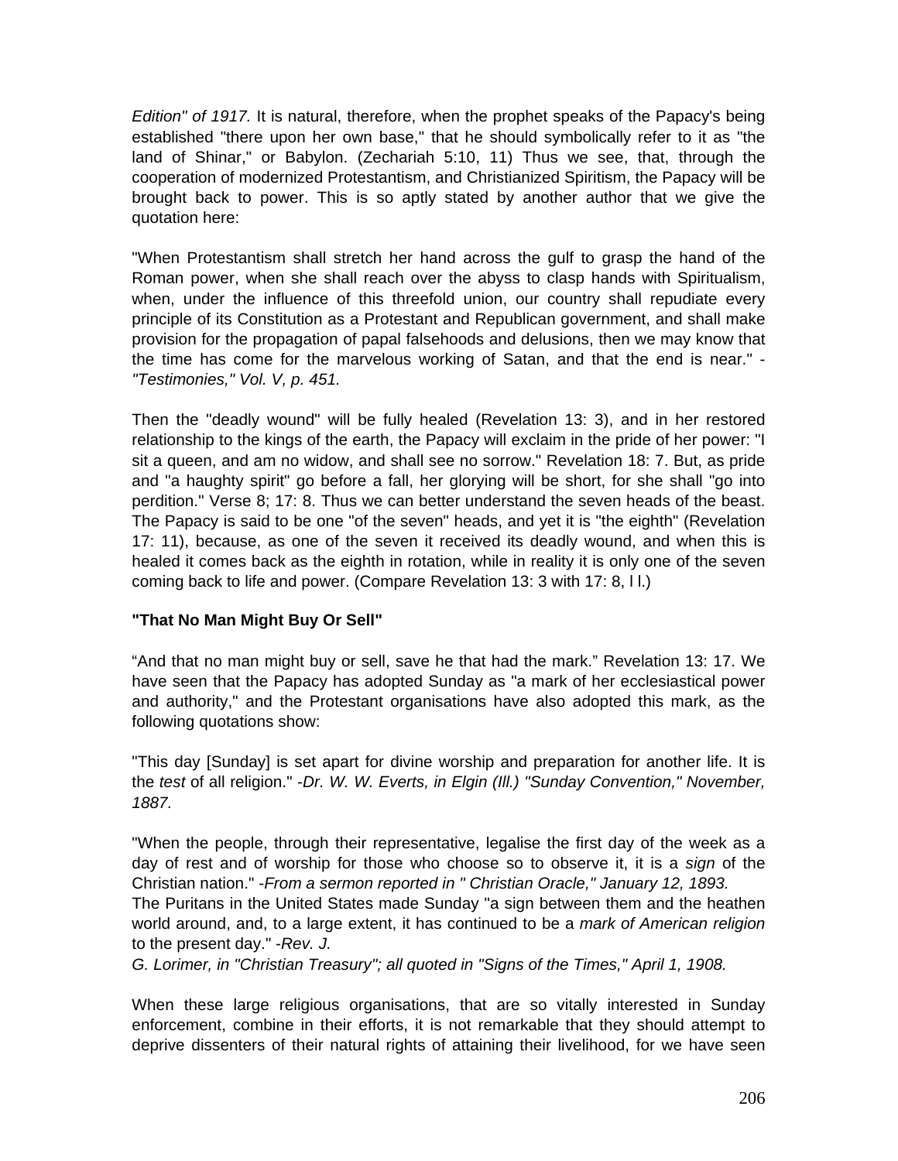*Edition" of 1917.* It is natural, therefore, when the prophet speaks of the Papacy's being established "there upon her own base," that he should symbolically refer to it as "the land of Shinar," or Babylon. (Zechariah 5:10, 11) Thus we see, that, through the cooperation of modernized Protestantism, and Christianized Spiritism, the Papacy will be brought back to power. This is so aptly stated by another author that we give the quotation here:

"When Protestantism shall stretch her hand across the gulf to grasp the hand of the Roman power, when she shall reach over the abyss to clasp hands with Spiritualism, when, under the influence of this threefold union, our country shall repudiate every principle of its Constitution as a Protestant and Republican government, and shall make provision for the propagation of papal falsehoods and delusions, then we may know that the time has come for the marvelous working of Satan, and that the end is near." - *"Testimonies," Vol. V, p. 451.* 

Then the "deadly wound" will be fully healed (Revelation 13: 3), and in her restored relationship to the kings of the earth, the Papacy will exclaim in the pride of her power: "I sit a queen, and am no widow, and shall see no sorrow." Revelation 18: 7. But, as pride and "a haughty spirit" go before a fall, her glorying will be short, for she shall "go into perdition." Verse 8; 17: 8. Thus we can better understand the seven heads of the beast. The Papacy is said to be one "of the seven" heads, and yet it is "the eighth" (Revelation 17: 11), because, as one of the seven it received its deadly wound, and when this is healed it comes back as the eighth in rotation, while in reality it is only one of the seven coming back to life and power. (Compare Revelation 13: 3 with 17: 8, l l.)

# **"That No Man Might Buy Or Sell"**

"And that no man might buy or sell, save he that had the mark." Revelation 13: 17. We have seen that the Papacy has adopted Sunday as "a mark of her ecclesiastical power and authority," and the Protestant organisations have also adopted this mark, as the following quotations show:

"This day [Sunday] is set apart for divine worship and preparation for another life. It is the *test* of all religion." -*Dr. W. W. Everts, in Elgin (Ill.) "Sunday Convention," November, 1887.* 

"When the people, through their representative, legalise the first day of the week as a day of rest and of worship for those who choose so to observe it, it is a *sign* of the Christian nation." -*From a sermon reported in " Christian Oracle," January 12, 1893.*  The Puritans in the United States made Sunday "a sign between them and the heathen world around, and, to a large extent, it has continued to be a *mark of American religion* to the present day." -*Rev. J.* 

*G. Lorimer, in "Christian Treasury"; all quoted in "Signs of the Times," April 1, 1908.* 

When these large religious organisations, that are so vitally interested in Sunday enforcement, combine in their efforts, it is not remarkable that they should attempt to deprive dissenters of their natural rights of attaining their livelihood, for we have seen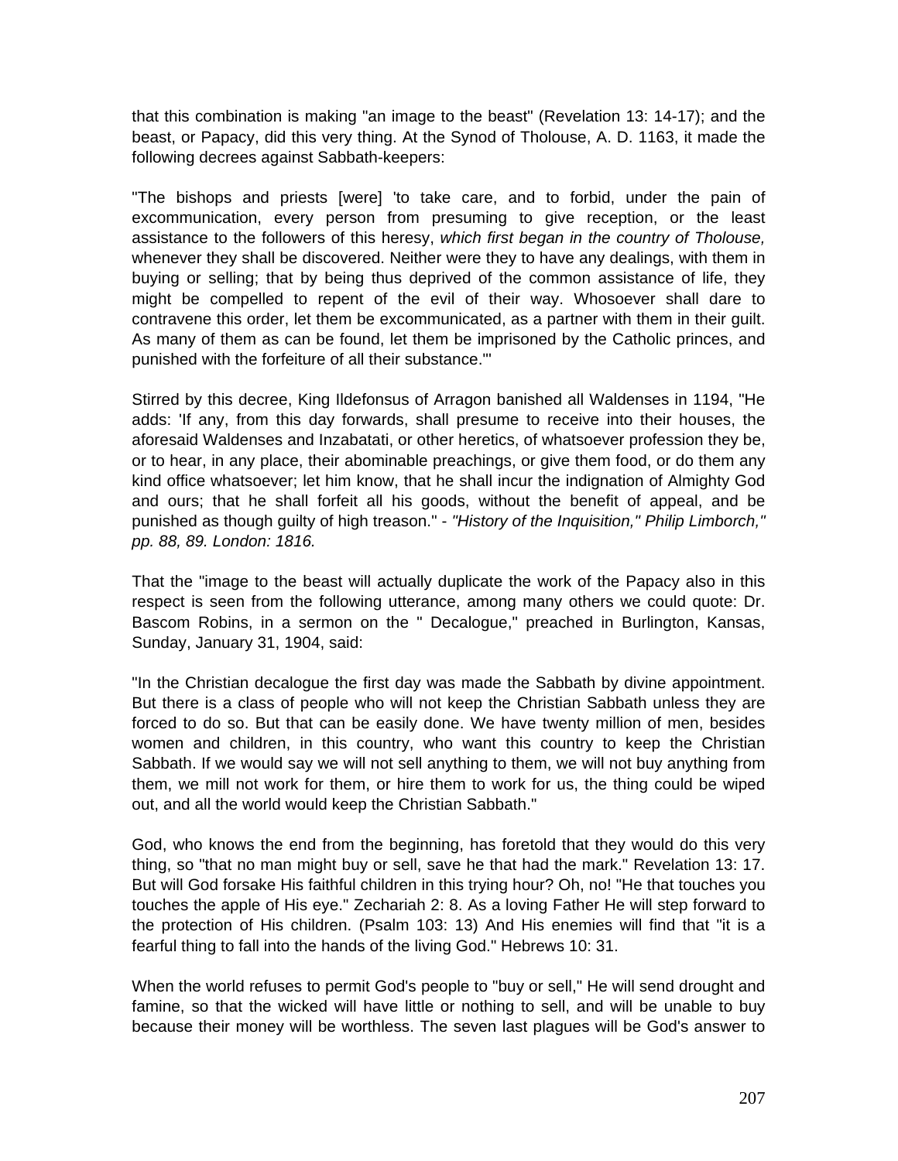that this combination is making "an image to the beast" (Revelation 13: 14-17); and the beast, or Papacy, did this very thing. At the Synod of Tholouse, A. D. 1163, it made the following decrees against Sabbath-keepers:

"The bishops and priests [were] 'to take care, and to forbid, under the pain of excommunication, every person from presuming to give reception, or the least assistance to the followers of this heresy, *which first began in the country of Tholouse,* whenever they shall be discovered. Neither were they to have any dealings, with them in buying or selling; that by being thus deprived of the common assistance of life, they might be compelled to repent of the evil of their way. Whosoever shall dare to contravene this order, let them be excommunicated, as a partner with them in their guilt. As many of them as can be found, let them be imprisoned by the Catholic princes, and punished with the forfeiture of all their substance."'

Stirred by this decree, King Ildefonsus of Arragon banished all Waldenses in 1194, "He adds: 'If any, from this day forwards, shall presume to receive into their houses, the aforesaid Waldenses and Inzabatati, or other heretics, of whatsoever profession they be, or to hear, in any place, their abominable preachings, or give them food, or do them any kind office whatsoever; let him know, that he shall incur the indignation of Almighty God and ours; that he shall forfeit all his goods, without the benefit of appeal, and be punished as though guilty of high treason." - *"History of the Inquisition," Philip Limborch," pp. 88, 89. London: 1816.* 

That the "image to the beast will actually duplicate the work of the Papacy also in this respect is seen from the following utterance, among many others we could quote: Dr. Bascom Robins, in a sermon on the " Decalogue," preached in Burlington, Kansas, Sunday, January 31, 1904, said:

"In the Christian decalogue the first day was made the Sabbath by divine appointment. But there is a class of people who will not keep the Christian Sabbath unless they are forced to do so. But that can be easily done. We have twenty million of men, besides women and children, in this country, who want this country to keep the Christian Sabbath. If we would say we will not sell anything to them, we will not buy anything from them, we mill not work for them, or hire them to work for us, the thing could be wiped out, and all the world would keep the Christian Sabbath."

God, who knows the end from the beginning, has foretold that they would do this very thing, so "that no man might buy or sell, save he that had the mark." Revelation 13: 17. But will God forsake His faithful children in this trying hour? Oh, no! "He that touches you touches the apple of His eye." Zechariah 2: 8. As a loving Father He will step forward to the protection of His children. (Psalm 103: 13) And His enemies will find that "it is a fearful thing to fall into the hands of the living God." Hebrews 10: 31.

When the world refuses to permit God's people to "buy or sell," He will send drought and famine, so that the wicked will have little or nothing to sell, and will be unable to buy because their money will be worthless. The seven last plagues will be God's answer to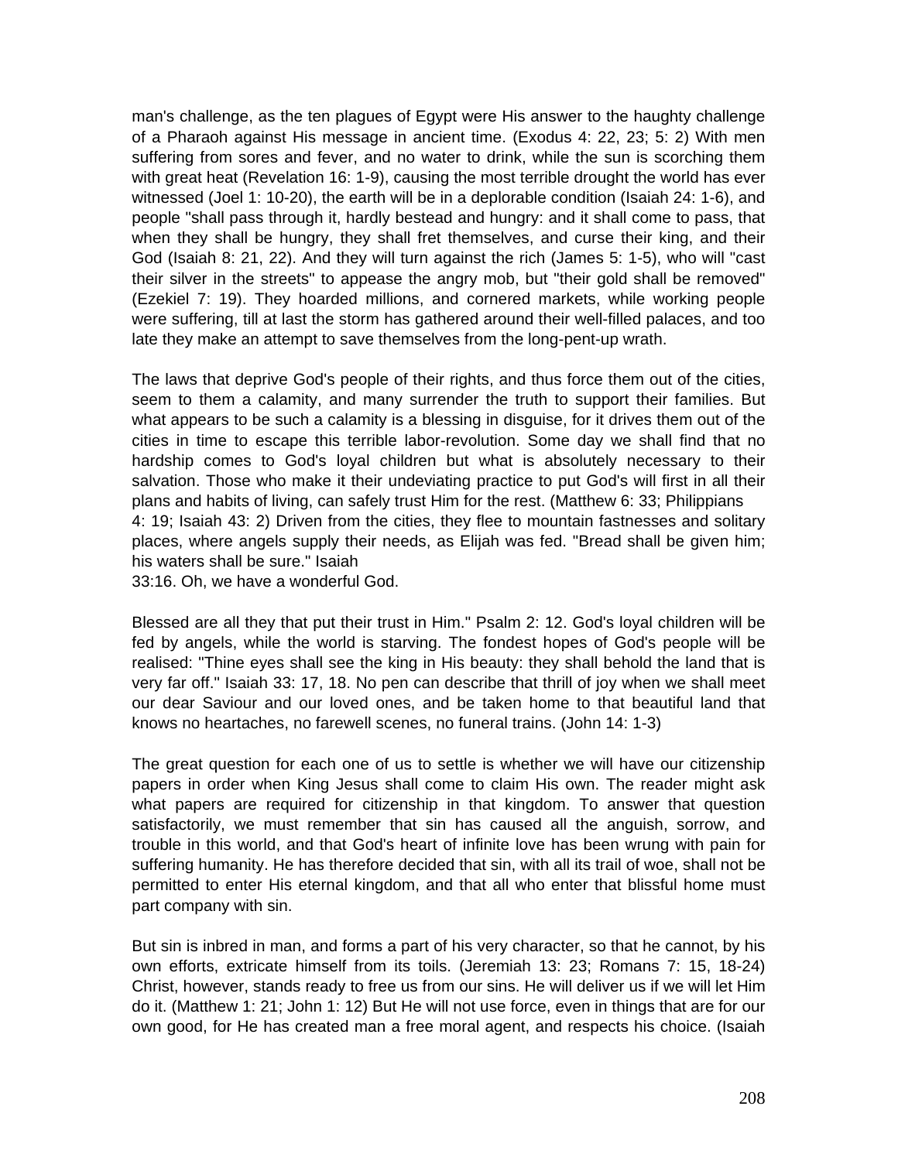man's challenge, as the ten plagues of Egypt were His answer to the haughty challenge of a Pharaoh against His message in ancient time. (Exodus 4: 22, 23; 5: 2) With men suffering from sores and fever, and no water to drink, while the sun is scorching them with great heat (Revelation 16: 1-9), causing the most terrible drought the world has ever witnessed (Joel 1: 10-20), the earth will be in a deplorable condition (Isaiah 24: 1-6), and people "shall pass through it, hardly bestead and hungry: and it shall come to pass, that when they shall be hungry, they shall fret themselves, and curse their king, and their God (Isaiah 8: 21, 22). And they will turn against the rich (James 5: 1-5), who will "cast their silver in the streets" to appease the angry mob, but "their gold shall be removed" (Ezekiel 7: 19). They hoarded millions, and cornered markets, while working people were suffering, till at last the storm has gathered around their well-filled palaces, and too late they make an attempt to save themselves from the long-pent-up wrath.

The laws that deprive God's people of their rights, and thus force them out of the cities, seem to them a calamity, and many surrender the truth to support their families. But what appears to be such a calamity is a blessing in disguise, for it drives them out of the cities in time to escape this terrible labor-revolution. Some day we shall find that no hardship comes to God's loyal children but what is absolutely necessary to their salvation. Those who make it their undeviating practice to put God's will first in all their plans and habits of living, can safely trust Him for the rest. (Matthew 6: 33; Philippians 4: 19; Isaiah 43: 2) Driven from the cities, they flee to mountain fastnesses and solitary places, where angels supply their needs, as Elijah was fed. "Bread shall be given him; his waters shall be sure." Isaiah

33:16. Oh, we have a wonderful God.

Blessed are all they that put their trust in Him." Psalm 2: 12. God's loyal children will be fed by angels, while the world is starving. The fondest hopes of God's people will be realised: "Thine eyes shall see the king in His beauty: they shall behold the land that is very far off." Isaiah 33: 17, 18. No pen can describe that thrill of joy when we shall meet our dear Saviour and our loved ones, and be taken home to that beautiful land that knows no heartaches, no farewell scenes, no funeral trains. (John 14: 1-3)

The great question for each one of us to settle is whether we will have our citizenship papers in order when King Jesus shall come to claim His own. The reader might ask what papers are required for citizenship in that kingdom. To answer that question satisfactorily, we must remember that sin has caused all the anguish, sorrow, and trouble in this world, and that God's heart of infinite love has been wrung with pain for suffering humanity. He has therefore decided that sin, with all its trail of woe, shall not be permitted to enter His eternal kingdom, and that all who enter that blissful home must part company with sin.

But sin is inbred in man, and forms a part of his very character, so that he cannot, by his own efforts, extricate himself from its toils. (Jeremiah 13: 23; Romans 7: 15, 18-24) Christ, however, stands ready to free us from our sins. He will deliver us if we will let Him do it. (Matthew 1: 21; John 1: 12) But He will not use force, even in things that are for our own good, for He has created man a free moral agent, and respects his choice. (Isaiah